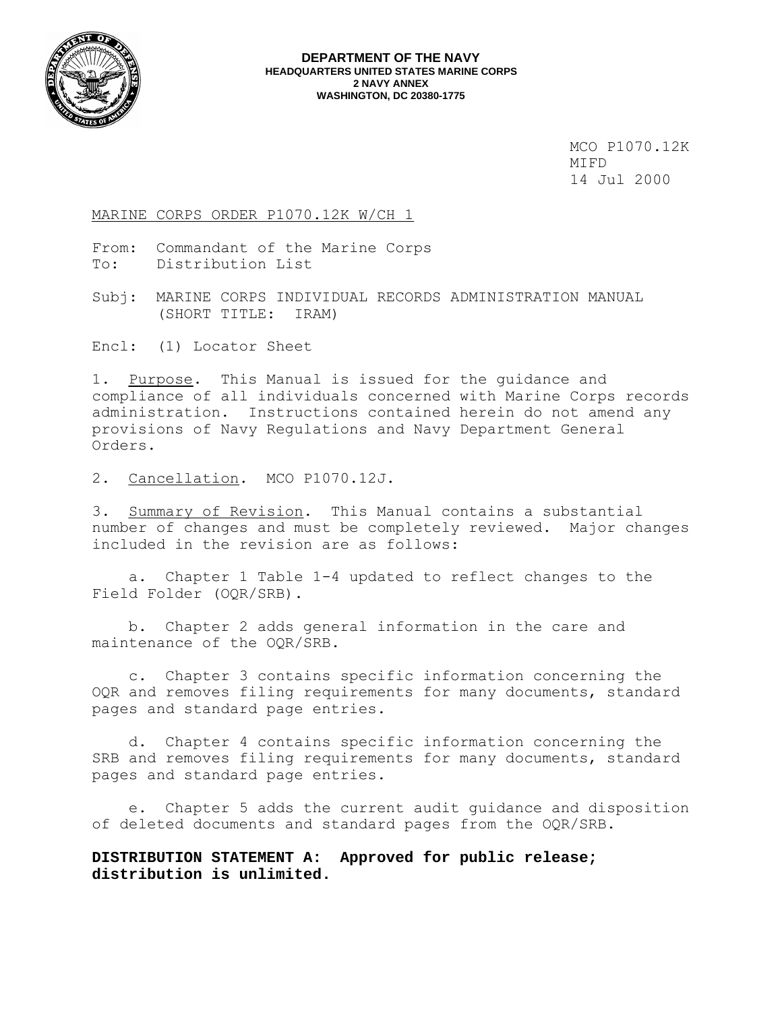

MCO P1070.12K<br>MIFD MIFD 14 Jul 2000

### MARINE CORPS ORDER P1070.12K W/CH 1

From: Commandant of the Marine Corps To: Distribution List

Subj: MARINE CORPS INDIVIDUAL RECORDS ADMINISTRATION MANUAL (SHORT TITLE: IRAM)

Encl: (1) Locator Sheet

1. Purpose. This Manual is issued for the guidance and compliance of all individuals concerned with Marine Corps records administration. Instructions contained herein do not amend any provisions of Navy Regulations and Navy Department General Orders.

2. Cancellation. MCO P1070.12J.

3. Summary of Revision. This Manual contains a substantial number of changes and must be completely reviewed. Major changes included in the revision are as follows:

 a. Chapter 1 Table 1-4 updated to reflect changes to the Field Folder (OQR/SRB).

 b. Chapter 2 adds general information in the care and maintenance of the OQR/SRB.

 c. Chapter 3 contains specific information concerning the OQR and removes filing requirements for many documents, standard pages and standard page entries.

 d. Chapter 4 contains specific information concerning the SRB and removes filing requirements for many documents, standard pages and standard page entries.

 e. Chapter 5 adds the current audit guidance and disposition of deleted documents and standard pages from the OQR/SRB.

**DISTRIBUTION STATEMENT A: Approved for public release; distribution is unlimited.**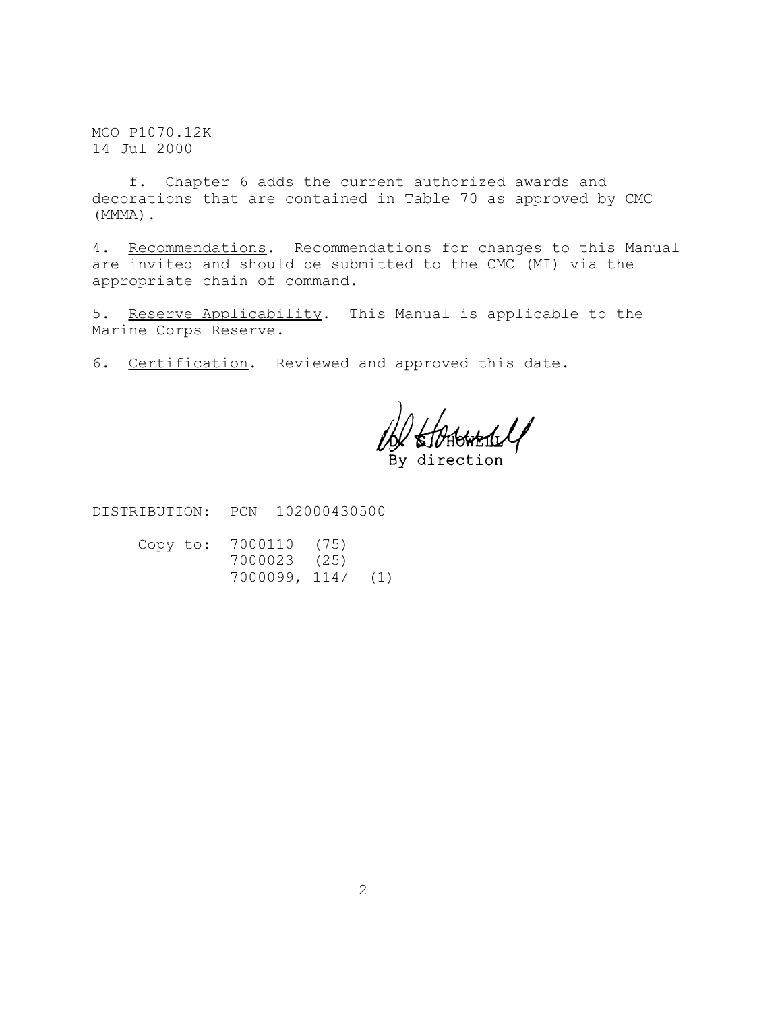MCO P1070.12K 14 Jul 2000

 f. Chapter 6 adds the current authorized awards and decorations that are contained in Table 70 as approved by CMC (MMMA).

4. Recommendations. Recommendations for changes to this Manual are invited and should be submitted to the CMC (MI) via the appropriate chain of command.

5. Reserve Applicability. This Manual is applicable to the Marine Corps Reserve.

6. Certification. Reviewed and approved this date.

direction

DISTRIBUTION: PCN 102000430500

| Copy to: 7000110 (75) |  |
|-----------------------|--|
| 7000023 (25)          |  |
| 7000099, 114/ (1)     |  |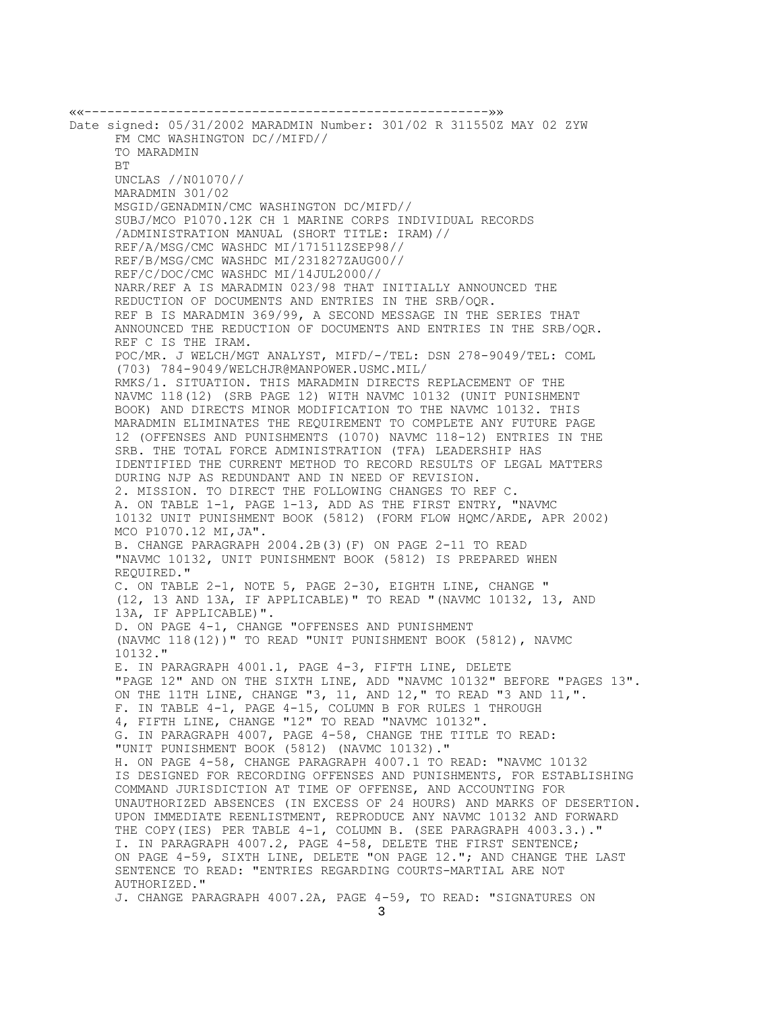««-----------------------------------------------------»» Date signed: 05/31/2002 MARADMIN Number: 301/02 R 311550Z MAY 02 ZYW FM CMC WASHINGTON DC//MIFD// TO MARADMIN BT UNCLAS //N01070// MARADMIN 301/02 MSGID/GENADMIN/CMC WASHINGTON DC/MIFD// SUBJ/MCO P1070.12K CH 1 MARINE CORPS INDIVIDUAL RECORDS /ADMINISTRATION MANUAL (SHORT TITLE: IRAM)// REF/A/MSG/CMC WASHDC MI/171511ZSEP98// REF/B/MSG/CMC WASHDC MI/231827ZAUG00// REF/C/DOC/CMC WASHDC MI/14JUL2000// NARR/REF A IS MARADMIN 023/98 THAT INITIALLY ANNOUNCED THE REDUCTION OF DOCUMENTS AND ENTRIES IN THE SRB/OQR. REF B IS MARADMIN 369/99, A SECOND MESSAGE IN THE SERIES THAT ANNOUNCED THE REDUCTION OF DOCUMENTS AND ENTRIES IN THE SRB/OQR. REF C IS THE IRAM. POC/MR. J WELCH/MGT ANALYST, MIFD/-/TEL: DSN 278-9049/TEL: COML (703) 784-9049/WELCHJR@MANPOWER.USMC.MIL/ RMKS/1. SITUATION. THIS MARADMIN DIRECTS REPLACEMENT OF THE NAVMC 118(12) (SRB PAGE 12) WITH NAVMC 10132 (UNIT PUNISHMENT BOOK) AND DIRECTS MINOR MODIFICATION TO THE NAVMC 10132. THIS MARADMIN ELIMINATES THE REQUIREMENT TO COMPLETE ANY FUTURE PAGE 12 (OFFENSES AND PUNISHMENTS (1070) NAVMC 118-12) ENTRIES IN THE SRB. THE TOTAL FORCE ADMINISTRATION (TFA) LEADERSHIP HAS IDENTIFIED THE CURRENT METHOD TO RECORD RESULTS OF LEGAL MATTERS DURING NJP AS REDUNDANT AND IN NEED OF REVISION. 2. MISSION. TO DIRECT THE FOLLOWING CHANGES TO REF C. A. ON TABLE 1-1, PAGE 1-13, ADD AS THE FIRST ENTRY, "NAVMC 10132 UNIT PUNISHMENT BOOK (5812) (FORM FLOW HQMC/ARDE, APR 2002) MCO P1070.12 MI,JA". B. CHANGE PARAGRAPH 2004.2B(3)(F) ON PAGE 2-11 TO READ "NAVMC 10132, UNIT PUNISHMENT BOOK (5812) IS PREPARED WHEN REQUIRED." C. ON TABLE 2-1, NOTE 5, PAGE 2-30, EIGHTH LINE, CHANGE " (12, 13 AND 13A, IF APPLICABLE)" TO READ "(NAVMC 10132, 13, AND 13A, IF APPLICABLE)". D. ON PAGE 4-1, CHANGE "OFFENSES AND PUNISHMENT (NAVMC 118(12))" TO READ "UNIT PUNISHMENT BOOK (5812), NAVMC 10132." E. IN PARAGRAPH 4001.1, PAGE 4-3, FIFTH LINE, DELETE "PAGE 12" AND ON THE SIXTH LINE, ADD "NAVMC 10132" BEFORE "PAGES 13". ON THE 11TH LINE, CHANGE "3, 11, AND 12," TO READ "3 AND 11,". F. IN TABLE 4-1, PAGE 4-15, COLUMN B FOR RULES 1 THROUGH 4, FIFTH LINE, CHANGE "12" TO READ "NAVMC 10132". G. IN PARAGRAPH 4007, PAGE 4-58, CHANGE THE TITLE TO READ: "UNIT PUNISHMENT BOOK (5812) (NAVMC 10132)." H. ON PAGE 4-58, CHANGE PARAGRAPH 4007.1 TO READ: "NAVMC 10132 IS DESIGNED FOR RECORDING OFFENSES AND PUNISHMENTS, FOR ESTABLISHING COMMAND JURISDICTION AT TIME OF OFFENSE, AND ACCOUNTING FOR UNAUTHORIZED ABSENCES (IN EXCESS OF 24 HOURS) AND MARKS OF DESERTION. UPON IMMEDIATE REENLISTMENT, REPRODUCE ANY NAVMC 10132 AND FORWARD THE COPY(IES) PER TABLE 4-1, COLUMN B. (SEE PARAGRAPH 4003.3.)." I. IN PARAGRAPH 4007.2, PAGE 4-58, DELETE THE FIRST SENTENCE; ON PAGE 4-59, SIXTH LINE, DELETE "ON PAGE 12."; AND CHANGE THE LAST SENTENCE TO READ: "ENTRIES REGARDING COURTS-MARTIAL ARE NOT AUTHORIZED." J. CHANGE PARAGRAPH 4007.2A, PAGE 4-59, TO READ: "SIGNATURES ON 3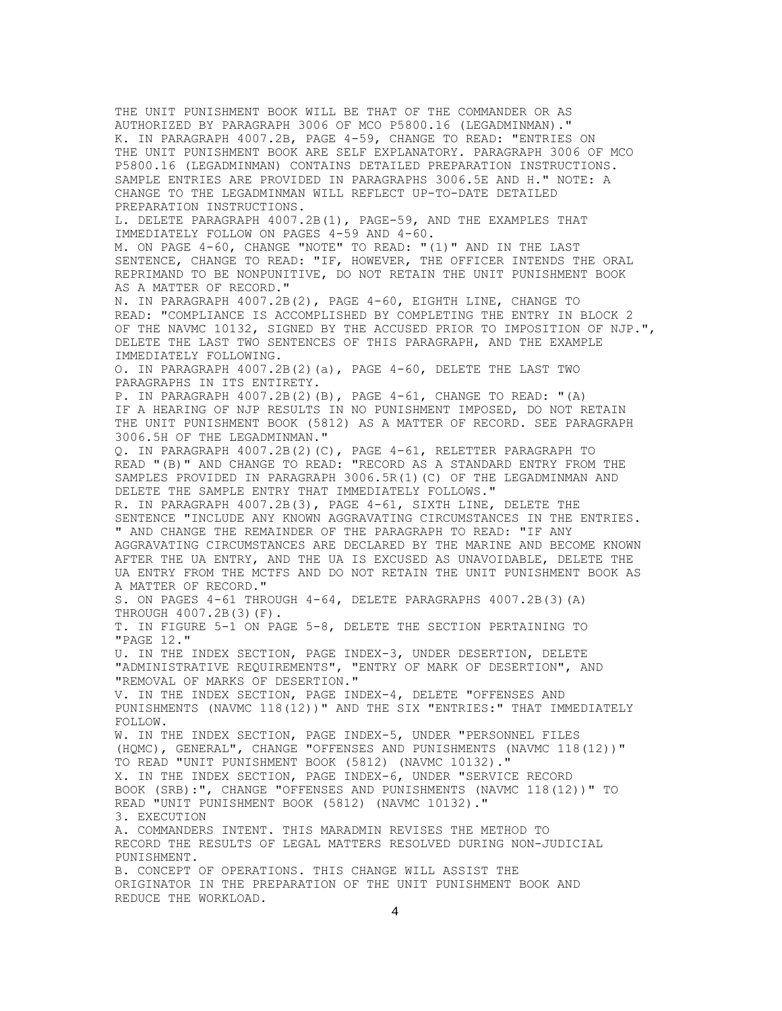THE UNIT PUNISHMENT BOOK WILL BE THAT OF THE COMMANDER OR AS AUTHORIZED BY PARAGRAPH 3006 OF MCO P5800.16 (LEGADMINMAN)." K. IN PARAGRAPH 4007.2B, PAGE 4-59, CHANGE TO READ: "ENTRIES ON THE UNIT PUNISHMENT BOOK ARE SELF EXPLANATORY. PARAGRAPH 3006 OF MCO P5800.16 (LEGADMINMAN) CONTAINS DETAILED PREPARATION INSTRUCTIONS. SAMPLE ENTRIES ARE PROVIDED IN PARAGRAPHS 3006.5E AND H." NOTE: A CHANGE TO THE LEGADMINMAN WILL REFLECT UP-TO-DATE DETAILED PREPARATION INSTRUCTIONS. L. DELETE PARAGRAPH 4007.2B(1), PAGE-59, AND THE EXAMPLES THAT IMMEDIATELY FOLLOW ON PAGES 4-59 AND 4-60. M. ON PAGE 4-60, CHANGE "NOTE" TO READ: "(1)" AND IN THE LAST SENTENCE, CHANGE TO READ: "IF, HOWEVER, THE OFFICER INTENDS THE ORAL REPRIMAND TO BE NONPUNITIVE, DO NOT RETAIN THE UNIT PUNISHMENT BOOK AS A MATTER OF RECORD." N. IN PARAGRAPH 4007.2B(2), PAGE 4-60, EIGHTH LINE, CHANGE TO READ: "COMPLIANCE IS ACCOMPLISHED BY COMPLETING THE ENTRY IN BLOCK 2 OF THE NAVMC 10132, SIGNED BY THE ACCUSED PRIOR TO IMPOSITION OF NJP.", DELETE THE LAST TWO SENTENCES OF THIS PARAGRAPH, AND THE EXAMPLE IMMEDIATELY FOLLOWING. O. IN PARAGRAPH 4007.2B(2)(a), PAGE 4-60, DELETE THE LAST TWO PARAGRAPHS IN ITS ENTIRETY. P. IN PARAGRAPH 4007.2B(2)(B), PAGE 4-61, CHANGE TO READ: "(A) IF A HEARING OF NJP RESULTS IN NO PUNISHMENT IMPOSED, DO NOT RETAIN THE UNIT PUNISHMENT BOOK (5812) AS A MATTER OF RECORD. SEE PARAGRAPH 3006.5H OF THE LEGADMINMAN." Q. IN PARAGRAPH 4007.2B(2)(C), PAGE 4-61, RELETTER PARAGRAPH TO READ "(B)" AND CHANGE TO READ: "RECORD AS A STANDARD ENTRY FROM THE SAMPLES PROVIDED IN PARAGRAPH 3006.5R(1)(C) OF THE LEGADMINMAN AND DELETE THE SAMPLE ENTRY THAT IMMEDIATELY FOLLOWS." R. IN PARAGRAPH 4007.2B(3), PAGE 4-61, SIXTH LINE, DELETE THE SENTENCE "INCLUDE ANY KNOWN AGGRAVATING CIRCUMSTANCES IN THE ENTRIES. " AND CHANGE THE REMAINDER OF THE PARAGRAPH TO READ: "IF ANY AGGRAVATING CIRCUMSTANCES ARE DECLARED BY THE MARINE AND BECOME KNOWN AFTER THE UA ENTRY, AND THE UA IS EXCUSED AS UNAVOIDABLE, DELETE THE UA ENTRY FROM THE MCTFS AND DO NOT RETAIN THE UNIT PUNISHMENT BOOK AS A MATTER OF RECORD." S. ON PAGES 4-61 THROUGH 4-64, DELETE PARAGRAPHS 4007.2B(3)(A) THROUGH 4007.2B(3)(F). T. IN FIGURE 5-1 ON PAGE 5-8, DELETE THE SECTION PERTAINING TO "PAGE 12." U. IN THE INDEX SECTION, PAGE INDEX-3, UNDER DESERTION, DELETE "ADMINISTRATIVE REQUIREMENTS", "ENTRY OF MARK OF DESERTION", AND "REMOVAL OF MARKS OF DESERTION." V. IN THE INDEX SECTION, PAGE INDEX-4, DELETE "OFFENSES AND PUNISHMENTS (NAVMC 118(12))" AND THE SIX "ENTRIES:" THAT IMMEDIATELY FOLLOW. W. IN THE INDEX SECTION, PAGE INDEX-5, UNDER "PERSONNEL FILES (HQMC), GENERAL", CHANGE "OFFENSES AND PUNISHMENTS (NAVMC 118(12))" TO READ "UNIT PUNISHMENT BOOK (5812) (NAVMC 10132)." X. IN THE INDEX SECTION, PAGE INDEX-6, UNDER "SERVICE RECORD BOOK (SRB):", CHANGE "OFFENSES AND PUNISHMENTS (NAVMC 118(12))" TO READ "UNIT PUNISHMENT BOOK (5812) (NAVMC 10132)." 3. EXECUTION A. COMMANDERS INTENT. THIS MARADMIN REVISES THE METHOD TO RECORD THE RESULTS OF LEGAL MATTERS RESOLVED DURING NON-JUDICIAL PUNISHMENT. B. CONCEPT OF OPERATIONS. THIS CHANGE WILL ASSIST THE ORIGINATOR IN THE PREPARATION OF THE UNIT PUNISHMENT BOOK AND REDUCE THE WORKLOAD.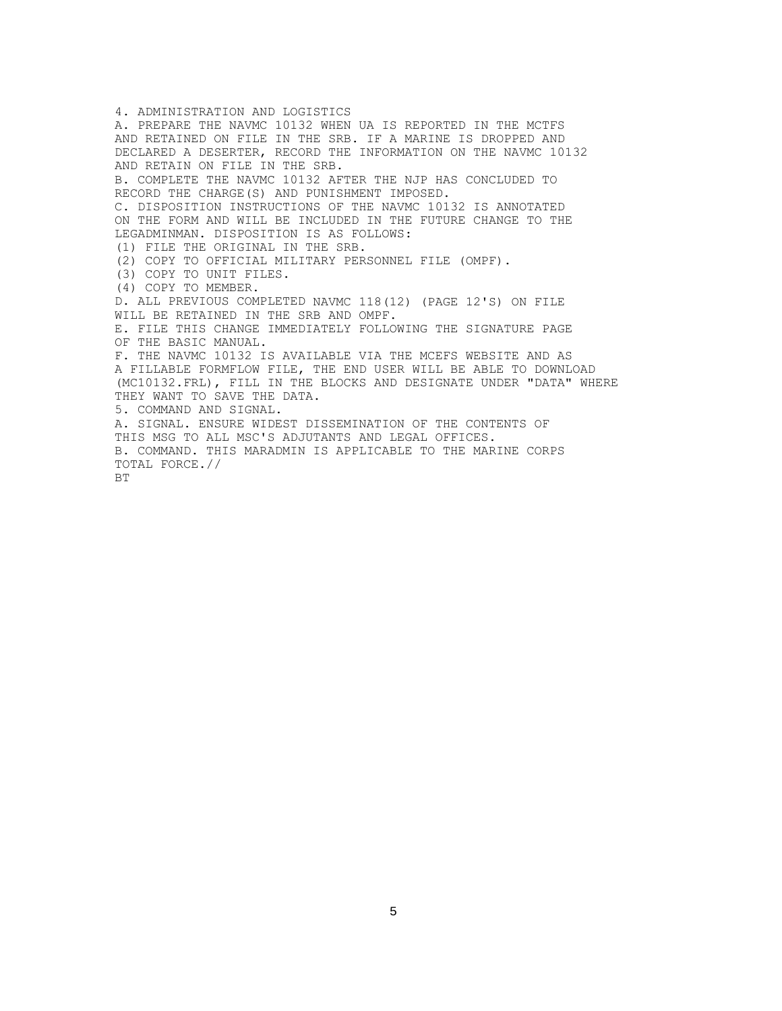4. ADMINISTRATION AND LOGISTICS A. PREPARE THE NAVMC 10132 WHEN UA IS REPORTED IN THE MCTFS AND RETAINED ON FILE IN THE SRB. IF A MARINE IS DROPPED AND DECLARED A DESERTER, RECORD THE INFORMATION ON THE NAVMC 10132 AND RETAIN ON FILE IN THE SRB. B. COMPLETE THE NAVMC 10132 AFTER THE NJP HAS CONCLUDED TO RECORD THE CHARGE(S) AND PUNISHMENT IMPOSED. C. DISPOSITION INSTRUCTIONS OF THE NAVMC 10132 IS ANNOTATED ON THE FORM AND WILL BE INCLUDED IN THE FUTURE CHANGE TO THE LEGADMINMAN. DISPOSITION IS AS FOLLOWS: (1) FILE THE ORIGINAL IN THE SRB. (2) COPY TO OFFICIAL MILITARY PERSONNEL FILE (OMPF). (3) COPY TO UNIT FILES. (4) COPY TO MEMBER. D. ALL PREVIOUS COMPLETED NAVMC 118(12) (PAGE 12'S) ON FILE WILL BE RETAINED IN THE SRB AND OMPF. E. FILE THIS CHANGE IMMEDIATELY FOLLOWING THE SIGNATURE PAGE OF THE BASIC MANUAL. F. THE NAVMC 10132 IS AVAILABLE VIA THE MCEFS WEBSITE AND AS A FILLABLE FORMFLOW FILE, THE END USER WILL BE ABLE TO DOWNLOAD (MC10132.FRL), FILL IN THE BLOCKS AND DESIGNATE UNDER "DATA" WHERE THEY WANT TO SAVE THE DATA. 5. COMMAND AND SIGNAL. A. SIGNAL. ENSURE WIDEST DISSEMINATION OF THE CONTENTS OF THIS MSG TO ALL MSC'S ADJUTANTS AND LEGAL OFFICES. B. COMMAND. THIS MARADMIN IS APPLICABLE TO THE MARINE CORPS TOTAL FORCE.// **BT**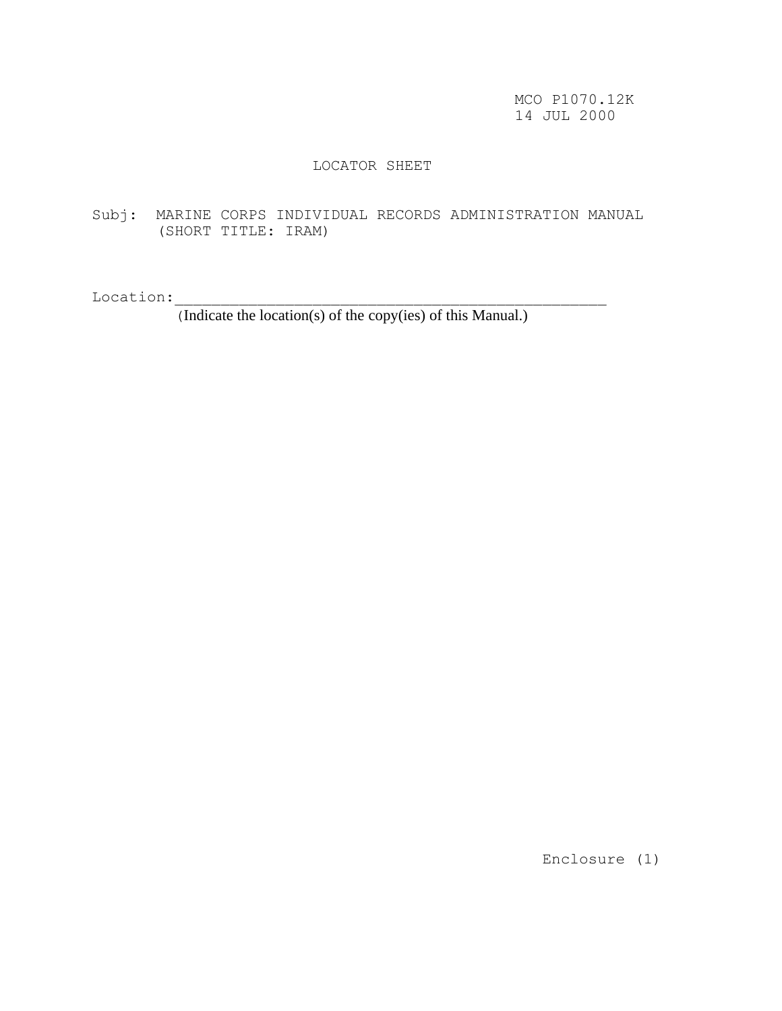MCO P1070.12K 14 JUL 2000

# LOCATOR SHEET

Subj: MARINE CORPS INDIVIDUAL RECORDS ADMINISTRATION MANUAL (SHORT TITLE: IRAM)

Location:\_\_\_\_\_\_\_\_\_\_\_\_\_\_\_\_\_\_\_\_\_\_\_\_\_\_\_\_\_\_\_\_\_\_\_\_\_\_\_\_\_\_\_\_\_\_\_

(Indicate the location(s) of the copy(ies) of this Manual.)

Enclosure (1)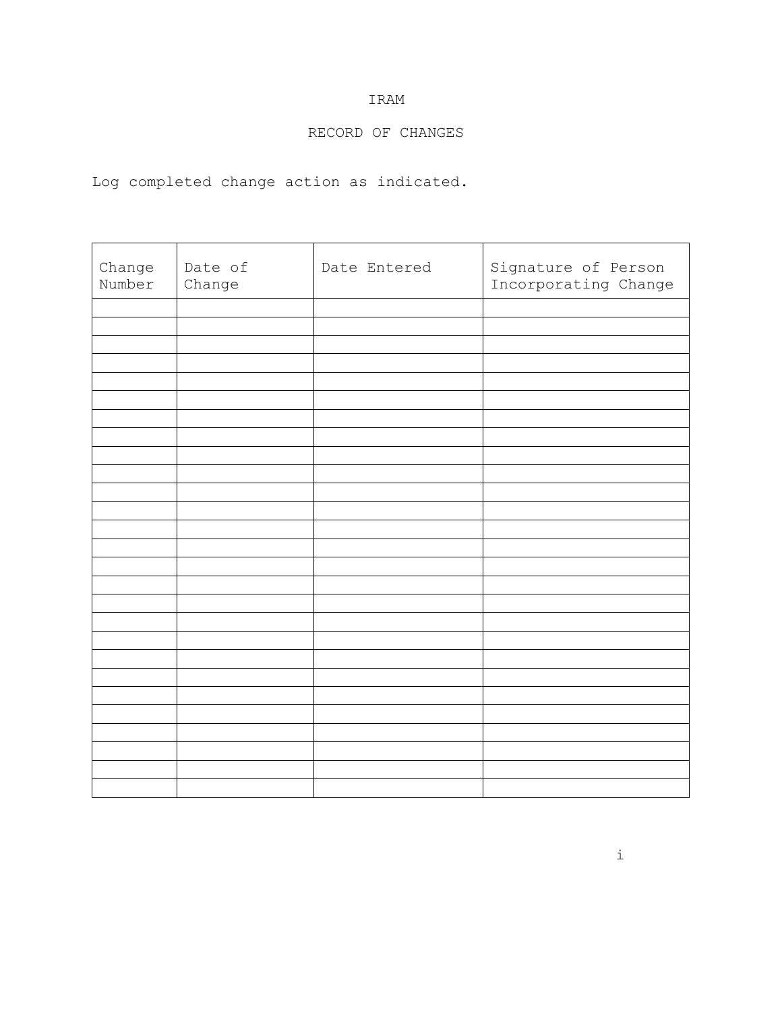# RECORD OF CHANGES

Log completed change action as indicated.

| Change<br>Number | Date of<br>Change | Date Entered | Signature of Person<br>Incorporating Change |
|------------------|-------------------|--------------|---------------------------------------------|
|                  |                   |              |                                             |
|                  |                   |              |                                             |
|                  |                   |              |                                             |
|                  |                   |              |                                             |
|                  |                   |              |                                             |
|                  |                   |              |                                             |
|                  |                   |              |                                             |
|                  |                   |              |                                             |
|                  |                   |              |                                             |
|                  |                   |              |                                             |
|                  |                   |              |                                             |
|                  |                   |              |                                             |
|                  |                   |              |                                             |
|                  |                   |              |                                             |
|                  |                   |              |                                             |
|                  |                   |              |                                             |
|                  |                   |              |                                             |
|                  |                   |              |                                             |
|                  |                   |              |                                             |
|                  |                   |              |                                             |
|                  |                   |              |                                             |
|                  |                   |              |                                             |
|                  |                   |              |                                             |
|                  |                   |              |                                             |
|                  |                   |              |                                             |
|                  |                   |              |                                             |
|                  |                   |              |                                             |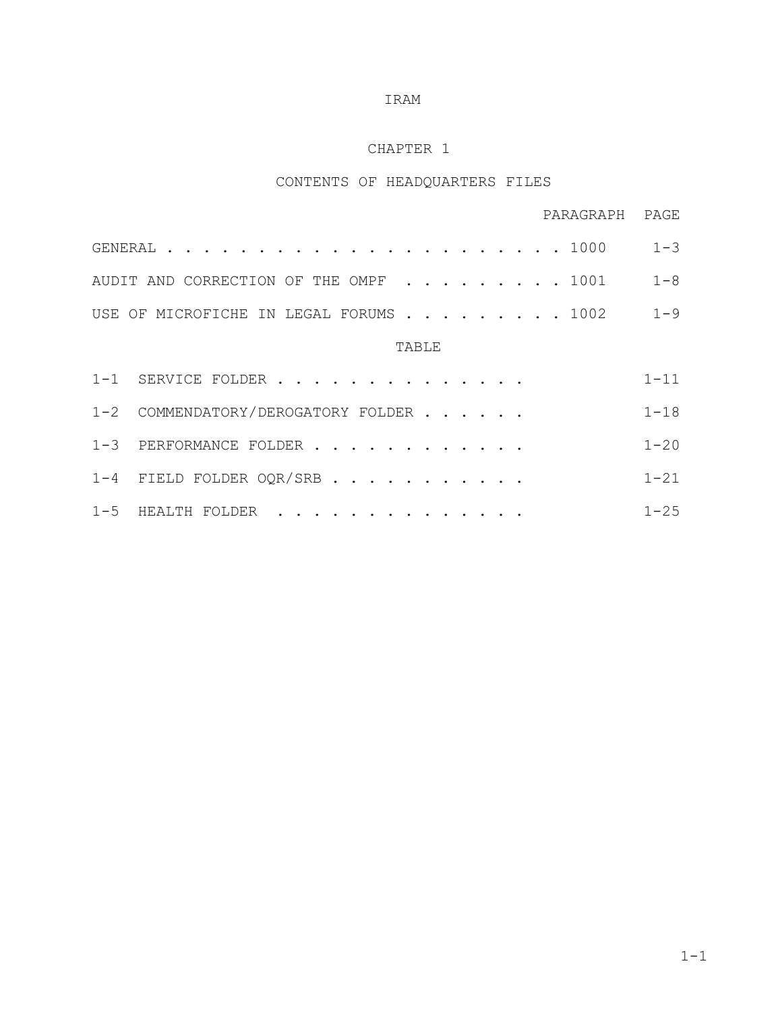# CHAPTER 1

# CONTENTS OF HEADQUARTERS FILES

|                                            | PARAGRAPH PAGE |  |
|--------------------------------------------|----------------|--|
|                                            |                |  |
| AUDIT AND CORRECTION OF THE OMPF 1001 1-8  |                |  |
| USE OF MICROFICHE IN LEGAL FORUMS 1002 1-9 |                |  |
|                                            |                |  |

# TABLE

| 1-1 SERVICE FOLDER                 | $1 - 11$  |
|------------------------------------|-----------|
| 1-2 COMMENDATORY/DEROGATORY FOLDER | $1 - 18$  |
| 1-3 PERFORMANCE FOLDER             | $1 - 20$  |
| 1-4 FIELD FOLDER OQR/SRB           | $1 - 21$  |
| 1-5 HEALTH FOLDER                  | $1 - 2.5$ |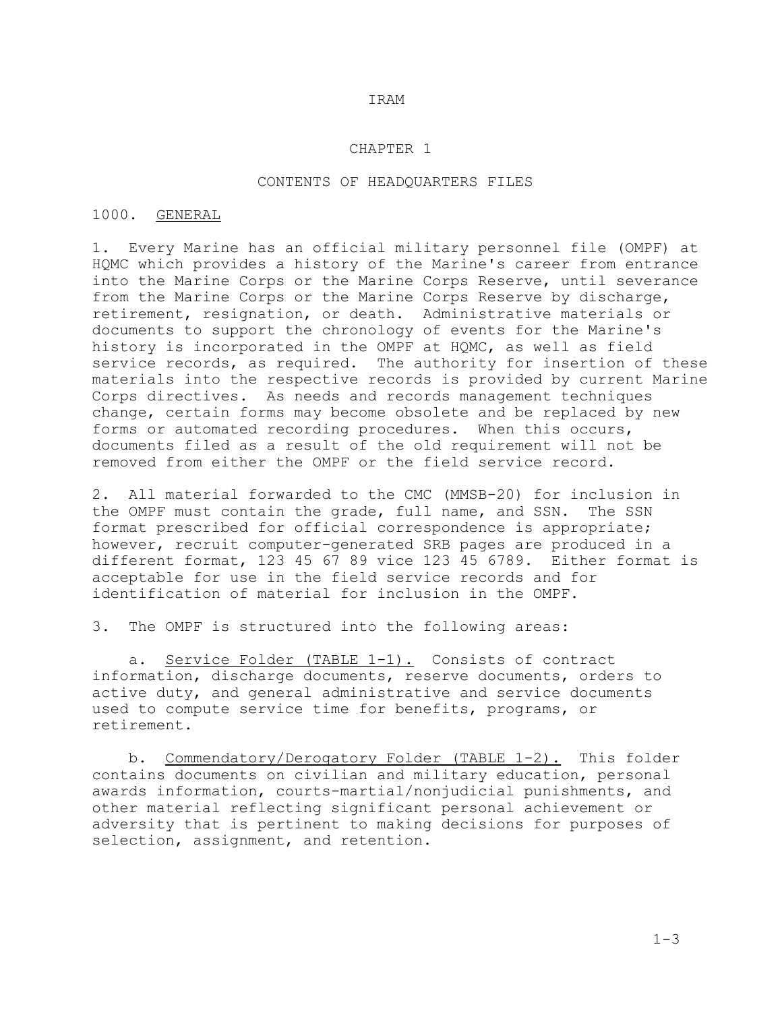#### CHAPTER 1

### CONTENTS OF HEADQUARTERS FILES

## 1000. GENERAL

1. Every Marine has an official military personnel file (OMPF) at HQMC which provides a history of the Marine's career from entrance into the Marine Corps or the Marine Corps Reserve, until severance from the Marine Corps or the Marine Corps Reserve by discharge, retirement, resignation, or death. Administrative materials or documents to support the chronology of events for the Marine's history is incorporated in the OMPF at HQMC, as well as field service records, as required. The authority for insertion of these materials into the respective records is provided by current Marine Corps directives. As needs and records management techniques change, certain forms may become obsolete and be replaced by new forms or automated recording procedures. When this occurs, documents filed as a result of the old requirement will not be removed from either the OMPF or the field service record.

2. All material forwarded to the CMC (MMSB-20) for inclusion in<br>the OMPF must contain the grade, full name, and SSN. The SSN the OMPF must contain the grade, full name, and SSN. format prescribed for official correspondence is appropriate; however, recruit computer-generated SRB pages are produced in a different format, 123 45 67 89 vice 123 45 6789. Either format is acceptable for use in the field service records and for identification of material for inclusion in the OMPF.

3. The OMPF is structured into the following areas:

a. Service Folder (TABLE 1-1). Consists of contract information, discharge documents, reserve documents, orders to active duty, and general administrative and service documents used to compute service time for benefits, programs, or retirement.

 b. Commendatory/Derogatory Folder (TABLE 1-2). This folder contains documents on civilian and military education, personal awards information, courts-martial/nonjudicial punishments, and other material reflecting significant personal achievement or adversity that is pertinent to making decisions for purposes of selection, assignment, and retention.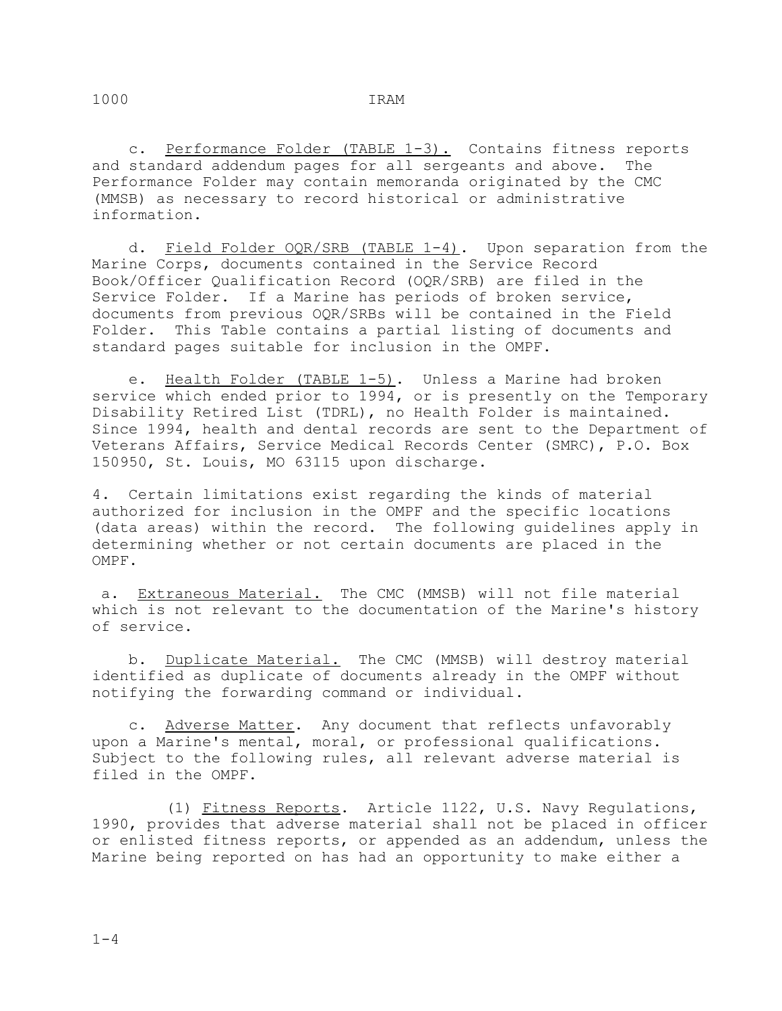c. Performance Folder (TABLE 1-3). Contains fitness reports and standard addendum pages for all sergeants and above. The Performance Folder may contain memoranda originated by the CMC (MMSB) as necessary to record historical or administrative information.

 d. Field Folder OQR/SRB (TABLE 1-4). Upon separation from the Marine Corps, documents contained in the Service Record Book/Officer Qualification Record (OQR/SRB) are filed in the Service Folder. If a Marine has periods of broken service, documents from previous OQR/SRBs will be contained in the Field Folder. This Table contains a partial listing of documents and standard pages suitable for inclusion in the OMPF.

 e. Health Folder (TABLE 1-5). Unless a Marine had broken service which ended prior to 1994, or is presently on the Temporary Disability Retired List (TDRL), no Health Folder is maintained. Since 1994, health and dental records are sent to the Department of Veterans Affairs, Service Medical Records Center (SMRC), P.O. Box 150950, St. Louis, MO 63115 upon discharge.

4. Certain limitations exist regarding the kinds of material authorized for inclusion in the OMPF and the specific locations (data areas) within the record. The following guidelines apply in determining whether or not certain documents are placed in the OMPF.

 a. Extraneous Material. The CMC (MMSB) will not file material which is not relevant to the documentation of the Marine's history of service.

 b. Duplicate Material. The CMC (MMSB) will destroy material identified as duplicate of documents already in the OMPF without notifying the forwarding command or individual.

 c. Adverse Matter. Any document that reflects unfavorably upon a Marine's mental, moral, or professional qualifications. Subject to the following rules, all relevant adverse material is filed in the OMPF.

 (1) Fitness Reports. Article 1122, U.S. Navy Regulations, 1990, provides that adverse material shall not be placed in officer or enlisted fitness reports, or appended as an addendum, unless the Marine being reported on has had an opportunity to make either a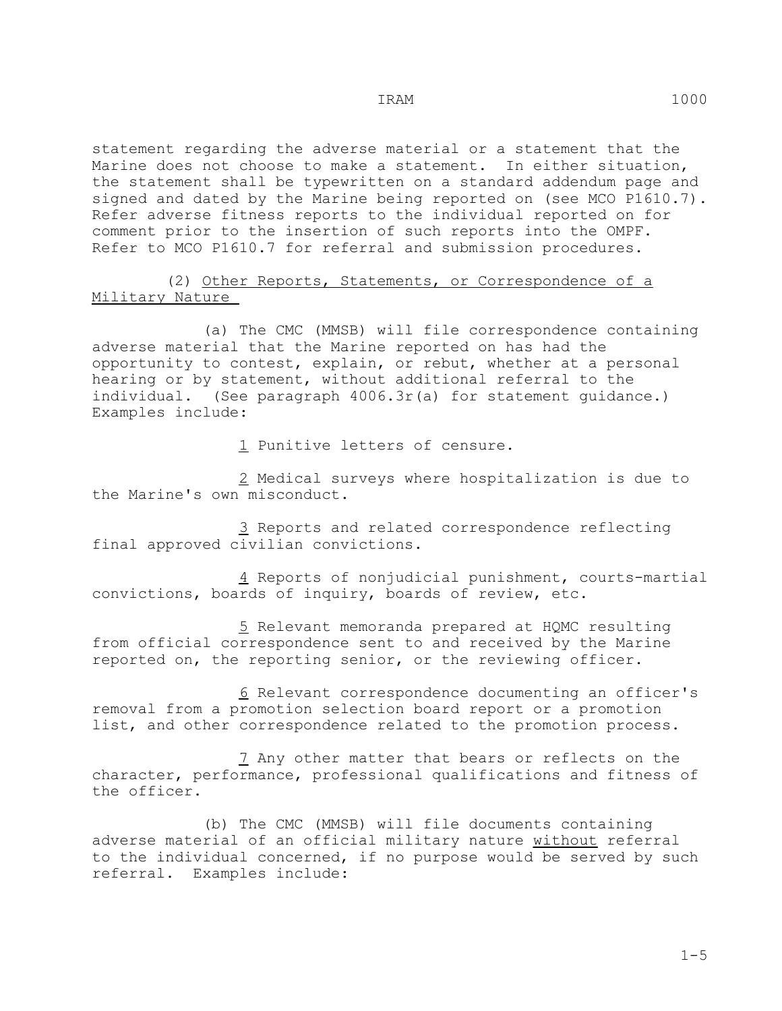statement regarding the adverse material or a statement that the Marine does not choose to make a statement. In either situation, the statement shall be typewritten on a standard addendum page and signed and dated by the Marine being reported on (see MCO P1610.7). Refer adverse fitness reports to the individual reported on for comment prior to the insertion of such reports into the OMPF. Refer to MCO P1610.7 for referral and submission procedures.

 (2) Other Reports, Statements, or Correspondence of a Military Nature

 (a) The CMC (MMSB) will file correspondence containing adverse material that the Marine reported on has had the opportunity to contest, explain, or rebut, whether at a personal hearing or by statement, without additional referral to the individual. (See paragraph 4006.3r(a) for statement quidance.) Examples include:

1 Punitive letters of censure.

 2 Medical surveys where hospitalization is due to the Marine's own misconduct.

 3 Reports and related correspondence reflecting final approved civilian convictions.

 4 Reports of nonjudicial punishment, courts-martial convictions, boards of inquiry, boards of review, etc.

 5 Relevant memoranda prepared at HQMC resulting from official correspondence sent to and received by the Marine reported on, the reporting senior, or the reviewing officer.

 6 Relevant correspondence documenting an officer's removal from a promotion selection board report or a promotion list, and other correspondence related to the promotion process.

7 Any other matter that bears or reflects on the character, performance, professional qualifications and fitness of the officer.

 (b) The CMC (MMSB) will file documents containing adverse material of an official military nature without referral to the individual concerned, if no purpose would be served by such referral. Examples include: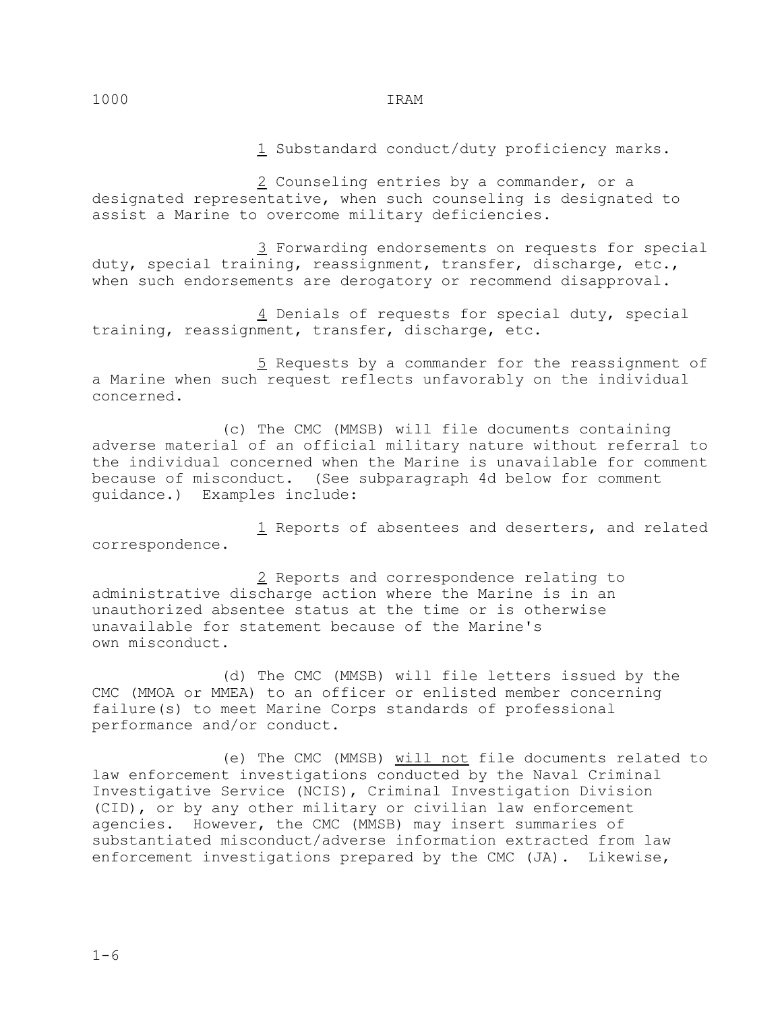1 Substandard conduct/duty proficiency marks.

 2 Counseling entries by a commander, or a designated representative, when such counseling is designated to assist a Marine to overcome military deficiencies.

 3 Forwarding endorsements on requests for special duty, special training, reassignment, transfer, discharge, etc., when such endorsements are derogatory or recommend disapproval.

 4 Denials of requests for special duty, special training, reassignment, transfer, discharge, etc.

 5 Requests by a commander for the reassignment of a Marine when such request reflects unfavorably on the individual concerned.

 (c) The CMC (MMSB) will file documents containing adverse material of an official military nature without referral to the individual concerned when the Marine is unavailable for comment because of misconduct. (See subparagraph 4d below for comment guidance.) Examples include:

 1 Reports of absentees and deserters, and related correspondence.

 2 Reports and correspondence relating to administrative discharge action where the Marine is in an unauthorized absentee status at the time or is otherwise unavailable for statement because of the Marine's own misconduct.

 (d) The CMC (MMSB) will file letters issued by the CMC (MMOA or MMEA) to an officer or enlisted member concerning failure(s) to meet Marine Corps standards of professional performance and/or conduct.

 (e) The CMC (MMSB) will not file documents related to law enforcement investigations conducted by the Naval Criminal Investigative Service (NCIS), Criminal Investigation Division (CID), or by any other military or civilian law enforcement agencies. However, the CMC (MMSB) may insert summaries of substantiated misconduct/adverse information extracted from law enforcement investigations prepared by the CMC (JA). Likewise,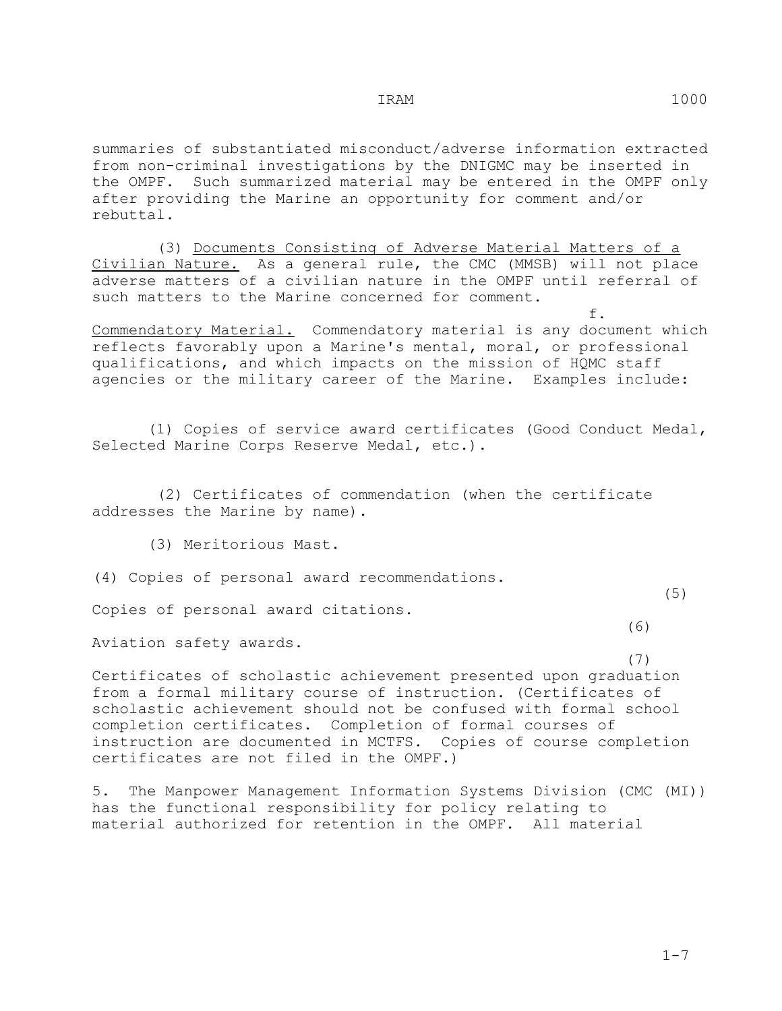summaries of substantiated misconduct/adverse information extracted from non-criminal investigations by the DNIGMC may be inserted in the OMPF. Such summarized material may be entered in the OMPF only after providing the Marine an opportunity for comment and/or rebuttal.

 (3) Documents Consisting of Adverse Material Matters of a Civilian Nature. As a general rule, the CMC (MMSB) will not place adverse matters of a civilian nature in the OMPF until referral of such matters to the Marine concerned for comment.

 $f_{\star}$ Commendatory Material. Commendatory material is any document which reflects favorably upon a Marine's mental, moral, or professional qualifications, and which impacts on the mission of HQMC staff agencies or the military career of the Marine. Examples include:

 (1) Copies of service award certificates (Good Conduct Medal, Selected Marine Corps Reserve Medal, etc.).

 (2) Certificates of commendation (when the certificate addresses the Marine by name).

(3) Meritorious Mast.

(4) Copies of personal award recommendations.

 $(5)$ Copies of personal award citations.

 (6) Aviation safety awards.

 (7) Certificates of scholastic achievement presented upon graduation from a formal military course of instruction. (Certificates of scholastic achievement should not be confused with formal school completion certificates. Completion of formal courses of instruction are documented in MCTFS. Copies of course completion certificates are not filed in the OMPF.)

5. The Manpower Management Information Systems Division (CMC (MI)) has the functional responsibility for policy relating to material authorized for retention in the OMPF. All material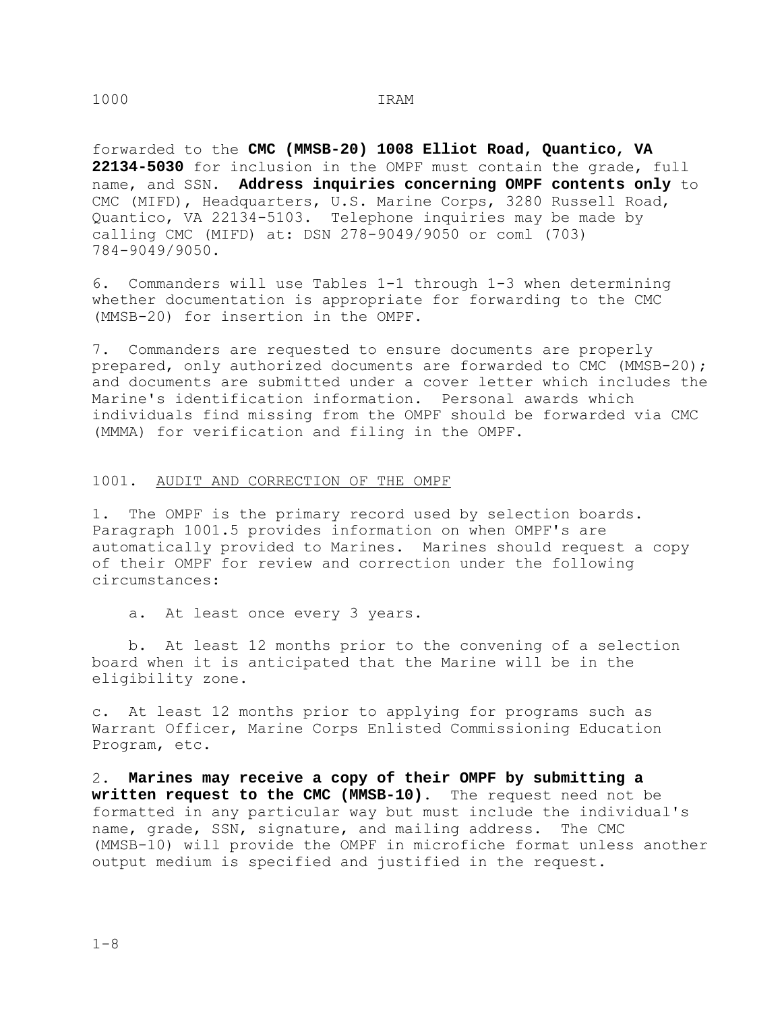forwarded to the **CMC (MMSB-20) 1008 Elliot Road, Quantico, VA 22134-5030** for inclusion in the OMPF must contain the grade, full name, and SSN. **Address inquiries concerning OMPF contents only** to CMC (MIFD), Headquarters, U.S. Marine Corps, 3280 Russell Road, Quantico, VA 22134-5103. Telephone inquiries may be made by calling CMC (MIFD) at: DSN 278-9049/9050 or coml (703) 784-9049/9050.

6. Commanders will use Tables 1-1 through 1-3 when determining whether documentation is appropriate for forwarding to the CMC (MMSB-20) for insertion in the OMPF.

7. Commanders are requested to ensure documents are properly prepared, only authorized documents are forwarded to CMC (MMSB-20); and documents are submitted under a cover letter which includes the Marine's identification information. Personal awards which individuals find missing from the OMPF should be forwarded via CMC (MMMA) for verification and filing in the OMPF.

# 1001. AUDIT AND CORRECTION OF THE OMPF

1. The OMPF is the primary record used by selection boards. Paragraph 1001.5 provides information on when OMPF's are automatically provided to Marines. Marines should request a copy of their OMPF for review and correction under the following circumstances:

a. At least once every 3 years.

 b. At least 12 months prior to the convening of a selection board when it is anticipated that the Marine will be in the eligibility zone.

c. At least 12 months prior to applying for programs such as Warrant Officer, Marine Corps Enlisted Commissioning Education Program, etc.

2. **Marines may receive a copy of their OMPF by submitting a written request to the CMC (MMSB-10)**. The request need not be formatted in any particular way but must include the individual's name, grade, SSN, signature, and mailing address. The CMC (MMSB-10) will provide the OMPF in microfiche format unless another output medium is specified and justified in the request.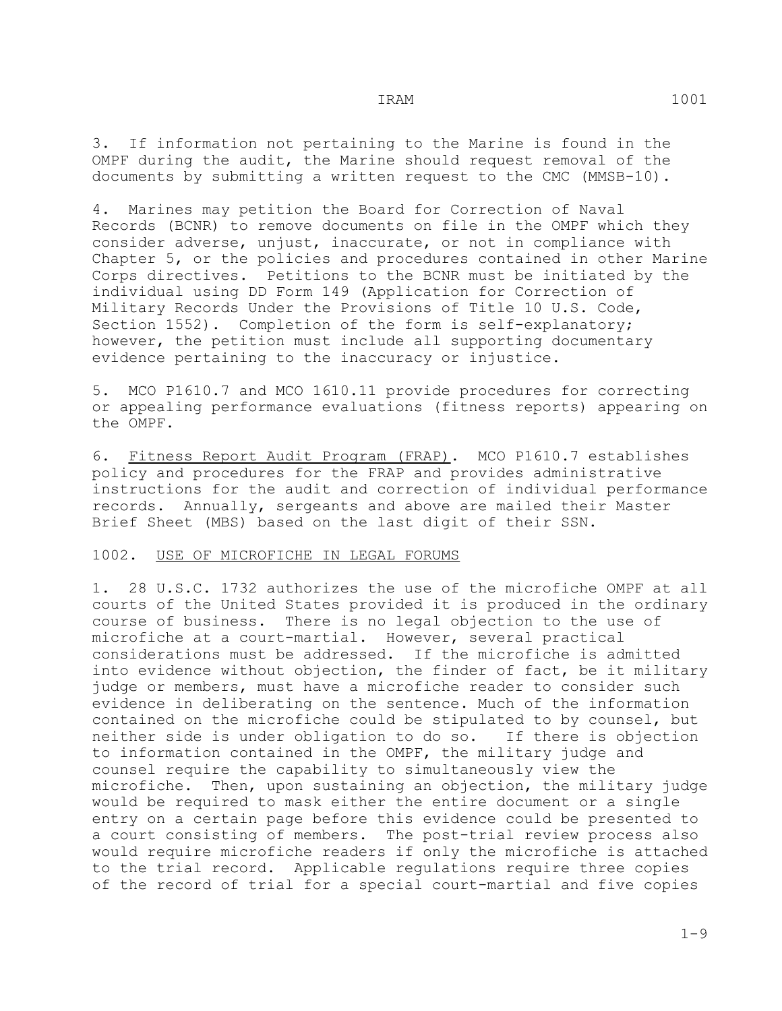3. If information not pertaining to the Marine is found in the OMPF during the audit, the Marine should request removal of the documents by submitting a written request to the CMC (MMSB-10).

4. Marines may petition the Board for Correction of Naval Records (BCNR) to remove documents on file in the OMPF which they consider adverse, unjust, inaccurate, or not in compliance with Chapter 5, or the policies and procedures contained in other Marine Corps directives. Petitions to the BCNR must be initiated by the individual using DD Form 149 (Application for Correction of Military Records Under the Provisions of Title 10 U.S. Code, Section 1552). Completion of the form is self-explanatory; however, the petition must include all supporting documentary evidence pertaining to the inaccuracy or injustice.

5. MCO P1610.7 and MCO 1610.11 provide procedures for correcting or appealing performance evaluations (fitness reports) appearing on the OMPF.

6. Fitness Report Audit Program (FRAP). MCO P1610.7 establishes policy and procedures for the FRAP and provides administrative instructions for the audit and correction of individual performance records. Annually, sergeants and above are mailed their Master Brief Sheet (MBS) based on the last digit of their SSN.

#### 1002. USE OF MICROFICHE IN LEGAL FORUMS

1. 28 U.S.C. 1732 authorizes the use of the microfiche OMPF at all courts of the United States provided it is produced in the ordinary course of business. There is no legal objection to the use of microfiche at a court-martial. However, several practical considerations must be addressed. If the microfiche is admitted into evidence without objection, the finder of fact, be it military judge or members, must have a microfiche reader to consider such evidence in deliberating on the sentence. Much of the information contained on the microfiche could be stipulated to by counsel, but neither side is under obligation to do so. If there is objection to information contained in the OMPF, the military judge and counsel require the capability to simultaneously view the microfiche. Then, upon sustaining an objection, the military judge would be required to mask either the entire document or a single entry on a certain page before this evidence could be presented to a court consisting of members. The post-trial review process also would require microfiche readers if only the microfiche is attached to the trial record. Applicable regulations require three copies of the record of trial for a special court-martial and five copies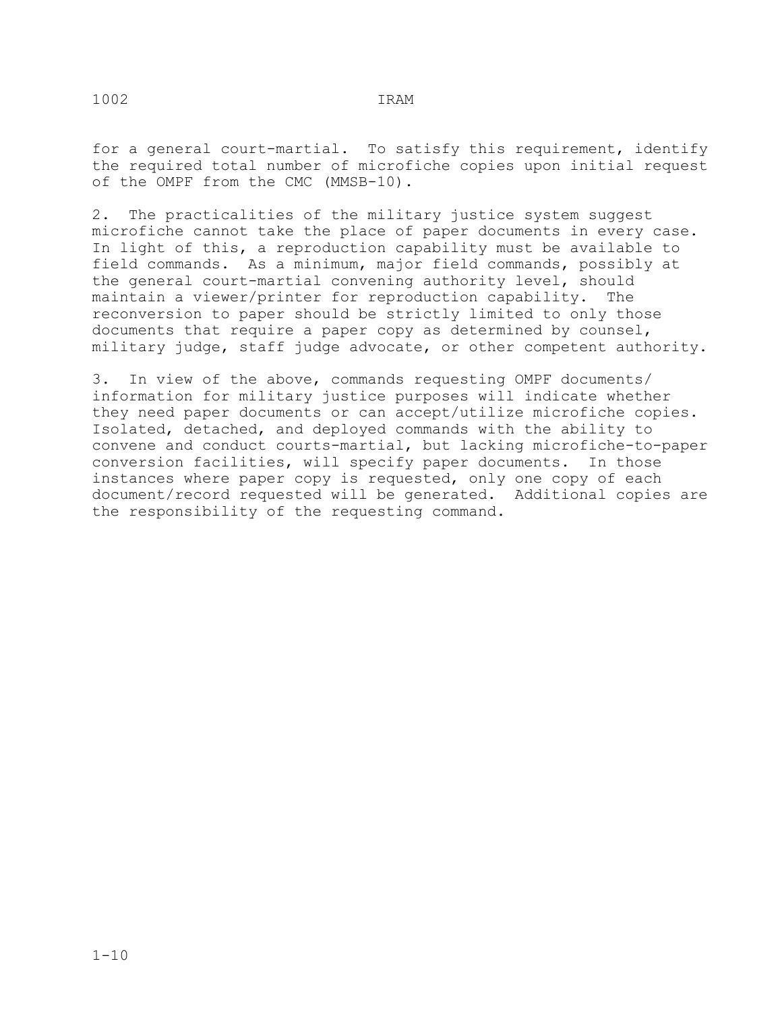for a general court-martial. To satisfy this requirement, identify the required total number of microfiche copies upon initial request of the OMPF from the CMC (MMSB-10).

2. The practicalities of the military justice system suggest microfiche cannot take the place of paper documents in every case. In light of this, a reproduction capability must be available to field commands. As a minimum, major field commands, possibly at the general court-martial convening authority level, should<br>maintain a viewer/printer for reproduction capability. The maintain a viewer/printer for reproduction capability. reconversion to paper should be strictly limited to only those documents that require a paper copy as determined by counsel, military judge, staff judge advocate, or other competent authority.

3. In view of the above, commands requesting OMPF documents/ information for military justice purposes will indicate whether they need paper documents or can accept/utilize microfiche copies. Isolated, detached, and deployed commands with the ability to convene and conduct courts-martial, but lacking microfiche-to-paper conversion facilities, will specify paper documents. In those instances where paper copy is requested, only one copy of each document/record requested will be generated. Additional copies are the responsibility of the requesting command.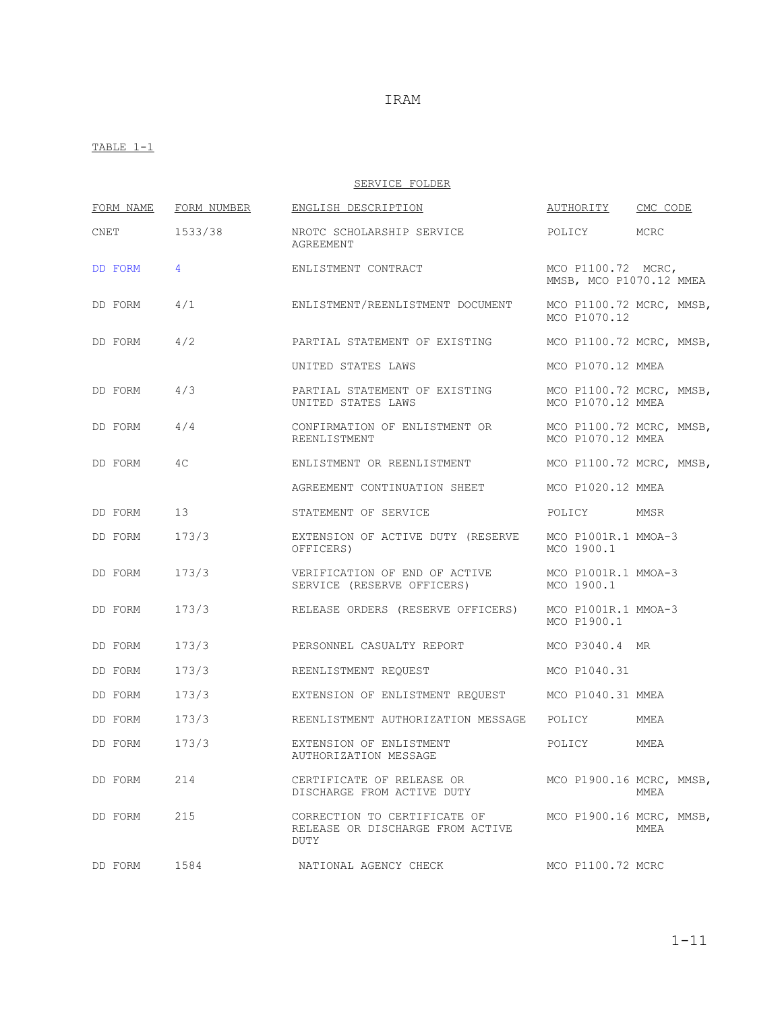### TABLE  $1-1$

SERVICE FOLDER

|         | FORM NAME | FORM NUMBER    | ENGLISH DESCRIPTION                                                             | AUTHORITY                                     | CMC CODE |
|---------|-----------|----------------|---------------------------------------------------------------------------------|-----------------------------------------------|----------|
| CNET    |           | 1533/38        | NROTC SCHOLARSHIP SERVICE<br>AGREEMENT                                          | POLICY                                        | MCRC     |
|         | DD FORM   | $\overline{4}$ | ENLISTMENT CONTRACT                                                             | MCO P1100.72 MCRC,<br>MMSB, MCO P1070.12 MMEA |          |
|         | DD FORM   | 4/1            | ENLISTMENT/REENLISTMENT DOCUMENT                                                | MCO P1100.72 MCRC, MMSB,<br>MCO P1070.12      |          |
|         | DD FORM   | 4/2            | PARTIAL STATEMENT OF EXISTING                                                   | MCO P1100.72 MCRC, MMSB,                      |          |
|         |           |                | UNITED STATES LAWS                                                              | MCO P1070.12 MMEA                             |          |
|         | DD FORM   | 4/3            | PARTIAL STATEMENT OF EXISTING<br>UNITED STATES LAWS                             | MCO P1100.72 MCRC, MMSB,<br>MCO P1070.12 MMEA |          |
|         | DD FORM   | 4/4            | CONFIRMATION OF ENLISTMENT OR<br>REENLISTMENT                                   | MCO P1100.72 MCRC, MMSB,<br>MCO P1070.12 MMEA |          |
|         | DD FORM   | 4C             | ENLISTMENT OR REENLISTMENT                                                      | MCO P1100.72 MCRC, MMSB,                      |          |
|         |           |                | AGREEMENT CONTINUATION SHEET                                                    | MCO P1020.12 MMEA                             |          |
|         | DD FORM   | 13             | STATEMENT OF SERVICE                                                            | POLICY                                        | MMSR     |
|         | DD FORM   | 173/3          | EXTENSION OF ACTIVE DUTY (RESERVE<br>OFFICERS)                                  | MCO P1001R.1 MMOA-3<br>MCO 1900.1             |          |
|         | DD FORM   | 173/3          | VERIFICATION OF END OF ACTIVE MCO P1001R.1 MMOA-3<br>SERVICE (RESERVE OFFICERS) | MCO 1900.1                                    |          |
|         | DD FORM   | 173/3          | RELEASE ORDERS (RESERVE OFFICERS)                                               | MCO P1001R.1 MMOA-3<br>MCO P1900.1            |          |
|         | DD FORM   | 173/3          | PERSONNEL CASUALTY REPORT                                                       | MCO P3040.4 MR                                |          |
| DD FORM |           | 173/3          | REENLISTMENT REQUEST                                                            | MCO P1040.31                                  |          |
| DD FORM |           | 173/3          | EXTENSION OF ENLISTMENT REQUEST MCO P1040.31 MMEA                               |                                               |          |
|         | DD FORM   | 173/3          | REENLISTMENT AUTHORIZATION MESSAGE                                              | POLICY                                        | MMEA     |
|         | DD FORM   | 173/3          | EXTENSION OF ENLISTMENT<br>AUTHORIZATION MESSAGE                                | POLICY                                        | MMEA     |
|         | DD FORM   | 214            | CERTIFICATE OF RELEASE OR<br>DISCHARGE FROM ACTIVE DUTY                         | MCO P1900.16 MCRC, MMSB,                      | MMEA     |
| DD FORM |           | 215            | CORRECTION TO CERTIFICATE OF<br>RELEASE OR DISCHARGE FROM ACTIVE<br>DUTY        | MCO P1900.16 MCRC, MMSB,                      | MMEA     |
|         | DD FORM   | 1584           | NATIONAL AGENCY CHECK                                                           | MCO P1100.72 MCRC                             |          |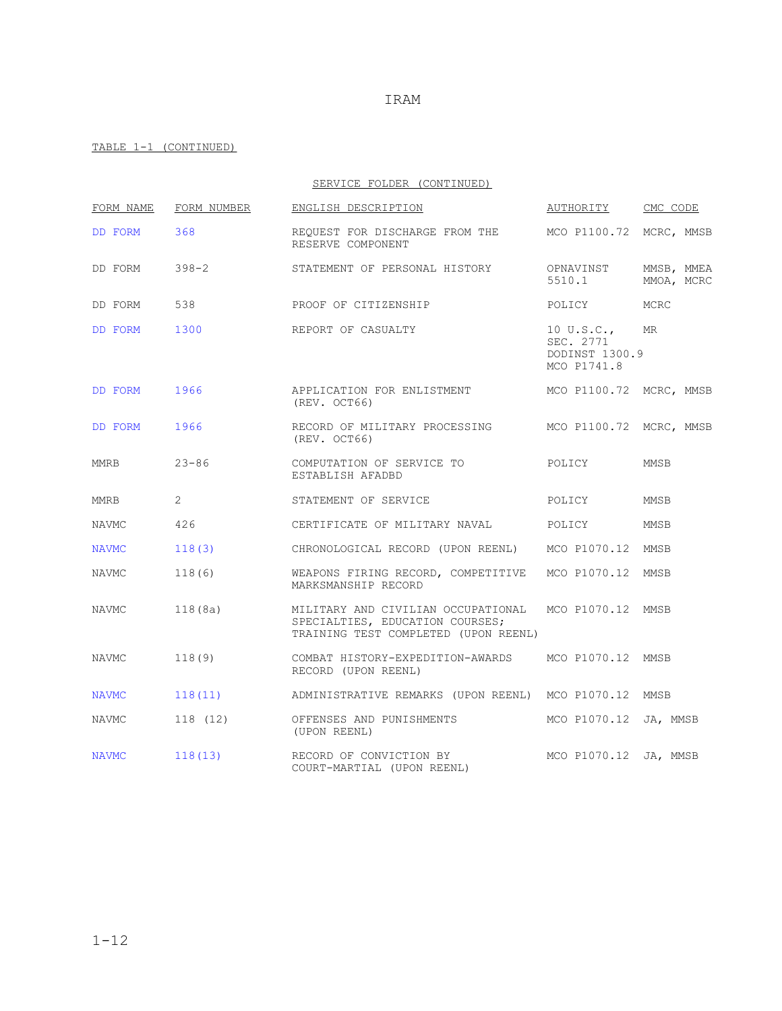|              |                | SERVICE FOLDER (CONTINUED)                                                                                    |                                                          |                          |
|--------------|----------------|---------------------------------------------------------------------------------------------------------------|----------------------------------------------------------|--------------------------|
| FORM NAME    | FORM NUMBER    | ENGLISH DESCRIPTION                                                                                           | AUTHORITY CMC CODE                                       |                          |
| DD FORM      | 368            | REQUEST FOR DISCHARGE FROM THE MCO P1100.72 MCRC, MMSB<br>RESERVE COMPONENT                                   |                                                          |                          |
| DD FORM      | $398 - 2$      | STATEMENT OF PERSONAL HISTORY                                                                                 | OPNAVINST<br>5510.1                                      | MMSB, MMEA<br>MMOA, MCRC |
| DD FORM      | 538            | PROOF OF CITIZENSHIP                                                                                          | POLICY                                                   | MCRC                     |
| DD FORM      | 1300           | REPORT OF CASUALTY                                                                                            | 10 U.S.C.,<br>SEC. 2771<br>DODINST 1300.9<br>MCO P1741.8 | MR                       |
| DD FORM      | 1966           | APPLICATION FOR ENLISTMENT MCO P1100.72 MCRC, MMSB<br>(REV. OCT66)                                            |                                                          |                          |
| DD FORM      | 1966           | RECORD OF MILITARY PROCESSING MCO P1100.72 MCRC, MMSB<br>(REV. OCT66)                                         |                                                          |                          |
| MMRB         | $23 - 86$      | COMPUTATION OF SERVICE TO<br>ESTABLISH AFADBD                                                                 | POLICY                                                   | MMSB                     |
| MMRB         | $\overline{2}$ | STATEMENT OF SERVICE                                                                                          | POLICY                                                   | <b>MMSB</b>              |
| NAVMC        | 426            | CERTIFICATE OF MILITARY NAVAL POLICY                                                                          |                                                          | MMSB                     |
| NAVMC        | 118(3)         | CHRONOLOGICAL RECORD (UPON REENL) MCO P1070.12 MMSB                                                           |                                                          |                          |
| NAVMC        | 118(6)         | WEAPONS FIRING RECORD, COMPETITIVE MCO P1070.12 MMSB<br>MARKSMANSHIP RECORD                                   |                                                          |                          |
| NAVMC        | 118 (8a)       | MILITARY AND CIVILIAN OCCUPATIONAL<br>SPECIALTIES, EDUCATION COURSES;<br>TRAINING TEST COMPLETED (UPON REENL) | MCO P1070.12 MMSB                                        |                          |
| NAVMC        | 118(9)         | COMBAT HISTORY-EXPEDITION-AWARDS MCO P1070.12 MMSB<br>RECORD (UPON REENL)                                     |                                                          |                          |
| <b>NAVMC</b> | 118(11)        | ADMINISTRATIVE REMARKS (UPON REENL) MCO P1070.12 MMSB                                                         |                                                          |                          |
| NAVMC        | 118 (12)       | OFFENSES AND PUNISHMENTS<br>(UPON REENL)                                                                      | MCO P1070.12 JA, MMSB                                    |                          |
| <b>NAVMC</b> | 118(13)        | RECORD OF CONVICTION BY<br>COURT-MARTIAL (UPON REENL)                                                         | MCO P1070.12 JA, MMSB                                    |                          |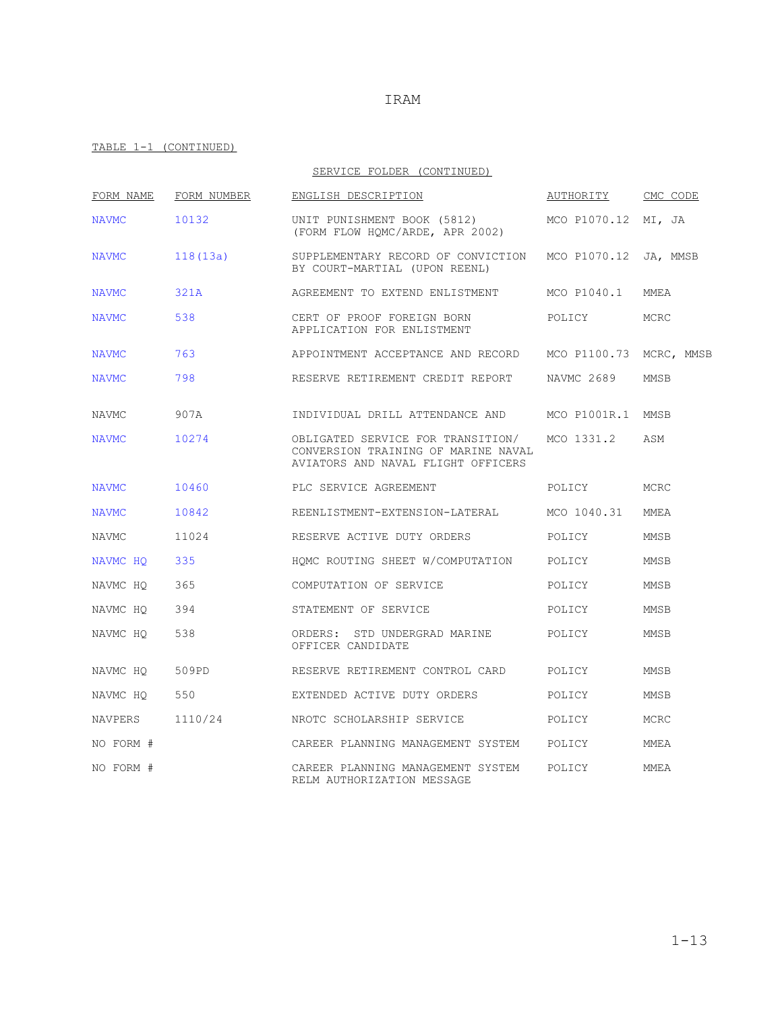|              |             | SERVICE FOLDER (CONTINUED)                                                                                     |                         |             |
|--------------|-------------|----------------------------------------------------------------------------------------------------------------|-------------------------|-------------|
| FORM NAME    | FORM NUMBER | ENGLISH DESCRIPTION                                                                                            | AUTHORITY               | CMC CODE    |
| <b>NAVMC</b> | 10132       | UNIT PUNISHMENT BOOK (5812)<br>(FORM FLOW HOMC/ARDE, APR 2002)                                                 | MCO P1070.12 MI, JA     |             |
| <b>NAVMC</b> | 118(13a)    | SUPPLEMENTARY RECORD OF CONVICTION MCO P1070.12 JA, MMSB<br>BY COURT-MARTIAL (UPON REENL)                      |                         |             |
| <b>NAVMC</b> | 321A        | AGREEMENT TO EXTEND ENLISTMENT                                                                                 | MCO P1040.1             | MMEA        |
| <b>NAVMC</b> | 538         | CERT OF PROOF FOREIGN BORN<br>APPLICATION FOR ENLISTMENT                                                       | POLICY                  | MCRC        |
| <b>NAVMC</b> | 763         | APPOINTMENT ACCEPTANCE AND RECORD                                                                              | MCO P1100.73 MCRC, MMSB |             |
| <b>NAVMC</b> | 798         | RESERVE RETIREMENT CREDIT REPORT                                                                               | NAVMC 2689              | MMSB        |
| <b>NAVMC</b> | 907A        | INDIVIDUAL DRILL ATTENDANCE AND MCO P1001R.1 MMSB                                                              |                         |             |
| <b>NAVMC</b> | 10274       | OBLIGATED SERVICE FOR TRANSITION/<br>CONVERSION TRAINING OF MARINE NAVAL<br>AVIATORS AND NAVAL FLIGHT OFFICERS | MCO 1331.2              | ASM         |
| <b>NAVMC</b> | 10460       | PLC SERVICE AGREEMENT                                                                                          | POLICY                  | MCRC        |
| <b>NAVMC</b> | 10842       | REENLISTMENT-EXTENSION-LATERAL                                                                                 | MCO 1040.31             | <b>MMEA</b> |
| NAVMC        | 11024       | RESERVE ACTIVE DUTY ORDERS                                                                                     | POLICY                  | MMSB        |
| NAVMC HQ     | 335         | HOMC ROUTING SHEET W/COMPUTATION                                                                               | POLICY                  | MMSB        |
| NAVMC HO     | 365         | COMPUTATION OF SERVICE                                                                                         | POLICY                  | <b>MMSB</b> |
| NAVMC HQ     | 394         | STATEMENT OF SERVICE                                                                                           | POLICY                  | MMSB        |
| NAVMC HO     | 538         | ORDERS: STD UNDERGRAD MARINE<br>OFFICER CANDIDATE                                                              | POLICY                  | MMSB        |
| NAVMC HO     | 509PD       | RESERVE RETIREMENT CONTROL CARD                                                                                | POLICY                  | MMSB        |
| NAVMC HQ     | 550         | EXTENDED ACTIVE DUTY ORDERS                                                                                    | POLICY                  | MMSB        |
| NAVPERS      | 1110/24     | NROTC SCHOLARSHIP SERVICE                                                                                      | POLICY                  | MCRC        |
| NO FORM #    |             | CAREER PLANNING MANAGEMENT SYSTEM                                                                              | POLICY                  | MMEA        |
| NO FORM #    |             | CAREER PLANNING MANAGEMENT SYSTEM<br>RELM AUTHORIZATION MESSAGE                                                | POLICY                  | MMEA        |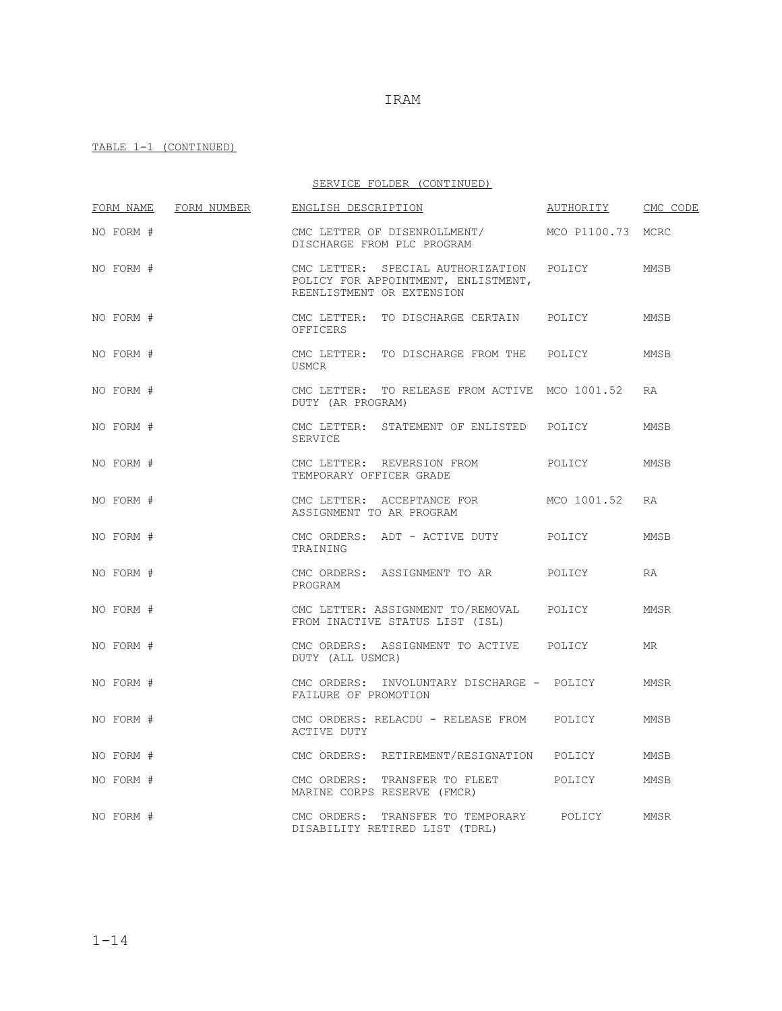|           |             | SERVICE FOLDER (CONTINUED)                                                                            |                   |             |
|-----------|-------------|-------------------------------------------------------------------------------------------------------|-------------------|-------------|
| FORM NAME | FORM NUMBER | ENGLISH DESCRIPTION                                                                                   | AUTHORITY         | CMC CODE    |
| NO FORM # |             | CMC LETTER OF DISENROLLMENT/<br>DISCHARGE FROM PLC PROGRAM                                            | MCO P1100.73 MCRC |             |
| NO FORM # |             | CMC LETTER: SPECIAL AUTHORIZATION<br>POLICY FOR APPOINTMENT, ENLISTMENT,<br>REENLISTMENT OR EXTENSION | POLICY            | MMSB        |
| NO FORM # |             | CMC LETTER: TO DISCHARGE CERTAIN POLICY<br>OFFICERS                                                   |                   | MMSB        |
| NO FORM # |             | CMC LETTER: TO DISCHARGE FROM THE POLICY<br>USMCR                                                     |                   | MMSB        |
| NO FORM # |             | CMC LETTER: TO RELEASE FROM ACTIVE MCO 1001.52<br>DUTY (AR PROGRAM)                                   |                   | <b>RA</b>   |
| NO FORM # |             | CMC LETTER: STATEMENT OF ENLISTED POLICY<br>SERVICE                                                   |                   | MMSB        |
| NO FORM # |             | CMC LETTER: REVERSION FROM<br>TEMPORARY OFFICER GRADE                                                 | POLICY            | MMSB        |
| NO FORM # |             | CMC LETTER: ACCEPTANCE FOR<br>ASSIGNMENT TO AR PROGRAM                                                | MCO 1001.52       | <b>RA</b>   |
| NO FORM # |             | CMC ORDERS: ADT - ACTIVE DUTY<br>TRAINING                                                             | POLICY            | MMSB        |
| NO FORM # |             | CMC ORDERS: ASSIGNMENT TO AR<br>PROGRAM                                                               | POLICY            | RA          |
| NO FORM # |             | CMC LETTER: ASSIGNMENT TO/REMOVAL POLICY<br>FROM INACTIVE STATUS LIST (ISL)                           |                   | MMSR        |
| NO FORM # |             | CMC ORDERS: ASSIGNMENT TO ACTIVE POLICY<br>DUTY (ALL USMCR)                                           |                   | MR.         |
| NO FORM # |             | CMC ORDERS: INVOLUNTARY DISCHARGE - POLICY<br>FAILURE OF PROMOTION                                    |                   | <b>MMSR</b> |
| NO FORM # |             | CMC ORDERS: RELACDU - RELEASE FROM POLICY<br>ACTIVE DUTY                                              |                   | <b>MMSB</b> |
| NO FORM # |             | CMC ORDERS: RETIREMENT/RESIGNATION POLICY                                                             |                   | MMSB        |
| NO FORM # |             | CMC ORDERS: TRANSFER TO FLEET POLICY<br>MARINE CORPS RESERVE (FMCR)                                   |                   | MMSB        |
| NO FORM # |             | TRANSFER TO TEMPORARY<br>CMC ORDERS:<br>DISABILITY RETIRED LIST (TDRL)                                | POLICY            | MMSR        |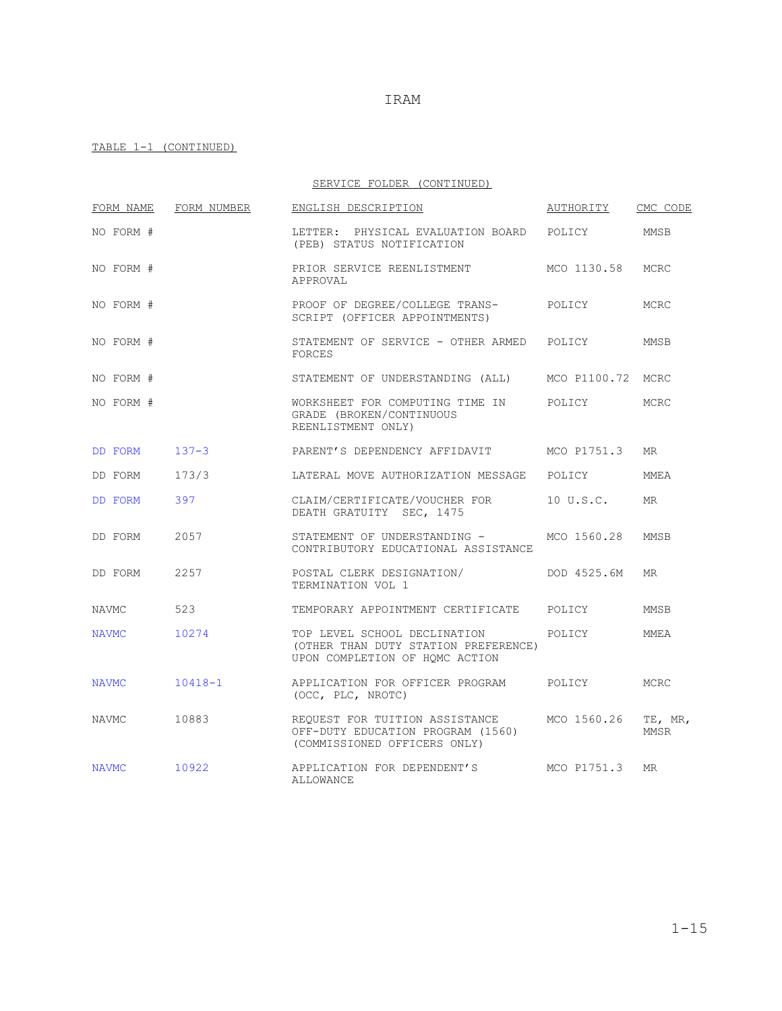|--|

| FORM NAME    | FORM NUMBER | ENGLISH DESCRIPTION                                                                                    | AUTHORITY         | CMC CODE        |
|--------------|-------------|--------------------------------------------------------------------------------------------------------|-------------------|-----------------|
| NO FORM #    |             | LETTER: PHYSICAL EVALUATION BOARD<br>(PEB) STATUS NOTIFICATION                                         | POLICY            | MMSB            |
| NO FORM #    |             | PRIOR SERVICE REENLISTMENT<br>APPROVAL                                                                 | MCO 1130.58       | MCRC            |
| NO FORM #    |             | PROOF OF DEGREE/COLLEGE TRANS-<br>SCRIPT (OFFICER APPOINTMENTS)                                        | POLICY            | MCRC            |
| NO FORM #    |             | STATEMENT OF SERVICE - OTHER ARMED<br><b>FORCES</b>                                                    | POLICY            | MMSB            |
| NO FORM #    |             | STATEMENT OF UNDERSTANDING (ALL)                                                                       | MCO P1100.72 MCRC |                 |
| NO FORM #    |             | WORKSHEET FOR COMPUTING TIME IN<br>GRADE (BROKEN/CONTINUOUS<br>REENLISTMENT ONLY)                      | POLICY            | MCRC            |
| DD FORM      | $137 - 3$   | PARENT'S DEPENDENCY AFFIDAVIT                                                                          | MCO P1751.3       | <b>MR</b>       |
| DD FORM      | 173/3       | LATERAL MOVE AUTHORIZATION MESSAGE                                                                     | POLICY            | MMEA            |
| DD FORM      | 397         | CLAIM/CERTIFICATE/VOUCHER FOR<br>DEATH GRATUITY SEC, 1475                                              | 10 U.S.C.         | <b>MR</b>       |
| DD FORM      | 2057        | STATEMENT OF UNDERSTANDING -<br>CONTRIBUTORY EDUCATIONAL ASSISTANCE                                    | MCO 1560.28       | MMSB            |
| DD FORM      | 2257        | POSTAL CLERK DESIGNATION/<br>TERMINATION VOL 1                                                         | DOD 4525.6M       | MR              |
| <b>NAVMC</b> | 523         | TEMPORARY APPOINTMENT CERTIFICATE                                                                      | POLICY            | MMSB            |
| <b>NAVMC</b> | 10274       | TOP LEVEL SCHOOL DECLINATION<br>(OTHER THAN DUTY STATION PREFERENCE)<br>UPON COMPLETION OF HQMC ACTION | POLICY            | <b>MMEA</b>     |
| <b>NAVMC</b> | $10418 - 1$ | APPLICATION FOR OFFICER PROGRAM<br>(OCC, PLC, NROTC)                                                   | POLICY            | MCRC            |
| NAVMC        | 10883       | REQUEST FOR TUITION ASSISTANCE<br>OFF-DUTY EDUCATION PROGRAM (1560)<br>(COMMISSIONED OFFICERS ONLY)    | MCO 1560.26       | TE, MR,<br>MMSR |
| <b>NAVMC</b> | 10922       | APPLICATION FOR DEPENDENT'S<br><b>ALLOWANCE</b>                                                        | MCO P1751.3       | <b>MR</b>       |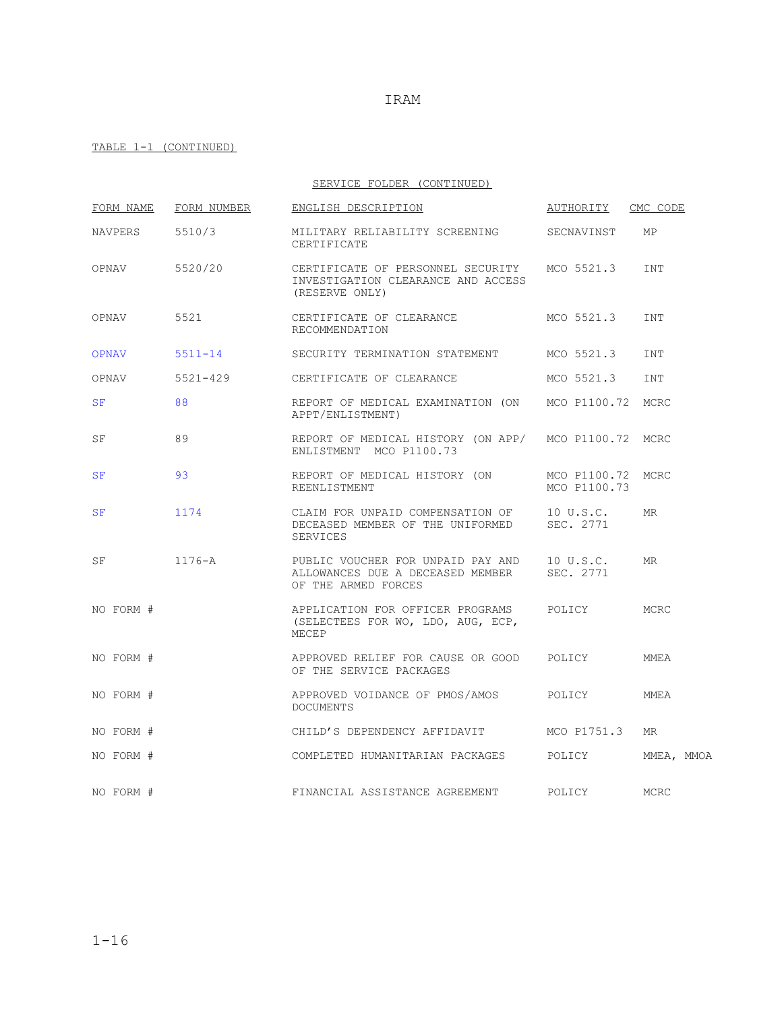|               |             | SERVICE FOLDER (CONTINUED)                                                                             |                                   |            |
|---------------|-------------|--------------------------------------------------------------------------------------------------------|-----------------------------------|------------|
| FORM NAME     | FORM NUMBER | ENGLISH DESCRIPTION                                                                                    | AUTHORITY CMC CODE                |            |
| NAVPERS       | 5510/3      | MILITARY RELIABILITY SCREENING<br>CERTIFICATE                                                          | SECNAVINST                        | MP         |
| OPNAV 5520/20 |             | CERTIFICATE OF PERSONNEL SECURITY MCO 5521.3<br>INVESTIGATION CLEARANCE AND ACCESS<br>(RESERVE ONLY)   |                                   | INT        |
| OPNAV         | 5521        | CERTIFICATE OF CLEARANCE<br>RECOMMENDATION                                                             | MCO 5521.3                        | INT        |
| OPNAV         | $5511 - 14$ | SECURITY TERMINATION STATEMENT MCO 5521.3                                                              |                                   | <b>INT</b> |
| OPNAV         | 5521-429    | CERTIFICATE OF CLEARANCE                                                                               | MCO 5521.3                        | <b>INT</b> |
| SF            | 88          | REPORT OF MEDICAL EXAMINATION (ON MCO P1100.72 MCRC<br>APPT/ENLISTMENT)                                |                                   |            |
| SF            | 89          | REPORT OF MEDICAL HISTORY (ON APP/ MCO P1100.72 MCRC<br>ENLISTMENT MCO P1100.73                        |                                   |            |
| SF            | 93          | REPORT OF MEDICAL HISTORY (ON<br>REENLISTMENT                                                          | MCO P1100.72 MCRC<br>MCO P1100.73 |            |
| SF            | 1174        | CLAIM FOR UNPAID COMPENSATION OF 10 U.S.C.<br>DECEASED MEMBER OF THE UNIFORMED<br>SERVICES             | SEC. 2771                         | <b>MR</b>  |
| SF            | 1176-A      | PUBLIC VOUCHER FOR UNPAID PAY AND 10 U.S.C.<br>ALLOWANCES DUE A DECEASED MEMBER<br>OF THE ARMED FORCES | SEC. 2771                         | <b>MR</b>  |
| NO FORM #     |             | APPLICATION FOR OFFICER PROGRAMS<br>(SELECTEES FOR WO, LDO, AUG, ECP,<br>MECEP                         | POLICY                            | MCRC       |
| NO FORM #     |             | APPROVED RELIEF FOR CAUSE OR GOOD POLICY<br>OF THE SERVICE PACKAGES                                    |                                   | MMEA       |
| NO FORM #     |             | DOCUMENTS                                                                                              |                                   | MMEA       |
| NO FORM #     |             | CHILD'S DEPENDENCY AFFIDAVIT MCO P1751.3                                                               |                                   | <b>MR</b>  |
| NO FORM #     |             | COMPLETED HUMANITARIAN PACKAGES POLICY                                                                 |                                   | MMEA, MMOA |
| NO FORM #     |             | FINANCIAL ASSISTANCE AGREEMENT                                                                         | POLICY                            | MCRC       |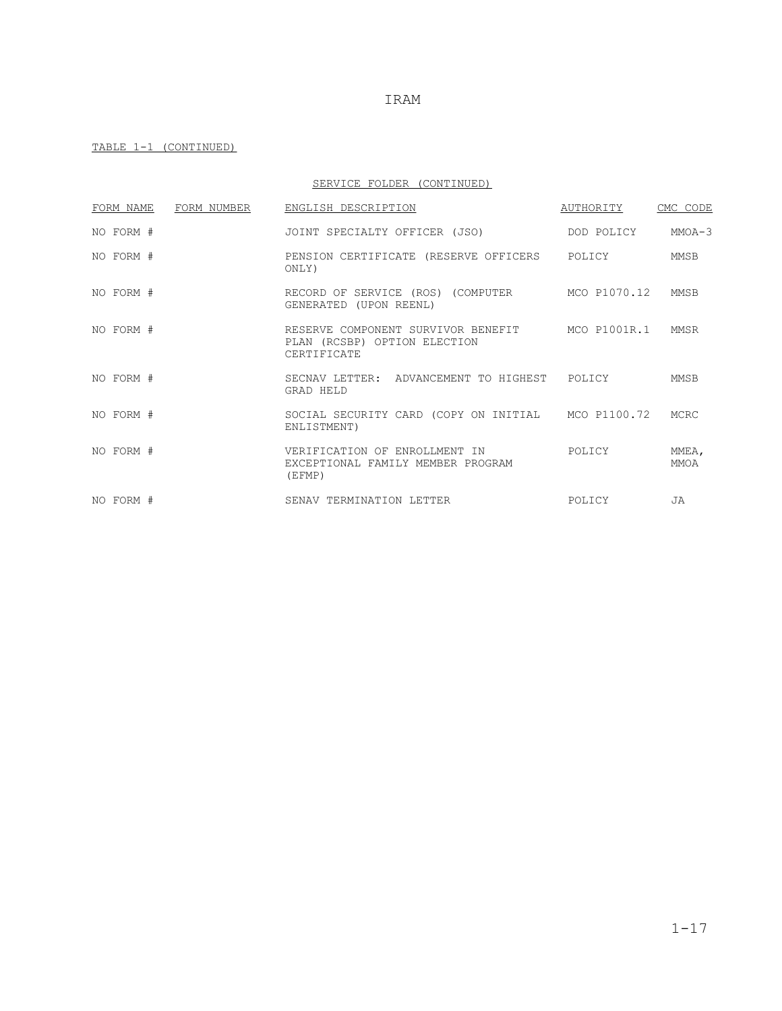TABLE 1-1 (CONTINUED)

SERVICE FOLDER (CONTINUED)

| FORM NAME | FORM NUMBER | ENGLISH DESCRIPTION                                                                            | AUTHORITY  | CMC CODE             |
|-----------|-------------|------------------------------------------------------------------------------------------------|------------|----------------------|
| NO FORM # |             | JOINT SPECIALTY OFFICER (JSO)                                                                  | DOD POLICY | $MMOA - 3$           |
| NO FORM # |             | PENSION CERTIFICATE (RESERVE OFFICERS POLICY<br>ONLY)                                          |            | MMSB                 |
| NO FORM # |             | RECORD OF SERVICE (ROS) (COMPUTER MCO P1070.12<br>GENERATED (UPON REENL)                       |            | MMSB                 |
| NO FORM # |             | RESERVE COMPONENT SURVIVOR BENEFIT MCO P1001R.1<br>PLAN (RCSBP) OPTION ELECTION<br>CERTIFICATE |            | MMSR                 |
| NO FORM # |             | SECNAV LETTER: ADVANCEMENT TO HIGHEST POLICY<br>GRAD HELD                                      |            | MMSB                 |
| NO FORM # |             | SOCIAL SECURITY CARD (COPY ON INITIAL MCO P1100.72 MCRC<br>ENLISTMENT)                         |            |                      |
| NO FORM # |             | VERIFICATION OF ENROLLMENT IN<br>EXCEPTIONAL FAMILY MEMBER PROGRAM<br>(EFMP)                   | POLICY     | MMEA,<br><b>MMOA</b> |
| NO FORM # |             | SENAV TERMINATION LETTER                                                                       | POLICY     | <b>JA</b>            |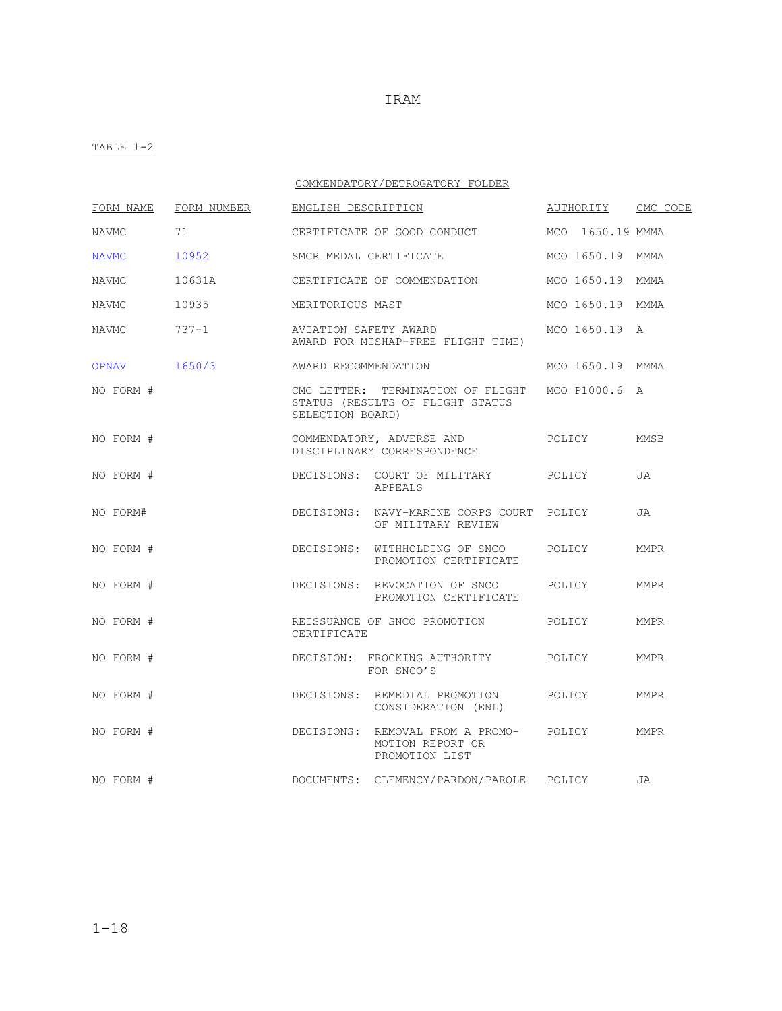### TABLE  $1-2$

### COMMENDATORY/DETROGATORY FOLDER

| FORM NAME    | FORM NUMBER | ENGLISH DESCRIPTION  |                                                                               |        | AUTHORITY        | CMC CODE    |
|--------------|-------------|----------------------|-------------------------------------------------------------------------------|--------|------------------|-------------|
| <b>NAVMC</b> | 71          |                      | CERTIFICATE OF GOOD CONDUCT                                                   |        | MCO 1650.19 MMMA |             |
| <b>NAVMC</b> | 10952       |                      | SMCR MEDAL CERTIFICATE                                                        |        | MCO 1650.19 MMMA |             |
| <b>NAVMC</b> | 10631A      |                      | CERTIFICATE OF COMMENDATION                                                   |        | MCO 1650.19      | MMMA        |
| <b>NAVMC</b> | 10935       | MERITORIOUS MAST     |                                                                               |        | MCO 1650.19      | MMMA        |
| NAVMC        | $737 - 1$   |                      | AVIATION SAFETY AWARD<br>AWARD FOR MISHAP-FREE FLIGHT TIME)                   |        | MCO 1650.19      | Α           |
| OPNAV        | 1650/3      | AWARD RECOMMENDATION |                                                                               |        | MCO 1650.19 MMMA |             |
| NO FORM #    |             | SELECTION BOARD)     | CMC LETTER: TERMINATION OF FLIGHT<br>STATUS (RESULTS OF FLIGHT STATUS         |        | MCO P1000.6 A    |             |
| NO FORM #    |             |                      | COMMENDATORY, ADVERSE AND<br>DISCIPLINARY CORRESPONDENCE                      |        | POLICY           | MMSB        |
| NO FORM #    |             |                      | DECISIONS: COURT OF MILITARY POLICY<br><b>APPEALS</b>                         |        |                  | JA          |
| NO FORM#     |             |                      | DECISIONS: NAVY-MARINE CORPS COURT POLICY<br>OF MILITARY REVIEW               |        |                  | JA          |
| NO FORM #    |             |                      | DECISIONS: WITHHOLDING OF SNCO<br>PROMOTION CERTIFICATE                       | POLICY |                  | <b>MMPR</b> |
| NO FORM #    |             |                      | DECISIONS: REVOCATION OF SNCO<br>PROMOTION CERTIFICATE                        | POLICY |                  | MMPR        |
| NO FORM #    |             | CERTIFICATE          | REISSUANCE OF SNCO PROMOTION                                                  | POLICY |                  | MMPR        |
| NO FORM #    |             |                      | DECISION: FROCKING AUTHORITY<br>FOR SNCO'S                                    | POLICY |                  | <b>MMPR</b> |
| NO FORM #    |             |                      | DECISIONS: REMEDIAL PROMOTION<br>CONSIDERATION (ENL)                          | POLICY |                  | MMPR        |
| NO FORM #    |             |                      | DECISIONS: REMOVAL FROM A PROMO- POLICY<br>MOTION REPORT OR<br>PROMOTION LIST |        |                  | MMPR        |
| NO FORM #    |             |                      | DOCUMENTS: CLEMENCY/PARDON/PAROLE POLICY                                      |        |                  | JA          |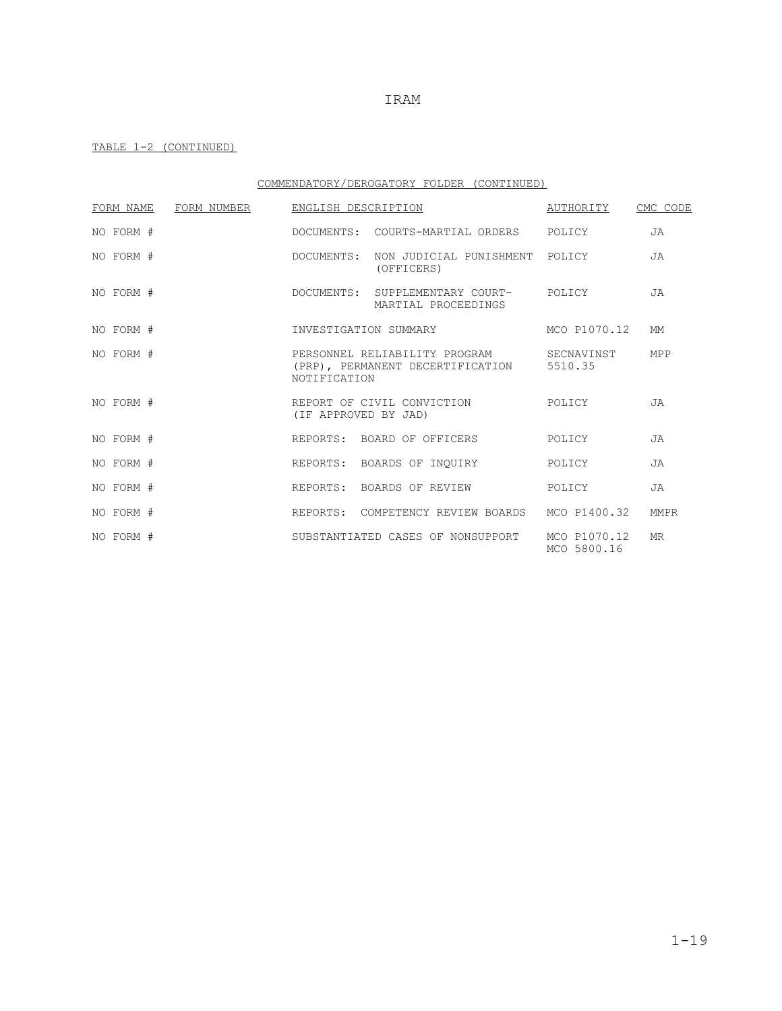### TABLE 1-2 (CONTINUED)

### COMMENDATORY/DEROGATORY FOLDER (CONTINUED)

| FORM NAME | FORM NUMBER |              | ENGLISH DESCRIPTION                                                       | AUTHORITY                   | CMC CODE  |
|-----------|-------------|--------------|---------------------------------------------------------------------------|-----------------------------|-----------|
| NO FORM # |             |              | DOCUMENTS: COURTS-MARTIAL ORDERS POLICY                                   |                             | <b>JA</b> |
| NO FORM # |             |              | DOCUMENTS: NON JUDICIAL PUNISHMENT<br>(OFFICERS)                          | POLICY                      | <b>JA</b> |
| NO FORM # |             |              | DOCUMENTS: SUPPLEMENTARY COURT-<br>MARTIAL PROCEEDINGS                    | POLICY                      | <b>JA</b> |
| NO FORM # |             |              | INVESTIGATION SUMMARY                                                     | MCO P1070.12                | <b>MM</b> |
| NO FORM # |             | NOTIFICATION | PERSONNEL RELIABILITY PROGRAM<br>(PRP), PERMANENT DECERTIFICATION 5510.35 | SECNAVINST                  | MPP       |
| NO FORM # |             |              | REPORT OF CIVIL CONVICTION<br>(IF APPROVED BY JAD)                        | POLICY                      | <b>JA</b> |
| NO FORM # |             |              | REPORTS: BOARD OF OFFICERS                                                | POLICY                      | <b>JA</b> |
| NO FORM # |             |              | REPORTS: BOARDS OF INOUIRY                                                | POLICY                      | <b>JA</b> |
| NO FORM # |             |              | REPORTS: BOARDS OF REVIEW                                                 | POLICY                      | <b>JA</b> |
| NO FORM # |             |              | REPORTS: COMPETENCY REVIEW BOARDS                                         | MCO P1400.32                | MMPR      |
| NO FORM # |             |              | SUBSTANTIATED CASES OF NONSUPPORT                                         | MCO P1070.12<br>MCO 5800.16 | <b>MR</b> |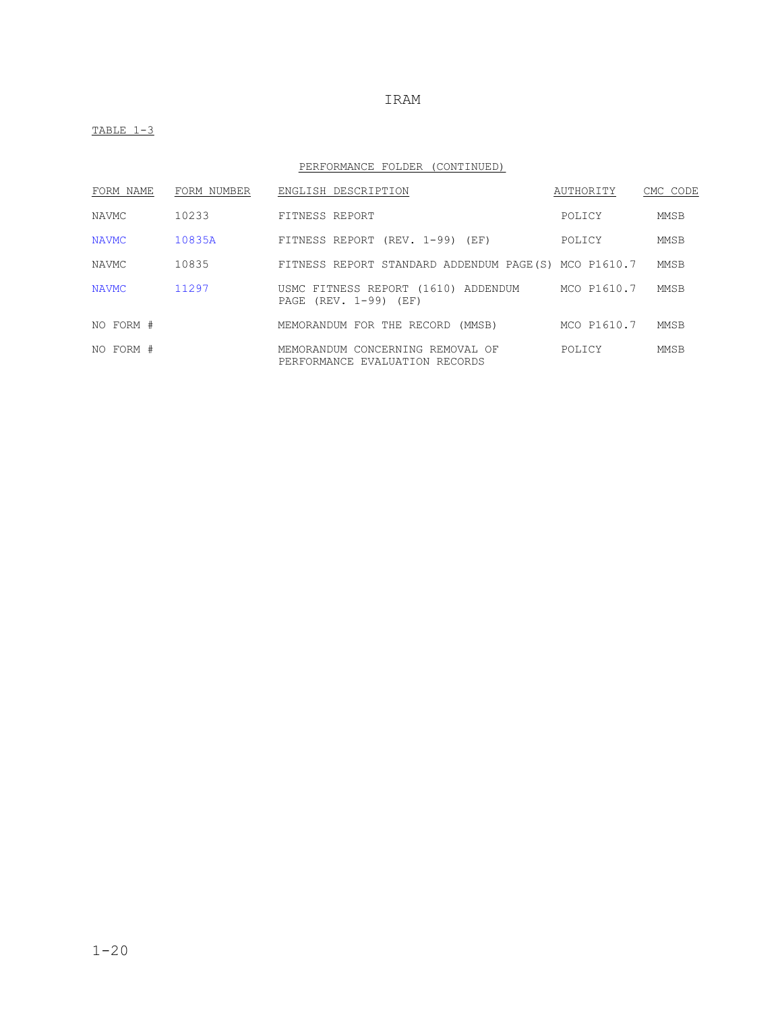TABLE 1-3

### PERFORMANCE FOLDER (CONTINUED)

| FORM NAME    | FORM NUMBER | ENGLISH DESCRIPTION                                                          | AUTHORITY   | CMC CODE |
|--------------|-------------|------------------------------------------------------------------------------|-------------|----------|
| <b>NAVMC</b> | 10233       | FITNESS REPORT                                                               | POLICY      | MMSB     |
| <b>NAVMC</b> | 10835A      | FITNESS REPORT (REV. 1-99) (EF)                                              | POLICY      | MMSB     |
| <b>NAVMC</b> | 10835       | FITNESS REPORT STANDARD ADDENDUM PAGE(S) MCO P1610.7                         |             | MMSB     |
| NAVMC        | 11297       | USMC FITNESS REPORT (1610) ADDENDUM MCO P1610.7<br>PAGE $(REV. 1-99)$ $(EF)$ |             | MMSB     |
| NO FORM #    |             | MEMORANDUM FOR THE RECORD (MMSB)                                             | MCO P1610.7 | MMSB     |
| NO FORM #    |             | MEMORANDUM CONCERNING REMOVAL OF<br>PERFORMANCE EVALUATION RECORDS           | POLICY      | MMSB     |

### IRAM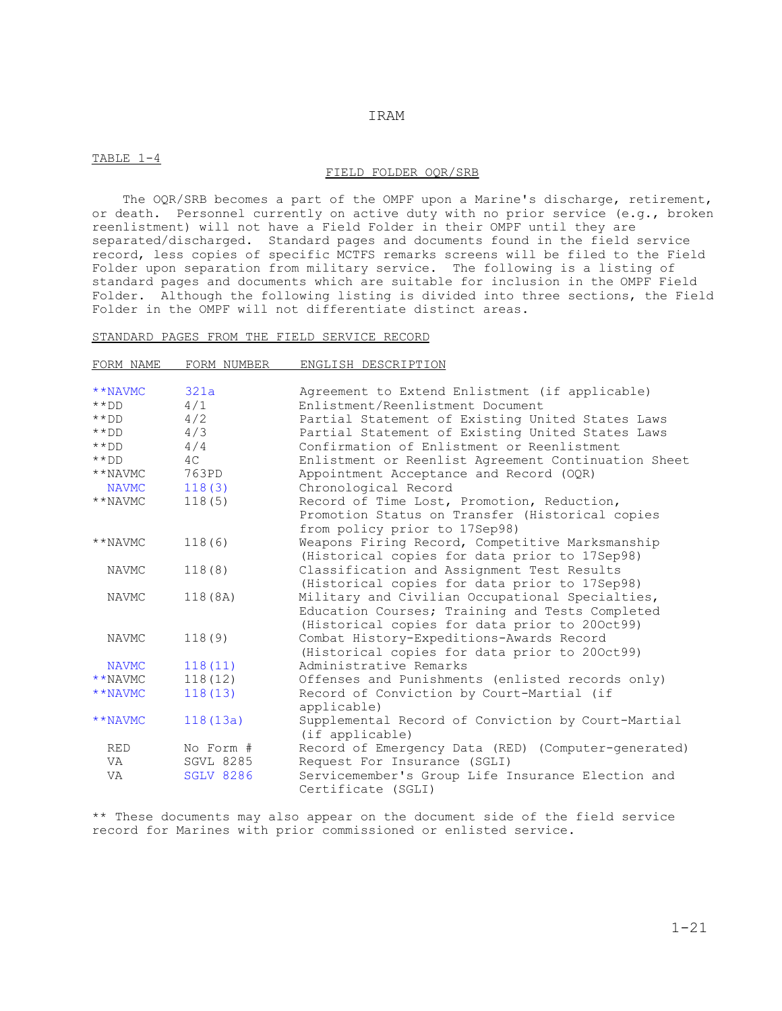#### TABLE 1-4

#### FIELD FOLDER OQR/SRB

 The OQR/SRB becomes a part of the OMPF upon a Marine's discharge, retirement, or death. Personnel currently on active duty with no prior service (e.g., broken reenlistment) will not have a Field Folder in their OMPF until they are separated/discharged. Standard pages and documents found in the field service record, less copies of specific MCTFS remarks screens will be filed to the Field Folder upon separation from military service. The following is a listing of standard pages and documents which are suitable for inclusion in the OMPF Field Folder. Although the following listing is divided into three sections, the Field Folder in the OMPF will not differentiate distinct areas.

#### STANDARD PAGES FROM THE FIELD SERVICE RECORD

| FORM NAME    | FORM NUMBER      | ENGLISH DESCRIPTION                                 |
|--------------|------------------|-----------------------------------------------------|
|              |                  |                                                     |
| **NAVMC      | 321a             | Agreement to Extend Enlistment (if applicable)      |
| $***$ DD     | 4/1              | Enlistment/Reenlistment Document                    |
| $***$ DD     | 4/2              | Partial Statement of Existing United States Laws    |
| $***$ DD     | 4/3              | Partial Statement of Existing United States Laws    |
| $***$ DD     | 4/4              | Confirmation of Enlistment or Reenlistment          |
| $***$ DD     | 4C               | Enlistment or Reenlist Agreement Continuation Sheet |
| **NAVMC      | 763PD            | Appointment Acceptance and Record (OQR)             |
| <b>NAVMC</b> | 118(3)           | Chronological Record                                |
| **NAVMC      | 118(5)           | Record of Time Lost, Promotion, Reduction,          |
|              |                  | Promotion Status on Transfer (Historical copies     |
|              |                  | from policy prior to 17Sep98)                       |
| **NAVMC      | 118(6)           | Weapons Firing Record, Competitive Marksmanship     |
|              |                  | (Historical copies for data prior to 17Sep98)       |
| NAVMC        | 118(8)           | Classification and Assignment Test Results          |
|              |                  | (Historical copies for data prior to 17Sep98)       |
| NAVMC        | 118 (8A)         | Military and Civilian Occupational Specialties,     |
|              |                  | Education Courses; Training and Tests Completed     |
|              |                  | (Historical copies for data prior to 200ct99)       |
| NAVMC        | 118(9)           | Combat History-Expeditions-Awards Record            |
|              |                  | (Historical copies for data prior to 200ct99)       |
| <b>NAVMC</b> | 118(11)          | Administrative Remarks                              |
| **NAVMC      | 118(12)          | Offenses and Punishments (enlisted records only)    |
| **NAVMC      | 118(13)          | Record of Conviction by Court-Martial (if           |
|              |                  | applicable)                                         |
| **NAVMC      | 118(13a)         | Supplemental Record of Conviction by Court-Martial  |
|              |                  | (if applicable)                                     |
| <b>RED</b>   | No Form #        | Record of Emergency Data (RED) (Computer-generated) |
| VA           | <b>SGVL 8285</b> | Request For Insurance (SGLI)                        |
| VA           | <b>SGLV 8286</b> | Servicemember's Group Life Insurance Election and   |
|              |                  | Certificate (SGLI)                                  |

\*\* These documents may also appear on the document side of the field service record for Marines with prior commissioned or enlisted service.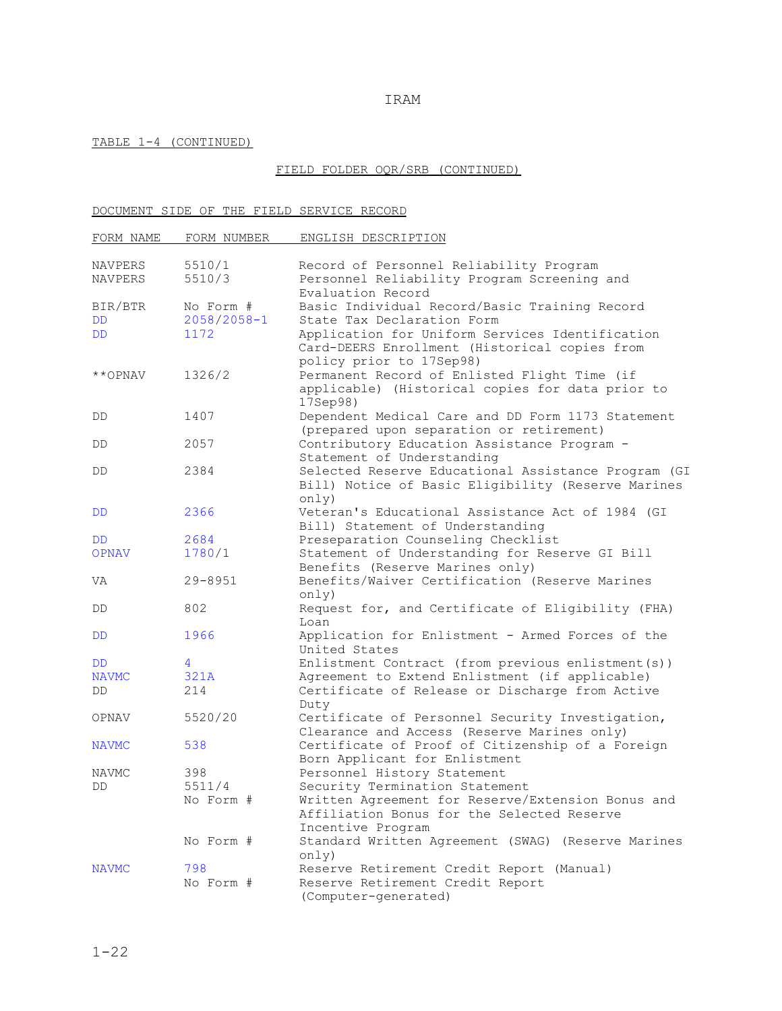### TABLE 1-4 (CONTINUED)

## FIELD FOLDER OQR/SRB (CONTINUED)

## DOCUMENT SIDE OF THE FIELD SERVICE RECORD

| FORM NAME    | FORM NUMBER     | ENGLISH DESCRIPTION                                                                                                          |
|--------------|-----------------|------------------------------------------------------------------------------------------------------------------------------|
|              |                 |                                                                                                                              |
| NAVPERS      | 5510/1          | Record of Personnel Reliability Program                                                                                      |
| NAVPERS      | 5510/3          | Personnel Reliability Program Screening and                                                                                  |
|              |                 | Evaluation Record                                                                                                            |
| BIR/BTR      | No Form #       | Basic Individual Record/Basic Training Record                                                                                |
| <b>DD</b>    | $2058/2058 - 1$ | State Tax Declaration Form                                                                                                   |
| DD           | 1172            | Application for Uniform Services Identification<br>Card-DEERS Enrollment (Historical copies from                             |
| **OPNAV      | 1326/2          | policy prior to 17Sep98)<br>Permanent Record of Enlisted Flight Time (if<br>applicable) (Historical copies for data prior to |
| DD.          | 1407            | 17Sep98)<br>Dependent Medical Care and DD Form 1173 Statement                                                                |
|              |                 | (prepared upon separation or retirement)                                                                                     |
| DD.          | 2057            | Contributory Education Assistance Program -                                                                                  |
| DD.          | 2384            | Statement of Understanding<br>Selected Reserve Educational Assistance Program (GI                                            |
|              |                 | Bill) Notice of Basic Eligibility (Reserve Marines<br>only()                                                                 |
| DD           | 2366            | Veteran's Educational Assistance Act of 1984 (GI                                                                             |
|              |                 | Bill) Statement of Understanding                                                                                             |
| DD           | 2684            | Preseparation Counseling Checklist                                                                                           |
| <b>OPNAV</b> | 1780/1          | Statement of Understanding for Reserve GI Bill<br>Benefits (Reserve Marines only)                                            |
| VA           | $29 - 8951$     | Benefits/Waiver Certification (Reserve Marines<br>only()                                                                     |
| DD.          | 802             | Request for, and Certificate of Eligibility (FHA)<br>Loan                                                                    |
| DD           | 1966            | Application for Enlistment - Armed Forces of the<br>United States                                                            |
| DD           | 4               | Enlistment Contract (from previous enlistment(s))                                                                            |
| <b>NAVMC</b> | 321A            | Agreement to Extend Enlistment (if applicable)                                                                               |
| DD           | 214             | Certificate of Release or Discharge from Active<br>Duty                                                                      |
| OPNAV        | 5520/20         | Certificate of Personnel Security Investigation,<br>Clearance and Access (Reserve Marines only)                              |
| <b>NAVMC</b> | 538             | Certificate of Proof of Citizenship of a Foreign                                                                             |
|              |                 | Born Applicant for Enlistment                                                                                                |
| <b>NAVMC</b> | 398             | Personnel History Statement                                                                                                  |
| DD           | 5511/4          | Security Termination Statement                                                                                               |
|              | No Form #       | Written Agreement for Reserve/Extension Bonus and<br>Affiliation Bonus for the Selected Reserve<br>Incentive Program         |
|              | No Form #       | Standard Written Agreement (SWAG) (Reserve Marines<br>only)                                                                  |
| <b>NAVMC</b> | 798             | Reserve Retirement Credit Report (Manual)                                                                                    |
|              | No Form #       | Reserve Retirement Credit Report<br>(Computer-generated)                                                                     |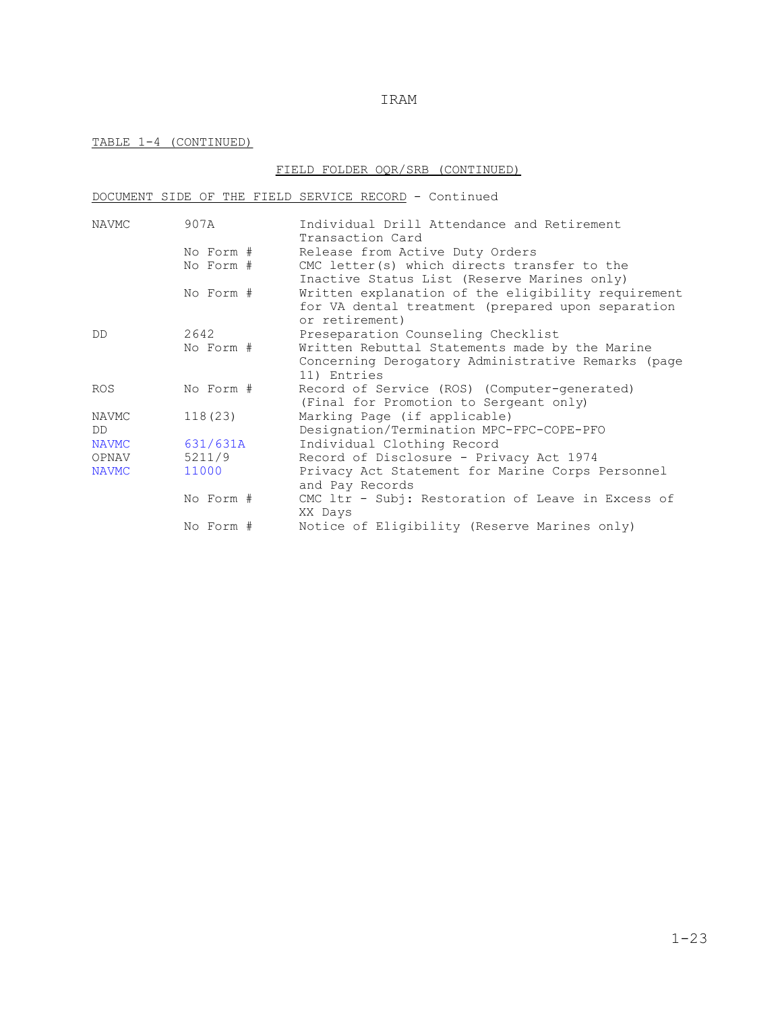### TABLE 1-4 (CONTINUED)

## FIELD FOLDER OQR/SRB (CONTINUED)

### DOCUMENT SIDE OF THE FIELD SERVICE RECORD - Continued

| NAVMC        | 907A      | Individual Drill Attendance and Retirement                          |
|--------------|-----------|---------------------------------------------------------------------|
|              |           | Transaction Card                                                    |
|              | No Form # | Release from Active Duty Orders                                     |
|              | No Form # | CMC letter(s) which directs transfer to the                         |
|              |           | Inactive Status List (Reserve Marines only)                         |
|              | No Form # | Written explanation of the eligibility requirement                  |
|              |           | for VA dental treatment (prepared upon separation<br>or retirement) |
| DD           | 2642      | Preseparation Counseling Checklist                                  |
|              | No Form # | Written Rebuttal Statements made by the Marine                      |
|              |           | Concerning Derogatory Administrative Remarks (page                  |
|              |           | 11) Entries                                                         |
| <b>ROS</b>   | No Form # | Record of Service (ROS) (Computer-generated)                        |
|              |           | (Final for Promotion to Sergeant only)                              |
| NAVMC        | 118(23)   | Marking Page (if applicable)                                        |
| DD.          |           | Designation/Termination MPC-FPC-COPE-PFO                            |
| <b>NAVMC</b> | 631/631A  | Individual Clothing Record                                          |
| OPNAV        | 5211/9    | Record of Disclosure - Privacy Act 1974                             |
| <b>NAVMC</b> | 11000     | Privacy Act Statement for Marine Corps Personnel                    |
|              |           | and Pay Records                                                     |
|              | No Form # | CMC 1tr - Subj: Restoration of Leave in Excess of                   |
|              |           | XX Days                                                             |
|              | No Form # | Notice of Eligibility (Reserve Marines only)                        |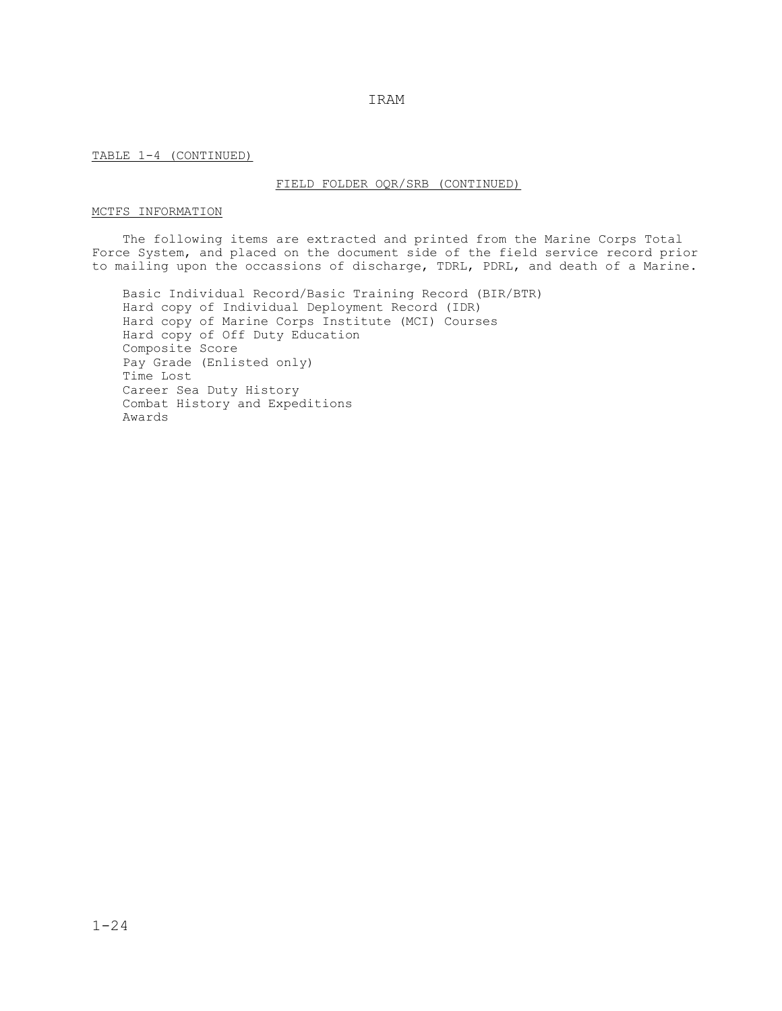TABLE 1-4 (CONTINUED)

#### FIELD FOLDER OQR/SRB (CONTINUED)

### MCTFS INFORMATION

 The following items are extracted and printed from the Marine Corps Total Force System, and placed on the document side of the field service record prior to mailing upon the occassions of discharge, TDRL, PDRL, and death of a Marine.

 Basic Individual Record/Basic Training Record (BIR/BTR) Hard copy of Individual Deployment Record (IDR) Hard copy of Marine Corps Institute (MCI) Courses Hard copy of Off Duty Education Composite Score Pay Grade (Enlisted only) Time Lost Career Sea Duty History Combat History and Expeditions Awards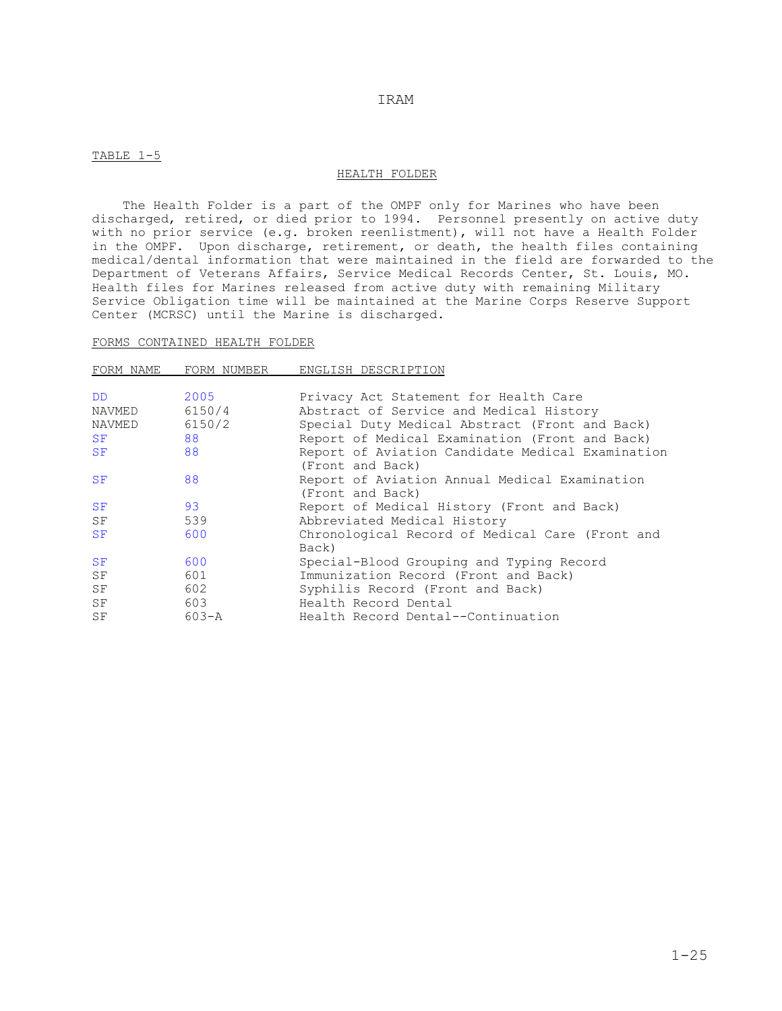#### TABLE 1-5

#### HEALTH FOLDER

 The Health Folder is a part of the OMPF only for Marines who have been discharged, retired, or died prior to 1994. Personnel presently on active duty with no prior service (e.g. broken reenlistment), will not have a Health Folder in the OMPF. Upon discharge, retirement, or death, the health files containing medical/dental information that were maintained in the field are forwarded to the Department of Veterans Affairs, Service Medical Records Center, St. Louis, MO. Health files for Marines released from active duty with remaining Military Service Obligation time will be maintained at the Marine Corps Reserve Support Center (MCRSC) until the Marine is discharged.

#### FORMS CONTAINED HEALTH FOLDER

| FORM NAME | FORM NUMBER | ENGLISH DESCRIPTION                                                  |
|-----------|-------------|----------------------------------------------------------------------|
| DD.       | 2005        | Privacy Act Statement for Health Care                                |
| NAVMED    | 6150/4      | Abstract of Service and Medical History                              |
| NAVMED    | 6150/2      | Special Duty Medical Abstract (Front and Back)                       |
| SF        | 88          | Report of Medical Examination (Front and Back)                       |
| SF        | 88          | Report of Aviation Candidate Medical Examination<br>(Front and Back) |
| SF        | 88          | Report of Aviation Annual Medical Examination<br>(Front and Back)    |
| SF        | 93          | Report of Medical History (Front and Back)                           |
| SF        | 539         | Abbreviated Medical History                                          |
| SF        | 600         | Chronological Record of Medical Care (Front and<br>Back)             |
| SF        | 600         | Special-Blood Grouping and Typing Record                             |
| SF        | 601         | Immunization Record (Front and Back)                                 |
| SF        | 602         | Syphilis Record (Front and Back)                                     |
| SF        | 603         | Health Record Dental                                                 |
| SF        | $603 - A$   | Health Record Dental--Continuation                                   |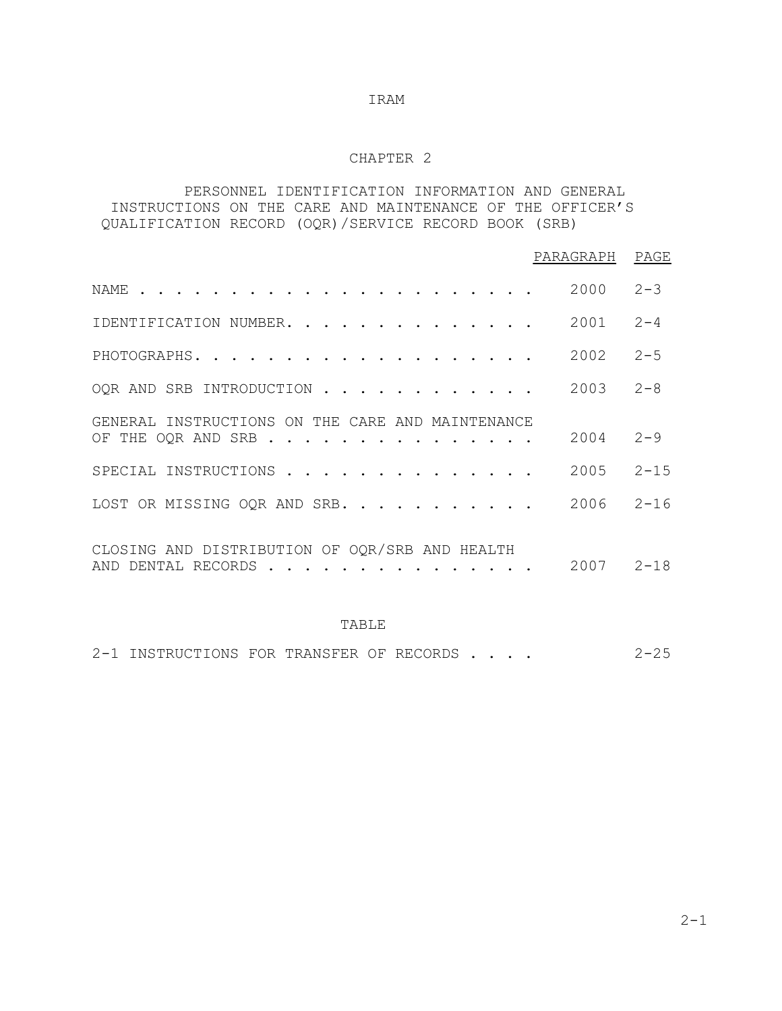# CHAPTER 2

# PERSONNEL IDENTIFICATION INFORMATION AND GENERAL INSTRUCTIONS ON THE CARE AND MAINTENANCE OF THE OFFICER'S QUALIFICATION RECORD (OQR)/SERVICE RECORD BOOK (SRB)

|                                                                        | PARAGRAPH | PAGE     |
|------------------------------------------------------------------------|-----------|----------|
| NAME                                                                   | 2000      | $2 - 3$  |
| IDENTIFICATION NUMBER.                                                 | 2001      | $2 - 4$  |
| PHOTOGRAPHS.                                                           | 2002      | $2 - 5$  |
| OQR AND SRB INTRODUCTION                                               | 2003      | $2 - 8$  |
| GENERAL INSTRUCTIONS ON THE CARE AND MAINTENANCE<br>OF THE OQR AND SRB | 2004      | $2 - 9$  |
| SPECIAL INSTRUCTIONS                                                   | 2005      | $2 - 15$ |
| LOST OR MISSING OQR AND SRB.                                           | 2006      | $2 - 16$ |
| CLOSING AND DISTRIBUTION OF OQR/SRB AND HEALTH<br>AND DENTAL RECORDS   | 2007      | $2 - 18$ |

### TABLE

2-1 INSTRUCTIONS FOR TRANSFER OF RECORDS . . . . 2-25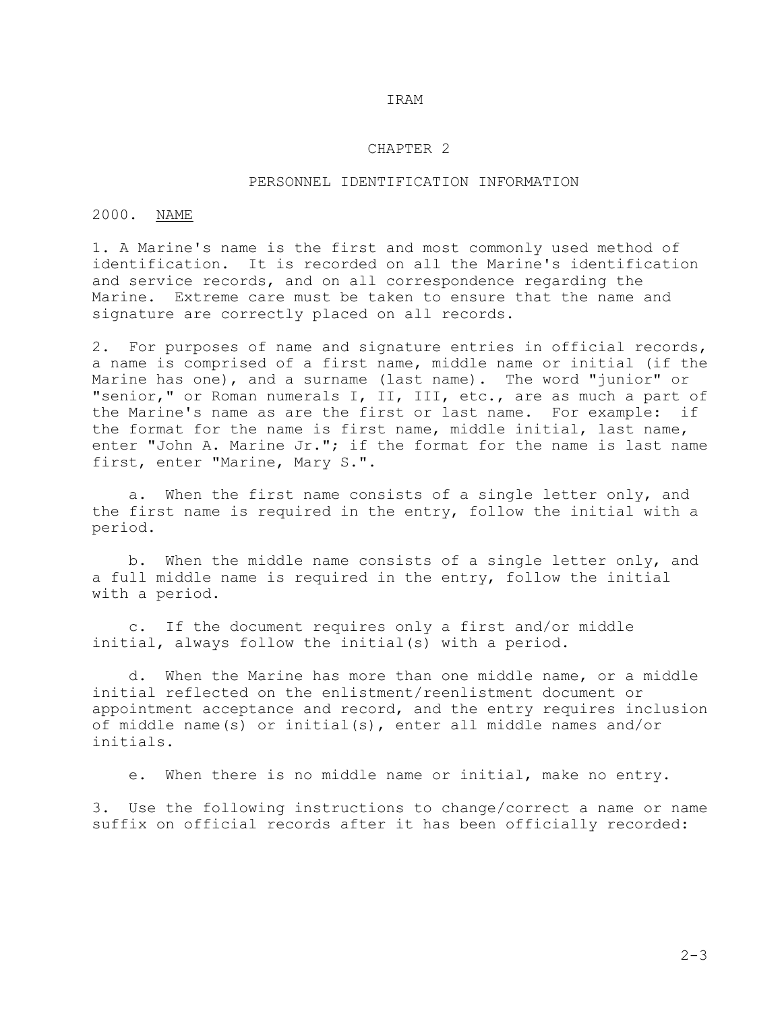### CHAPTER 2

### PERSONNEL IDENTIFICATION INFORMATION

## 2000. NAME

1. A Marine's name is the first and most commonly used method of identification. It is recorded on all the Marine's identification and service records, and on all correspondence regarding the Marine. Extreme care must be taken to ensure that the name and signature are correctly placed on all records.

2. For purposes of name and signature entries in official records, a name is comprised of a first name, middle name or initial (if the Marine has one), and a surname (last name). The word "junior" or "senior," or Roman numerals I, II, III, etc., are as much a part of the Marine's name as are the first or last name. For example: if the format for the name is first name, middle initial, last name, enter "John A. Marine Jr."; if the format for the name is last name first, enter "Marine, Mary S.".

 a. When the first name consists of a single letter only, and the first name is required in the entry, follow the initial with a period.

 b. When the middle name consists of a single letter only, and a full middle name is required in the entry, follow the initial with a period.

 c. If the document requires only a first and/or middle initial, always follow the initial(s) with a period.

 d. When the Marine has more than one middle name, or a middle initial reflected on the enlistment/reenlistment document or appointment acceptance and record, and the entry requires inclusion of middle name(s) or initial(s), enter all middle names and/or initials.

e. When there is no middle name or initial, make no entry.

3. Use the following instructions to change/correct a name or name suffix on official records after it has been officially recorded: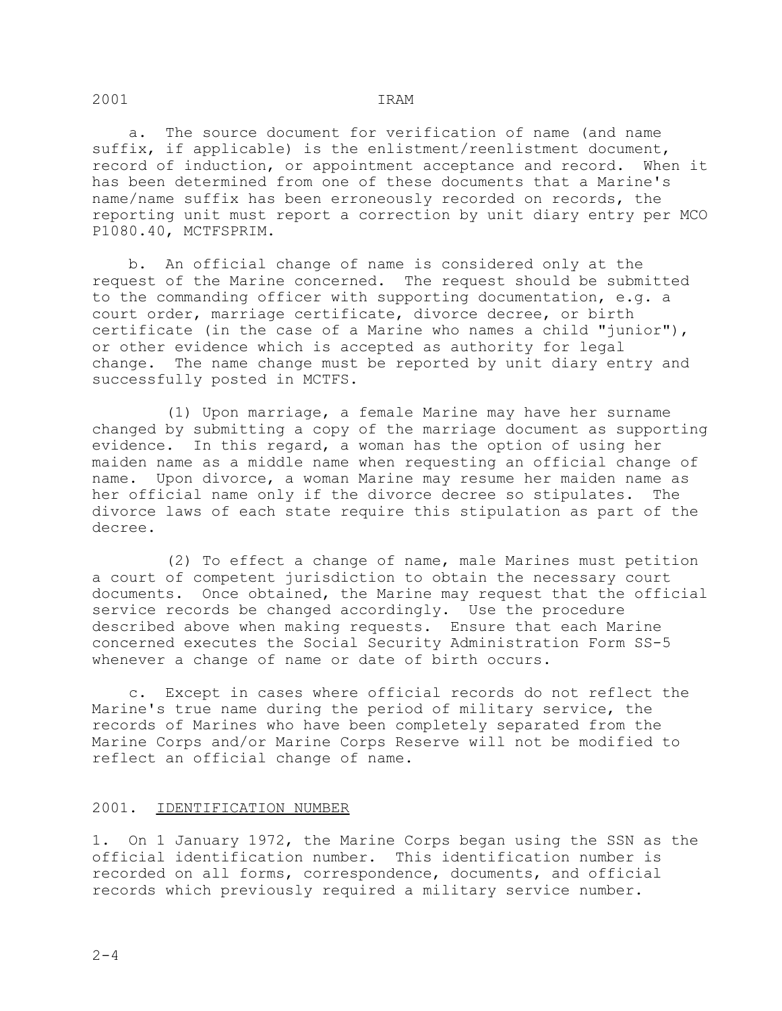a. The source document for verification of name (and name suffix, if applicable) is the enlistment/reenlistment document, record of induction, or appointment acceptance and record. When it has been determined from one of these documents that a Marine's name/name suffix has been erroneously recorded on records, the reporting unit must report a correction by unit diary entry per MCO P1080.40, MCTFSPRIM.

 b. An official change of name is considered only at the request of the Marine concerned. The request should be submitted to the commanding officer with supporting documentation, e.g. a court order, marriage certificate, divorce decree, or birth certificate (in the case of a Marine who names a child "junior"), or other evidence which is accepted as authority for legal change. The name change must be reported by unit diary entry and successfully posted in MCTFS.

 (1) Upon marriage, a female Marine may have her surname changed by submitting a copy of the marriage document as supporting evidence. In this regard, a woman has the option of using her maiden name as a middle name when requesting an official change of name. Upon divorce, a woman Marine may resume her maiden name as her official name only if the divorce decree so stipulates. The divorce laws of each state require this stipulation as part of the decree.

 (2) To effect a change of name, male Marines must petition a court of competent jurisdiction to obtain the necessary court documents. Once obtained, the Marine may request that the official service records be changed accordingly. Use the procedure described above when making requests. Ensure that each Marine concerned executes the Social Security Administration Form SS-5 whenever a change of name or date of birth occurs.

 c. Except in cases where official records do not reflect the Marine's true name during the period of military service, the records of Marines who have been completely separated from the Marine Corps and/or Marine Corps Reserve will not be modified to reflect an official change of name.

# 2001. IDENTIFICATION NUMBER

1. On 1 January 1972, the Marine Corps began using the SSN as the official identification number. This identification number is recorded on all forms, correspondence, documents, and official records which previously required a military service number.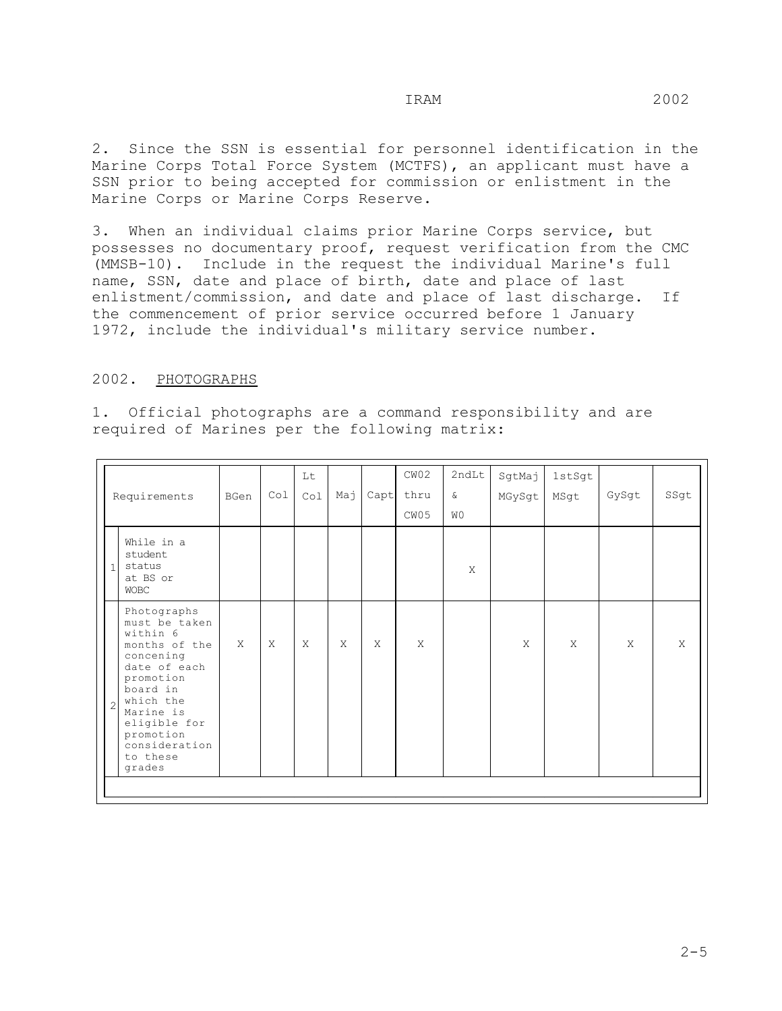2. Since the SSN is essential for personnel identification in the Marine Corps Total Force System (MCTFS), an applicant must have a SSN prior to being accepted for commission or enlistment in the Marine Corps or Marine Corps Reserve.

3. When an individual claims prior Marine Corps service, but possesses no documentary proof, request verification from the CMC (MMSB-10). Include in the request the individual Marine's full name, SSN, date and place of birth, date and place of last enlistment/commission, and date and place of last discharge. If the commencement of prior service occurred before 1 January 1972, include the individual's military service number.

#### 2002. PHOTOGRAPHS

1. Official photographs are a command responsibility and are required of Marines per the following matrix:

|                |                                                                                                                                                                                                               |              |              | Lt           |     |              | CW02 | 2ndLt     | SgtMaj       | 1stSgt |              |      |
|----------------|---------------------------------------------------------------------------------------------------------------------------------------------------------------------------------------------------------------|--------------|--------------|--------------|-----|--------------|------|-----------|--------------|--------|--------------|------|
|                | Requirements                                                                                                                                                                                                  | BGen         | Co1          | Co1          | Мај | Capt         | thru | $\delta$  | MGySgt       | MSgt   | GySgt        | SSgt |
|                |                                                                                                                                                                                                               |              |              |              |     |              | CW05 | <b>WO</b> |              |        |              |      |
| $\mathbf{1}$   | While in a<br>student<br>status<br>at BS or<br><b>WOBC</b>                                                                                                                                                    |              |              |              |     |              |      | X         |              |        |              |      |
| $\overline{c}$ | Photographs<br>must be taken<br>within 6<br>months of the<br>concening<br>date of each<br>promotion<br>board in<br>which the<br>Marine is<br>eligible for<br>promotion<br>consideration<br>to these<br>grades | $\mathsf{X}$ | $\mathsf{X}$ | $\mathsf{X}$ | X   | $\mathsf{X}$ | X    |           | $\mathsf{X}$ | X      | $\mathsf{X}$ | X    |
|                |                                                                                                                                                                                                               |              |              |              |     |              |      |           |              |        |              |      |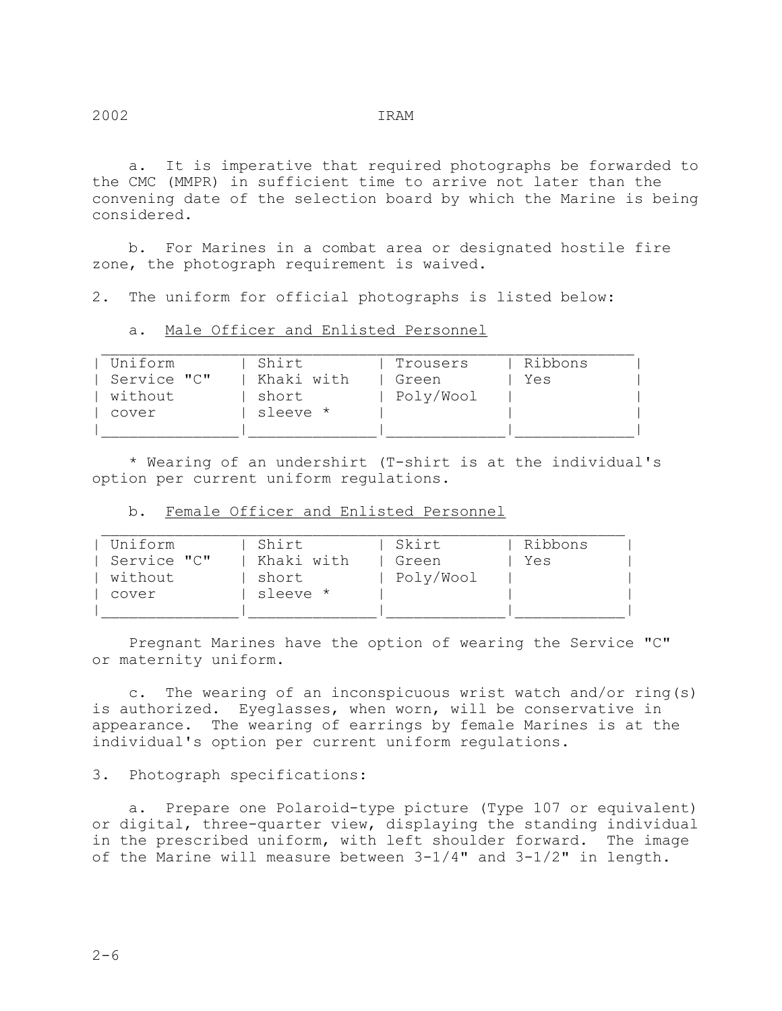a. It is imperative that required photographs be forwarded to the CMC (MMPR) in sufficient time to arrive not later than the convening date of the selection board by which the Marine is being considered.

 b. For Marines in a combat area or designated hostile fire zone, the photograph requirement is waived.

2. The uniform for official photographs is listed below:

a. Male Officer and Enlisted Personnel

| Uniform     | Shirt      | Trousers  | Ribbons |  |
|-------------|------------|-----------|---------|--|
| Service "C" | Khaki with | Green     | Yes     |  |
| without     | short      | Poly/Wool |         |  |
| cover       | sleeve *   |           |         |  |
|             |            |           |         |  |

 \* Wearing of an undershirt (T-shirt is at the individual's option per current uniform regulations.

|  |  | b. Female Officer and Enlisted Personnel |
|--|--|------------------------------------------|
|  |  |                                          |

| Uniform<br>Service "C"<br>without<br>cover | Shirt<br>Khaki with<br>short<br>sleeve * | Skirt<br>Green<br>Poly/Wool | Ribbons<br>Yes |  |
|--------------------------------------------|------------------------------------------|-----------------------------|----------------|--|
|                                            |                                          |                             |                |  |

 Pregnant Marines have the option of wearing the Service "C" or maternity uniform.

 c. The wearing of an inconspicuous wrist watch and/or ring(s) is authorized. Eyeglasses, when worn, will be conservative in appearance. The wearing of earrings by female Marines is at the individual's option per current uniform regulations.

#### 3. Photograph specifications:

 a. Prepare one Polaroid-type picture (Type 107 or equivalent) or digital, three-quarter view, displaying the standing individual in the prescribed uniform, with left shoulder forward. The image of the Marine will measure between 3-1/4" and 3-1/2" in length.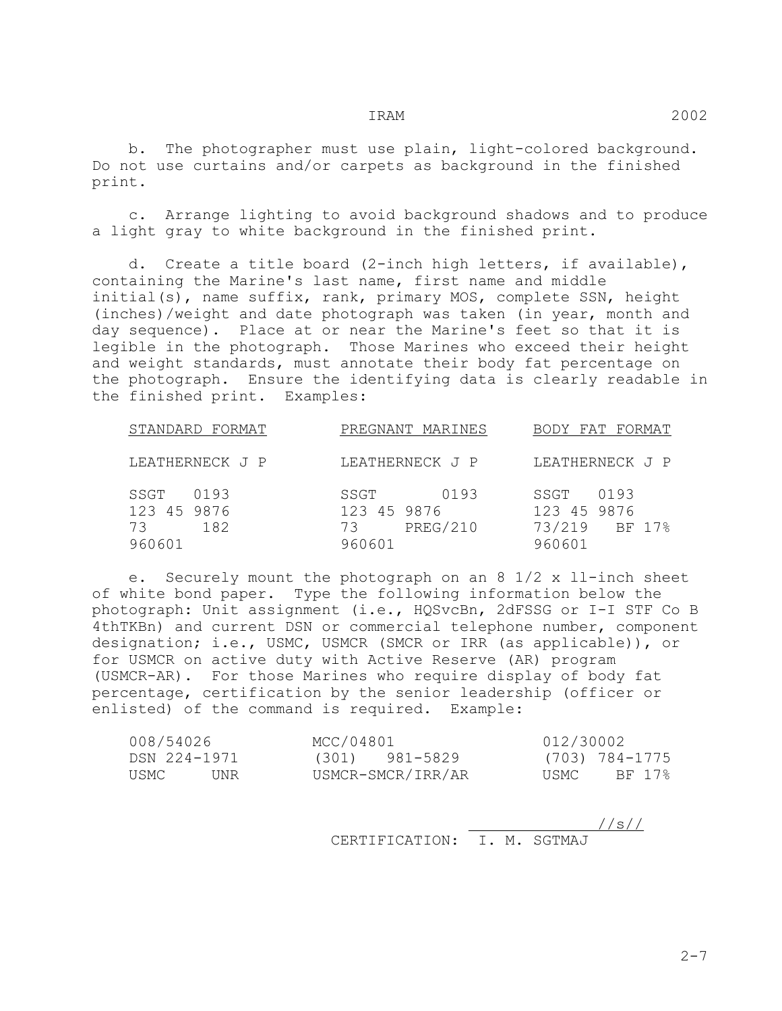b. The photographer must use plain, light-colored background. Do not use curtains and/or carpets as background in the finished print.

 c. Arrange lighting to avoid background shadows and to produce a light gray to white background in the finished print.

 d. Create a title board (2-inch high letters, if available), containing the Marine's last name, first name and middle initial(s), name suffix, rank, primary MOS, complete SSN, height (inches)/weight and date photograph was taken (in year, month and day sequence). Place at or near the Marine's feet so that it is legible in the photograph. Those Marines who exceed their height and weight standards, must annotate their body fat percentage on the photograph. Ensure the identifying data is clearly readable in the finished print. Examples:

| STANDARD FORMAT                                    | PREGNANT MARINES                                               | BODY FAT FORMAT                                           |
|----------------------------------------------------|----------------------------------------------------------------|-----------------------------------------------------------|
| LEATHERNECK J P                                    | LEATHERNECK J P                                                | LEATHERNECK J P                                           |
| 0193<br>SSGT<br>123 45 9876<br>182<br>73<br>960601 | SSGT<br>0193<br>123 45 9876<br><b>PREG/210</b><br>73<br>960601 | 0193<br>SSGT<br>123 45 9876<br>73/219<br>BF 17%<br>960601 |

 e. Securely mount the photograph on an 8 1/2 x ll-inch sheet of white bond paper. Type the following information below the photograph: Unit assignment (i.e., HQSvcBn, 2dFSSG or I-I STF Co B 4thTKBn) and current DSN or commercial telephone number, component designation; i.e., USMC, USMCR (SMCR or IRR (as applicable)), or for USMCR on active duty with Active Reserve (AR) program (USMCR-AR). For those Marines who require display of body fat percentage, certification by the senior leadership (officer or enlisted) of the command is required. Example:

| 008/54026    | MCC/04801         | 012/30002      |
|--------------|-------------------|----------------|
| DSN 224-1971 | (301) 981-5829    | (703) 784-1775 |
| USMC<br>UNR  | USMCR-SMCR/IRR/AR | BF 17%<br>USMC |

 //s// CERTIFICATION: I. M. SGTMAJ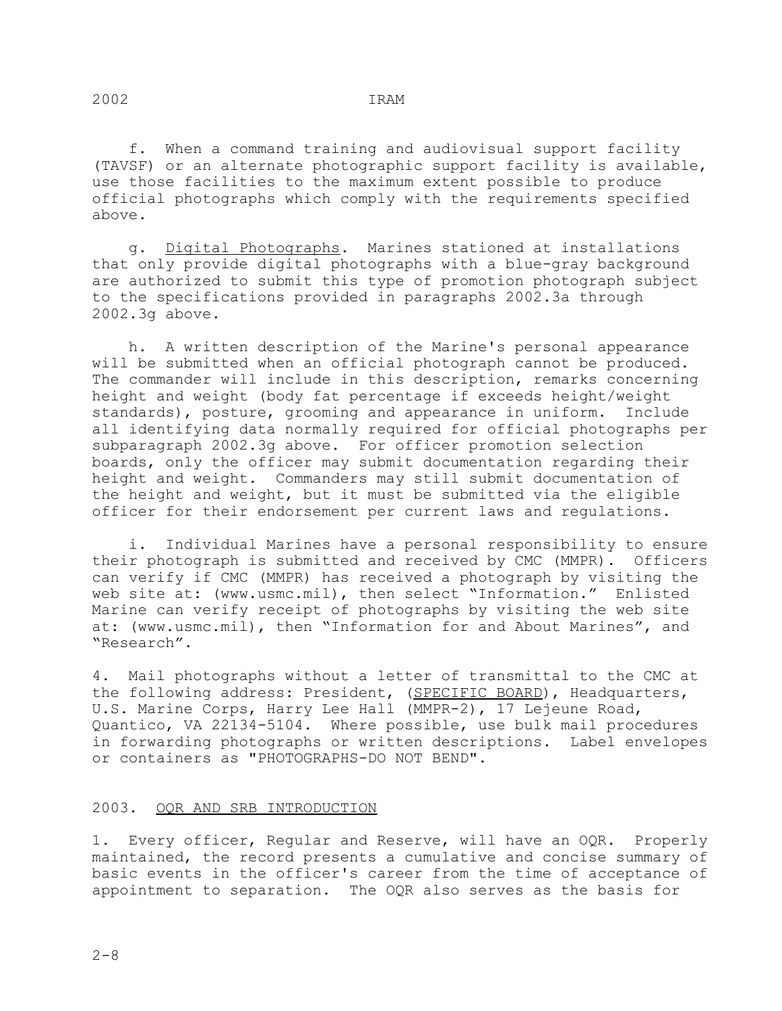f. When a command training and audiovisual support facility (TAVSF) or an alternate photographic support facility is available, use those facilities to the maximum extent possible to produce official photographs which comply with the requirements specified above.

 g. Digital Photographs. Marines stationed at installations that only provide digital photographs with a blue-gray background are authorized to submit this type of promotion photograph subject to the specifications provided in paragraphs 2002.3a through 2002.3g above.

 h. A written description of the Marine's personal appearance will be submitted when an official photograph cannot be produced. The commander will include in this description, remarks concerning height and weight (body fat percentage if exceeds height/weight standards), posture, grooming and appearance in uniform. Include all identifying data normally required for official photographs per subparagraph 2002.3g above. For officer promotion selection boards, only the officer may submit documentation regarding their height and weight. Commanders may still submit documentation of the height and weight, but it must be submitted via the eligible officer for their endorsement per current laws and regulations.

 i. Individual Marines have a personal responsibility to ensure their photograph is submitted and received by CMC (MMPR). Officers can verify if CMC (MMPR) has received a photograph by visiting the web site at: (www.usmc.mil), then select "Information." Enlisted Marine can verify receipt of photographs by visiting the web site at: (www.usmc.mil), then "Information for and About Marines", and "Research".

4. Mail photographs without a letter of transmittal to the CMC at the following address: President, (SPECIFIC BOARD), Headquarters, U.S. Marine Corps, Harry Lee Hall (MMPR-2), 17 Lejeune Road, Quantico, VA 22134-5104. Where possible, use bulk mail procedures in forwarding photographs or written descriptions. Label envelopes or containers as "PHOTOGRAPHS-DO NOT BEND".

## 2003. OQR AND SRB INTRODUCTION

1. Every officer, Regular and Reserve, will have an OQR. Properly maintained, the record presents a cumulative and concise summary of basic events in the officer's career from the time of acceptance of appointment to separation. The OQR also serves as the basis for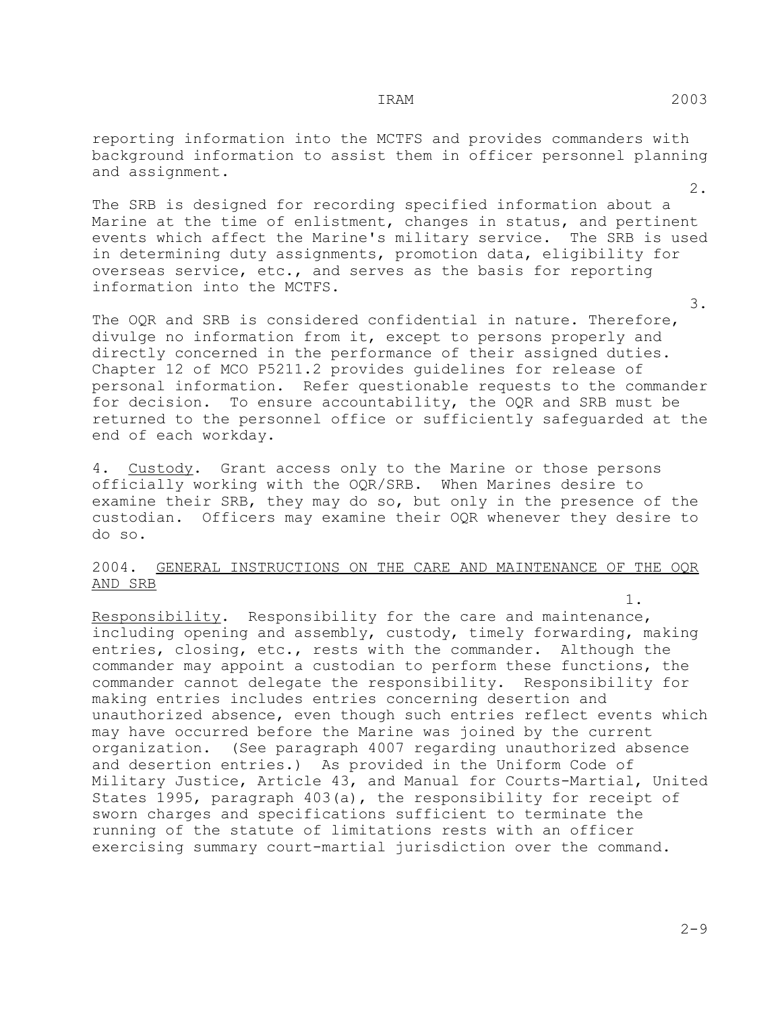reporting information into the MCTFS and provides commanders with background information to assist them in officer personnel planning and assignment.

 2. The SRB is designed for recording specified information about a Marine at the time of enlistment, changes in status, and pertinent events which affect the Marine's military service. The SRB is used in determining duty assignments, promotion data, eligibility for overseas service, etc., and serves as the basis for reporting information into the MCTFS.

 3. The OQR and SRB is considered confidential in nature. Therefore, divulge no information from it, except to persons properly and directly concerned in the performance of their assigned duties. Chapter 12 of MCO P5211.2 provides guidelines for release of personal information. Refer questionable requests to the commander for decision. To ensure accountability, the OQR and SRB must be returned to the personnel office or sufficiently safeguarded at the end of each workday.

4. Custody. Grant access only to the Marine or those persons officially working with the OQR/SRB. When Marines desire to examine their SRB, they may do so, but only in the presence of the custodian. Officers may examine their OQR whenever they desire to do so.

#### 2004. GENERAL INSTRUCTIONS ON THE CARE AND MAINTENANCE OF THE OQR AND SRB

 1. Responsibility. Responsibility for the care and maintenance, including opening and assembly, custody, timely forwarding, making entries, closing, etc., rests with the commander. Although the commander may appoint a custodian to perform these functions, the commander cannot delegate the responsibility. Responsibility for making entries includes entries concerning desertion and unauthorized absence, even though such entries reflect events which may have occurred before the Marine was joined by the current organization. (See paragraph 4007 regarding unauthorized absence and desertion entries.) As provided in the Uniform Code of Military Justice, Article 43, and Manual for Courts-Martial, United States 1995, paragraph 403(a), the responsibility for receipt of sworn charges and specifications sufficient to terminate the running of the statute of limitations rests with an officer exercising summary court-martial jurisdiction over the command.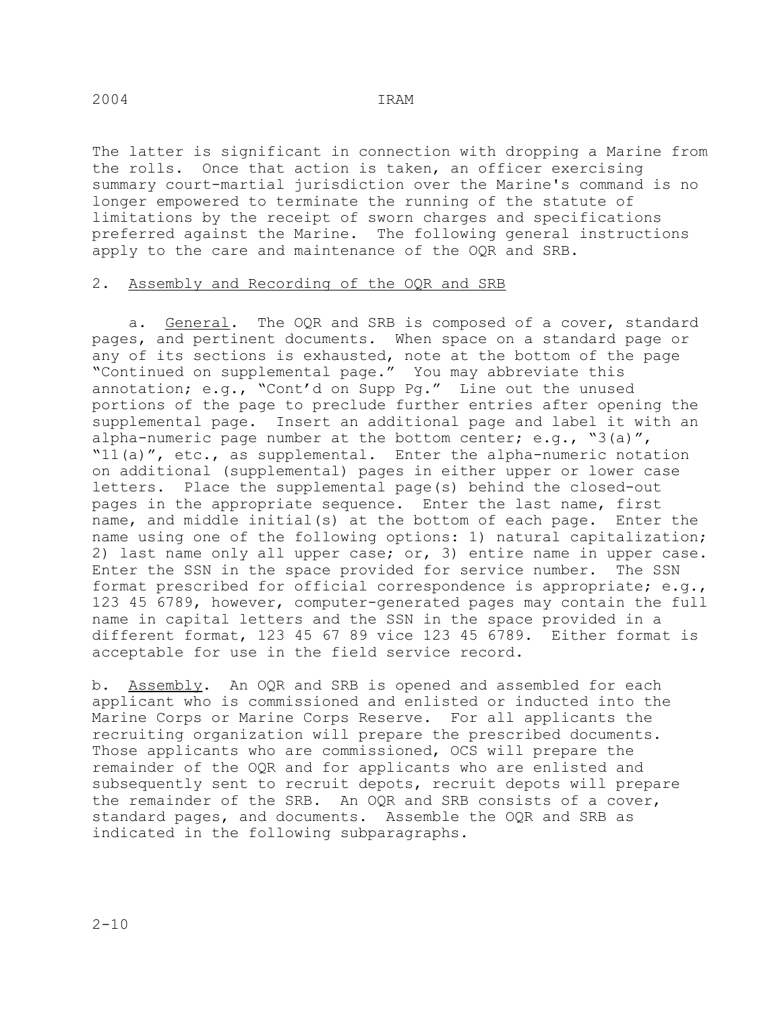# The latter is significant in connection with dropping a Marine from the rolls. Once that action is taken, an officer exercising summary court-martial jurisdiction over the Marine's command is no longer empowered to terminate the running of the statute of limitations by the receipt of sworn charges and specifications preferred against the Marine. The following general instructions

#### 2. Assembly and Recording of the OQR and SRB

apply to the care and maintenance of the OQR and SRB.

a. General. The OQR and SRB is composed of a cover, standard pages, and pertinent documents. When space on a standard page or any of its sections is exhausted, note at the bottom of the page "Continued on supplemental page." You may abbreviate this annotation; e.g., "Cont'd on Supp Pg." Line out the unused portions of the page to preclude further entries after opening the supplemental page. Insert an additional page and label it with an alpha-numeric page number at the bottom center; e.g., "3(a)", "11(a)", etc., as supplemental. Enter the alpha-numeric notation on additional (supplemental) pages in either upper or lower case letters. Place the supplemental page(s) behind the closed-out pages in the appropriate sequence. Enter the last name, first name, and middle initial(s) at the bottom of each page. Enter the name using one of the following options: 1) natural capitalization; 2) last name only all upper case; or, 3) entire name in upper case. Enter the SSN in the space provided for service number. The SSN format prescribed for official correspondence is appropriate; e.g., 123 45 6789, however, computer-generated pages may contain the full name in capital letters and the SSN in the space provided in a different format, 123 45 67 89 vice 123 45 6789. Either format is acceptable for use in the field service record.

b. Assembly. An OQR and SRB is opened and assembled for each applicant who is commissioned and enlisted or inducted into the Marine Corps or Marine Corps Reserve. For all applicants the recruiting organization will prepare the prescribed documents. Those applicants who are commissioned, OCS will prepare the remainder of the OQR and for applicants who are enlisted and subsequently sent to recruit depots, recruit depots will prepare the remainder of the SRB. An OQR and SRB consists of a cover, standard pages, and documents. Assemble the OQR and SRB as indicated in the following subparagraphs.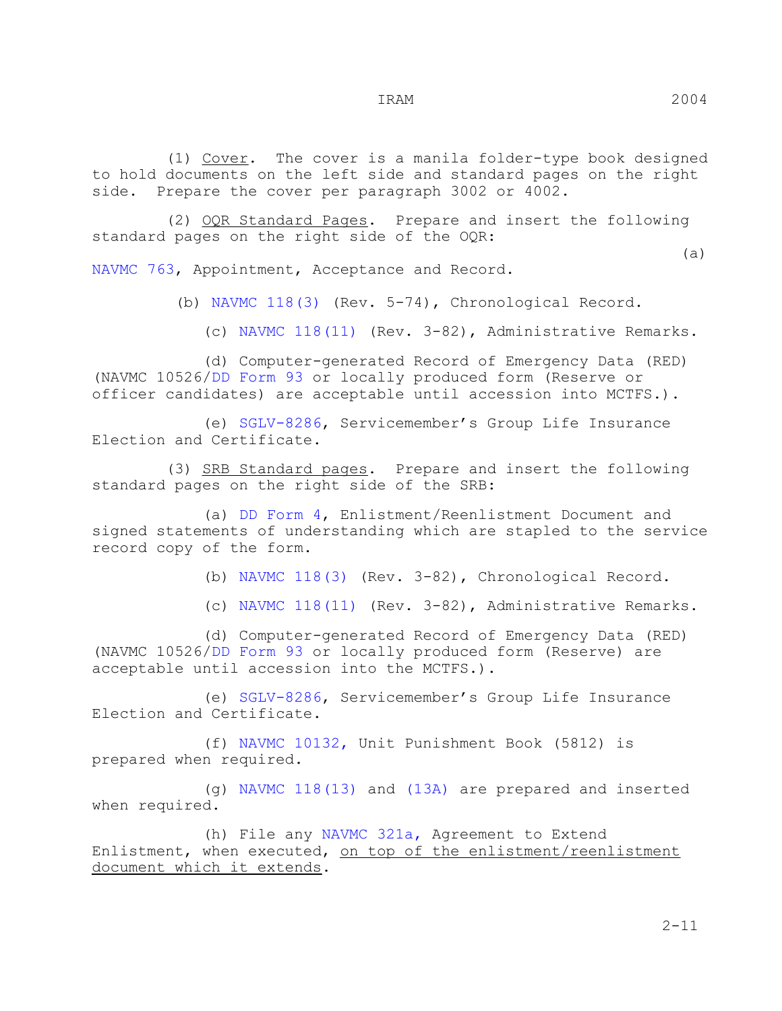(1)  $Cover.$  The cover is a manila folder-type book designed to hold documents on the left side and standard pages on the right<br>side. Prepare the cover per paragraph 3002 or 4002. Prepare the cover per paragraph 3002 or 4002.

 (2) OQR Standard Pages. Prepare and insert the following standard pages on the right side of the OQR:

 (a) NAVMC 763, Appointment, Acceptance and Record.

(b) NAVMC 118(3) (Rev. 5-74), Chronological Record.

(c) NAVMC 118(11) (Rev. 3-82), Administrative Remarks.

 (d) Computer-generated Record of Emergency Data (RED) (NAVMC 10526/DD Form 93 or locally produced form (Reserve or officer candidates) are acceptable until accession into MCTFS.).

 (e) SGLV-8286, Servicemember's Group Life Insurance Election and Certificate.

 (3) SRB Standard pages. Prepare and insert the following standard pages on the right side of the SRB:

 (a) DD Form 4, Enlistment/Reenlistment Document and signed statements of understanding which are stapled to the service record copy of the form.

(b) NAVMC 118(3) (Rev. 3-82), Chronological Record.

(c) NAVMC 118(11) (Rev. 3-82), Administrative Remarks.

 (d) Computer-generated Record of Emergency Data (RED) (NAVMC 10526/DD Form 93 or locally produced form (Reserve) are acceptable until accession into the MCTFS.).

 (e) SGLV-8286, Servicemember's Group Life Insurance Election and Certificate.

 (f) NAVMC 10132, Unit Punishment Book (5812) is prepared when required.

 (g) NAVMC 118(13) and (13A) are prepared and inserted when required.

 (h) File any NAVMC 321a, Agreement to Extend Enlistment, when executed, on top of the enlistment/reenlistment document which it extends.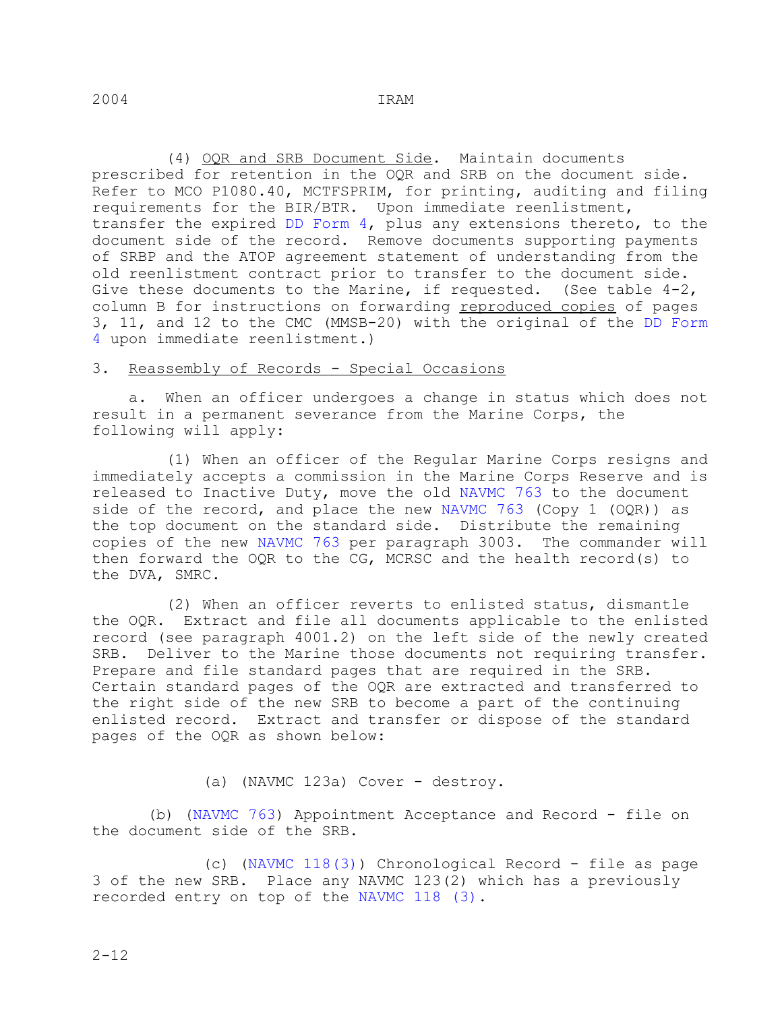(4) OQR and SRB Document Side. Maintain documents prescribed for retention in the OQR and SRB on the document side. Refer to MCO P1080.40, MCTFSPRIM, for printing, auditing and filing requirements for the BIR/BTR. Upon immediate reenlistment, transfer the expired DD Form 4, plus any extensions thereto, to the document side of the record. Remove documents supporting payments of SRBP and the ATOP agreement statement of understanding from the old reenlistment contract prior to transfer to the document side. Give these documents to the Marine, if requested. (See table 4-2, column B for instructions on forwarding reproduced copies of pages 3, 11, and 12 to the CMC (MMSB-20) with the original of the DD Form 4 upon immediate reenlistment.)

#### 3. Reassembly of Records - Special Occasions

 a. When an officer undergoes a change in status which does not result in a permanent severance from the Marine Corps, the following will apply:

 (1) When an officer of the Regular Marine Corps resigns and immediately accepts a commission in the Marine Corps Reserve and is released to Inactive Duty, move the old NAVMC 763 to the document side of the record, and place the new NAVMC 763 (Copy 1 (OQR)) as the top document on the standard side. Distribute the remaining copies of the new NAVMC 763 per paragraph 3003. The commander will then forward the OQR to the CG, MCRSC and the health record(s) to the DVA, SMRC.

 (2) When an officer reverts to enlisted status, dismantle the OQR. Extract and file all documents applicable to the enlisted record (see paragraph 4001.2) on the left side of the newly created SRB. Deliver to the Marine those documents not requiring transfer. Prepare and file standard pages that are required in the SRB. Certain standard pages of the OQR are extracted and transferred to the right side of the new SRB to become a part of the continuing enlisted record. Extract and transfer or dispose of the standard pages of the OQR as shown below:

(a) (NAVMC 123a) Cover - destroy.

 (b) (NAVMC 763) Appointment Acceptance and Record - file on the document side of the SRB.

 (c) (NAVMC 118(3)) Chronological Record - file as page 3 of the new SRB. Place any NAVMC 123(2) which has a previously recorded entry on top of the NAVMC 118 (3).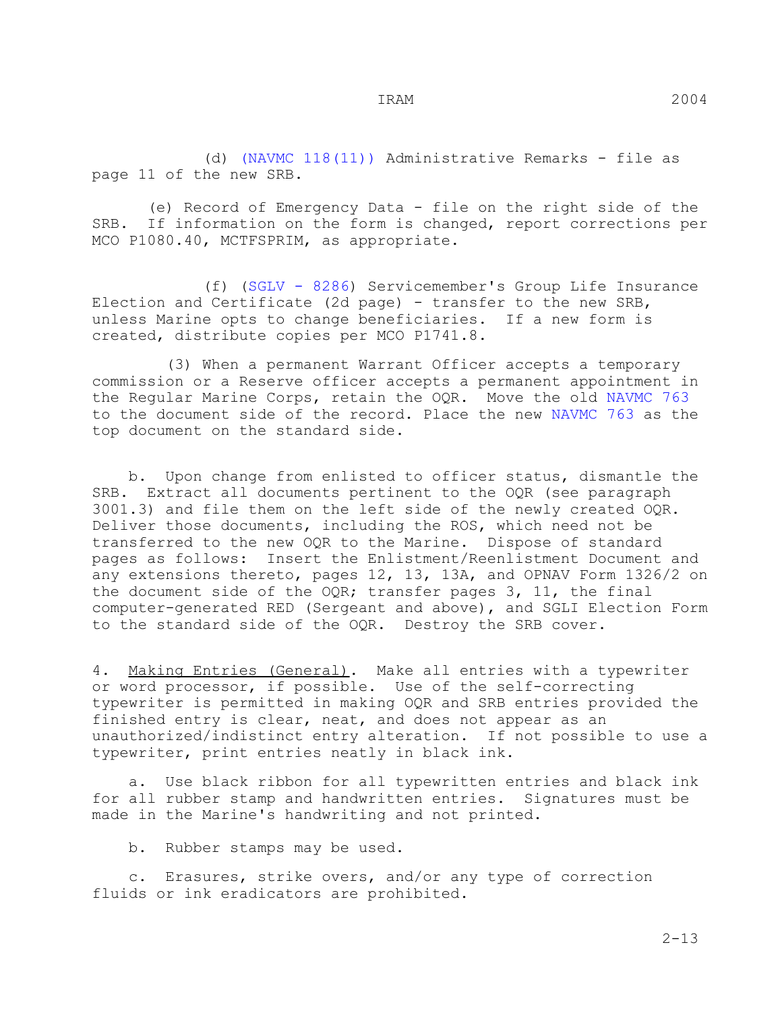(d) (NAVMC 118(11)) Administrative Remarks - file as page 11 of the new SRB.

(e) Record of Emergency Data - file on the right side of the<br>SRB. If information on the form is changed, report corrections per If information on the form is changed, report corrections per MCO P1080.40, MCTFSPRIM, as appropriate.

 (f) (SGLV - 8286) Servicemember's Group Life Insurance Election and Certificate (2d page) - transfer to the new SRB, unless Marine opts to change beneficiaries. If a new form is created, distribute copies per MCO P1741.8.

 (3) When a permanent Warrant Officer accepts a temporary commission or a Reserve officer accepts a permanent appointment in the Regular Marine Corps, retain the OQR. Move the old NAVMC 763 to the document side of the record. Place the new NAVMC 763 as the top document on the standard side.

 b. Upon change from enlisted to officer status, dismantle the SRB. Extract all documents pertinent to the OQR (see paragraph 3001.3) and file them on the left side of the newly created OQR. Deliver those documents, including the ROS, which need not be transferred to the new OQR to the Marine. Dispose of standard pages as follows: Insert the Enlistment/Reenlistment Document and any extensions thereto, pages 12, 13, 13A, and OPNAV Form 1326/2 on the document side of the OQR; transfer pages 3, 11, the final computer-generated RED (Sergeant and above), and SGLI Election Form to the standard side of the OQR. Destroy the SRB cover.

4. Making Entries (General). Make all entries with a typewriter or word processor, if possible. Use of the self-correcting typewriter is permitted in making OQR and SRB entries provided the finished entry is clear, neat, and does not appear as an unauthorized/indistinct entry alteration. If not possible to use a typewriter, print entries neatly in black ink.

 a. Use black ribbon for all typewritten entries and black ink for all rubber stamp and handwritten entries. Signatures must be made in the Marine's handwriting and not printed.

b. Rubber stamps may be used.

 c. Erasures, strike overs, and/or any type of correction fluids or ink eradicators are prohibited.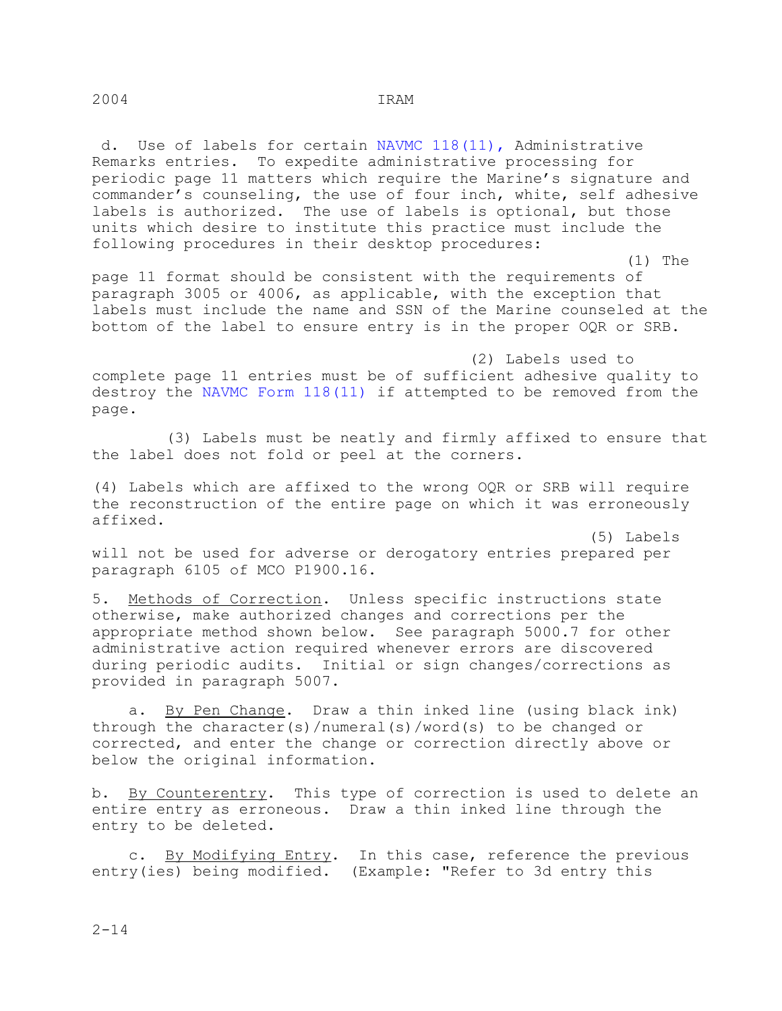Use of labels for certain NAVMC 118(11), Administrative Remarks entries. To expedite administrative processing for periodic page 11 matters which require the Marine's signature and commander's counseling, the use of four inch, white, self adhesive labels is authorized. The use of labels is optional, but those units which desire to institute this practice must include the following procedures in their desktop procedures:

 (1) The page 11 format should be consistent with the requirements of paragraph 3005 or 4006, as applicable, with the exception that labels must include the name and SSN of the Marine counseled at the bottom of the label to ensure entry is in the proper OQR or SRB.

 (2) Labels used to complete page 11 entries must be of sufficient adhesive quality to destroy the NAVMC Form 118(11) if attempted to be removed from the page.

 (3) Labels must be neatly and firmly affixed to ensure that the label does not fold or peel at the corners.

(4) Labels which are affixed to the wrong OQR or SRB will require the reconstruction of the entire page on which it was erroneously affixed.

 (5) Labels will not be used for adverse or derogatory entries prepared per paragraph 6105 of MCO P1900.16.

5. Methods of Correction. Unless specific instructions state otherwise, make authorized changes and corrections per the appropriate method shown below. See paragraph 5000.7 for other administrative action required whenever errors are discovered<br>during periodic audits. Initial or sign changes/corrections a Initial or sign changes/corrections as provided in paragraph 5007.

 a. By Pen Change. Draw a thin inked line (using black ink) through the character(s)/numeral(s)/word(s) to be changed or corrected, and enter the change or correction directly above or below the original information.

b. <u>By Counterentry</u>. This type of correction is used to delete an entire entry as erroneous. Draw a thin inked line through the entry to be deleted.

c. By Modifying Entry. In this case, reference the previous entry(ies) being modified. (Example: "Refer to 3d entry this

2004 IRAM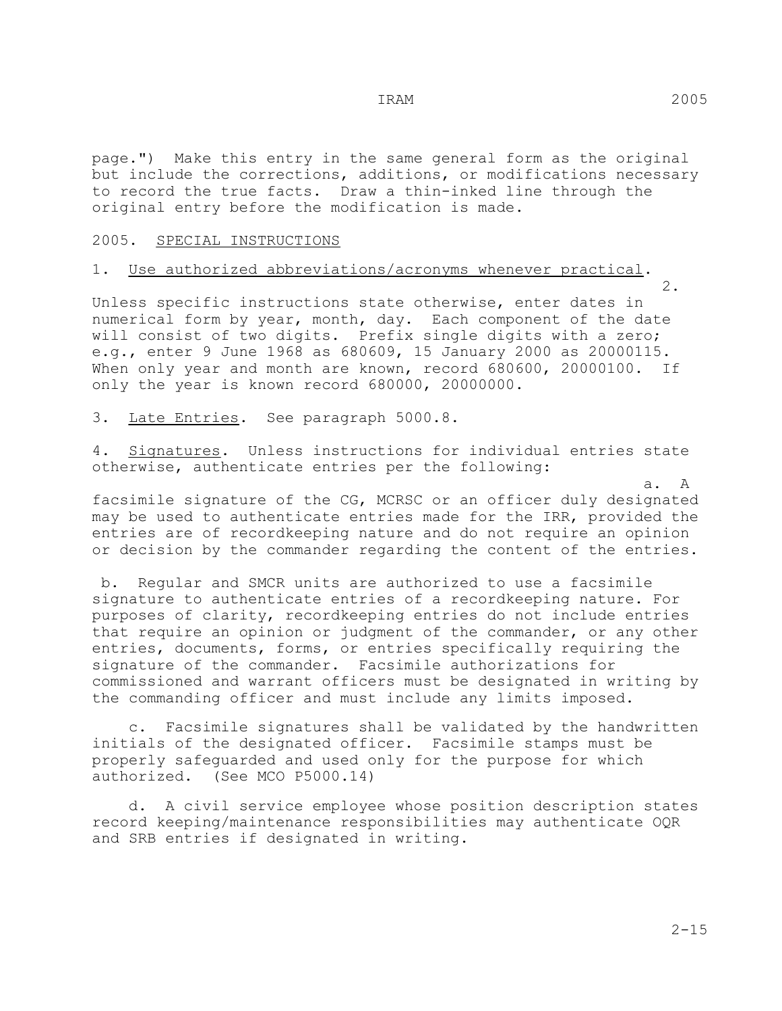page.") Make this entry in the same general form as the original but include the corrections, additions, or modifications necessary to record the true facts. Draw a thin-inked line through the original entry before the modification is made.

#### 2005. SPECIAL INSTRUCTIONS

# 1. Use authorized abbreviations/acronyms whenever practical.<br>2.

 2. Unless specific instructions state otherwise, enter dates in numerical form by year, month, day. Each component of the date will consist of two digits. Prefix single digits with a zero; e.g., enter 9 June 1968 as 680609, 15 January 2000 as 20000115. When only year and month are known, record 680600, 20000100. If only the year is known record 680000, 20000000.

3. Late Entries. See paragraph 5000.8.

4. Signatures. Unless instructions for individual entries state otherwise, authenticate entries per the following:

 a. A facsimile signature of the CG, MCRSC or an officer duly designated may be used to authenticate entries made for the IRR, provided the entries are of recordkeeping nature and do not require an opinion or decision by the commander regarding the content of the entries.

 b. Regular and SMCR units are authorized to use a facsimile signature to authenticate entries of a recordkeeping nature. For purposes of clarity, recordkeeping entries do not include entries that require an opinion or judgment of the commander, or any other entries, documents, forms, or entries specifically requiring the signature of the commander. Facsimile authorizations for commissioned and warrant officers must be designated in writing by the commanding officer and must include any limits imposed.

 c. Facsimile signatures shall be validated by the handwritten initials of the designated officer. Facsimile stamps must be properly safeguarded and used only for the purpose for which authorized. (See MCO P5000.14)

 d. A civil service employee whose position description states record keeping/maintenance responsibilities may authenticate OQR and SRB entries if designated in writing.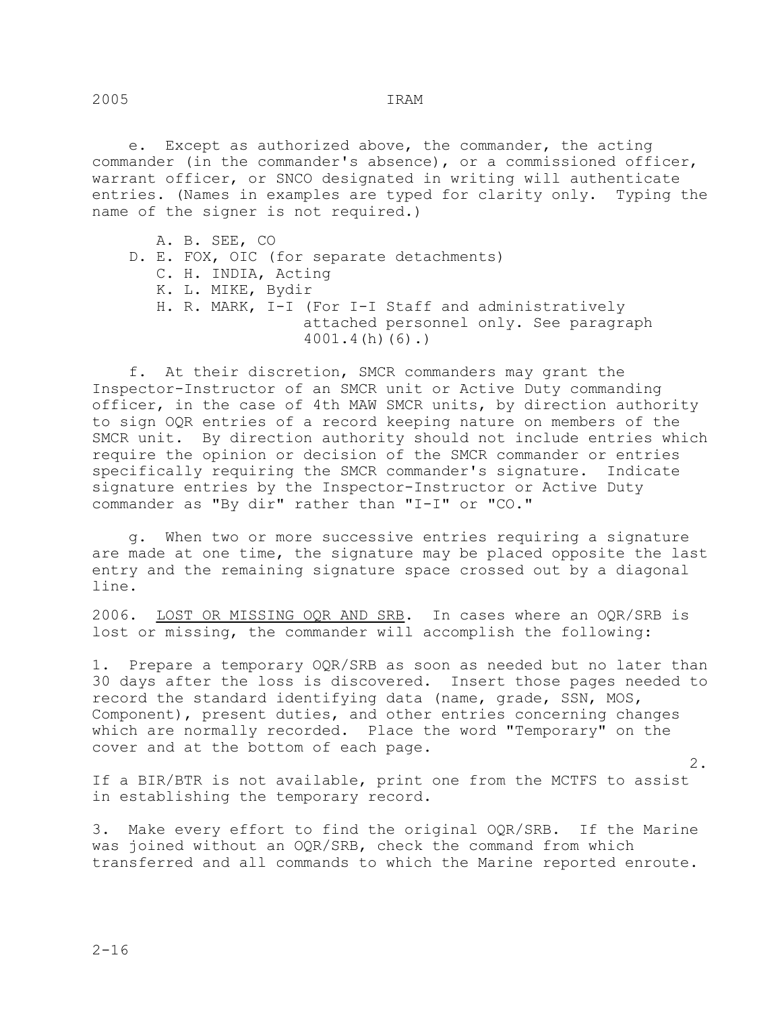e. Except as authorized above, the commander, the acting commander (in the commander's absence), or a commissioned officer, warrant officer, or SNCO designated in writing will authenticate entries. (Names in examples are typed for clarity only. Typing the name of the signer is not required.)

 A. B. SEE, CO D. E. FOX, OIC (for separate detachments) C. H. INDIA, Acting K. L. MIKE, Bydir H. R. MARK, I-I (For I-I Staff and administratively

 attached personnel only. See paragraph 4001.4(h)(6).)

 f. At their discretion, SMCR commanders may grant the Inspector-Instructor of an SMCR unit or Active Duty commanding officer, in the case of 4th MAW SMCR units, by direction authority to sign OQR entries of a record keeping nature on members of the SMCR unit. By direction authority should not include entries which require the opinion or decision of the SMCR commander or entries specifically requiring the SMCR commander's signature. Indicate signature entries by the Inspector-Instructor or Active Duty commander as "By dir" rather than "I-I" or "CO."

 g. When two or more successive entries requiring a signature are made at one time, the signature may be placed opposite the last entry and the remaining signature space crossed out by a diagonal line.

2006. LOST OR MISSING OQR AND SRB. In cases where an OQR/SRB is lost or missing, the commander will accomplish the following:

1. Prepare a temporary OQR/SRB as soon as needed but no later than 30 days after the loss is discovered. Insert those pages needed to record the standard identifying data (name, grade, SSN, MOS, Component), present duties, and other entries concerning changes which are normally recorded. Place the word "Temporary" on the cover and at the bottom of each page.

 2. If a BIR/BTR is not available, print one from the MCTFS to assist in establishing the temporary record.

3. Make every effort to find the original OQR/SRB. If the Marine was joined without an OQR/SRB, check the command from which transferred and all commands to which the Marine reported enroute.

2005 IRAM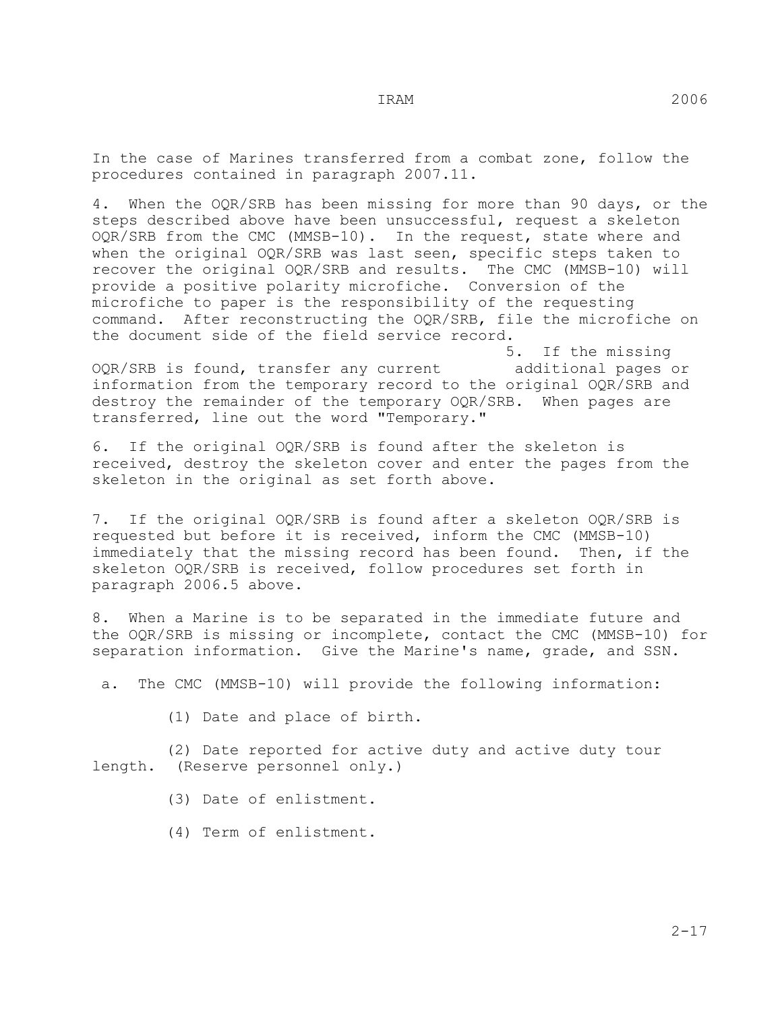In the case of Marines transferred from a combat zone, follow the procedures contained in paragraph 2007.11.

4. When the OQR/SRB has been missing for more than 90 days, or the steps described above have been unsuccessful, request a skeleton OQR/SRB from the CMC (MMSB-10). In the request, state where and when the original OQR/SRB was last seen, specific steps taken to recover the original OQR/SRB and results. The CMC (MMSB-10) will provide a positive polarity microfiche. Conversion of the microfiche to paper is the responsibility of the requesting command. After reconstructing the OQR/SRB, file the microfiche on the document side of the field service record.<br>5.

5. If the missing<br>additional pages or OQR/SRB is found, transfer any current information from the temporary record to the original OQR/SRB and destroy the remainder of the temporary OQR/SRB. When pages are transferred, line out the word "Temporary."

6. If the original OQR/SRB is found after the skeleton is received, destroy the skeleton cover and enter the pages from the skeleton in the original as set forth above.

7. If the original OQR/SRB is found after a skeleton OQR/SRB is requested but before it is received, inform the CMC (MMSB-10) immediately that the missing record has been found. Then, if the skeleton OQR/SRB is received, follow procedures set forth in paragraph 2006.5 above.

8. When a Marine is to be separated in the immediate future and the OQR/SRB is missing or incomplete, contact the CMC (MMSB-10) for separation information. Give the Marine's name, grade, and SSN.

a. The CMC (MMSB-10) will provide the following information:

(1) Date and place of birth.

 (2) Date reported for active duty and active duty tour length. (Reserve personnel only.)

(3) Date of enlistment.

(4) Term of enlistment.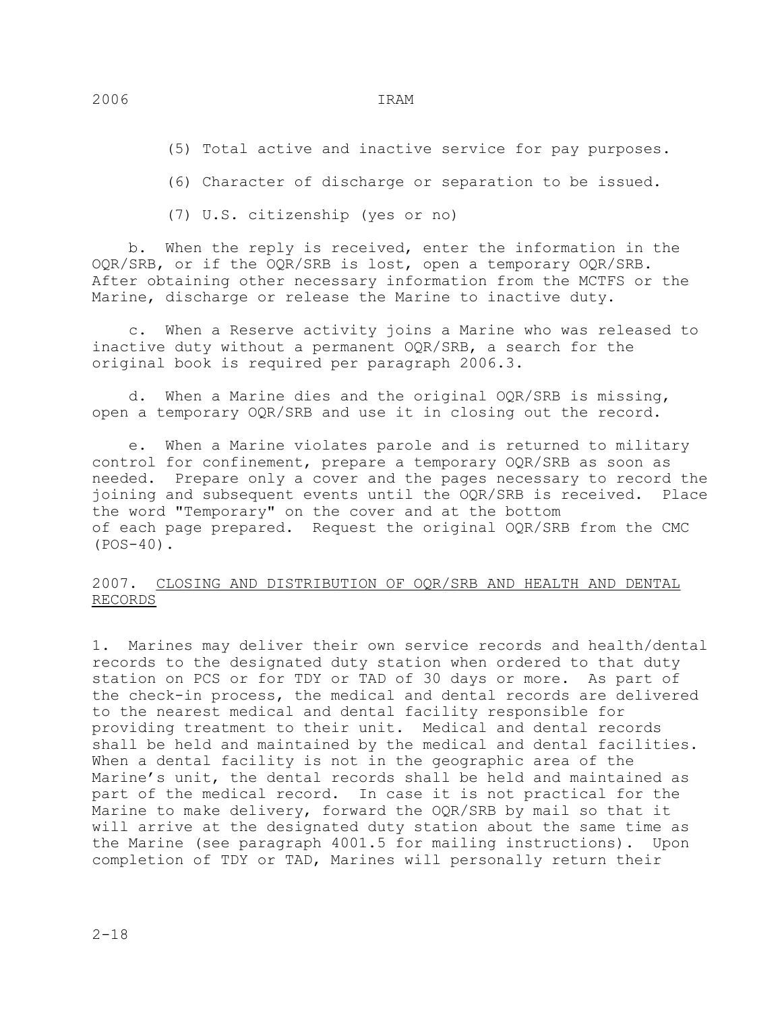(5) Total active and inactive service for pay purposes.

(6) Character of discharge or separation to be issued.

(7) U.S. citizenship (yes or no)

 b. When the reply is received, enter the information in the OQR/SRB, or if the OQR/SRB is lost, open a temporary OQR/SRB. After obtaining other necessary information from the MCTFS or the Marine, discharge or release the Marine to inactive duty.

 c. When a Reserve activity joins a Marine who was released to inactive duty without a permanent OQR/SRB, a search for the original book is required per paragraph 2006.3.

 d. When a Marine dies and the original OQR/SRB is missing, open a temporary OQR/SRB and use it in closing out the record.

 e. When a Marine violates parole and is returned to military control for confinement, prepare a temporary OQR/SRB as soon as needed. Prepare only a cover and the pages necessary to record the joining and subsequent events until the OQR/SRB is received. Place the word "Temporary" on the cover and at the bottom of each page prepared. Request the original OQR/SRB from the CMC  $(POS-40)$ .

#### 2007. CLOSING AND DISTRIBUTION OF OQR/SRB AND HEALTH AND DENTAL RECORDS

1. Marines may deliver their own service records and health/dental records to the designated duty station when ordered to that duty station on PCS or for TDY or TAD of 30 days or more. As part of the check-in process, the medical and dental records are delivered to the nearest medical and dental facility responsible for providing treatment to their unit. Medical and dental records shall be held and maintained by the medical and dental facilities. When a dental facility is not in the geographic area of the Marine's unit, the dental records shall be held and maintained as part of the medical record. In case it is not practical for the Marine to make delivery, forward the OQR/SRB by mail so that it will arrive at the designated duty station about the same time as the Marine (see paragraph 4001.5 for mailing instructions). Upon completion of TDY or TAD, Marines will personally return their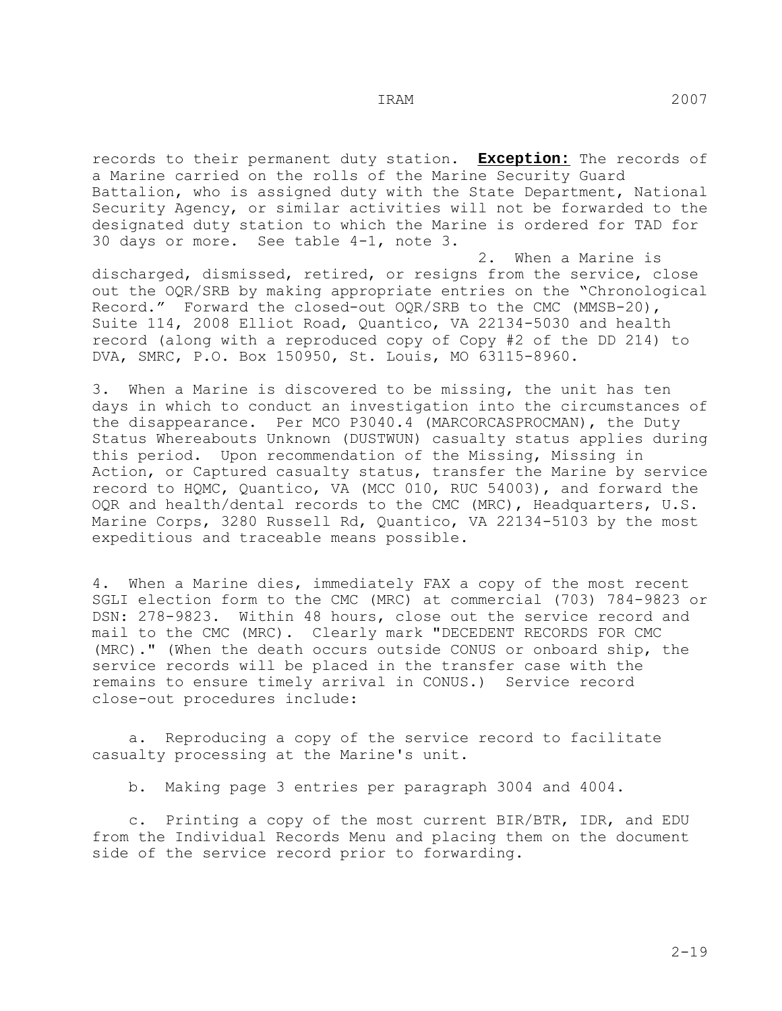records to their permanent duty station. **Exception:** The records of a Marine carried on the rolls of the Marine Security Guard Battalion, who is assigned duty with the State Department, National Security Agency, or similar activities will not be forwarded to the designated duty station to which the Marine is ordered for TAD for 30 days or more. See table 4-1, note 3.

 2. When a Marine is discharged, dismissed, retired, or resigns from the service, close out the OQR/SRB by making appropriate entries on the "Chronological Record." Forward the closed-out OQR/SRB to the CMC (MMSB-20), Suite 114, 2008 Elliot Road, Quantico, VA 22134-5030 and health record (along with a reproduced copy of Copy #2 of the DD 214) to DVA, SMRC, P.O. Box 150950, St. Louis, MO 63115-8960.

3. When a Marine is discovered to be missing, the unit has ten days in which to conduct an investigation into the circumstances of the disappearance. Per MCO P3040.4 (MARCORCASPROCMAN), the Duty Status Whereabouts Unknown (DUSTWUN) casualty status applies during this period. Upon recommendation of the Missing, Missing in Action, or Captured casualty status, transfer the Marine by service record to HQMC, Quantico, VA (MCC 010, RUC 54003), and forward the OQR and health/dental records to the CMC (MRC), Headquarters, U.S. Marine Corps, 3280 Russell Rd, Quantico, VA 22134-5103 by the most expeditious and traceable means possible.

4. When a Marine dies, immediately FAX a copy of the most recent SGLI election form to the CMC (MRC) at commercial (703) 784-9823 or DSN: 278-9823. Within 48 hours, close out the service record and mail to the CMC (MRC). Clearly mark "DECEDENT RECORDS FOR CMC (MRC)." (When the death occurs outside CONUS or onboard ship, the service records will be placed in the transfer case with the remains to ensure timely arrival in CONUS.) Service record close-out procedures include:

 a. Reproducing a copy of the service record to facilitate casualty processing at the Marine's unit.

b. Making page 3 entries per paragraph 3004 and 4004.

 c. Printing a copy of the most current BIR/BTR, IDR, and EDU from the Individual Records Menu and placing them on the document side of the service record prior to forwarding.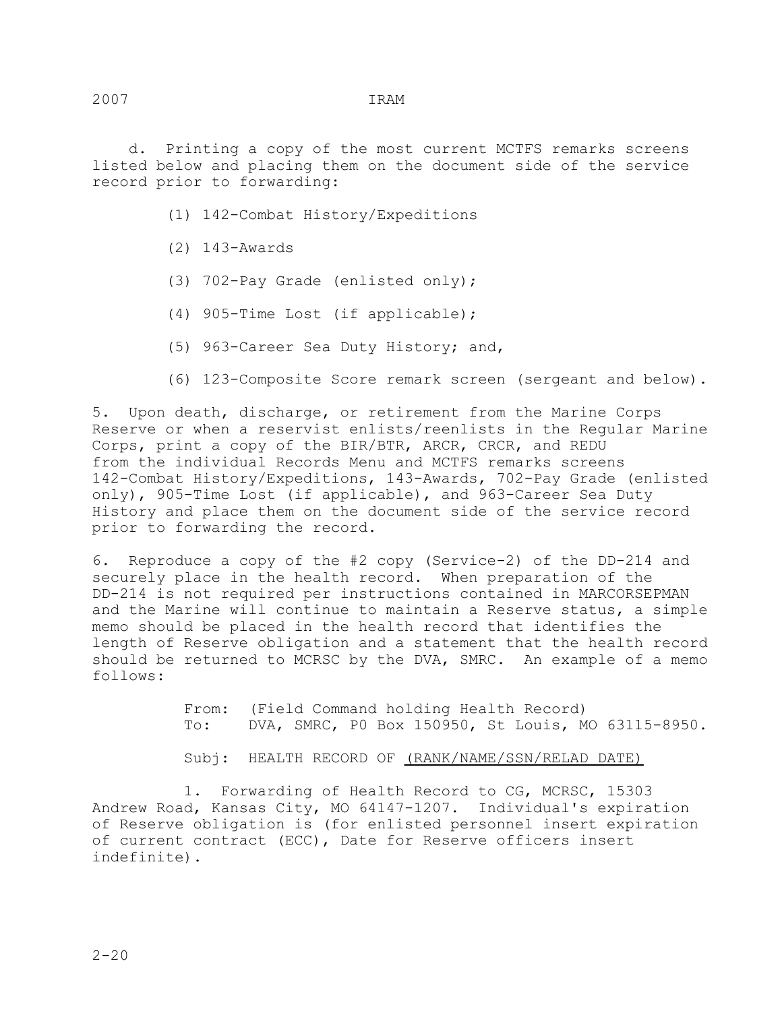d. Printing a copy of the most current MCTFS remarks screens listed below and placing them on the document side of the service record prior to forwarding:

- (1) 142-Combat History/Expeditions
- (2) 143-Awards
- (3) 702-Pay Grade (enlisted only);
- (4) 905-Time Lost (if applicable);
- (5) 963-Career Sea Duty History; and,
- (6) 123-Composite Score remark screen (sergeant and below).

5. Upon death, discharge, or retirement from the Marine Corps Reserve or when a reservist enlists/reenlists in the Regular Marine Corps, print a copy of the BIR/BTR, ARCR, CRCR, and REDU from the individual Records Menu and MCTFS remarks screens 142-Combat History/Expeditions, 143-Awards, 702-Pay Grade (enlisted only), 905-Time Lost (if applicable), and 963-Career Sea Duty History and place them on the document side of the service record prior to forwarding the record.

6. Reproduce a copy of the #2 copy (Service-2) of the DD-214 and securely place in the health record. When preparation of the DD-214 is not required per instructions contained in MARCORSEPMAN and the Marine will continue to maintain a Reserve status, a simple memo should be placed in the health record that identifies the length of Reserve obligation and a statement that the health record should be returned to MCRSC by the DVA, SMRC. An example of a memo follows:

> From: (Field Command holding Health Record)<br>To: DVA, SMRC, PO Box 150950, St Louis, M DVA, SMRC, P0 Box 150950, St Louis, MO 63115-8950.

Subj: HEALTH RECORD OF (RANK/NAME/SSN/RELAD DATE)

 1. Forwarding of Health Record to CG, MCRSC, 15303 Andrew Road, Kansas City, MO 64147-1207. Individual's expiration of Reserve obligation is (for enlisted personnel insert expiration of current contract (ECC), Date for Reserve officers insert indefinite).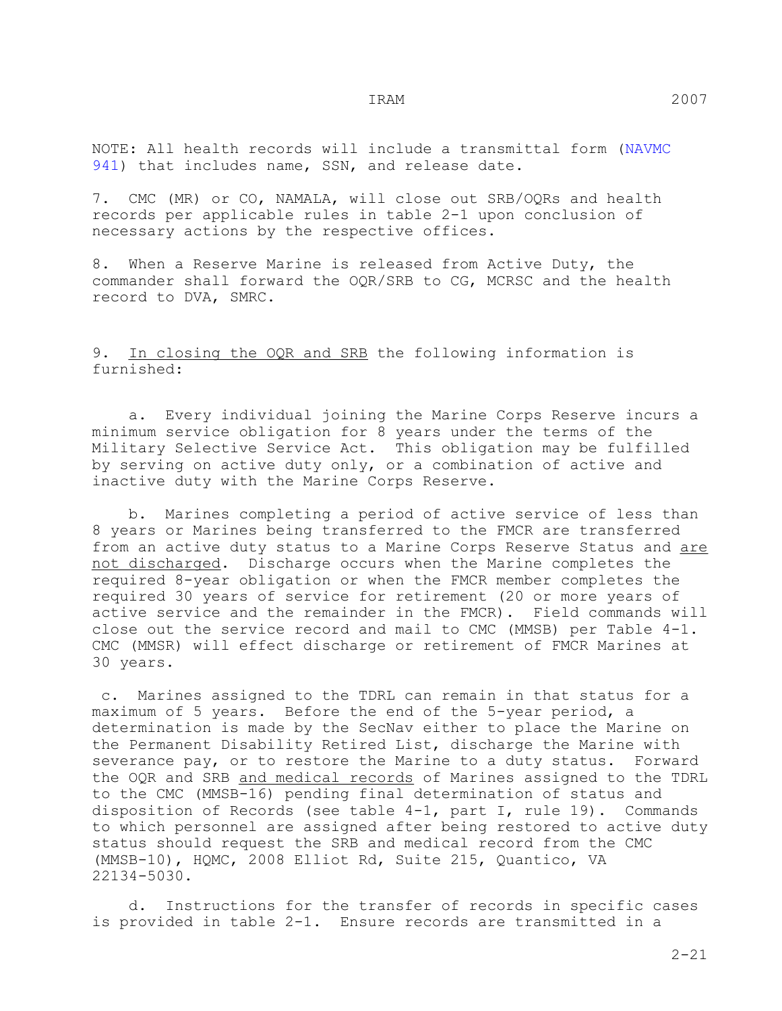NOTE: All health records will include a transmittal form (NAVMC 941) that includes name, SSN, and release date.

7. CMC (MR) or CO, NAMALA, will close out SRB/OQRs and health records per applicable rules in table 2-1 upon conclusion of necessary actions by the respective offices.

8. When a Reserve Marine is released from Active Duty, the commander shall forward the OQR/SRB to CG, MCRSC and the health record to DVA, SMRC.

## 9. In closing the OQR and SRB the following information is furnished:

 a. Every individual joining the Marine Corps Reserve incurs a minimum service obligation for 8 years under the terms of the Military Selective Service Act. This obligation may be fulfilled by serving on active duty only, or a combination of active and inactive duty with the Marine Corps Reserve.

 b. Marines completing a period of active service of less than 8 years or Marines being transferred to the FMCR are transferred from an active duty status to a Marine Corps Reserve Status and are not discharged. Discharge occurs when the Marine completes the required 8-year obligation or when the FMCR member completes the required 30 years of service for retirement (20 or more years of active service and the remainder in the FMCR). Field commands will close out the service record and mail to CMC (MMSB) per Table 4-1. CMC (MMSR) will effect discharge or retirement of FMCR Marines at 30 years.

 c. Marines assigned to the TDRL can remain in that status for a maximum of 5 years. Before the end of the 5-year period, a determination is made by the SecNav either to place the Marine on the Permanent Disability Retired List, discharge the Marine with severance pay, or to restore the Marine to a duty status. Forward the OQR and SRB and medical records of Marines assigned to the TDRL to the CMC (MMSB-16) pending final determination of status and disposition of Records (see table 4-1, part I, rule 19). Commands to which personnel are assigned after being restored to active duty status should request the SRB and medical record from the CMC (MMSB-10), HQMC, 2008 Elliot Rd, Suite 215, Quantico, VA 22134-5030.

 d. Instructions for the transfer of records in specific cases is provided in table 2-1. Ensure records are transmitted in a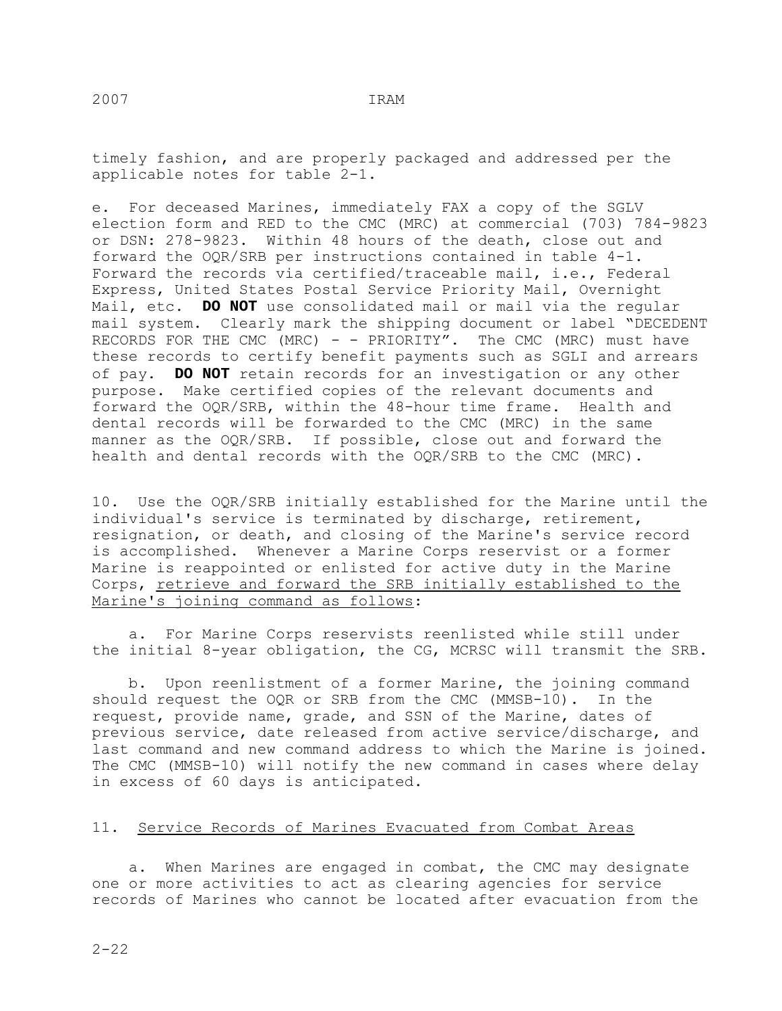timely fashion, and are properly packaged and addressed per the applicable notes for table 2-1.

e. For deceased Marines, immediately FAX a copy of the SGLV election form and RED to the CMC (MRC) at commercial (703) 784-9823 or DSN: 278-9823. Within 48 hours of the death, close out and forward the OQR/SRB per instructions contained in table 4-1. Forward the records via certified/traceable mail, i.e., Federal Express, United States Postal Service Priority Mail, Overnight Mail, etc. **DO NOT** use consolidated mail or mail via the regular mail system. Clearly mark the shipping document or label "DECEDENT RECORDS FOR THE CMC (MRC) - - PRIORITY". The CMC (MRC) must have these records to certify benefit payments such as SGLI and arrears of pay. **DO NOT** retain records for an investigation or any other purpose. Make certified copies of the relevant documents and forward the OQR/SRB, within the 48-hour time frame. Health and dental records will be forwarded to the CMC (MRC) in the same manner as the OQR/SRB. If possible, close out and forward the health and dental records with the OQR/SRB to the CMC (MRC).

10. Use the OQR/SRB initially established for the Marine until the individual's service is terminated by discharge, retirement, resignation, or death, and closing of the Marine's service record is accomplished. Whenever a Marine Corps reservist or a former Marine is reappointed or enlisted for active duty in the Marine Corps, retrieve and forward the SRB initially established to the Marine's joining command as follows:

 a. For Marine Corps reservists reenlisted while still under the initial 8-year obligation, the CG, MCRSC will transmit the SRB.

 b. Upon reenlistment of a former Marine, the joining command should request the OQR or SRB from the CMC (MMSB-10). In the request, provide name, grade, and SSN of the Marine, dates of previous service, date released from active service/discharge, and last command and new command address to which the Marine is joined. The CMC (MMSB-10) will notify the new command in cases where delay in excess of 60 days is anticipated.

#### 11. Service Records of Marines Evacuated from Combat Areas

 a. When Marines are engaged in combat, the CMC may designate one or more activities to act as clearing agencies for service records of Marines who cannot be located after evacuation from the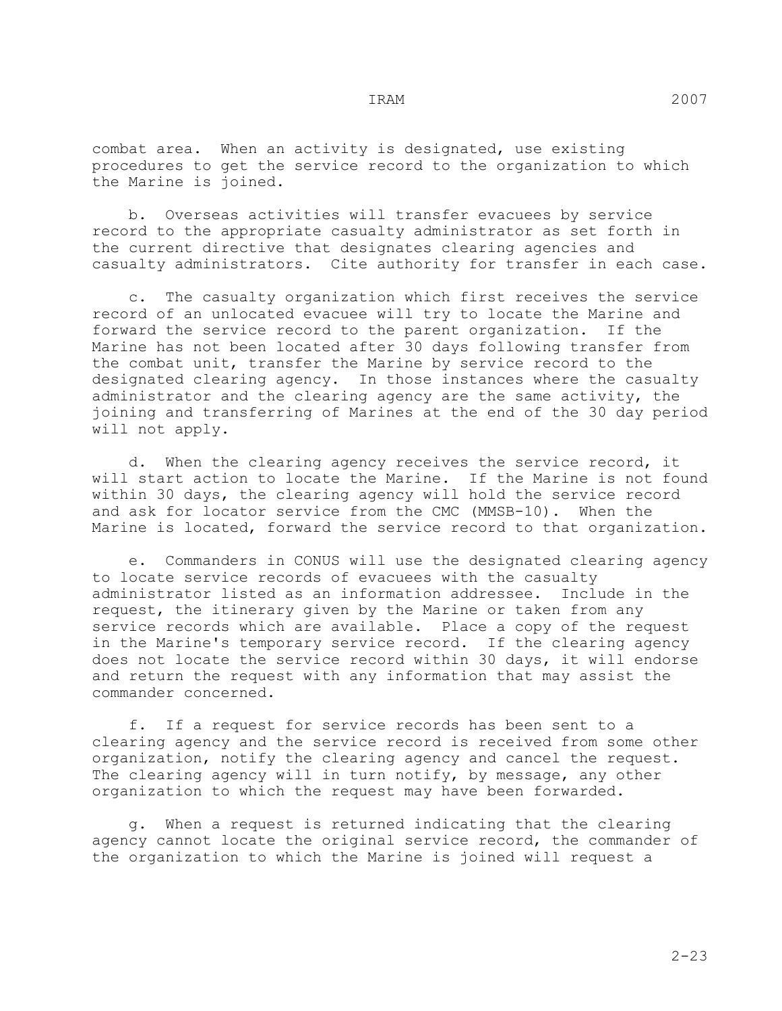b. Overseas activities will transfer evacuees by service record to the appropriate casualty administrator as set forth in the current directive that designates clearing agencies and casualty administrators. Cite authority for transfer in each case.

 c. The casualty organization which first receives the service record of an unlocated evacuee will try to locate the Marine and<br>forward the service record to the parent organization. If the forward the service record to the parent organization. Marine has not been located after 30 days following transfer from the combat unit, transfer the Marine by service record to the designated clearing agency. In those instances where the casualty administrator and the clearing agency are the same activity, the joining and transferring of Marines at the end of the 30 day period will not apply.

 d. When the clearing agency receives the service record, it will start action to locate the Marine. If the Marine is not found within 30 days, the clearing agency will hold the service record and ask for locator service from the CMC (MMSB-10). When the Marine is located, forward the service record to that organization.

 e. Commanders in CONUS will use the designated clearing agency to locate service records of evacuees with the casualty<br>administrator listed as an information addressee. Include in the administrator listed as an information addressee. request, the itinerary given by the Marine or taken from any service records which are available. Place a copy of the request in the Marine's temporary service record. If the clearing agency does not locate the service record within 30 days, it will endorse and return the request with any information that may assist the commander concerned.

 f. If a request for service records has been sent to a clearing agency and the service record is received from some other organization, notify the clearing agency and cancel the request. The clearing agency will in turn notify, by message, any other organization to which the request may have been forwarded.

 g. When a request is returned indicating that the clearing agency cannot locate the original service record, the commander of the organization to which the Marine is joined will request a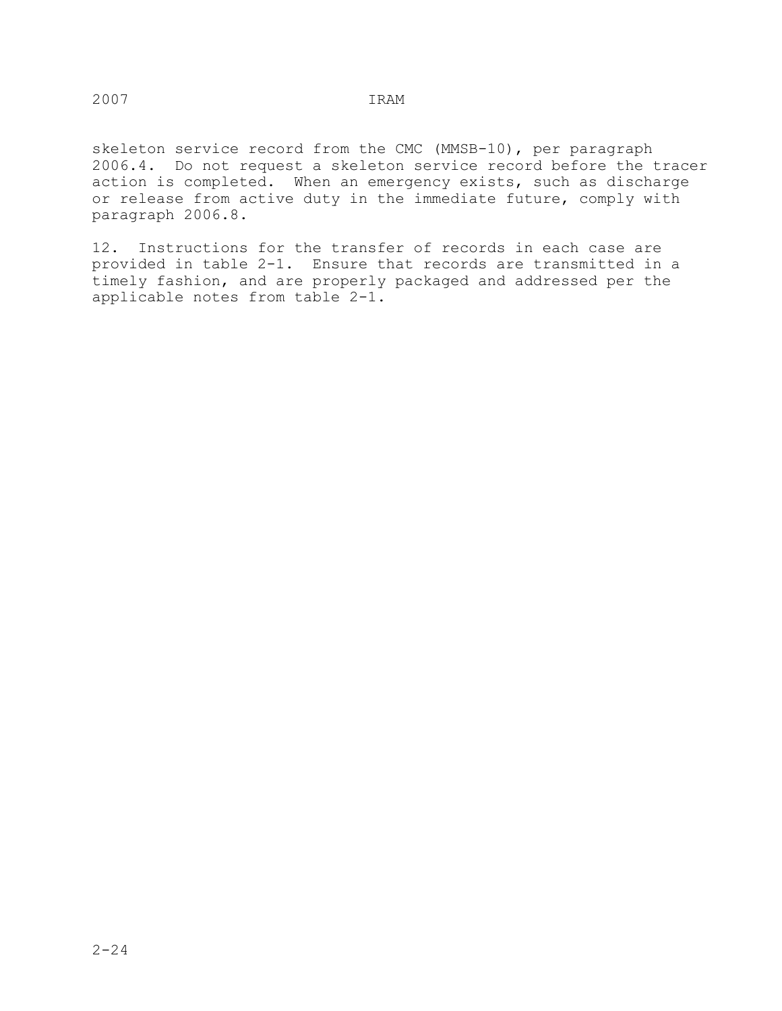skeleton service record from the CMC (MMSB-10), per paragraph 2006.4. Do not request a skeleton service record before the tracer action is completed. When an emergency exists, such as discharge or release from active duty in the immediate future, comply with paragraph 2006.8.

12. Instructions for the transfer of records in each case are provided in table 2-1. Ensure that records are transmitted in a timely fashion, and are properly packaged and addressed per the applicable notes from table 2-1.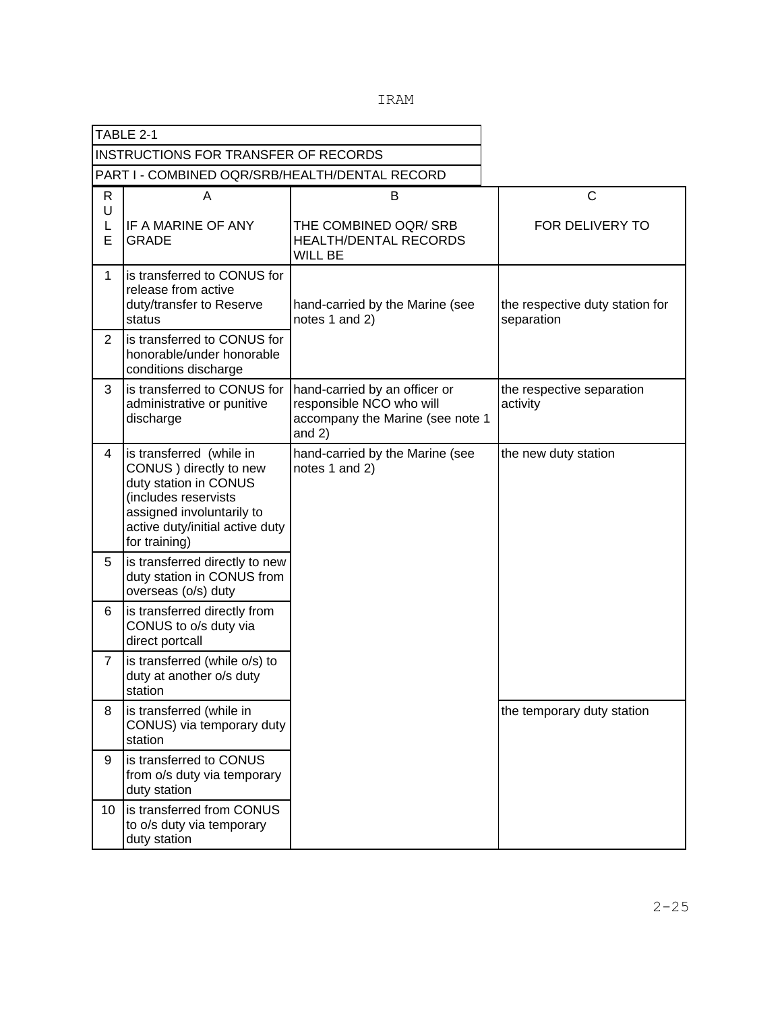|  |  | IRAM |
|--|--|------|
|  |  |      |

|                | TABLE 2-1                                                                                                                                                                             |                                                                                                           |                                               |
|----------------|---------------------------------------------------------------------------------------------------------------------------------------------------------------------------------------|-----------------------------------------------------------------------------------------------------------|-----------------------------------------------|
|                | <b>INSTRUCTIONS FOR TRANSFER OF RECORDS</b>                                                                                                                                           |                                                                                                           |                                               |
|                | PART I - COMBINED OQR/SRB/HEALTH/DENTAL RECORD                                                                                                                                        |                                                                                                           |                                               |
| R<br>U<br>L    | A<br>IF A MARINE OF ANY                                                                                                                                                               | B<br>THE COMBINED OQR/ SRB                                                                                |                                               |
| E              | <b>GRADE</b>                                                                                                                                                                          | <b>HEALTH/DENTAL RECORDS</b><br><b>WILL BE</b>                                                            |                                               |
| $\mathbf 1$    | is transferred to CONUS for<br>release from active<br>duty/transfer to Reserve<br>status                                                                                              | hand-carried by the Marine (see<br>notes 1 and 2)                                                         | the respective duty station for<br>separation |
| 2              | is transferred to CONUS for<br>honorable/under honorable<br>conditions discharge                                                                                                      |                                                                                                           |                                               |
| 3              | is transferred to CONUS for<br>administrative or punitive<br>discharge                                                                                                                | hand-carried by an officer or<br>responsible NCO who will<br>accompany the Marine (see note 1<br>and $2)$ | the respective separation<br>activity         |
| 4              | is transferred (while in<br>CONUS ) directly to new<br>duty station in CONUS<br>(includes reservists<br>assigned involuntarily to<br>active duty/initial active duty<br>for training) | hand-carried by the Marine (see<br>notes 1 and 2)                                                         | the new duty station                          |
| 5              | is transferred directly to new<br>duty station in CONUS from<br>overseas (o/s) duty                                                                                                   |                                                                                                           |                                               |
| 6              | is transferred directly from<br>CONUS to o/s duty via<br>direct portcall                                                                                                              |                                                                                                           |                                               |
| $\overline{7}$ | is transferred (while o/s) to<br>duty at another o/s duty<br>station                                                                                                                  |                                                                                                           |                                               |
| 8              | is transferred (while in<br>CONUS) via temporary duty<br>station                                                                                                                      |                                                                                                           | the temporary duty station                    |
| 9              | is transferred to CONUS<br>from o/s duty via temporary<br>duty station                                                                                                                |                                                                                                           |                                               |
| 10             | is transferred from CONUS<br>to o/s duty via temporary<br>duty station                                                                                                                |                                                                                                           |                                               |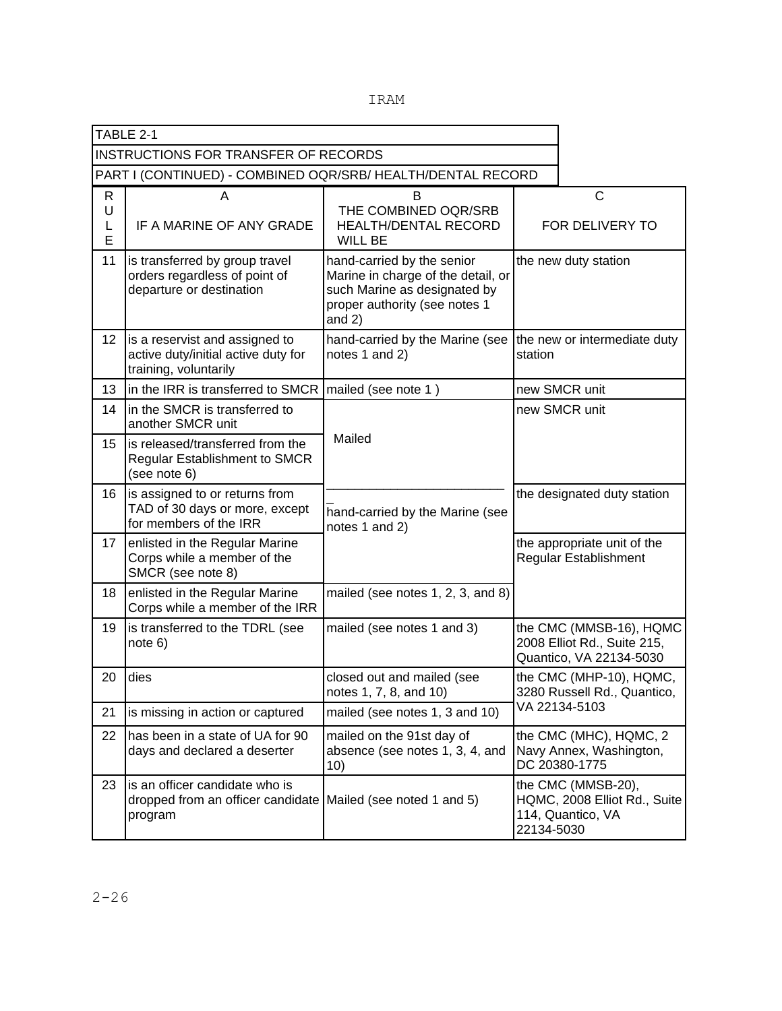|                  | TABLE 2-1                                                                                                 |                                                                                                                                               |                                                                    |                                                                                   |
|------------------|-----------------------------------------------------------------------------------------------------------|-----------------------------------------------------------------------------------------------------------------------------------------------|--------------------------------------------------------------------|-----------------------------------------------------------------------------------|
|                  | <b>INSTRUCTIONS FOR TRANSFER OF RECORDS</b>                                                               |                                                                                                                                               |                                                                    |                                                                                   |
|                  | PART I (CONTINUED) - COMBINED OQR/SRB/ HEALTH/DENTAL RECORD                                               |                                                                                                                                               |                                                                    |                                                                                   |
| R<br>U<br>L<br>E | A<br>IF A MARINE OF ANY GRADE                                                                             | B<br>THE COMBINED OQR/SRB<br><b>HEALTH/DENTAL RECORD</b><br><b>WILL BE</b>                                                                    |                                                                    | $\mathsf{C}$<br>FOR DELIVERY TO                                                   |
| 11               | is transferred by group travel<br>orders regardless of point of<br>departure or destination               | hand-carried by the senior<br>Marine in charge of the detail, or<br>such Marine as designated by<br>proper authority (see notes 1<br>and $2)$ |                                                                    | the new duty station                                                              |
| 12 <sup>°</sup>  | is a reservist and assigned to<br>active duty/initial active duty for<br>training, voluntarily            | hand-carried by the Marine (see<br>notes 1 and 2)                                                                                             | station                                                            | the new or intermediate duty                                                      |
| 13               | in the IRR is transferred to SMCR                                                                         | mailed (see note 1)                                                                                                                           |                                                                    | new SMCR unit                                                                     |
| 14               | in the SMCR is transferred to<br>another SMCR unit                                                        |                                                                                                                                               | new SMCR unit                                                      |                                                                                   |
| 15               | is released/transferred from the<br><b>Regular Establishment to SMCR</b><br>(see note 6)                  | Mailed                                                                                                                                        |                                                                    |                                                                                   |
| 16               | is assigned to or returns from<br>TAD of 30 days or more, except<br>for members of the IRR                | hand-carried by the Marine (see<br>notes 1 and 2)                                                                                             | the designated duty station                                        |                                                                                   |
| 17               | enlisted in the Regular Marine<br>Corps while a member of the<br>SMCR (see note 8)                        |                                                                                                                                               |                                                                    | the appropriate unit of the<br>Regular Establishment                              |
| 18               | enlisted in the Regular Marine<br>Corps while a member of the IRR                                         | mailed (see notes 1, 2, 3, and 8)                                                                                                             |                                                                    |                                                                                   |
| 19               | is transferred to the TDRL (see<br>note 6)                                                                | mailed (see notes 1 and 3)                                                                                                                    |                                                                    | the CMC (MMSB-16), HQMC<br>2008 Elliot Rd., Suite 215,<br>Quantico, VA 22134-5030 |
| 20               | dies                                                                                                      | closed out and mailed (see<br>notes 1, 7, 8, and 10)                                                                                          |                                                                    | the CMC (MHP-10), HQMC,<br>3280 Russell Rd., Quantico,                            |
| 21               | is missing in action or captured                                                                          | mailed (see notes 1, 3 and 10)                                                                                                                | VA 22134-5103                                                      |                                                                                   |
| 22               | has been in a state of UA for 90<br>days and declared a deserter                                          | mailed on the 91st day of<br>absence (see notes 1, 3, 4, and<br>10)                                                                           | the CMC (MHC), HQMC, 2<br>Navy Annex, Washington,<br>DC 20380-1775 |                                                                                   |
| 23               | is an officer candidate who is<br>dropped from an officer candidate Mailed (see noted 1 and 5)<br>program |                                                                                                                                               | 22134-5030                                                         | the CMC (MMSB-20),<br>HQMC, 2008 Elliot Rd., Suite<br>114, Quantico, VA           |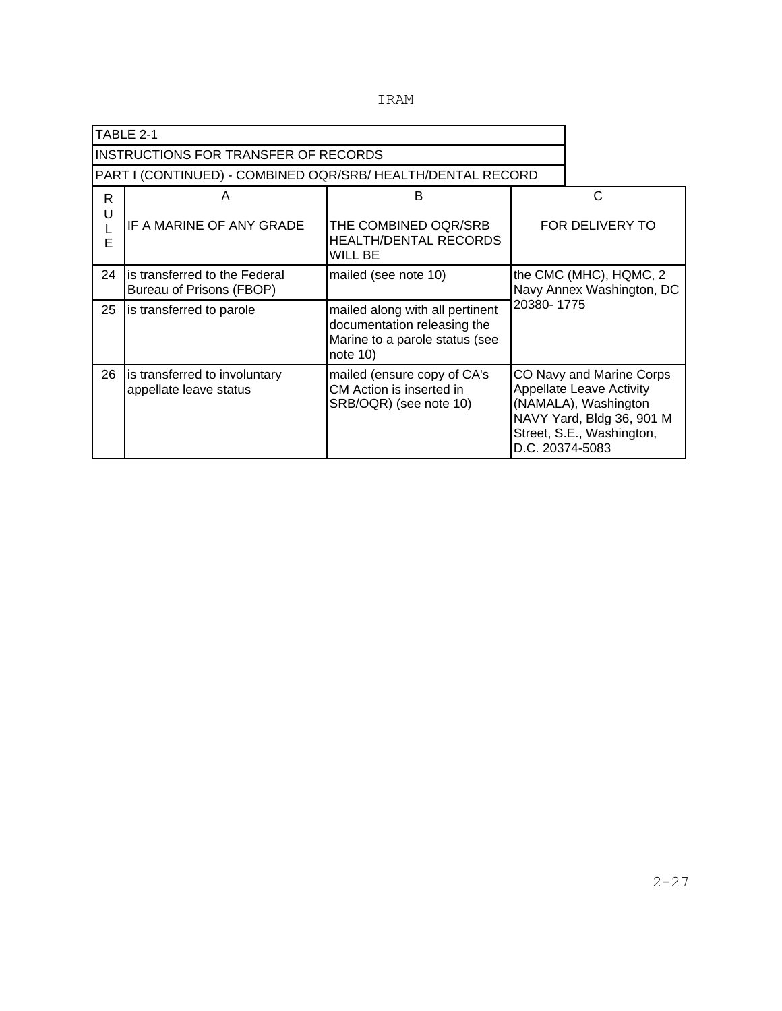|  |  | TRAM<br>. . |
|--|--|-------------|
|  |  |             |

|        | TABLE 2-1                                                  |                                                                                                                 |                                                                   |                                                                                                                                               |
|--------|------------------------------------------------------------|-----------------------------------------------------------------------------------------------------------------|-------------------------------------------------------------------|-----------------------------------------------------------------------------------------------------------------------------------------------|
|        | INSTRUCTIONS FOR TRANSFER OF RECORDS                       |                                                                                                                 |                                                                   |                                                                                                                                               |
|        | PART I (CONTINUED) - COMBINED OQR/SRB/HEALTH/DENTAL RECORD |                                                                                                                 |                                                                   |                                                                                                                                               |
| R.     | A                                                          | B                                                                                                               |                                                                   | C                                                                                                                                             |
| U<br>E | IF A MARINE OF ANY GRADE                                   | THE COMBINED OQR/SRB<br><b>HEALTH/DENTAL RECORDS</b><br>WILL BE                                                 |                                                                   | FOR DELIVERY TO                                                                                                                               |
| 24     | is transferred to the Federal<br>Bureau of Prisons (FBOP)  | mailed (see note 10)                                                                                            | the CMC (MHC), HQMC, 2<br>Navy Annex Washington, DC<br>20380-1775 |                                                                                                                                               |
| 25     | is transferred to parole                                   | mailed along with all pertinent<br>documentation releasing the<br>Marine to a parole status (see<br>note $10$ ) |                                                                   |                                                                                                                                               |
| 26     | is transferred to involuntary<br>appellate leave status    | mailed (ensure copy of CA's<br>CM Action is inserted in<br>SRB/OQR) (see note 10)                               | D.C. 20374-5083                                                   | CO Navy and Marine Corps<br><b>Appellate Leave Activity</b><br>(NAMALA), Washington<br>NAVY Yard, Bldg 36, 901 M<br>Street, S.E., Washington, |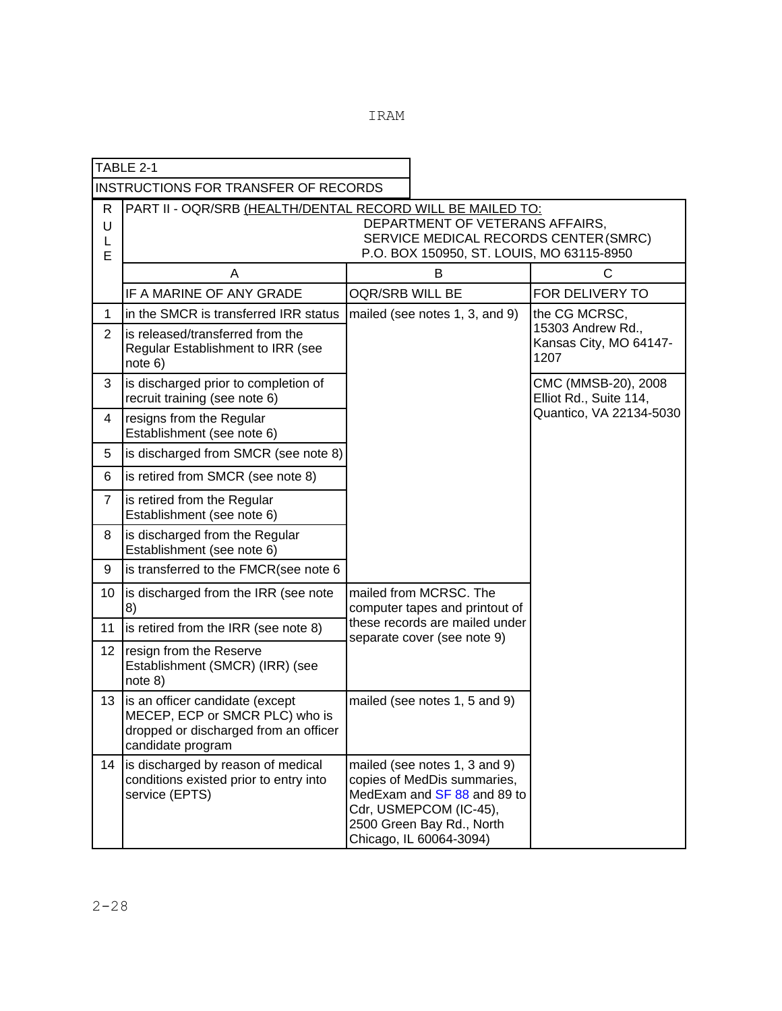|                                             | TABLE 2-1                                                                                                                                                                           |                                                                                                                           |                                                                                                                                                                               |                                                                      |  |
|---------------------------------------------|-------------------------------------------------------------------------------------------------------------------------------------------------------------------------------------|---------------------------------------------------------------------------------------------------------------------------|-------------------------------------------------------------------------------------------------------------------------------------------------------------------------------|----------------------------------------------------------------------|--|
| <b>INSTRUCTIONS FOR TRANSFER OF RECORDS</b> |                                                                                                                                                                                     |                                                                                                                           |                                                                                                                                                                               |                                                                      |  |
| R<br>U<br>L<br>E                            | PART II - OQR/SRB (HEALTH/DENTAL RECORD WILL BE MAILED TO:<br>DEPARTMENT OF VETERANS AFFAIRS,<br>SERVICE MEDICAL RECORDS CENTER (SMRC)<br>P.O. BOX 150950, ST. LOUIS, MO 63115-8950 |                                                                                                                           |                                                                                                                                                                               |                                                                      |  |
|                                             | A                                                                                                                                                                                   | B                                                                                                                         |                                                                                                                                                                               | C                                                                    |  |
|                                             | IF A MARINE OF ANY GRADE                                                                                                                                                            | OQR/SRB WILL BE                                                                                                           |                                                                                                                                                                               | FOR DELIVERY TO                                                      |  |
| 1                                           | in the SMCR is transferred IRR status                                                                                                                                               | mailed (see notes 1, 3, and 9)                                                                                            |                                                                                                                                                                               | the CG MCRSC,<br>15303 Andrew Rd.,<br>Kansas City, MO 64147-<br>1207 |  |
| $\overline{2}$                              | is released/transferred from the<br>Regular Establishment to IRR (see<br>note 6)                                                                                                    |                                                                                                                           |                                                                                                                                                                               |                                                                      |  |
| 3                                           | is discharged prior to completion of<br>recruit training (see note 6)                                                                                                               |                                                                                                                           |                                                                                                                                                                               | CMC (MMSB-20), 2008<br>Elliot Rd., Suite 114,                        |  |
| 4                                           | resigns from the Regular<br>Establishment (see note 6)                                                                                                                              |                                                                                                                           |                                                                                                                                                                               | Quantico, VA 22134-5030                                              |  |
| 5                                           | is discharged from SMCR (see note 8)                                                                                                                                                |                                                                                                                           |                                                                                                                                                                               |                                                                      |  |
| 6                                           | is retired from SMCR (see note 8)                                                                                                                                                   |                                                                                                                           |                                                                                                                                                                               |                                                                      |  |
| 7                                           | is retired from the Regular<br>Establishment (see note 6)                                                                                                                           |                                                                                                                           |                                                                                                                                                                               |                                                                      |  |
| 8                                           | is discharged from the Regular<br>Establishment (see note 6)                                                                                                                        |                                                                                                                           |                                                                                                                                                                               |                                                                      |  |
| 9                                           | is transferred to the FMCR(see note 6                                                                                                                                               |                                                                                                                           |                                                                                                                                                                               |                                                                      |  |
| 10                                          | is discharged from the IRR (see note<br>8)                                                                                                                                          | mailed from MCRSC. The<br>computer tapes and printout of<br>these records are mailed under<br>separate cover (see note 9) |                                                                                                                                                                               |                                                                      |  |
| 11                                          | is retired from the IRR (see note 8)                                                                                                                                                |                                                                                                                           |                                                                                                                                                                               |                                                                      |  |
| 12                                          | resign from the Reserve<br>Establishment (SMCR) (IRR) (see<br>note 8)                                                                                                               |                                                                                                                           |                                                                                                                                                                               |                                                                      |  |
| 13                                          | is an officer candidate (except<br>MECEP, ECP or SMCR PLC) who is<br>dropped or discharged from an officer<br>candidate program                                                     |                                                                                                                           | mailed (see notes 1, 5 and 9)                                                                                                                                                 |                                                                      |  |
| 14                                          | is discharged by reason of medical<br>conditions existed prior to entry into<br>service (EPTS)                                                                                      |                                                                                                                           | mailed (see notes 1, 3 and 9)<br>copies of MedDis summaries,<br>MedExam and SF 88 and 89 to<br>Cdr, USMEPCOM (IC-45),<br>2500 Green Bay Rd., North<br>Chicago, IL 60064-3094) |                                                                      |  |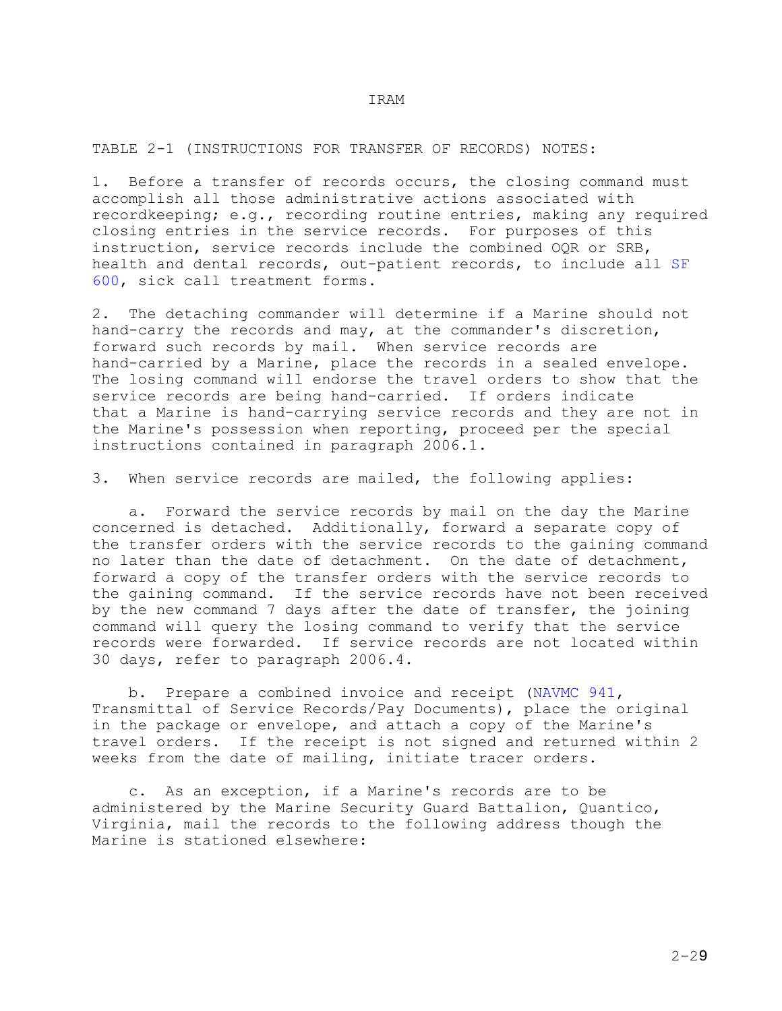TABLE 2-1 (INSTRUCTIONS FOR TRANSFER OF RECORDS) NOTES:

1. Before a transfer of records occurs, the closing command must accomplish all those administrative actions associated with recordkeeping; e.g., recording routine entries, making any required closing entries in the service records. For purposes of this instruction, service records include the combined OQR or SRB, health and dental records, out-patient records, to include all SF 600, sick call treatment forms.

2. The detaching commander will determine if a Marine should not hand-carry the records and may, at the commander's discretion, forward such records by mail. When service records are hand-carried by a Marine, place the records in a sealed envelope. The losing command will endorse the travel orders to show that the service records are being hand-carried. If orders indicate that a Marine is hand-carrying service records and they are not in the Marine's possession when reporting, proceed per the special instructions contained in paragraph 2006.1.

3. When service records are mailed, the following applies:

 a. Forward the service records by mail on the day the Marine concerned is detached. Additionally, forward a separate copy of the transfer orders with the service records to the gaining command no later than the date of detachment. On the date of detachment, forward a copy of the transfer orders with the service records to the gaining command. If the service records have not been received by the new command 7 days after the date of transfer, the joining command will query the losing command to verify that the service records were forwarded. If service records are not located within 30 days, refer to paragraph 2006.4.

 b. Prepare a combined invoice and receipt (NAVMC 941, Transmittal of Service Records/Pay Documents), place the original in the package or envelope, and attach a copy of the Marine's travel orders. If the receipt is not signed and returned within 2 weeks from the date of mailing, initiate tracer orders.

 c. As an exception, if a Marine's records are to be administered by the Marine Security Guard Battalion, Quantico, Virginia, mail the records to the following address though the Marine is stationed elsewhere: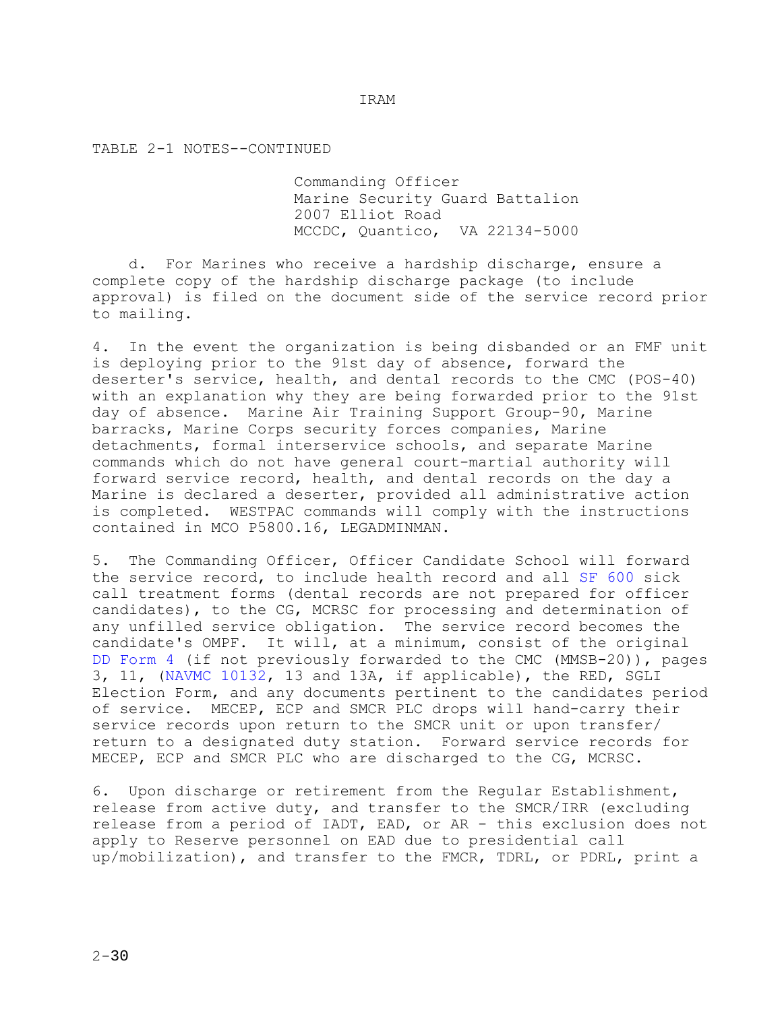TABLE 2-1 NOTES--CONTINUED

 Commanding Officer Marine Security Guard Battalion 2007 Elliot Road MCCDC, Quantico, VA 22134-5000

 d. For Marines who receive a hardship discharge, ensure a complete copy of the hardship discharge package (to include approval) is filed on the document side of the service record prior to mailing.

4. In the event the organization is being disbanded or an FMF unit is deploying prior to the 91st day of absence, forward the deserter's service, health, and dental records to the CMC (POS-40) with an explanation why they are being forwarded prior to the 91st day of absence. Marine Air Training Support Group-90, Marine barracks, Marine Corps security forces companies, Marine detachments, formal interservice schools, and separate Marine commands which do not have general court-martial authority will forward service record, health, and dental records on the day a Marine is declared a deserter, provided all administrative action is completed. WESTPAC commands will comply with the instructions contained in MCO P5800.16, LEGADMINMAN.

5. The Commanding Officer, Officer Candidate School will forward the service record, to include health record and all SF 600 sick call treatment forms (dental records are not prepared for officer candidates), to the CG, MCRSC for processing and determination of any unfilled service obligation. The service record becomes the candidate's OMPF. It will, at a minimum, consist of the original DD Form 4 (if not previously forwarded to the CMC (MMSB-20)), pages 3, 11, (NAVMC 10132, 13 and 13A, if applicable), the RED, SGLI Election Form, and any documents pertinent to the candidates period of service. MECEP, ECP and SMCR PLC drops will hand-carry their service records upon return to the SMCR unit or upon transfer/ return to a designated duty station. Forward service records for MECEP, ECP and SMCR PLC who are discharged to the CG, MCRSC.

6. Upon discharge or retirement from the Regular Establishment, release from active duty, and transfer to the SMCR/IRR (excluding release from a period of IADT, EAD, or AR - this exclusion does not apply to Reserve personnel on EAD due to presidential call up/mobilization), and transfer to the FMCR, TDRL, or PDRL, print a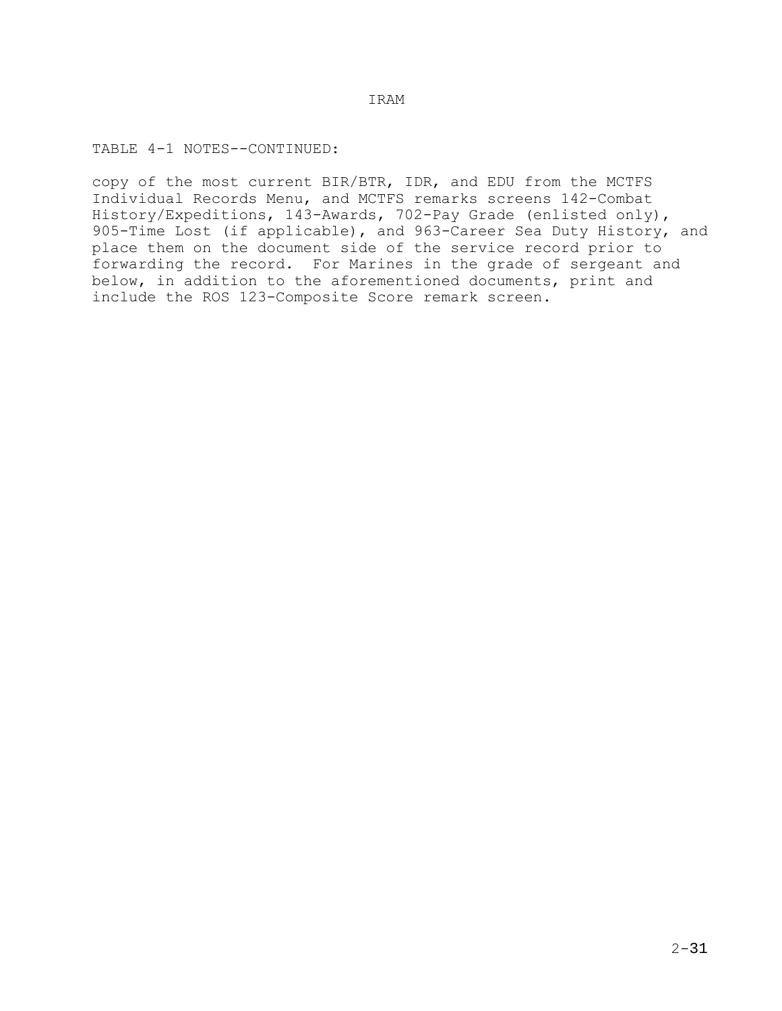TABLE 4-1 NOTES--CONTINUED:

copy of the most current BIR/BTR, IDR, and EDU from the MCTFS Individual Records Menu, and MCTFS remarks screens 142-Combat History/Expeditions, 143-Awards, 702-Pay Grade (enlisted only), 905-Time Lost (if applicable), and 963-Career Sea Duty History, and place them on the document side of the service record prior to forwarding the record. For Marines in the grade of sergeant and below, in addition to the aforementioned documents, print and include the ROS 123-Composite Score remark screen.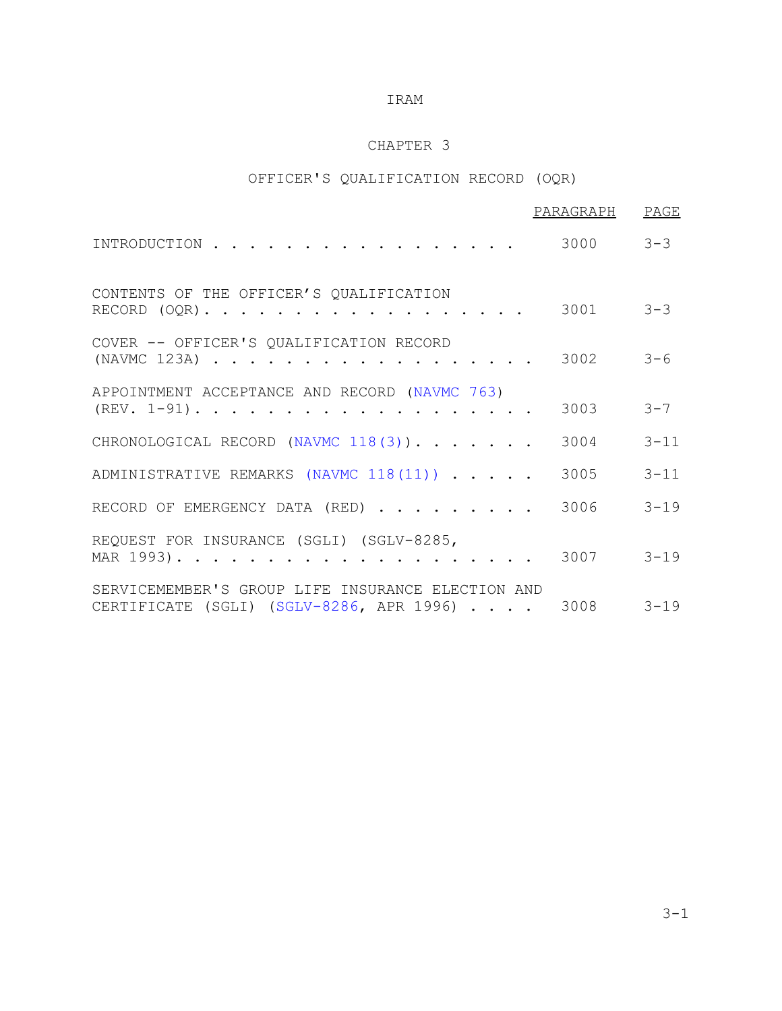# CHAPTER 3

# OFFICER'S QUALIFICATION RECORD (OQR)

|                                                                                                        | PARAGRAPH     | PAGE     |
|--------------------------------------------------------------------------------------------------------|---------------|----------|
| INTRODUCTION                                                                                           | 3000          | $3 - 3$  |
| CONTENTS OF THE OFFICER'S QUALIFICATION<br>RECORD $(OQR)$ .                                            | 3001          | $3 - 3$  |
| COVER -- OFFICER'S QUALIFICATION RECORD<br>(NAVMC 123A)                                                | 3002          | $3 - 6$  |
| APPOINTMENT ACCEPTANCE AND RECORD (NAVMC 763)<br>$(REV. 1-91)$                                         | 3003          | $3 - 7$  |
| CHRONOLOGICAL RECORD (NAVMC 118(3)).                                                                   | 3004          | $3 - 11$ |
| ADMINISTRATIVE REMARKS (NAVMC 118(11))                                                                 | 3005          | $3 - 11$ |
| RECORD OF EMERGENCY DATA (RED)                                                                         | 3006          | $3 - 19$ |
| REQUEST FOR INSURANCE (SGLI) (SGLV-8285,                                                               | 3007          | $3 - 19$ |
| SERVICEMEMBER'S GROUP LIFE INSURANCE ELECTION AND<br>CERTIFICATE (SGLI) $(SGLV-8286, APR 1996) \ldots$ | $3008$ $3-19$ |          |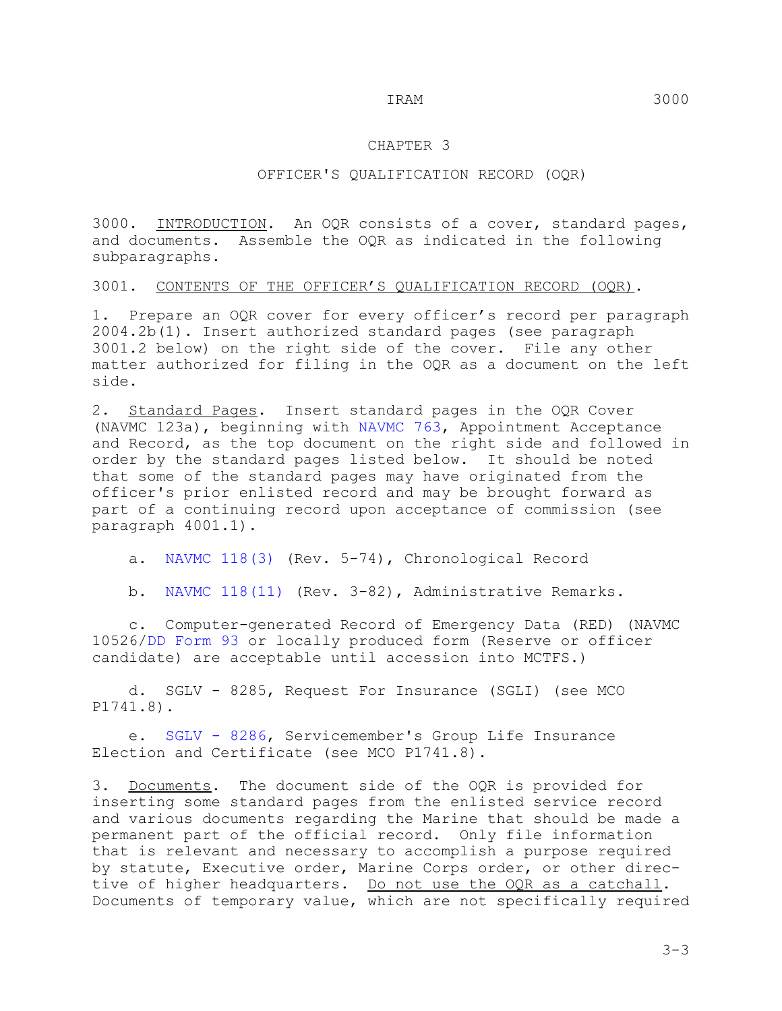#### CHAPTER 3

#### OFFICER'S QUALIFICATION RECORD (OQR)

3000. INTRODUCTION. An OQR consists of a cover, standard pages, and documents. Assemble the OQR as indicated in the following subparagraphs.

3001. CONTENTS OF THE OFFICER'S QUALIFICATION RECORD (OQR).

1. Prepare an OQR cover for every officer's record per paragraph 2004.2b(1). Insert authorized standard pages (see paragraph 3001.2 below) on the right side of the cover. File any other matter authorized for filing in the OQR as a document on the left side.

2. Standard Pages. Insert standard pages in the OQR Cover (NAVMC 123a), beginning with NAVMC 763, Appointment Acceptance and Record, as the top document on the right side and followed in order by the standard pages listed below. It should be noted that some of the standard pages may have originated from the officer's prior enlisted record and may be brought forward as part of a continuing record upon acceptance of commission (see paragraph 4001.1).

a. NAVMC 118(3) (Rev. 5-74), Chronological Record

b. NAVMC 118(11) (Rev. 3-82), Administrative Remarks.

 c. Computer-generated Record of Emergency Data (RED) (NAVMC 10526/DD Form 93 or locally produced form (Reserve or officer candidate) are acceptable until accession into MCTFS.)

 d. SGLV - 8285, Request For Insurance (SGLI) (see MCO P1741.8).

 e. SGLV - 8286, Servicemember's Group Life Insurance Election and Certificate (see MCO P1741.8).

3. Documents. The document side of the OQR is provided for inserting some standard pages from the enlisted service record and various documents regarding the Marine that should be made a permanent part of the official record. Only file information that is relevant and necessary to accomplish a purpose required by statute, Executive order, Marine Corps order, or other directive of higher headquarters. Do not use the OQR as a catchall. Documents of temporary value, which are not specifically required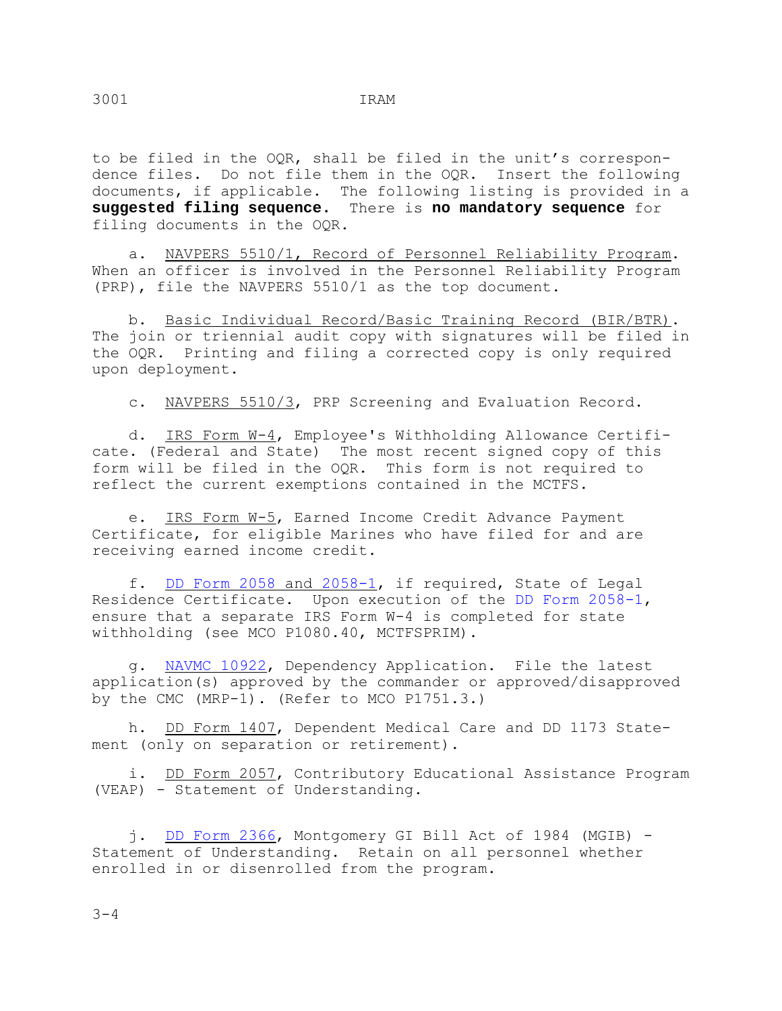to be filed in the OQR, shall be filed in the unit's correspondence files. Do not file them in the OQR. Insert the following documents, if applicable. The following listing is provided in a **suggested filing sequence.** There is **no mandatory sequence** for filing documents in the OQR.

 a. NAVPERS 5510/1, Record of Personnel Reliability Program. When an officer is involved in the Personnel Reliability Program (PRP), file the NAVPERS 5510/1 as the top document.

 b. Basic Individual Record/Basic Training Record (BIR/BTR). The join or triennial audit copy with signatures will be filed in the OQR. Printing and filing a corrected copy is only required upon deployment.

c. NAVPERS 5510/3, PRP Screening and Evaluation Record.

 d. IRS Form W-4, Employee's Withholding Allowance Certificate. (Federal and State) The most recent signed copy of this form will be filed in the OQR. This form is not required to reflect the current exemptions contained in the MCTFS.

 e. IRS Form W-5, Earned Income Credit Advance Payment Certificate, for eligible Marines who have filed for and are receiving earned income credit.

 f. DD Form 2058 and 2058-1, if required, State of Legal Residence Certificate. Upon execution of the DD Form 2058-1, ensure that a separate IRS Form W-4 is completed for state withholding (see MCO P1080.40, MCTFSPRIM).

 g. NAVMC 10922, Dependency Application. File the latest application(s) approved by the commander or approved/disapproved by the CMC (MRP-1). (Refer to MCO P1751.3.)

 h. DD Form 1407, Dependent Medical Care and DD 1173 Statement (only on separation or retirement).

i. DD Form 2057, Contributory Educational Assistance Program (VEAP) - Statement of Understanding.

 j. DD Form 2366, Montgomery GI Bill Act of 1984 (MGIB) - Statement of Understanding. Retain on all personnel whether enrolled in or disenrolled from the program.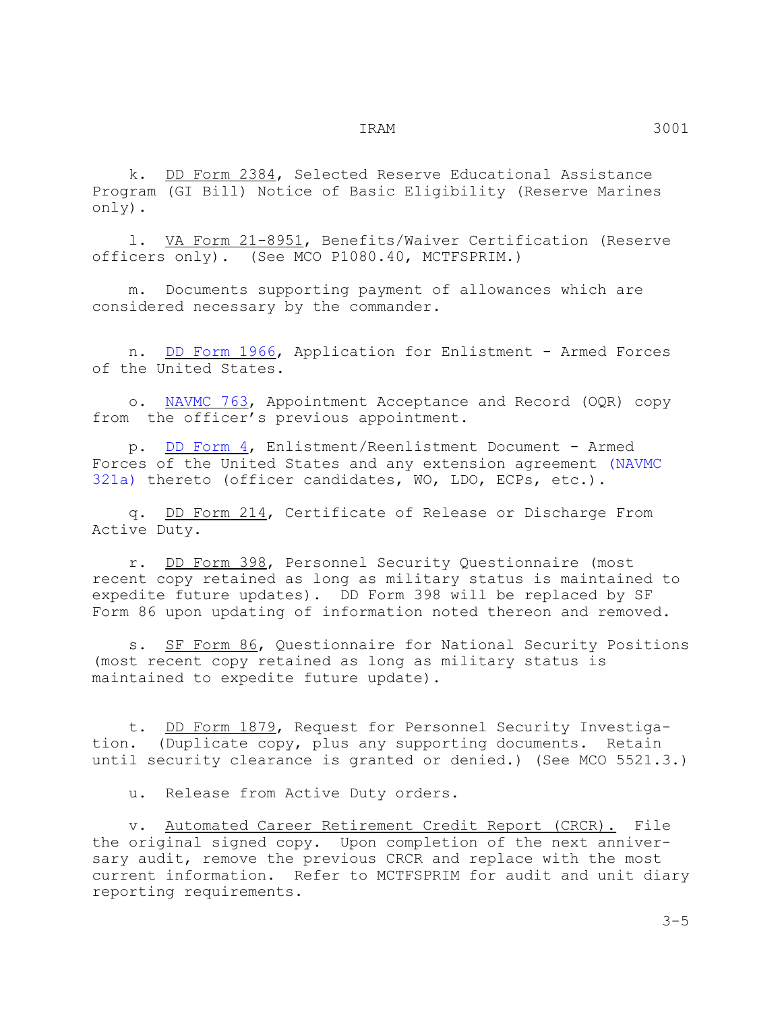k. DD Form 2384, Selected Reserve Educational Assistance Program (GI Bill) Notice of Basic Eligibility (Reserve Marines only).

 l. VA Form 21-8951, Benefits/Waiver Certification (Reserve officers only). (See MCO P1080.40, MCTFSPRIM.)

 m. Documents supporting payment of allowances which are considered necessary by the commander.

 n. DD Form 1966, Application for Enlistment - Armed Forces of the United States.

 o. NAVMC 763, Appointment Acceptance and Record (OQR) copy from the officer's previous appointment.

 p. DD Form 4, Enlistment/Reenlistment Document - Armed Forces of the United States and any extension agreement (NAVMC 321a) thereto (officer candidates, WO, LDO, ECPs, etc.).

 q. DD Form 214, Certificate of Release or Discharge From Active Duty.

 r. DD Form 398, Personnel Security Questionnaire (most recent copy retained as long as military status is maintained to expedite future updates). DD Form 398 will be replaced by SF Form 86 upon updating of information noted thereon and removed.

 s. SF Form 86, Questionnaire for National Security Positions (most recent copy retained as long as military status is maintained to expedite future update).

 t. DD Form 1879, Request for Personnel Security Investigation. (Duplicate copy, plus any supporting documents. Retain until security clearance is granted or denied.) (See MCO 5521.3.)

u. Release from Active Duty orders.

 v. Automated Career Retirement Credit Report (CRCR). File the original signed copy. Upon completion of the next anniversary audit, remove the previous CRCR and replace with the most current information. Refer to MCTFSPRIM for audit and unit diary reporting requirements.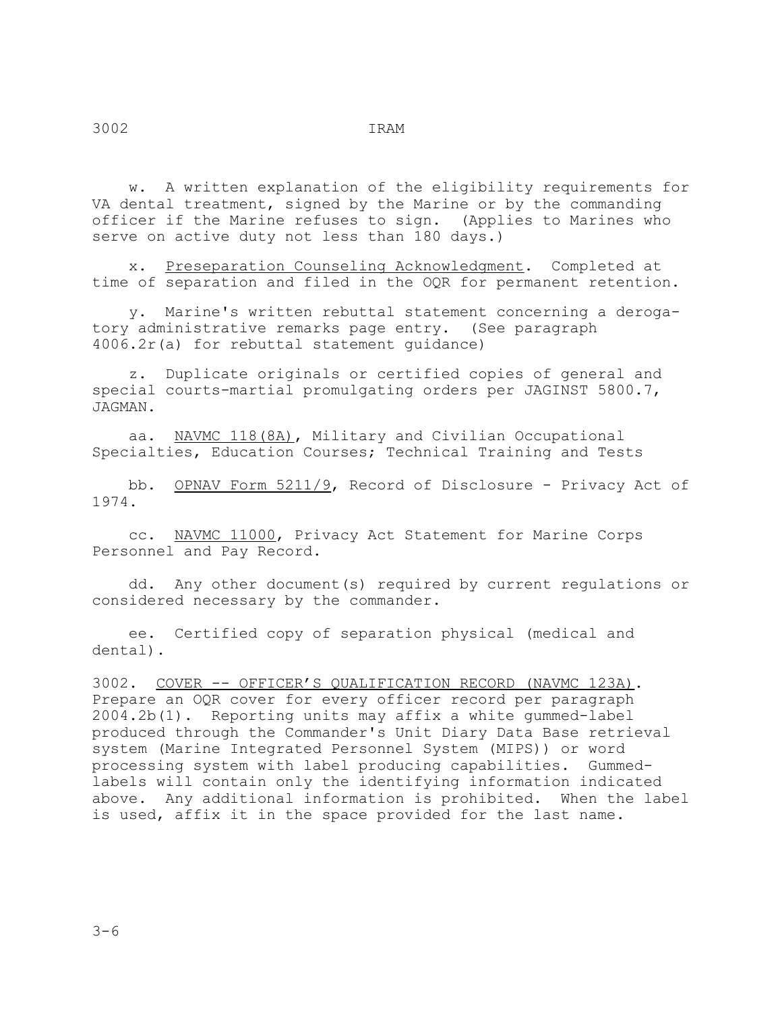w. A written explanation of the eligibility requirements for VA dental treatment, signed by the Marine or by the commanding officer if the Marine refuses to sign. (Applies to Marines who serve on active duty not less than 180 days.)

 x. Preseparation Counseling Acknowledgment. Completed at time of separation and filed in the OQR for permanent retention.

 y. Marine's written rebuttal statement concerning a derogatory administrative remarks page entry. (See paragraph 4006.2r(a) for rebuttal statement guidance)

 z. Duplicate originals or certified copies of general and special courts-martial promulgating orders per JAGINST 5800.7, JAGMAN.

 aa. NAVMC 118(8A), Military and Civilian Occupational Specialties, Education Courses; Technical Training and Tests

bb. OPNAV Form 5211/9, Record of Disclosure - Privacy Act of 1974.

 cc. NAVMC 11000, Privacy Act Statement for Marine Corps Personnel and Pay Record.

 dd. Any other document(s) required by current regulations or considered necessary by the commander.

 ee. Certified copy of separation physical (medical and dental).

3002. <u>COVER -- OFFICER'S QUALIFICATION RECORD (NAVMC 123A)</u>. Prepare an OQR cover for every officer record per paragraph 2004.2b(1). Reporting units may affix a white gummed-label produced through the Commander's Unit Diary Data Base retrieval system (Marine Integrated Personnel System (MIPS)) or word processing system with label producing capabilities. Gummedlabels will contain only the identifying information indicated above. Any additional information is prohibited. When the label is used, affix it in the space provided for the last name.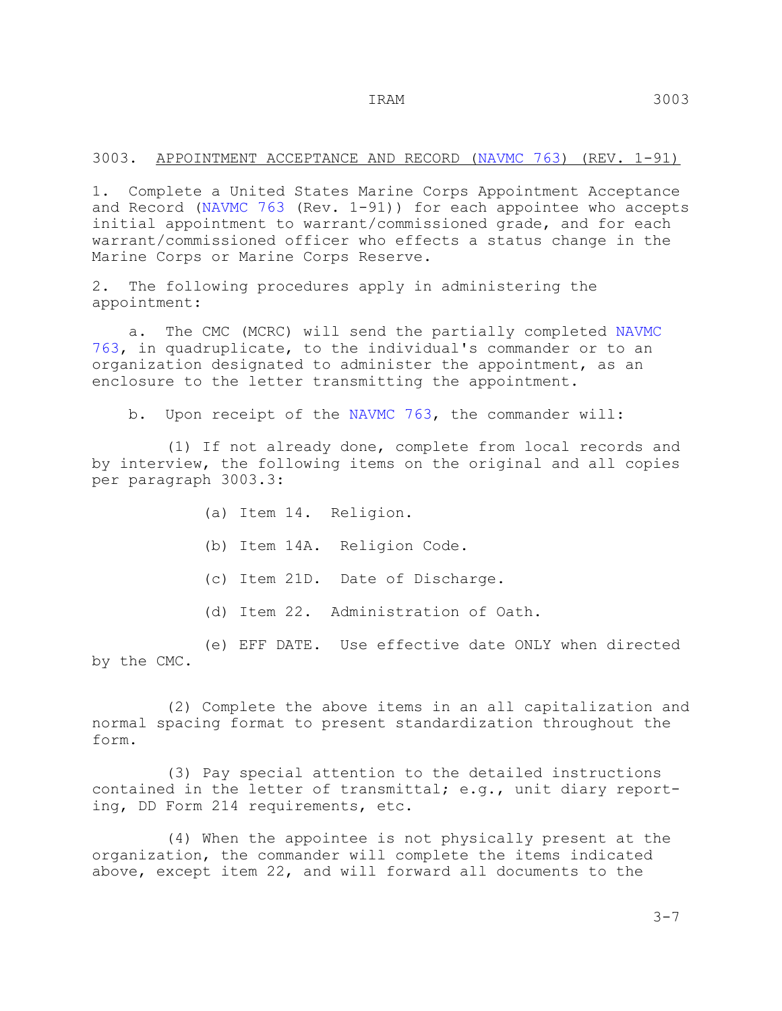#### 3003. APPOINTMENT ACCEPTANCE AND RECORD (NAVMC 763) (REV. 1-91)

1. Complete a United States Marine Corps Appointment Acceptance and Record (NAVMC 763 (Rev. 1-91)) for each appointee who accepts initial appointment to warrant/commissioned grade, and for each warrant/commissioned officer who effects a status change in the Marine Corps or Marine Corps Reserve.

2. The following procedures apply in administering the appointment:

 a. The CMC (MCRC) will send the partially completed NAVMC 763, in quadruplicate, to the individual's commander or to an organization designated to administer the appointment, as an enclosure to the letter transmitting the appointment.

b. Upon receipt of the NAVMC 763, the commander will:

 (1) If not already done, complete from local records and by interview, the following items on the original and all copies per paragraph 3003.3:

- (a) Item 14. Religion.
- (b) Item 14A. Religion Code.
- (c) Item 21D. Date of Discharge.
- (d) Item 22. Administration of Oath.

 (e) EFF DATE. Use effective date ONLY when directed by the CMC.

 (2) Complete the above items in an all capitalization and normal spacing format to present standardization throughout the form.

 (3) Pay special attention to the detailed instructions contained in the letter of transmittal; e.g., unit diary reporting, DD Form 214 requirements, etc.

 (4) When the appointee is not physically present at the organization, the commander will complete the items indicated above, except item 22, and will forward all documents to the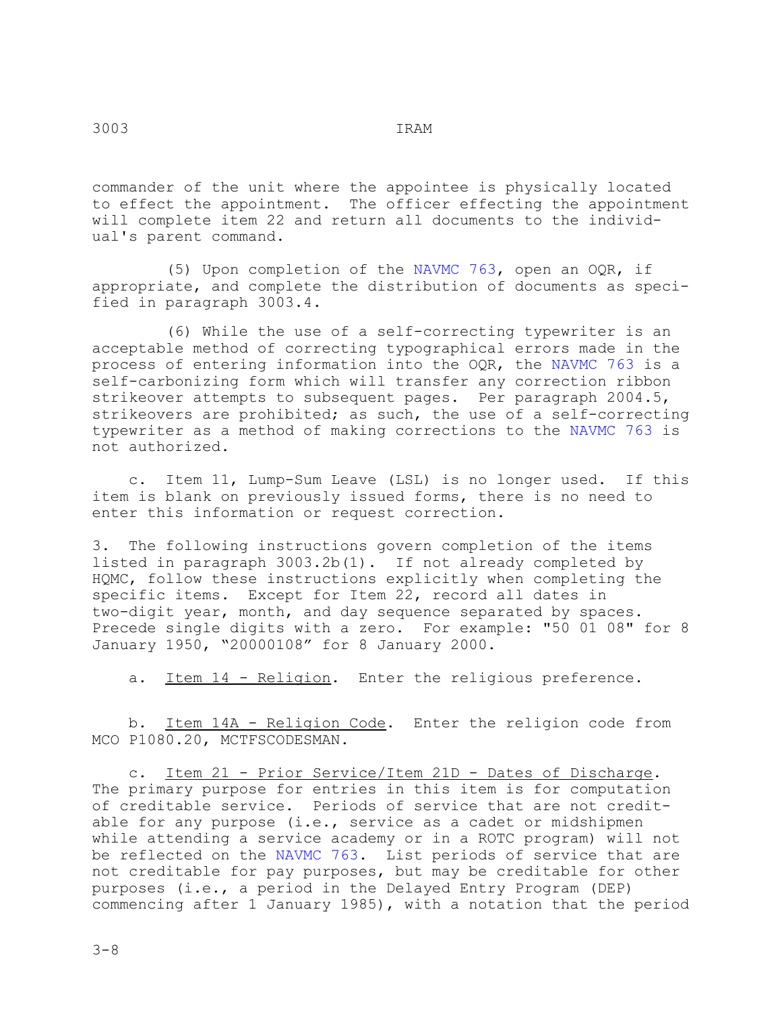commander of the unit where the appointee is physically located to effect the appointment. The officer effecting the appointment will complete item 22 and return all documents to the individual's parent command.

 (5) Upon completion of the NAVMC 763, open an OQR, if appropriate, and complete the distribution of documents as specified in paragraph 3003.4.

 (6) While the use of a self-correcting typewriter is an acceptable method of correcting typographical errors made in the process of entering information into the OQR, the NAVMC 763 is a self-carbonizing form which will transfer any correction ribbon strikeover attempts to subsequent pages. Per paragraph 2004.5, strikeovers are prohibited; as such, the use of a self-correcting typewriter as a method of making corrections to the NAVMC 763 is not authorized.

 c. Item 11, Lump-Sum Leave (LSL) is no longer used. If this item is blank on previously issued forms, there is no need to enter this information or request correction.

3. The following instructions govern completion of the items listed in paragraph 3003.2b(1). If not already completed by HQMC, follow these instructions explicitly when completing the specific items. Except for Item 22, record all dates in two-digit year, month, and day sequence separated by spaces. Precede single digits with a zero. For example: "50 01 08" for 8 January 1950, "20000108" for 8 January 2000.

a. Item 14 - Religion. Enter the religious preference.

 b. Item 14A - Religion Code. Enter the religion code from MCO P1080.20, MCTFSCODESMAN.

 c. Item 21 - Prior Service/Item 21D - Dates of Discharge. The primary purpose for entries in this item is for computation of creditable service. Periods of service that are not creditable for any purpose (i.e., service as a cadet or midshipmen while attending a service academy or in a ROTC program) will not be reflected on the NAVMC 763. List periods of service that are not creditable for pay purposes, but may be creditable for other purposes (i.e., a period in the Delayed Entry Program (DEP) commencing after 1 January 1985), with a notation that the period

 $3 - 8$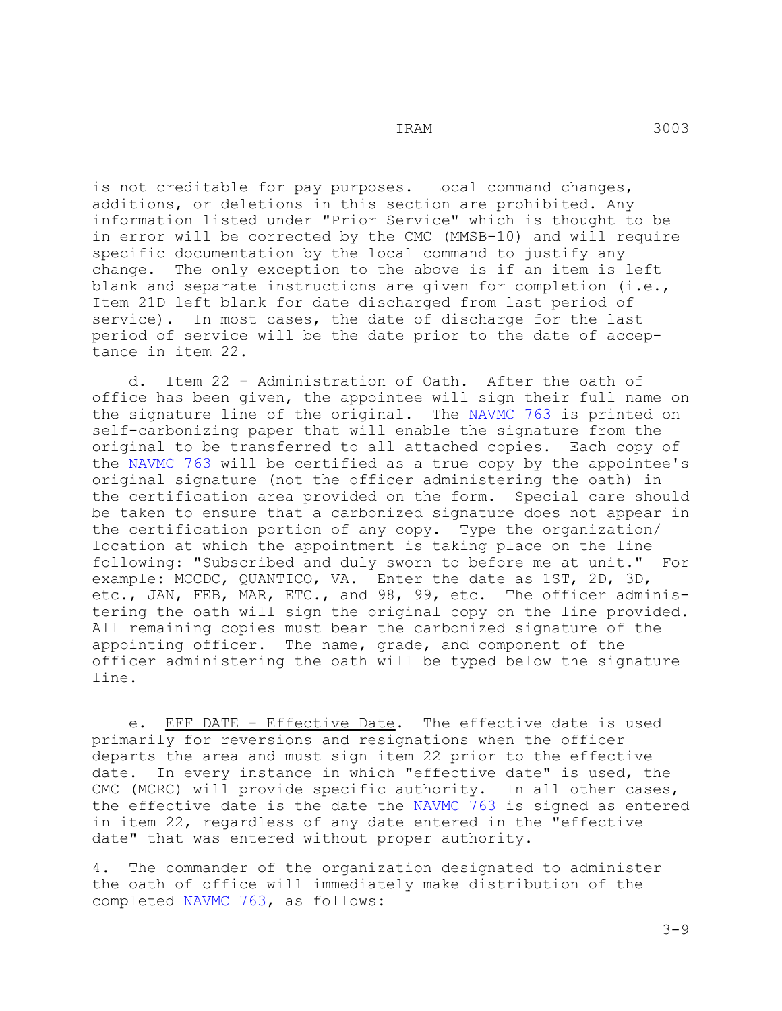is not creditable for pay purposes. Local command changes, additions, or deletions in this section are prohibited. Any information listed under "Prior Service" which is thought to be in error will be corrected by the CMC (MMSB-10) and will require specific documentation by the local command to justify any change. The only exception to the above is if an item is The only exception to the above is if an item is left blank and separate instructions are given for completion (i.e., Item 21D left blank for date discharged from last period of service). In most cases, the date of discharge for the last period of service will be the date prior to the date of acceptance in item 22.

 d. Item 22 - Administration of Oath. After the oath of office has been given, the appointee will sign their full name on the signature line of the original. The NAVMC 763 is printed on self-carbonizing paper that will enable the signature from the original to be transferred to all attached copies. Each copy of the NAVMC 763 will be certified as a true copy by the appointee's original signature (not the officer administering the oath) in the certification area provided on the form. Special care should be taken to ensure that a carbonized signature does not appear in the certification portion of any copy. Type the organization/ location at which the appointment is taking place on the line following: "Subscribed and duly sworn to before me at unit." For example: MCCDC, QUANTICO, VA. Enter the date as 1ST, 2D, 3D, etc., JAN, FEB, MAR, ETC., and 98, 99, etc. The officer administering the oath will sign the original copy on the line provided. All remaining copies must bear the carbonized signature of the appointing officer. The name, grade, and component of the officer administering the oath will be typed below the signature line.

 e. EFF DATE - Effective Date. The effective date is used primarily for reversions and resignations when the officer departs the area and must sign item 22 prior to the effective date. In every instance in which "effective date" is used, the CMC (MCRC) will provide specific authority. In all other cases, the effective date is the date the NAVMC 763 is signed as entered in item 22, regardless of any date entered in the "effective date" that was entered without proper authority.

4. The commander of the organization designated to administer the oath of office will immediately make distribution of the completed NAVMC 763, as follows: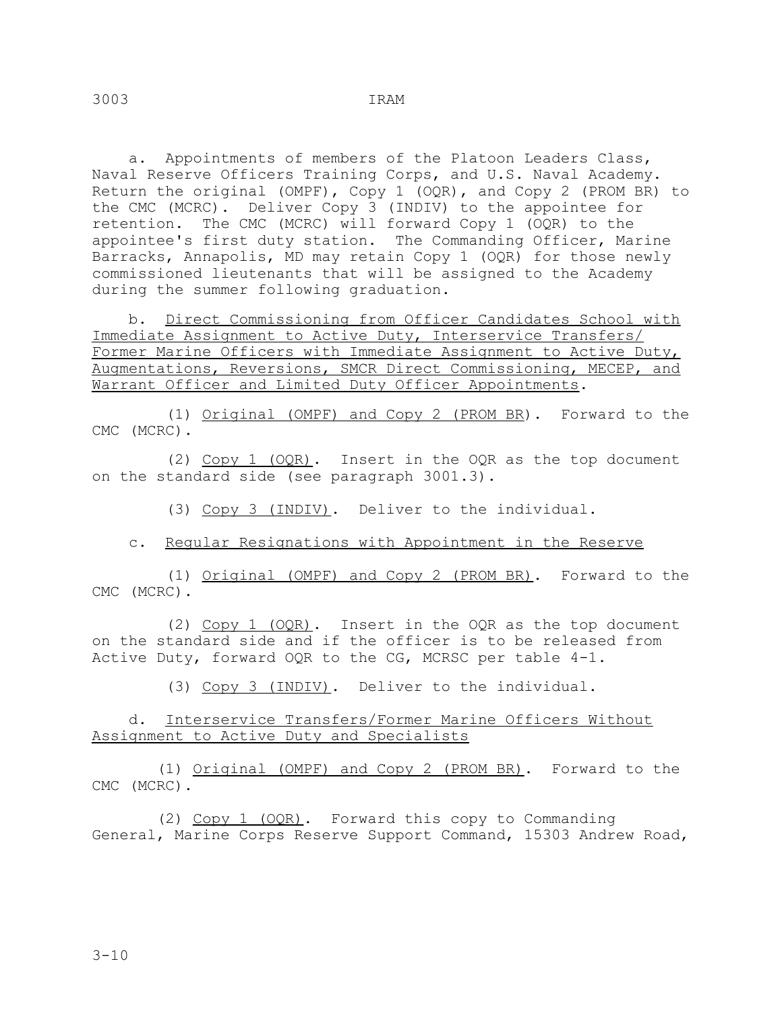a. Appointments of members of the Platoon Leaders Class, Naval Reserve Officers Training Corps, and U.S. Naval Academy. Return the original (OMPF), Copy 1 (OQR), and Copy 2 (PROM BR) to the CMC (MCRC). Deliver Copy 3 (INDIV) to the appointee for retention. The CMC (MCRC) will forward Copy 1 (OQR) to the appointee's first duty station. The Commanding Officer, Marine Barracks, Annapolis, MD may retain Copy 1 (OQR) for those newly commissioned lieutenants that will be assigned to the Academy during the summer following graduation.

 b. Direct Commissioning from Officer Candidates School with Immediate Assignment to Active Duty, Interservice Transfers/ Former Marine Officers with Immediate Assignment to Active Duty, Augmentations, Reversions, SMCR Direct Commissioning, MECEP, and Warrant Officer and Limited Duty Officer Appointments.

 (1) Original (OMPF) and Copy 2 (PROM BR). Forward to the CMC (MCRC).

 (2) Copy 1 (OQR). Insert in the OQR as the top document on the standard side (see paragraph 3001.3).

(3) Copy 3 (INDIV). Deliver to the individual.

c. Regular Resignations with Appointment in the Reserve

 (1) Original (OMPF) and Copy 2 (PROM BR). Forward to the CMC (MCRC).

 (2) Copy 1 (OQR). Insert in the OQR as the top document on the standard side and if the officer is to be released from Active Duty, forward OQR to the CG, MCRSC per table 4-1.

(3) Copy 3 (INDIV). Deliver to the individual.

 d. Interservice Transfers/Former Marine Officers Without Assignment to Active Duty and Specialists

 (1) Original (OMPF) and Copy 2 (PROM BR). Forward to the CMC (MCRC).

 (2) Copy 1 (OQR). Forward this copy to Commanding General, Marine Corps Reserve Support Command, 15303 Andrew Road,

3-10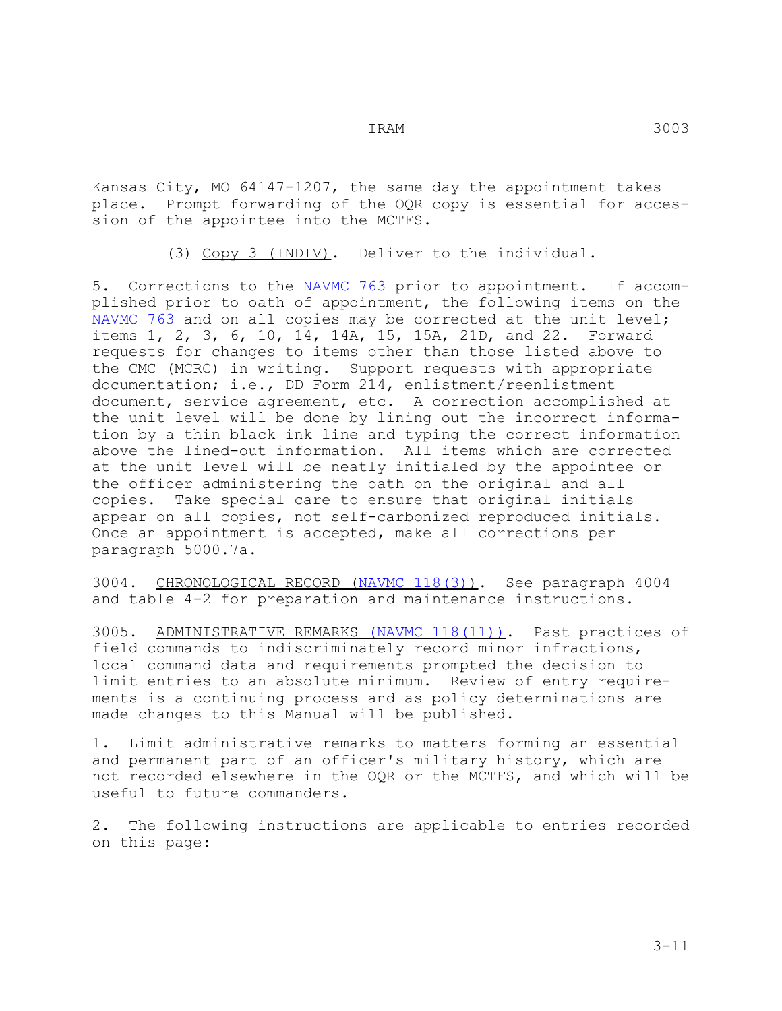Kansas City, MO 64147-1207, the same day the appointment takes place. Prompt forwarding of the OQR copy is essential for accession of the appointee into the MCTFS.

(3) Copy 3 (INDIV). Deliver to the individual.

5. Corrections to the NAVMC 763 prior to appointment. If accomplished prior to oath of appointment, the following items on the NAVMC 763 and on all copies may be corrected at the unit level; items 1, 2, 3, 6, 10, 14, 14A, 15, 15A, 21D, and 22. Forward requests for changes to items other than those listed above to the CMC (MCRC) in writing. Support requests with appropriate documentation; i.e., DD Form 214, enlistment/reenlistment document, service agreement, etc. A correction accomplished at the unit level will be done by lining out the incorrect information by a thin black ink line and typing the correct information above the lined-out information. All items which are corrected at the unit level will be neatly initialed by the appointee or the officer administering the oath on the original and all copies. Take special care to ensure that original initials appear on all copies, not self-carbonized reproduced initials. Once an appointment is accepted, make all corrections per paragraph 5000.7a.

3004. <u>CHRONOLOGICAL RECORD (NAVMC 118(3))</u>. See paragraph 4004 and table 4-2 for preparation and maintenance instructions.

3005. <u>ADMINISTRATIVE REMARKS (NAVMC 118(11))</u>. Past practices of field commands to indiscriminately record minor infractions, local command data and requirements prompted the decision to limit entries to an absolute minimum. Review of entry requirements is a continuing process and as policy determinations are made changes to this Manual will be published.

1. Limit administrative remarks to matters forming an essential and permanent part of an officer's military history, which are not recorded elsewhere in the OQR or the MCTFS, and which will be useful to future commanders.

2. The following instructions are applicable to entries recorded on this page: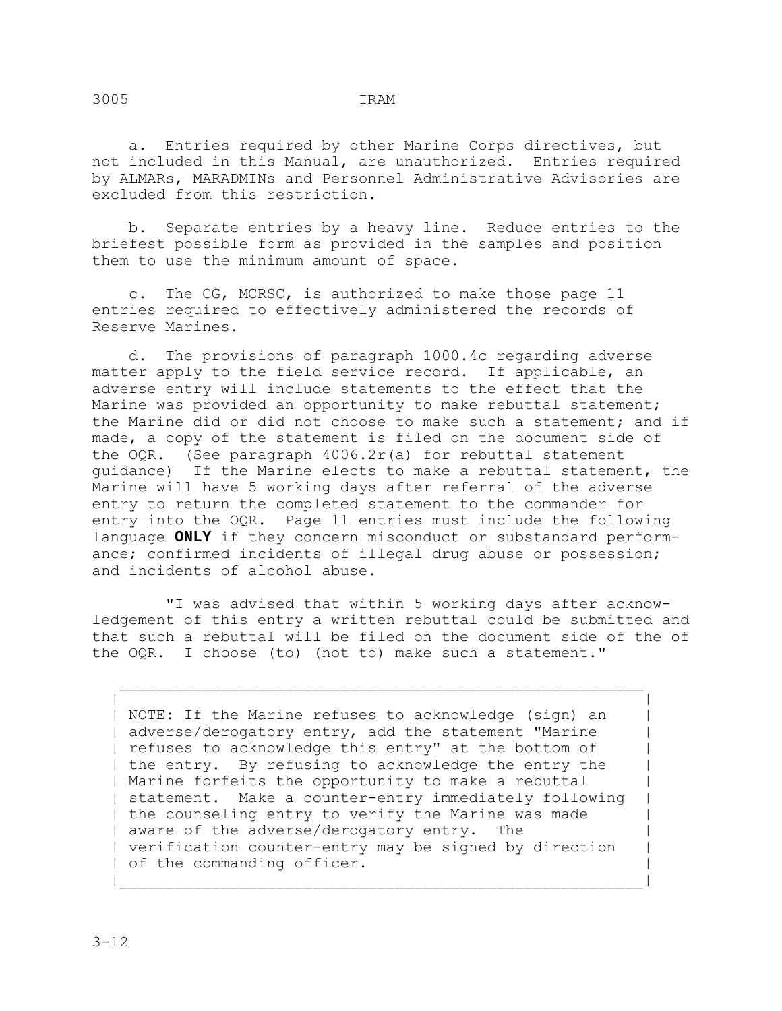a. Entries required by other Marine Corps directives, but not included in this Manual, are unauthorized. Entries required by ALMARs, MARADMINs and Personnel Administrative Advisories are excluded from this restriction.

 b. Separate entries by a heavy line. Reduce entries to the briefest possible form as provided in the samples and position them to use the minimum amount of space.

 c. The CG, MCRSC, is authorized to make those page 11 entries required to effectively administered the records of Reserve Marines.

 d. The provisions of paragraph 1000.4c regarding adverse matter apply to the field service record. If applicable, an adverse entry will include statements to the effect that the Marine was provided an opportunity to make rebuttal statement; the Marine did or did not choose to make such a statement; and if made, a copy of the statement is filed on the document side of the OQR. (See paragraph 4006.2r(a) for rebuttal statement guidance) If the Marine elects to make a rebuttal statement, the Marine will have 5 working days after referral of the adverse entry to return the completed statement to the commander for entry into the OQR. Page 11 entries must include the following language **ONLY** if they concern misconduct or substandard performance; confirmed incidents of illegal drug abuse or possession; and incidents of alcohol abuse.

 "I was advised that within 5 working days after acknowledgement of this entry a written rebuttal could be submitted and that such a rebuttal will be filed on the document side of the of the OQR. I choose (to) (not to) make such a statement."

 | | | NOTE: If the Marine refuses to acknowledge (sign) an | | adverse/derogatory entry, add the statement "Marine | | refuses to acknowledge this entry" at the bottom of | | the entry. By refusing to acknowledge the entry the | | Marine forfeits the opportunity to make a rebuttal | | statement. Make a counter-entry immediately following | | the counseling entry to verify the Marine was made | | aware of the adverse/derogatory entry. The | verification counter-entry may be signed by direction | | of the commanding officer.

|\_\_\_\_\_\_\_\_\_\_\_\_\_\_\_\_\_\_\_\_\_\_\_\_\_\_\_\_\_\_\_\_\_\_\_\_\_\_\_\_\_\_\_\_\_\_\_\_\_\_\_\_\_\_\_\_\_|

\_\_\_\_\_\_\_\_\_\_\_\_\_\_\_\_\_\_\_\_\_\_\_\_\_\_\_\_\_\_\_\_\_\_\_\_\_\_\_\_\_\_\_\_\_\_\_\_\_\_\_\_\_\_\_\_\_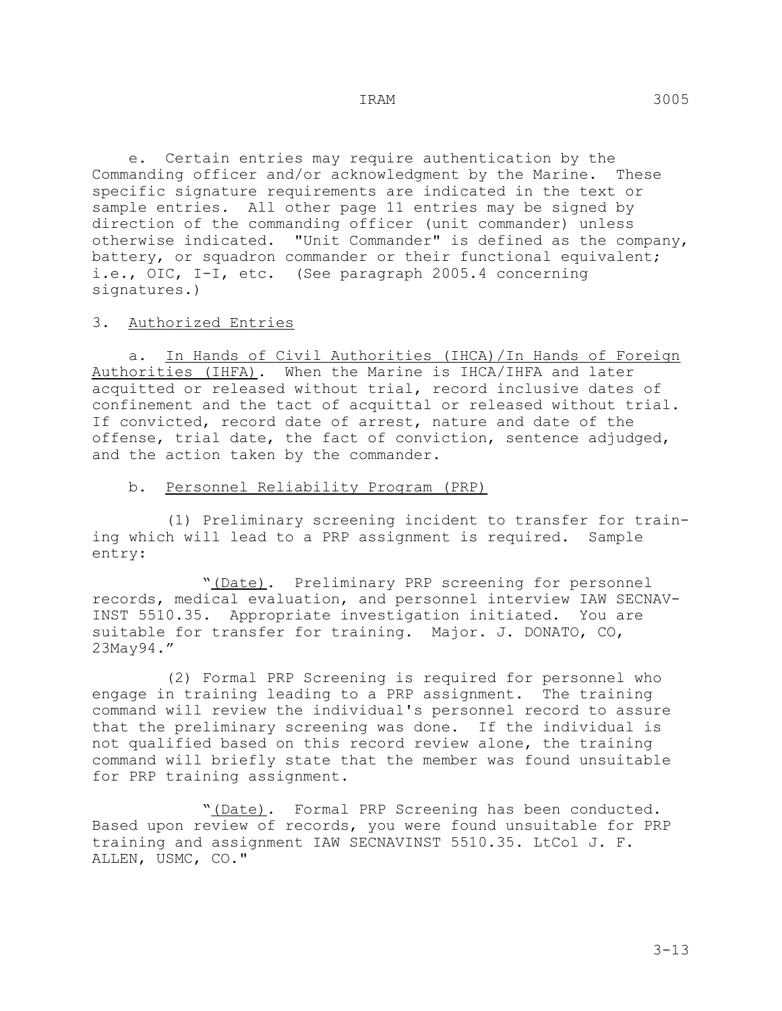e. Certain entries may require authentication by the Commanding officer and/or acknowledgment by the Marine. These specific signature requirements are indicated in the text or sample entries. All other page 11 entries may be signed by direction of the commanding officer (unit commander) unless otherwise indicated. "Unit Commander" is defined as the company, battery, or squadron commander or their functional equivalent; i.e., OIC, I-I, etc. (See paragraph 2005.4 concerning signatures.)

#### 3. Authorized Entries

 a. In Hands of Civil Authorities (IHCA)/In Hands of Foreign Authorities (IHFA). When the Marine is IHCA/IHFA and later acquitted or released without trial, record inclusive dates of confinement and the tact of acquittal or released without trial. If convicted, record date of arrest, nature and date of the offense, trial date, the fact of conviction, sentence adjudged, and the action taken by the commander.

#### b. Personnel Reliability Program (PRP)

 (1) Preliminary screening incident to transfer for training which will lead to a PRP assignment is required. Sample entry:

 "(Date). Preliminary PRP screening for personnel records, medical evaluation, and personnel interview IAW SECNAV-INST 5510.35. Appropriate investigation initiated. You are suitable for transfer for training. Major. J. DONATO, CO, 23May94."

 (2) Formal PRP Screening is required for personnel who engage in training leading to a PRP assignment. The training command will review the individual's personnel record to assure that the preliminary screening was done. If the individual is not qualified based on this record review alone, the training command will briefly state that the member was found unsuitable for PRP training assignment.

 "(Date). Formal PRP Screening has been conducted. Based upon review of records, you were found unsuitable for PRP training and assignment IAW SECNAVINST 5510.35. LtCol J. F. ALLEN, USMC, CO."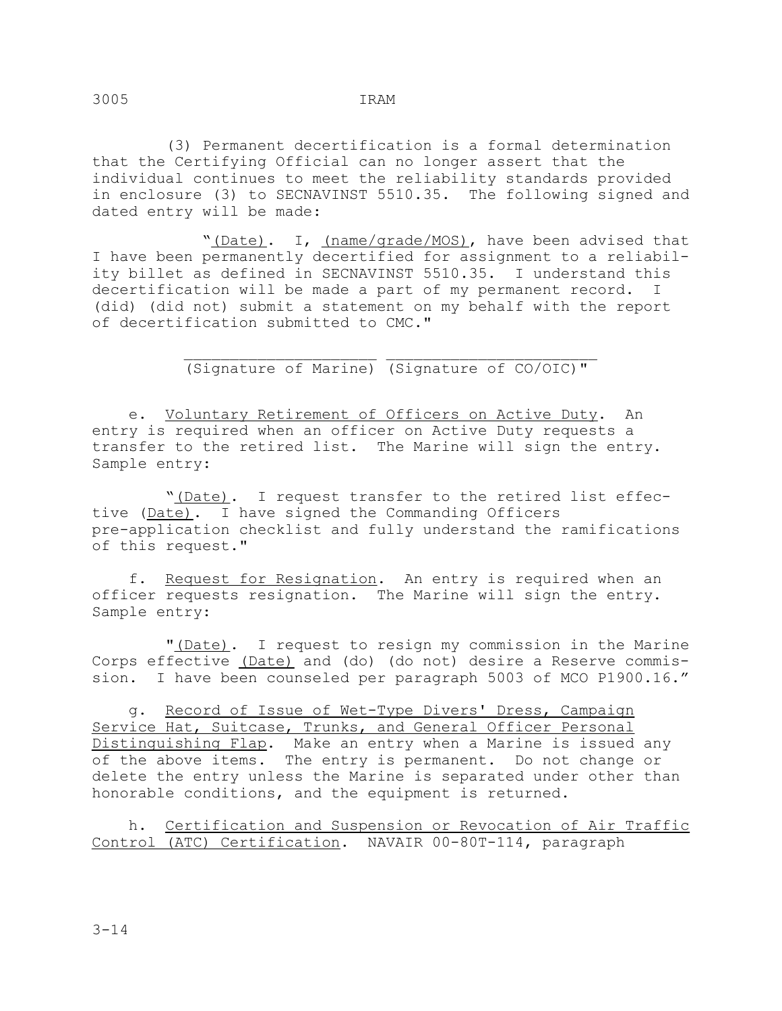(3) Permanent decertification is a formal determination that the Certifying Official can no longer assert that the individual continues to meet the reliability standards provided in enclosure (3) to SECNAVINST 5510.35. The following signed and dated entry will be made:

"(Date). I, (name/grade/MOS), have been advised that I have been permanently decertified for assignment to a reliability billet as defined in SECNAVINST 5510.35. I understand this decertification will be made a part of my permanent record. I (did) (did not) submit a statement on my behalf with the report of decertification submitted to CMC."

 \_\_\_\_\_\_\_\_\_\_\_\_\_\_\_\_\_\_\_\_\_ \_\_\_\_\_\_\_\_\_\_\_\_\_\_\_\_\_\_\_\_\_\_\_ (Signature of Marine) (Signature of CO/OIC)"

 e. Voluntary Retirement of Officers on Active Duty. An entry is required when an officer on Active Duty requests a transfer to the retired list. The Marine will sign the entry. Sample entry:

 "(Date). I request transfer to the retired list effective (Date). I have signed the Commanding Officers pre-application checklist and fully understand the ramifications of this request."

 f. Request for Resignation. An entry is required when an officer requests resignation. The Marine will sign the entry. Sample entry:

 "(Date). I request to resign my commission in the Marine Corps effective (Date) and (do) (do not) desire a Reserve commission. I have been counseled per paragraph 5003 of MCO P1900.16."

 g. Record of Issue of Wet-Type Divers' Dress, Campaign Service Hat, Suitcase, Trunks, and General Officer Personal Distinguishing Flap. Make an entry when a Marine is issued any of the above items. The entry is permanent. Do not change or delete the entry unless the Marine is separated under other than honorable conditions, and the equipment is returned.

 h. Certification and Suspension or Revocation of Air Traffic Control (ATC) Certification. NAVAIR 00-80T-114, paragraph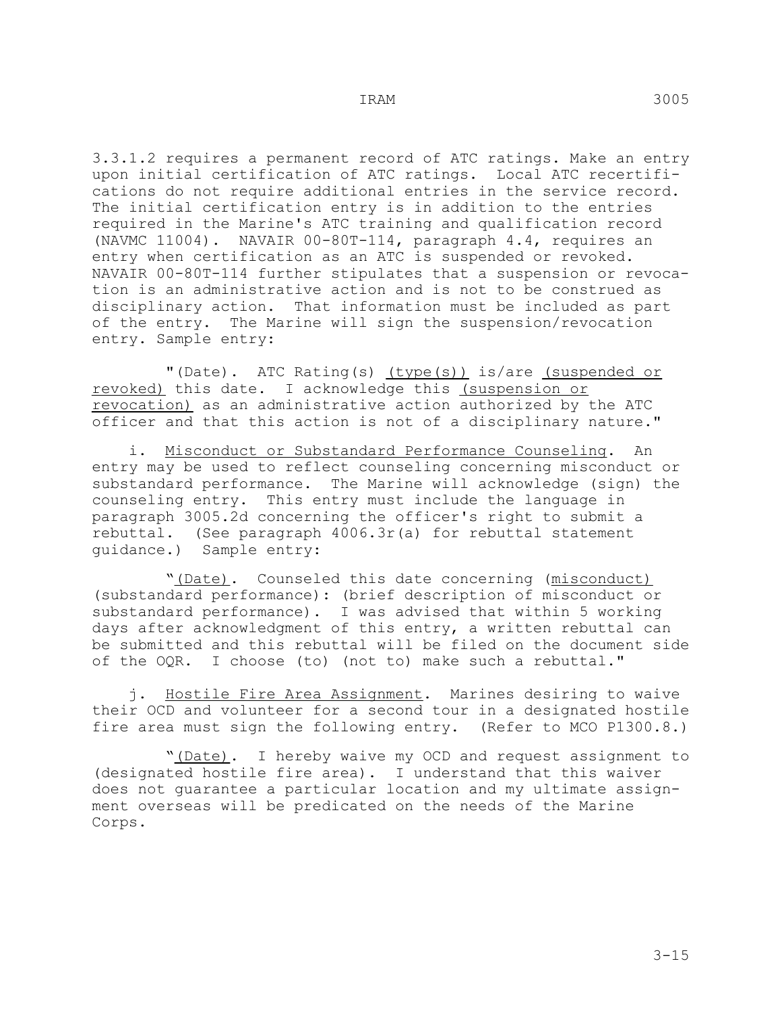3.3.1.2 requires a permanent record of ATC ratings. Make an entry upon initial certification of ATC ratings. Local ATC recertifications do not require additional entries in the service record. The initial certification entry is in addition to the entries required in the Marine's ATC training and qualification record (NAVMC 11004). NAVAIR 00-80T-114, paragraph 4.4, requires an entry when certification as an ATC is suspended or revoked. NAVAIR 00-80T-114 further stipulates that a suspension or revocation is an administrative action and is not to be construed as disciplinary action. That information must be included as part of the entry. The Marine will sign the suspension/revocation entry. Sample entry:

"(Date). ATC Rating(s) (type(s)) is/are (suspended or revoked) this date. I acknowledge this (suspension or revocation) as an administrative action authorized by the ATC officer and that this action is not of a disciplinary nature."

i. Misconduct or Substandard Performance Counseling. An entry may be used to reflect counseling concerning misconduct or substandard performance. The Marine will acknowledge (sign) the counseling entry. This entry must include the language in paragraph 3005.2d concerning the officer's right to submit a rebuttal. (See paragraph 4006.3r(a) for rebuttal statement guidance.) Sample entry:

 "(Date). Counseled this date concerning (misconduct) (substandard performance): (brief description of misconduct or substandard performance). I was advised that within 5 working days after acknowledgment of this entry, a written rebuttal can be submitted and this rebuttal will be filed on the document side of the OQR. I choose (to) (not to) make such a rebuttal."

 j. Hostile Fire Area Assignment. Marines desiring to waive their OCD and volunteer for a second tour in a designated hostile fire area must sign the following entry. (Refer to MCO P1300.8.)

"(Date). I hereby waive my OCD and request assignment to (designated hostile fire area). I understand that this waiver does not guarantee a particular location and my ultimate assignment overseas will be predicated on the needs of the Marine Corps.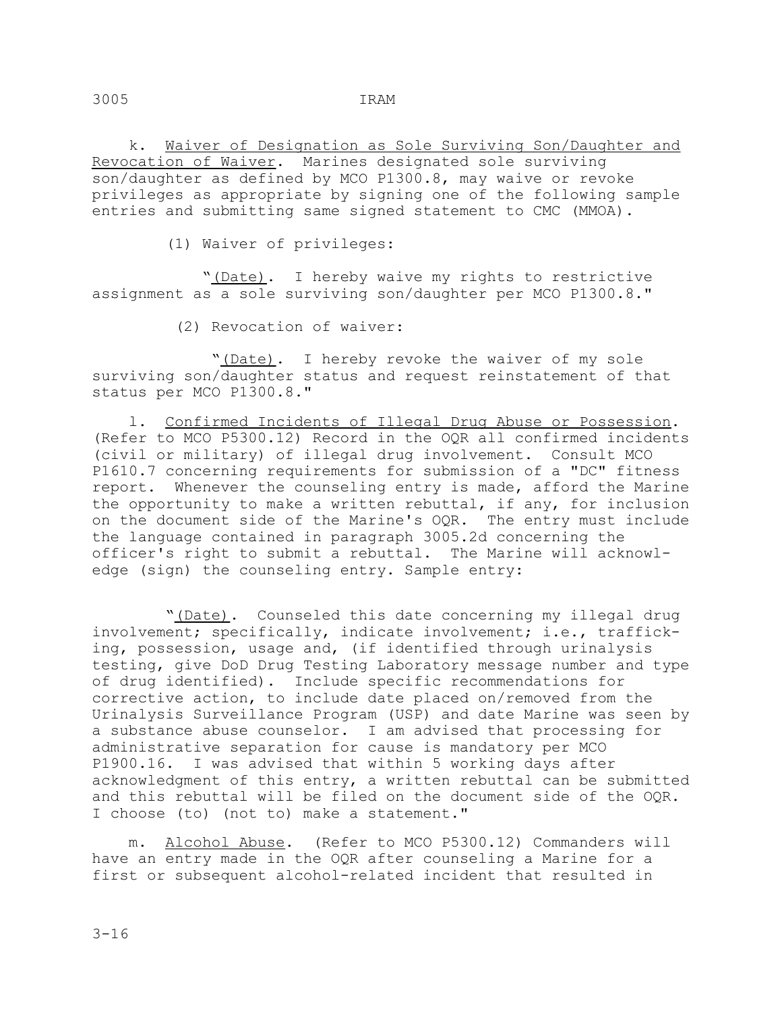k. Waiver of Designation as Sole Surviving Son/Daughter and Revocation of Waiver. Marines designated sole surviving son/daughter as defined by MCO P1300.8, may waive or revoke privileges as appropriate by signing one of the following sample entries and submitting same signed statement to CMC (MMOA).

(1) Waiver of privileges:

 "(Date). I hereby waive my rights to restrictive assignment as a sole surviving son/daughter per MCO P1300.8."

(2) Revocation of waiver:

 "(Date). I hereby revoke the waiver of my sole surviving son/daughter status and request reinstatement of that status per MCO P1300.8."

 l. Confirmed Incidents of Illegal Drug Abuse or Possession. (Refer to MCO P5300.12) Record in the OQR all confirmed incidents (civil or military) of illegal drug involvement. Consult MCO P1610.7 concerning requirements for submission of a "DC" fitness report. Whenever the counseling entry is made, afford the Marine the opportunity to make a written rebuttal, if any, for inclusion on the document side of the Marine's OQR. The entry must include the language contained in paragraph 3005.2d concerning the officer's right to submit a rebuttal. The Marine will acknowledge (sign) the counseling entry. Sample entry:

 "(Date). Counseled this date concerning my illegal drug involvement; specifically, indicate involvement; i.e., trafficking, possession, usage and, (if identified through urinalysis testing, give DoD Drug Testing Laboratory message number and type of drug identified). Include specific recommendations for corrective action, to include date placed on/removed from the Urinalysis Surveillance Program (USP) and date Marine was seen by a substance abuse counselor. I am advised that processing for administrative separation for cause is mandatory per MCO P1900.16. I was advised that within 5 working days after acknowledgment of this entry, a written rebuttal can be submitted and this rebuttal will be filed on the document side of the OQR. I choose (to) (not to) make a statement."

 m. Alcohol Abuse. (Refer to MCO P5300.12) Commanders will have an entry made in the OQR after counseling a Marine for a first or subsequent alcohol-related incident that resulted in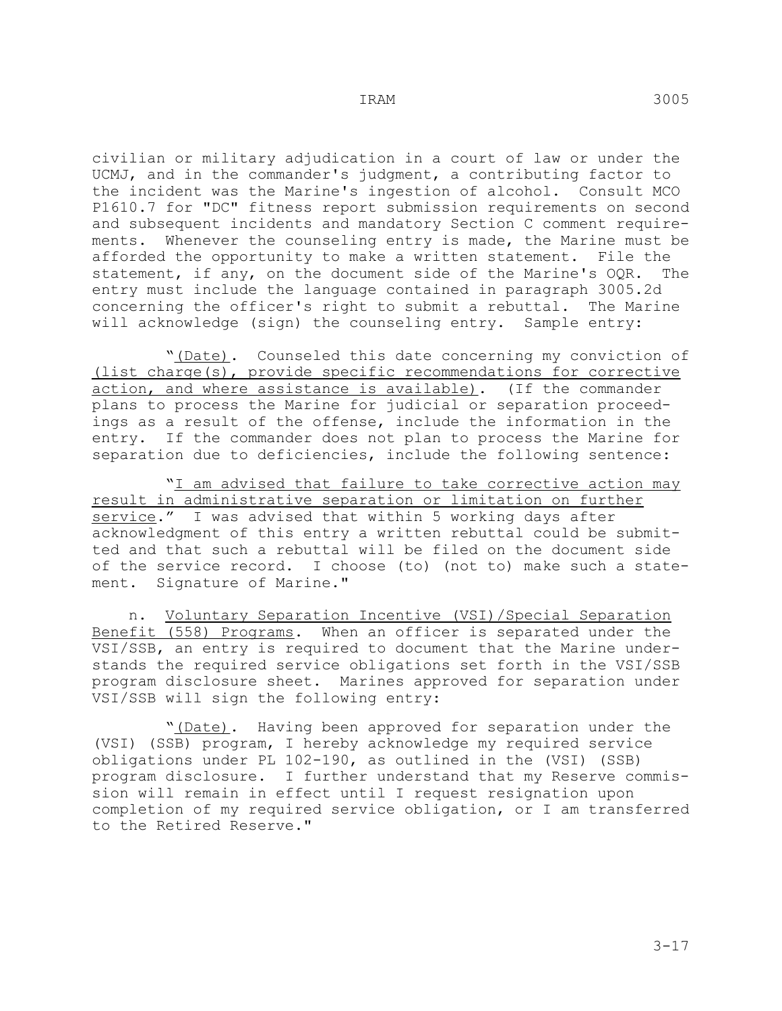civilian or military adjudication in a court of law or under the UCMJ, and in the commander's judgment, a contributing factor to the incident was the Marine's ingestion of alcohol. Consult MCO P1610.7 for "DC" fitness report submission requirements on second and subsequent incidents and mandatory Section C comment requirements. Whenever the counseling entry is made, the Marine must be afforded the opportunity to make a written statement. File the<br>statement, if anv, on the document side of the Marine's OOR. The statement, if any, on the document side of the Marine's OQR. entry must include the language contained in paragraph 3005.2d concerning the officer's right to submit a rebuttal. The Marine will acknowledge (sign) the counseling entry. Sample entry:

 "(Date). Counseled this date concerning my conviction of (list charge(s), provide specific recommendations for corrective action, and where assistance is available). (If the commander plans to process the Marine for judicial or separation proceedings as a result of the offense, include the information in the entry. If the commander does not plan to process the Marine for separation due to deficiencies, include the following sentence:

"I am advised that failure to take corrective action may result in administrative separation or limitation on further service." I was advised that within 5 working days after acknowledgment of this entry a written rebuttal could be submitted and that such a rebuttal will be filed on the document side of the service record. I choose (to) (not to) make such a statement. Signature of Marine."

 n. Voluntary Separation Incentive (VSI)/Special Separation Benefit (558) Programs. When an officer is separated under the VSI/SSB, an entry is required to document that the Marine understands the required service obligations set forth in the VSI/SSB program disclosure sheet. Marines approved for separation under VSI/SSB will sign the following entry:

 "(Date). Having been approved for separation under the (VSI) (SSB) program, I hereby acknowledge my required service obligations under PL 102-190, as outlined in the (VSI) (SSB) program disclosure. I further understand that my Reserve commission will remain in effect until I request resignation upon completion of my required service obligation, or I am transferred to the Retired Reserve."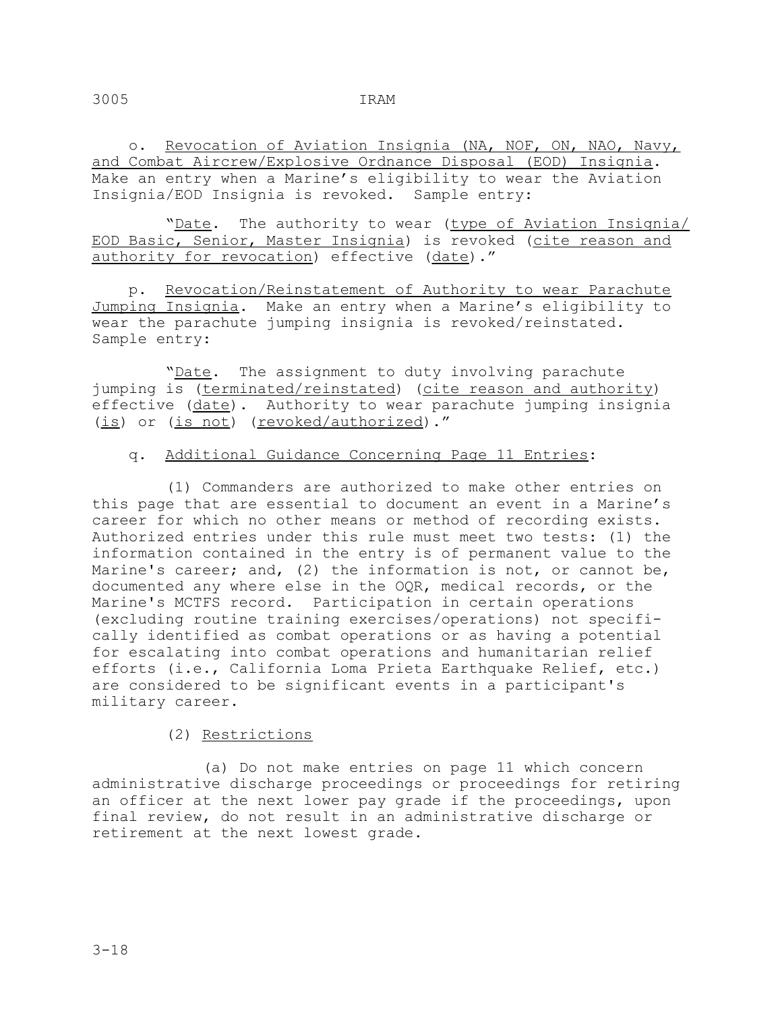o. Revocation of Aviation Insignia (NA, NOF, ON, NAO, Navy, and Combat Aircrew/Explosive Ordnance Disposal (EOD) Insignia. Make an entry when a Marine's eligibility to wear the Aviation Insignia/EOD Insignia is revoked. Sample entry:

"Date. The authority to wear (type of Aviation Insignia/ EOD Basic, Senior, Master Insignia) is revoked (cite reason and authority for revocation) effective (date)."

 p. Revocation/Reinstatement of Authority to wear Parachute Jumping Insignia. Make an entry when a Marine's eligibility to wear the parachute jumping insignia is revoked/reinstated. Sample entry:

"Date. The assignment to duty involving parachute jumping is (terminated/reinstated) (cite reason and authority) effective (date). Authority to wear parachute jumping insignia (is) or (is not) (revoked/authorized)."

## q. Additional Guidance Concerning Page 11 Entries:

 (1) Commanders are authorized to make other entries on this page that are essential to document an event in a Marine's career for which no other means or method of recording exists. Authorized entries under this rule must meet two tests: (1) the information contained in the entry is of permanent value to the Marine's career; and, (2) the information is not, or cannot be, documented any where else in the OQR, medical records, or the Marine's MCTFS record. Participation in certain operations (excluding routine training exercises/operations) not specifically identified as combat operations or as having a potential for escalating into combat operations and humanitarian relief efforts (i.e., California Loma Prieta Earthquake Relief, etc.) are considered to be significant events in a participant's military career.

## (2) Restrictions

 (a) Do not make entries on page 11 which concern administrative discharge proceedings or proceedings for retiring an officer at the next lower pay grade if the proceedings, upon final review, do not result in an administrative discharge or retirement at the next lowest grade.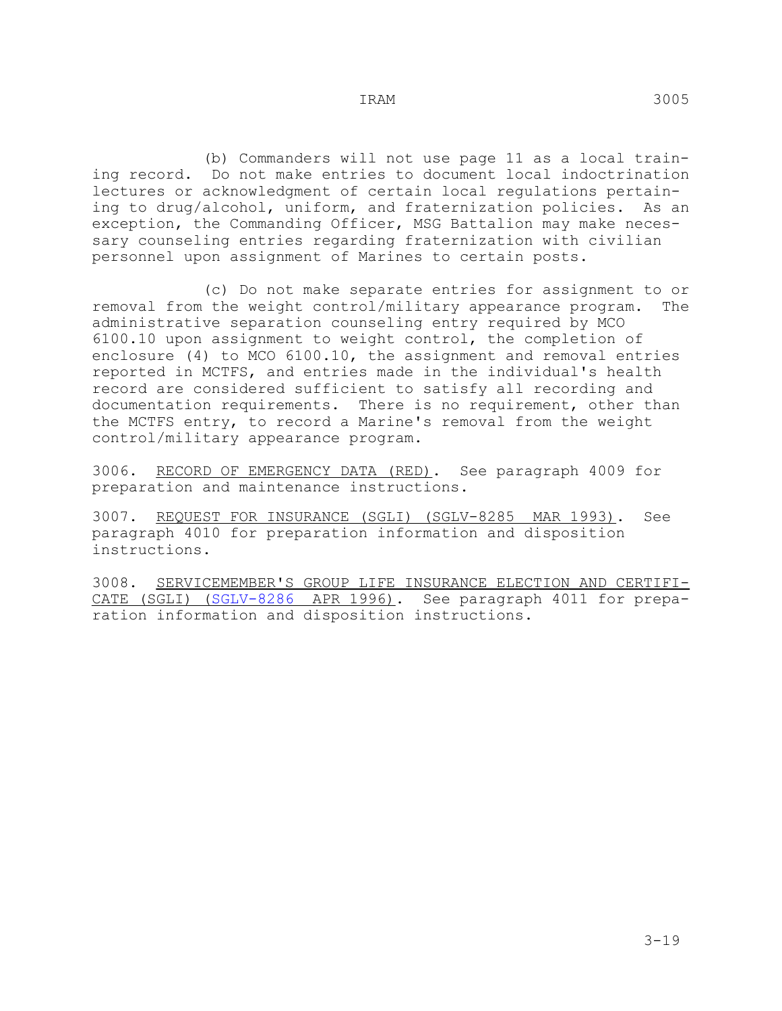(b) Commanders will not use page 11 as a local training record. Do not make entries to document local indoctrination lectures or acknowledgment of certain local regulations pertaining to drug/alcohol, uniform, and fraternization policies. As an exception, the Commanding Officer, MSG Battalion may make necessary counseling entries regarding fraternization with civilian personnel upon assignment of Marines to certain posts.

 (c) Do not make separate entries for assignment to or removal from the weight control/military appearance program. The administrative separation counseling entry required by MCO 6100.10 upon assignment to weight control, the completion of enclosure (4) to MCO 6100.10, the assignment and removal entries reported in MCTFS, and entries made in the individual's health record are considered sufficient to satisfy all recording and documentation requirements. There is no requirement, other than the MCTFS entry, to record a Marine's removal from the weight control/military appearance program.

3006. RECORD OF EMERGENCY DATA (RED). See paragraph 4009 for preparation and maintenance instructions.

3007. REQUEST FOR INSURANCE (SGLI) (SGLV-8285 MAR 1993). See paragraph 4010 for preparation information and disposition instructions.

3008. SERVICEMEMBER'S GROUP LIFE INSURANCE ELECTION AND CERTIFI-CATE (SGLI) (SGLV-8286 APR 1996). See paragraph 4011 for preparation information and disposition instructions.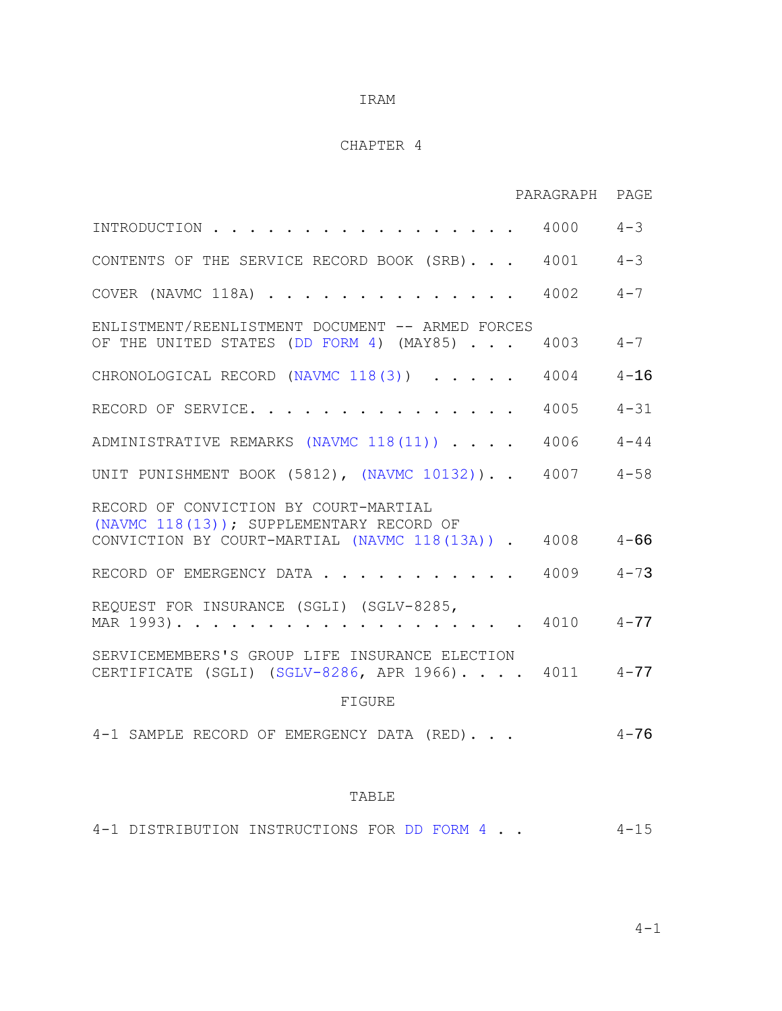## CHAPTER 4

|                                                                                                                                               | PARAGRAPH PAGE |          |
|-----------------------------------------------------------------------------------------------------------------------------------------------|----------------|----------|
| INTRODUCTION                                                                                                                                  | $4000$ $4-3$   |          |
| CONTENTS OF THE SERVICE RECORD BOOK (SRB)                                                                                                     | $4001$ $4-3$   |          |
| COVER (NAVMC 118A)                                                                                                                            | 4002           | $4 - 7$  |
| ENLISTMENT/REENLISTMENT DOCUMENT -- ARMED FORCES<br>OF THE UNITED STATES (DD FORM 4) (MAY85)                                                  | 4003           | $4 - 7$  |
| CHRONOLOGICAL RECORD (NAVMC 118(3))                                                                                                           | 4004           | $4 - 16$ |
| RECORD OF SERVICE.                                                                                                                            | 4005           | $4 - 31$ |
| ADMINISTRATIVE REMARKS (NAVMC 118(11))                                                                                                        | $4006$ $4-44$  |          |
| UNIT PUNISHMENT BOOK (5812), (NAVMC 10132)) 4007 4-58                                                                                         |                |          |
| RECORD OF CONVICTION BY COURT-MARTIAL<br>(NAVMC 118(13)); SUPPLEMENTARY RECORD OF<br>CONVICTION BY COURT-MARTIAL (NAVMC 118(13A)) . 4008 4-66 |                |          |
| RECORD OF EMERGENCY DATA 4009 4-73                                                                                                            |                |          |
| REQUEST FOR INSURANCE (SGLI) (SGLV-8285,<br>MAR 1993). 4010 4-77                                                                              |                |          |
| SERVICEMEMBERS'S GROUP LIFE INSURANCE ELECTION<br>CERTIFICATE (SGLI) (SGLV-8286, APR 1966). 4011 4-77                                         |                |          |
| FIGURE                                                                                                                                        |                |          |
| 4-1 SAMPLE RECORD OF EMERGENCY DATA (RED).                                                                                                    |                | $4 - 76$ |
|                                                                                                                                               |                |          |

## TABLE

4-1 DISTRIBUTION INSTRUCTIONS FOR DD FORM 4 . . 4-15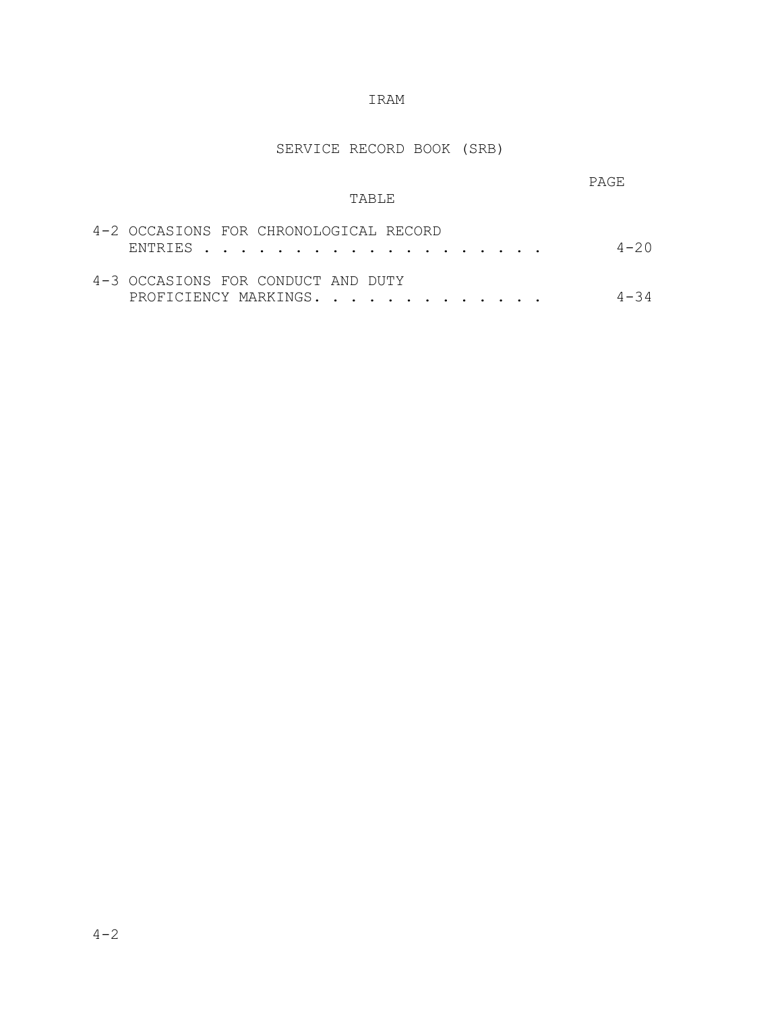# SERVICE RECORD BOOK (SRB)

| <b>TABLE</b>                                                | <b>PAGE</b> |
|-------------------------------------------------------------|-------------|
| 4-2 OCCASIONS FOR CHRONOLOGICAL RECORD                      | $4 - 20$    |
| 4-3 OCCASIONS FOR CONDUCT AND DUTY<br>PROFICIENCY MARKINGS. | -34         |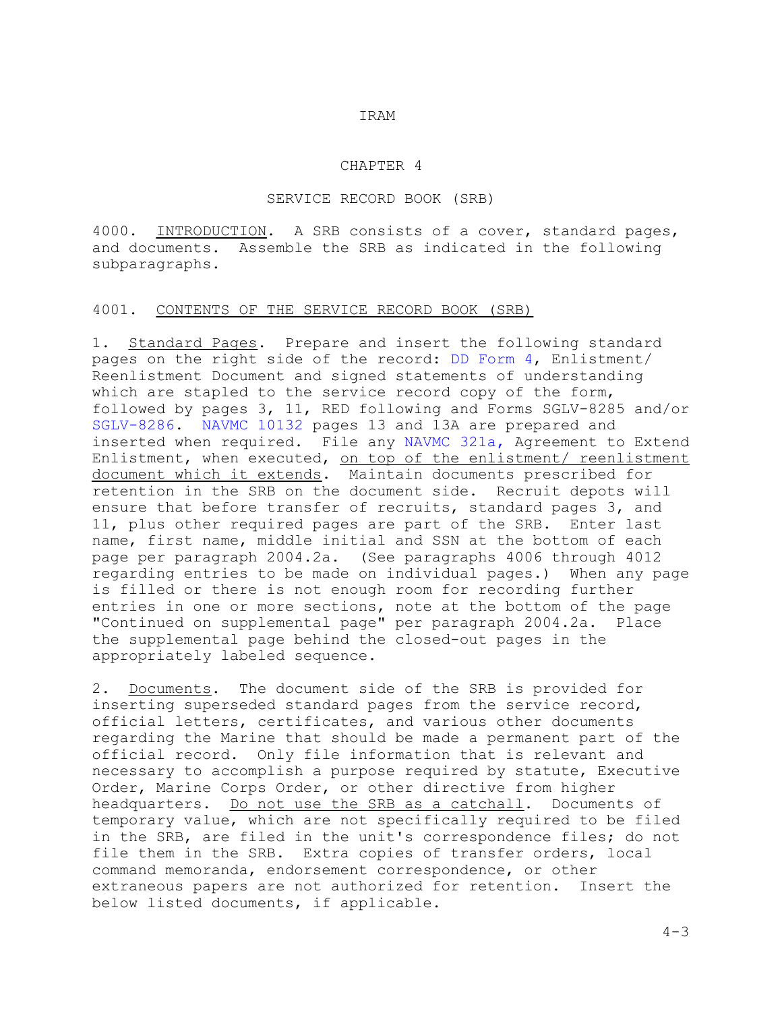#### CHAPTER 4

#### SERVICE RECORD BOOK (SRB)

4000. INTRODUCTION. A SRB consists of a cover, standard pages, and documents. Assemble the SRB as indicated in the following subparagraphs.

#### 4001. CONTENTS OF THE SERVICE RECORD BOOK (SRB)

1. Standard Pages. Prepare and insert the following standard pages on the right side of the record: DD Form 4, Enlistment/ Reenlistment Document and signed statements of understanding which are stapled to the service record copy of the form, followed by pages 3, 11, RED following and Forms SGLV-8285 and/or SGLV-8286. NAVMC 10132 pages 13 and 13A are prepared and inserted when required. File any NAVMC 321a, Agreement to Extend Enlistment, when executed, on top of the enlistment/ reenlistment document which it extends. Maintain documents prescribed for retention in the SRB on the document side. Recruit depots will ensure that before transfer of recruits, standard pages 3, and 11, plus other required pages are part of the SRB. Enter last name, first name, middle initial and SSN at the bottom of each page per paragraph 2004.2a. (See paragraphs 4006 through 4012 regarding entries to be made on individual pages.) When any page is filled or there is not enough room for recording further entries in one or more sections, note at the bottom of the page "Continued on supplemental page" per paragraph 2004.2a. Place the supplemental page behind the closed-out pages in the appropriately labeled sequence.

2. Documents. The document side of the SRB is provided for inserting superseded standard pages from the service record, official letters, certificates, and various other documents regarding the Marine that should be made a permanent part of the official record. Only file information that is relevant and necessary to accomplish a purpose required by statute, Executive Order, Marine Corps Order, or other directive from higher<br>headquarters. Do not use the SRB as a catchall. Documents of headquarters. Do not use the SRB as a catchall. temporary value, which are not specifically required to be filed in the SRB, are filed in the unit's correspondence files; do not file them in the SRB. Extra copies of transfer orders, local command memoranda, endorsement correspondence, or other extraneous papers are not authorized for retention. Insert the below listed documents, if applicable.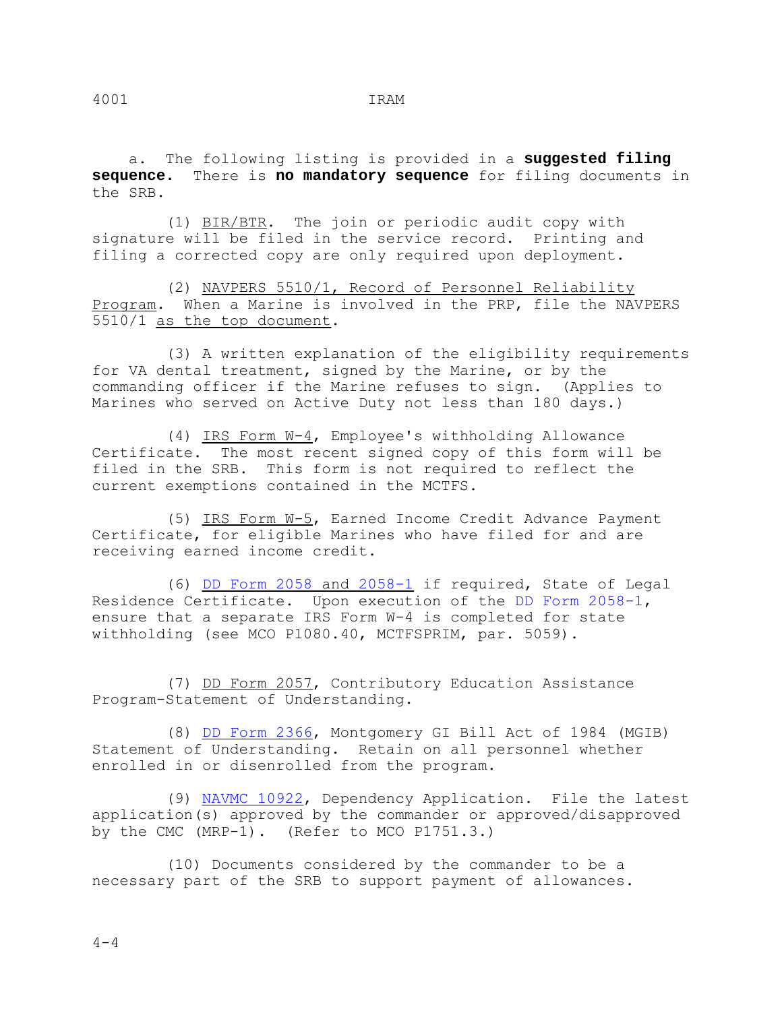a. The following listing is provided in a **suggested filing sequence.** There is **no mandatory sequence** for filing documents in the SRB.

 (1) BIR/BTR. The join or periodic audit copy with signature will be filed in the service record. Printing and filing a corrected copy are only required upon deployment.

 (2) NAVPERS 5510/1, Record of Personnel Reliability Program. When a Marine is involved in the PRP, file the NAVPERS 5510/1 as the top document.

 (3) A written explanation of the eligibility requirements for VA dental treatment, signed by the Marine, or by the commanding officer if the Marine refuses to sign. (Applies to Marines who served on Active Duty not less than 180 days.)

 (4) IRS Form W-4, Employee's withholding Allowance Certificate. The most recent signed copy of this form will be filed in the SRB. This form is not required to reflect the current exemptions contained in the MCTFS.

 (5) IRS Form W-5, Earned Income Credit Advance Payment Certificate, for eligible Marines who have filed for and are receiving earned income credit.

 (6) DD Form 2058 and 2058-1 if required, State of Legal Residence Certificate. Upon execution of the DD Form 2058-1, ensure that a separate IRS Form W-4 is completed for state withholding (see MCO P1080.40, MCTFSPRIM, par. 5059).

 (7) DD Form 2057, Contributory Education Assistance Program-Statement of Understanding.

 (8) DD Form 2366, Montgomery GI Bill Act of 1984 (MGIB) Statement of Understanding. Retain on all personnel whether enrolled in or disenrolled from the program.

 (9) NAVMC 10922, Dependency Application. File the latest application(s) approved by the commander or approved/disapproved by the CMC (MRP-1). (Refer to MCO P1751.3.)

 (10) Documents considered by the commander to be a necessary part of the SRB to support payment of allowances.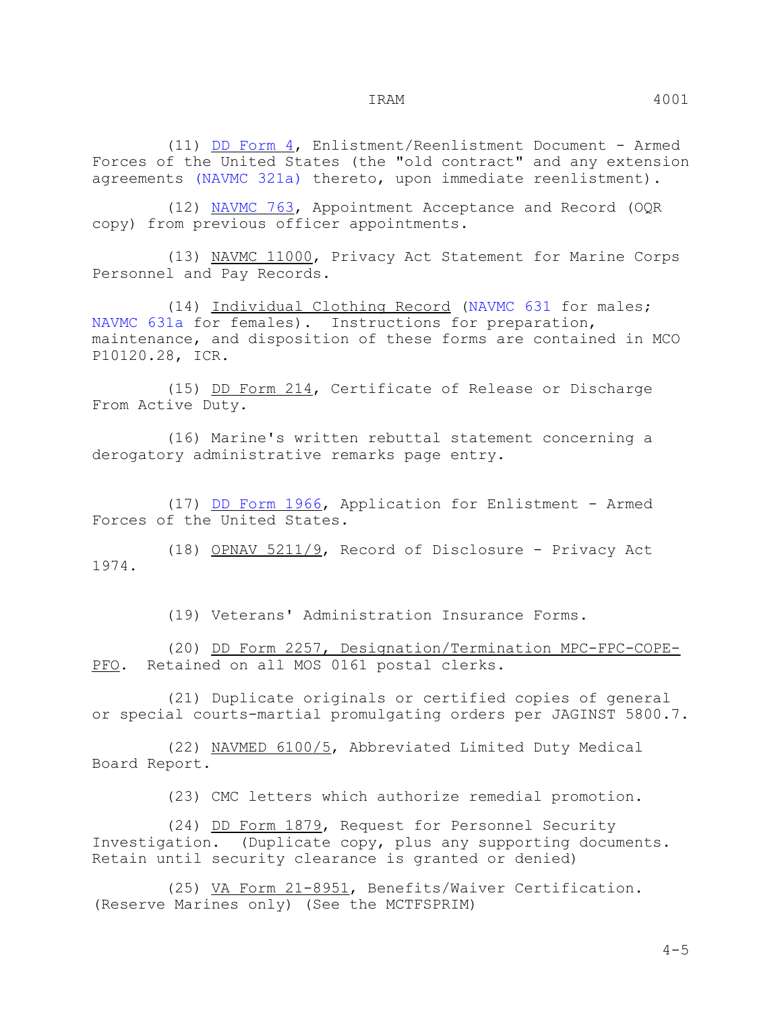(11) DD Form 4, Enlistment/Reenlistment Document - Armed Forces of the United States (the "old contract" and any extension agreements (NAVMC 321a) thereto, upon immediate reenlistment).

 (12) NAVMC 763, Appointment Acceptance and Record (OQR copy) from previous officer appointments.

 (13) NAVMC 11000, Privacy Act Statement for Marine Corps Personnel and Pay Records.

 (14) Individual Clothing Record (NAVMC 631 for males; NAVMC 631a for females). Instructions for preparation, maintenance, and disposition of these forms are contained in MCO P10120.28, ICR.

 (15) DD Form 214, Certificate of Release or Discharge From Active Duty.

 (16) Marine's written rebuttal statement concerning a derogatory administrative remarks page entry.

 (17) DD Form 1966, Application for Enlistment - Armed Forces of the United States.

 (18) OPNAV 5211/9, Record of Disclosure - Privacy Act 1974.

(19) Veterans' Administration Insurance Forms.

 (20) DD Form 2257, Designation/Termination MPC-FPC-COPE-PFO. Retained on all MOS 0161 postal clerks.

 (21) Duplicate originals or certified copies of general or special courts-martial promulgating orders per JAGINST 5800.7.

 (22) NAVMED 6100/5, Abbreviated Limited Duty Medical Board Report.

(23) CMC letters which authorize remedial promotion.

 (24) DD Form 1879, Request for Personnel Security Investigation. (Duplicate copy, plus any supporting documents. Retain until security clearance is granted or denied)

 (25) VA Form 21-8951, Benefits/Waiver Certification. (Reserve Marines only) (See the MCTFSPRIM)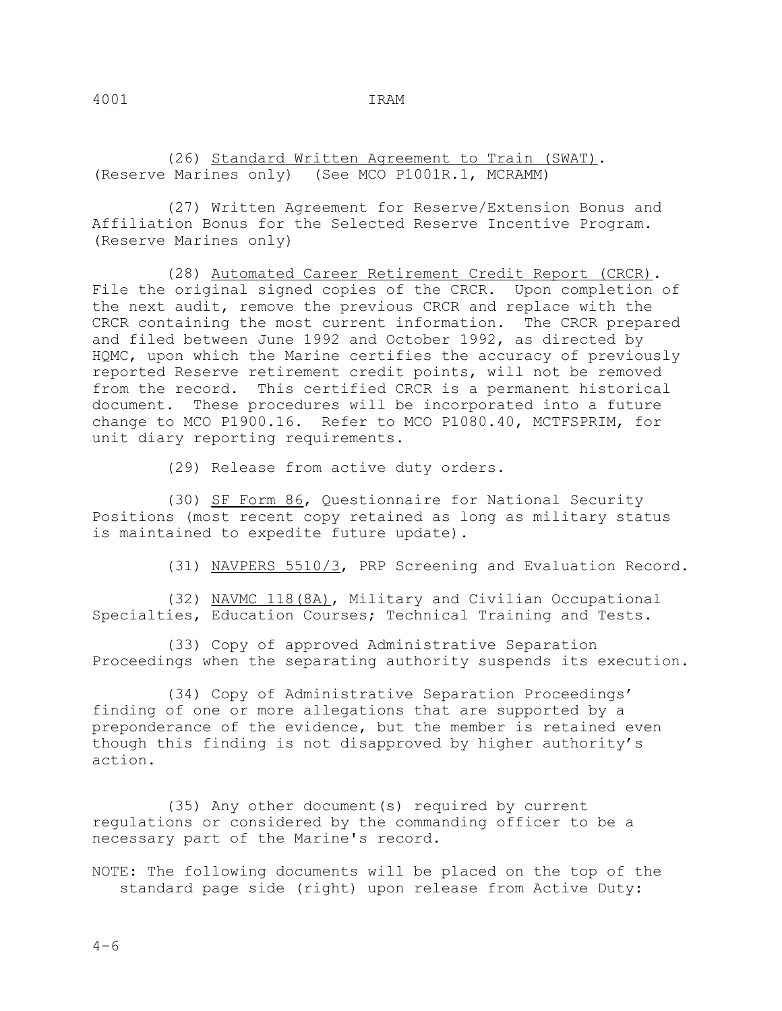(26) Standard Written Agreement to Train (SWAT). (Reserve Marines only) (See MCO P1001R.1, MCRAMM)

 (27) Written Agreement for Reserve/Extension Bonus and Affiliation Bonus for the Selected Reserve Incentive Program. (Reserve Marines only)

 (28) Automated Career Retirement Credit Report (CRCR). File the original signed copies of the CRCR. Upon completion of the next audit, remove the previous CRCR and replace with the CRCR containing the most current information. The CRCR prepared and filed between June 1992 and October 1992, as directed by HQMC, upon which the Marine certifies the accuracy of previously reported Reserve retirement credit points, will not be removed from the record. This certified CRCR is a permanent historical document. These procedures will be incorporated into a future change to MCO P1900.16. Refer to MCO P1080.40, MCTFSPRIM, for unit diary reporting requirements.

(29) Release from active duty orders.

 (30) SF Form 86, Questionnaire for National Security Positions (most recent copy retained as long as military status is maintained to expedite future update).

(31) NAVPERS 5510/3, PRP Screening and Evaluation Record.

 (32) NAVMC 118(8A), Military and Civilian Occupational Specialties, Education Courses; Technical Training and Tests.

 (33) Copy of approved Administrative Separation Proceedings when the separating authority suspends its execution.

 (34) Copy of Administrative Separation Proceedings' finding of one or more allegations that are supported by a preponderance of the evidence, but the member is retained even though this finding is not disapproved by higher authority's action.

 (35) Any other document(s) required by current regulations or considered by the commanding officer to be a necessary part of the Marine's record.

NOTE: The following documents will be placed on the top of the standard page side (right) upon release from Active Duty: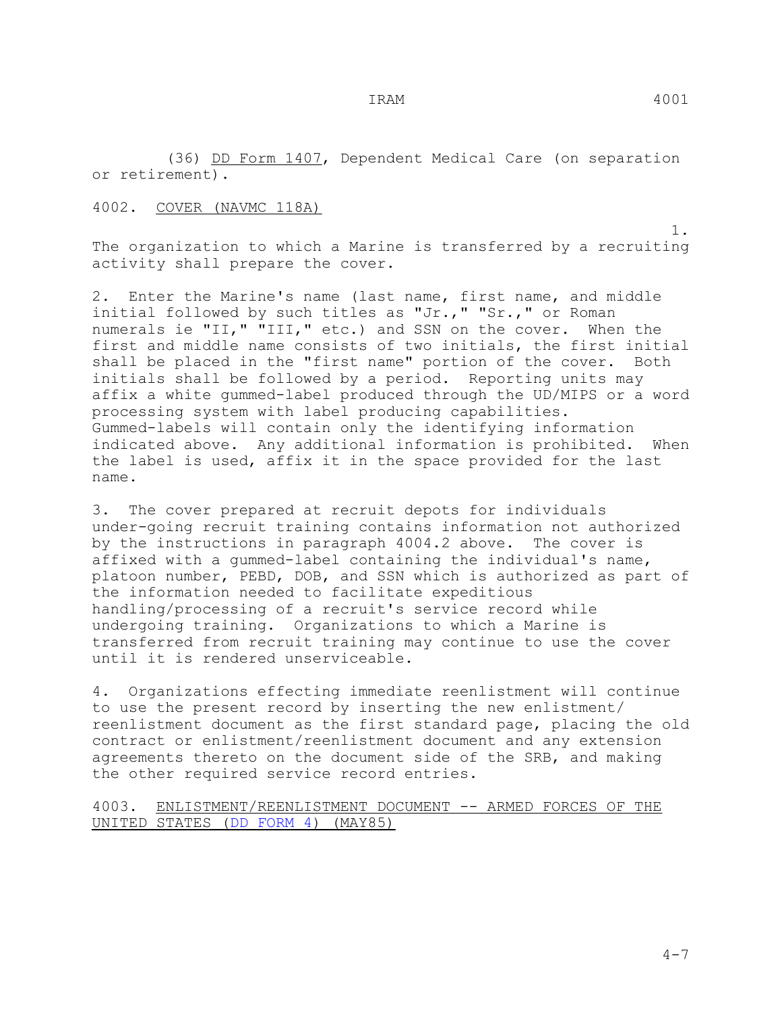(36) DD Form 1407, Dependent Medical Care (on separation or retirement).

# 4002. COVER (NAVMC 118A)

 1. The organization to which a Marine is transferred by a recruiting activity shall prepare the cover.

2. Enter the Marine's name (last name, first name, and middle initial followed by such titles as "Jr.," "Sr.," or Roman numerals ie "II," "III," etc.) and SSN on the cover. When the first and middle name consists of two initials, the first initial shall be placed in the "first name" portion of the cover. Both initials shall be followed by a period. Reporting units may affix a white gummed-label produced through the UD/MIPS or a word processing system with label producing capabilities. Gummed-labels will contain only the identifying information indicated above. Any additional information is prohibited. When the label is used, affix it in the space provided for the last name.

3. The cover prepared at recruit depots for individuals under-going recruit training contains information not authorized by the instructions in paragraph 4004.2 above. The cover is affixed with a gummed-label containing the individual's name, platoon number, PEBD, DOB, and SSN which is authorized as part of the information needed to facilitate expeditious handling/processing of a recruit's service record while undergoing training. Organizations to which a Marine is transferred from recruit training may continue to use the cover until it is rendered unserviceable.

4. Organizations effecting immediate reenlistment will continue to use the present record by inserting the new enlistment/ reenlistment document as the first standard page, placing the old contract or enlistment/reenlistment document and any extension agreements thereto on the document side of the SRB, and making the other required service record entries.

4003. ENLISTMENT/REENLISTMENT DOCUMENT -- ARMED FORCES OF THE UNITED STATES (DD FORM 4) (MAY85)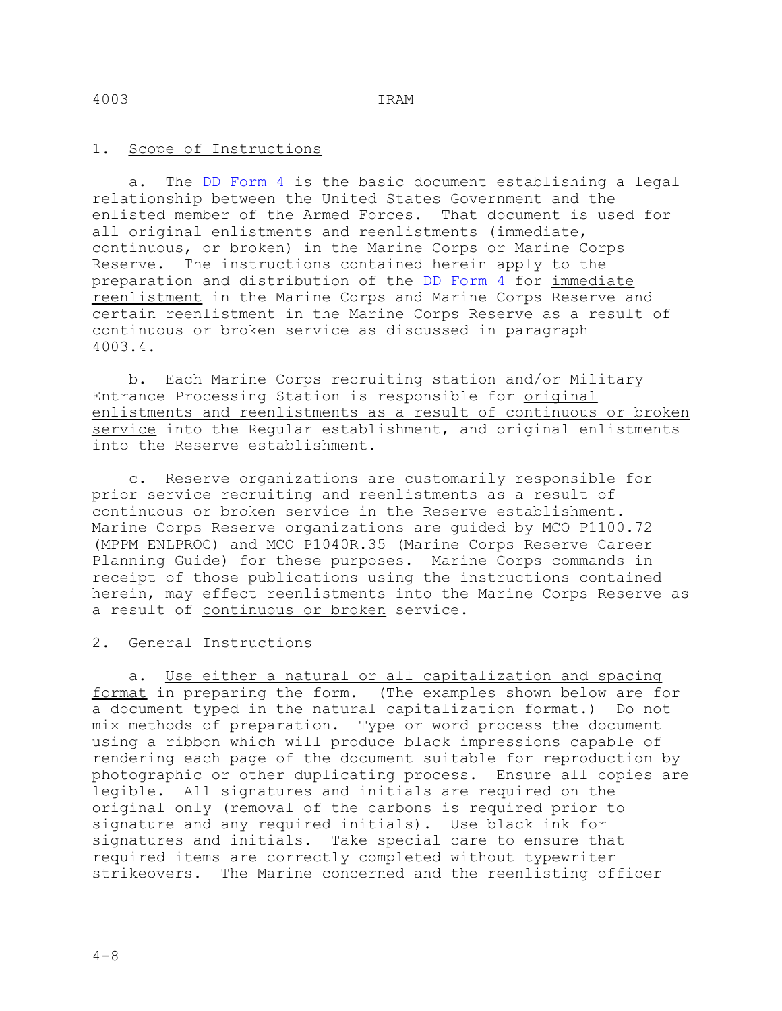## 1. Scope of Instructions

The DD Form 4 is the basic document establishing a legal relationship between the United States Government and the enlisted member of the Armed Forces. That document is used for all original enlistments and reenlistments (immediate, continuous, or broken) in the Marine Corps or Marine Corps Reserve. The instructions contained herein apply to the preparation and distribution of the DD Form 4 for immediate reenlistment in the Marine Corps and Marine Corps Reserve and certain reenlistment in the Marine Corps Reserve as a result of continuous or broken service as discussed in paragraph 4003.4.

 b. Each Marine Corps recruiting station and/or Military Entrance Processing Station is responsible for original enlistments and reenlistments as a result of continuous or broken service into the Regular establishment, and original enlistments into the Reserve establishment.

 c. Reserve organizations are customarily responsible for prior service recruiting and reenlistments as a result of continuous or broken service in the Reserve establishment. Marine Corps Reserve organizations are guided by MCO P1100.72 (MPPM ENLPROC) and MCO P1040R.35 (Marine Corps Reserve Career Planning Guide) for these purposes. Marine Corps commands in receipt of those publications using the instructions contained herein, may effect reenlistments into the Marine Corps Reserve as a result of continuous or broken service.

2. General Instructions

 a. Use either a natural or all capitalization and spacing format in preparing the form. (The examples shown below are for a document typed in the natural capitalization format.) Do not mix methods of preparation. Type or word process the document using a ribbon which will produce black impressions capable of rendering each page of the document suitable for reproduction by photographic or other duplicating process. Ensure all copies are legible. All signatures and initials are required on the original only (removal of the carbons is required prior to signature and any required initials). Use black ink for signatures and initials. Take special care to ensure that required items are correctly completed without typewriter strikeovers. The Marine concerned and the reenlisting officer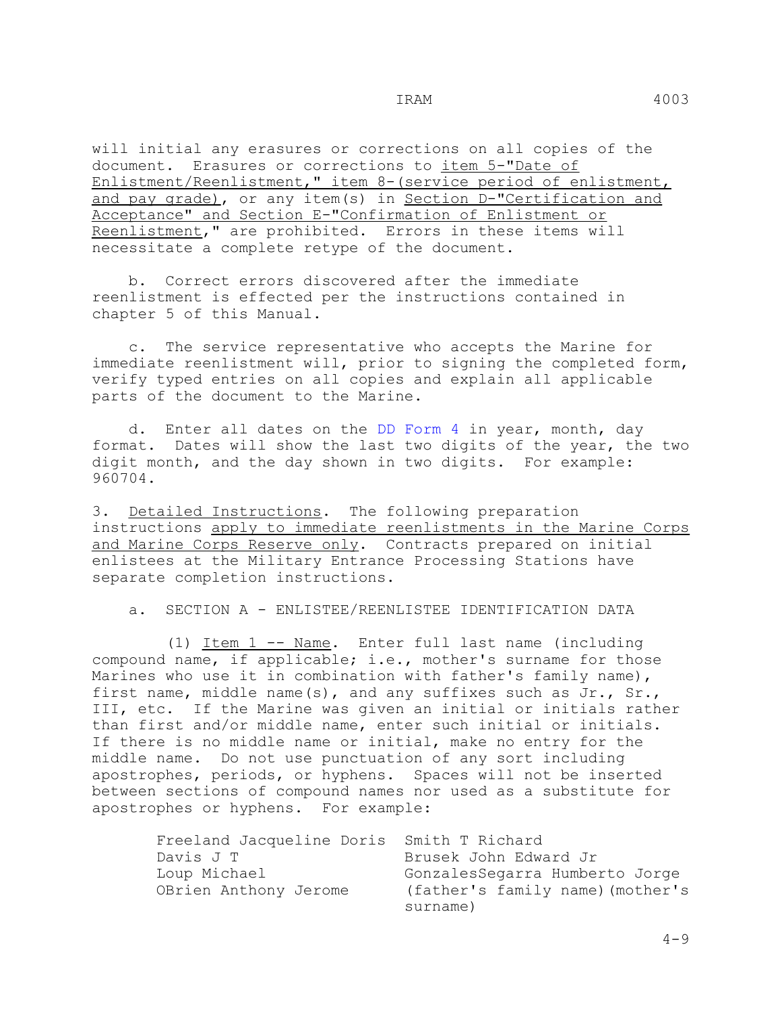will initial any erasures or corrections on all copies of the document. Erasures or corrections to item 5-"Date of Enlistment/Reenlistment," item 8-(service period of enlistment, and pay grade), or any item(s) in Section D-"Certification and Acceptance" and Section E-"Confirmation of Enlistment or Reenlistment," are prohibited. Errors in these items will necessitate a complete retype of the document.

 b. Correct errors discovered after the immediate reenlistment is effected per the instructions contained in chapter 5 of this Manual.

 c. The service representative who accepts the Marine for immediate reenlistment will, prior to signing the completed form, verify typed entries on all copies and explain all applicable parts of the document to the Marine.

 d. Enter all dates on the DD Form 4 in year, month, day format. Dates will show the last two digits of the year, the two digit month, and the day shown in two digits. For example: 960704.

3. Detailed Instructions. The following preparation instructions apply to immediate reenlistments in the Marine Corps and Marine Corps Reserve only. Contracts prepared on initial enlistees at the Military Entrance Processing Stations have separate completion instructions.

a. SECTION A - ENLISTEE/REENLISTEE IDENTIFICATION DATA

 (1) Item 1 -- Name. Enter full last name (including compound name, if applicable; i.e., mother's surname for those Marines who use it in combination with father's family name), first name, middle name(s), and any suffixes such as Jr., Sr., III, etc. If the Marine was given an initial or initials rather than first and/or middle name, enter such initial or initials. If there is no middle name or initial, make no entry for the middle name. Do not use punctuation of any sort including apostrophes, periods, or hyphens. Spaces will not be inserted between sections of compound names nor used as a substitute for apostrophes or hyphens. For example:

| Freeland Jacqueline Doris Smith T Richard |                                              |
|-------------------------------------------|----------------------------------------------|
| Davis J T                                 | Brusek John Edward Jr                        |
| Loup Michael                              | GonzalesSegarra Humberto Jorge               |
| OBrien Anthony Jerome                     | (father's family name) (mother's<br>surname) |
|                                           |                                              |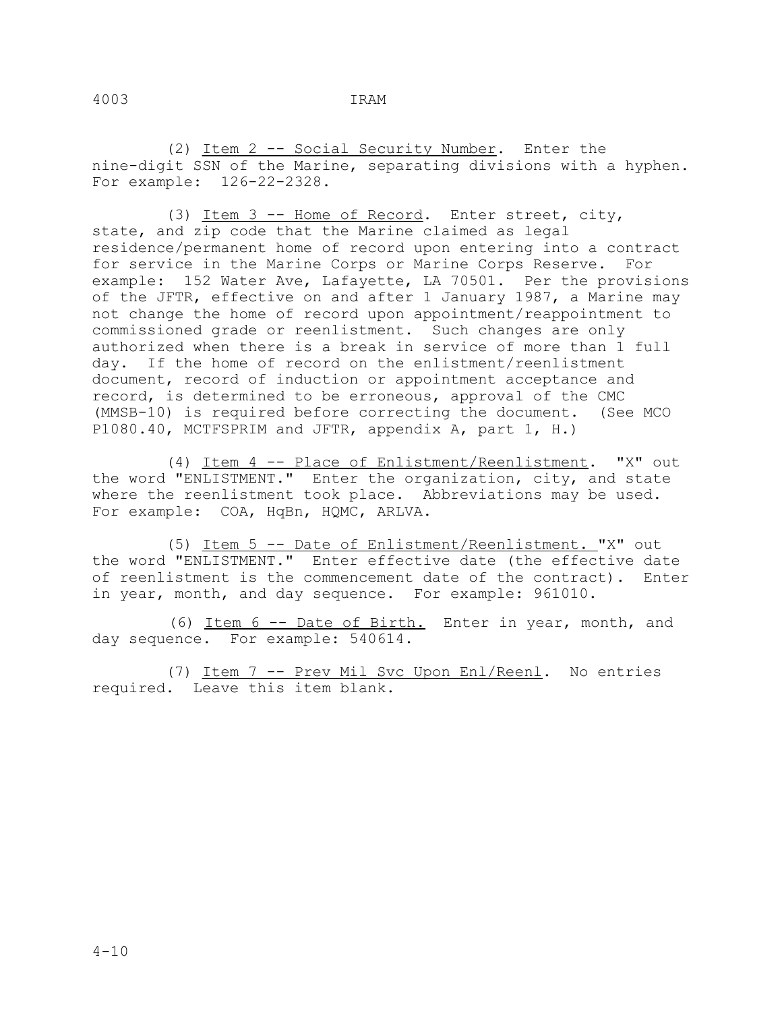(2) Item 2 -- Social Security Number. Enter the nine-digit SSN of the Marine, separating divisions with a hyphen. For example: 126-22-2328.

 (3) Item 3 -- Home of Record. Enter street, city, state, and zip code that the Marine claimed as legal residence/permanent home of record upon entering into a contract for service in the Marine Corps or Marine Corps Reserve. For example: 152 Water Ave, Lafayette, LA 70501. Per the provisions of the JFTR, effective on and after 1 January 1987, a Marine may not change the home of record upon appointment/reappointment to commissioned grade or reenlistment. Such changes are only authorized when there is a break in service of more than 1 full day. If the home of record on the enlistment/reenlistment document, record of induction or appointment acceptance and record, is determined to be erroneous, approval of the CMC (MMSB-10) is required before correcting the document. (See MCO P1080.40, MCTFSPRIM and JFTR, appendix A, part 1, H.)

 (4) Item 4 -- Place of Enlistment/Reenlistment. "X" out the word "ENLISTMENT." Enter the organization, city, and state where the reenlistment took place. Abbreviations may be used. For example: COA, HqBn, HQMC, ARLVA.

 (5) Item 5 -- Date of Enlistment/Reenlistment. "X" out the word "ENLISTMENT." Enter effective date (the effective date of reenlistment is the commencement date of the contract). Enter in year, month, and day sequence. For example: 961010.

 (6) Item 6 -- Date of Birth. Enter in year, month, and day sequence. For example: 540614.

 (7) Item 7 -- Prev Mil Svc Upon Enl/Reenl. No entries required. Leave this item blank.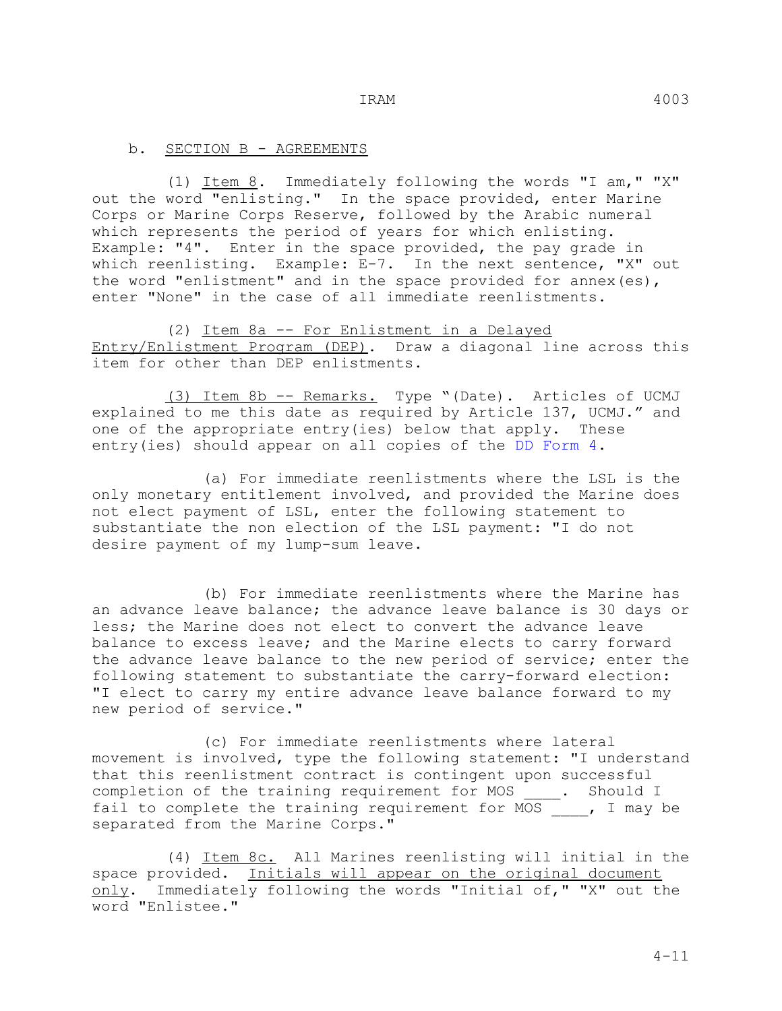(1) Item 8. Immediately following the words "I am," "X" out the word "enlisting." In the space provided, enter Marine Corps or Marine Corps Reserve, followed by the Arabic numeral which represents the period of years for which enlisting. Example: "4". Enter in the space provided, the pay grade in which reenlisting. Example: E-7. In the next sentence, "X" out the word "enlistment" and in the space provided for annex (es), enter "None" in the case of all immediate reenlistments.

 (2) Item 8a -- For Enlistment in a Delayed Entry/Enlistment Program (DEP). Draw a diagonal line across this item for other than DEP enlistments.

 (3) Item 8b -- Remarks. Type "(Date). Articles of UCMJ explained to me this date as required by Article 137, UCMJ." and one of the appropriate entry(ies) below that apply. These entry(ies) should appear on all copies of the DD Form 4.

 (a) For immediate reenlistments where the LSL is the only monetary entitlement involved, and provided the Marine does not elect payment of LSL, enter the following statement to substantiate the non election of the LSL payment: "I do not desire payment of my lump-sum leave.

 (b) For immediate reenlistments where the Marine has an advance leave balance; the advance leave balance is 30 days or less; the Marine does not elect to convert the advance leave balance to excess leave; and the Marine elects to carry forward the advance leave balance to the new period of service; enter the following statement to substantiate the carry-forward election: "I elect to carry my entire advance leave balance forward to my new period of service."

 (c) For immediate reenlistments where lateral movement is involved, type the following statement: "I understand that this reenlistment contract is contingent upon successful completion of the training requirement for MOS \_\_\_\_. Should I fail to complete the training requirement for  $MOS$ , I may be separated from the Marine Corps."

 (4) Item 8c. All Marines reenlisting will initial in the space provided. Initials will appear on the original document only. Immediately following the words "Initial of," "X" out the word "Enlistee."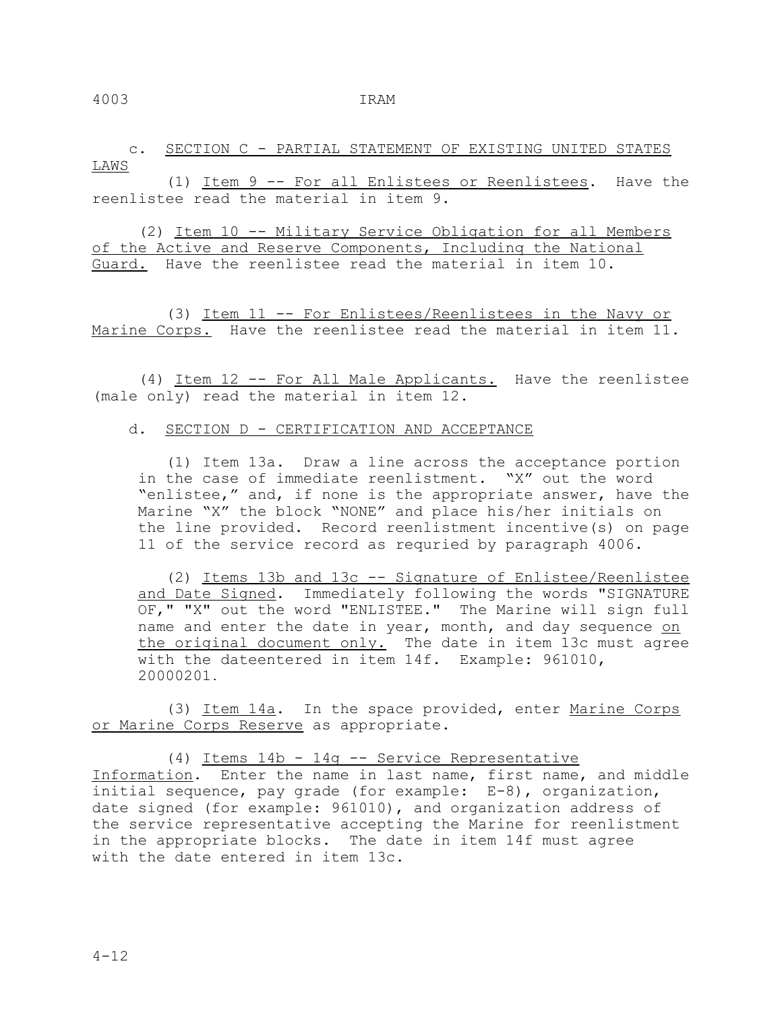c. SECTION C - PARTIAL STATEMENT OF EXISTING UNITED STATES LAWS

 (1) Item 9 -- For all Enlistees or Reenlistees. Have the reenlistee read the material in item 9.

 (2) Item 10 -- Military Service Obligation for all Members of the Active and Reserve Components, Includinq the National Guard. Have the reenlistee read the material in item 10.

 (3) Item 11 -- For Enlistees/Reenlistees in the Navy or Marine Corps. Have the reenlistee read the material in item 11.

 (4) Item 12 -- For All Male Applicants. Have the reenlistee (male only) read the material in item 12.

#### d. SECTION D - CERTIFICATION AND ACCEPTANCE

 (1) Item 13a. Draw a line across the acceptance portion in the case of immediate reenlistment. "X" out the word "enlistee," and, if none is the appropriate answer, have the Marine "X" the block "NONE" and place his/her initials on the line provided. Record reenlistment incentive(s) on page 11 of the service record as requried by paragraph 4006.

 (2) Items 13b and 13c -- Signature of Enlistee/Reenlistee and Date Signed. Immediately following the words "SIGNATURE OF," "X" out the word "ENLISTEE." The Marine will sign full name and enter the date in year, month, and day sequence on the original document only. The date in item 13c must agree with the dateentered in item 14f. Example: 961010, 20000201.

 (3) Item 14a. In the space provided, enter Marine Corps or Marine Corps Reserve as appropriate.

 (4) Items 14b - 14g -- Service Representative Information. Enter the name in last name, first name, and middle initial sequence, pay grade (for example: E-8), organization, date signed (for example: 961010), and organization address of the service representative accepting the Marine for reenlistment in the appropriate blocks. The date in item 14f must agree with the date entered in item 13c.

4-12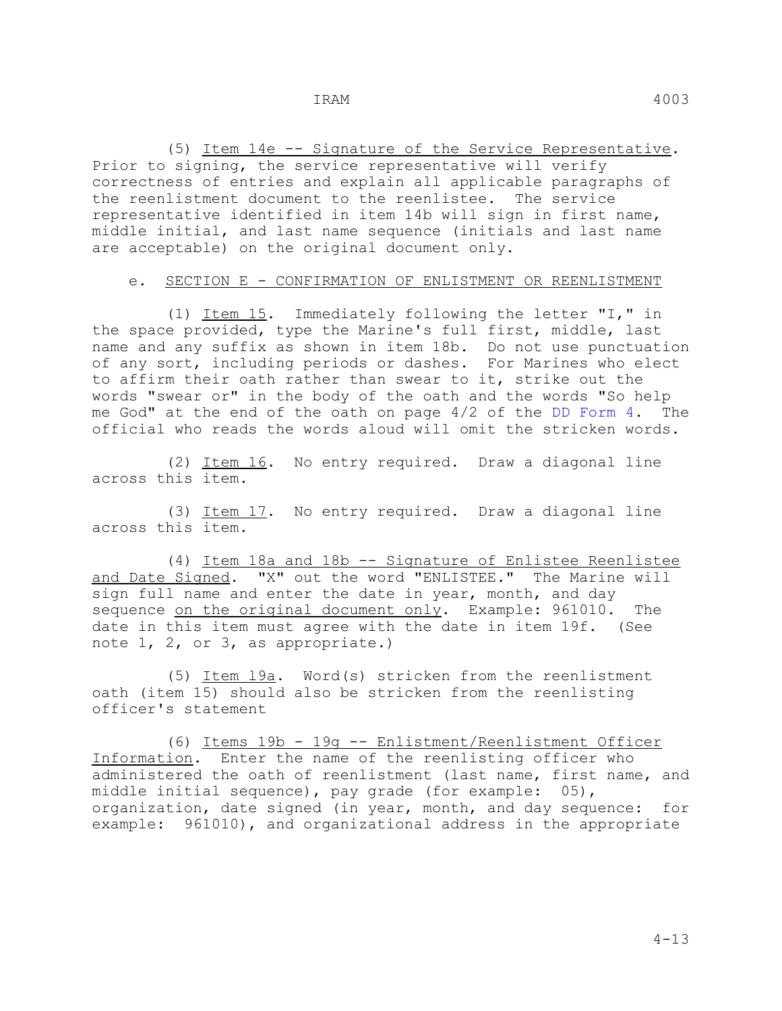(5) Item 14e -- Signature of the Service Representative. Prior to signing, the service representative will verify correctness of entries and explain all applicable paragraphs of the reenlistment document to the reenlistee. The service representative identified in item 14b will sign in first name, middle initial, and last name sequence (initials and last name are acceptable) on the original document only.

## e. SECTION E - CONFIRMATION OF ENLISTMENT OR REENLISTMENT

 (1) Item 15. Immediately following the letter "I," in the space provided, type the Marine's full first, middle, last name and any suffix as shown in item 18b. Do not use punctuation of any sort, including periods or dashes. For Marines who elect to affirm their oath rather than swear to it, strike out the words "swear or" in the body of the oath and the words "So help me God" at the end of the oath on page 4/2 of the DD Form 4. The official who reads the words aloud will omit the stricken words.

 (2) Item 16. No entry required. Draw a diagonal line across this item.

 (3) Item 17. No entry required. Draw a diagonal line across this item.

 (4) Item 18a and 18b -- Signature of Enlistee Reenlistee and Date Signed. "X" out the word "ENLISTEE." The Marine will sign full name and enter the date in year, month, and day sequence on the original document only. Example: 961010. The date in this item must agree with the date in item 19f. (See note 1, 2, or 3, as appropriate.)

 (5) Item l9a. Word(s) stricken from the reenlistment oath (item 15) should also be stricken from the reenlisting officer's statement

 (6) Items 19b - 19g -- Enlistment/Reenlistment Officer Information. Enter the name of the reenlisting officer who administered the oath of reenlistment (last name, first name, and middle initial sequence), pay grade (for example: 05), organization, date signed (in year, month, and day sequence: for example: 961010), and organizational address in the appropriate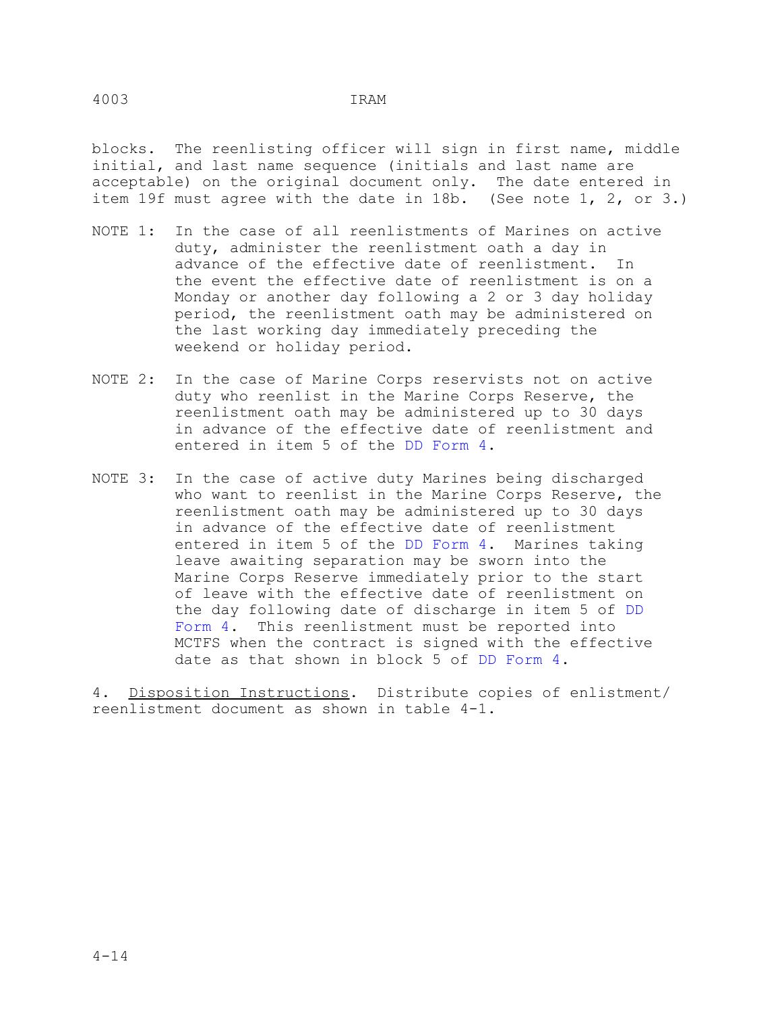blocks. The reenlisting officer will sign in first name, middle initial, and last name sequence (initials and last name are acceptable) on the original document only. The date entered in item 19f must agree with the date in 18b. (See note 1, 2, or 3.)

- NOTE 1: In the case of all reenlistments of Marines on active duty, administer the reenlistment oath a day in advance of the effective date of reenlistment. In the event the effective date of reenlistment is on a Monday or another day following a 2 or 3 day holiday period, the reenlistment oath may be administered on the last working day immediately preceding the weekend or holiday period.
- NOTE 2: In the case of Marine Corps reservists not on active duty who reenlist in the Marine Corps Reserve, the reenlistment oath may be administered up to 30 days in advance of the effective date of reenlistment and entered in item 5 of the DD Form 4.
- NOTE 3: In the case of active duty Marines being discharged who want to reenlist in the Marine Corps Reserve, the reenlistment oath may be administered up to 30 days in advance of the effective date of reenlistment entered in item 5 of the DD Form 4. Marines taking leave awaiting separation may be sworn into the Marine Corps Reserve immediately prior to the start of leave with the effective date of reenlistment on the day following date of discharge in item 5 of DD Form 4. This reenlistment must be reported into MCTFS when the contract is signed with the effective date as that shown in block 5 of DD Form 4.

4. Disposition Instructions. Distribute copies of enlistment/ reenlistment document as shown in table 4-1.

4003 IRAM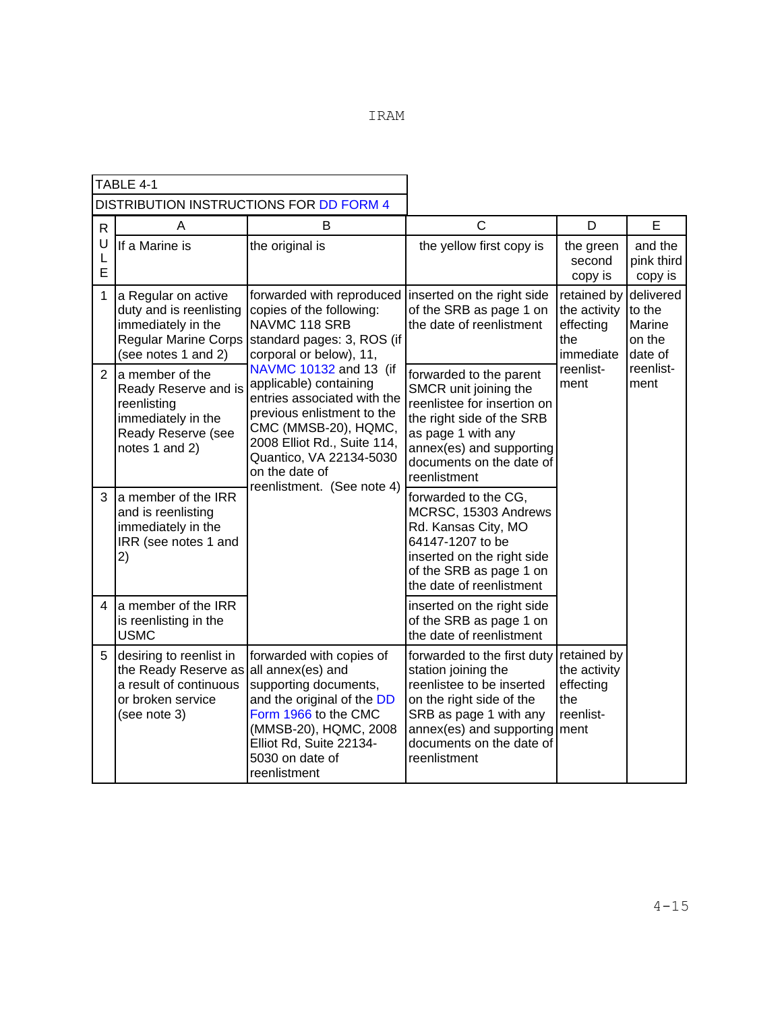| TABLE 4-1    |                                                                                                                                  |                                                                                                                                                                                                                   |                                                                                                                                                                                                               |                                                                      |                                                    |
|--------------|----------------------------------------------------------------------------------------------------------------------------------|-------------------------------------------------------------------------------------------------------------------------------------------------------------------------------------------------------------------|---------------------------------------------------------------------------------------------------------------------------------------------------------------------------------------------------------------|----------------------------------------------------------------------|----------------------------------------------------|
|              |                                                                                                                                  | DISTRIBUTION INSTRUCTIONS FOR DD FORM 4                                                                                                                                                                           |                                                                                                                                                                                                               |                                                                      |                                                    |
| $\mathsf{R}$ | A                                                                                                                                | B                                                                                                                                                                                                                 | $\mathsf{C}$                                                                                                                                                                                                  | D                                                                    | E                                                  |
| U<br>L<br>E  | If a Marine is                                                                                                                   | the original is                                                                                                                                                                                                   | the yellow first copy is                                                                                                                                                                                      | the green<br>second<br>copy is                                       | and the<br>pink third<br>copy is                   |
| 1            | a Regular on active<br>duty and is reenlisting<br>immediately in the<br><b>Regular Marine Corps</b><br>(see notes 1 and 2)       | forwarded with reproduced linserted on the right side<br>copies of the following:<br>NAVMC 118 SRB<br>standard pages: 3, ROS (if<br>corporal or below), 11,                                                       | of the SRB as page 1 on<br>the date of reenlistment                                                                                                                                                           | retained by<br>the activity<br>effecting<br>the<br>immediate         | delivered<br>to the<br>Marine<br>on the<br>date of |
|              | 2 a member of the<br>Ready Reserve and is<br>reenlisting<br>immediately in the<br>Ready Reserve (see<br>notes 1 and 2)           | NAVMC 10132 and 13 (if<br>applicable) containing<br>entries associated with the<br>previous enlistment to the<br>CMC (MMSB-20), HQMC,<br>2008 Elliot Rd., Suite 114,<br>Quantico, VA 22134-5030<br>on the date of | forwarded to the parent<br>SMCR unit joining the<br>reenlistee for insertion on<br>the right side of the SRB<br>as page 1 with any<br>annex(es) and supporting<br>documents on the date of<br>reenlistment    | reenlist-<br>ment                                                    | reenlist-<br>ment                                  |
|              | 3 a member of the IRR<br>and is reenlisting<br>immediately in the<br>IRR (see notes 1 and<br>2)                                  | reenlistment. (See note 4)                                                                                                                                                                                        | forwarded to the CG,<br>MCRSC, 15303 Andrews<br>Rd. Kansas City, MO<br>64147-1207 to be<br>inserted on the right side<br>of the SRB as page 1 on<br>the date of reenlistment                                  |                                                                      |                                                    |
| 4            | a member of the IRR<br>is reenlisting in the<br><b>USMC</b>                                                                      |                                                                                                                                                                                                                   | inserted on the right side<br>of the SRB as page 1 on<br>the date of reenlistment                                                                                                                             |                                                                      |                                                    |
| 5            | desiring to reenlist in<br>the Ready Reserve as all annex(es) and<br>a result of continuous<br>or broken service<br>(see note 3) | forwarded with copies of<br>supporting documents,<br>and the original of the DD<br>Form 1966 to the CMC<br>(MMSB-20), HQMC, 2008<br>Elliot Rd, Suite 22134-<br>5030 on date of<br>reenlistment                    | forwarded to the first duty<br>station joining the<br>reenlistee to be inserted<br>on the right side of the<br>SRB as page 1 with any<br>annex(es) and supporting<br>documents on the date of<br>reenlistment | retained by<br>the activity<br>effecting<br>the<br>reenlist-<br>ment |                                                    |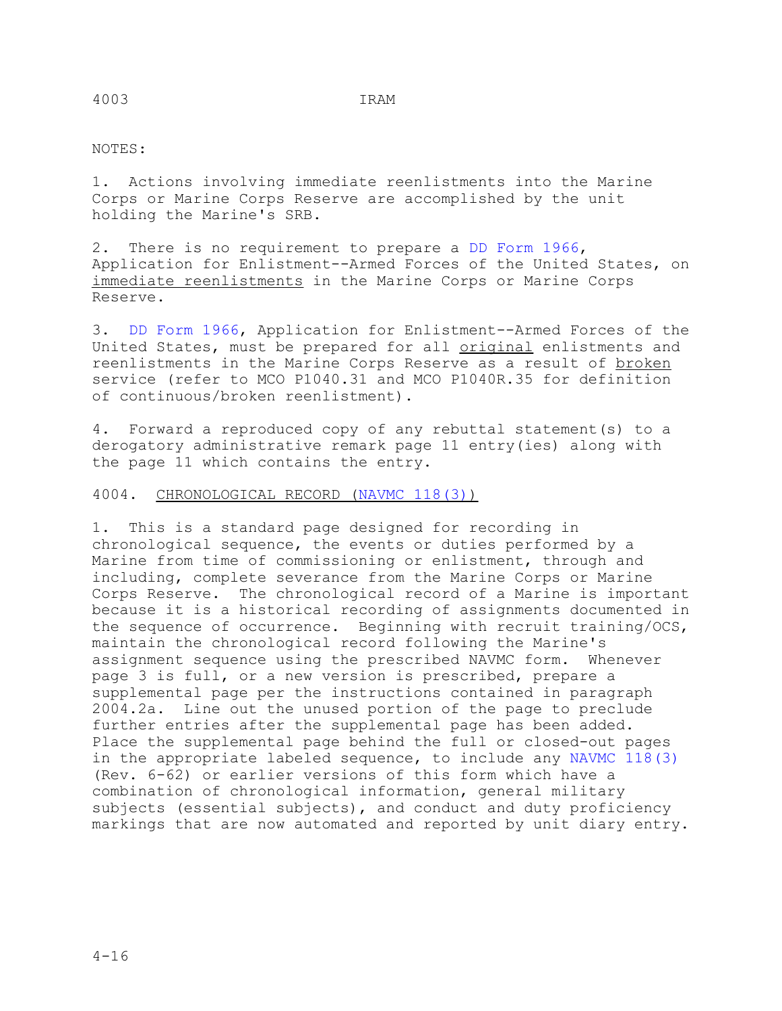## NOTES:

1. Actions involving immediate reenlistments into the Marine Corps or Marine Corps Reserve are accomplished by the unit holding the Marine's SRB.

2. There is no requirement to prepare a DD Form 1966, Application for Enlistment--Armed Forces of the United States, on immediate reenlistments in the Marine Corps or Marine Corps Reserve.

3. DD Form 1966, Application for Enlistment--Armed Forces of the United States, must be prepared for all original enlistments and reenlistments in the Marine Corps Reserve as a result of broken service (refer to MCO P1040.31 and MCO P1040R.35 for definition of continuous/broken reenlistment).

4. Forward a reproduced copy of any rebuttal statement(s) to a derogatory administrative remark page 11 entry(ies) along with the page 11 which contains the entry.

## 4004. CHRONOLOGICAL RECORD (NAVMC 118(3))

1. This is a standard page designed for recording in chronological sequence, the events or duties performed by a Marine from time of commissioning or enlistment, through and including, complete severance from the Marine Corps or Marine Corps Reserve. The chronological record of a Marine is important because it is a historical recording of assignments documented in the sequence of occurrence. Beginning with recruit training/OCS, maintain the chronological record following the Marine's assignment sequence using the prescribed NAVMC form. Whenever page 3 is full, or a new version is prescribed, prepare a supplemental page per the instructions contained in paragraph 2004.2a. Line out the unused portion of the page to preclude further entries after the supplemental page has been added. Place the supplemental page behind the full or closed-out pages in the appropriate labeled sequence, to include any NAVMC 118(3) (Rev. 6-62) or earlier versions of this form which have a combination of chronological information, general military subjects (essential subjects), and conduct and duty proficiency markings that are now automated and reported by unit diary entry.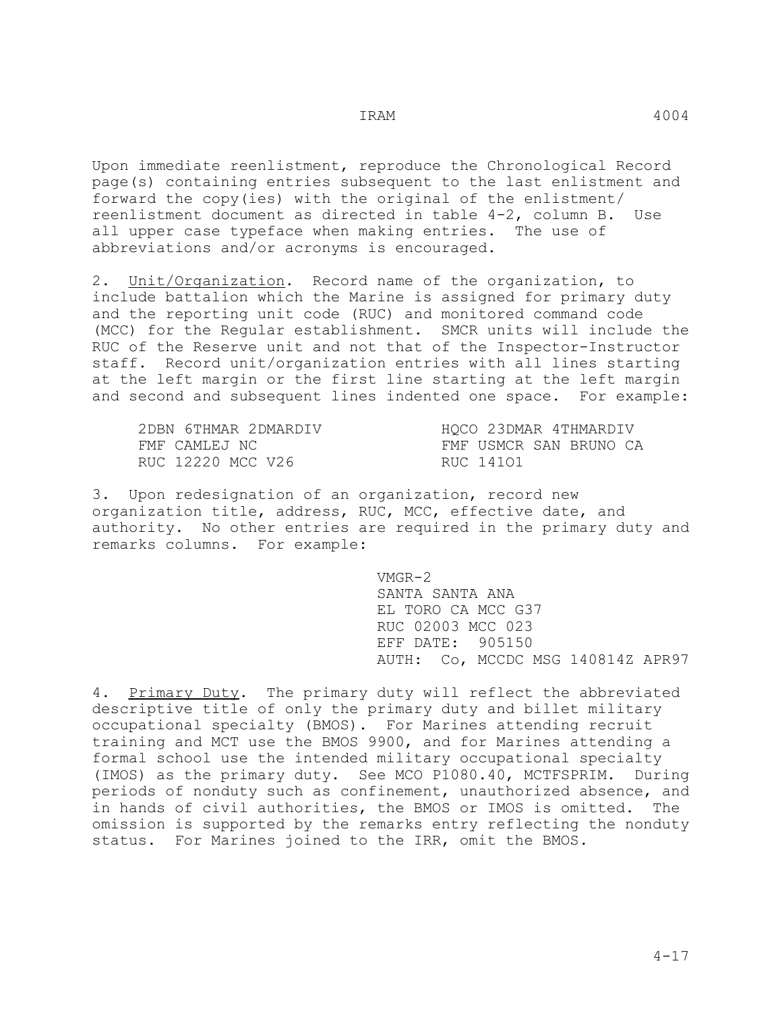Upon immediate reenlistment, reproduce the Chronological Record page(s) containing entries subsequent to the last enlistment and forward the copy(ies) with the original of the enlistment/ reenlistment document as directed in table 4-2, column B. Use all upper case typeface when making entries. The use of abbreviations and/or acronyms is encouraged.

2. Unit/Organization. Record name of the organization, to include battalion which the Marine is assigned for primary duty and the reporting unit code (RUC) and monitored command code (MCC) for the Regular establishment. SMCR units will include the RUC of the Reserve unit and not that of the Inspector-Instructor staff. Record unit/organization entries with all lines starting at the left margin or the first line starting at the left margin and second and subsequent lines indented one space. For example:

| 2DBN 6THMAR 2DMARDIV | HQCO 23DMAR 4THMARDIV  |
|----------------------|------------------------|
| FMF CAMLEJ NC        | FMF USMCR SAN BRUNO CA |
| RUC 12220 MCC V26    | RUC 14101              |

3. Upon redesignation of an organization, record new organization title, address, RUC, MCC, effective date, and authority. No other entries are required in the primary duty and remarks columns. For example:

 VMGR-2 SANTA SANTA ANA EL TORO CA MCC G37 RUC 02003 MCC 023 EFF DATE: 905150 AUTH: Co, MCCDC MSG 140814Z APR97

4. Primary Duty. The primary duty will reflect the abbreviated descriptive title of only the primary duty and billet military occupational specialty (BMOS). For Marines attending recruit training and MCT use the BMOS 9900, and for Marines attending a formal school use the intended military occupational specialty (IMOS) as the primary duty. See MCO P1080.40, MCTFSPRIM. During periods of nonduty such as confinement, unauthorized absence, and in hands of civil authorities, the BMOS or IMOS is omitted. The omission is supported by the remarks entry reflecting the nonduty status. For Marines joined to the IRR, omit the BMOS.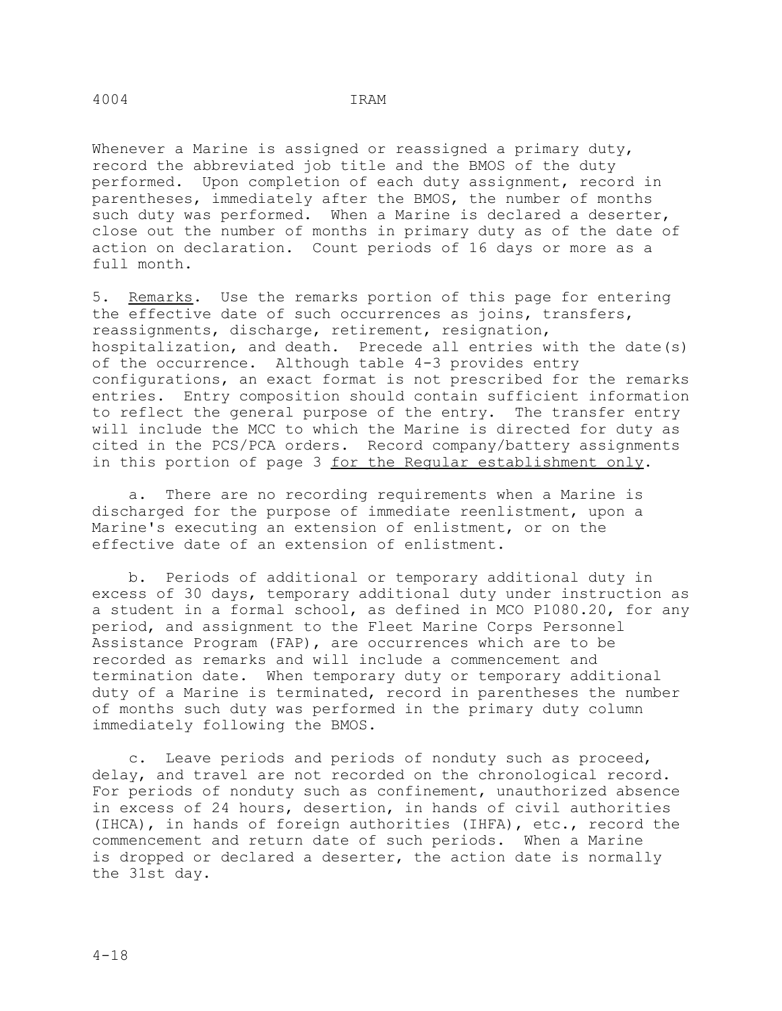Whenever a Marine is assigned or reassigned a primary duty, record the abbreviated job title and the BMOS of the duty performed. Upon completion of each duty assignment, record in parentheses, immediately after the BMOS, the number of months such duty was performed. When a Marine is declared a deserter, close out the number of months in primary duty as of the date of action on declaration. Count periods of 16 days or more as a full month.

5. Remarks. Use the remarks portion of this page for entering the effective date of such occurrences as joins, transfers, reassignments, discharge, retirement, resignation, hospitalization, and death. Precede all entries with the date(s) of the occurrence. Although table 4-3 provides entry configurations, an exact format is not prescribed for the remarks entries. Entry composition should contain sufficient information to reflect the general purpose of the entry. The transfer entry will include the MCC to which the Marine is directed for duty as cited in the PCS/PCA orders. Record company/battery assignments in this portion of page 3 for the Regular establishment only.

 a. There are no recording requirements when a Marine is discharged for the purpose of immediate reenlistment, upon a Marine's executing an extension of enlistment, or on the effective date of an extension of enlistment.

 b. Periods of additional or temporary additional duty in excess of 30 days, temporary additional duty under instruction as a student in a formal school, as defined in MCO P1080.20, for any period, and assignment to the Fleet Marine Corps Personnel Assistance Program (FAP), are occurrences which are to be recorded as remarks and will include a commencement and termination date. When temporary duty or temporary additional duty of a Marine is terminated, record in parentheses the number of months such duty was performed in the primary duty column immediately following the BMOS.

 c. Leave periods and periods of nonduty such as proceed, delay, and travel are not recorded on the chronological record. For periods of nonduty such as confinement, unauthorized absence in excess of 24 hours, desertion, in hands of civil authorities (IHCA), in hands of foreign authorities (IHFA), etc., record the commencement and return date of such periods. When a Marine is dropped or declared a deserter, the action date is normally the 31st day.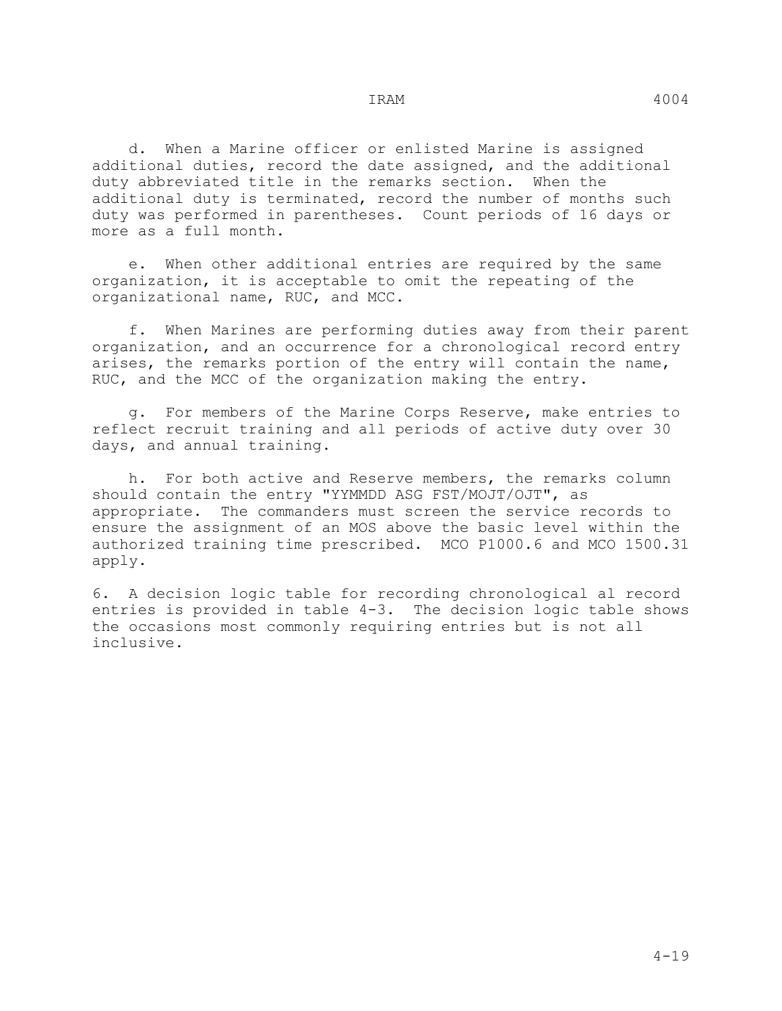d. When a Marine officer or enlisted Marine is assigned additional duties, record the date assigned, and the additional duty abbreviated title in the remarks section. When the additional duty is terminated, record the number of months such duty was performed in parentheses. Count periods of 16 days or more as a full month.

 e. When other additional entries are required by the same organization, it is acceptable to omit the repeating of the organizational name, RUC, and MCC.

 f. When Marines are performing duties away from their parent organization, and an occurrence for a chronological record entry arises, the remarks portion of the entry will contain the name, RUC, and the MCC of the organization making the entry.

 g. For members of the Marine Corps Reserve, make entries to reflect recruit training and all periods of active duty over 30 days, and annual training.

 h. For both active and Reserve members, the remarks column should contain the entry "YYMMDD ASG FST/MOJT/OJT", as appropriate. The commanders must screen the service records to ensure the assignment of an MOS above the basic level within the authorized training time prescribed. MCO P1000.6 and MCO 1500.31 apply.

6. A decision logic table for recording chronological al record entries is provided in table 4-3. The decision logic table shows the occasions most commonly requiring entries but is not all inclusive.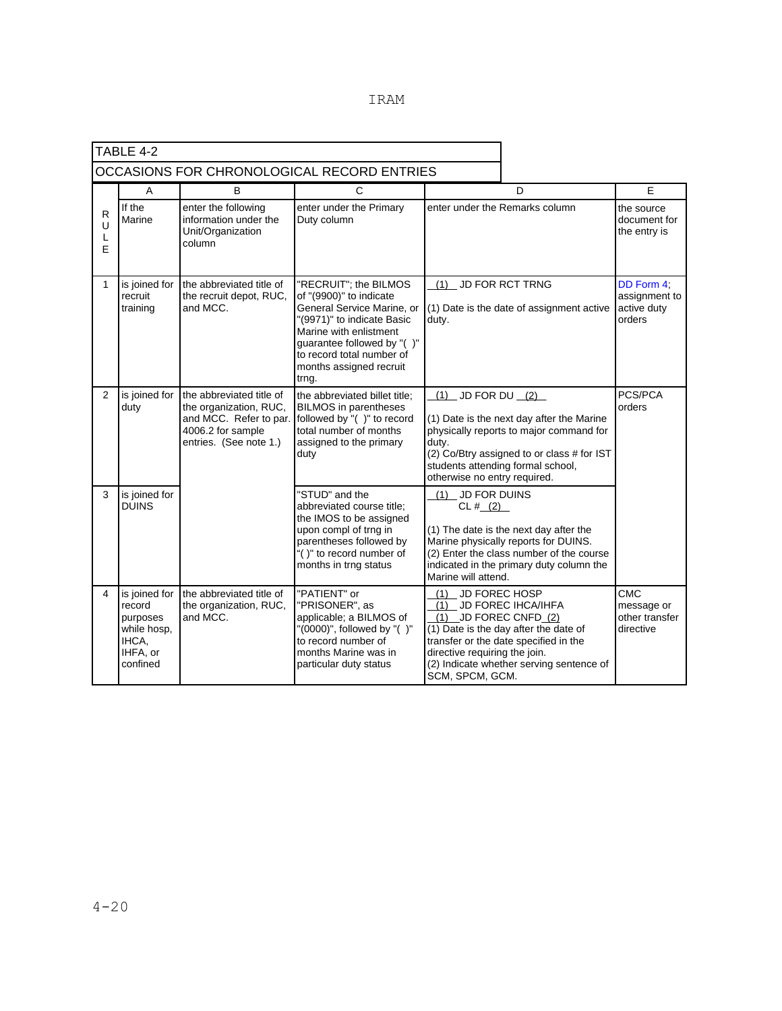|                  | TABLE 4-2                                                                           |                                                                                                                             |                                                                                                                                                                                                                                       |                                                                                                        |                                                                                                                                                                         |                                                         |
|------------------|-------------------------------------------------------------------------------------|-----------------------------------------------------------------------------------------------------------------------------|---------------------------------------------------------------------------------------------------------------------------------------------------------------------------------------------------------------------------------------|--------------------------------------------------------------------------------------------------------|-------------------------------------------------------------------------------------------------------------------------------------------------------------------------|---------------------------------------------------------|
|                  |                                                                                     |                                                                                                                             | OCCASIONS FOR CHRONOLOGICAL RECORD ENTRIES                                                                                                                                                                                            |                                                                                                        |                                                                                                                                                                         |                                                         |
|                  | A                                                                                   | В                                                                                                                           | C                                                                                                                                                                                                                                     |                                                                                                        | D                                                                                                                                                                       | E                                                       |
| R<br>U<br>L<br>E | If the<br>Marine                                                                    | enter the following<br>information under the<br>Unit/Organization<br>column                                                 | enter under the Primary<br>Duty column                                                                                                                                                                                                |                                                                                                        | enter under the Remarks column<br>the entry is                                                                                                                          |                                                         |
| $\mathbf{1}$     | is joined for<br>recruit<br>training                                                | the abbreviated title of<br>the recruit depot, RUC,<br>and MCC.                                                             | "RECRUIT"; the BILMOS<br>of "(9900)" to indicate<br>General Service Marine, or<br>"(9971)" to indicate Basic<br>Marine with enlistment<br>guarantee followed by "()"<br>to record total number of<br>months assigned recruit<br>trng. | (1) JD FOR RCT TRNG<br>(1) Date is the date of assignment active<br>duty.                              |                                                                                                                                                                         | DD Form 4;<br>assignment to<br>active duty<br>orders    |
| $\overline{2}$   | is joined for<br>duty                                                               | the abbreviated title of<br>the organization, RUC,<br>and MCC. Refer to par.<br>4006.2 for sample<br>entries. (See note 1.) | the abbreviated billet title;<br><b>BILMOS</b> in parentheses<br>followed by "()" to record<br>total number of months<br>assigned to the primary<br>duty                                                                              | $(1)$ JD FOR DU $(2)$<br>duty.<br>otherwise no entry required.                                         | (1) Date is the next day after the Marine<br>physically reports to major command for<br>(2) Co/Btry assigned to or class # for IST<br>students attending formal school, | PCS/PCA<br>orders                                       |
| 3                | is joined for<br><b>DUINS</b>                                                       |                                                                                                                             | "STUD" and the<br>abbreviated course title;<br>the IMOS to be assigned<br>upon compl of trng in<br>parentheses followed by<br>"()" to record number of<br>months in trng status                                                       | (1) JD FOR DUINS<br>CL# (2)<br>Marine will attend.                                                     | (1) The date is the next day after the<br>Marine physically reports for DUINS.<br>(2) Enter the class number of the course<br>indicated in the primary duty column the  |                                                         |
| 4                | is joined for<br>record<br>purposes<br>while hosp,<br>IHCA,<br>IHFA, or<br>confined | the abbreviated title of<br>the organization, RUC,<br>and MCC.                                                              | "PATIENT" or<br>"PRISONER", as<br>applicable; a BILMOS of<br>"(0000)", followed by "()"<br>to record number of<br>months Marine was in<br>particular duty status                                                                      | (1) JD FOREC HOSP<br>(1) JD FOREC IHCA/IHFA<br>(1)<br>directive requiring the join.<br>SCM, SPCM, GCM. | JD FOREC CNFD (2)<br>(1) Date is the day after the date of<br>transfer or the date specified in the<br>(2) Indicate whether serving sentence of                         | <b>CMC</b><br>message or<br>other transfer<br>directive |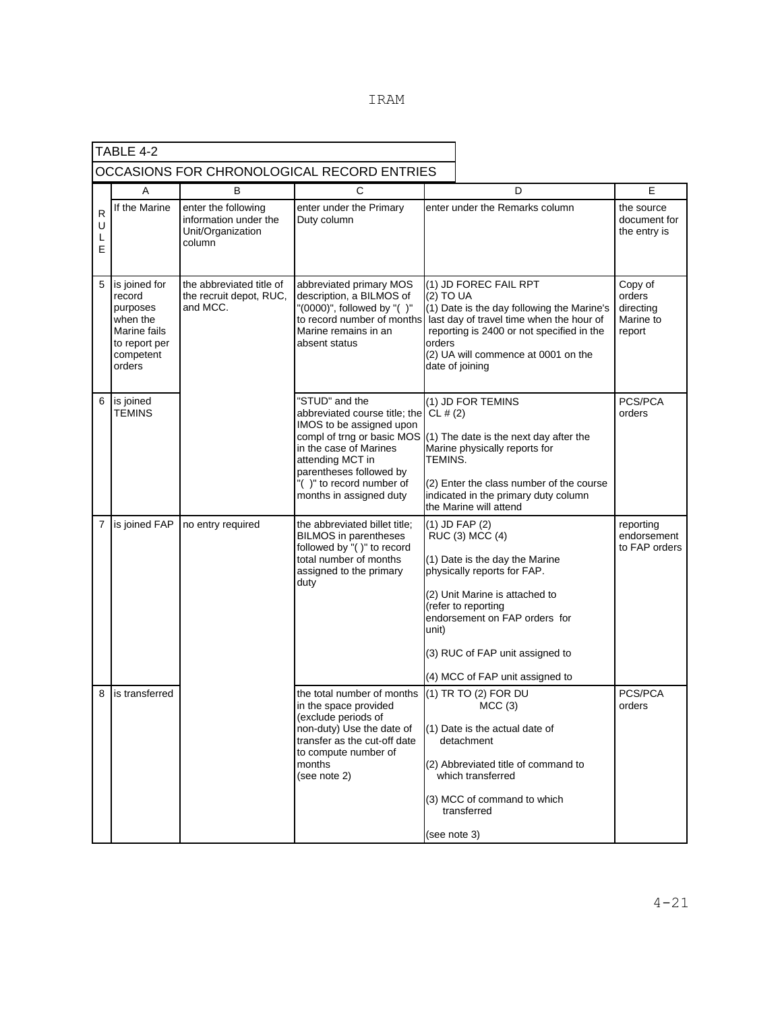|                  | TABLE 4-2                                                                                               |                                                                             |                                                                                                                                                                                                                                                      |                     |                                                                                                                                                                                                                                                                    |                                                       |
|------------------|---------------------------------------------------------------------------------------------------------|-----------------------------------------------------------------------------|------------------------------------------------------------------------------------------------------------------------------------------------------------------------------------------------------------------------------------------------------|---------------------|--------------------------------------------------------------------------------------------------------------------------------------------------------------------------------------------------------------------------------------------------------------------|-------------------------------------------------------|
|                  | OCCASIONS FOR CHRONOLOGICAL RECORD ENTRIES                                                              |                                                                             |                                                                                                                                                                                                                                                      |                     |                                                                                                                                                                                                                                                                    |                                                       |
|                  | Α                                                                                                       | в                                                                           | С                                                                                                                                                                                                                                                    |                     | D                                                                                                                                                                                                                                                                  | E                                                     |
| R<br>U<br>L<br>E | If the Marine                                                                                           | enter the following<br>information under the<br>Unit/Organization<br>column | enter under the Primary<br>Duty column                                                                                                                                                                                                               |                     | enter under the Remarks column                                                                                                                                                                                                                                     | the source<br>document for<br>the entry is            |
| 5                | is joined for<br>record<br>purposes<br>when the<br>Marine fails<br>to report per<br>competent<br>orders | the abbreviated title of<br>the recruit depot, RUC,<br>and MCC.             | abbreviated primary MOS<br>description, a BILMOS of<br>"(0000)", followed by "()"<br>Marine remains in an<br>absent status                                                                                                                           | (2) TO UA<br>orders | (1) JD FOREC FAIL RPT<br>(1) Date is the day following the Marine's<br>to record number of months last day of travel time when the hour of<br>reporting is 2400 or not specified in the<br>(2) UA will commence at 0001 on the<br>date of joining                  | Copy of<br>orders<br>directing<br>Marine to<br>report |
| 6                | is joined<br><b>TEMINS</b>                                                                              |                                                                             | "STUD" and the<br>abbreviated course title; the CL # $(2)$<br>IMOS to be assigned upon<br>compl of trng or basic MOS<br>in the case of Marines<br>attending MCT in<br>parentheses followed by<br>"()" to record number of<br>months in assigned duty | TEMINS.             | (1) JD FOR TEMINS<br>$(1)$ The date is the next day after the<br>Marine physically reports for<br>(2) Enter the class number of the course<br>indicated in the primary duty column<br>the Marine will attend                                                       | PCS/PCA<br>orders                                     |
| $\overline{7}$   | is joined FAP                                                                                           | no entry required                                                           | the abbreviated billet title;<br><b>BILMOS</b> in parentheses<br>followed by "()" to record<br>total number of months<br>assigned to the primary<br>duty                                                                                             | unit)               | (1) JD FAP (2)<br>RUC (3) MCC (4)<br>(1) Date is the day the Marine<br>physically reports for FAP.<br>(2) Unit Marine is attached to<br>(refer to reporting<br>endorsement on FAP orders for<br>(3) RUC of FAP unit assigned to<br>(4) MCC of FAP unit assigned to | reporting<br>endorsement<br>to FAP orders             |
| 8                | is transferred                                                                                          |                                                                             | the total number of months<br>in the space provided<br>(exclude periods of<br>non-duty) Use the date of<br>transfer as the cut-off date<br>to compute number of<br>months<br>(see note 2)                                                            | (see note 3)        | (1) TR TO (2) FOR DU<br>MCC(3)<br>(1) Date is the actual date of<br>detachment<br>(2) Abbreviated title of command to<br>which transferred<br>(3) MCC of command to which<br>transferred                                                                           | PCS/PCA<br>orders                                     |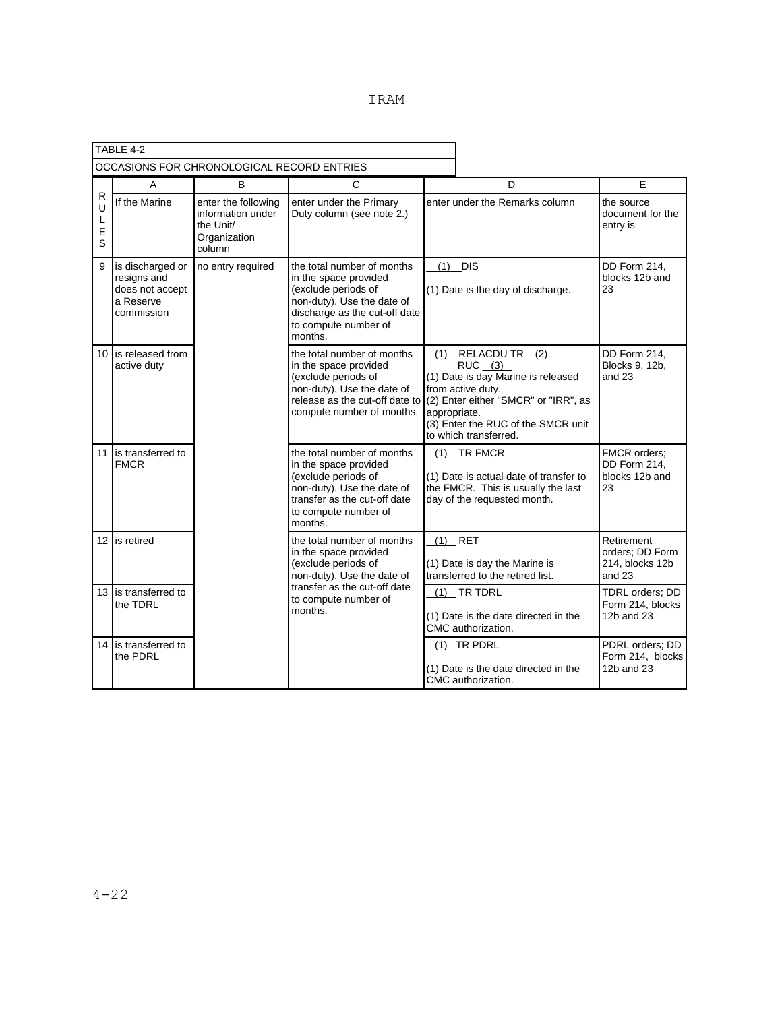|                       | TABLE 4-2                                                                     |                                                                                 |                                                                                                                                                                              |                                                                                                                                                                                                                         |                                                              |
|-----------------------|-------------------------------------------------------------------------------|---------------------------------------------------------------------------------|------------------------------------------------------------------------------------------------------------------------------------------------------------------------------|-------------------------------------------------------------------------------------------------------------------------------------------------------------------------------------------------------------------------|--------------------------------------------------------------|
|                       |                                                                               | OCCASIONS FOR CHRONOLOGICAL RECORD ENTRIES                                      |                                                                                                                                                                              |                                                                                                                                                                                                                         |                                                              |
|                       | A                                                                             | B                                                                               | C                                                                                                                                                                            | D                                                                                                                                                                                                                       | F                                                            |
| R<br>U<br>L<br>E<br>S | If the Marine                                                                 | enter the following<br>information under<br>the Unit/<br>Organization<br>column | enter under the Primary<br>Duty column (see note 2.)                                                                                                                         | enter under the Remarks column                                                                                                                                                                                          | the source<br>document for the<br>entry is                   |
| 9                     | is discharged or<br>resigns and<br>does not accept<br>a Reserve<br>commission | no entry required                                                               | the total number of months<br>in the space provided<br>(exclude periods of<br>non-duty). Use the date of<br>discharge as the cut-off date<br>to compute number of<br>months. | $(1)$ DIS<br>(1) Date is the day of discharge.                                                                                                                                                                          | DD Form 214,<br>blocks 12b and<br>23                         |
|                       | 10 is released from<br>active duty                                            |                                                                                 | the total number of months<br>in the space provided<br>(exclude periods of<br>non-duty). Use the date of<br>release as the cut-off date to<br>compute number of months.      | $(1)$ RELACDU TR $(2)$<br>$RUC$ $(3)$<br>(1) Date is day Marine is released<br>from active duty.<br>(2) Enter either "SMCR" or "IRR", as<br>appropriate.<br>(3) Enter the RUC of the SMCR unit<br>to which transferred. | DD Form 214,<br>Blocks 9, 12b,<br>and 23                     |
|                       | 11 is transferred to<br><b>FMCR</b>                                           |                                                                                 | the total number of months<br>in the space provided<br>(exclude periods of<br>non-duty). Use the date of<br>transfer as the cut-off date<br>to compute number of<br>months.  | $(1)$ TR FMCR<br>(1) Date is actual date of transfer to<br>the FMCR. This is usually the last<br>day of the requested month.                                                                                            | FMCR orders:<br>DD Form 214,<br>blocks 12b and<br>23         |
|                       | 12 is retired                                                                 |                                                                                 | the total number of months<br>in the space provided<br>(exclude periods of<br>non-duty). Use the date of                                                                     | $(1)$ RET<br>(1) Date is day the Marine is<br>transferred to the retired list.                                                                                                                                          | Retirement<br>orders; DD Form<br>214, blocks 12b<br>and $23$ |
|                       | 13 I is transferred to<br>the TDRL                                            |                                                                                 | transfer as the cut-off date<br>to compute number of<br>months.                                                                                                              | $(1)$ TR TDRL<br>(1) Date is the date directed in the<br>CMC authorization.                                                                                                                                             | TDRL orders; DD<br>Form 214, blocks<br>12b and 23            |
| 14                    | is transferred to<br>the PDRL                                                 |                                                                                 |                                                                                                                                                                              | (1) TR PDRL<br>(1) Date is the date directed in the<br>CMC authorization.                                                                                                                                               | PDRL orders; DD<br>Form 214, blocks<br>12b and 23            |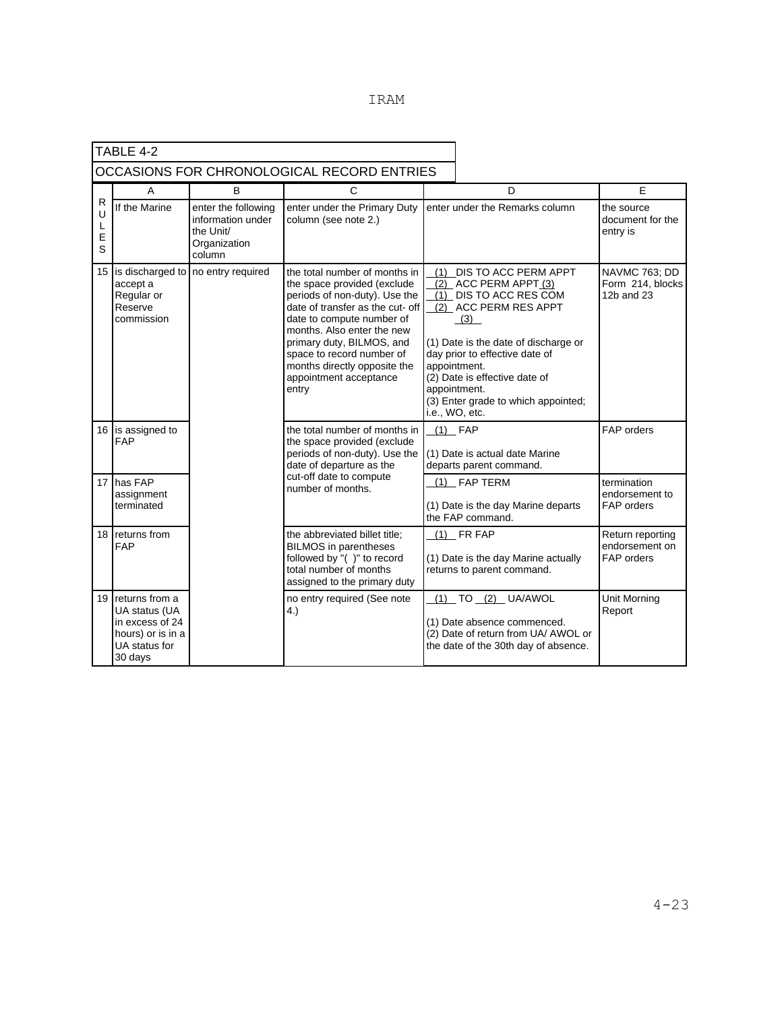|                  | TABLE 4-2                                                                                           |                                                                                 |                                                                                                                                                                                                                                                                                                                           |                                                |                                                                                                                                                                                                                                                                   |                                                  |
|------------------|-----------------------------------------------------------------------------------------------------|---------------------------------------------------------------------------------|---------------------------------------------------------------------------------------------------------------------------------------------------------------------------------------------------------------------------------------------------------------------------------------------------------------------------|------------------------------------------------|-------------------------------------------------------------------------------------------------------------------------------------------------------------------------------------------------------------------------------------------------------------------|--------------------------------------------------|
|                  |                                                                                                     |                                                                                 | OCCASIONS FOR CHRONOLOGICAL RECORD ENTRIES                                                                                                                                                                                                                                                                                |                                                |                                                                                                                                                                                                                                                                   |                                                  |
|                  | A                                                                                                   | в                                                                               | C                                                                                                                                                                                                                                                                                                                         |                                                | E<br>D                                                                                                                                                                                                                                                            |                                                  |
| R<br>L<br>E<br>S | If the Marine                                                                                       | enter the following<br>information under<br>the Unit/<br>Organization<br>column | enter under the Primary Duty<br>column (see note 2.)                                                                                                                                                                                                                                                                      |                                                | enter under the Remarks column                                                                                                                                                                                                                                    | the source<br>document for the<br>entry is       |
| 15               | accept a<br>Regular or<br>Reserve<br>commission                                                     | is discharged to no entry required                                              | the total number of months in<br>the space provided (exclude<br>periods of non-duty). Use the<br>date of transfer as the cut- off<br>date to compute number of<br>months. Also enter the new<br>primary duty, BILMOS, and<br>space to record number of<br>months directly opposite the<br>appointment acceptance<br>entry | appointment.<br>appointment.<br>i.e., WO, etc. | (1) DIS TO ACC PERM APPT<br>$(2)$ ACC PERM APPT $(3)$<br>(1) DIS TO ACC RES COM<br>(2) ACC PERM RES APPT<br>(3)<br>(1) Date is the date of discharge or<br>day prior to effective date of<br>(2) Date is effective date of<br>(3) Enter grade to which appointed; | NAVMC 763; DD<br>Form 214, blocks<br>12b and 23  |
|                  | 16 is assigned to<br><b>FAP</b>                                                                     |                                                                                 | the total number of months in<br>the space provided (exclude<br>periods of non-duty). Use the<br>date of departure as the                                                                                                                                                                                                 | $(1)$ FAP                                      | (1) Date is actual date Marine<br>departs parent command.                                                                                                                                                                                                         | FAP orders                                       |
| 17               | has FAP<br>assignment<br>terminated                                                                 |                                                                                 | cut-off date to compute<br>number of months.                                                                                                                                                                                                                                                                              |                                                | (1) FAP TERM<br>(1) Date is the day Marine departs<br>the FAP command.                                                                                                                                                                                            | termination<br>endorsement to<br>FAP orders      |
| 18               | returns from<br><b>FAP</b>                                                                          |                                                                                 | the abbreviated billet title;<br><b>BILMOS</b> in parentheses<br>followed by "()" to record<br>total number of months<br>assigned to the primary duty                                                                                                                                                                     |                                                | $(1)$ FR FAP<br>(1) Date is the day Marine actually<br>returns to parent command.                                                                                                                                                                                 | Return reporting<br>endorsement on<br>FAP orders |
| 19               | returns from a<br>UA status (UA<br>in excess of 24<br>hours) or is in a<br>UA status for<br>30 days |                                                                                 | no entry required (See note<br>4.)                                                                                                                                                                                                                                                                                        |                                                | (1) TO (2) UA/AWOL<br>(1) Date absence commenced.<br>(2) Date of return from UA/ AWOL or<br>the date of the 30th day of absence.                                                                                                                                  | Unit Morning<br>Report                           |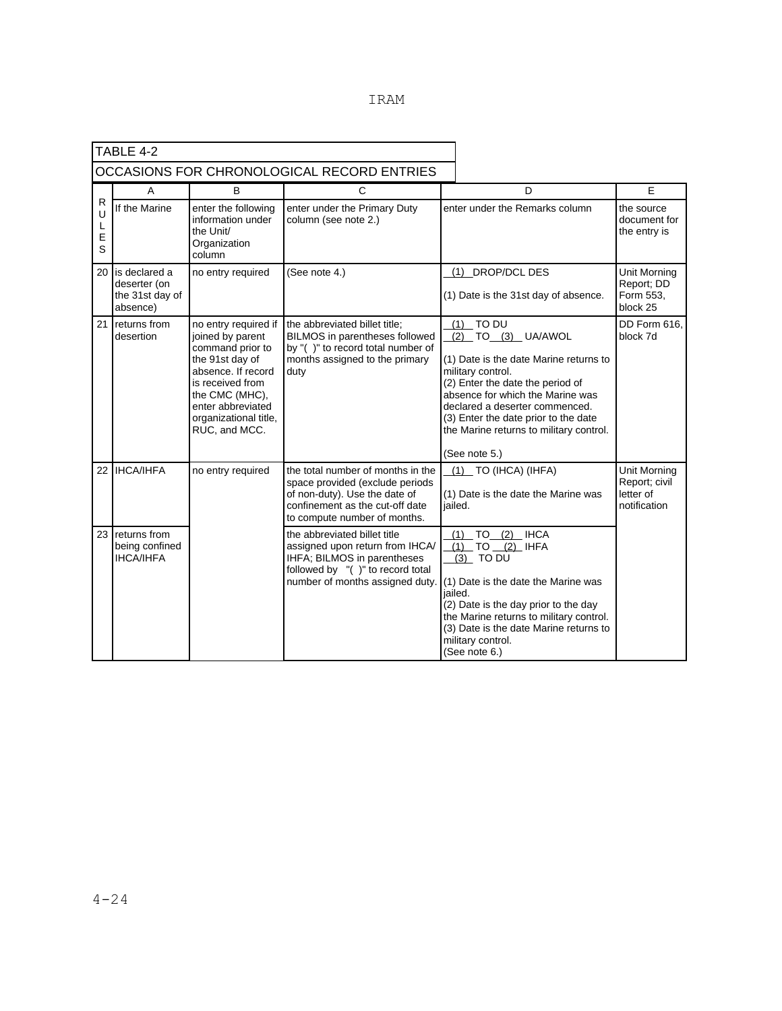| TABLE 4-2                                  |                                                              |                                                                                                                                                                                                            |                                                                                                                                                                          |  |                                                                                                                                                                                                                                                                                                                |                                                            |
|--------------------------------------------|--------------------------------------------------------------|------------------------------------------------------------------------------------------------------------------------------------------------------------------------------------------------------------|--------------------------------------------------------------------------------------------------------------------------------------------------------------------------|--|----------------------------------------------------------------------------------------------------------------------------------------------------------------------------------------------------------------------------------------------------------------------------------------------------------------|------------------------------------------------------------|
| OCCASIONS FOR CHRONOLOGICAL RECORD ENTRIES |                                                              |                                                                                                                                                                                                            |                                                                                                                                                                          |  |                                                                                                                                                                                                                                                                                                                |                                                            |
|                                            | A                                                            | B                                                                                                                                                                                                          | C                                                                                                                                                                        |  | D                                                                                                                                                                                                                                                                                                              | E                                                          |
| R<br>L<br>Ε<br>S                           | If the Marine                                                | enter the following<br>information under<br>the Unit/<br>Organization<br>column                                                                                                                            | enter under the Primary Duty<br>column (see note 2.)                                                                                                                     |  | enter under the Remarks column                                                                                                                                                                                                                                                                                 | the source<br>document for<br>the entry is                 |
| 20                                         | is declared a<br>deserter (on<br>the 31st day of<br>absence) | no entry required                                                                                                                                                                                          | (See note 4.)                                                                                                                                                            |  | (1) DROP/DCL DES<br>(1) Date is the 31st day of absence.                                                                                                                                                                                                                                                       | Unit Morning<br>Report; DD<br>Form 553,<br>block 25        |
| 21                                         | returns from<br>desertion                                    | no entry required if<br>joined by parent<br>command prior to<br>the 91st day of<br>absence. If record<br>is received from<br>the CMC (MHC),<br>enter abbreviated<br>organizational title,<br>RUC, and MCC. | the abbreviated billet title;<br>BILMOS in parentheses followed<br>by "()" to record total number of<br>months assigned to the primary<br>duty                           |  | $(1)$ TO DU<br>(2) TO (3) UA/AWOL<br>(1) Date is the date Marine returns to<br>military control.<br>(2) Enter the date the period of<br>absence for which the Marine was<br>declared a deserter commenced.<br>(3) Enter the date prior to the date<br>the Marine returns to military control.<br>(See note 5.) | DD Form 616,<br>block 7d                                   |
| 22                                         | <b>IHCA/IHFA</b>                                             | no entry required                                                                                                                                                                                          | the total number of months in the<br>space provided (exclude periods<br>of non-duty). Use the date of<br>confinement as the cut-off date<br>to compute number of months. |  | $(1)$ TO (IHCA) (IHFA)<br>(1) Date is the date the Marine was<br>iailed.                                                                                                                                                                                                                                       | Unit Morning<br>Report; civil<br>letter of<br>notification |
| 23                                         | returns from<br>being confined<br><b>IHCA/IHFA</b>           |                                                                                                                                                                                                            | the abbreviated billet title<br>assigned upon return from IHCA/<br>IHFA; BILMOS in parentheses<br>followed by "()" to record total<br>number of months assigned duty.    |  | $TO (2)$ IHCA<br>(1)<br>(1) TO (2) IHFA<br>$(3)$ TO DU<br>(1) Date is the date the Marine was<br>iailed.<br>(2) Date is the day prior to the day<br>the Marine returns to military control.<br>(3) Date is the date Marine returns to<br>military control.<br>(See note 6.)                                    |                                                            |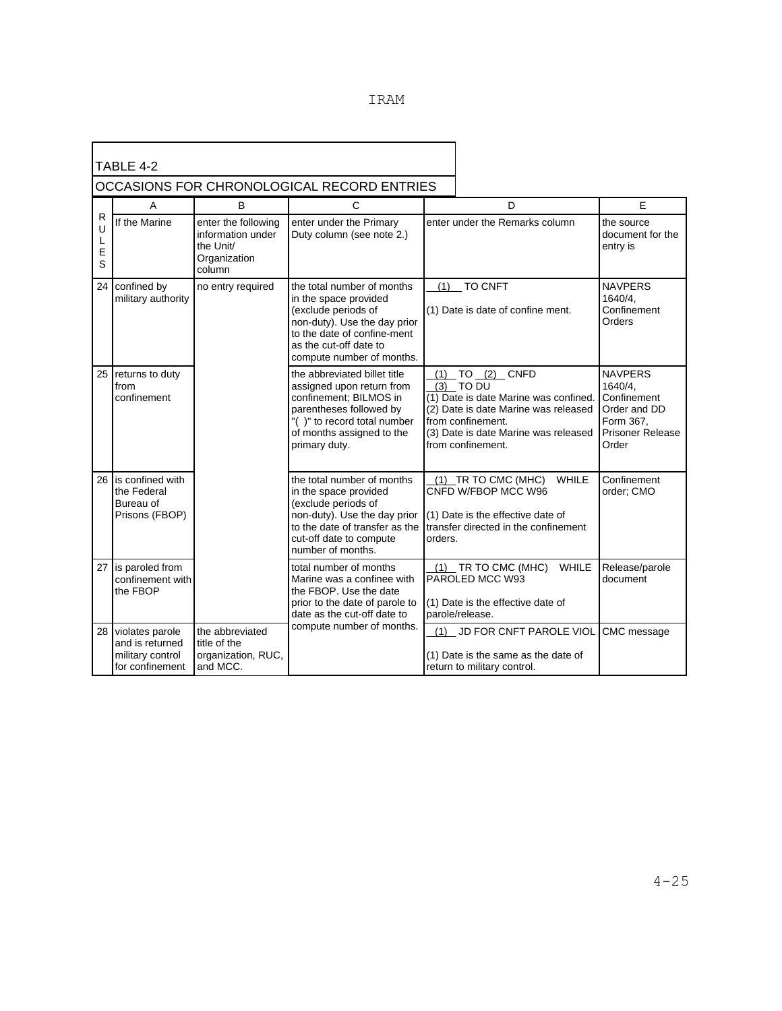|  |  | TDAM<br>$\sqrt{2}$ |
|--|--|--------------------|
|  |  |                    |

| TABLE 4-2                                  |                                                                           |                                                                                 |                                                                                                                                                                                                  |         |                                                                                                                                                                                                       |                                                                                                           |
|--------------------------------------------|---------------------------------------------------------------------------|---------------------------------------------------------------------------------|--------------------------------------------------------------------------------------------------------------------------------------------------------------------------------------------------|---------|-------------------------------------------------------------------------------------------------------------------------------------------------------------------------------------------------------|-----------------------------------------------------------------------------------------------------------|
| OCCASIONS FOR CHRONOLOGICAL RECORD ENTRIES |                                                                           |                                                                                 |                                                                                                                                                                                                  |         |                                                                                                                                                                                                       |                                                                                                           |
|                                            | A                                                                         | B                                                                               | C                                                                                                                                                                                                |         | D                                                                                                                                                                                                     | E                                                                                                         |
| $\mathsf{R}$<br>U<br>L<br>E<br>S           | If the Marine                                                             | enter the following<br>information under<br>the Unit/<br>Organization<br>column | enter under the Primary<br>Duty column (see note 2.)                                                                                                                                             |         | enter under the Remarks column                                                                                                                                                                        | the source<br>document for the<br>entry is                                                                |
| 24                                         | confined by<br>military authority                                         | no entry required                                                               | the total number of months<br>in the space provided<br>(exclude periods of<br>non-duty). Use the day prior<br>to the date of confine-ment<br>as the cut-off date to<br>compute number of months. |         | $(1)$ TO CNFT<br>(1) Date is date of confine ment.                                                                                                                                                    | <b>NAVPERS</b><br>1640/4,<br>Confinement<br>Orders                                                        |
| 25                                         | returns to duty<br>from<br>confinement                                    |                                                                                 | the abbreviated billet title<br>assigned upon return from<br>confinement: BILMOS in<br>parentheses followed by<br>"()" to record total number<br>of months assigned to the<br>primary duty.      |         | $(1)$ TO $(2)$ CNFD<br>$(3)$ TO DU<br>(1) Date is date Marine was confined.<br>(2) Date is date Marine was released<br>from confinement.<br>(3) Date is date Marine was released<br>from confinement. | <b>NAVPERS</b><br>1640/4,<br>Confinement<br>Order and DD<br>Form 367.<br><b>Prisoner Release</b><br>Order |
| 26                                         | is confined with<br>the Federal<br>Bureau of<br>Prisons (FBOP)            |                                                                                 | the total number of months<br>in the space provided<br>(exclude periods of<br>non-duty). Use the day prior<br>to the date of transfer as the<br>cut-off date to compute<br>number of months.     | orders. | $(1)$ TR TO CMC (MHC)<br>WHILE<br>CNFD W/FBOP MCC W96<br>(1) Date is the effective date of<br>transfer directed in the confinement                                                                    | Confinement<br>order; CMO                                                                                 |
| 27                                         | is paroled from<br>confinement with<br>the FBOP                           |                                                                                 | total number of months<br>Marine was a confinee with<br>the FBOP. Use the date<br>prior to the date of parole to<br>date as the cut-off date to                                                  |         | $(1)$ TR TO CMC (MHC)<br>WHILE<br>PAROLED MCC W93<br>(1) Date is the effective date of<br>parole/release.                                                                                             | Release/parole<br>document                                                                                |
| 28                                         | violates parole<br>and is returned<br>military control<br>for confinement | the abbreviated<br>title of the<br>organization, RUC,<br>and MCC.               | compute number of months.                                                                                                                                                                        |         | (1) JD FOR CNFT PAROLE VIOL<br>(1) Date is the same as the date of<br>return to military control.                                                                                                     | CMC message                                                                                               |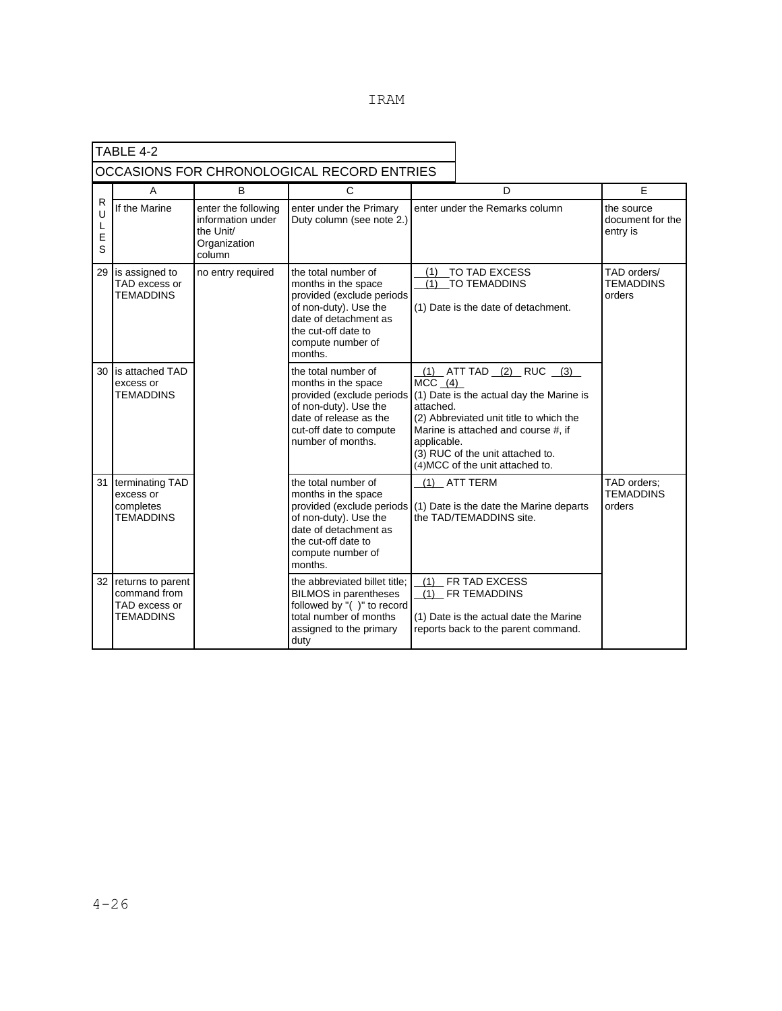| TABLE 4-2                                  |                                                                 |                                                                                 |                                                                                                                                                                                  |                                                                                                                                                                                                                                                                              |                                                                                                                        |                                            |
|--------------------------------------------|-----------------------------------------------------------------|---------------------------------------------------------------------------------|----------------------------------------------------------------------------------------------------------------------------------------------------------------------------------|------------------------------------------------------------------------------------------------------------------------------------------------------------------------------------------------------------------------------------------------------------------------------|------------------------------------------------------------------------------------------------------------------------|--------------------------------------------|
| OCCASIONS FOR CHRONOLOGICAL RECORD ENTRIES |                                                                 |                                                                                 |                                                                                                                                                                                  |                                                                                                                                                                                                                                                                              |                                                                                                                        |                                            |
|                                            | A                                                               | <sub>B</sub>                                                                    | C                                                                                                                                                                                |                                                                                                                                                                                                                                                                              | D                                                                                                                      | E                                          |
| R<br>U<br>L<br>E<br>S                      | If the Marine                                                   | enter the following<br>information under<br>the Unit/<br>Organization<br>column | enter under the Primary<br>Duty column (see note 2.)                                                                                                                             | enter under the Remarks column                                                                                                                                                                                                                                               |                                                                                                                        | the source<br>document for the<br>entry is |
| 29                                         | is assigned to<br>TAD excess or<br><b>TEMADDINS</b>             | no entry required                                                               | the total number of<br>months in the space<br>provided (exclude periods<br>of non-duty). Use the<br>date of detachment as<br>the cut-off date to<br>compute number of<br>months. | TO TAD EXCESS<br>(1)<br>(1)<br>TO TEMADDINS<br>(1) Date is the date of detachment.                                                                                                                                                                                           |                                                                                                                        | TAD orders/<br><b>TEMADDINS</b><br>orders  |
| 30                                         | is attached TAD<br>excess or<br>TEMADDINS                       |                                                                                 | the total number of<br>months in the space<br>provided (exclude periods<br>of non-duty). Use the<br>date of release as the<br>cut-off date to compute<br>number of months.       | $(1)$ ATT TAD $(2)$ RUC $(3)$<br>$MCC$ (4)<br>(1) Date is the actual day the Marine is<br>attached.<br>(2) Abbreviated unit title to which the<br>Marine is attached and course #, if<br>applicable.<br>(3) RUC of the unit attached to.<br>(4) MCC of the unit attached to. |                                                                                                                        |                                            |
| 31                                         | terminating TAD<br>excess or<br>completes<br>TEMADDINS          |                                                                                 | the total number of<br>months in the space<br>provided (exclude periods<br>of non-duty). Use the<br>date of detachment as<br>the cut-off date to<br>compute number of<br>months. | (1) ATT TERM<br>(1) Date is the date the Marine departs<br>the TAD/TEMADDINS site.                                                                                                                                                                                           |                                                                                                                        | TAD orders;<br><b>TEMADDINS</b><br>orders  |
| 32 <sub>1</sub>                            | returns to parent<br>command from<br>TAD excess or<br>TEMADDINS |                                                                                 | the abbreviated billet title;<br><b>BILMOS</b> in parentheses<br>followed by "()" to record<br>total number of months<br>assigned to the primary<br>duty                         |                                                                                                                                                                                                                                                                              | (1) FR TAD EXCESS<br>(1) FR TEMADDINS<br>(1) Date is the actual date the Marine<br>reports back to the parent command. |                                            |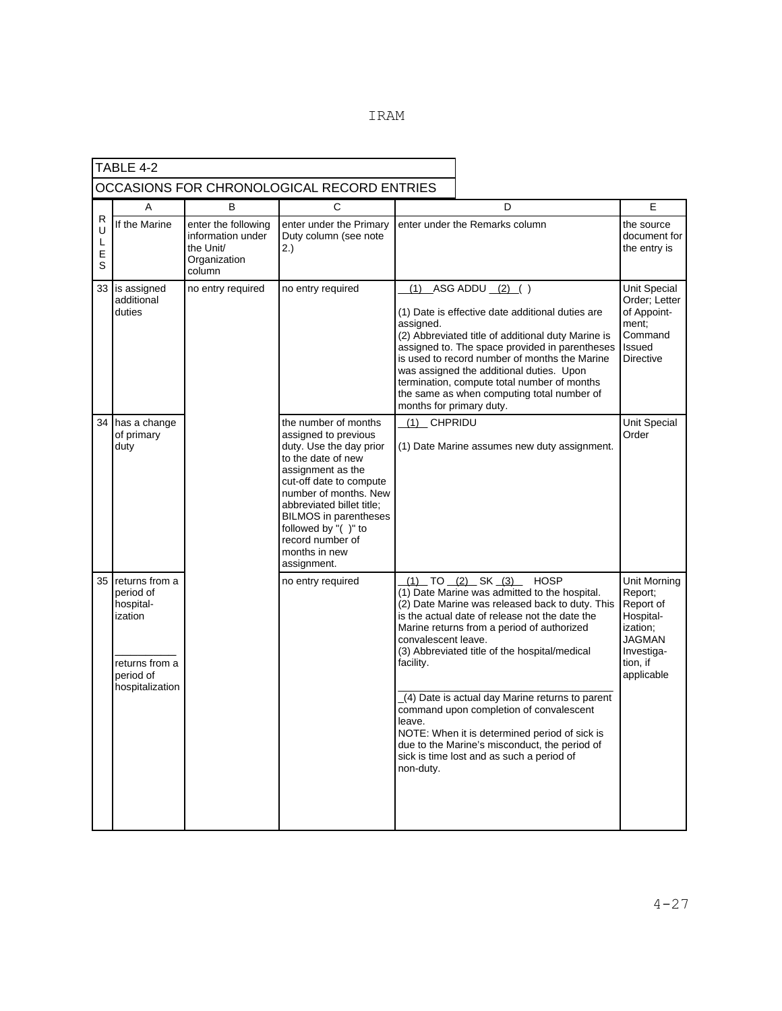|  |  | TRAM |
|--|--|------|
|  |  |      |

|                       | TABLE 4-2                                                                                             |                                                                                 |                                                                                                                                                                                                                                                                                                                |                                                         |                                                                                                                                                                                                                                                                                                                                                                                                                                                                                                                          |                                                                                                                        |
|-----------------------|-------------------------------------------------------------------------------------------------------|---------------------------------------------------------------------------------|----------------------------------------------------------------------------------------------------------------------------------------------------------------------------------------------------------------------------------------------------------------------------------------------------------------|---------------------------------------------------------|--------------------------------------------------------------------------------------------------------------------------------------------------------------------------------------------------------------------------------------------------------------------------------------------------------------------------------------------------------------------------------------------------------------------------------------------------------------------------------------------------------------------------|------------------------------------------------------------------------------------------------------------------------|
|                       |                                                                                                       |                                                                                 | OCCASIONS FOR CHRONOLOGICAL RECORD ENTRIES                                                                                                                                                                                                                                                                     |                                                         |                                                                                                                                                                                                                                                                                                                                                                                                                                                                                                                          |                                                                                                                        |
|                       | A                                                                                                     | В                                                                               | C                                                                                                                                                                                                                                                                                                              |                                                         | D                                                                                                                                                                                                                                                                                                                                                                                                                                                                                                                        | E                                                                                                                      |
| R<br>U<br>L<br>Е<br>S | If the Marine                                                                                         | enter the following<br>information under<br>the Unit/<br>Organization<br>column | enter under the Primary<br>Duty column (see note<br>2.                                                                                                                                                                                                                                                         |                                                         | enter under the Remarks column                                                                                                                                                                                                                                                                                                                                                                                                                                                                                           | the source<br>document for<br>the entry is                                                                             |
|                       | 33 is assigned<br>additional<br>duties                                                                | no entry required                                                               | no entry required                                                                                                                                                                                                                                                                                              | (1)<br>assigned.<br>months for primary duty.            | $ASG ADDU (2)$ ()<br>(1) Date is effective date additional duties are<br>(2) Abbreviated title of additional duty Marine is<br>assigned to. The space provided in parentheses<br>is used to record number of months the Marine<br>was assigned the additional duties. Upon<br>termination, compute total number of months<br>the same as when computing total number of                                                                                                                                                  | <b>Unit Special</b><br>Order; Letter<br>of Appoint-<br>ment:<br>Command<br>Issued<br><b>Directive</b>                  |
| 34                    | has a change<br>of primary<br>duty                                                                    |                                                                                 | the number of months<br>assigned to previous<br>duty. Use the day prior<br>to the date of new<br>assignment as the<br>cut-off date to compute<br>number of months. New<br>abbreviated billet title;<br><b>BILMOS</b> in parentheses<br>followed by "()" to<br>record number of<br>months in new<br>assignment. | (1) CHPRIDU                                             | (1) Date Marine assumes new duty assignment.                                                                                                                                                                                                                                                                                                                                                                                                                                                                             | Unit Special<br>Order                                                                                                  |
| 35                    | returns from a<br>period of<br>hospital-<br>ization<br>returns from a<br>period of<br>hospitalization |                                                                                 | no entry required                                                                                                                                                                                                                                                                                              | convalescent leave.<br>facility.<br>leave.<br>non-duty. | (1) TO (2) SK (3) HOSP<br>(1) Date Marine was admitted to the hospital.<br>(2) Date Marine was released back to duty. This<br>is the actual date of release not the date the<br>Marine returns from a period of authorized<br>(3) Abbreviated title of the hospital/medical<br>(4) Date is actual day Marine returns to parent<br>command upon completion of convalescent<br>NOTE: When it is determined period of sick is<br>due to the Marine's misconduct, the period of<br>sick is time lost and as such a period of | Unit Morning<br>Report;<br>Report of<br>Hospital-<br>ization;<br><b>JAGMAN</b><br>Investiga-<br>tion, if<br>applicable |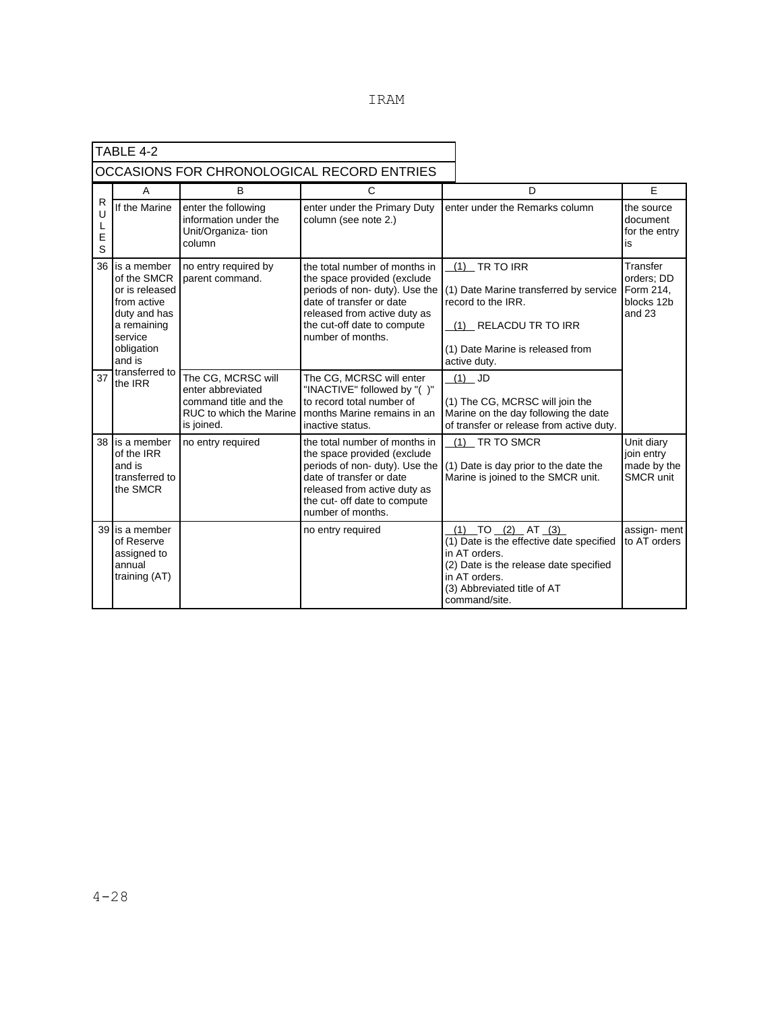|                  | TABLE 4-2                                                                                                                     |                                                                                                           |                                                                                                                                                                                                                |                                                                                                                                                                                                 |                                                               |
|------------------|-------------------------------------------------------------------------------------------------------------------------------|-----------------------------------------------------------------------------------------------------------|----------------------------------------------------------------------------------------------------------------------------------------------------------------------------------------------------------------|-------------------------------------------------------------------------------------------------------------------------------------------------------------------------------------------------|---------------------------------------------------------------|
|                  |                                                                                                                               |                                                                                                           | OCCASIONS FOR CHRONOLOGICAL RECORD ENTRIES                                                                                                                                                                     |                                                                                                                                                                                                 |                                                               |
|                  | A                                                                                                                             | B                                                                                                         | C                                                                                                                                                                                                              | D                                                                                                                                                                                               | F                                                             |
| R<br>U<br>E<br>S | If the Marine                                                                                                                 | enter the following<br>information under the<br>Unit/Organiza-tion<br>column                              | enter under the Primary Duty<br>column (see note 2.)                                                                                                                                                           | enter under the Remarks column                                                                                                                                                                  | the source<br>document<br>for the entry<br>is                 |
| 36               | is a member<br>of the SMCR<br>or is released<br>from active<br>duty and has<br>a remaining<br>service<br>obligation<br>and is | no entry required by<br>parent command.                                                                   | the total number of months in<br>the space provided (exclude<br>periods of non- duty). Use the<br>date of transfer or date<br>released from active duty as<br>the cut-off date to compute<br>number of months. | $(1)$ TR TO IRR<br>(1) Date Marine transferred by service<br>record to the IRR.<br>(1) RELACDU TR TO IRR<br>(1) Date Marine is released from<br>active duty.                                    | Transfer<br>orders; DD<br>Form 214,<br>blocks 12b<br>and $23$ |
| 37               | transferred to<br>the IRR                                                                                                     | The CG, MCRSC will<br>enter abbreviated<br>command title and the<br>RUC to which the Marine<br>is joined. | The CG, MCRSC will enter<br>"INACTIVE" followed by "()"<br>to record total number of<br>months Marine remains in an<br>inactive status.                                                                        | $(1)$ JD<br>(1) The CG, MCRSC will join the<br>Marine on the day following the date<br>of transfer or release from active duty.                                                                 |                                                               |
| 38               | is a member<br>of the IRR<br>and is<br>transferred to<br>the SMCR                                                             | no entry required                                                                                         | the total number of months in<br>the space provided (exclude<br>periods of non-duty). Use the<br>date of transfer or date<br>released from active duty as<br>the cut- off date to compute<br>number of months. | (1) TR TO SMCR<br>(1) Date is day prior to the date the<br>Marine is joined to the SMCR unit.                                                                                                   | Unit diary<br>join entry<br>made by the<br><b>SMCR unit</b>   |
|                  | 39 is a member<br>of Reserve<br>assigned to<br>annual<br>training (AT)                                                        |                                                                                                           | no entry required                                                                                                                                                                                              | $(1)$ TO $(2)$ AT $(3)$<br>(1) Date is the effective date specified<br>in AT orders.<br>(2) Date is the release date specified<br>in AT orders.<br>(3) Abbreviated title of AT<br>command/site. | assign- ment<br>to AT orders                                  |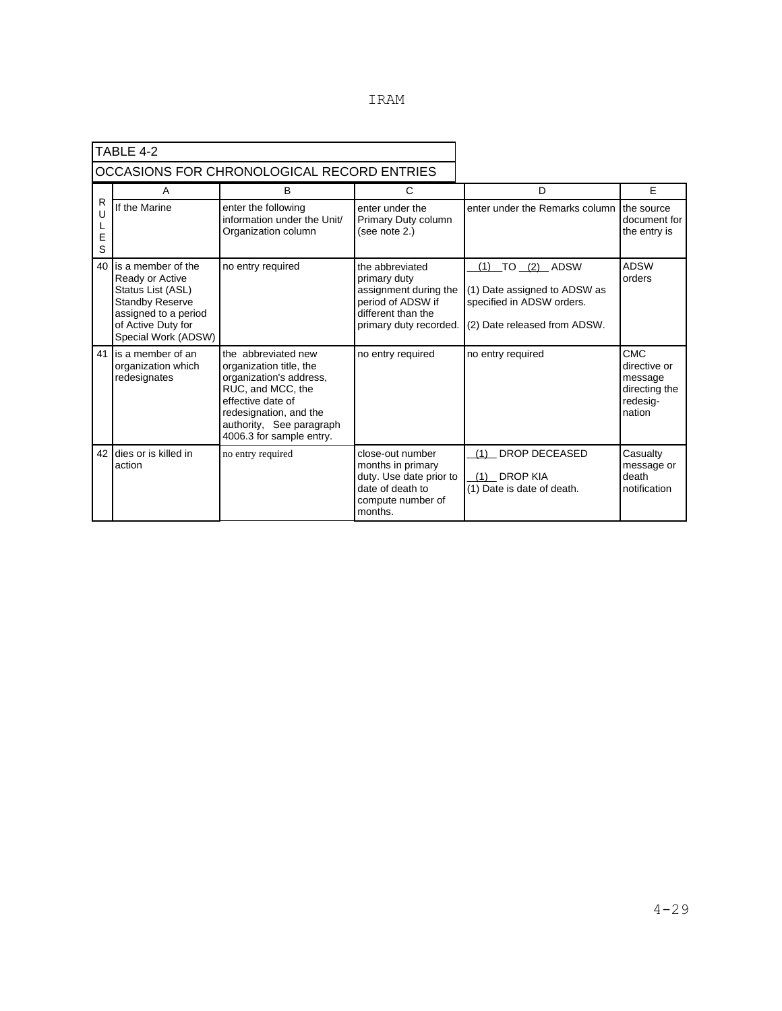| TRAM |
|------|
|      |

|                  | TABLE 4-2                                                                                                                                                 |                                                                                                                                                                                                       |                                                                                                                               |                                                                                                              |                                                                              |
|------------------|-----------------------------------------------------------------------------------------------------------------------------------------------------------|-------------------------------------------------------------------------------------------------------------------------------------------------------------------------------------------------------|-------------------------------------------------------------------------------------------------------------------------------|--------------------------------------------------------------------------------------------------------------|------------------------------------------------------------------------------|
|                  |                                                                                                                                                           | OCCASIONS FOR CHRONOLOGICAL RECORD ENTRIES                                                                                                                                                            |                                                                                                                               |                                                                                                              |                                                                              |
|                  | A                                                                                                                                                         | B                                                                                                                                                                                                     | С                                                                                                                             | D                                                                                                            | E                                                                            |
| R<br>U<br>E<br>S | If the Marine                                                                                                                                             | enter the following<br>information under the Unit/<br>Organization column                                                                                                                             | enter under the<br>Primary Duty column<br>(see note 2.)                                                                       | enter under the Remarks column                                                                               | the source<br>document for<br>the entry is                                   |
| 40               | is a member of the<br>Ready or Active<br>Status List (ASL)<br><b>Standby Reserve</b><br>assigned to a period<br>of Active Duty for<br>Special Work (ADSW) | no entry required                                                                                                                                                                                     | the abbreviated<br>primary duty<br>assignment during the<br>period of ADSW if<br>different than the<br>primary duty recorded. | (1) TO (2) ADSW<br>(1) Date assigned to ADSW as<br>specified in ADSW orders.<br>(2) Date released from ADSW. | <b>ADSW</b><br>orders                                                        |
| 41               | is a member of an<br>organization which<br>redesignates                                                                                                   | the abbreviated new<br>organization title, the<br>organization's address,<br>RUC, and MCC, the<br>effective date of<br>redesignation, and the<br>authority, See paragraph<br>4006.3 for sample entry. | no entry required                                                                                                             | no entry required                                                                                            | <b>CMC</b><br>directive or<br>message<br>directing the<br>redesig-<br>nation |
| 42               | dies or is killed in<br>action                                                                                                                            | no entry required                                                                                                                                                                                     | close-out number<br>months in primary<br>duty. Use date prior to<br>date of death to<br>compute number of<br>months.          | <b>DROP DECEASED</b><br>(1)<br><b>DROP KIA</b><br>(1)<br>(1) Date is date of death.                          | Casualty<br>message or<br>death<br>notification                              |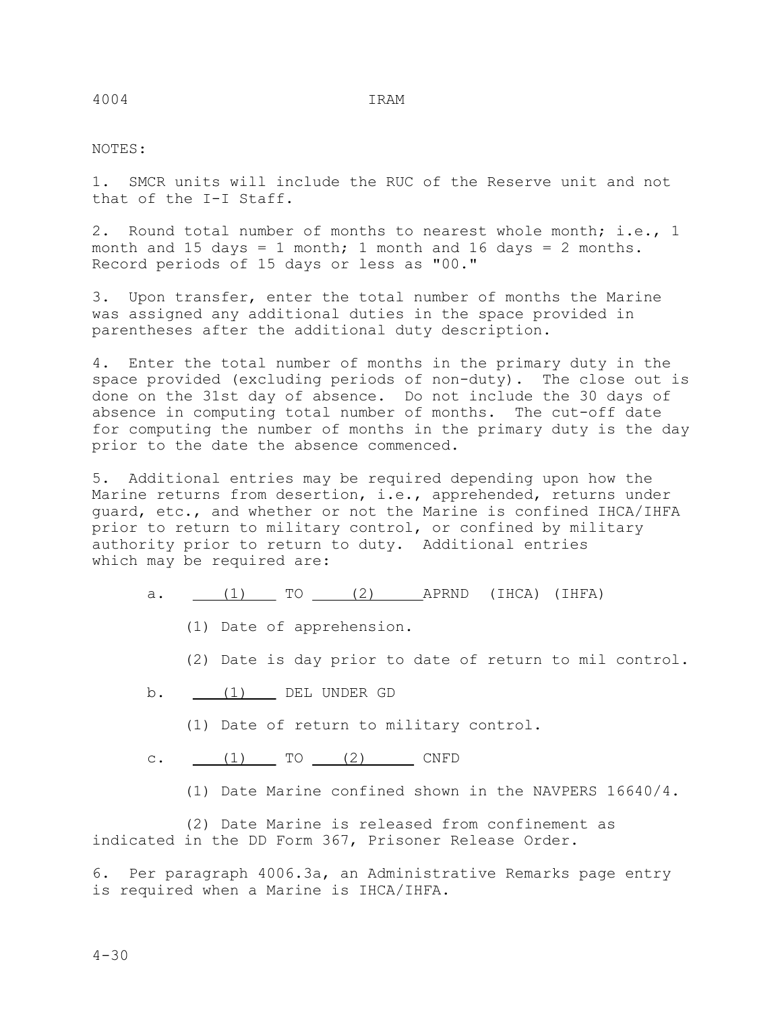## NOTES:

1. SMCR units will include the RUC of the Reserve unit and not that of the I-I Staff.

2. Round total number of months to nearest whole month; i.e., 1 month and 15 days = 1 month; 1 month and 16 days = 2 months. Record periods of 15 days or less as "00."

3. Upon transfer, enter the total number of months the Marine was assigned any additional duties in the space provided in parentheses after the additional duty description.

4. Enter the total number of months in the primary duty in the space provided (excluding periods of non-duty). The close out is done on the 31st day of absence. Do not include the 30 days of absence in computing total number of months. The cut-off date for computing the number of months in the primary duty is the day prior to the date the absence commenced.

5. Additional entries may be required depending upon how the Marine returns from desertion, i.e., apprehended, returns under guard, etc., and whether or not the Marine is confined IHCA/IHFA prior to return to military control, or confined by military authority prior to return to duty. Additional entries which may be required are:

- a.  $(1)$  TO  $(2)$  APRND (IHCA) (IHFA)
	- (1) Date of apprehension.

(2) Date is day prior to date of return to mil control.

- b. (1) DEL UNDER GD
	- (1) Date of return to military control.
- c.  $(1)$  TO  $(2)$  CNFD
	- (1) Date Marine confined shown in the NAVPERS 16640/4.

 (2) Date Marine is released from confinement as indicated in the DD Form 367, Prisoner Release Order.

6. Per paragraph 4006.3a, an Administrative Remarks page entry is required when a Marine is IHCA/IHFA.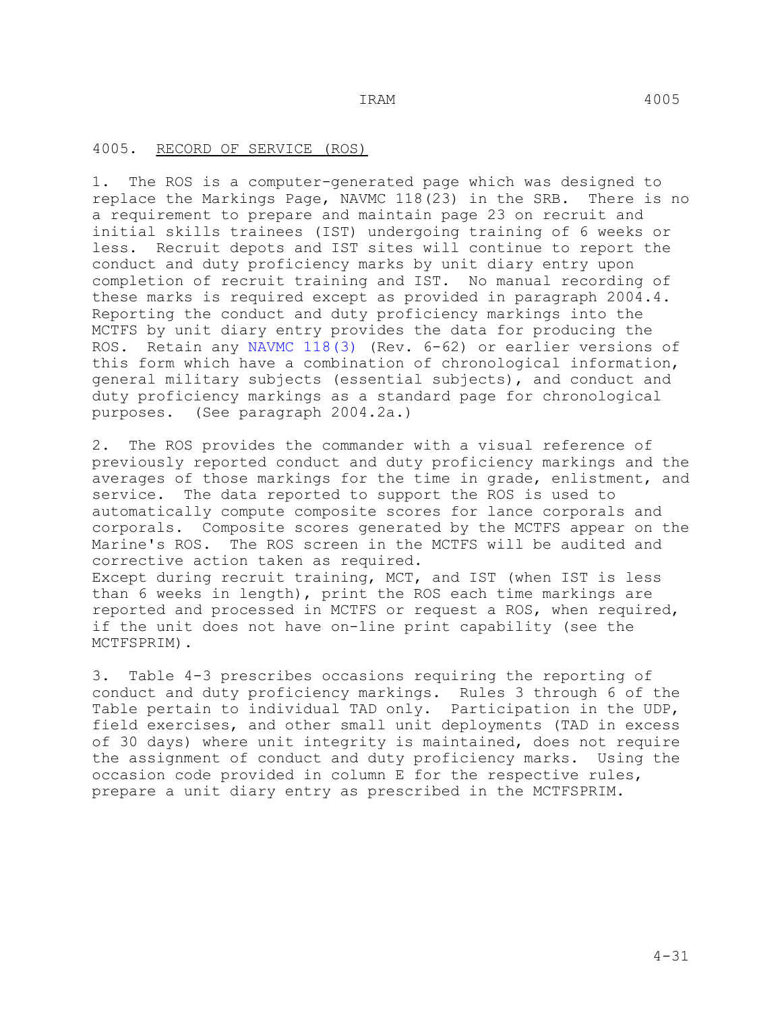### 4005. RECORD OF SERVICE (ROS)

1. The ROS is a computer-generated page which was designed to replace the Markings Page, NAVMC 118(23) in the SRB. There is no a requirement to prepare and maintain page 23 on recruit and initial skills trainees (IST) undergoing training of 6 weeks or less. Recruit depots and IST sites will continue to report the conduct and duty proficiency marks by unit diary entry upon completion of recruit training and IST. No manual recording of these marks is required except as provided in paragraph 2004.4. Reporting the conduct and duty proficiency markings into the MCTFS by unit diary entry provides the data for producing the ROS. Retain any NAVMC 118(3) (Rev. 6-62) or earlier versions of this form which have a combination of chronological information, general military subjects (essential subjects), and conduct and duty proficiency markings as a standard page for chronological purposes. (See paragraph 2004.2a.)

2. The ROS provides the commander with a visual reference of previously reported conduct and duty proficiency markings and the averages of those markings for the time in grade, enlistment, and service. The data reported to support the ROS is used to automatically compute composite scores for lance corporals and corporals. Composite scores generated by the MCTFS appear on the Marine's ROS. The ROS screen in the MCTFS will be audited and corrective action taken as required. Except during recruit training, MCT, and IST (when IST is less than 6 weeks in length), print the ROS each time markings are

reported and processed in MCTFS or request a ROS, when required, if the unit does not have on-line print capability (see the MCTFSPRIM).

3. Table 4-3 prescribes occasions requiring the reporting of conduct and duty proficiency markings. Rules 3 through 6 of the Table pertain to individual TAD only. Participation in the UDP, field exercises, and other small unit deployments (TAD in excess of 30 days) where unit integrity is maintained, does not require the assignment of conduct and duty proficiency marks. Using the occasion code provided in column E for the respective rules, prepare a unit diary entry as prescribed in the MCTFSPRIM.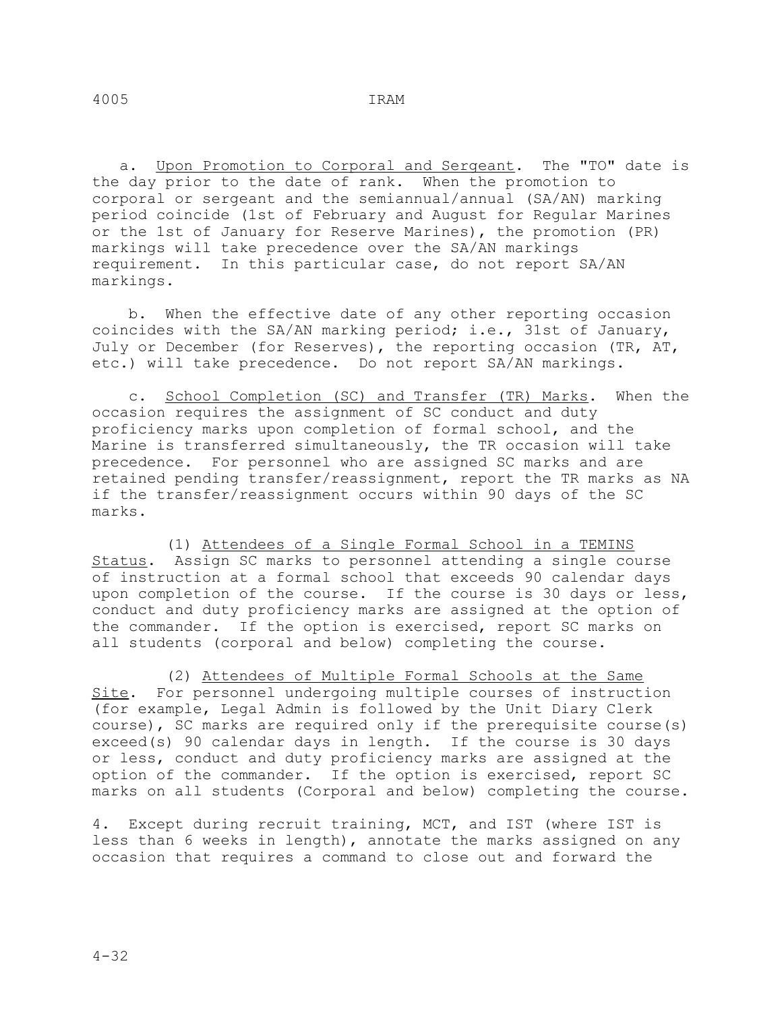a. Upon Promotion to Corporal and Sergeant. The "TO" date is the day prior to the date of rank. When the promotion to corporal or sergeant and the semiannual/annual (SA/AN) marking period coincide (1st of February and August for Regular Marines or the 1st of January for Reserve Marines), the promotion (PR) markings will take precedence over the SA/AN markings requirement. In this particular case, do not report SA/AN markings.

 b. When the effective date of any other reporting occasion coincides with the SA/AN marking period; i.e., 31st of January, July or December (for Reserves), the reporting occasion (TR, AT, etc.) will take precedence. Do not report SA/AN markings.

 c. School Completion (SC) and Transfer (TR) Marks. When the occasion requires the assignment of SC conduct and duty proficiency marks upon completion of formal school, and the Marine is transferred simultaneously, the TR occasion will take precedence. For personnel who are assigned SC marks and are retained pending transfer/reassignment, report the TR marks as NA if the transfer/reassignment occurs within 90 days of the SC marks.

 (1) Attendees of a Single Formal School in a TEMINS Status. Assign SC marks to personnel attending a single course of instruction at a formal school that exceeds 90 calendar days upon completion of the course. If the course is 30 days or less, conduct and duty proficiency marks are assigned at the option of the commander. If the option is exercised, report SC marks on all students (corporal and below) completing the course.

 (2) Attendees of Multiple Formal Schools at the Same Site. For personnel undergoing multiple courses of instruction (for example, Legal Admin is followed by the Unit Diary Clerk course), SC marks are required only if the prerequisite course(s) exceed(s) 90 calendar days in length. If the course is 30 days or less, conduct and duty proficiency marks are assigned at the option of the commander. If the option is exercised, report SC marks on all students (Corporal and below) completing the course.

4. Except during recruit training, MCT, and IST (where IST is less than 6 weeks in length), annotate the marks assigned on any occasion that requires a command to close out and forward the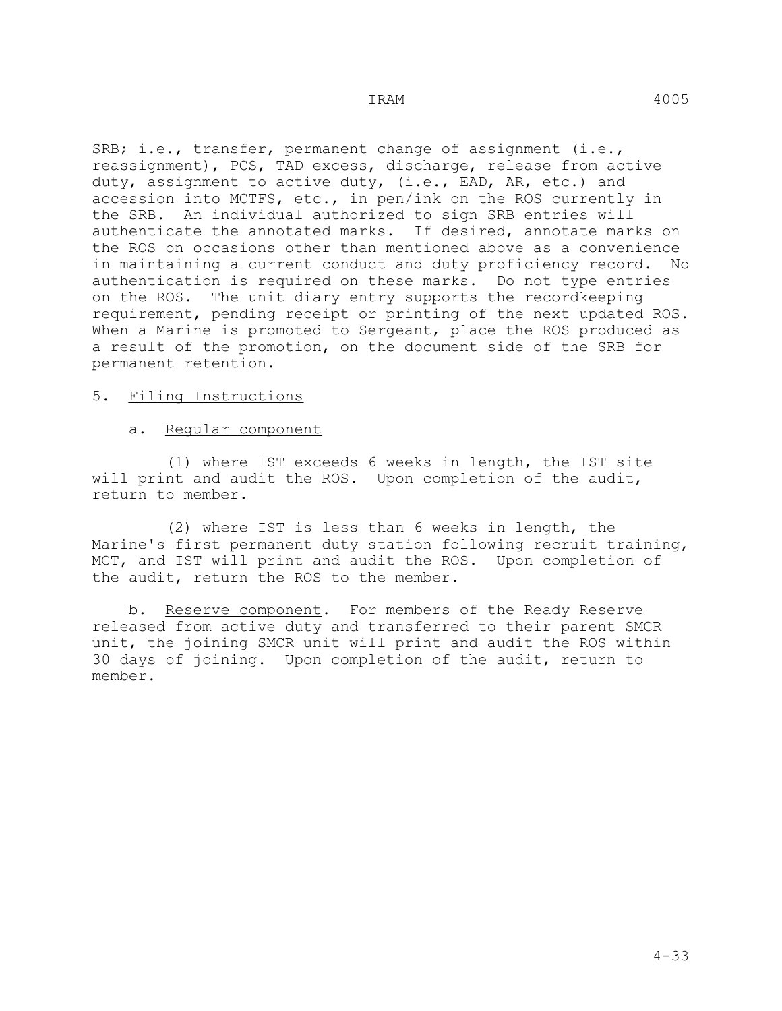SRB; i.e., transfer, permanent change of assignment (i.e., reassignment), PCS, TAD excess, discharge, release from active duty, assignment to active duty, (i.e., EAD, AR, etc.) and accession into MCTFS, etc., in pen/ink on the ROS currently in the SRB. An individual authorized to sign SRB entries will authenticate the annotated marks. If desired, annotate marks on the ROS on occasions other than mentioned above as a convenience in maintaining a current conduct and duty proficiency record. No authentication is required on these marks. Do not type entries on the ROS. The unit diary entry supports the recordkeeping requirement, pending receipt or printing of the next updated ROS. When a Marine is promoted to Sergeant, place the ROS produced as a result of the promotion, on the document side of the SRB for permanent retention.

### 5. Filing Instructions

### a. Regular component

 (1) where IST exceeds 6 weeks in length, the IST site will print and audit the ROS. Upon completion of the audit, return to member.

 (2) where IST is less than 6 weeks in length, the Marine's first permanent duty station following recruit training, MCT, and IST will print and audit the ROS. Upon completion of the audit, return the ROS to the member.

 b. Reserve component. For members of the Ready Reserve released from active duty and transferred to their parent SMCR unit, the joining SMCR unit will print and audit the ROS within 30 days of joining. Upon completion of the audit, return to member.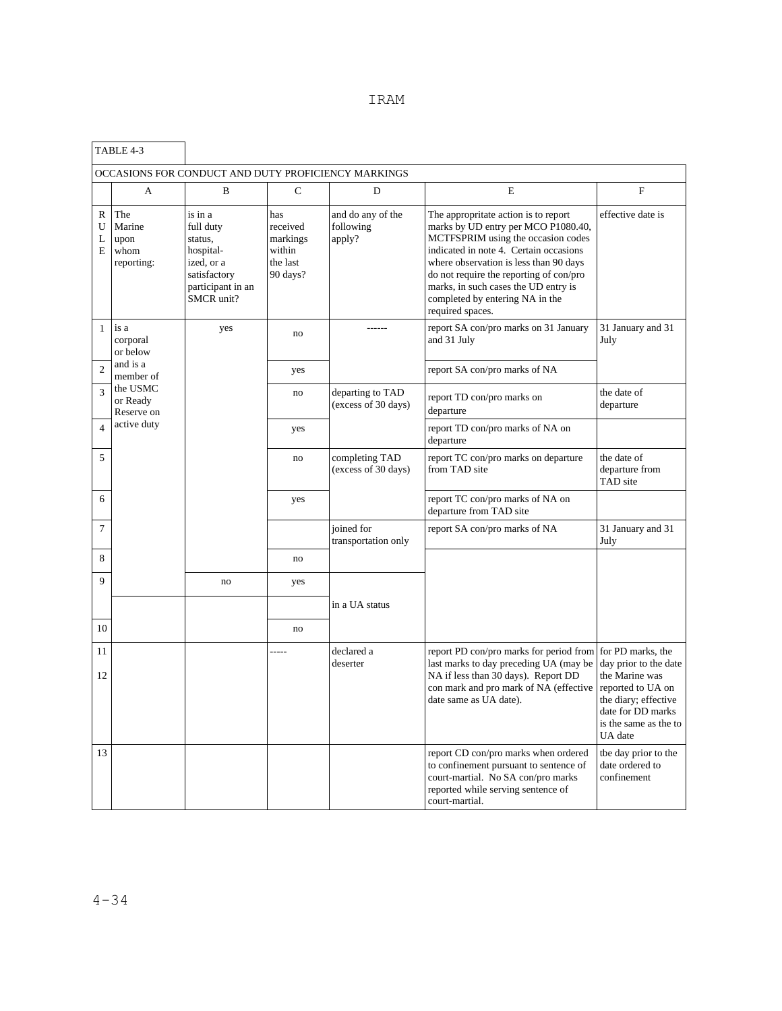|                  | TABLE 4-3                                   |                                                                                                               |                                                               |                                                     |                                                                                                                                                                                                                                                                                                                                                 |                                                                                                                                                                    |
|------------------|---------------------------------------------|---------------------------------------------------------------------------------------------------------------|---------------------------------------------------------------|-----------------------------------------------------|-------------------------------------------------------------------------------------------------------------------------------------------------------------------------------------------------------------------------------------------------------------------------------------------------------------------------------------------------|--------------------------------------------------------------------------------------------------------------------------------------------------------------------|
|                  |                                             |                                                                                                               |                                                               | OCCASIONS FOR CONDUCT AND DUTY PROFICIENCY MARKINGS |                                                                                                                                                                                                                                                                                                                                                 |                                                                                                                                                                    |
|                  | A                                           | B                                                                                                             | $\mathbf C$                                                   | D                                                   | E                                                                                                                                                                                                                                                                                                                                               | $\mathbf F$                                                                                                                                                        |
| R<br>U<br>L<br>E | The<br>Marine<br>upon<br>whom<br>reporting: | is in a<br>full duty<br>status.<br>hospital-<br>ized, or a<br>satisfactory<br>participant in an<br>SMCR unit? | has<br>received<br>markings<br>within<br>the last<br>90 days? | and do any of the<br>following<br>apply?            | The appropritate action is to report<br>marks by UD entry per MCO P1080.40,<br>MCTFSPRIM using the occasion codes<br>indicated in note 4. Certain occasions<br>where observation is less than 90 days<br>do not require the reporting of con/pro<br>marks, in such cases the UD entry is<br>completed by entering NA in the<br>required spaces. | effective date is                                                                                                                                                  |
| $\mathbf{1}$     | is a<br>corporal<br>or below                | yes                                                                                                           | no                                                            |                                                     | report SA con/pro marks on 31 January<br>and 31 July                                                                                                                                                                                                                                                                                            | 31 January and 31<br>July                                                                                                                                          |
| $\mathfrak{D}$   | and is a<br>member of                       |                                                                                                               | yes                                                           |                                                     | report SA con/pro marks of NA                                                                                                                                                                                                                                                                                                                   |                                                                                                                                                                    |
| $\overline{3}$   | the USMC<br>or Ready<br>Reserve on          |                                                                                                               | no                                                            | departing to TAD<br>(excess of 30 days)             | report TD con/pro marks on<br>departure                                                                                                                                                                                                                                                                                                         | the date of<br>departure                                                                                                                                           |
| $\overline{4}$   | active duty                                 |                                                                                                               | yes                                                           |                                                     | report TD con/pro marks of NA on<br>departure                                                                                                                                                                                                                                                                                                   |                                                                                                                                                                    |
| 5                |                                             |                                                                                                               | no                                                            | completing TAD<br>(excess of 30 days)               | report TC con/pro marks on departure<br>from TAD site                                                                                                                                                                                                                                                                                           | the date of<br>departure from<br>TAD site                                                                                                                          |
| 6                |                                             |                                                                                                               | yes                                                           |                                                     | report TC con/pro marks of NA on<br>departure from TAD site                                                                                                                                                                                                                                                                                     |                                                                                                                                                                    |
| $\overline{7}$   |                                             |                                                                                                               |                                                               | joined for<br>transportation only                   | report SA con/pro marks of NA                                                                                                                                                                                                                                                                                                                   | 31 January and 31<br>July                                                                                                                                          |
| 8                |                                             |                                                                                                               | no                                                            |                                                     |                                                                                                                                                                                                                                                                                                                                                 |                                                                                                                                                                    |
| 9                |                                             | no                                                                                                            | yes                                                           |                                                     |                                                                                                                                                                                                                                                                                                                                                 |                                                                                                                                                                    |
|                  |                                             |                                                                                                               |                                                               | in a UA status                                      |                                                                                                                                                                                                                                                                                                                                                 |                                                                                                                                                                    |
| 10               |                                             |                                                                                                               | no                                                            |                                                     |                                                                                                                                                                                                                                                                                                                                                 |                                                                                                                                                                    |
| 11<br>12         |                                             |                                                                                                               |                                                               | declared a<br>deserter                              | report PD con/pro marks for period from<br>last marks to day preceding UA (may be<br>NA if less than 30 days). Report DD<br>con mark and pro mark of NA (effective<br>date same as UA date).                                                                                                                                                    | for PD marks, the<br>day prior to the date<br>the Marine was<br>reported to UA on<br>the diary; effective<br>date for DD marks<br>is the same as the to<br>UA date |
| 13               |                                             |                                                                                                               |                                                               |                                                     | report CD con/pro marks when ordered<br>to confinement pursuant to sentence of<br>court-martial. No SA con/pro marks<br>reported while serving sentence of<br>court-martial.                                                                                                                                                                    | the day prior to the<br>date ordered to<br>confinement                                                                                                             |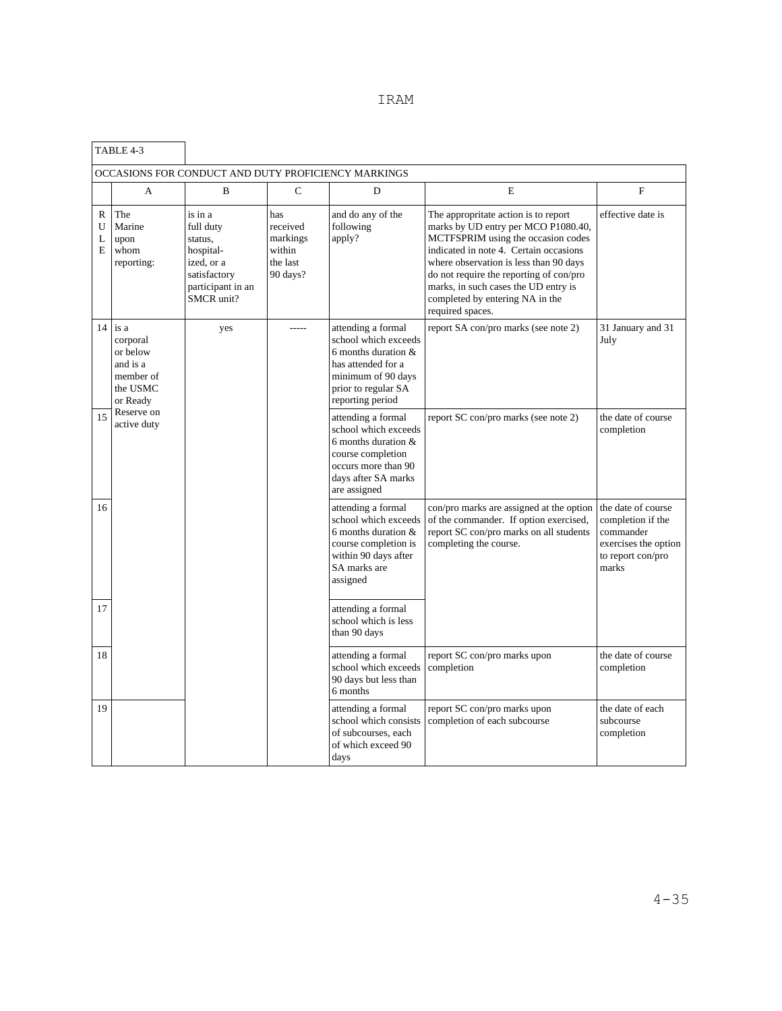|                  | TABLE 4-3                                                                     |                                                                                                               |                                                               |                                                                                                                                                            |                                                                                                                                                                                                                                                                                                                                                 |                                                                                                            |
|------------------|-------------------------------------------------------------------------------|---------------------------------------------------------------------------------------------------------------|---------------------------------------------------------------|------------------------------------------------------------------------------------------------------------------------------------------------------------|-------------------------------------------------------------------------------------------------------------------------------------------------------------------------------------------------------------------------------------------------------------------------------------------------------------------------------------------------|------------------------------------------------------------------------------------------------------------|
|                  |                                                                               |                                                                                                               |                                                               | OCCASIONS FOR CONDUCT AND DUTY PROFICIENCY MARKINGS                                                                                                        |                                                                                                                                                                                                                                                                                                                                                 |                                                                                                            |
|                  | A                                                                             | R                                                                                                             | C                                                             | D                                                                                                                                                          | E                                                                                                                                                                                                                                                                                                                                               | F                                                                                                          |
| R<br>U<br>L<br>E | The<br>Marine<br>upon<br>whom<br>reporting:                                   | is in a<br>full duty<br>status.<br>hospital-<br>ized, or a<br>satisfactory<br>participant in an<br>SMCR unit? | has<br>received<br>markings<br>within<br>the last<br>90 days? | and do any of the<br>following<br>apply?                                                                                                                   | The appropritate action is to report<br>marks by UD entry per MCO P1080.40,<br>MCTFSPRIM using the occasion codes<br>indicated in note 4. Certain occasions<br>where observation is less than 90 days<br>do not require the reporting of con/pro<br>marks, in such cases the UD entry is<br>completed by entering NA in the<br>required spaces. | effective date is                                                                                          |
| 14               | is a<br>corporal<br>or below<br>and is a<br>member of<br>the USMC<br>or Ready | yes                                                                                                           | $- - - -$                                                     | attending a formal<br>school which exceeds<br>6 months duration $&$<br>has attended for a<br>minimum of 90 days<br>prior to regular SA<br>reporting period | report SA con/pro marks (see note 2)                                                                                                                                                                                                                                                                                                            | 31 January and 31<br>July                                                                                  |
| 15               | Reserve on<br>active duty                                                     |                                                                                                               |                                                               | attending a formal<br>school which exceeds<br>6 months duration $&$<br>course completion<br>occurs more than 90<br>days after SA marks<br>are assigned     | report SC con/pro marks (see note 2)                                                                                                                                                                                                                                                                                                            | the date of course<br>completion                                                                           |
| 16               |                                                                               |                                                                                                               |                                                               | attending a formal<br>school which exceeds<br>6 months duration $&$<br>course completion is<br>within 90 days after<br>SA marks are<br>assigned            | con/pro marks are assigned at the option<br>of the commander. If option exercised,<br>report SC con/pro marks on all students<br>completing the course.                                                                                                                                                                                         | the date of course<br>completion if the<br>commander<br>exercises the option<br>to report con/pro<br>marks |
| 17               |                                                                               |                                                                                                               |                                                               | attending a formal<br>school which is less<br>than 90 days                                                                                                 |                                                                                                                                                                                                                                                                                                                                                 |                                                                                                            |
| 18               |                                                                               |                                                                                                               |                                                               | attending a formal<br>school which exceeds<br>90 days but less than<br>6 months                                                                            | report SC con/pro marks upon<br>completion                                                                                                                                                                                                                                                                                                      | the date of course<br>completion                                                                           |
| 19               |                                                                               |                                                                                                               |                                                               | attending a formal<br>school which consists<br>of subcourses, each<br>of which exceed 90<br>days                                                           | report SC con/pro marks upon<br>completion of each subcourse                                                                                                                                                                                                                                                                                    | the date of each<br>subcourse<br>completion                                                                |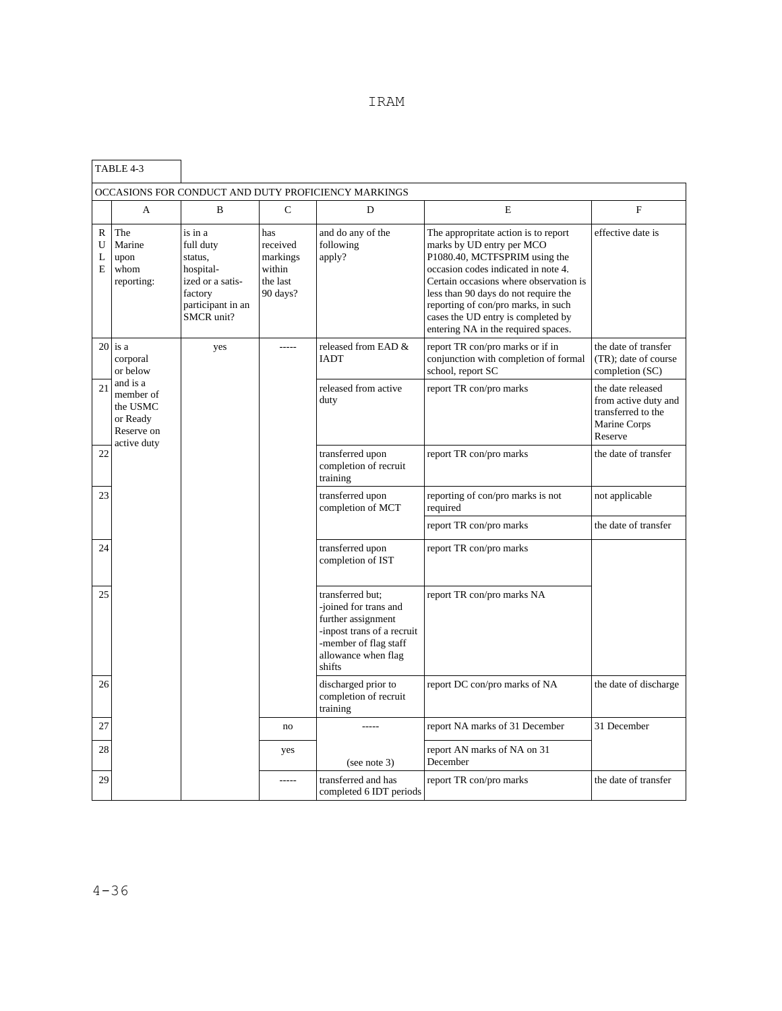|                             | TABLE 4-3                                                                  |                                                                                                                |                                                               |                                                                                                                                                        |                                                                                                                                                                                                                                                                                                                                                 |                                                                                            |
|-----------------------------|----------------------------------------------------------------------------|----------------------------------------------------------------------------------------------------------------|---------------------------------------------------------------|--------------------------------------------------------------------------------------------------------------------------------------------------------|-------------------------------------------------------------------------------------------------------------------------------------------------------------------------------------------------------------------------------------------------------------------------------------------------------------------------------------------------|--------------------------------------------------------------------------------------------|
|                             |                                                                            |                                                                                                                |                                                               | OCCASIONS FOR CONDUCT AND DUTY PROFICIENCY MARKINGS                                                                                                    |                                                                                                                                                                                                                                                                                                                                                 |                                                                                            |
|                             | A                                                                          | B                                                                                                              | $\mathbf C$                                                   | D                                                                                                                                                      | E                                                                                                                                                                                                                                                                                                                                               | F                                                                                          |
| $\mathbb{R}$<br>U<br>L<br>E | The<br>Marine<br>upon<br>whom<br>reporting:                                | is in a<br>full duty<br>status,<br>hospital-<br>ized or a satis-<br>factory<br>participant in an<br>SMCR unit? | has<br>received<br>markings<br>within<br>the last<br>90 days? | and do any of the<br>following<br>apply?                                                                                                               | The appropritate action is to report<br>marks by UD entry per MCO<br>P1080.40, MCTFSPRIM using the<br>occasion codes indicated in note 4.<br>Certain occasions where observation is<br>less than 90 days do not require the<br>reporting of con/pro marks, in such<br>cases the UD entry is completed by<br>entering NA in the required spaces. | effective date is                                                                          |
|                             | $20$ is a<br>corporal<br>or below                                          | yes                                                                                                            | $- - - - -$                                                   | released from EAD &<br><b>IADT</b>                                                                                                                     | report TR con/pro marks or if in<br>conjunction with completion of formal<br>school, report SC                                                                                                                                                                                                                                                  | the date of transfer<br>(TR); date of course<br>completion (SC)                            |
| 21                          | and is a<br>member of<br>the USMC<br>or Ready<br>Reserve on<br>active duty |                                                                                                                |                                                               | released from active<br>duty                                                                                                                           | report TR con/pro marks                                                                                                                                                                                                                                                                                                                         | the date released<br>from active duty and<br>transferred to the<br>Marine Corps<br>Reserve |
| 22                          |                                                                            |                                                                                                                |                                                               | transferred upon<br>completion of recruit<br>training                                                                                                  | report TR con/pro marks                                                                                                                                                                                                                                                                                                                         | the date of transfer                                                                       |
| 23                          |                                                                            |                                                                                                                |                                                               | transferred upon<br>completion of MCT                                                                                                                  | reporting of con/pro marks is not<br>required                                                                                                                                                                                                                                                                                                   | not applicable                                                                             |
|                             |                                                                            |                                                                                                                |                                                               |                                                                                                                                                        | report TR con/pro marks                                                                                                                                                                                                                                                                                                                         | the date of transfer                                                                       |
| 24                          |                                                                            |                                                                                                                |                                                               | transferred upon<br>completion of IST                                                                                                                  | report TR con/pro marks                                                                                                                                                                                                                                                                                                                         |                                                                                            |
| 25                          |                                                                            |                                                                                                                |                                                               | transferred but;<br>-joined for trans and<br>further assignment<br>inpost trans of a recruit<br>-member of flag staff<br>allowance when flag<br>shifts | report TR con/pro marks NA                                                                                                                                                                                                                                                                                                                      |                                                                                            |
| 26                          |                                                                            |                                                                                                                |                                                               | discharged prior to<br>completion of recruit<br>training                                                                                               | report DC con/pro marks of NA                                                                                                                                                                                                                                                                                                                   | the date of discharge                                                                      |
| 27                          |                                                                            |                                                                                                                | no                                                            |                                                                                                                                                        | report NA marks of 31 December                                                                                                                                                                                                                                                                                                                  | 31 December                                                                                |
| 28                          |                                                                            |                                                                                                                | yes                                                           | (see note 3)                                                                                                                                           | report AN marks of NA on 31<br>December                                                                                                                                                                                                                                                                                                         |                                                                                            |
| 29                          |                                                                            |                                                                                                                | $- - - - -$                                                   | transferred and has<br>completed 6 IDT periods                                                                                                         | report TR con/pro marks                                                                                                                                                                                                                                                                                                                         | the date of transfer                                                                       |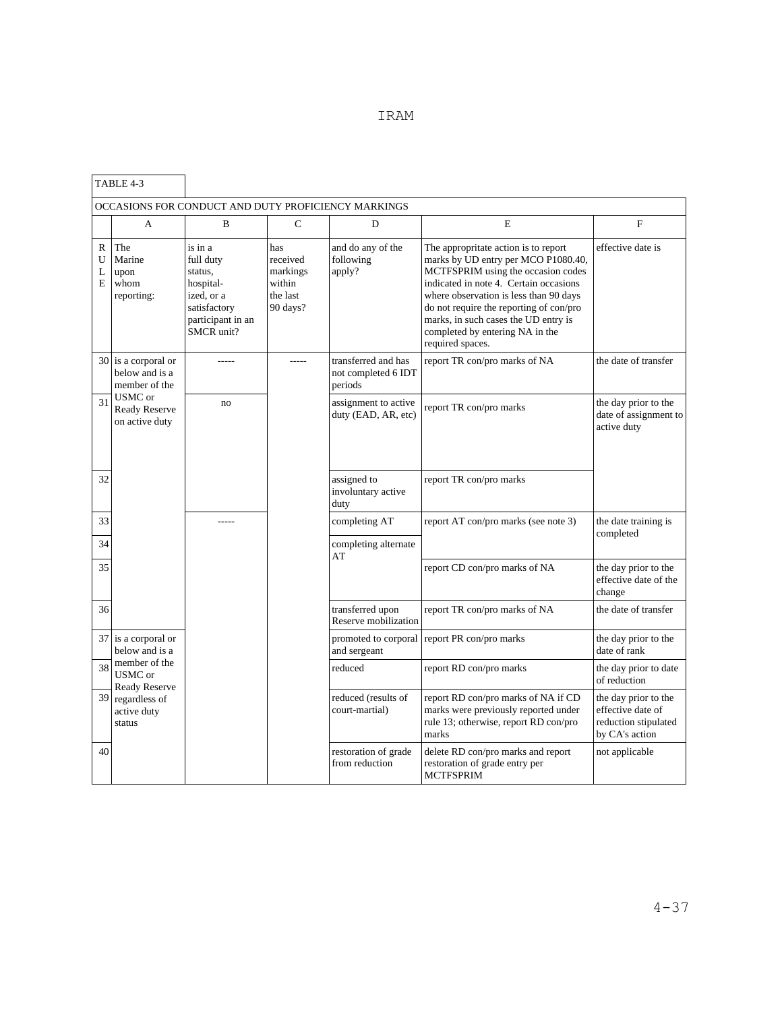|  | IRAM |
|--|------|
|  |      |

|                             | TABLE 4-3                                              |                                                                                                               |                                                               |                                                       |                                                                                                                                                                                                                                                                                                                                                 |                                                                                     |
|-----------------------------|--------------------------------------------------------|---------------------------------------------------------------------------------------------------------------|---------------------------------------------------------------|-------------------------------------------------------|-------------------------------------------------------------------------------------------------------------------------------------------------------------------------------------------------------------------------------------------------------------------------------------------------------------------------------------------------|-------------------------------------------------------------------------------------|
|                             |                                                        |                                                                                                               |                                                               | OCCASIONS FOR CONDUCT AND DUTY PROFICIENCY MARKINGS   |                                                                                                                                                                                                                                                                                                                                                 |                                                                                     |
|                             | A                                                      | B                                                                                                             | $\mathbf C$                                                   | D                                                     | E                                                                                                                                                                                                                                                                                                                                               | $\mathbf F$                                                                         |
| $\mathbb{R}$<br>U<br>L<br>E | The<br>Marine<br>upon<br>whom<br>reporting:            | is in a<br>full duty<br>status,<br>hospital-<br>ized, or a<br>satisfactory<br>participant in an<br>SMCR unit? | has<br>received<br>markings<br>within<br>the last<br>90 days? | and do any of the<br>following<br>apply?              | The appropritate action is to report<br>marks by UD entry per MCO P1080.40,<br>MCTFSPRIM using the occasion codes<br>indicated in note 4. Certain occasions<br>where observation is less than 90 days<br>do not require the reporting of con/pro<br>marks, in such cases the UD entry is<br>completed by entering NA in the<br>required spaces. | effective date is                                                                   |
|                             | 30 is a corporal or<br>below and is a<br>member of the | -----                                                                                                         | $- - - - -$                                                   | transferred and has<br>not completed 6 IDT<br>periods | report TR con/pro marks of NA                                                                                                                                                                                                                                                                                                                   | the date of transfer                                                                |
| 31                          | USMC or<br><b>Ready Reserve</b><br>on active duty      | no                                                                                                            |                                                               | assignment to active<br>duty (EAD, AR, etc)           | report TR con/pro marks                                                                                                                                                                                                                                                                                                                         | the day prior to the<br>date of assignment to<br>active duty                        |
| 32                          |                                                        |                                                                                                               |                                                               | assigned to<br>involuntary active<br>duty             | report TR con/pro marks                                                                                                                                                                                                                                                                                                                         |                                                                                     |
| 33<br>34                    |                                                        |                                                                                                               |                                                               | completing AT<br>completing alternate                 | report AT con/pro marks (see note 3)                                                                                                                                                                                                                                                                                                            | the date training is<br>completed                                                   |
| 35                          |                                                        |                                                                                                               |                                                               | AT                                                    | report CD con/pro marks of NA                                                                                                                                                                                                                                                                                                                   | the day prior to the<br>effective date of the<br>change                             |
| 36                          |                                                        |                                                                                                               |                                                               | transferred upon<br>Reserve mobilization              | report TR con/pro marks of NA                                                                                                                                                                                                                                                                                                                   | the date of transfer                                                                |
|                             | 37 is a corporal or<br>below and is a                  |                                                                                                               |                                                               | promoted to corporal<br>and sergeant                  | report PR con/pro marks                                                                                                                                                                                                                                                                                                                         | the day prior to the<br>date of rank                                                |
| 38                          | member of the<br>USMC or<br><b>Ready Reserve</b>       |                                                                                                               |                                                               | reduced                                               | report RD con/pro marks                                                                                                                                                                                                                                                                                                                         | the day prior to date<br>of reduction                                               |
|                             | 39 regardless of<br>active duty<br>status              |                                                                                                               |                                                               | reduced (results of<br>court-martial)                 | report RD con/pro marks of NA if CD<br>marks were previously reported under<br>rule 13; otherwise, report RD con/pro<br>marks                                                                                                                                                                                                                   | the day prior to the<br>effective date of<br>reduction stipulated<br>by CA's action |
| 40                          |                                                        |                                                                                                               |                                                               | restoration of grade<br>from reduction                | delete RD con/pro marks and report<br>restoration of grade entry per<br><b>MCTFSPRIM</b>                                                                                                                                                                                                                                                        | not applicable                                                                      |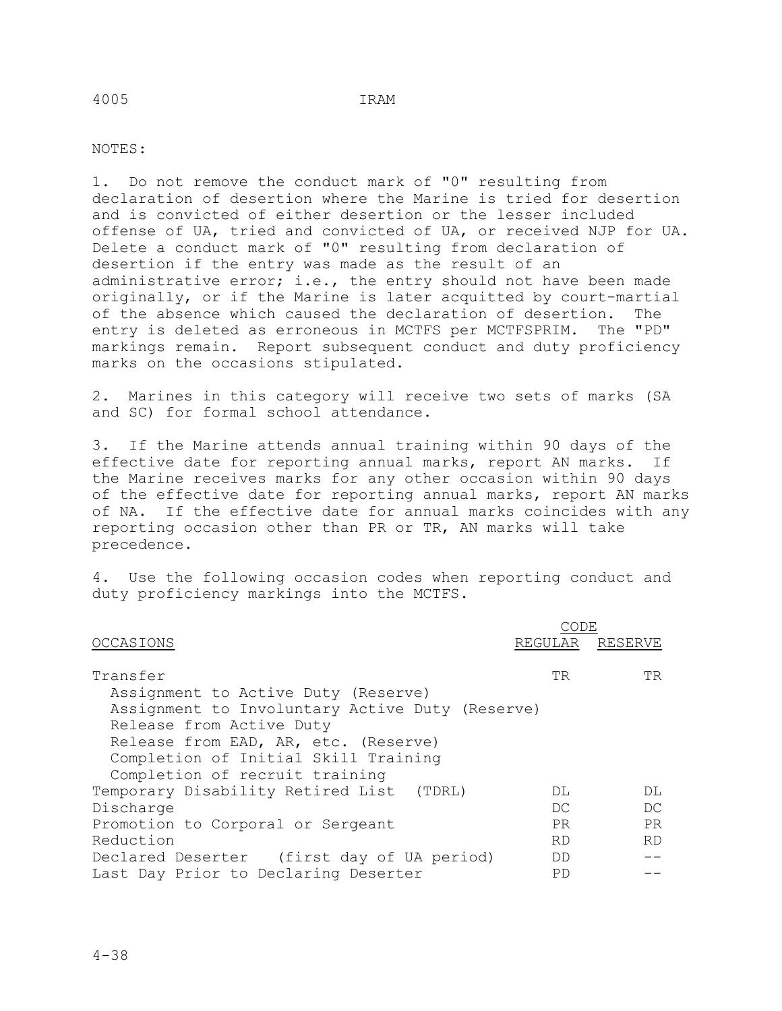## NOTES:

1. Do not remove the conduct mark of "0" resulting from declaration of desertion where the Marine is tried for desertion and is convicted of either desertion or the lesser included offense of UA, tried and convicted of UA, or received NJP for UA. Delete a conduct mark of "0" resulting from declaration of desertion if the entry was made as the result of an administrative error; i.e., the entry should not have been made originally, or if the Marine is later acquitted by court-martial of the absence which caused the declaration of desertion. The uptraction of the "PD" entry is deleted as erroneous in MCTFS per MCTFSPRIM. markings remain. Report subsequent conduct and duty proficiency marks on the occasions stipulated.

2. Marines in this category will receive two sets of marks (SA and SC) for formal school attendance.

3. If the Marine attends annual training within 90 days of the effective date for reporting annual marks, report AN marks. If the Marine receives marks for any other occasion within 90 days of the effective date for reporting annual marks, report AN marks of NA. If the effective date for annual marks coincides with any reporting occasion other than PR or TR, AN marks will take precedence.

4. Use the following occasion codes when reporting conduct and duty proficiency markings into the MCTFS.

| OCCASIONS                                       |           | REGULAR RESERVE |
|-------------------------------------------------|-----------|-----------------|
| Transfer                                        | TR.       | TR.             |
| Assignment to Active Duty (Reserve)             |           |                 |
| Assignment to Involuntary Active Duty (Reserve) |           |                 |
| Release from Active Duty                        |           |                 |
| Release from EAD, AR, etc. (Reserve)            |           |                 |
| Completion of Initial Skill Training            |           |                 |
| Completion of recruit training                  |           |                 |
| Temporary Disability Retired List (TDRL)        | DT.       | DT.             |
| Discharge                                       | DC.       | DC              |
| Promotion to Corporal or Sergeant               | PR.       | PR              |
| Reduction                                       | <b>RD</b> | <b>RD</b>       |
| Declared Deserter (first day of UA period)      | DD        |                 |
| Last Day Prior to Declaring Deserter            | PD        |                 |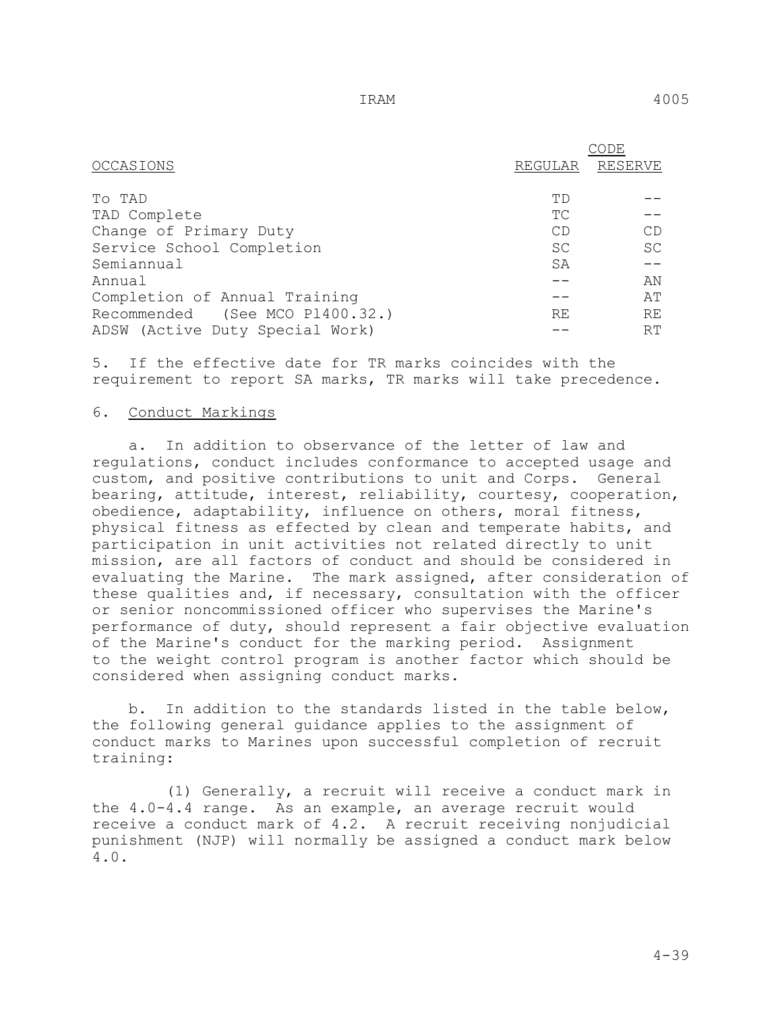|                                 |           | DE             |
|---------------------------------|-----------|----------------|
| OCCASIONS                       | REGULAR   | <b>RESERVE</b> |
|                                 |           |                |
| To TAD                          | ТD        |                |
| TAD Complete                    | ТC        |                |
| Change of Primary Duty          | CD        | CD             |
| Service School Completion       | <b>SC</b> | <b>SC</b>      |
| Semiannual                      | SA        |                |
| Annual                          |           | ΆN             |
| Completion of Annual Training   |           | AΤ             |
| Recommended (See MCO P1400.32.) | RE        | RE             |
| ADSW (Active Duty Special Work) |           | RT             |

5. If the effective date for TR marks coincides with the requirement to report SA marks, TR marks will take precedence.

### 6. Conduct Markings

 a. In addition to observance of the letter of law and regulations, conduct includes conformance to accepted usage and custom, and positive contributions to unit and Corps. General bearing, attitude, interest, reliability, courtesy, cooperation, obedience, adaptability, influence on others, moral fitness, physical fitness as effected by clean and temperate habits, and participation in unit activities not related directly to unit mission, are all factors of conduct and should be considered in evaluating the Marine. The mark assigned, after consideration of these qualities and, if necessary, consultation with the officer or senior noncommissioned officer who supervises the Marine's performance of duty, should represent a fair objective evaluation of the Marine's conduct for the marking period. Assignment to the weight control program is another factor which should be considered when assigning conduct marks.

 b. In addition to the standards listed in the table below, the following general guidance applies to the assignment of conduct marks to Marines upon successful completion of recruit training:

 (1) Generally, a recruit will receive a conduct mark in the 4.0-4.4 range. As an example, an average recruit would receive a conduct mark of 4.2. A recruit receiving nonjudicial punishment (NJP) will normally be assigned a conduct mark below 4.0.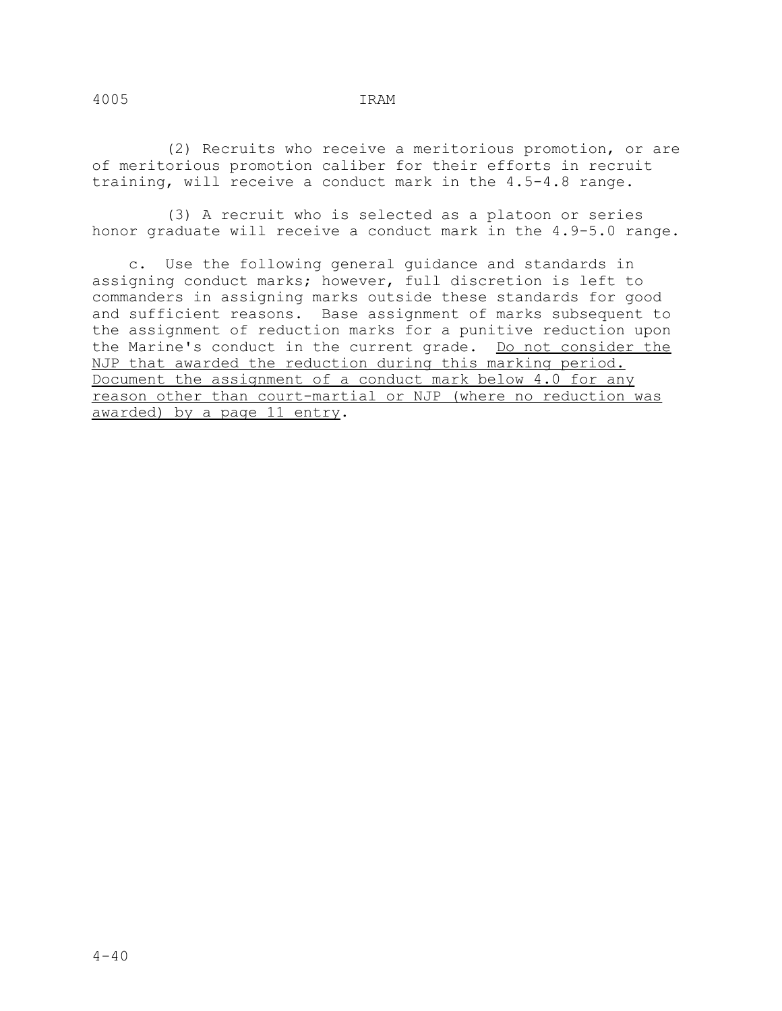(2) Recruits who receive a meritorious promotion, or are of meritorious promotion caliber for their efforts in recruit training, will receive a conduct mark in the 4.5-4.8 range.

 (3) A recruit who is selected as a platoon or series honor graduate will receive a conduct mark in the 4.9-5.0 range.

 c. Use the following general guidance and standards in assigning conduct marks; however, full discretion is left to commanders in assigning marks outside these standards for good and sufficient reasons. Base assignment of marks subsequent to the assignment of reduction marks for a punitive reduction upon the Marine's conduct in the current grade. Do not consider the NJP that awarded the reduction during this marking period. Document the assignment of a conduct mark below 4.0 for any reason other than court-martial or NJP (where no reduction was awarded) by a page 11 entry.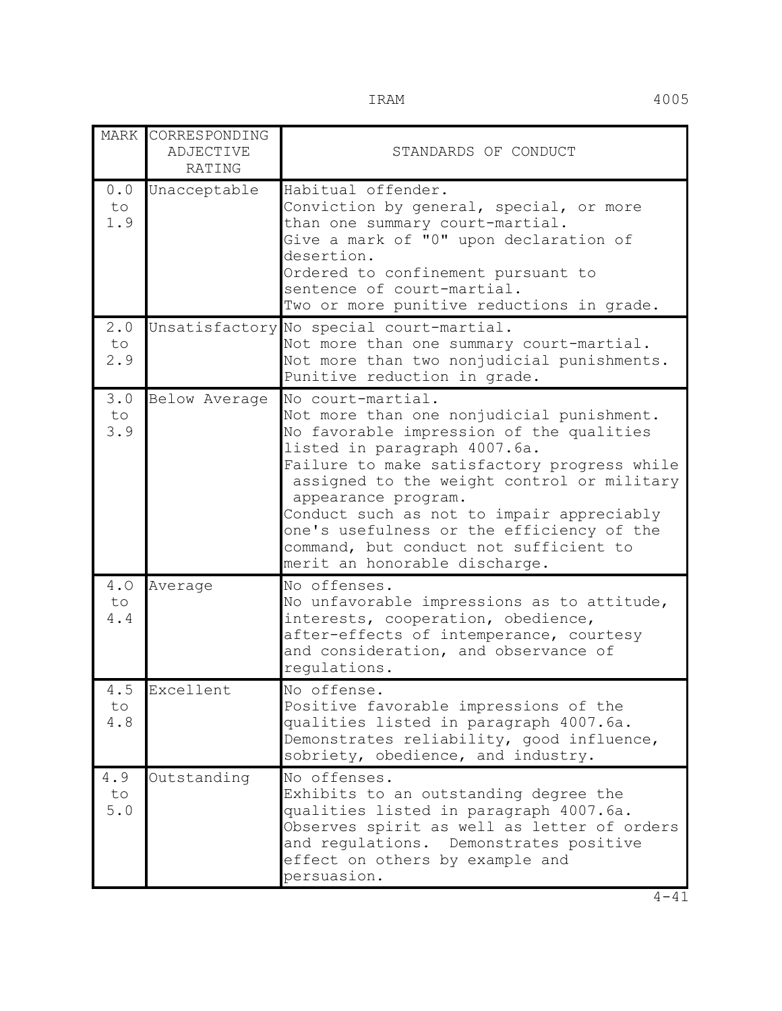|                   | MARK CORRESPONDING<br><b>ADJECTIVE</b><br>RATING | STANDARDS OF CONDUCT                                                                                                                                                                                                                                                                                                                                                                                                                |
|-------------------|--------------------------------------------------|-------------------------------------------------------------------------------------------------------------------------------------------------------------------------------------------------------------------------------------------------------------------------------------------------------------------------------------------------------------------------------------------------------------------------------------|
| 0.0<br>to<br>1.9  | Unacceptable                                     | Habitual offender.<br>Conviction by general, special, or more<br>than one summary court-martial.<br>Give a mark of "0" upon declaration of<br>desertion.<br>Ordered to confinement pursuant to<br>sentence of court-martial.<br>Two or more punitive reductions in grade.                                                                                                                                                           |
| 2.0<br>to.<br>2.9 |                                                  | Unsatisfactory No special court-martial.<br>Not more than one summary court-martial.<br>Not more than two nonjudicial punishments.<br>Punitive reduction in grade.                                                                                                                                                                                                                                                                  |
| 3.0<br>to<br>3.9  | Below Average                                    | No court-martial.<br>Not more than one nonjudicial punishment.<br>No favorable impression of the qualities<br>listed in paragraph 4007.6a.<br>Failure to make satisfactory progress while<br>assigned to the weight control or military<br>appearance program.<br>Conduct such as not to impair appreciably<br>one's usefulness or the efficiency of the<br>command, but conduct not sufficient to<br>merit an honorable discharge. |
| 4.0<br>to<br>4.4  | Average                                          | No offenses.<br>No unfavorable impressions as to attitude,<br>interests, cooperation, obedience,<br>after-effects of intemperance, courtesy<br>and consideration, and observance of<br>regulations.                                                                                                                                                                                                                                 |
| 4.5<br>to<br>4.8  | Excellent                                        | No offense.<br>Positive favorable impressions of the<br>qualities listed in paragraph 4007.6a.<br>Demonstrates reliability, good influence,<br>sobriety, obedience, and industry.                                                                                                                                                                                                                                                   |
| 4.9<br>to<br>5.0  | Outstanding                                      | No offenses.<br>Exhibits to an outstanding degree the<br>qualities listed in paragraph 4007.6a.<br>Observes spirit as well as letter of orders<br>and regulations. Demonstrates positive<br>effect on others by example and<br>persuasion.                                                                                                                                                                                          |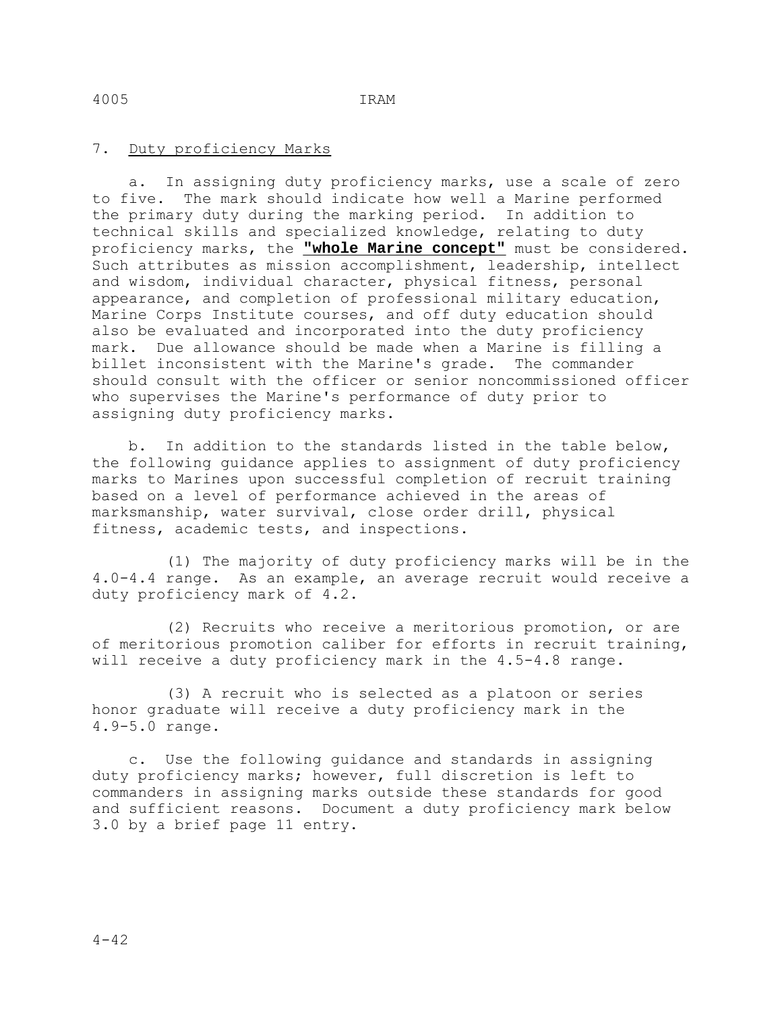## 7. Duty proficiency Marks

 a. In assigning duty proficiency marks, use a scale of zero to five. The mark should indicate how well a Marine performed the primary duty during the marking period. In addition to technical skills and specialized knowledge, relating to duty proficiency marks, the **"whole Marine concept"** must be considered. Such attributes as mission accomplishment, leadership, intellect and wisdom, individual character, physical fitness, personal appearance, and completion of professional military education, Marine Corps Institute courses, and off duty education should also be evaluated and incorporated into the duty proficiency mark. Due allowance should be made when a Marine is filling a billet inconsistent with the Marine's grade. The commander should consult with the officer or senior noncommissioned officer who supervises the Marine's performance of duty prior to assigning duty proficiency marks.

 b. In addition to the standards listed in the table below, the following guidance applies to assignment of duty proficiency marks to Marines upon successful completion of recruit training based on a level of performance achieved in the areas of marksmanship, water survival, close order drill, physical fitness, academic tests, and inspections.

 (1) The majority of duty proficiency marks will be in the 4.0-4.4 range. As an example, an average recruit would receive a duty proficiency mark of 4.2.

 (2) Recruits who receive a meritorious promotion, or are of meritorious promotion caliber for efforts in recruit training, will receive a duty proficiency mark in the 4.5-4.8 range.

 (3) A recruit who is selected as a platoon or series honor graduate will receive a duty proficiency mark in the 4.9-5.0 range.

 c. Use the following guidance and standards in assigning duty proficiency marks; however, full discretion is left to commanders in assigning marks outside these standards for good and sufficient reasons. Document a duty proficiency mark below 3.0 by a brief page 11 entry.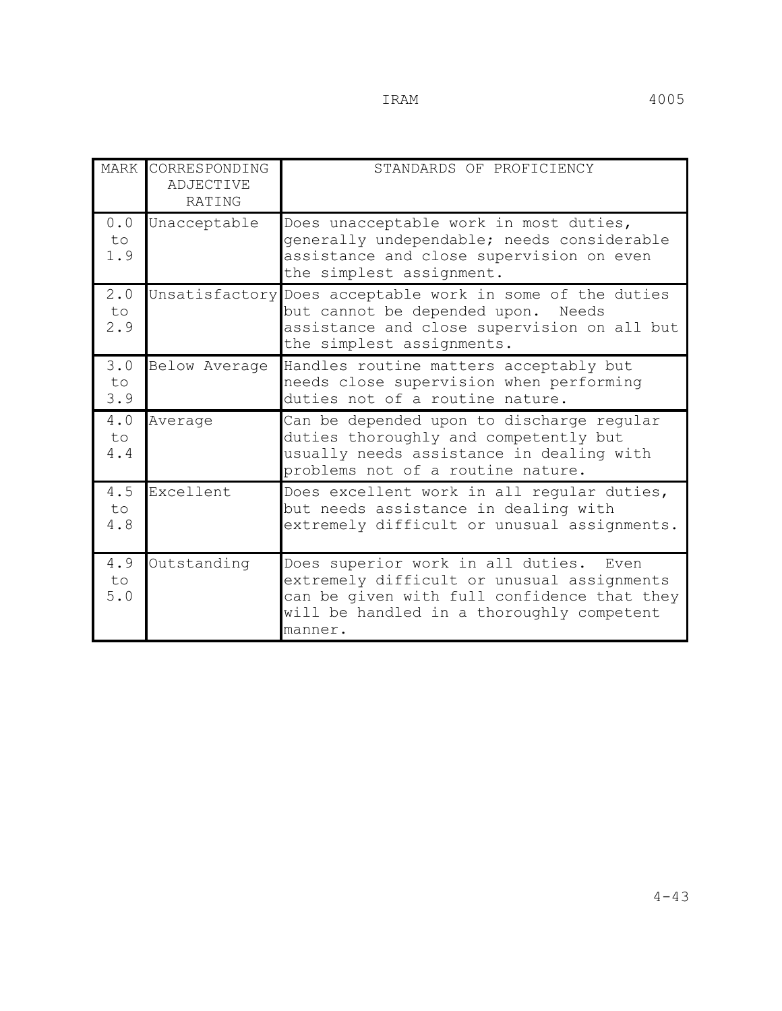|                  | MARK CORRESPONDING<br><b>ADJECTIVE</b><br>RATING | STANDARDS OF PROFICIENCY                                                                                                                                                                    |  |  |
|------------------|--------------------------------------------------|---------------------------------------------------------------------------------------------------------------------------------------------------------------------------------------------|--|--|
| 0.0<br>to<br>1.9 | Unacceptable                                     | Does unacceptable work in most duties,<br>generally undependable; needs considerable<br>assistance and close supervision on even<br>the simplest assignment.                                |  |  |
| 2.0<br>to<br>2.9 |                                                  | Unsatisfactory Does acceptable work in some of the duties<br>but cannot be depended upon. Needs<br>assistance and close supervision on all but<br>the simplest assignments.                 |  |  |
| 3.0<br>to<br>3.9 | Below Average                                    | Handles routine matters acceptably but<br>needs close supervision when performing<br>duties not of a routine nature.                                                                        |  |  |
| 4.0<br>to<br>4.4 | Average                                          | Can be depended upon to discharge regular<br>duties thoroughly and competently but<br>usually needs assistance in dealing with<br>problems not of a routine nature.                         |  |  |
| 4.5<br>to<br>4.8 | Excellent                                        | Does excellent work in all reqular duties,<br>but needs assistance in dealing with<br>extremely difficult or unusual assignments.                                                           |  |  |
| 4.9<br>to<br>5.0 | Outstanding                                      | Does superior work in all duties. Even<br>extremely difficult or unusual assignments<br>can be given with full confidence that they<br>will be handled in a thoroughly competent<br>manner. |  |  |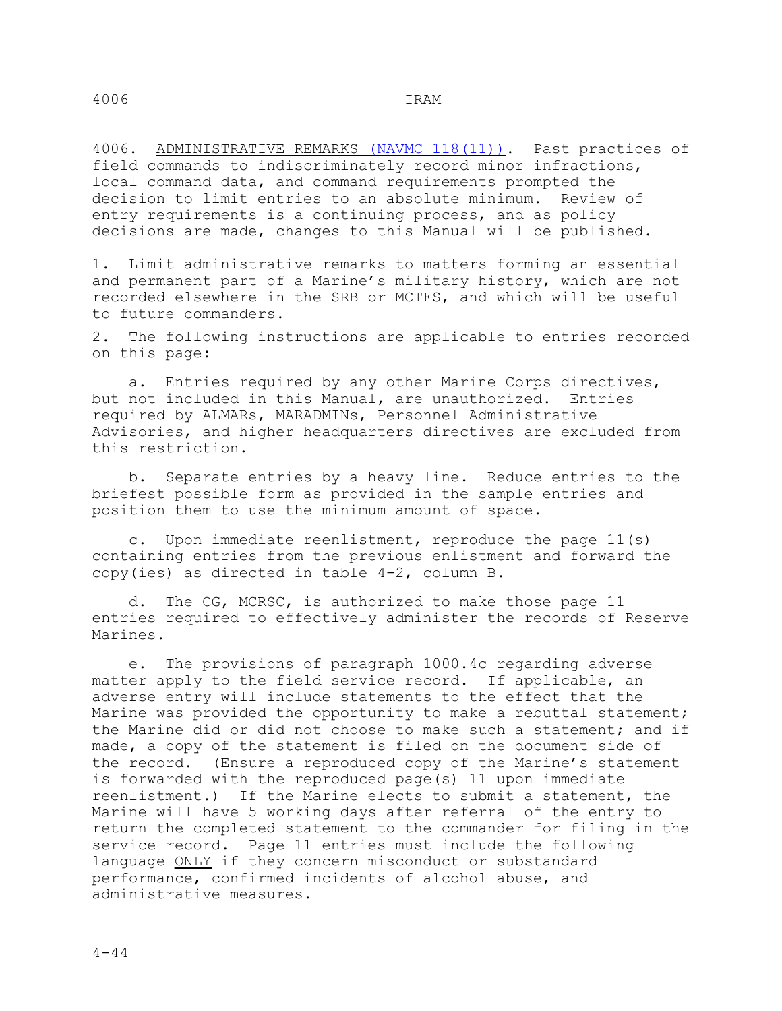4006. ADMINISTRATIVE REMARKS (NAVMC 118(11)). Past practices of field commands to indiscriminately record minor infractions, local command data, and command requirements prompted the decision to limit entries to an absolute minimum. Review of entry requirements is a continuing process, and as policy decisions are made, changes to this Manual will be published.

1. Limit administrative remarks to matters forming an essential and permanent part of a Marine's military history, which are not recorded elsewhere in the SRB or MCTFS, and which will be useful to future commanders.

2. The following instructions are applicable to entries recorded on this page:

 a. Entries required by any other Marine Corps directives, but not included in this Manual, are unauthorized. Entries required by ALMARs, MARADMINs, Personnel Administrative Advisories, and higher headquarters directives are excluded from this restriction.

 b. Separate entries by a heavy line. Reduce entries to the briefest possible form as provided in the sample entries and position them to use the minimum amount of space.

 c. Upon immediate reenlistment, reproduce the page 11(s) containing entries from the previous enlistment and forward the copy(ies) as directed in table 4-2, column B.

 d. The CG, MCRSC, is authorized to make those page 11 entries required to effectively administer the records of Reserve Marines.

 e. The provisions of paragraph 1000.4c regarding adverse matter apply to the field service record. If applicable, an adverse entry will include statements to the effect that the Marine was provided the opportunity to make a rebuttal statement; the Marine did or did not choose to make such a statement; and if made, a copy of the statement is filed on the document side of the record. (Ensure a reproduced copy of the Marine's statement is forwarded with the reproduced page(s) 11 upon immediate reenlistment.) If the Marine elects to submit a statement, the Marine will have 5 working days after referral of the entry to return the completed statement to the commander for filing in the service record. Page 11 entries must include the following language ONLY if they concern misconduct or substandard performance, confirmed incidents of alcohol abuse, and administrative measures.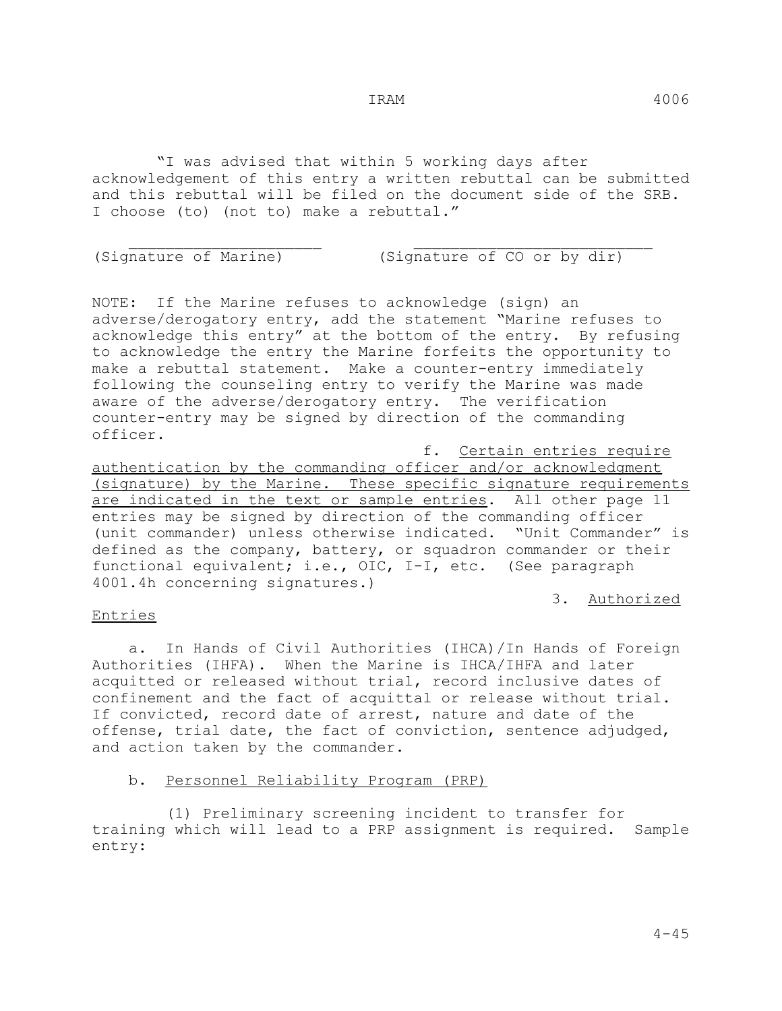"I was advised that within 5 working days after acknowledgement of this entry a written rebuttal can be submitted and this rebuttal will be filed on the document side of the SRB. I choose (to) (not to) make a rebuttal."

 \_\_\_\_\_\_\_\_\_\_\_\_\_\_\_\_\_\_\_\_\_ \_\_\_\_\_\_\_\_\_\_\_\_\_\_\_\_\_\_\_\_\_\_\_\_\_\_ (Signature of Marine) (Signature of CO or by dir)

NOTE: If the Marine refuses to acknowledge (sign) an adverse/derogatory entry, add the statement "Marine refuses to acknowledge this entry" at the bottom of the entry. By refusing to acknowledge the entry the Marine forfeits the opportunity to make a rebuttal statement. Make a counter-entry immediately following the counseling entry to verify the Marine was made aware of the adverse/derogatory entry. The verification counter-entry may be signed by direction of the commanding officer.

 f. Certain entries require authentication by the commanding officer and/or acknowledgment (signature) by the Marine. These specific signature requirements are indicated in the text or sample entries. All other page 11 entries may be signed by direction of the commanding officer (unit commander) unless otherwise indicated. "Unit Commander" is defined as the company, battery, or squadron commander or their functional equivalent; i.e., OIC, I-I, etc. (See paragraph 4001.4h concerning signatures.)

3. Authorized

## Entries

 a. In Hands of Civil Authorities (IHCA)/In Hands of Foreign Authorities (IHFA). When the Marine is IHCA/IHFA and later acquitted or released without trial, record inclusive dates of confinement and the fact of acquittal or release without trial. If convicted, record date of arrest, nature and date of the offense, trial date, the fact of conviction, sentence adjudged, and action taken by the commander.

## b. Personnel Reliability Program (PRP)

 (1) Preliminary screening incident to transfer for training which will lead to a PRP assignment is required. Sample entry: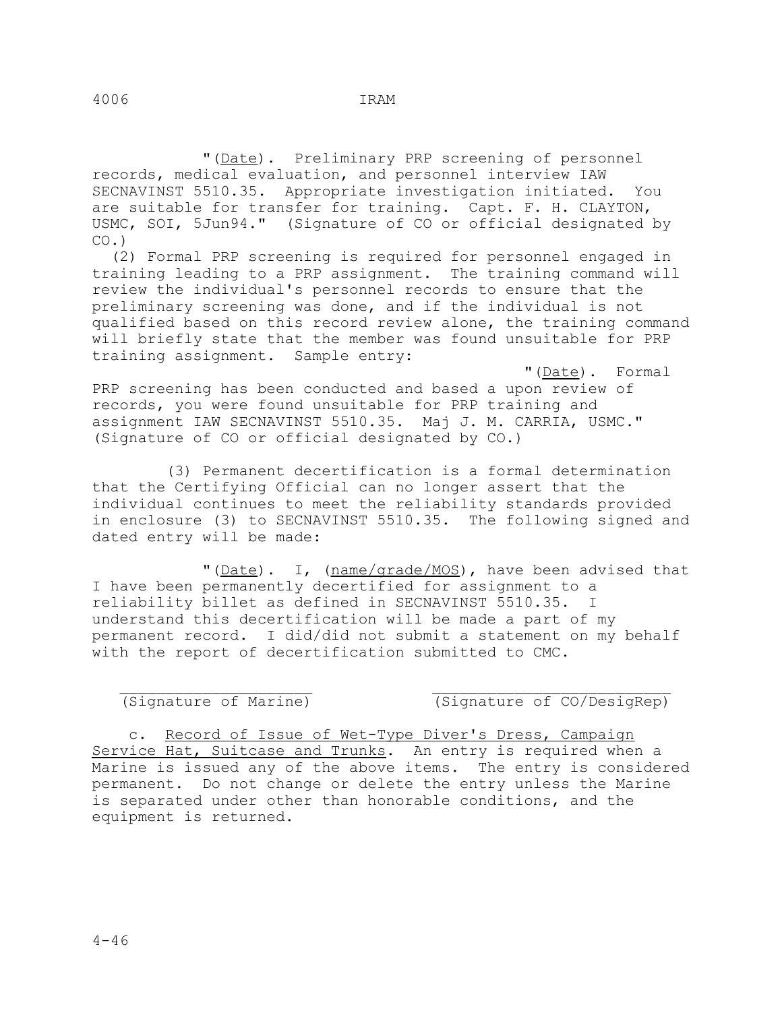"(Date). Preliminary PRP screening of personnel records, medical evaluation, and personnel interview IAW SECNAVINST 5510.35. Appropriate investigation initiated. You are suitable for transfer for training. Capt. F. H. CLAYTON, USMC, SOI, 5Jun94." (Signature of CO or official designated by  $CO.$ )

 (2) Formal PRP screening is required for personnel engaged in training leading to a PRP assignment. The training command will review the individual's personnel records to ensure that the preliminary screening was done, and if the individual is not qualified based on this record review alone, the training command will briefly state that the member was found unsuitable for PRP training assignment. Sample entry:

"(Date). Formal

PRP screening has been conducted and based a upon review of records, you were found unsuitable for PRP training and assignment IAW SECNAVINST 5510.35. Maj J. M. CARRIA, USMC." (Signature of CO or official designated by CO.)

 (3) Permanent decertification is a formal determination that the Certifying Official can no longer assert that the individual continues to meet the reliability standards provided in enclosure (3) to SECNAVINST 5510.35. The following signed and dated entry will be made:

"(Date). I, (name/grade/MOS), have been advised that I have been permanently decertified for assignment to a reliability billet as defined in SECNAVINST 5510.35. I understand this decertification will be made a part of my permanent record. I did/did not submit a statement on my behalf with the report of decertification submitted to CMC.

\_\_\_\_\_\_\_\_\_\_\_\_\_\_\_\_\_\_\_\_\_ \_\_\_\_\_\_\_\_\_\_\_\_\_\_\_\_\_\_\_\_\_\_\_\_\_\_

(Signature of Marine) (Signature of CO/DesigRep)

 c. Record of Issue of Wet-Type Diver's Dress, Campaign Service Hat, Suitcase and Trunks. An entry is required when a Marine is issued any of the above items. The entry is considered permanent. Do not change or delete the entry unless the Marine is separated under other than honorable conditions, and the equipment is returned.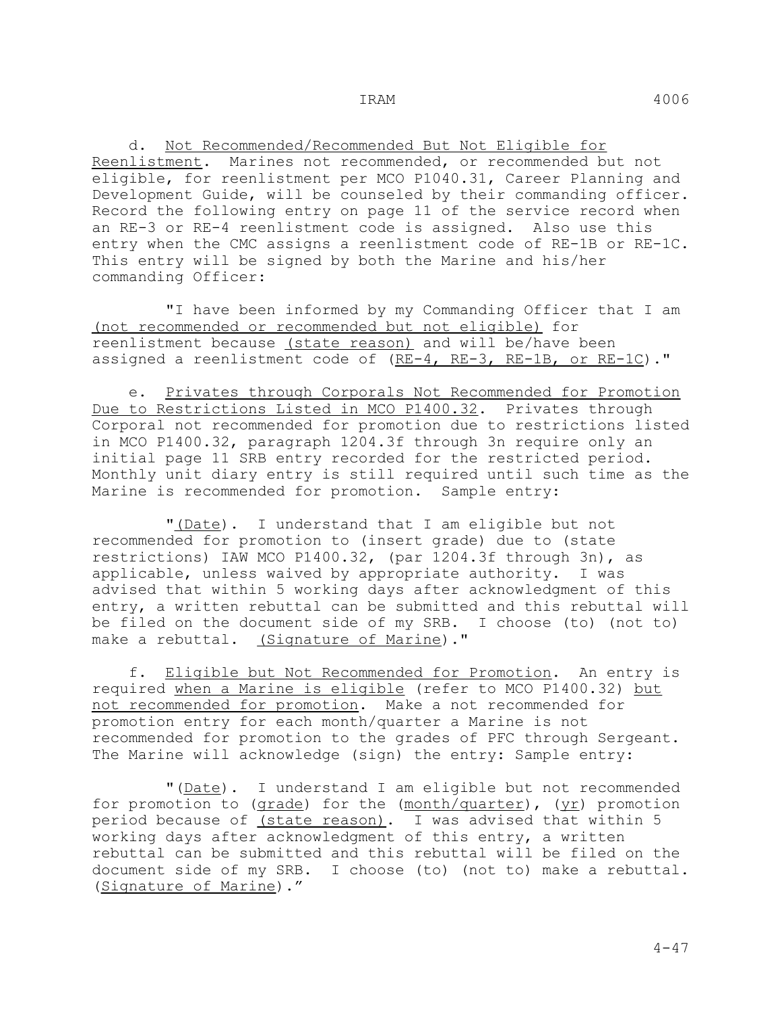d. Not Recommended/Recommended But Not Eligible for Reenlistment. Marines not recommended, or recommended but not eligible, for reenlistment per MCO P1040.31, Career Planning and Development Guide, will be counseled by their commanding officer. Record the following entry on page 11 of the service record when an RE-3 or RE-4 reenlistment code is assigned. Also use this entry when the CMC assigns a reenlistment code of RE-1B or RE-1C. This entry will be signed by both the Marine and his/her commanding Officer:

 "I have been informed by my Commanding Officer that I am (not recommended or recommended but not eligible) for reenlistment because (state reason) and will be/have been assigned a reenlistment code of (RE-4, RE-3, RE-1B, or RE-1C)."

 e. Privates through Corporals Not Recommended for Promotion Due to Restrictions Listed in MCO P1400.32. Privates through Corporal not recommended for promotion due to restrictions listed in MCO P1400.32, paragraph 1204.3f through 3n require only an initial page 11 SRB entry recorded for the restricted period. Monthly unit diary entry is still required until such time as the Marine is recommended for promotion. Sample entry:

"(Date). I understand that I am eligible but not recommended for promotion to (insert grade) due to (state restrictions) IAW MCO P1400.32, (par 1204.3f through 3n), as applicable, unless waived by appropriate authority. I was advised that within 5 working days after acknowledgment of this entry, a written rebuttal can be submitted and this rebuttal will be filed on the document side of my SRB. I choose (to) (not to) make a rebuttal. (Signature of Marine)."

 f. Eligible but Not Recommended for Promotion. An entry is required when a Marine is eligible (refer to MCO P1400.32) but not recommended for promotion. Make a not recommended for promotion entry for each month/quarter a Marine is not recommended for promotion to the grades of PFC through Sergeant. The Marine will acknowledge (sign) the entry: Sample entry:

 "(Date). I understand I am eligible but not recommended for promotion to (grade) for the (month/quarter), (yr) promotion period because of (state reason). I was advised that within 5 working days after acknowledgment of this entry, a written rebuttal can be submitted and this rebuttal will be filed on the document side of my SRB. I choose (to) (not to) make a rebuttal. (Signature of Marine)."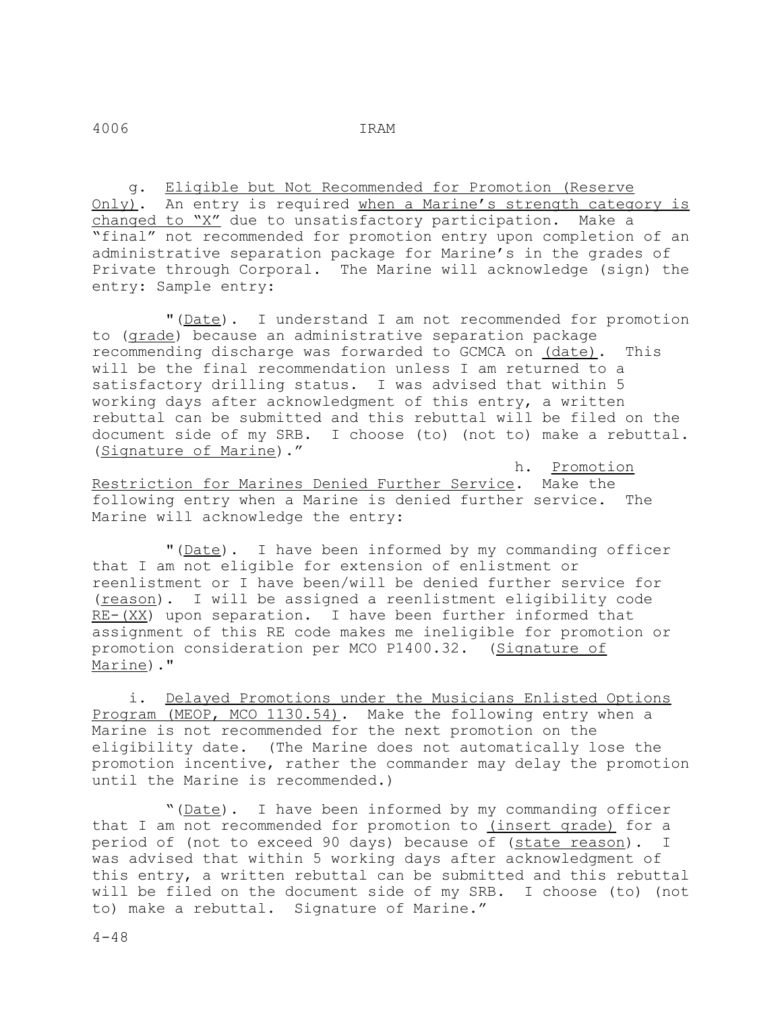g. Eligible but Not Recommended for Promotion (Reserve Only). An entry is required when a Marine's strength category is changed to "X" due to unsatisfactory participation. Make a "final" not recommended for promotion entry upon completion of an administrative separation package for Marine's in the grades of Private through Corporal. The Marine will acknowledge (sign) the entry: Sample entry:

 "(Date). I understand I am not recommended for promotion to (grade) because an administrative separation package recommending discharge was forwarded to GCMCA on (date). This will be the final recommendation unless I am returned to a satisfactory drilling status. I was advised that within 5 working days after acknowledgment of this entry, a written rebuttal can be submitted and this rebuttal will be filed on the document side of my SRB. I choose (to) (not to) make a rebuttal. (Signature of Marine)."

 h. Promotion Restriction for Marines Denied Further Service. Make the following entry when a Marine is denied further service. The Marine will acknowledge the entry:

 "(Date). I have been informed by my commanding officer that I am not eligible for extension of enlistment or reenlistment or I have been/will be denied further service for (reason). I will be assigned a reenlistment eligibility code RE-(XX) upon separation. I have been further informed that assignment of this RE code makes me ineligible for promotion or promotion consideration per MCO P1400.32. (Signature of Marine)."

 i. Delayed Promotions under the Musicians Enlisted Options Program (MEOP, MCO 1130.54). Make the following entry when a Marine is not recommended for the next promotion on the eligibility date. (The Marine does not automatically lose the promotion incentive, rather the commander may delay the promotion until the Marine is recommended.)

 "(Date). I have been informed by my commanding officer that I am not recommended for promotion to (insert grade) for a period of (not to exceed 90 days) because of (state reason). I was advised that within 5 working days after acknowledgment of this entry, a written rebuttal can be submitted and this rebuttal will be filed on the document side of my SRB. I choose (to) (not to) make a rebuttal. Signature of Marine."

 $4 - 48$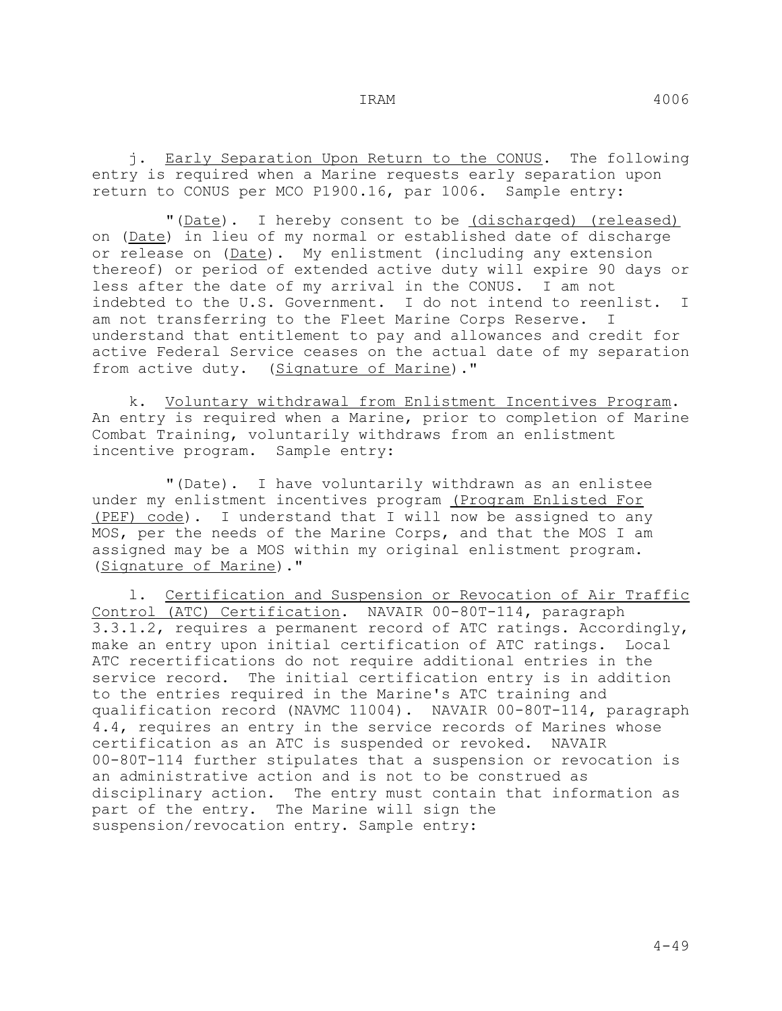j. Early Separation Upon Return to the CONUS. The following entry is required when a Marine requests early separation upon return to CONUS per MCO P1900.16, par 1006. Sample entry:

"(Date). I hereby consent to be (discharged) (released) on (Date) in lieu of my normal or established date of discharge or release on (Date). My enlistment (including any extension thereof) or period of extended active duty will expire 90 days or less after the date of my arrival in the CONUS. I am not indebted to the U.S. Government. I do not intend to reenlist. I am not transferring to the Fleet Marine Corps Reserve. I understand that entitlement to pay and allowances and credit for active Federal Service ceases on the actual date of my separation from active duty. (Signature of Marine)."

 k. Voluntary withdrawal from Enlistment Incentives Program. An entry is required when a Marine, prior to completion of Marine Combat Training, voluntarily withdraws from an enlistment incentive program. Sample entry:

 "(Date). I have voluntarily withdrawn as an enlistee under my enlistment incentives program (Program Enlisted For (PEF) code). I understand that I will now be assigned to any MOS, per the needs of the Marine Corps, and that the MOS I am assigned may be a MOS within my original enlistment program. (Signature of Marine)."

 l. Certification and Suspension or Revocation of Air Traffic Control (ATC) Certification. NAVAIR 00-80T-114, paragraph 3.3.1.2, requires a permanent record of ATC ratings. Accordingly, make an entry upon initial certification of ATC ratings. Local ATC recertifications do not require additional entries in the service record. The initial certification entry is in addition to the entries required in the Marine's ATC training and qualification record (NAVMC 11004). NAVAIR 00-80T-114, paragraph 4.4, requires an entry in the service records of Marines whose certification as an ATC is suspended or revoked. NAVAIR 00-80T-114 further stipulates that a suspension or revocation is an administrative action and is not to be construed as disciplinary action. The entry must contain that information as part of the entry. The Marine will sign the suspension/revocation entry. Sample entry: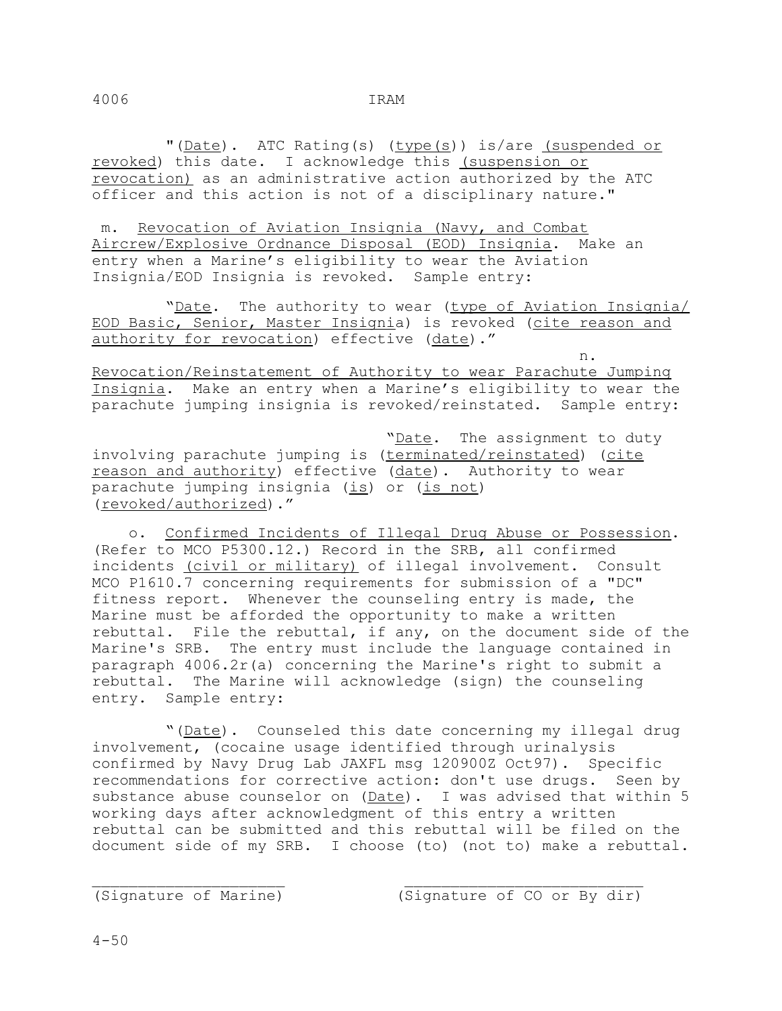"(Date). ATC Rating(s) (type(s)) is/are (suspended or revoked) this date. I acknowledge this (suspension or revocation) as an administrative action authorized by the ATC officer and this action is not of a disciplinary nature."

 m. Revocation of Aviation Insignia (Navy, and Combat Aircrew/Explosive Ordnance Disposal (EOD) Insignia. Make an entry when a Marine's eligibility to wear the Aviation Insignia/EOD Insignia is revoked. Sample entry:

"Date. The authority to wear (type of Aviation Insignia/ EOD Basic, Senior, Master Insignia) is revoked (cite reason and authority for revocation) effective (date)."

 n. Revocation/Reinstatement of Authority to wear Parachute Jumping Insignia. Make an entry when a Marine's eligibility to wear the parachute jumping insignia is revoked/reinstated. Sample entry:

 "Date. The assignment to duty involving parachute jumping is (terminated/reinstated) (cite reason and authority) effective (date). Authority to wear parachute jumping insignia (is) or (is not) (revoked/authorized)."

 o. Confirmed Incidents of Illegal Drug Abuse or Possession. (Refer to MCO P5300.12.) Record in the SRB, all confirmed incidents (civil or military) of illegal involvement. Consult MCO P1610.7 concerning requirements for submission of a "DC" fitness report. Whenever the counseling entry is made, the Marine must be afforded the opportunity to make a written rebuttal. File the rebuttal, if any, on the document side of the Marine's SRB. The entry must include the language contained in paragraph 4006.2r(a) concerning the Marine's right to submit a rebuttal. The Marine will acknowledge (sign) the counseling entry. Sample entry:

 "(Date). Counseled this date concerning my illegal drug involvement, (cocaine usage identified through urinalysis confirmed by Navy Drug Lab JAXFL msg 120900Z Oct97). Specific recommendations for corrective action: don't use drugs. Seen by substance abuse counselor on (Date). I was advised that within 5 working days after acknowledgment of this entry a written rebuttal can be submitted and this rebuttal will be filed on the document side of my SRB. I choose (to) (not to) make a rebuttal.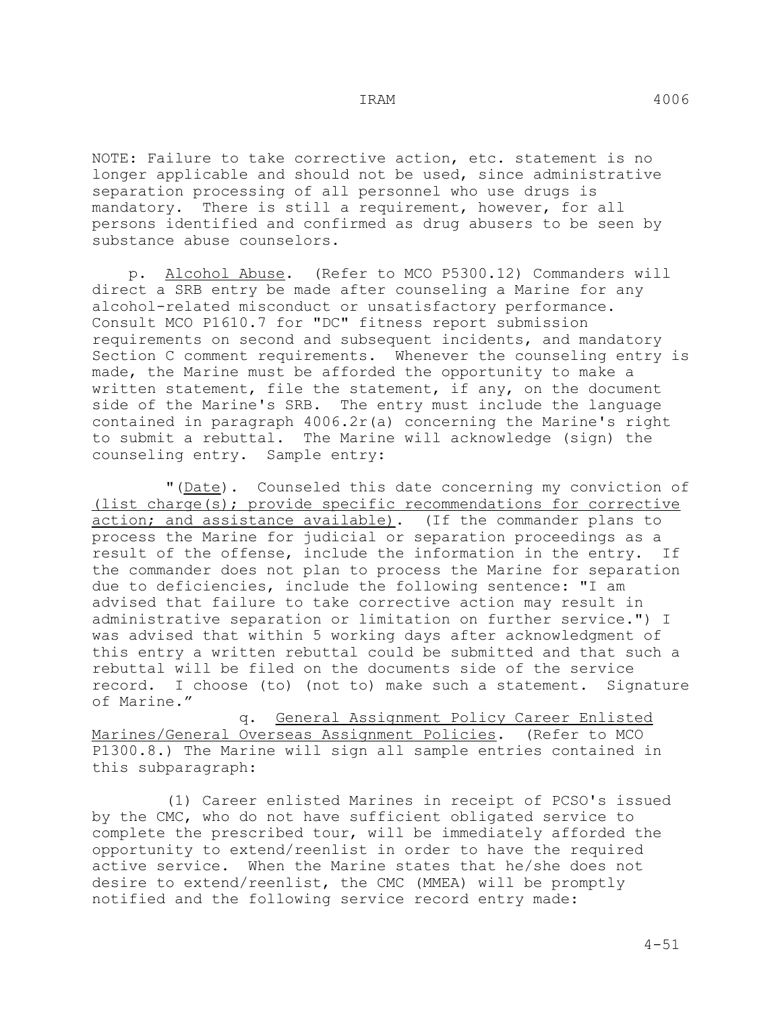NOTE: Failure to take corrective action, etc. statement is no longer applicable and should not be used, since administrative separation processing of all personnel who use drugs is mandatory. There is still a requirement, however, for all persons identified and confirmed as drug abusers to be seen by substance abuse counselors.

 p. Alcohol Abuse. (Refer to MCO P5300.12) Commanders will direct a SRB entry be made after counseling a Marine for any alcohol-related misconduct or unsatisfactory performance. Consult MCO P1610.7 for "DC" fitness report submission requirements on second and subsequent incidents, and mandatory Section C comment requirements. Whenever the counseling entry is made, the Marine must be afforded the opportunity to make a written statement, file the statement, if any, on the document side of the Marine's SRB. The entry must include the language contained in paragraph 4006.2r(a) concerning the Marine's right to submit a rebuttal. The Marine will acknowledge (sign) the counseling entry. Sample entry:

 "(Date). Counseled this date concerning my conviction of (list charge(s); provide specific recommendations for corrective action; and assistance available). (If the commander plans to process the Marine for judicial or separation proceedings as a<br>result of the offense, include the information in the entry. If result of the offense, include the information in the entry. the commander does not plan to process the Marine for separation due to deficiencies, include the following sentence: "I am advised that failure to take corrective action may result in administrative separation or limitation on further service.") I was advised that within 5 working days after acknowledgment of this entry a written rebuttal could be submitted and that such a rebuttal will be filed on the documents side of the service record. I choose (to) (not to) make such a statement. Signature of Marine."

 q. General Assignment Policy Career Enlisted Marines/General Overseas Assignment Policies. (Refer to MCO P1300.8.) The Marine will sign all sample entries contained in this subparagraph:

 (1) Career enlisted Marines in receipt of PCSO's issued by the CMC, who do not have sufficient obligated service to complete the prescribed tour, will be immediately afforded the opportunity to extend/reenlist in order to have the required active service. When the Marine states that he/she does not desire to extend/reenlist, the CMC (MMEA) will be promptly notified and the following service record entry made: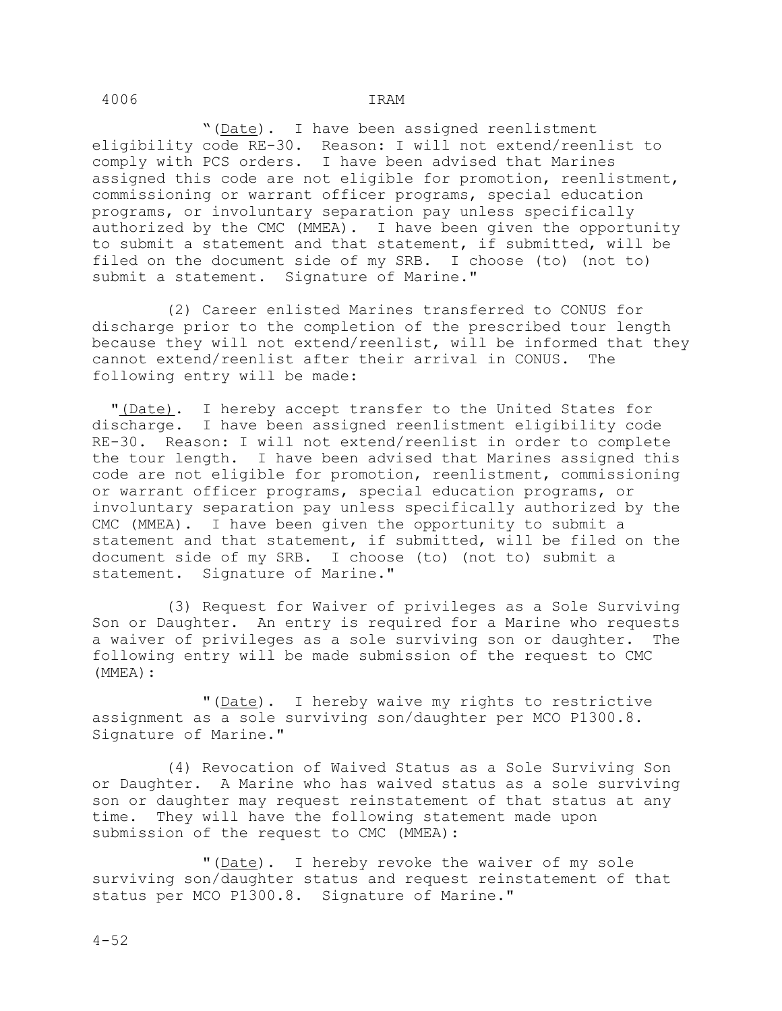"(Date). I have been assigned reenlistment eligibility code RE-30. Reason: I will not extend/reenlist to comply with PCS orders. I have been advised that Marines assigned this code are not eligible for promotion, reenlistment, commissioning or warrant officer programs, special education programs, or involuntary separation pay unless specifically authorized by the CMC (MMEA). I have been given the opportunity to submit a statement and that statement, if submitted, will be filed on the document side of my SRB. I choose (to) (not to) submit a statement. Signature of Marine."

 (2) Career enlisted Marines transferred to CONUS for discharge prior to the completion of the prescribed tour length because they will not extend/reenlist, will be informed that they<br>cannot extend/reenlist after their arrival in CONUS. The cannot extend/reenlist after their arrival in CONUS. following entry will be made:

 "(Date). I hereby accept transfer to the United States for discharge. I have been assigned reenlistment eligibility code RE-30. Reason: I will not extend/reenlist in order to complete the tour length. I have been advised that Marines assigned this code are not eligible for promotion, reenlistment, commissioning or warrant officer programs, special education programs, or involuntary separation pay unless specifically authorized by the CMC (MMEA). I have been given the opportunity to submit a statement and that statement, if submitted, will be filed on the document side of my SRB. I choose (to) (not to) submit a statement. Signature of Marine."

 (3) Request for Waiver of privileges as a Sole Surviving Son or Daughter. An entry is required for a Marine who requests a waiver of privileges as a sole surviving son or daughter. The following entry will be made submission of the request to CMC (MMEA):

"(Date). I hereby waive my rights to restrictive assignment as a sole surviving son/daughter per MCO P1300.8. Signature of Marine."

 (4) Revocation of Waived Status as a Sole Surviving Son or Daughter. A Marine who has waived status as a sole surviving son or daughter may request reinstatement of that status at any time. They will have the following statement made upon submission of the request to CMC (MMEA):

"(Date). I hereby revoke the waiver of my sole surviving son/daughter status and request reinstatement of that status per MCO P1300.8. Signature of Marine."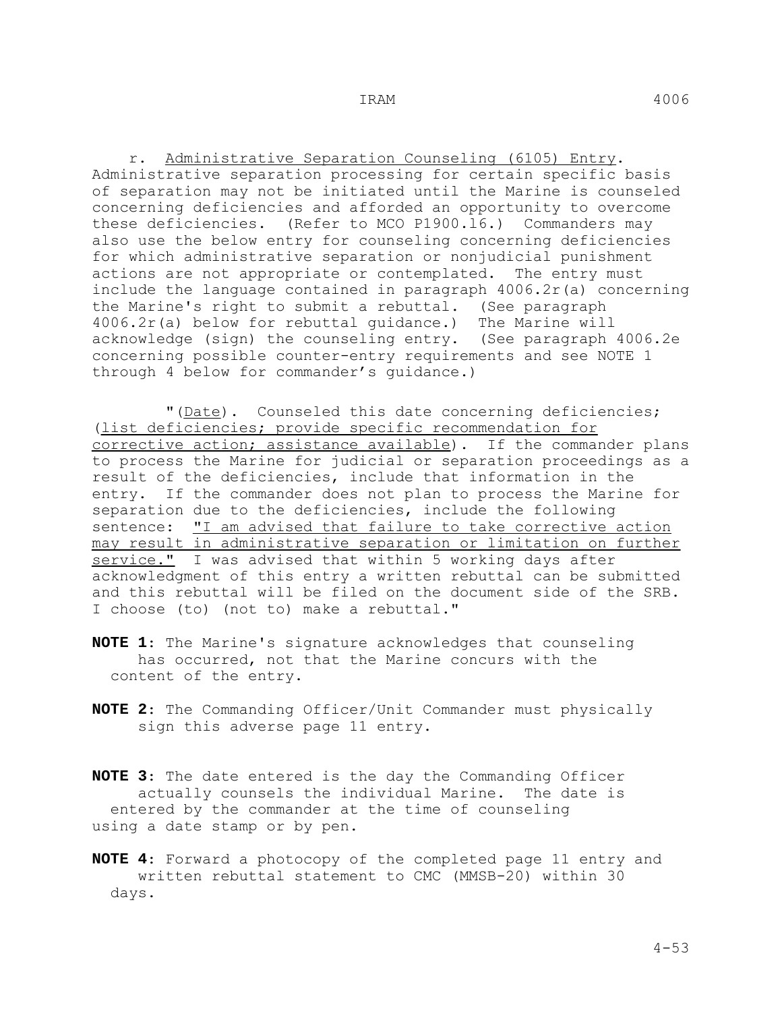r. Administrative Separation Counseling (6105) Entry. Administrative separation processing for certain specific basis of separation may not be initiated until the Marine is counseled concerning deficiencies and afforded an opportunity to overcome these deficiencies. (Refer to MCO P1900.l6.) Commanders may also use the below entry for counseling concerning deficiencies for which administrative separation or nonjudicial punishment actions are not appropriate or contemplated. The entry must include the language contained in paragraph 4006.2r(a) concerning the Marine's right to submit a rebuttal. (See paragraph 4006.2r(a) below for rebuttal guidance.) The Marine will acknowledge (sign) the counseling entry. (See paragraph 4006.2e concerning possible counter-entry requirements and see NOTE 1 through 4 below for commander's guidance.)

 "(Date). Counseled this date concerning deficiencies; (list deficiencies; provide specific recommendation for corrective action; assistance available). If the commander plans to process the Marine for judicial or separation proceedings as a result of the deficiencies, include that information in the entry. If the commander does not plan to process the Marine for separation due to the deficiencies, include the following sentence: "I am advised that failure to take corrective action may result in administrative separation or limitation on further service." I was advised that within 5 working days after acknowledgment of this entry a written rebuttal can be submitted and this rebuttal will be filed on the document side of the SRB. I choose (to) (not to) make a rebuttal."

- **NOTE 1**: The Marine's signature acknowledges that counseling has occurred, not that the Marine concurs with the content of the entry.
- **NOTE 2**: The Commanding Officer/Unit Commander must physically sign this adverse page 11 entry.
- **NOTE 3**: The date entered is the day the Commanding Officer actually counsels the individual Marine. The date is entered by the commander at the time of counseling using a date stamp or by pen.
- **NOTE 4**: Forward a photocopy of the completed page 11 entry and written rebuttal statement to CMC (MMSB-20) within 30 days.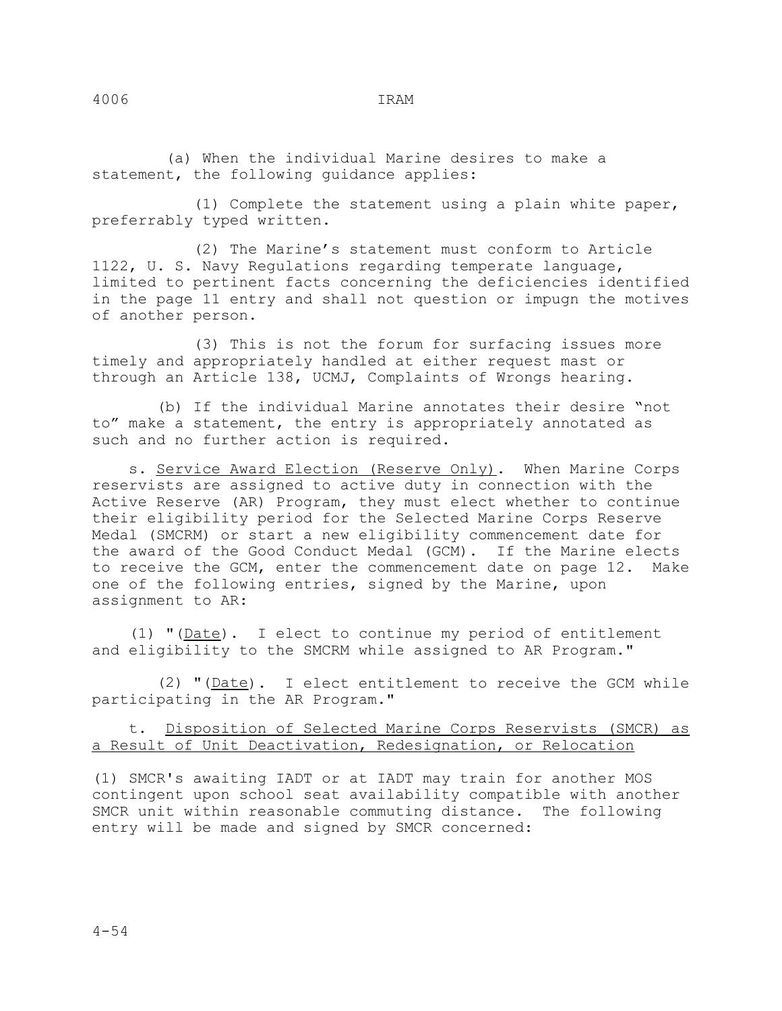(a) When the individual Marine desires to make a statement, the following guidance applies:

 (1) Complete the statement using a plain white paper, preferrably typed written.

 (2) The Marine's statement must conform to Article 1122, U. S. Navy Regulations regarding temperate language, limited to pertinent facts concerning the deficiencies identified in the page 11 entry and shall not question or impugn the motives of another person.

 (3) This is not the forum for surfacing issues more timely and appropriately handled at either request mast or through an Article 138, UCMJ, Complaints of Wrongs hearing.

 (b) If the individual Marine annotates their desire "not to" make a statement, the entry is appropriately annotated as such and no further action is required.

 s. Service Award Election (Reserve Only). When Marine Corps reservists are assigned to active duty in connection with the Active Reserve (AR) Program, they must elect whether to continue their eligibility period for the Selected Marine Corps Reserve Medal (SMCRM) or start a new eligibility commencement date for the award of the Good Conduct Medal (GCM). If the Marine elects to receive the GCM, enter the commencement date on page 12. Make one of the following entries, signed by the Marine, upon assignment to AR:

 (1) "(Date). I elect to continue my period of entitlement and eligibility to the SMCRM while assigned to AR Program."

 (2) "(Date). I elect entitlement to receive the GCM while participating in the AR Program."

## t. Disposition of Selected Marine Corps Reservists (SMCR) as a Result of Unit Deactivation, Redesignation, or Relocation

(1) SMCR's awaiting IADT or at IADT may train for another MOS contingent upon school seat availability compatible with another SMCR unit within reasonable commuting distance. The following entry will be made and signed by SMCR concerned: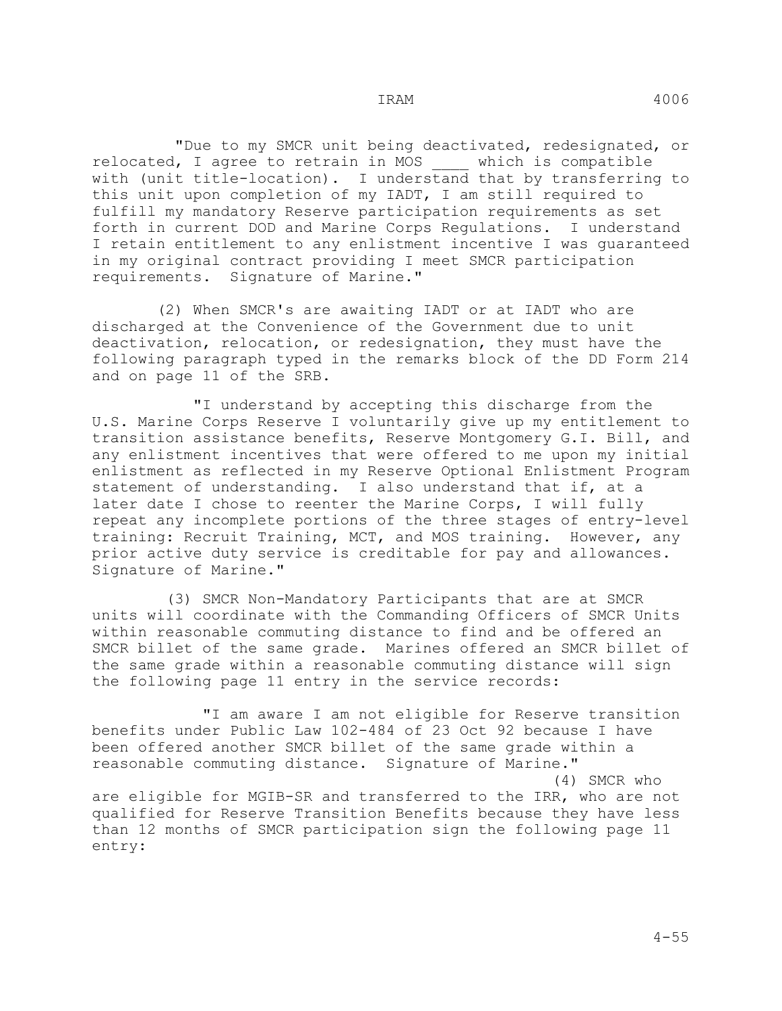"Due to my SMCR unit being deactivated, redesignated, or relocated, I agree to retrain in MOS \_\_\_\_ which is compatible with (unit title-location). I understand that by transferring to this unit upon completion of my IADT, I am still required to fulfill my mandatory Reserve participation requirements as set forth in current DOD and Marine Corps Regulations. I understand I retain entitlement to any enlistment incentive I was guaranteed in my original contract providing I meet SMCR participation requirements. Signature of Marine."

 (2) When SMCR's are awaiting IADT or at IADT who are discharged at the Convenience of the Government due to unit deactivation, relocation, or redesignation, they must have the following paragraph typed in the remarks block of the DD Form 214 and on page 11 of the SRB.

 "I understand by accepting this discharge from the U.S. Marine Corps Reserve I voluntarily give up my entitlement to transition assistance benefits, Reserve Montgomery G.I. Bill, and any enlistment incentives that were offered to me upon my initial enlistment as reflected in my Reserve Optional Enlistment Program statement of understanding. I also understand that if, at a later date I chose to reenter the Marine Corps, I will fully repeat any incomplete portions of the three stages of entry-level training: Recruit Training, MCT, and MOS training. However, any prior active duty service is creditable for pay and allowances. Signature of Marine."

 (3) SMCR Non-Mandatory Participants that are at SMCR units will coordinate with the Commanding Officers of SMCR Units within reasonable commuting distance to find and be offered an SMCR billet of the same grade. Marines offered an SMCR billet of the same grade within a reasonable commuting distance will sign the following page 11 entry in the service records:

 "I am aware I am not eligible for Reserve transition benefits under Public Law 102-484 of 23 Oct 92 because I have been offered another SMCR billet of the same grade within a reasonable commuting distance. Signature of Marine." (4) SMCR who are eligible for MGIB-SR and transferred to the IRR, who are not qualified for Reserve Transition Benefits because they have less than 12 months of SMCR participation sign the following page 11 entry: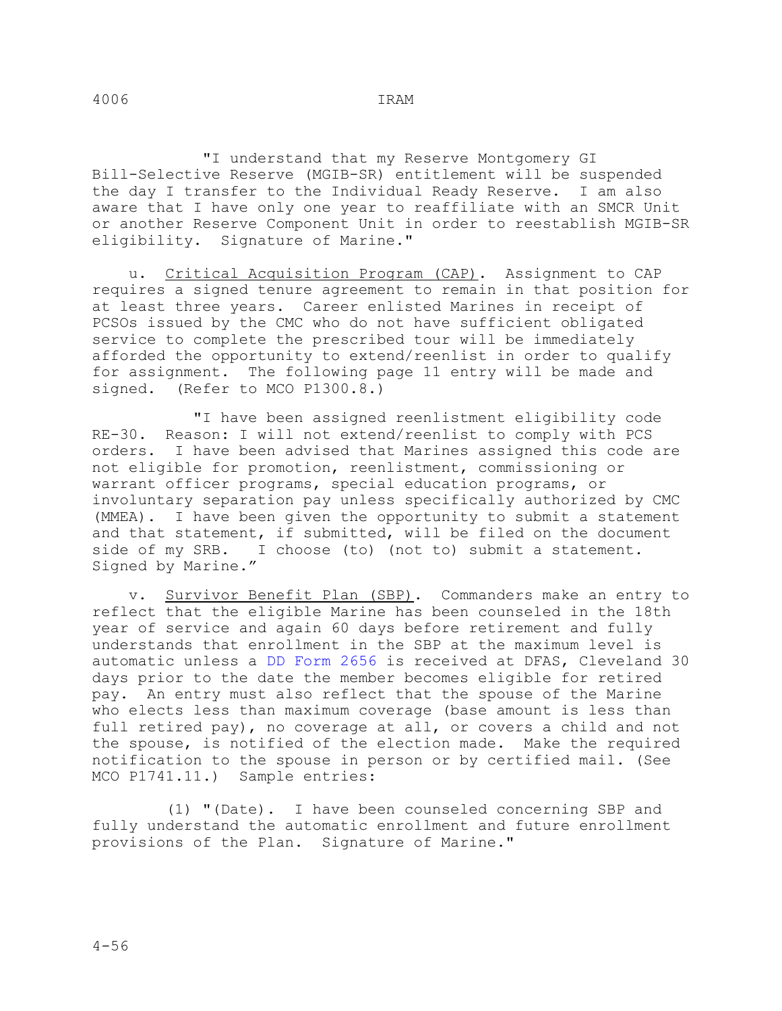"I understand that my Reserve Montgomery GI Bill-Selective Reserve (MGIB-SR) entitlement will be suspended the day I transfer to the Individual Ready Reserve. I am also aware that I have only one year to reaffiliate with an SMCR Unit or another Reserve Component Unit in order to reestablish MGIB-SR eligibility. Signature of Marine."

 u. Critical Acquisition Program (CAP). Assignment to CAP requires a signed tenure agreement to remain in that position for at least three years. Career enlisted Marines in receipt of PCSOs issued by the CMC who do not have sufficient obligated service to complete the prescribed tour will be immediately afforded the opportunity to extend/reenlist in order to qualify for assignment. The following page 11 entry will be made and signed. (Refer to MCO P1300.8.)  $(Refer to MCO P1300.8.)$ 

 "I have been assigned reenlistment eligibility code RE-30. Reason: I will not extend/reenlist to comply with PCS orders. I have been advised that Marines assigned this code are not eligible for promotion, reenlistment, commissioning or warrant officer programs, special education programs, or involuntary separation pay unless specifically authorized by CMC (MMEA). I have been given the opportunity to submit a statement and that statement, if submitted, will be filed on the document side of my SRB. I choose (to) (not to) submit a statement. Signed by Marine."

 v. Survivor Benefit Plan (SBP). Commanders make an entry to reflect that the eligible Marine has been counseled in the 18th year of service and again 60 days before retirement and fully understands that enrollment in the SBP at the maximum level is automatic unless a DD Form 2656 is received at DFAS, Cleveland 30 days prior to the date the member becomes eligible for retired pay. An entry must also reflect that the spouse of the Marine who elects less than maximum coverage (base amount is less than full retired pay), no coverage at all, or covers a child and not the spouse, is notified of the election made. Make the required notification to the spouse in person or by certified mail. (See MCO P1741.11.) Sample entries:

 (1) "(Date). I have been counseled concerning SBP and fully understand the automatic enrollment and future enrollment provisions of the Plan. Signature of Marine."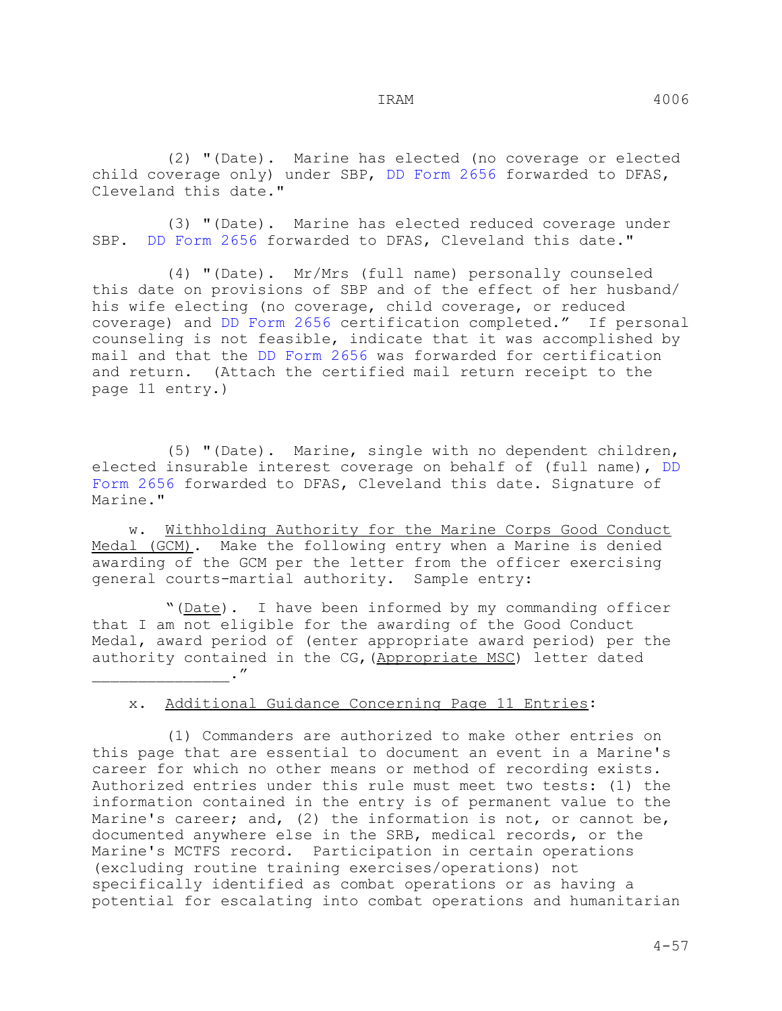(2) "(Date). Marine has elected (no coverage or elected child coverage only) under SBP, DD Form 2656 forwarded to DFAS, Cleveland this date."

 (3) "(Date). Marine has elected reduced coverage under SBP. DD Form 2656 forwarded to DFAS, Cleveland this date."

 (4) "(Date). Mr/Mrs (full name) personally counseled this date on provisions of SBP and of the effect of her husband/ his wife electing (no coverage, child coverage, or reduced coverage) and DD Form 2656 certification completed." If personal counseling is not feasible, indicate that it was accomplished by mail and that the DD Form 2656 was forwarded for certification and return. (Attach the certified mail return receipt to the page 11 entry.)

 (5) "(Date). Marine, single with no dependent children, elected insurable interest coverage on behalf of (full name), DD Form 2656 forwarded to DFAS, Cleveland this date. Signature of Marine."

 w. Withholding Authority for the Marine Corps Good Conduct Medal (GCM). Make the following entry when a Marine is denied awarding of the GCM per the letter from the officer exercising general courts-martial authority. Sample entry:

"(Date). I have been informed by my commanding officer that I am not eligible for the awarding of the Good Conduct Medal, award period of (enter appropriate award period) per the authority contained in the CG,(Appropriate MSC) letter dated  $\cdot$  "

## x. Additional Guidance Concerning Page 11 Entries:

 (1) Commanders are authorized to make other entries on this page that are essential to document an event in a Marine's career for which no other means or method of recording exists. Authorized entries under this rule must meet two tests: (1) the information contained in the entry is of permanent value to the Marine's career; and, (2) the information is not, or cannot be, documented anywhere else in the SRB, medical records, or the Marine's MCTFS record. Participation in certain operations (excluding routine training exercises/operations) not specifically identified as combat operations or as having a potential for escalating into combat operations and humanitarian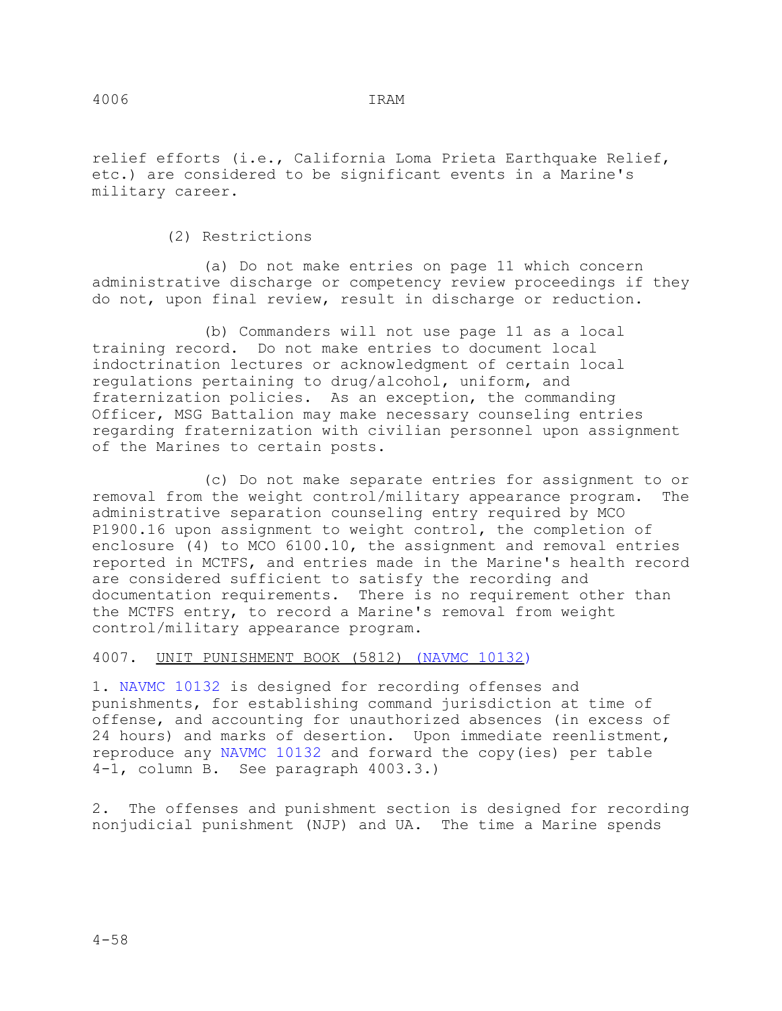relief efforts (i.e., California Loma Prieta Earthquake Relief, etc.) are considered to be significant events in a Marine's military career.

(2) Restrictions

 (a) Do not make entries on page 11 which concern administrative discharge or competency review proceedings if they do not, upon final review, result in discharge or reduction.

 (b) Commanders will not use page 11 as a local training record. Do not make entries to document local indoctrination lectures or acknowledgment of certain local regulations pertaining to drug/alcohol, uniform, and fraternization policies. As an exception, the commanding Officer, MSG Battalion may make necessary counseling entries regarding fraternization with civilian personnel upon assignment of the Marines to certain posts.

 (c) Do not make separate entries for assignment to or removal from the weight control/military appearance program. The administrative separation counseling entry required by MCO P1900.16 upon assignment to weight control, the completion of enclosure (4) to MCO 6100.10, the assignment and removal entries reported in MCTFS, and entries made in the Marine's health record are considered sufficient to satisfy the recording and documentation requirements. There is no requirement other than the MCTFS entry, to record a Marine's removal from weight control/military appearance program.

4007. UNIT PUNISHMENT BOOK (5812) (NAVMC 10132)

1. NAVMC 10132 is designed for recording offenses and punishments, for establishing command jurisdiction at time of offense, and accounting for unauthorized absences (in excess of 24 hours) and marks of desertion. Upon immediate reenlistment, reproduce any NAVMC 10132 and forward the copy(ies) per table 4-1, column B. See paragraph 4003.3.)

2. The offenses and punishment section is designed for recording nonjudicial punishment (NJP) and UA. The time a Marine spends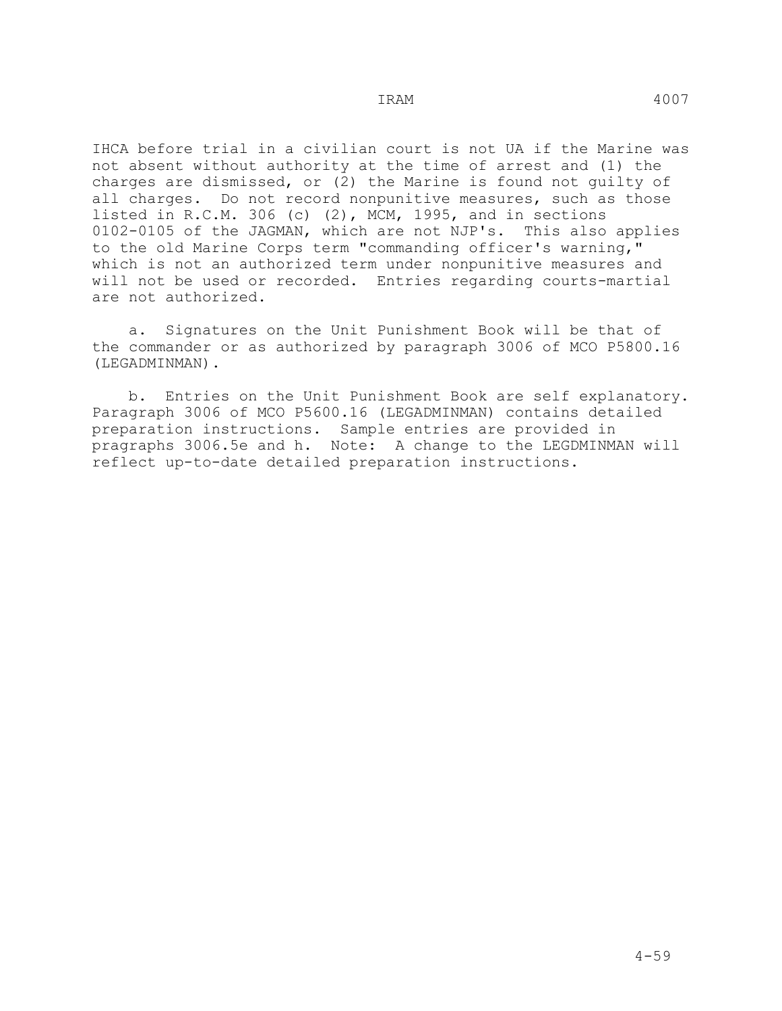IHCA before trial in a civilian court is not UA if the Marine was not absent without authority at the time of arrest and (1) the charges are dismissed, or (2) the Marine is found not guilty of all charges. Do not record nonpunitive measures, such as those listed in R.C.M. 306 (c) (2), MCM, 1995, and in sections 0102-0105 of the JAGMAN, which are not NJP's. This also applies to the old Marine Corps term "commanding officer's warning," which is not an authorized term under nonpunitive measures and will not be used or recorded. Entries regarding courts-martial are not authorized.

 a. Signatures on the Unit Punishment Book will be that of the commander or as authorized by paragraph 3006 of MCO P5800.16 (LEGADMINMAN).

 b. Entries on the Unit Punishment Book are self explanatory. Paragraph 3006 of MCO P5600.16 (LEGADMINMAN) contains detailed preparation instructions. Sample entries are provided in pragraphs 3006.5e and h. Note: A change to the LEGDMINMAN will reflect up-to-date detailed preparation instructions.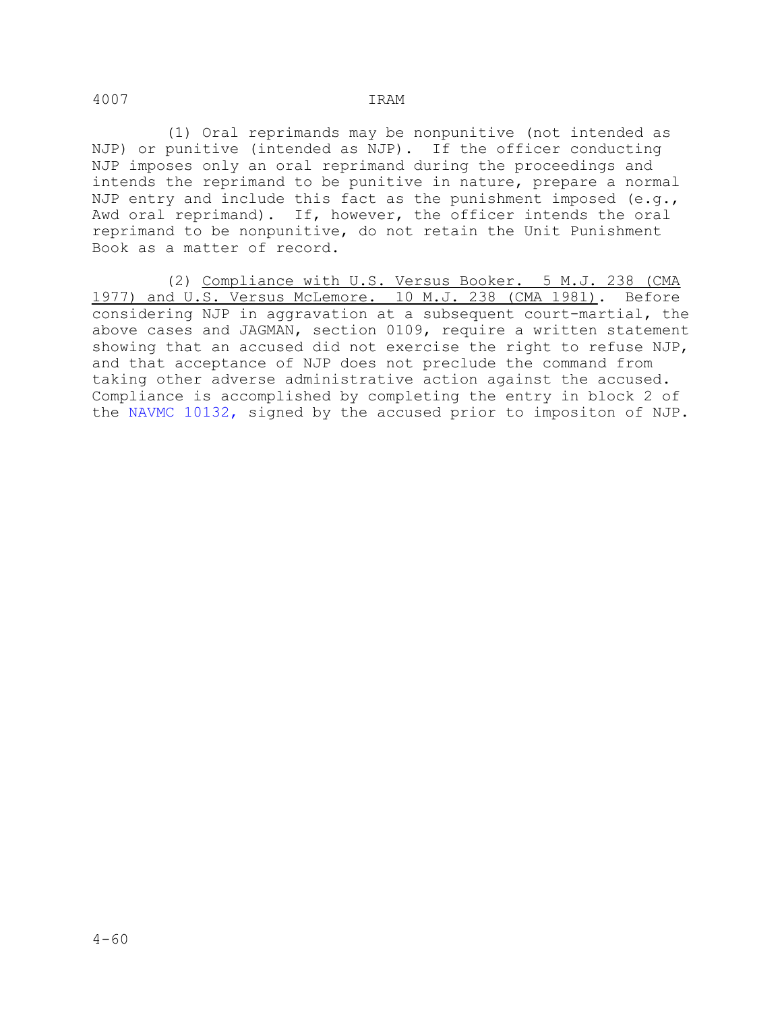(1) Oral reprimands may be nonpunitive (not intended as NJP) or punitive (intended as NJP). If the officer conducting NJP imposes only an oral reprimand during the proceedings and intends the reprimand to be punitive in nature, prepare a normal NJP entry and include this fact as the punishment imposed  $(e,q,$ Awd oral reprimand). If, however, the officer intends the oral reprimand to be nonpunitive, do not retain the Unit Punishment Book as a matter of record.

 (2) Compliance with U.S. Versus Booker. 5 M.J. 238 (CMA 1977) and U.S. Versus McLemore. 10 M.J. 238 (CMA 1981). Before considering NJP in aggravation at a subsequent court-martial, the above cases and JAGMAN, section 0109, require a written statement showing that an accused did not exercise the right to refuse NJP, and that acceptance of NJP does not preclude the command from taking other adverse administrative action against the accused. Compliance is accomplished by completing the entry in block 2 of the NAVMC 10132, signed by the accused prior to impositon of NJP.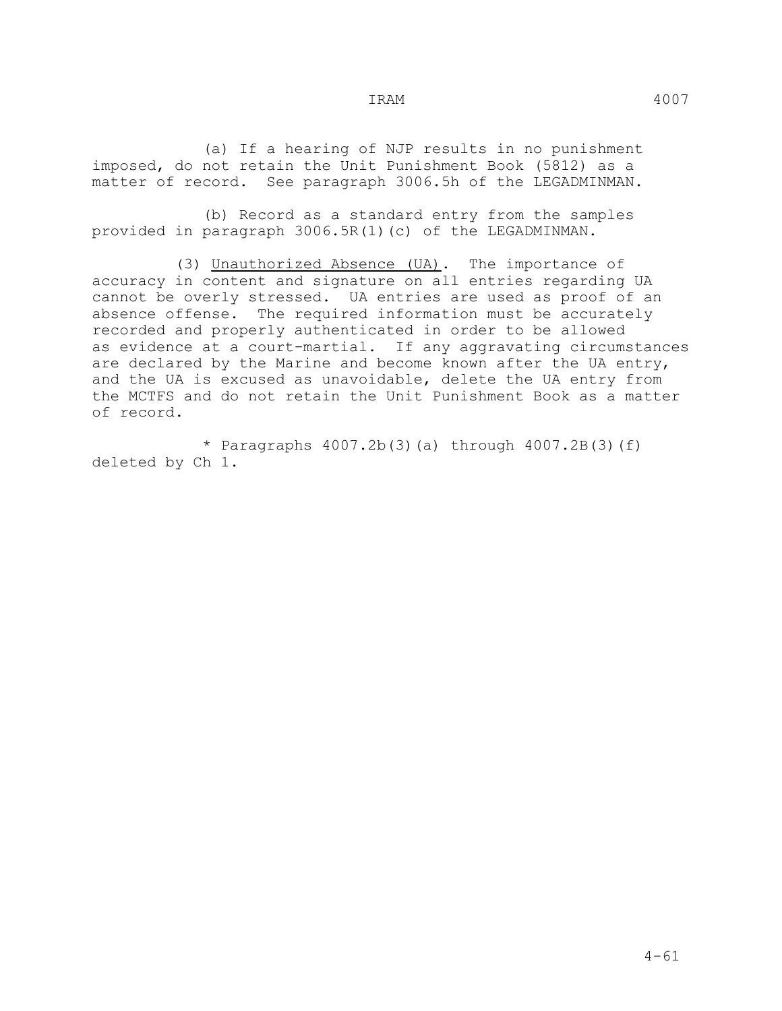(a) If a hearing of NJP results in no punishment imposed, do not retain the Unit Punishment Book (5812) as a matter of record. See paragraph 3006.5h of the LEGADMINMAN.

 (b) Record as a standard entry from the samples provided in paragraph 3006.5R(1)(c) of the LEGADMINMAN.

 (3) Unauthorized Absence (UA). The importance of accuracy in content and signature on all entries regarding UA cannot be overly stressed. UA entries are used as proof of an absence offense. The required information must be accurately recorded and properly authenticated in order to be allowed as evidence at a court-martial. If any aggravating circumstances are declared by the Marine and become known after the UA entry, and the UA is excused as unavoidable, delete the UA entry from the MCTFS and do not retain the Unit Punishment Book as a matter of record.

\* Paragraphs  $4007.2b(3)(a)$  through  $4007.2B(3)(f)$ deleted by Ch 1.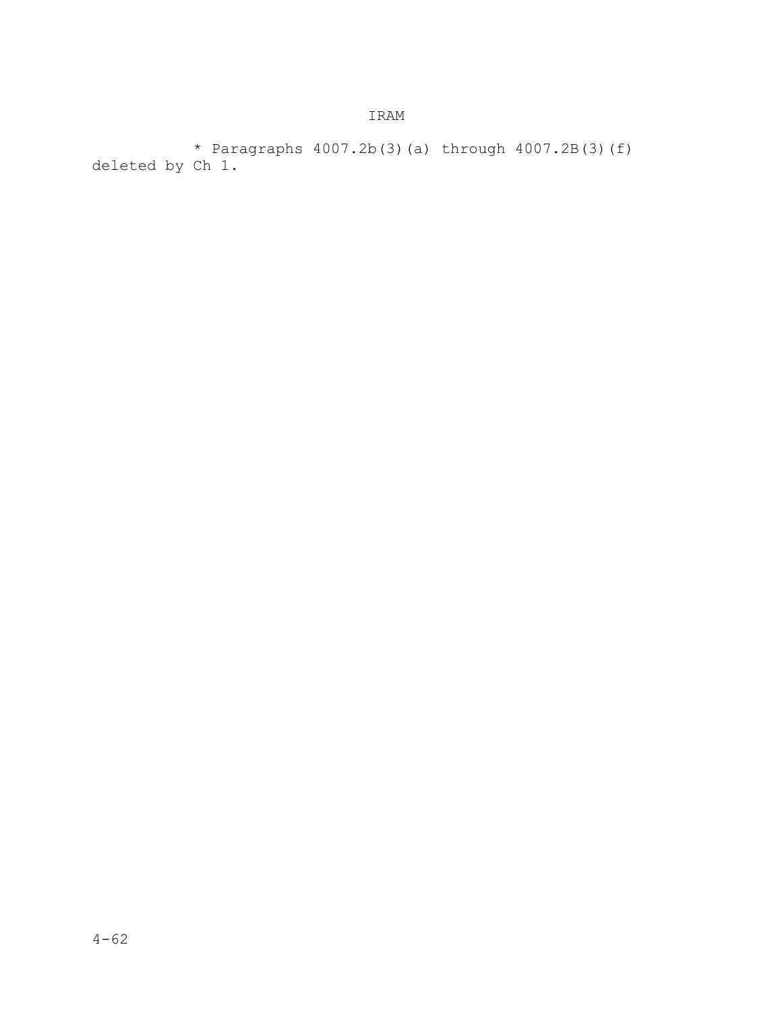\* Paragraphs 4007.2b(3)(a) through 4007.2B(3)(f) deleted by Ch 1.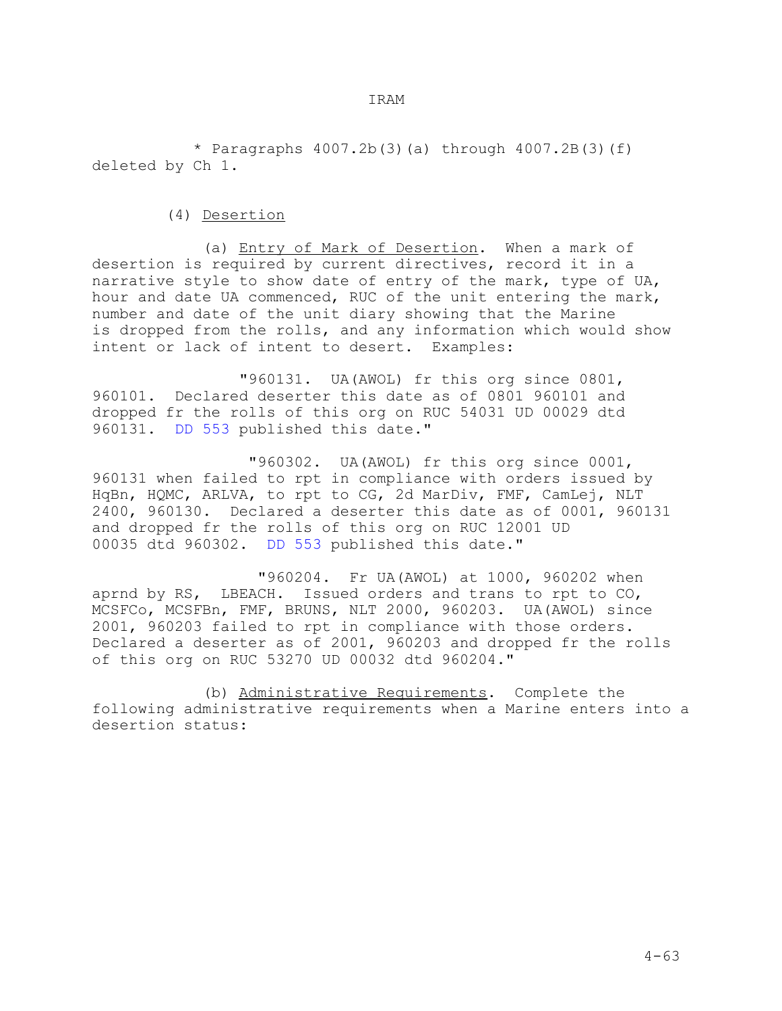\* Paragraphs 4007.2b(3)(a) through 4007.2B(3)(f) deleted by Ch 1.

# (4) Desertion

 (a) Entry of Mark of Desertion. When a mark of desertion is required by current directives, record it in a narrative style to show date of entry of the mark, type of UA, hour and date UA commenced, RUC of the unit entering the mark, number and date of the unit diary showing that the Marine is dropped from the rolls, and any information which would show intent or lack of intent to desert. Examples:

 "960131. UA(AWOL) fr this org since 0801, 960101. Declared deserter this date as of 0801 960101 and dropped fr the rolls of this org on RUC 54031 UD 00029 dtd 960131. DD 553 published this date."

 "960302. UA(AWOL) fr this org since 0001, 960131 when failed to rpt in compliance with orders issued by HqBn, HQMC, ARLVA, to rpt to CG, 2d MarDiv, FMF, CamLej, NLT 2400, 960130. Declared a deserter this date as of 0001, 960131 and dropped fr the rolls of this org on RUC 12001 UD 00035 dtd 960302. DD 553 published this date."

 "960204. Fr UA(AWOL) at 1000, 960202 when aprnd by RS, LBEACH. Issued orders and trans to rpt to CO, MCSFCo, MCSFBn, FMF, BRUNS, NLT 2000, 960203. UA(AWOL) since 2001, 960203 failed to rpt in compliance with those orders. Declared a deserter as of 2001, 960203 and dropped fr the rolls of this org on RUC 53270 UD 00032 dtd 960204."

 (b) Administrative Requirements. Complete the following administrative requirements when a Marine enters into a desertion status: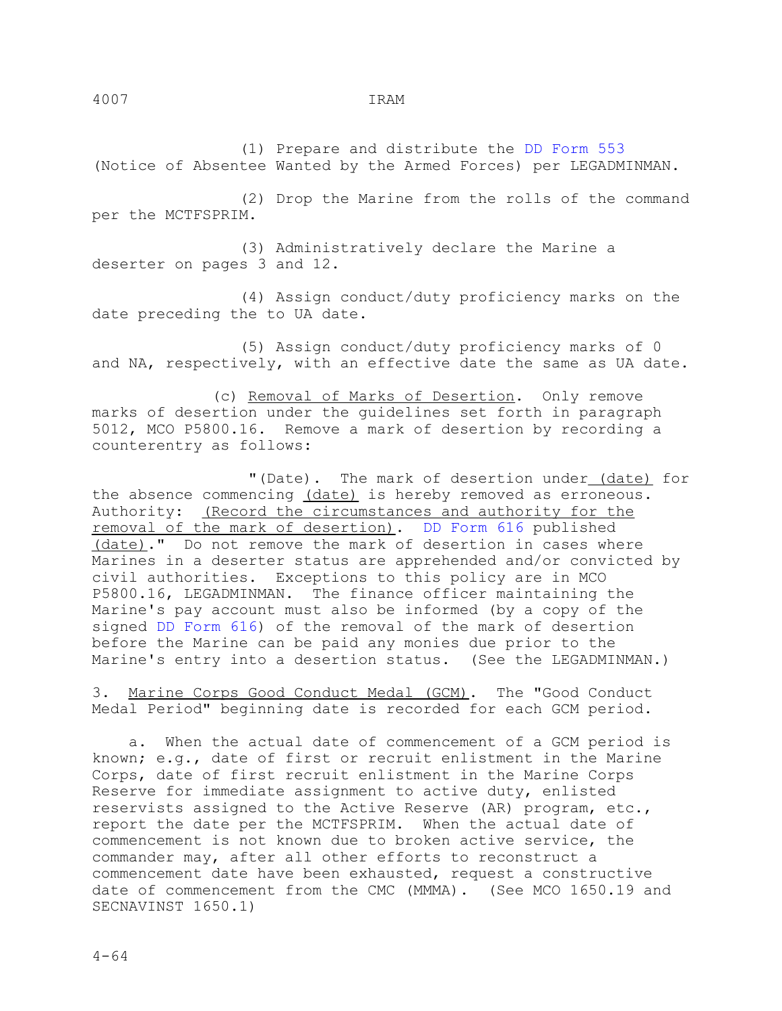(1) Prepare and distribute the DD Form 553 (Notice of Absentee Wanted by the Armed Forces) per LEGADMINMAN.

 (2) Drop the Marine from the rolls of the command per the MCTFSPRIM.

 (3) Administratively declare the Marine a deserter on pages 3 and 12.

 (4) Assign conduct/duty proficiency marks on the date preceding the to UA date.

 (5) Assign conduct/duty proficiency marks of 0 and NA, respectively, with an effective date the same as UA date.

 (c) Removal of Marks of Desertion. Only remove marks of desertion under the guidelines set forth in paragraph 5012, MCO P5800.16. Remove a mark of desertion by recording a counterentry as follows:

 "(Date). The mark of desertion under (date) for the absence commencing (date) is hereby removed as erroneous. Authority: (Record the circumstances and authority for the removal of the mark of desertion). DD Form 616 published (date)." Do not remove the mark of desertion in cases where Marines in a deserter status are apprehended and/or convicted by civil authorities. Exceptions to this policy are in MCO P5800.16, LEGADMINMAN. The finance officer maintaining the Marine's pay account must also be informed (by a copy of the signed DD Form 616) of the removal of the mark of desertion before the Marine can be paid any monies due prior to the Marine's entry into a desertion status. (See the LEGADMINMAN.)

3. Marine Corps Good Conduct Medal (GCM). The "Good Conduct Medal Period" beginning date is recorded for each GCM period.

 a. When the actual date of commencement of a GCM period is known; e.g., date of first or recruit enlistment in the Marine Corps, date of first recruit enlistment in the Marine Corps Reserve for immediate assignment to active duty, enlisted reservists assigned to the Active Reserve (AR) program, etc., report the date per the MCTFSPRIM. When the actual date of commencement is not known due to broken active service, the commander may, after all other efforts to reconstruct a commencement date have been exhausted, request a constructive date of commencement from the CMC (MMMA). (See MCO 1650.19 and SECNAVINST 1650.1)

4007 IRAM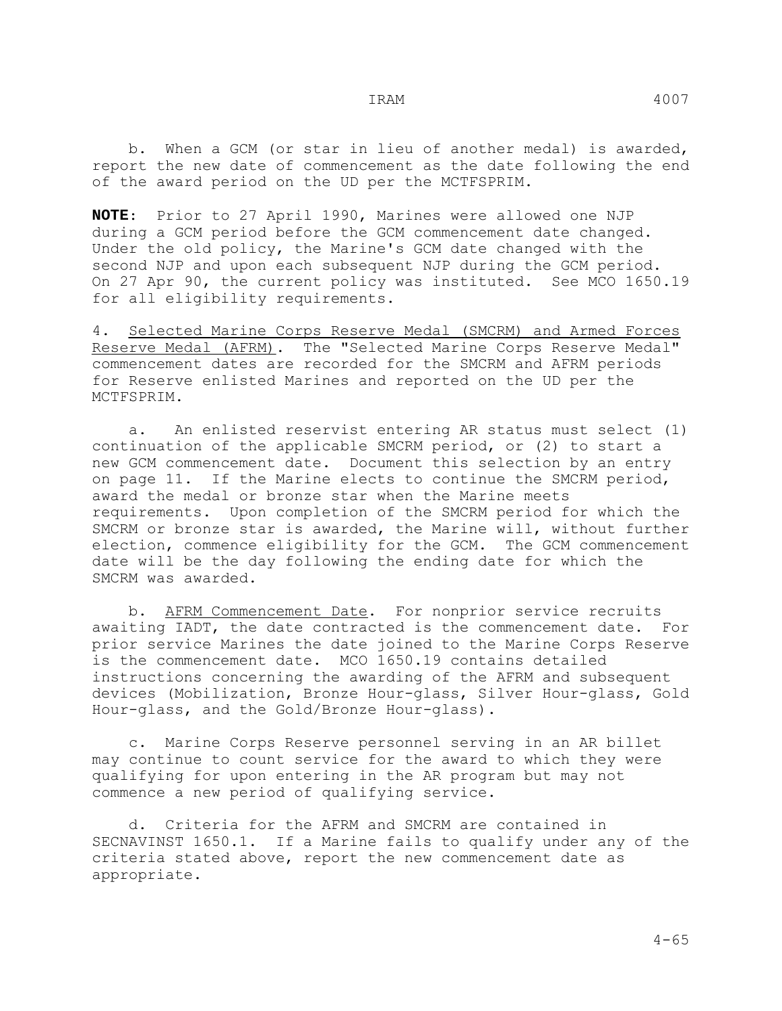**NOTE**: Prior to 27 April 1990, Marines were allowed one NJP during a GCM period before the GCM commencement date changed. Under the old policy, the Marine's GCM date changed with the second NJP and upon each subsequent NJP during the GCM period. On 27 Apr 90, the current policy was instituted. See MCO 1650.19 for all eligibility requirements.

4. Selected Marine Corps Reserve Medal (SMCRM) and Armed Forces Reserve Medal (AFRM). The "Selected Marine Corps Reserve Medal" commencement dates are recorded for the SMCRM and AFRM periods for Reserve enlisted Marines and reported on the UD per the MCTFSPRIM.

 a. An enlisted reservist entering AR status must select (1) continuation of the applicable SMCRM period, or (2) to start a new GCM commencement date. Document this selection by an entry on page 11. If the Marine elects to continue the SMCRM period, award the medal or bronze star when the Marine meets requirements. Upon completion of the SMCRM period for which the SMCRM or bronze star is awarded, the Marine will, without further election, commence eligibility for the GCM. The GCM commencement date will be the day following the ending date for which the SMCRM was awarded.

 b. AFRM Commencement Date. For nonprior service recruits awaiting IADT, the date contracted is the commencement date. For prior service Marines the date joined to the Marine Corps Reserve is the commencement date. MCO 1650.19 contains detailed instructions concerning the awarding of the AFRM and subsequent devices (Mobilization, Bronze Hour-glass, Silver Hour-glass, Gold Hour-glass, and the Gold/Bronze Hour-glass).

 c. Marine Corps Reserve personnel serving in an AR billet may continue to count service for the award to which they were qualifying for upon entering in the AR program but may not commence a new period of qualifying service.

 d. Criteria for the AFRM and SMCRM are contained in SECNAVINST 1650.1. If a Marine fails to qualify under any of the criteria stated above, report the new commencement date as appropriate.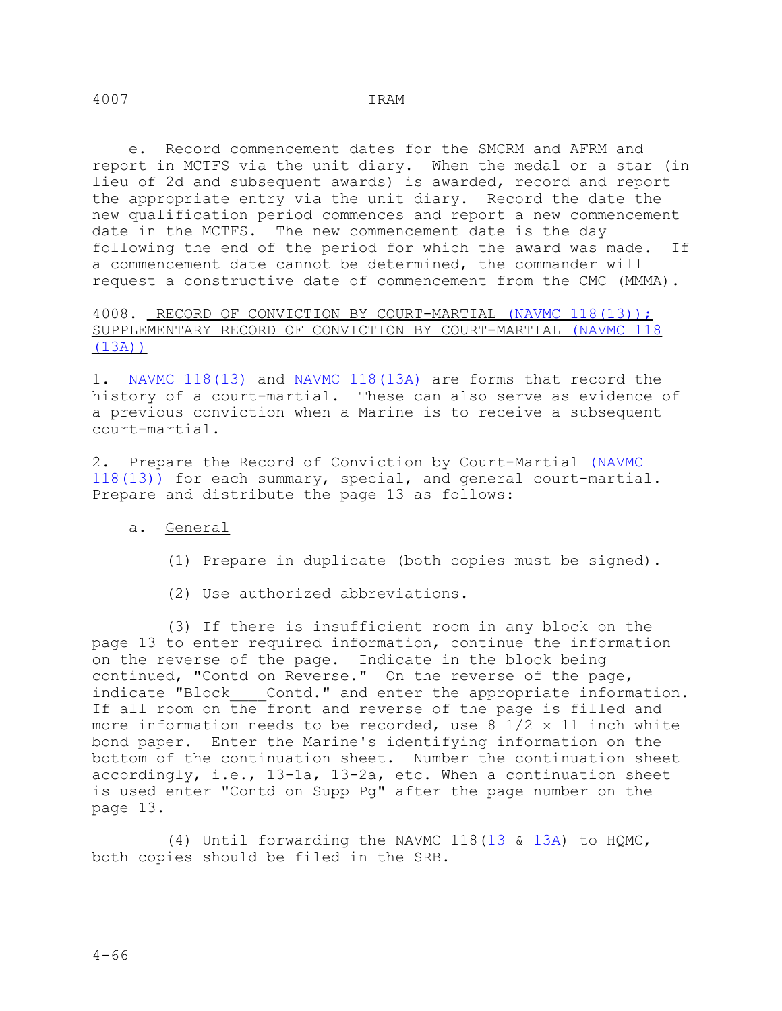e. Record commencement dates for the SMCRM and AFRM and report in MCTFS via the unit diary. When the medal or a star (in lieu of 2d and subsequent awards) is awarded, record and report the appropriate entry via the unit diary. Record the date the new qualification period commences and report a new commencement date in the MCTFS. The new commencement date is the day following the end of the period for which the award was made. If a commencement date cannot be determined, the commander will request a constructive date of commencement from the CMC (MMMA).

4008. RECORD OF CONVICTION BY COURT-MARTIAL (NAVMC 118(13)); SUPPLEMENTARY RECORD OF CONVICTION BY COURT-MARTIAL (NAVMC 118 (13A))

1. NAVMC 118(13) and NAVMC 118(13A) are forms that record the history of a court-martial. These can also serve as evidence of a previous conviction when a Marine is to receive a subsequent court-martial.

2. Prepare the Record of Conviction by Court-Martial (NAVMC 118(13)) for each summary, special, and general court-martial. Prepare and distribute the page 13 as follows:

# a. General

- (1) Prepare in duplicate (both copies must be signed).
- (2) Use authorized abbreviations.

 (3) If there is insufficient room in any block on the page 13 to enter required information, continue the information on the reverse of the page. Indicate in the block being continued, "Contd on Reverse." On the reverse of the page, indicate "Block\_\_\_\_Contd." and enter the appropriate information. If all room on the front and reverse of the page is filled and more information needs to be recorded, use  $8\sqrt{1/2} \times 11$  inch white bond paper. Enter the Marine's identifying information on the bottom of the continuation sheet. Number the continuation sheet accordingly, i.e., 13-1a, 13-2a, etc. When a continuation sheet is used enter "Contd on Supp Pg" after the page number on the page 13.

 (4) Until forwarding the NAVMC 118(13 & 13A) to HQMC, both copies should be filed in the SRB.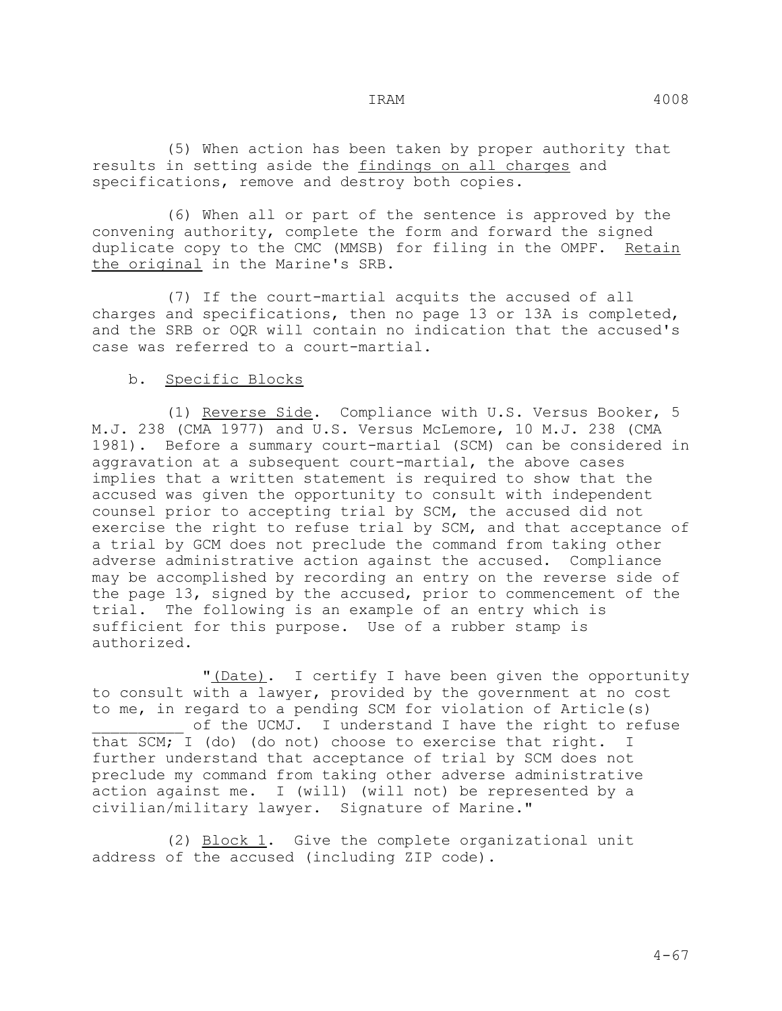(5) When action has been taken by proper authority that results in setting aside the findings on all charges and specifications, remove and destroy both copies.

 (6) When all or part of the sentence is approved by the convening authority, complete the form and forward the signed duplicate copy to the CMC (MMSB) for filing in the OMPF. Retain the original in the Marine's SRB.

 (7) If the court-martial acquits the accused of all charges and specifications, then no page 13 or 13A is completed, and the SRB or OQR will contain no indication that the accused's case was referred to a court-martial.

## b. Specific Blocks

 (1) Reverse Side. Compliance with U.S. Versus Booker, 5 M.J. 238 (CMA 1977) and U.S. Versus McLemore, 10 M.J. 238 (CMA 1981). Before a summary court-martial (SCM) can be considered in aggravation at a subsequent court-martial, the above cases implies that a written statement is required to show that the accused was given the opportunity to consult with independent counsel prior to accepting trial by SCM, the accused did not exercise the right to refuse trial by SCM, and that acceptance of a trial by GCM does not preclude the command from taking other adverse administrative action against the accused. Compliance may be accomplished by recording an entry on the reverse side of the page 13, signed by the accused, prior to commencement of the trial. The following is an example of an entry which is sufficient for this purpose. Use of a rubber stamp is authorized.

 "(Date). I certify I have been given the opportunity to consult with a lawyer, provided by the government at no cost to me, in regard to a pending SCM for violation of Article(s) of the UCMJ. I understand I have the right to refuse that SCM; I (do) (do not) choose to exercise that right. I further understand that acceptance of trial by SCM does not preclude my command from taking other adverse administrative action against me. I (will) (will not) be represented by a civilian/military lawyer. Signature of Marine."

 (2) Block 1. Give the complete organizational unit address of the accused (including ZIP code).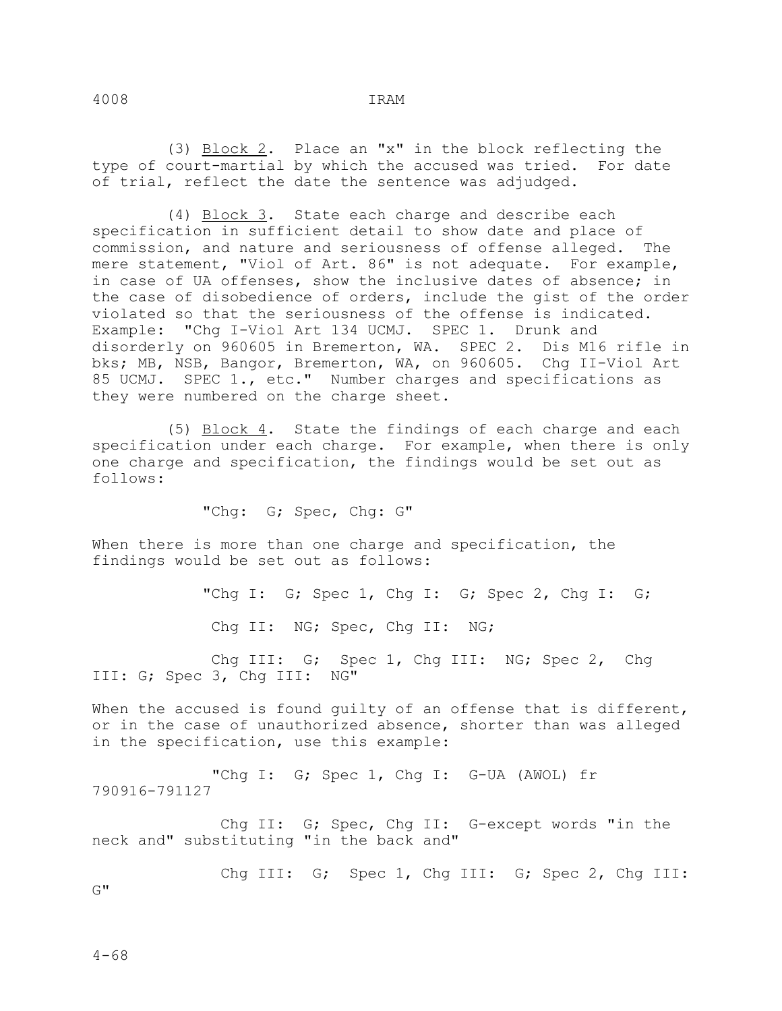(3) Block 2. Place an "x" in the block reflecting the type of court-martial by which the accused was tried. For date of trial, reflect the date the sentence was adjudged.

 (4) Block 3. State each charge and describe each specification in sufficient detail to show date and place of commission, and nature and seriousness of offense alleged. The mere statement, "Viol of Art. 86" is not adequate. For example, in case of UA offenses, show the inclusive dates of absence; in the case of disobedience of orders, include the gist of the order violated so that the seriousness of the offense is indicated. Example: "Chg I-Viol Art 134 UCMJ. SPEC 1. Drunk and disorderly on 960605 in Bremerton, WA. SPEC 2. Dis M16 rifle in bks; MB, NSB, Bangor, Bremerton, WA, on 960605. Chg II-Viol Art 85 UCMJ. SPEC 1., etc." Number charges and specifications as they were numbered on the charge sheet.

 (5) Block 4. State the findings of each charge and each specification under each charge. For example, when there is only one charge and specification, the findings would be set out as follows:

"Chg: G; Spec, Chg: G"

When there is more than one charge and specification, the findings would be set out as follows:

> "Chg I: G; Spec 1, Chg I: G; Spec 2, Chg I: G; Chg II: NG; Spec, Chg II: NG;

 Chg III: G; Spec 1, Chg III: NG; Spec 2, Chg III: G; Spec 3, Chg III: NG"

When the accused is found guilty of an offense that is different, or in the case of unauthorized absence, shorter than was alleged in the specification, use this example:

 "Chg I: G; Spec 1, Chg I: G-UA (AWOL) fr 790916-791127

 Chg II: G; Spec, Chg II: G-except words "in the neck and" substituting "in the back and"

Chg III: G; Spec 1, Chg III: G; Spec 2, Chg III:

 $G^{\mathbf{u}}$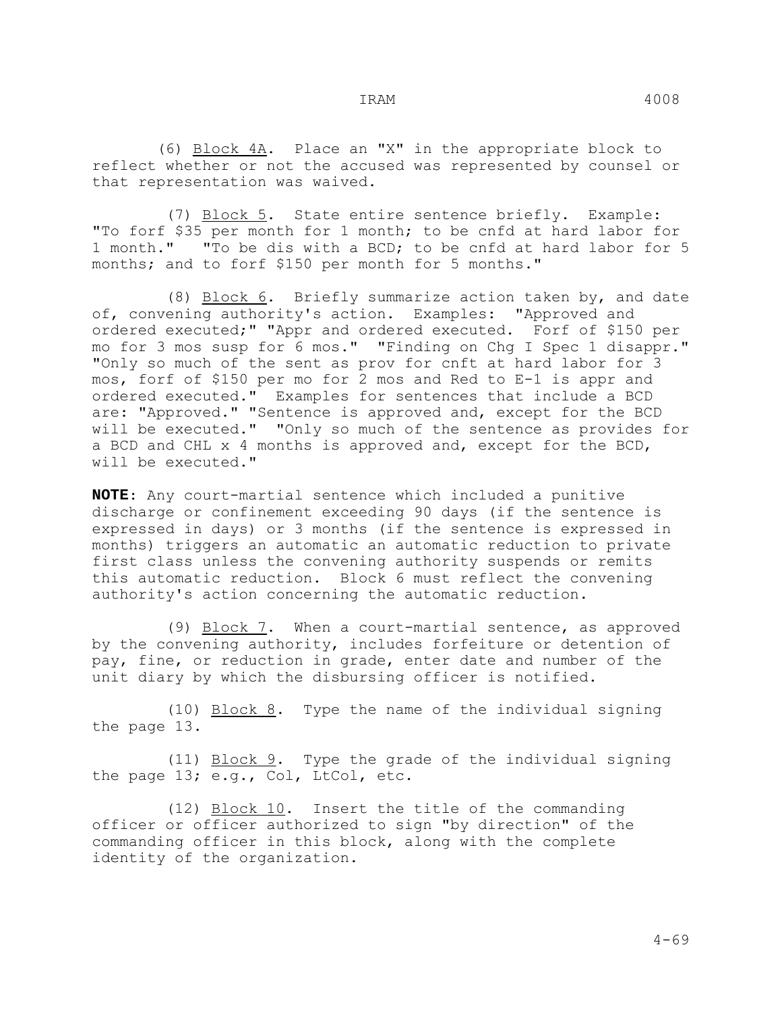(7) Block 5. State entire sentence briefly. Example: "To forf \$35 per month for 1 month; to be cnfd at hard labor for 1 month." "To be dis with a BCD; to be cnfd at hard labor for 5 months; and to forf \$150 per month for 5 months."

 (8) Block 6. Briefly summarize action taken by, and date of, convening authority's action. Examples: "Approved and ordered executed;" "Appr and ordered executed. Forf of \$150 per mo for 3 mos susp for 6 mos." "Finding on Chg I Spec 1 disappr." "Only so much of the sent as prov for cnft at hard labor for 3 mos, forf of \$150 per mo for 2 mos and Red to E-1 is appr and ordered executed." Examples for sentences that include a BCD are: "Approved." "Sentence is approved and, except for the BCD will be executed." "Only so much of the sentence as provides for a BCD and CHL x 4 months is approved and, except for the BCD, will be executed."

**NOTE**: Any court-martial sentence which included a punitive discharge or confinement exceeding 90 days (if the sentence is expressed in days) or 3 months (if the sentence is expressed in months) triggers an automatic an automatic reduction to private first class unless the convening authority suspends or remits this automatic reduction. Block 6 must reflect the convening authority's action concerning the automatic reduction.

 (9) Block 7. When a court-martial sentence, as approved by the convening authority, includes forfeiture or detention of pay, fine, or reduction in grade, enter date and number of the unit diary by which the disbursing officer is notified.

(10) Block 8. Type the name of the individual signing the page 13.

 (11) Block 9. Type the grade of the individual signing the page 13; e.g., Col, LtCol, etc.

 (12) Block 10. Insert the title of the commanding officer or officer authorized to sign "by direction" of the commanding officer in this block, along with the complete identity of the organization.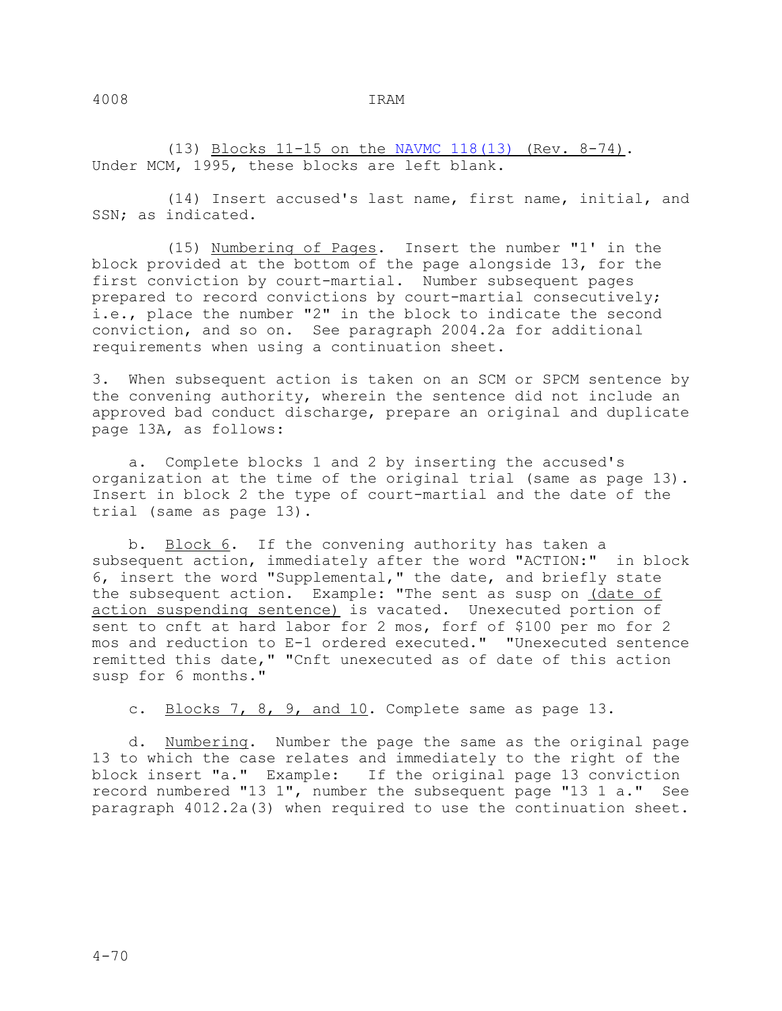(13) Blocks 11-15 on the NAVMC 118(13) (Rev. 8-74). Under MCM, 1995, these blocks are left blank.

 (14) Insert accused's last name, first name, initial, and SSN; as indicated.

 (15) Numbering of Pages. Insert the number "1' in the block provided at the bottom of the page alongside 13, for the first conviction by court-martial. Number subsequent pages prepared to record convictions by court-martial consecutively; i.e., place the number "2" in the block to indicate the second conviction, and so on. See paragraph 2004.2a for additional requirements when using a continuation sheet.

3. When subsequent action is taken on an SCM or SPCM sentence by the convening authority, wherein the sentence did not include an approved bad conduct discharge, prepare an original and duplicate page 13A, as follows:

 a. Complete blocks 1 and 2 by inserting the accused's organization at the time of the original trial (same as page 13). Insert in block 2 the type of court-martial and the date of the trial (same as page 13).

 b. Block 6. If the convening authority has taken a subsequent action, immediately after the word "ACTION:" in block 6, insert the word "Supplemental," the date, and briefly state the subsequent action. Example: "The sent as susp on (date of action suspending sentence) is vacated. Unexecuted portion of sent to cnft at hard labor for 2 mos, forf of \$100 per mo for 2 mos and reduction to E-1 ordered executed." "Unexecuted sentence remitted this date," "Cnft unexecuted as of date of this action susp for 6 months."

c. Blocks 7, 8, 9, and 10. Complete same as page 13.

 d. Numbering. Number the page the same as the original page 13 to which the case relates and immediately to the right of the block insert "a." Example: If the original page 13 conviction record numbered "13 1", number the subsequent page "13 1 a." See paragraph 4012.2a(3) when required to use the continuation sheet.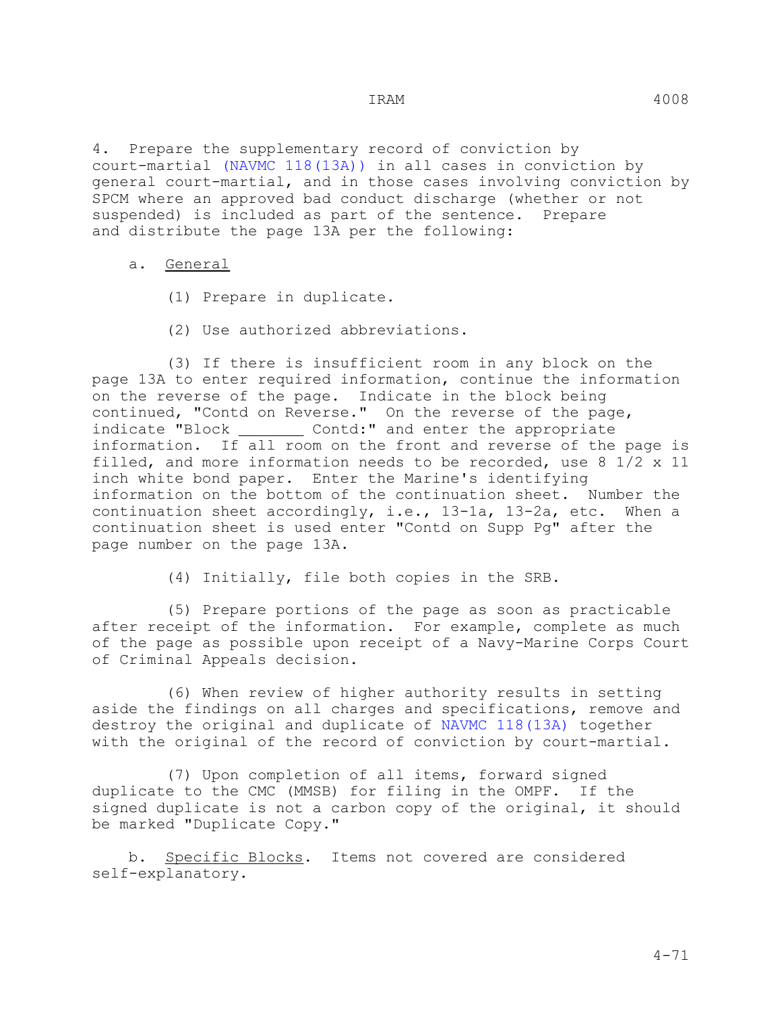4. Prepare the supplementary record of conviction by court-martial (NAVMC 118(13A)) in all cases in conviction by general court-martial, and in those cases involving conviction by SPCM where an approved bad conduct discharge (whether or not suspended) is included as part of the sentence. Prepare and distribute the page 13A per the following:

#### a. General

- (1) Prepare in duplicate.
- (2) Use authorized abbreviations.

 (3) If there is insufficient room in any block on the page 13A to enter required information, continue the information on the reverse of the page. Indicate in the block being continued, "Contd on Reverse." On the reverse of the page, indicate "Block Contd:" and enter the appropriate information. If all room on the front and reverse of the page is filled, and more information needs to be recorded, use 8 1/2 x 11 inch white bond paper. Enter the Marine's identifying information on the bottom of the continuation sheet. Number the continuation sheet accordingly, i.e., 13-1a, 13-2a, etc. When a continuation sheet is used enter "Contd on Supp Pg" after the page number on the page 13A.

(4) Initially, file both copies in the SRB.

 (5) Prepare portions of the page as soon as practicable after receipt of the information. For example, complete as much of the page as possible upon receipt of a Navy-Marine Corps Court of Criminal Appeals decision.

 (6) When review of higher authority results in setting aside the findings on all charges and specifications, remove and destroy the original and duplicate of NAVMC 118(13A) together with the original of the record of conviction by court-martial.

 (7) Upon completion of all items, forward signed duplicate to the CMC (MMSB) for filing in the OMPF. If the signed duplicate is not a carbon copy of the original, it should be marked "Duplicate Copy."

 b. Specific Blocks. Items not covered are considered self-explanatory.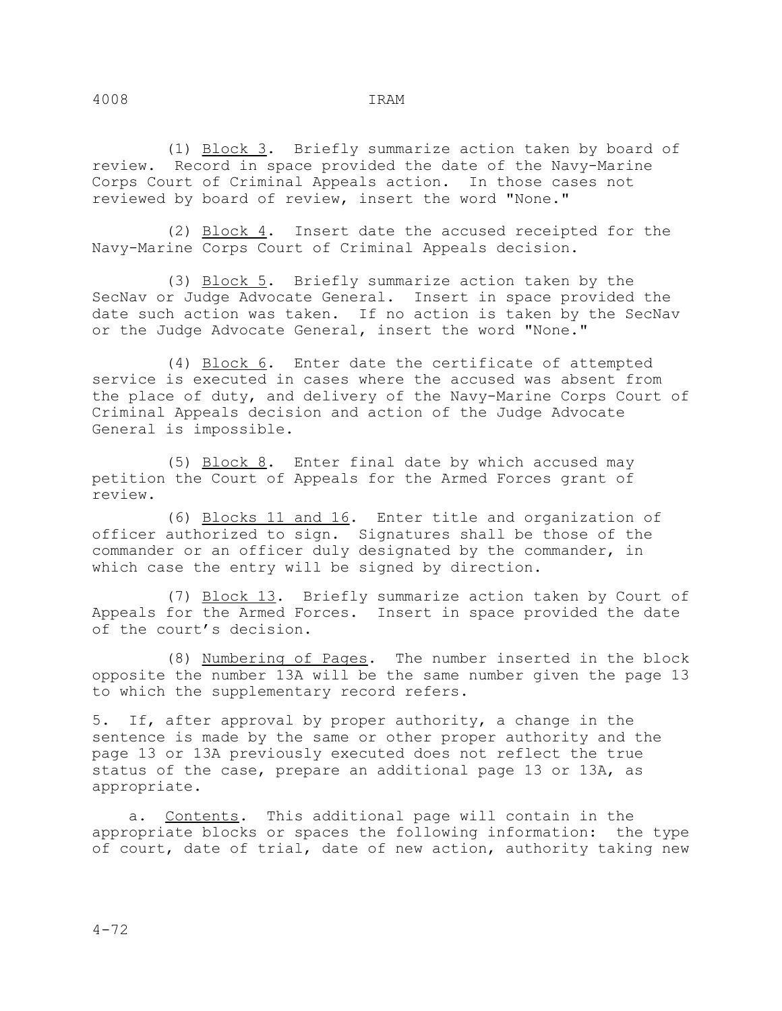(1) Block 3. Briefly summarize action taken by board of review. Record in space provided the date of the Navy-Marine Corps Court of Criminal Appeals action. In those cases not reviewed by board of review, insert the word "None."

 (2) Block 4. Insert date the accused receipted for the Navy-Marine Corps Court of Criminal Appeals decision.

 (3) Block 5. Briefly summarize action taken by the SecNav or Judge Advocate General. Insert in space provided the date such action was taken. If no action is taken by the SecNav or the Judge Advocate General, insert the word "None."

 (4) Block 6. Enter date the certificate of attempted service is executed in cases where the accused was absent from the place of duty, and delivery of the Navy-Marine Corps Court of Criminal Appeals decision and action of the Judge Advocate General is impossible.

 (5) Block 8. Enter final date by which accused may petition the Court of Appeals for the Armed Forces grant of review.

 (6) Blocks 11 and 16. Enter title and organization of officer authorized to sign. Signatures shall be those of the commander or an officer duly designated by the commander, in which case the entry will be signed by direction.

 (7) Block 13. Briefly summarize action taken by Court of Appeals for the Armed Forces. Insert in space provided the date of the court's decision.

 (8) Numbering of Pages. The number inserted in the block opposite the number 13A will be the same number given the page 13 to which the supplementary record refers.

5. If, after approval by proper authority, a change in the sentence is made by the same or other proper authority and the page 13 or 13A previously executed does not reflect the true status of the case, prepare an additional page 13 or 13A, as appropriate.

 a. Contents. This additional page will contain in the appropriate blocks or spaces the following information: the type of court, date of trial, date of new action, authority taking new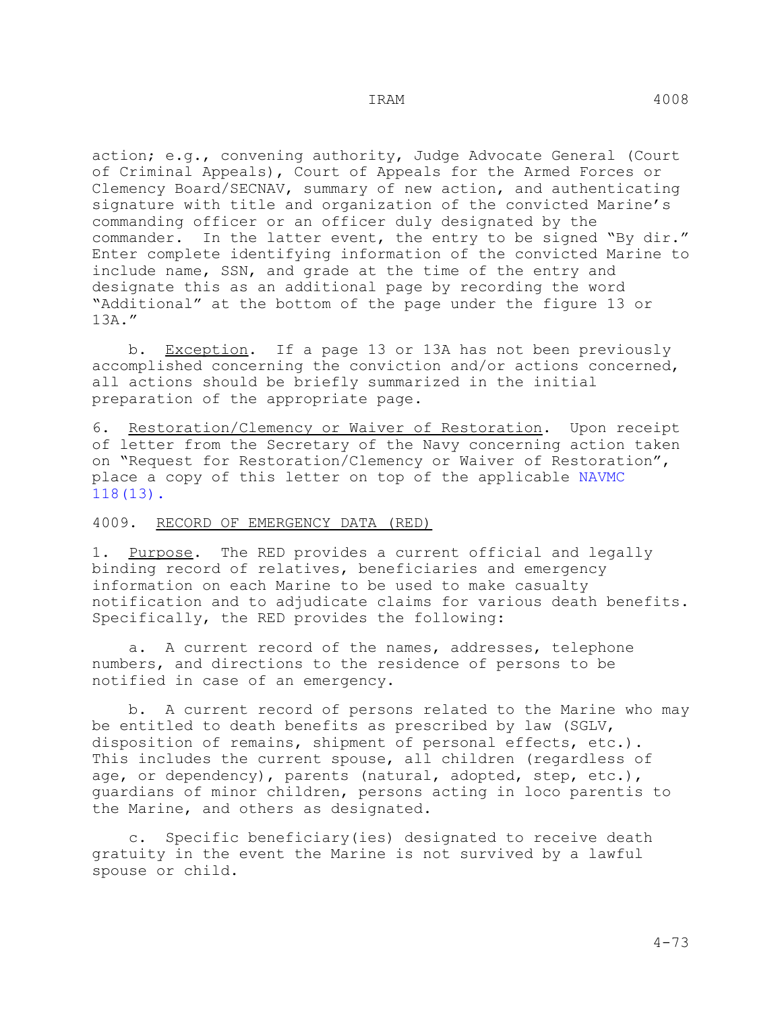action; e.g., convening authority, Judge Advocate General (Court of Criminal Appeals), Court of Appeals for the Armed Forces or Clemency Board/SECNAV, summary of new action, and authenticating signature with title and organization of the convicted Marine's commanding officer or an officer duly designated by the commander. In the latter event, the entry to be signed "By dir." Enter complete identifying information of the convicted Marine to include name, SSN, and grade at the time of the entry and designate this as an additional page by recording the word "Additional" at the bottom of the page under the figure 13 or 13A."

b. Exception. If a page 13 or 13A has not been previously accomplished concerning the conviction and/or actions concerned, all actions should be briefly summarized in the initial preparation of the appropriate page.

6. Restoration/Clemency or Waiver of Restoration. Upon receipt of letter from the Secretary of the Navy concerning action taken on "Request for Restoration/Clemency or Waiver of Restoration", place a copy of this letter on top of the applicable NAVMC 118(13).

#### 4009. RECORD OF EMERGENCY DATA (RED)

1. Purpose. The RED provides a current official and legally binding record of relatives, beneficiaries and emergency information on each Marine to be used to make casualty notification and to adjudicate claims for various death benefits. Specifically, the RED provides the following:

 a. A current record of the names, addresses, telephone numbers, and directions to the residence of persons to be notified in case of an emergency.

 b. A current record of persons related to the Marine who may be entitled to death benefits as prescribed by law (SGLV, disposition of remains, shipment of personal effects, etc.). This includes the current spouse, all children (regardless of age, or dependency), parents (natural, adopted, step, etc.), guardians of minor children, persons acting in loco parentis to the Marine, and others as designated.

 c. Specific beneficiary(ies) designated to receive death gratuity in the event the Marine is not survived by a lawful spouse or child.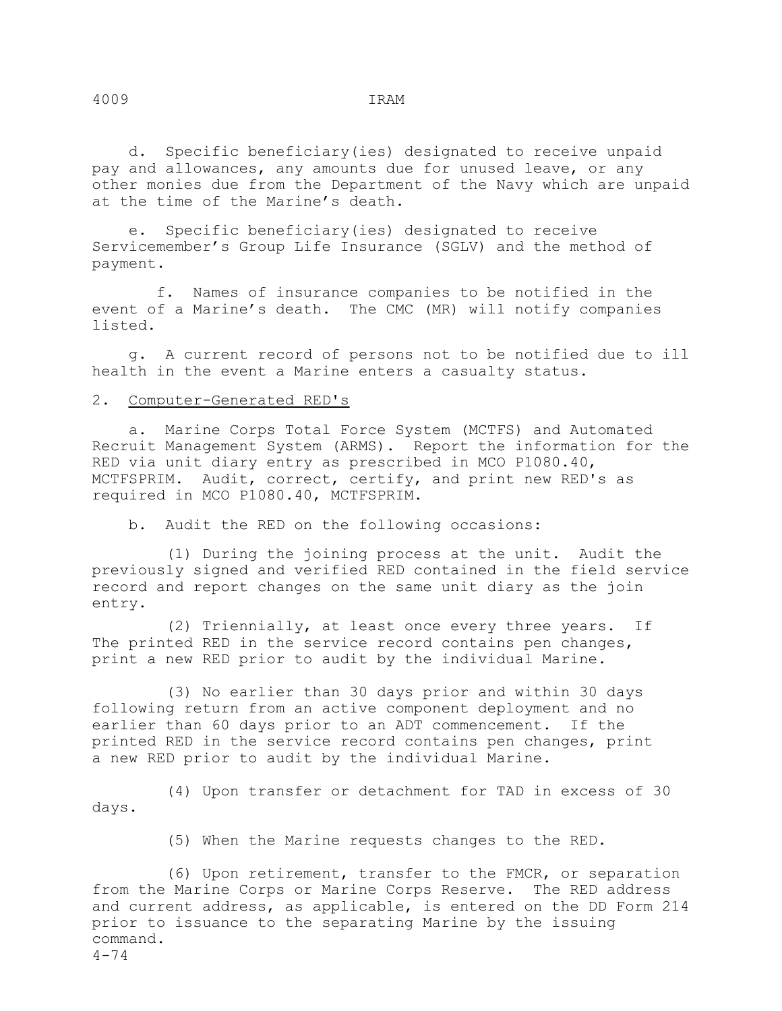d. Specific beneficiary(ies) designated to receive unpaid pay and allowances, any amounts due for unused leave, or any other monies due from the Department of the Navy which are unpaid at the time of the Marine's death.

 e. Specific beneficiary(ies) designated to receive Servicemember's Group Life Insurance (SGLV) and the method of payment.

 f. Names of insurance companies to be notified in the event of a Marine's death. The CMC (MR) will notify companies listed.

 g. A current record of persons not to be notified due to ill health in the event a Marine enters a casualty status.

### 2. Computer-Generated RED's

 a. Marine Corps Total Force System (MCTFS) and Automated Recruit Management System (ARMS). Report the information for the RED via unit diary entry as prescribed in MCO P1080.40, MCTFSPRIM. Audit, correct, certify, and print new RED's as required in MCO P1080.40, MCTFSPRIM.

b. Audit the RED on the following occasions:

 (1) During the joining process at the unit. Audit the previously signed and verified RED contained in the field service record and report changes on the same unit diary as the join entry.

 (2) Triennially, at least once every three years. If The printed RED in the service record contains pen changes, print a new RED prior to audit by the individual Marine.

 (3) No earlier than 30 days prior and within 30 days following return from an active component deployment and no earlier than 60 days prior to an ADT commencement. If the printed RED in the service record contains pen changes, print a new RED prior to audit by the individual Marine.

 (4) Upon transfer or detachment for TAD in excess of 30 days.

(5) When the Marine requests changes to the RED.

 (6) Upon retirement, transfer to the FMCR, or separation from the Marine Corps or Marine Corps Reserve. The RED address and current address, as applicable, is entered on the DD Form 214 prior to issuance to the separating Marine by the issuing command.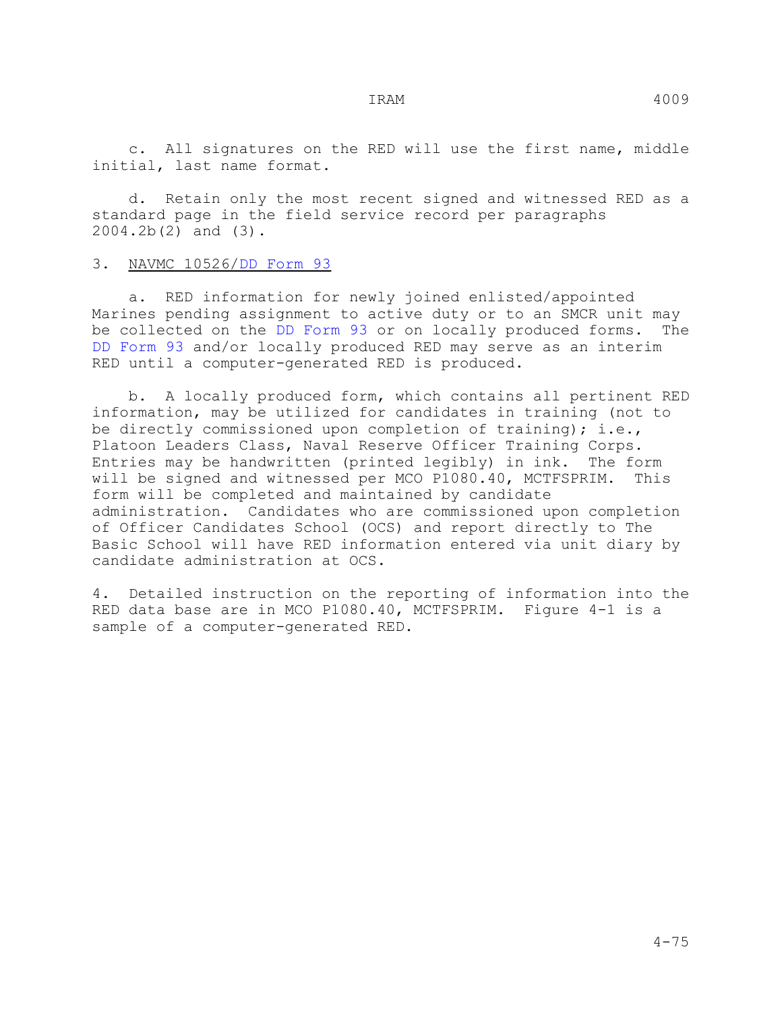d. Retain only the most recent signed and witnessed RED as a standard page in the field service record per paragraphs 2004.2b(2) and (3).

### 3. NAVMC 10526/DD Form 93

 a. RED information for newly joined enlisted/appointed Marines pending assignment to active duty or to an SMCR unit may be collected on the DD Form 93 or on locally produced forms. The DD Form 93 and/or locally produced RED may serve as an interim RED until a computer-generated RED is produced.

 b. A locally produced form, which contains all pertinent RED information, may be utilized for candidates in training (not to be directly commissioned upon completion of training); i.e., Platoon Leaders Class, Naval Reserve Officer Training Corps. Entries may be handwritten (printed legibly) in ink. The form will be signed and witnessed per MCO P1080.40, MCTFSPRIM. form will be completed and maintained by candidate administration. Candidates who are commissioned upon completion of Officer Candidates School (OCS) and report directly to The Basic School will have RED information entered via unit diary by candidate administration at OCS.

4. Detailed instruction on the reporting of information into the RED data base are in MCO P1080.40, MCTFSPRIM. Figure 4-1 is a sample of a computer-generated RED.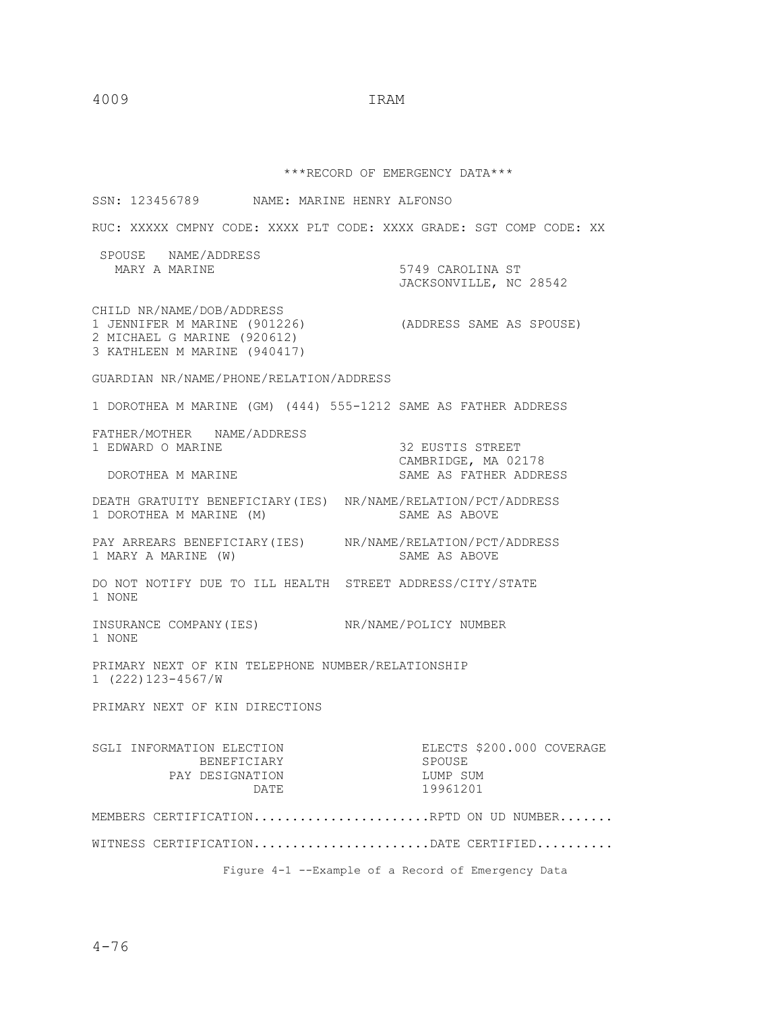\*\*\*RECORD OF EMERGENCY DATA\*\*\*

SSN: 123456789 NAME: MARINE HENRY ALFONSO RUC: XXXXX CMPNY CODE: XXXX PLT CODE: XXXX GRADE: SGT COMP CODE: XX SPOUSE NAME/ADDRESS<br>MARY A MARINE 5749 CAROLINA ST JACKSONVILLE, NC 28542 CHILD NR/NAME/DOB/ADDRESS 1 JENNIFER M MARINE (901226) (ADDRESS SAME AS SPOUSE) 2 MICHAEL G MARINE (920612) 3 KATHLEEN M MARINE (940417) GUARDIAN NR/NAME/PHONE/RELATION/ADDRESS 1 DOROTHEA M MARINE (GM) (444) 555-1212 SAME AS FATHER ADDRESS FATHER/MOTHER NAME/ADDRESS 1 EDWARD O MARINE 32 EUSTIS STREET CAMBRIDGE, MA 02178 SAME AS FATHER ADDRESS DEATH GRATUITY BENEFICIARY(IES) NR/NAME/RELATION/PCT/ADDRESS<br>1 DOROTHEA M MARINE (M) SAME AS ABOVE 1 DOROTHEA M MARINE (M) PAY ARREARS BENEFICIARY(IES) NR/NAME/RELATION/PCT/ADDRESS<br>1 MARY A MARINE (W) SAME AS ABOVE 1 MARY A MARINE (W) DO NOT NOTIFY DUE TO ILL HEALTH STREET ADDRESS/CITY/STATE 1 NONE INSURANCE COMPANY(IES) NR/NAME/POLICY NUMBER 1 NONE PRIMARY NEXT OF KIN TELEPHONE NUMBER/RELATIONSHIP 1 (222)123-4567/W PRIMARY NEXT OF KIN DIRECTIONS SGLI INFORMATION ELECTION ELECTION ELECTS \$200.000 COVERAGE BENEFICIARY SPOUSE BENEFICIARY SPOUSE<br>DESIGNATION LUMP SUM PAY DESIGNATION LUMP SUM<br>DATE 19961201 DATE 19961201 MEMBERS CERTIFICATION......................RPTD ON UD NUMBER....... WITNESS CERTIFICATION........................DATE CERTIFIED.......... Figure 4-1 --Example of a Record of Emergency Data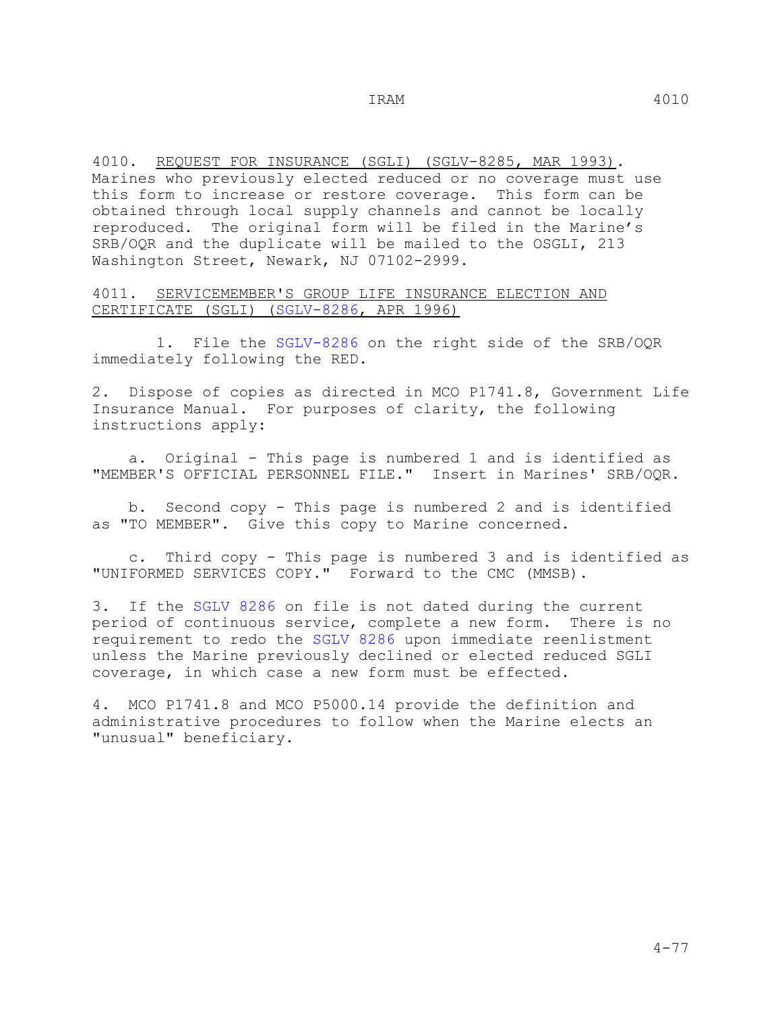4010. REQUEST FOR INSURANCE (SGLI) (SGLV-8285, MAR 1993). Marines who previously elected reduced or no coverage must use this form to increase or restore coverage. This form can be obtained through local supply channels and cannot be locally reproduced. The original form will be filed in the Marine's SRB/OQR and the duplicate will be mailed to the OSGLI, 213 Washington Street, Newark, NJ 07102-2999.

4011. SERVICEMEMBER'S GROUP LIFE INSURANCE ELECTION AND CERTIFICATE (SGLI) (SGLV-8286, APR 1996)

 1. File the SGLV-8286 on the right side of the SRB/OQR immediately following the RED.

2. Dispose of copies as directed in MCO P1741.8, Government Life Insurance Manual. For purposes of clarity, the following instructions apply:

 a. Original - This page is numbered 1 and is identified as "MEMBER'S OFFICIAL PERSONNEL FILE." Insert in Marines' SRB/OQR.

 b. Second copy - This page is numbered 2 and is identified as "TO MEMBER". Give this copy to Marine concerned.

 c. Third copy - This page is numbered 3 and is identified as "UNIFORMED SERVICES COPY." Forward to the CMC (MMSB).

3. If the SGLV 8286 on file is not dated during the current period of continuous service, complete a new form. There is no requirement to redo the SGLV 8286 upon immediate reenlistment unless the Marine previously declined or elected reduced SGLI coverage, in which case a new form must be effected.

4. MCO P1741.8 and MCO P5000.14 provide the definition and administrative procedures to follow when the Marine elects an "unusual" beneficiary.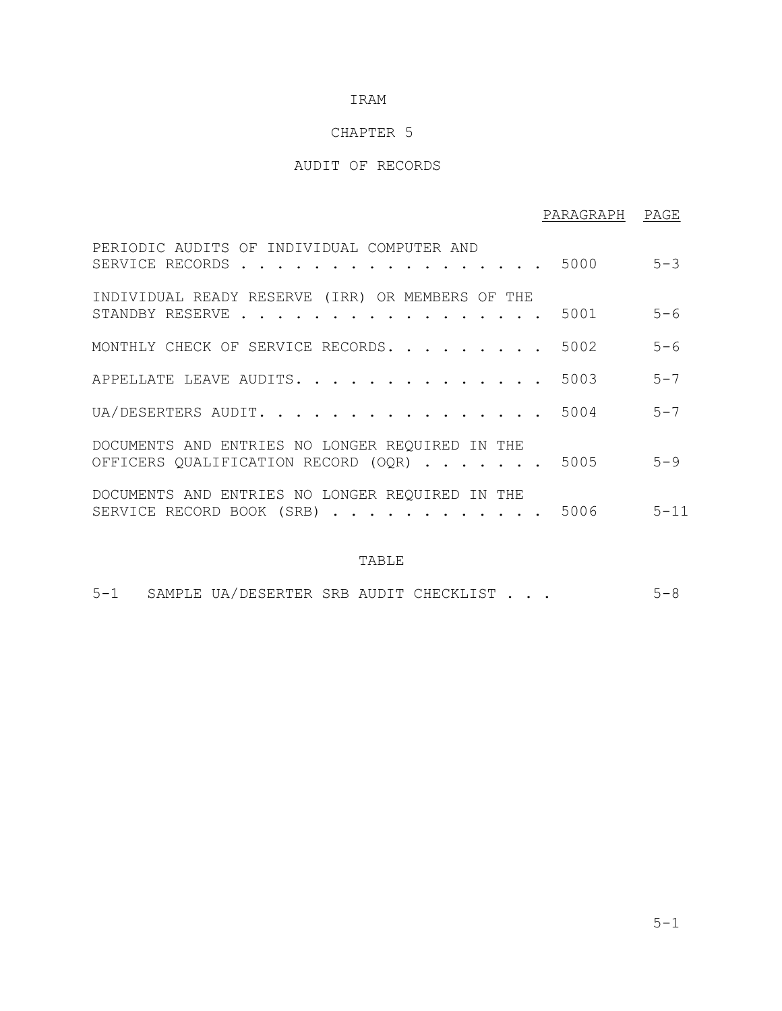# CHAPTER 5

# AUDIT OF RECORDS

|                                                                                             | PARAGRAPH PAGE |         |
|---------------------------------------------------------------------------------------------|----------------|---------|
| PERIODIC AUDITS OF INDIVIDUAL COMPUTER AND<br>SERVICE RECORDS                               | 5000           | $5 - 3$ |
| INDIVIDUAL READY RESERVE (IRR) OR MEMBERS OF THE<br>STANDBY RESERVE                         | 5001           | $5 - 6$ |
| MONTHLY CHECK OF SERVICE RECORDS.                                                           | 5002           | $5 - 6$ |
| APPELLATE LEAVE AUDITS. 5003                                                                |                | $5 - 7$ |
| UA/DESERTERS AUDIT.                                                                         | 5004           | $5 - 7$ |
| DOCUMENTS AND ENTRIES NO LONGER REQUIRED IN THE<br>OFFICERS QUALIFICATION RECORD (OQR) 5005 |                | $5 - 9$ |
| DOCUMENTS AND ENTRIES NO LONGER REQUIRED IN THE<br>SERVICE RECORD BOOK (SRB) 5006 5-11      |                |         |

### TABLE

| $5 - 1$<br>SAMPLE UA/DESERTER SRB AUDIT CHECKLIST $\cdot$ $\cdot$ $\cdot$ |  |  |
|---------------------------------------------------------------------------|--|--|
|---------------------------------------------------------------------------|--|--|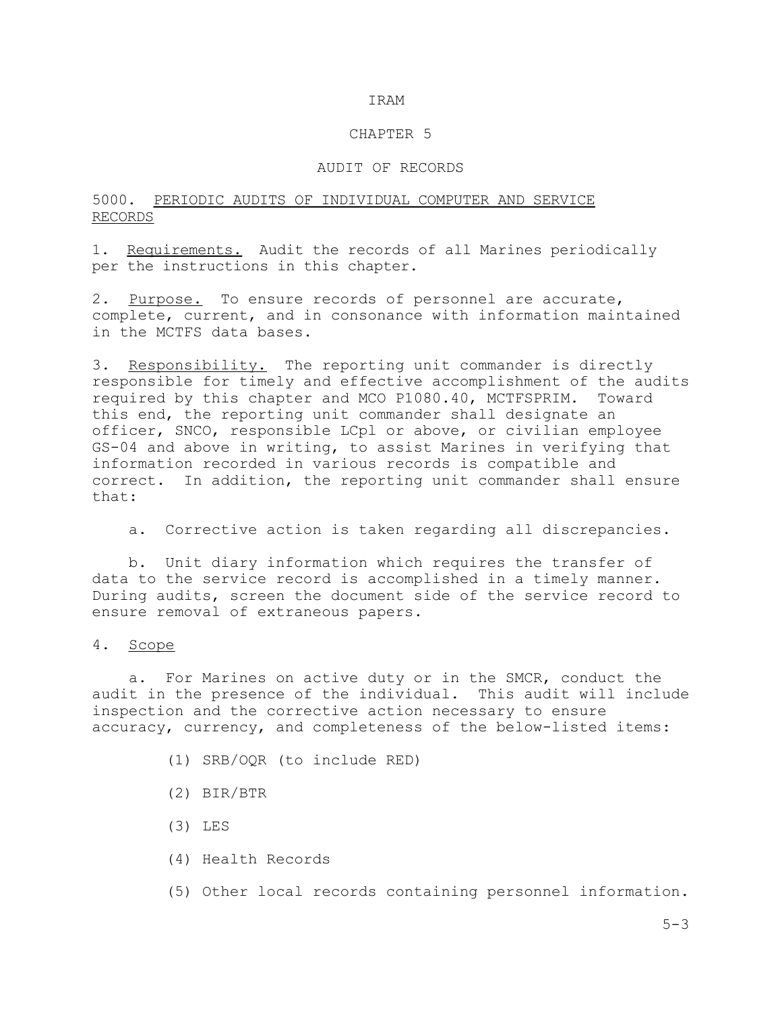#### CHAPTER 5

# AUDIT OF RECORDS

# 5000. PERIODIC AUDITS OF INDIVIDUAL COMPUTER AND SERVICE RECORDS

1. Requirements. Audit the records of all Marines periodically per the instructions in this chapter.

2. Purpose. To ensure records of personnel are accurate, complete, current, and in consonance with information maintained in the MCTFS data bases.

3. Responsibility. The reporting unit commander is directly responsible for timely and effective accomplishment of the audits required by this chapter and MCO P1080.40, MCTFSPRIM. Toward this end, the reporting unit commander shall designate an officer, SNCO, responsible LCpl or above, or civilian employee GS-04 and above in writing, to assist Marines in verifying that information recorded in various records is compatible and correct. In addition, the reporting unit commander shall ensure that:

a. Corrective action is taken regarding all discrepancies.

 b. Unit diary information which requires the transfer of data to the service record is accomplished in a timely manner. During audits, screen the document side of the service record to ensure removal of extraneous papers.

#### 4. Scope

 a. For Marines on active duty or in the SMCR, conduct the audit in the presence of the individual. This audit will include inspection and the corrective action necessary to ensure accuracy, currency, and completeness of the below-listed items:

- (1) SRB/OQR (to include RED)
- (2) BIR/BTR
- (3) LES
- (4) Health Records

(5) Other local records containing personnel information.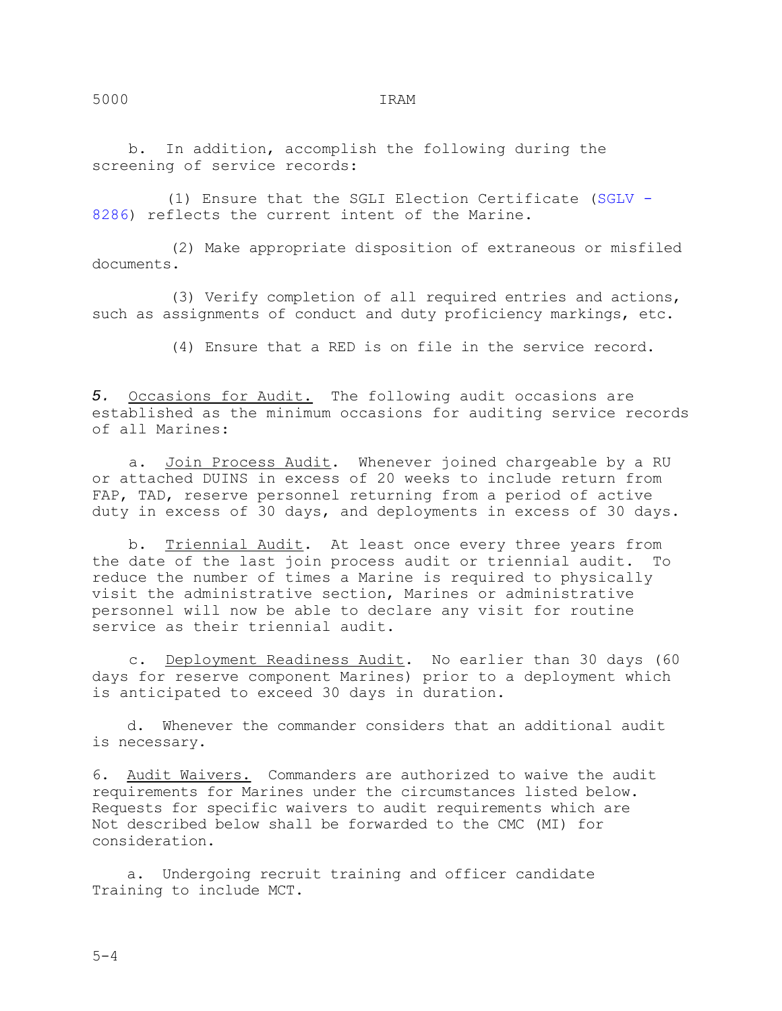b. In addition, accomplish the following during the screening of service records:

 (1) Ensure that the SGLI Election Certificate (SGLV - 8286) reflects the current intent of the Marine.

 (2) Make appropriate disposition of extraneous or misfiled documents.

 (3) Verify completion of all required entries and actions, such as assignments of conduct and duty proficiency markings, etc.

(4) Ensure that a RED is on file in the service record.

*5.* Occasions for Audit. The following audit occasions are established as the minimum occasions for auditing service records of all Marines:

a. Join Process Audit. Whenever joined chargeable by a RU or attached DUINS in excess of 20 weeks to include return from FAP, TAD, reserve personnel returning from a period of active duty in excess of 30 days, and deployments in excess of 30 days.

b. Triennial Audit. At least once every three years from the date of the last join process audit or triennial audit. To reduce the number of times a Marine is required to physically visit the administrative section, Marines or administrative personnel will now be able to declare any visit for routine service as their triennial audit.

 c. Deployment Readiness Audit. No earlier than 30 days (60 days for reserve component Marines) prior to a deployment which is anticipated to exceed 30 days in duration.

 d. Whenever the commander considers that an additional audit is necessary.

6. Audit Waivers. Commanders are authorized to waive the audit requirements for Marines under the circumstances listed below. Requests for specific waivers to audit requirements which are Not described below shall be forwarded to the CMC (MI) for consideration.

 a. Undergoing recruit training and officer candidate Training to include MCT.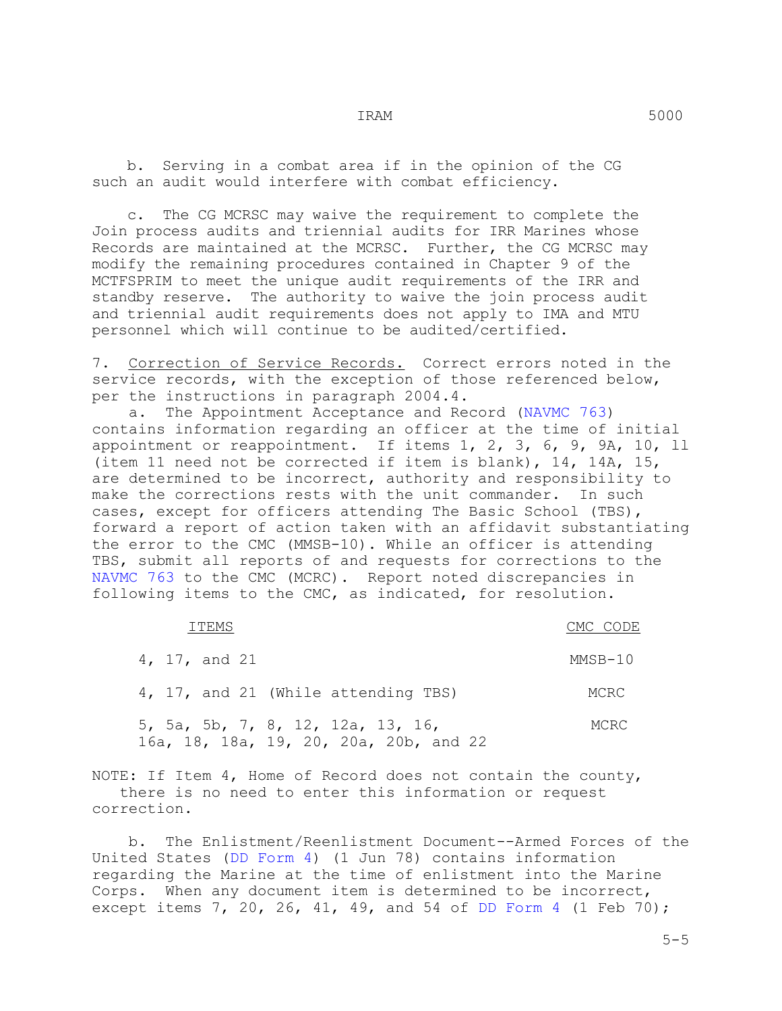b. Serving in a combat area if in the opinion of the CG such an audit would interfere with combat efficiency.

 c. The CG MCRSC may waive the requirement to complete the Join process audits and triennial audits for IRR Marines whose Records are maintained at the MCRSC. Further, the CG MCRSC may modify the remaining procedures contained in Chapter 9 of the MCTFSPRIM to meet the unique audit requirements of the IRR and standby reserve. The authority to waive the join process audit and triennial audit requirements does not apply to IMA and MTU personnel which will continue to be audited/certified.

7. Correction of Service Records. Correct errors noted in the service records, with the exception of those referenced below, per the instructions in paragraph 2004.4.

 a. The Appointment Acceptance and Record (NAVMC 763) contains information regarding an officer at the time of initial appointment or reappointment. If items 1, 2, 3, 6, 9, 9A, 10, ll (item 11 need not be corrected if item is blank), 14, 14A, 15, are determined to be incorrect, authority and responsibility to make the corrections rests with the unit commander. In such cases, except for officers attending The Basic School (TBS), forward a report of action taken with an affidavit substantiating the error to the CMC (MMSB-10). While an officer is attending TBS, submit all reports of and requests for corrections to the NAVMC 763 to the CMC (MCRC). Report noted discrepancies in following items to the CMC, as indicated, for resolution.

| TTEMS         |                                                                             | CMC CODE |
|---------------|-----------------------------------------------------------------------------|----------|
| 4, 17, and 21 |                                                                             | MMSB-10  |
|               | 4, 17, and 21 (While attending TBS)                                         | MCRC     |
|               | 5, 5a, 5b, 7, 8, 12, 12a, 13, 16,<br>16a, 18, 18a, 19, 20, 20a, 20b, and 22 | MCRC     |

NOTE: If Item 4, Home of Record does not contain the county, there is no need to enter this information or request correction.

 b. The Enlistment/Reenlistment Document--Armed Forces of the United States (DD Form 4) (1 Jun 78) contains information regarding the Marine at the time of enlistment into the Marine Corps. When any document item is determined to be incorrect, except items 7, 20, 26, 41, 49, and 54 of DD Form 4 (1 Feb 70);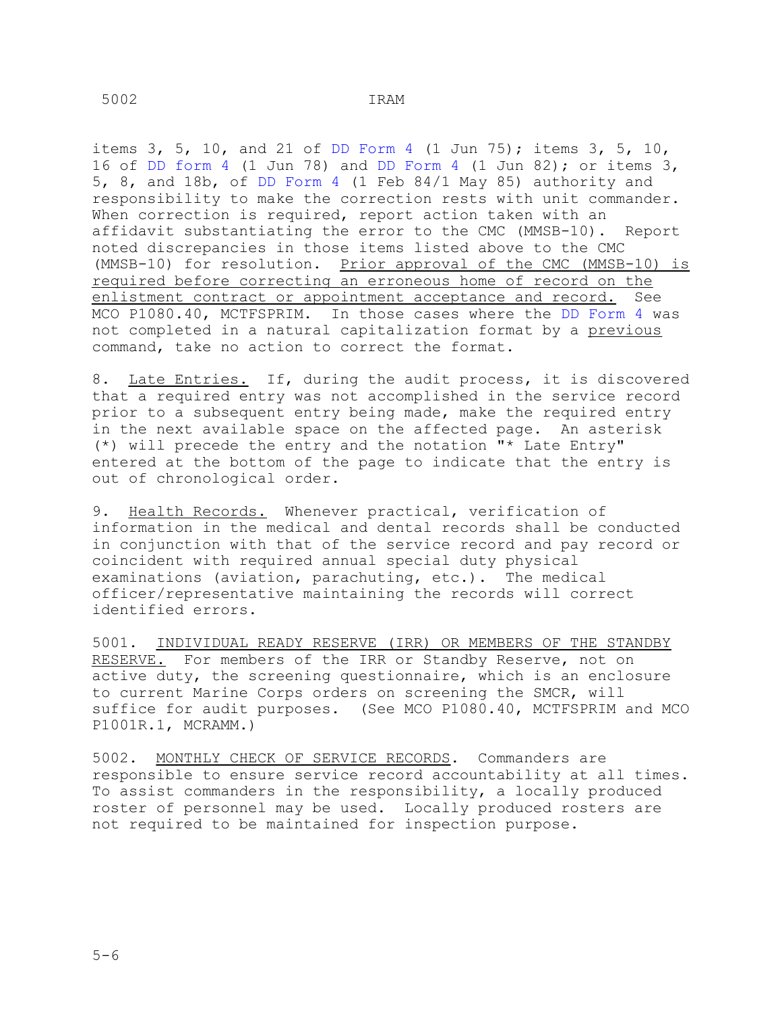items 3, 5, 10, and 21 of DD Form 4 (1 Jun 75); items 3, 5, 10, 16 of DD form 4 (1 Jun 78) and DD Form 4 (1 Jun 82); or items 3, 5, 8, and 18b, of DD Form 4 (1 Feb 84/1 May 85) authority and responsibility to make the correction rests with unit commander. When correction is required, report action taken with an affidavit substantiating the error to the CMC (MMSB-10). Report noted discrepancies in those items listed above to the CMC (MMSB-10) for resolution. Prior approval of the CMC (MMSB-10) is required before correcting an erroneous home of record on the enlistment contract or appointment acceptance and record. See MCO P1080.40, MCTFSPRIM. In those cases where the DD Form 4 was not completed in a natural capitalization format by a previous command, take no action to correct the format.

8. Late Entries. If, during the audit process, it is discovered that a required entry was not accomplished in the service record prior to a subsequent entry being made, make the required entry in the next available space on the affected page. An asterisk (\*) will precede the entry and the notation "\* Late Entry" entered at the bottom of the page to indicate that the entry is out of chronological order.

9. Health Records. Whenever practical, verification of information in the medical and dental records shall be conducted in conjunction with that of the service record and pay record or coincident with required annual special duty physical examinations (aviation, parachuting, etc.). The medical officer/representative maintaining the records will correct identified errors.

5001. INDIVIDUAL READY RESERVE (IRR) OR MEMBERS OF THE STANDBY RESERVE. For members of the IRR or Standby Reserve, not on active duty, the screening questionnaire, which is an enclosure to current Marine Corps orders on screening the SMCR, will suffice for audit purposes. (See MCO P1080.40, MCTFSPRIM and MCO P1001R.1, MCRAMM.)

5002. MONTHLY CHECK OF SERVICE RECORDS. Commanders are responsible to ensure service record accountability at all times. To assist commanders in the responsibility, a locally produced roster of personnel may be used. Locally produced rosters are not required to be maintained for inspection purpose.

5002 IRAM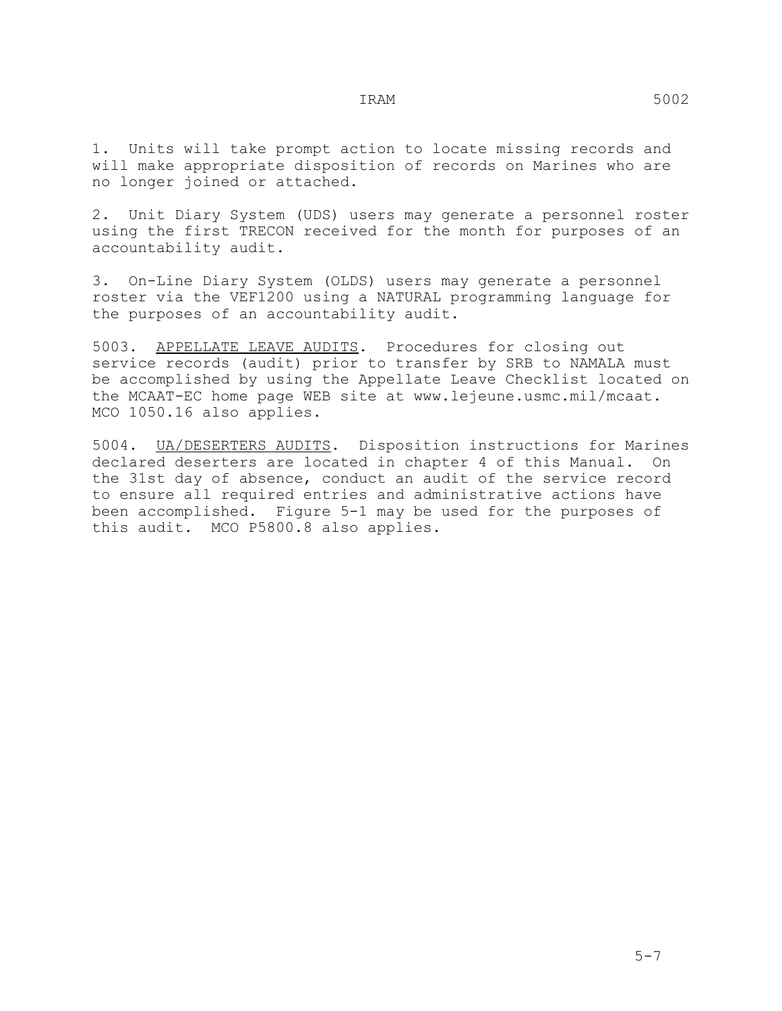1. Units will take prompt action to locate missing records and will make appropriate disposition of records on Marines who are no longer joined or attached.

2. Unit Diary System (UDS) users may generate a personnel roster using the first TRECON received for the month for purposes of an accountability audit.

3. On-Line Diary System (OLDS) users may generate a personnel roster via the VEF1200 using a NATURAL programming language for the purposes of an accountability audit.

5003. APPELLATE LEAVE AUDITS. Procedures for closing out service records (audit) prior to transfer by SRB to NAMALA must be accomplished by using the Appellate Leave Checklist located on the MCAAT-EC home page WEB site at www.lejeune.usmc.mil/mcaat. MCO 1050.16 also applies.

5004. UA/DESERTERS AUDITS. Disposition instructions for Marines declared deserters are located in chapter 4 of this Manual. On the 31st day of absence, conduct an audit of the service record to ensure all required entries and administrative actions have been accomplished. Figure 5-1 may be used for the purposes of this audit. MCO P5800.8 also applies.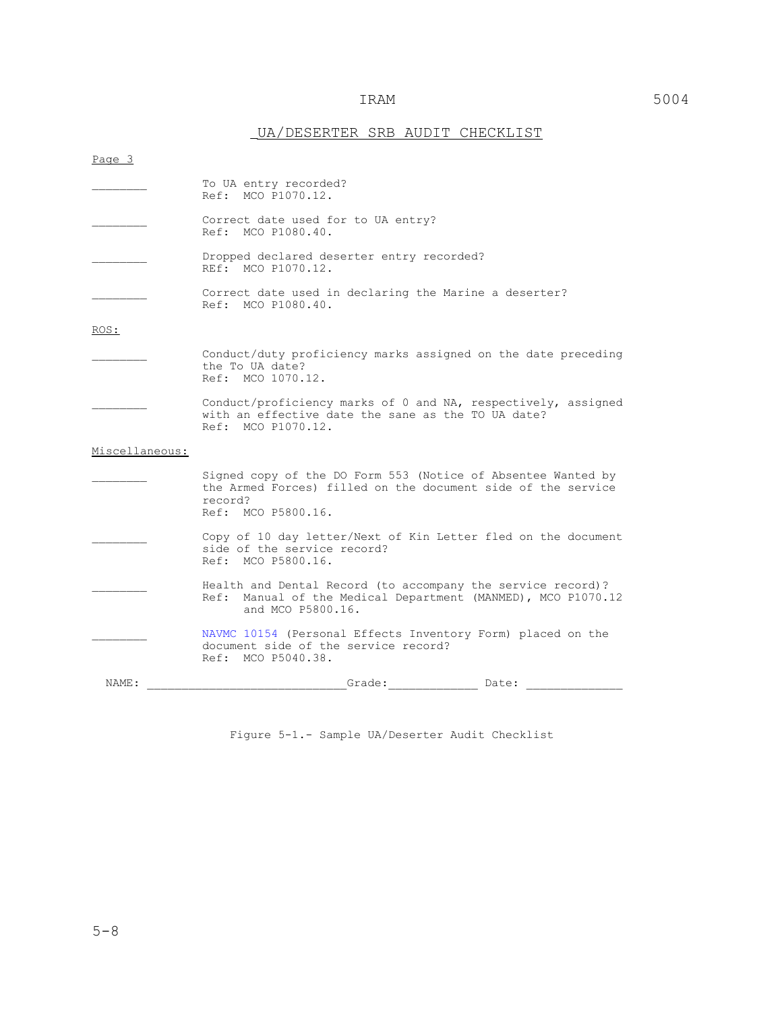# UA/DESERTER SRB AUDIT CHECKLIST

| Page 3         |                                                                                                                                                               |
|----------------|---------------------------------------------------------------------------------------------------------------------------------------------------------------|
|                | To UA entry recorded?<br>Ref: MCO P1070.12.                                                                                                                   |
|                | Correct date used for to UA entry?<br>Ref: MCO P1080.40.                                                                                                      |
|                | Dropped declared deserter entry recorded?<br>REf: MCO P1070.12.                                                                                               |
|                | Correct date used in declaring the Marine a deserter?<br>Ref: MCO P1080.40.                                                                                   |
| ROS:           |                                                                                                                                                               |
|                | Conduct/duty proficiency marks assigned on the date preceding<br>the To UA date?<br>Ref: MCO 1070.12.                                                         |
|                | Conduct/proficiency marks of 0 and NA, respectively, assigned<br>with an effective date the sane as the TO UA date?<br>Ref: MCO P1070.12.                     |
| Miscellaneous: |                                                                                                                                                               |
|                | Signed copy of the DO Form 553 (Notice of Absentee Wanted by<br>the Armed Forces) filled on the document side of the service<br>record?<br>Ref: MCO P5800.16. |
|                | Copy of 10 day letter/Next of Kin Letter fled on the document<br>side of the service record?<br>Ref: MCO P5800.16.                                            |
|                | Health and Dental Record (to accompany the service record)?<br>Ref: Manual of the Medical Department (MANMED), MCO P1070.12<br>and MCO P5800.16.              |
|                | NAVMC 10154 (Personal Effects Inventory Form) placed on the<br>document side of the service record?<br>Ref: MCO P5040.38.                                     |
| NAME:          | Grade:<br>Date:                                                                                                                                               |
|                |                                                                                                                                                               |

Figure 5-1.- Sample UA/Deserter Audit Checklist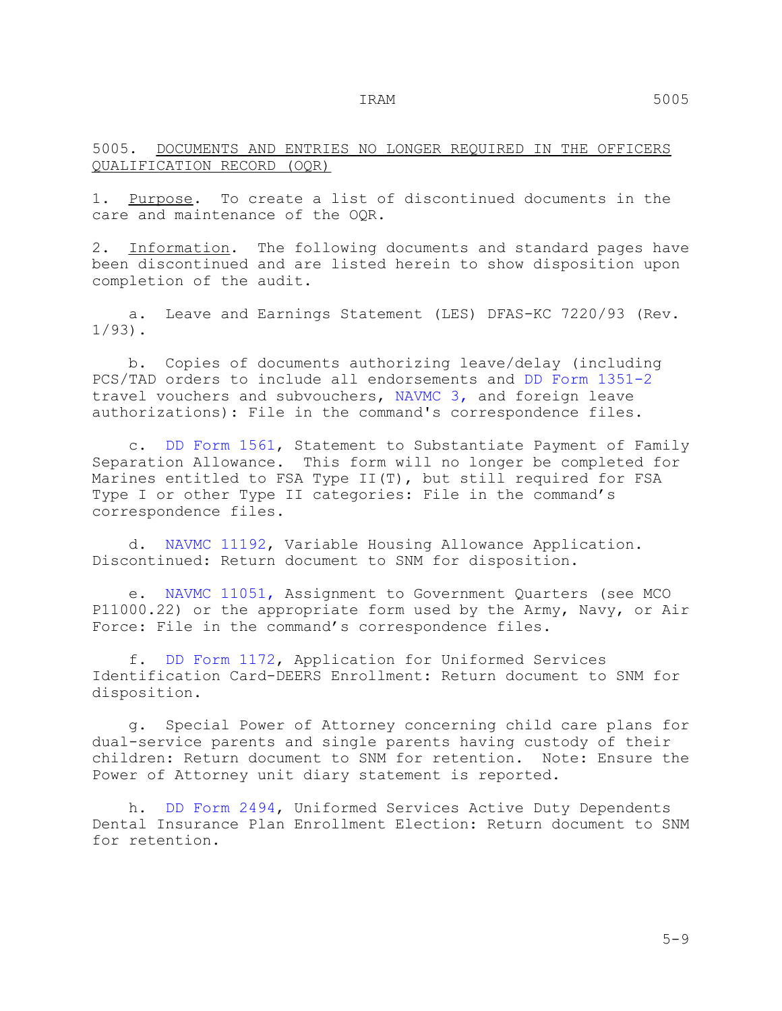5005. DOCUMENTS AND ENTRIES NO LONGER REQUIRED IN THE OFFICERS QUALIFICATION RECORD (OQR)

1. Purpose. To create a list of discontinued documents in the care and maintenance of the OQR.

2. Information. The following documents and standard pages have been discontinued and are listed herein to show disposition upon completion of the audit.

 a. Leave and Earnings Statement (LES) DFAS-KC 7220/93 (Rev. 1/93).

 b. Copies of documents authorizing leave/delay (including PCS/TAD orders to include all endorsements and DD Form 1351-2 travel vouchers and subvouchers, NAVMC 3, and foreign leave authorizations): File in the command's correspondence files.

 c. DD Form 1561, Statement to Substantiate Payment of Family Separation Allowance. This form will no longer be completed for Marines entitled to FSA Type II(T), but still required for FSA Type I or other Type II categories: File in the command's correspondence files.

 d. NAVMC 11192, Variable Housing Allowance Application. Discontinued: Return document to SNM for disposition.

 e. NAVMC 11051, Assignment to Government Quarters (see MCO P11000.22) or the appropriate form used by the Army, Navy, or Air Force: File in the command's correspondence files.

 f. DD Form 1172, Application for Uniformed Services Identification Card-DEERS Enrollment: Return document to SNM for disposition.

 g. Special Power of Attorney concerning child care plans for dual-service parents and single parents having custody of their children: Return document to SNM for retention. Note: Ensure the Power of Attorney unit diary statement is reported.

 h. DD Form 2494, Uniformed Services Active Duty Dependents Dental Insurance Plan Enrollment Election: Return document to SNM for retention.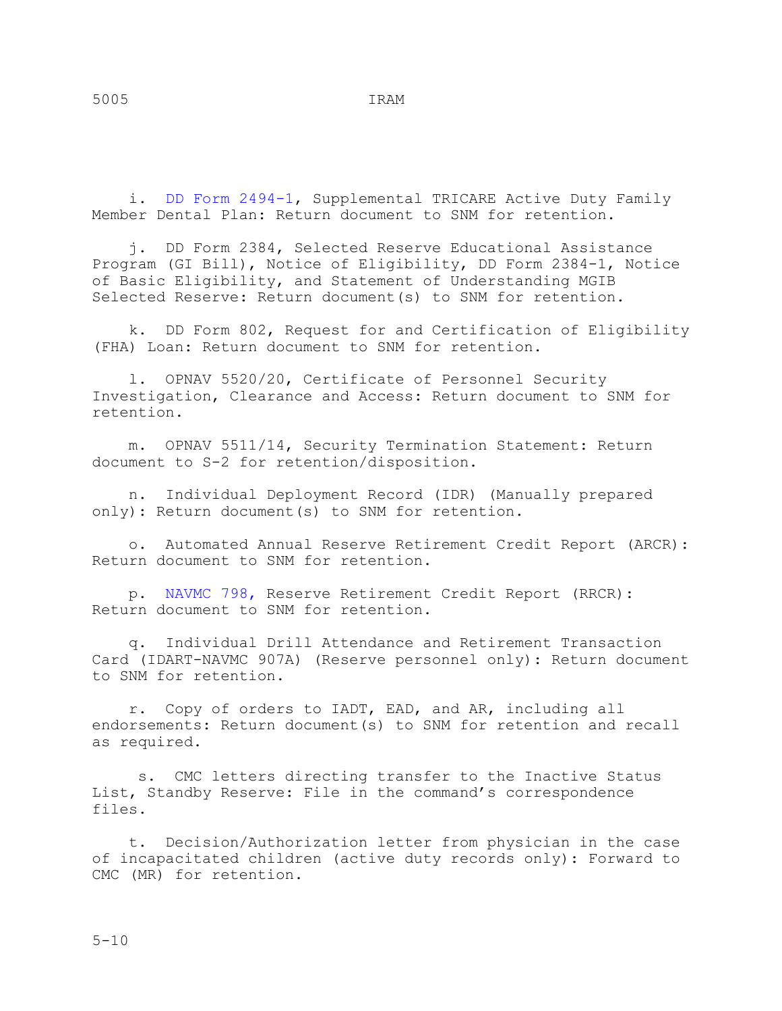i. DD Form 2494-1, Supplemental TRICARE Active Duty Family Member Dental Plan: Return document to SNM for retention.

 j. DD Form 2384, Selected Reserve Educational Assistance Program (GI Bill), Notice of Eligibility, DD Form 2384-1, Notice of Basic Eligibility, and Statement of Understanding MGIB Selected Reserve: Return document(s) to SNM for retention.

 k. DD Form 802, Request for and Certification of Eligibility (FHA) Loan: Return document to SNM for retention.

 l. OPNAV 5520/20, Certificate of Personnel Security Investigation, Clearance and Access: Return document to SNM for retention.

 m. OPNAV 5511/14, Security Termination Statement: Return document to S-2 for retention/disposition.

 n. Individual Deployment Record (IDR) (Manually prepared only): Return document(s) to SNM for retention.

 o. Automated Annual Reserve Retirement Credit Report (ARCR): Return document to SNM for retention.

 p. NAVMC 798, Reserve Retirement Credit Report (RRCR): Return document to SNM for retention.

 q. Individual Drill Attendance and Retirement Transaction Card (IDART-NAVMC 907A) (Reserve personnel only): Return document to SNM for retention.

 r. Copy of orders to IADT, EAD, and AR, including all endorsements: Return document(s) to SNM for retention and recall as required.

 s. CMC letters directing transfer to the Inactive Status List, Standby Reserve: File in the command's correspondence files.

 t. Decision/Authorization letter from physician in the case of incapacitated children (active duty records only): Forward to CMC (MR) for retention.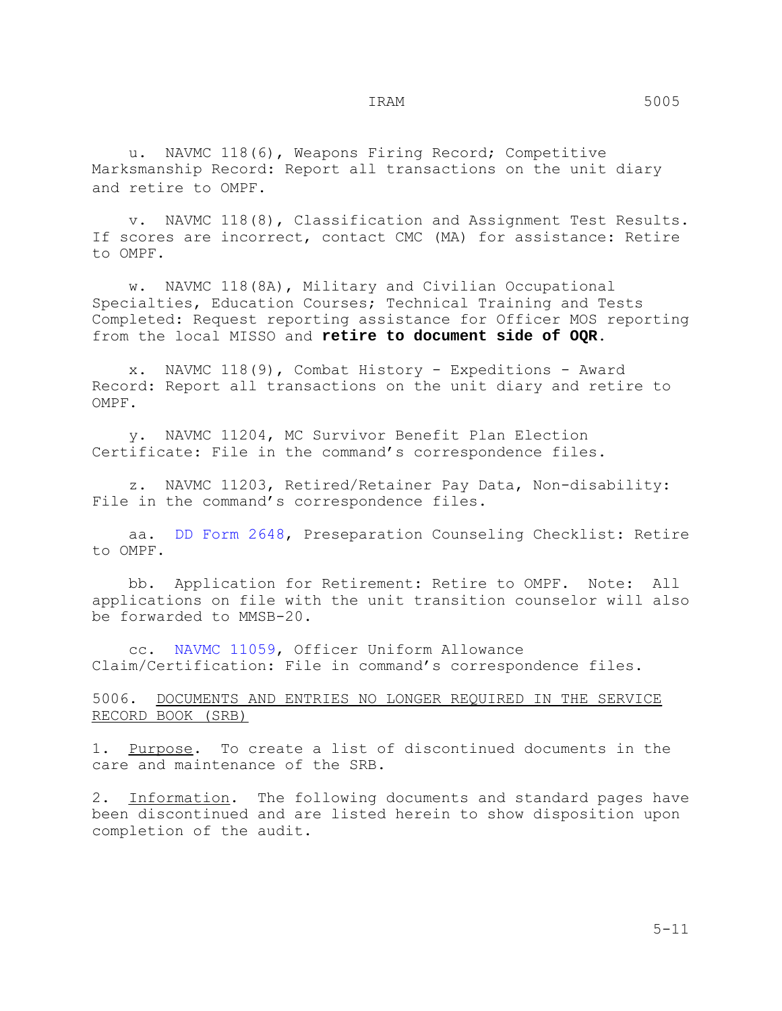u. NAVMC 118(6), Weapons Firing Record; Competitive Marksmanship Record: Report all transactions on the unit diary and retire to OMPF.

 v. NAVMC 118(8), Classification and Assignment Test Results. If scores are incorrect, contact CMC (MA) for assistance: Retire to OMPF.

 w. NAVMC 118(8A), Military and Civilian Occupational Specialties, Education Courses; Technical Training and Tests Completed: Request reporting assistance for Officer MOS reporting from the local MISSO and **retire to document side of OQR**.

 x. NAVMC 118(9), Combat History - Expeditions - Award Record: Report all transactions on the unit diary and retire to OMPF.

 y. NAVMC 11204, MC Survivor Benefit Plan Election Certificate: File in the command's correspondence files.

 z. NAVMC 11203, Retired/Retainer Pay Data, Non-disability: File in the command's correspondence files.

 aa. DD Form 2648, Preseparation Counseling Checklist: Retire to OMPF.

 bb. Application for Retirement: Retire to OMPF. Note: All applications on file with the unit transition counselor will also be forwarded to MMSB-20.

 cc. NAVMC 11059, Officer Uniform Allowance Claim/Certification: File in command's correspondence files.

# 5006. DOCUMENTS AND ENTRIES NO LONGER REQUIRED IN THE SERVICE RECORD BOOK (SRB)

1. Purpose. To create a list of discontinued documents in the care and maintenance of the SRB.

2. Information. The following documents and standard pages have been discontinued and are listed herein to show disposition upon completion of the audit.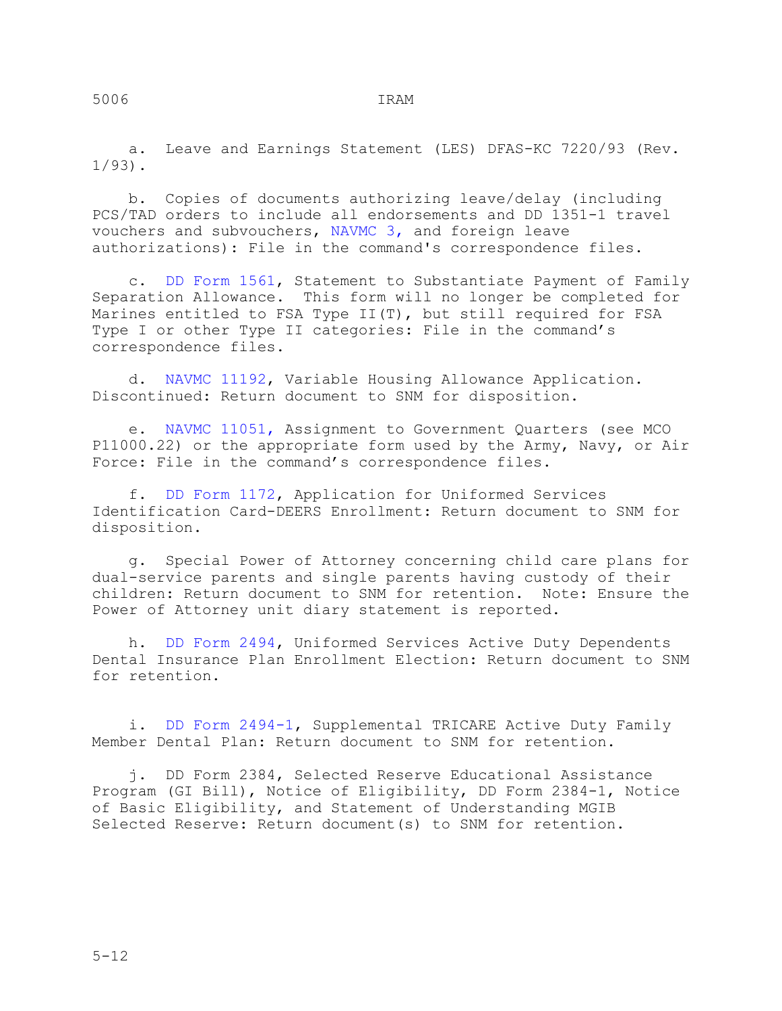a. Leave and Earnings Statement (LES) DFAS-KC 7220/93 (Rev.  $1/93$ .

 b. Copies of documents authorizing leave/delay (including PCS/TAD orders to include all endorsements and DD 1351-1 travel vouchers and subvouchers, NAVMC 3, and foreign leave authorizations): File in the command's correspondence files.

 c. DD Form 1561, Statement to Substantiate Payment of Family Separation Allowance. This form will no longer be completed for Marines entitled to FSA Type II(T), but still required for FSA Type I or other Type II categories: File in the command's correspondence files.

 d. NAVMC 11192, Variable Housing Allowance Application. Discontinued: Return document to SNM for disposition.

 e. NAVMC 11051, Assignment to Government Quarters (see MCO P11000.22) or the appropriate form used by the Army, Navy, or Air Force: File in the command's correspondence files.

 f. DD Form 1172, Application for Uniformed Services Identification Card-DEERS Enrollment: Return document to SNM for disposition.

 g. Special Power of Attorney concerning child care plans for dual-service parents and single parents having custody of their children: Return document to SNM for retention. Note: Ensure the Power of Attorney unit diary statement is reported.

 h. DD Form 2494, Uniformed Services Active Duty Dependents Dental Insurance Plan Enrollment Election: Return document to SNM for retention.

 i. DD Form 2494-1, Supplemental TRICARE Active Duty Family Member Dental Plan: Return document to SNM for retention.

 j. DD Form 2384, Selected Reserve Educational Assistance Program (GI Bill), Notice of Eligibility, DD Form 2384-1, Notice of Basic Eligibility, and Statement of Understanding MGIB Selected Reserve: Return document(s) to SNM for retention.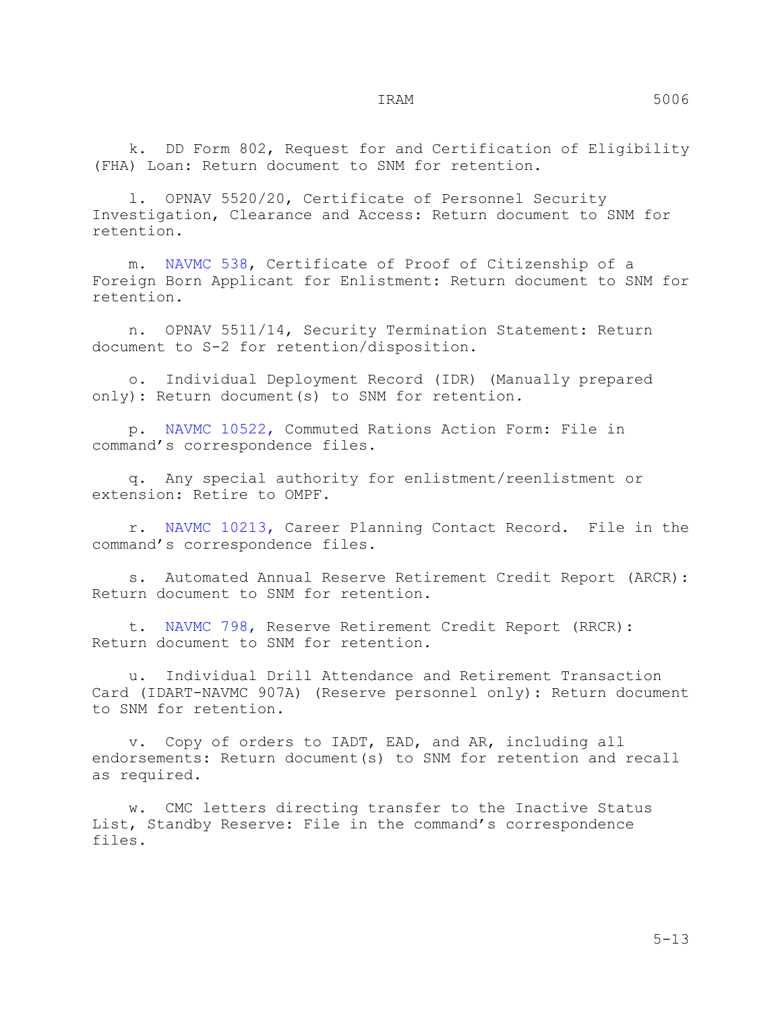k. DD Form 802, Request for and Certification of Eligibility (FHA) Loan: Return document to SNM for retention.

 l. OPNAV 5520/20, Certificate of Personnel Security Investigation, Clearance and Access: Return document to SNM for retention.

 m. NAVMC 538, Certificate of Proof of Citizenship of a Foreign Born Applicant for Enlistment: Return document to SNM for retention.

 n. OPNAV 5511/14, Security Termination Statement: Return document to S-2 for retention/disposition.

 o. Individual Deployment Record (IDR) (Manually prepared only): Return document(s) to SNM for retention.

 p. NAVMC 10522, Commuted Rations Action Form: File in command's correspondence files.

 q. Any special authority for enlistment/reenlistment or extension: Retire to OMPF.

 r. NAVMC 10213, Career Planning Contact Record. File in the command's correspondence files.

 s. Automated Annual Reserve Retirement Credit Report (ARCR): Return document to SNM for retention.

 t. NAVMC 798, Reserve Retirement Credit Report (RRCR): Return document to SNM for retention.

 u. Individual Drill Attendance and Retirement Transaction Card (IDART-NAVMC 907A) (Reserve personnel only): Return document to SNM for retention.

 v. Copy of orders to IADT, EAD, and AR, including all endorsements: Return document(s) to SNM for retention and recall as required.

 w. CMC letters directing transfer to the Inactive Status List, Standby Reserve: File in the command's correspondence files.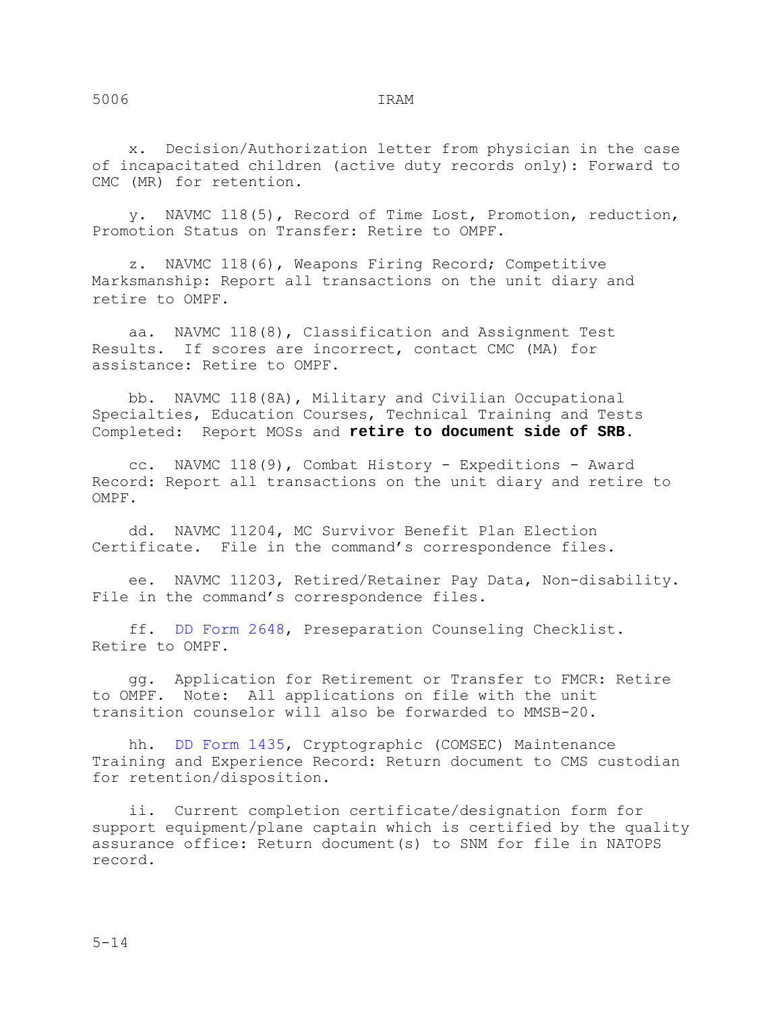x. Decision/Authorization letter from physician in the case of incapacitated children (active duty records only): Forward to CMC (MR) for retention.

 y. NAVMC 118(5), Record of Time Lost, Promotion, reduction, Promotion Status on Transfer: Retire to OMPF.

 z. NAVMC 118(6), Weapons Firing Record; Competitive Marksmanship: Report all transactions on the unit diary and retire to OMPF.

 aa. NAVMC 118(8), Classification and Assignment Test Results. If scores are incorrect, contact CMC (MA) for assistance: Retire to OMPF.

 bb. NAVMC 118(8A), Military and Civilian Occupational Specialties, Education Courses, Technical Training and Tests Completed: Report MOSs and **retire to document side of SRB**.

 cc. NAVMC 118(9), Combat History - Expeditions - Award Record: Report all transactions on the unit diary and retire to OMPF.

 dd. NAVMC 11204, MC Survivor Benefit Plan Election Certificate. File in the command's correspondence files.

 ee. NAVMC 11203, Retired/Retainer Pay Data, Non-disability. File in the command's correspondence files.

 ff. DD Form 2648, Preseparation Counseling Checklist. Retire to OMPF.

 gg. Application for Retirement or Transfer to FMCR: Retire to OMPF. Note: All applications on file with the unit transition counselor will also be forwarded to MMSB-20.

 hh. DD Form 1435, Cryptographic (COMSEC) Maintenance Training and Experience Record: Return document to CMS custodian for retention/disposition.

 ii. Current completion certificate/designation form for support equipment/plane captain which is certified by the quality assurance office: Return document(s) to SNM for file in NATOPS record.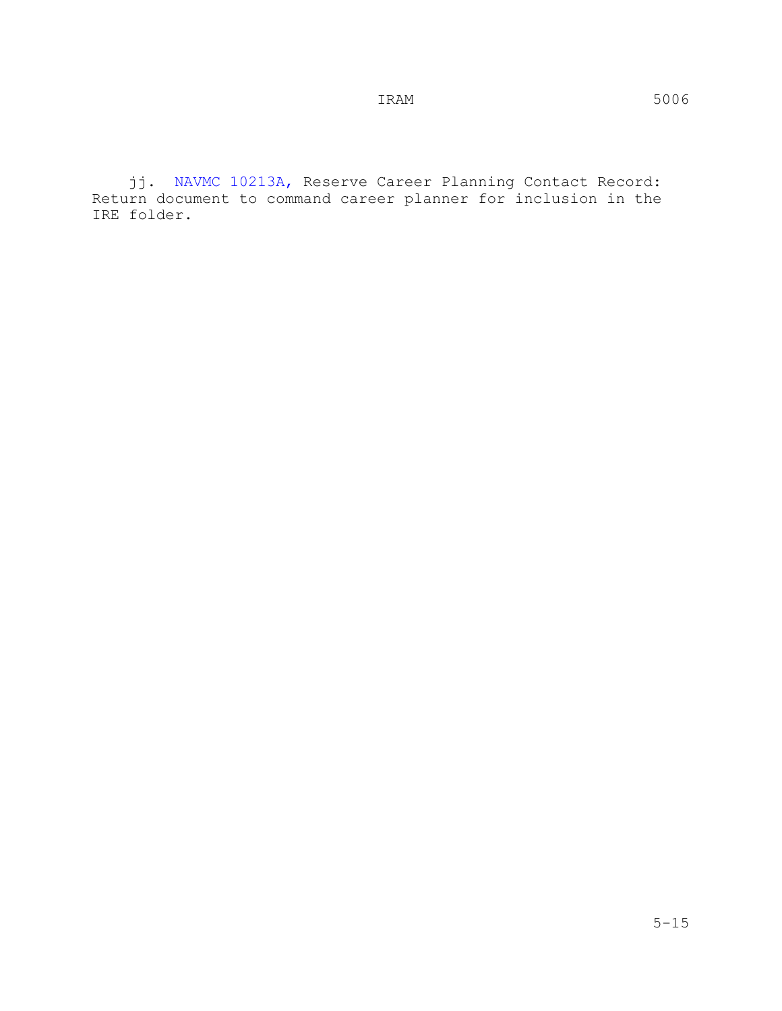jj. NAVMC 10213A, Reserve Career Planning Contact Record: Return document to command career planner for inclusion in the IRE folder.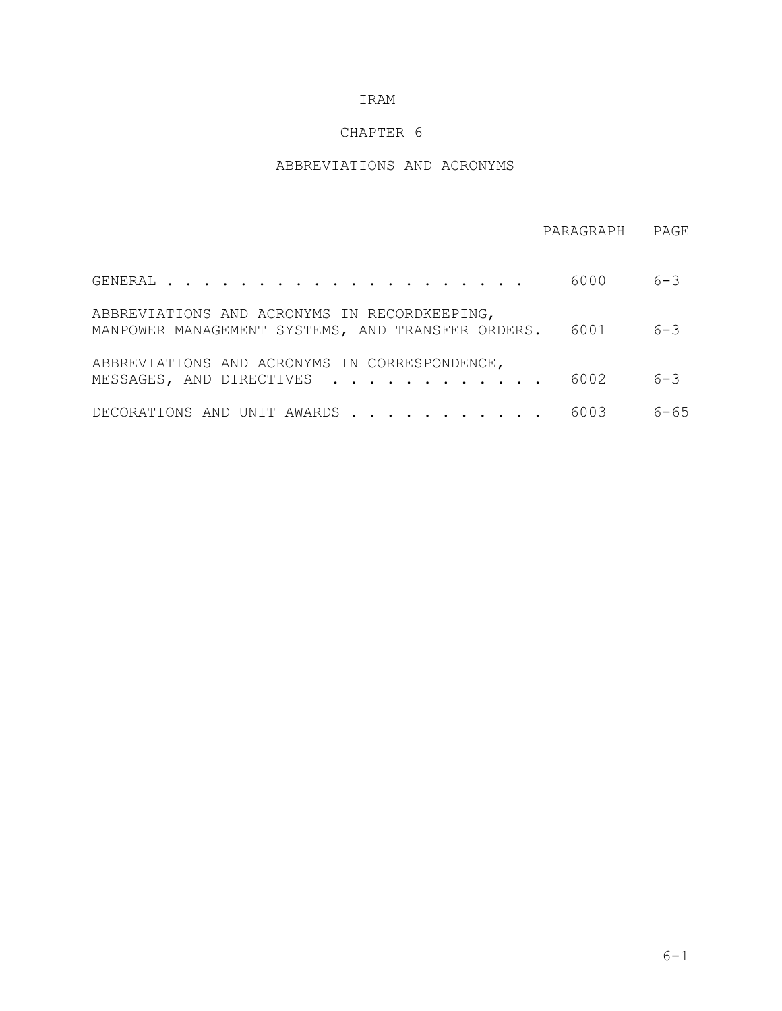# CHAPTER 6

# ABBREVIATIONS AND ACRONYMS

|                                                                                                   | PARAGRAPH | PAGE     |
|---------------------------------------------------------------------------------------------------|-----------|----------|
|                                                                                                   | 6000      | $6 - 3$  |
| ABBREVIATIONS AND ACRONYMS IN RECORDKEEPING,<br>MANPOWER MANAGEMENT SYSTEMS, AND TRANSFER ORDERS. | 6001      | $6 - 3$  |
| ABBREVIATIONS AND ACRONYMS IN CORRESPONDENCE,<br>MESSAGES, AND DIRECTIVES                         | 6002      | $6 - 3$  |
| DECORATIONS AND UNIT AWARDS                                                                       | 6003      | $6 - 65$ |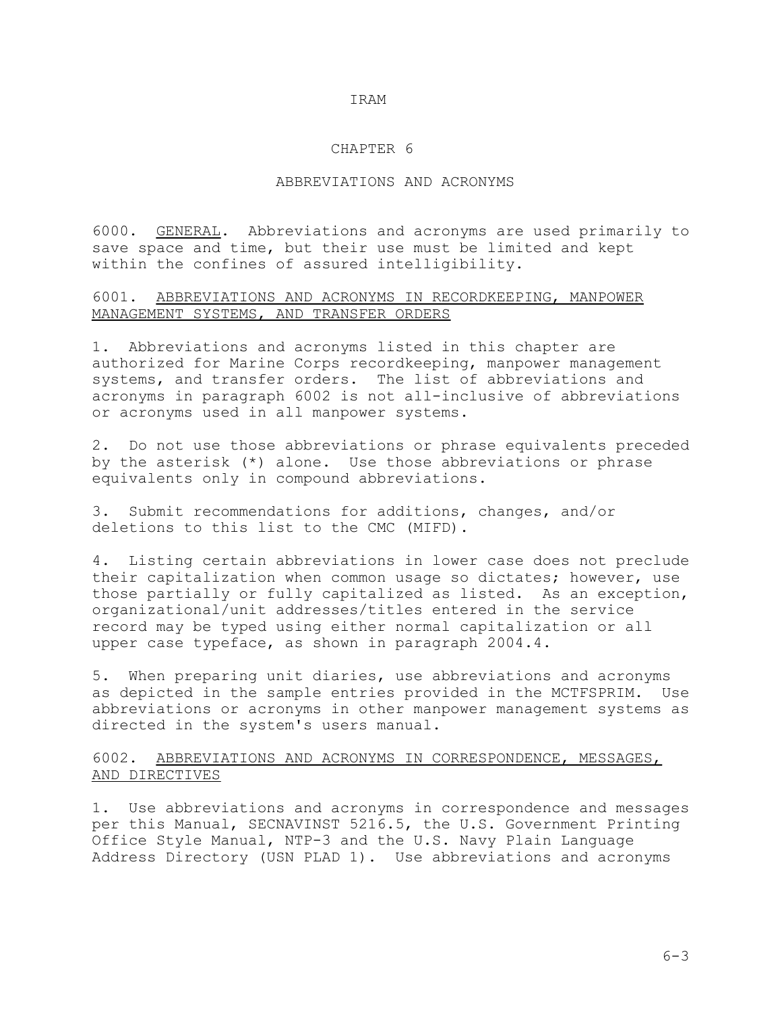### CHAPTER 6

# ABBREVIATIONS AND ACRONYMS

6000. GENERAL. Abbreviations and acronyms are used primarily to save space and time, but their use must be limited and kept within the confines of assured intelligibility.

## 6001. ABBREVIATIONS AND ACRONYMS IN RECORDKEEPING, MANPOWER MANAGEMENT SYSTEMS, AND TRANSFER ORDERS

1. Abbreviations and acronyms listed in this chapter are authorized for Marine Corps recordkeeping, manpower management systems, and transfer orders. The list of abbreviations and acronyms in paragraph 6002 is not all-inclusive of abbreviations or acronyms used in all manpower systems.

2. Do not use those abbreviations or phrase equivalents preceded by the asterisk (\*) alone. Use those abbreviations or phrase equivalents only in compound abbreviations.

3. Submit recommendations for additions, changes, and/or deletions to this list to the CMC (MIFD).

4. Listing certain abbreviations in lower case does not preclude their capitalization when common usage so dictates; however, use those partially or fully capitalized as listed. As an exception, organizational/unit addresses/titles entered in the service record may be typed using either normal capitalization or all upper case typeface, as shown in paragraph 2004.4.

5. When preparing unit diaries, use abbreviations and acronyms as depicted in the sample entries provided in the MCTFSPRIM. Use abbreviations or acronyms in other manpower management systems as directed in the system's users manual.

# 6002. ABBREVIATIONS AND ACRONYMS IN CORRESPONDENCE, MESSAGES, AND DIRECTIVES

1. Use abbreviations and acronyms in correspondence and messages per this Manual, SECNAVINST 5216.5, the U.S. Government Printing Office Style Manual, NTP-3 and the U.S. Navy Plain Language Address Directory (USN PLAD 1). Use abbreviations and acronyms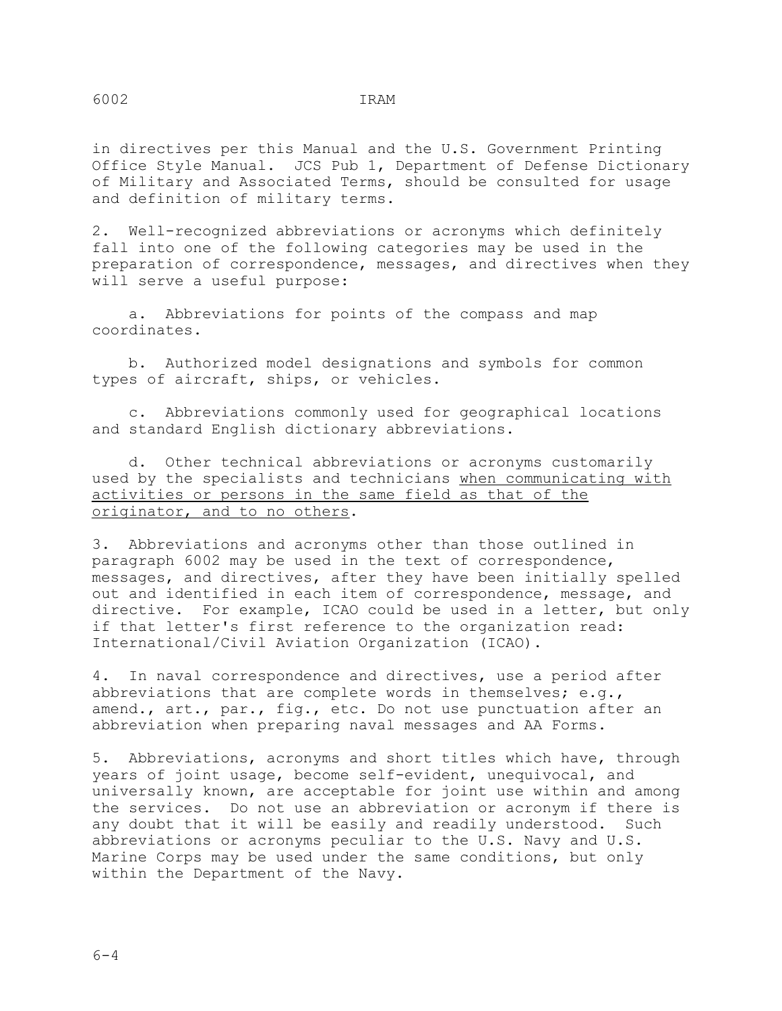in directives per this Manual and the U.S. Government Printing Office Style Manual. JCS Pub 1, Department of Defense Dictionary of Military and Associated Terms, should be consulted for usage and definition of military terms.

2. Well-recognized abbreviations or acronyms which definitely fall into one of the following categories may be used in the preparation of correspondence, messages, and directives when they will serve a useful purpose:

 a. Abbreviations for points of the compass and map coordinates.

 b. Authorized model designations and symbols for common types of aircraft, ships, or vehicles.

 c. Abbreviations commonly used for geographical locations and standard English dictionary abbreviations.

 d. Other technical abbreviations or acronyms customarily used by the specialists and technicians when communicating with activities or persons in the same field as that of the originator, and to no others.

3. Abbreviations and acronyms other than those outlined in paragraph 6002 may be used in the text of correspondence, messages, and directives, after they have been initially spelled out and identified in each item of correspondence, message, and directive. For example, ICAO could be used in a letter, but only if that letter's first reference to the organization read: International/Civil Aviation Organization (ICAO).

4. In naval correspondence and directives, use a period after abbreviations that are complete words in themselves; e.g., amend., art., par., fig., etc. Do not use punctuation after an abbreviation when preparing naval messages and AA Forms.

5. Abbreviations, acronyms and short titles which have, through years of joint usage, become self-evident, unequivocal, and universally known, are acceptable for joint use within and among the services. Do not use an abbreviation or acronym if there is any doubt that it will be easily and readily understood. Such abbreviations or acronyms peculiar to the U.S. Navy and U.S. Marine Corps may be used under the same conditions, but only within the Department of the Navy.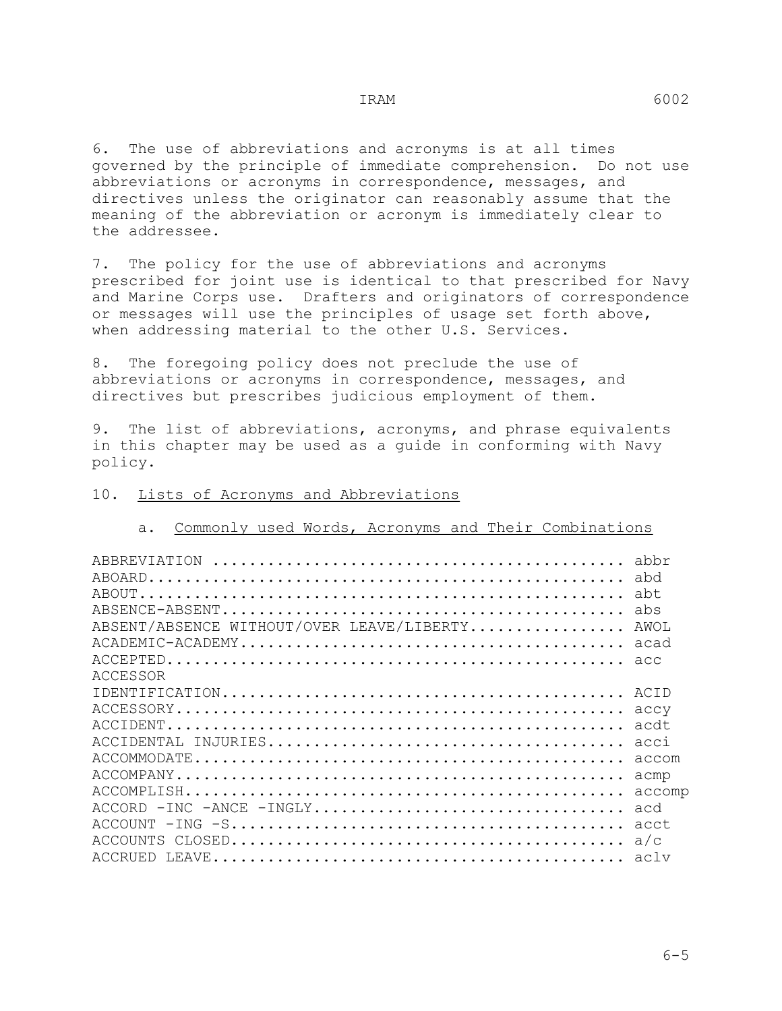6. The use of abbreviations and acronyms is at all times governed by the principle of immediate comprehension. Do not use abbreviations or acronyms in correspondence, messages, and directives unless the originator can reasonably assume that the meaning of the abbreviation or acronym is immediately clear to the addressee.

7. The policy for the use of abbreviations and acronyms prescribed for joint use is identical to that prescribed for Navy and Marine Corps use. Drafters and originators of correspondence or messages will use the principles of usage set forth above, when addressing material to the other U.S. Services.

8. The foregoing policy does not preclude the use of abbreviations or acronyms in correspondence, messages, and directives but prescribes judicious employment of them.

9. The list of abbreviations, acronyms, and phrase equivalents in this chapter may be used as a guide in conforming with Navy policy.

a. Commonly used Words, Acronyms and Their Combinations

| ABSENT/ABSENCE WITHOUT/OVER LEAVE/LIBERTY AWOL |        |
|------------------------------------------------|--------|
|                                                |        |
|                                                |        |
| ACCESSOR                                       |        |
|                                                |        |
|                                                |        |
|                                                |        |
|                                                |        |
|                                                |        |
|                                                | acmp   |
|                                                | accomp |
|                                                |        |
| ACCOUNT                                        |        |
| ACCOUNTS                                       |        |
|                                                |        |
|                                                |        |

#### 10. Lists of Acronyms and Abbreviations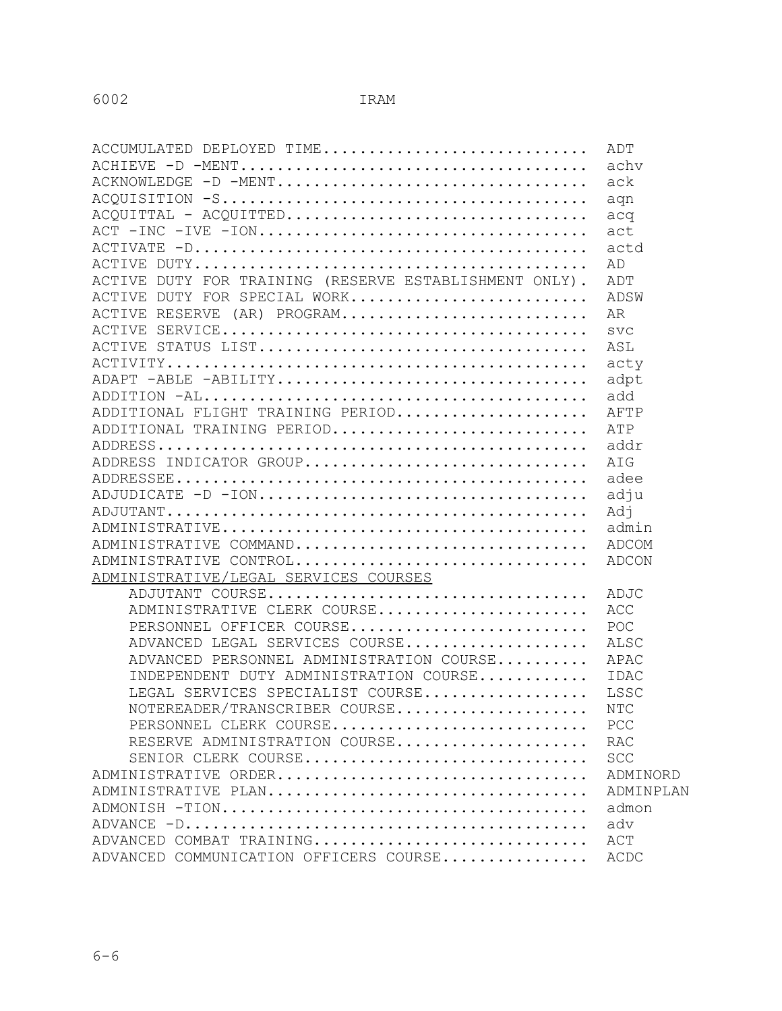| ACCUMULATED DEPLOYED TIME                              | ADT        |
|--------------------------------------------------------|------------|
|                                                        | achv       |
| ACKNOWLEDGE -D -MENT                                   | ack        |
|                                                        | aqn        |
|                                                        |            |
| ACT -INC -IVE -ION                                     | act        |
|                                                        | actd       |
|                                                        | AD         |
| ACTIVE DUTY FOR TRAINING (RESERVE ESTABLISHMENT ONLY). | ADT        |
| ACTIVE DUTY FOR SPECIAL WORK                           | ADSW       |
| ACTIVE RESERVE (AR) PROGRAM                            | AR         |
|                                                        | <b>SVC</b> |
|                                                        | ASL        |
|                                                        | acty       |
| ADAPT -ABLE -ABILITY                                   | adpt       |
|                                                        | add        |
| ADDITIONAL FLIGHT TRAINING PERIOD                      | AFTP       |
| ADDITIONAL TRAINING PERIOD                             | ATP        |
|                                                        |            |
| ADDRESS INDICATOR GROUP                                | AIG        |
|                                                        | adee       |
|                                                        | adju       |
|                                                        | Adi        |
|                                                        | admin      |
| ADMINISTRATIVE COMMAND                                 | ADCOM      |
| ADMINISTRATIVE CONTROL                                 | ADCON      |
| ADMINISTRATIVE/LEGAL SERVICES COURSES                  |            |
| ADJUTANT COURSE                                        | ADJC       |
| ADMINISTRATIVE CLERK COURSE                            | ACC        |
| PERSONNEL OFFICER COURSE                               | POC        |
| ADVANCED LEGAL SERVICES COURSE                         | ALSC       |
| ADVANCED PERSONNEL ADMINISTRATION COURSE APAC          |            |
| INDEPENDENT DUTY ADMINISTRATION COURSE                 | IDAC       |
| LEGAL SERVICES SPECIALIST COURSE                       | LSSC       |
| NOTEREADER/TRANSCRIBER COURSE                          | <b>NTC</b> |
| PERSONNEL CLERK COURSE                                 | PCC        |
| RESERVE ADMINISTRATION COURSE                          | <b>RAC</b> |
| SENIOR CLERK COURSE                                    | <b>SCC</b> |
| ADMINISTRATIVE ORDER                                   | ADMINORD   |
| ADMINISTRATIVE PLAN                                    | ADMINPLAN  |
|                                                        | admon      |
|                                                        | adv        |
| ADVANCED COMBAT TRAINING                               | ACT        |
| ADVANCED COMMUNICATION OFFICERS COURSE                 | ACDC       |
|                                                        |            |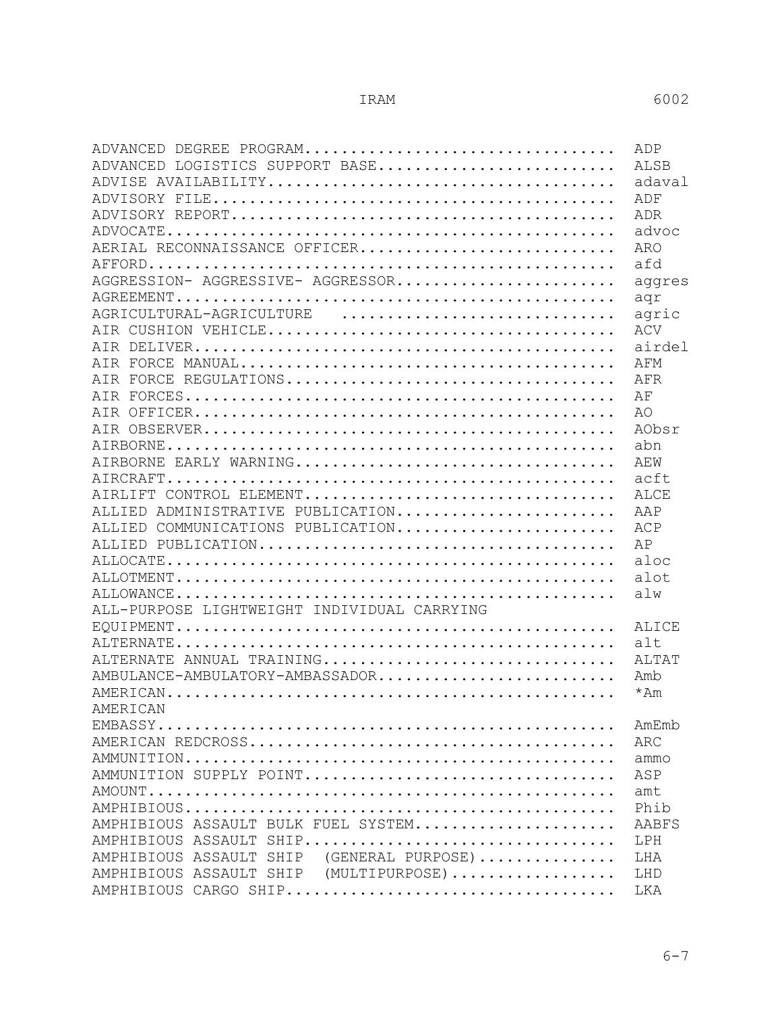6-7

| ADVANCED DEGREE PROGRAM                                                                                        | ADP          |
|----------------------------------------------------------------------------------------------------------------|--------------|
| ADVANCED LOGISTICS SUPPORT BASE                                                                                | <b>ALSB</b>  |
|                                                                                                                | adaval       |
|                                                                                                                | ADF          |
|                                                                                                                | ADR          |
|                                                                                                                | advoc        |
| AERIAL RECONNAISSANCE OFFICER                                                                                  | <b>ARO</b>   |
|                                                                                                                | afd          |
| AGGRESSION- AGGRESSIVE- AGGRESSOR                                                                              | aggres       |
|                                                                                                                | aqr          |
| AGRICULTURAL-AGRICULTURE                                                                                       | agric        |
|                                                                                                                | ACV          |
|                                                                                                                | airdel       |
|                                                                                                                | AFM          |
|                                                                                                                | AFR          |
|                                                                                                                | ΑF           |
|                                                                                                                | AO           |
|                                                                                                                | AObsr        |
|                                                                                                                | abn          |
|                                                                                                                | AFW          |
|                                                                                                                | acft.        |
| AIRLIFT CONTROL ELEMENT                                                                                        | ALCE         |
| ALLIED ADMINISTRATIVE PUBLICATION                                                                              | AAP          |
| ALLIED COMMUNICATIONS PUBLICATION                                                                              | ACP          |
|                                                                                                                | AP           |
|                                                                                                                | aloc         |
|                                                                                                                | alot         |
|                                                                                                                | a1w          |
| ALL-PURPOSE LIGHTWEIGHT INDIVIDUAL CARRYING                                                                    | ALICE<br>alt |
| ALTERNATE ANNUAL TRAINING                                                                                      | ALTAT        |
| AMBULANCE-AMBULATORY-AMBASSADOR                                                                                | Amb          |
|                                                                                                                | *Am          |
| AMERICAN DESCRIPTION OF THE SERVICE SERVICE SERVICE SERVICE SERVICE SERVICE SERVICE SERVICE SERVICE SERVICE SE | AmEmb        |
|                                                                                                                | ARC          |
|                                                                                                                | ammo         |
| AMMUNITION SUPPLY POINT                                                                                        | ASP          |
|                                                                                                                | amt          |
|                                                                                                                | Phih         |
| AMPHIBIOUS ASSAULT BULK FUEL SYSTEM                                                                            | <b>AABFS</b> |
| AMPHIBIOUS ASSAULT SHIP                                                                                        | LPH          |
| AMPHIBIOUS ASSAULT SHIP (GENERAL PURPOSE)                                                                      | LHA          |
| AMPHIBIOUS ASSAULT SHIP (MULTIPURPOSE)                                                                         | LHD          |
|                                                                                                                | LKA          |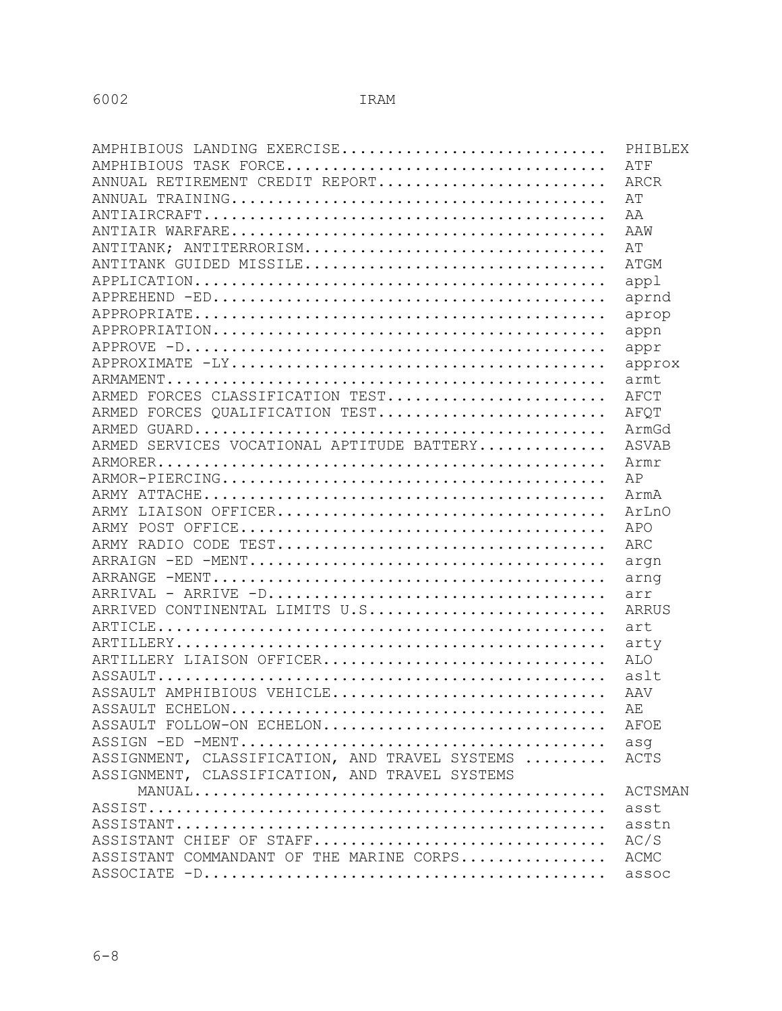| AMPHIBIOUS LANDING EXERCISE                    | PHIBLEX        |
|------------------------------------------------|----------------|
| AMPHIBIOUS TASK FORCE                          | ATF            |
| ANNUAL RETIREMENT CREDIT REPORT                | ARCR           |
|                                                | ΆT             |
|                                                | АA             |
|                                                | AAW            |
| ANTITANK; ANTITERRORISM                        | AT             |
| ANTITANK GUIDED MISSILE                        | ATGM           |
|                                                | appl           |
|                                                | aprnd          |
|                                                | aprop          |
|                                                | appn           |
|                                                | appr           |
|                                                | approx         |
|                                                | armt           |
| ARMED FORCES CLASSIFICATION TEST               | AFCT           |
| ARMED FORCES OUALIFICATION TEST                | AFOT           |
|                                                | ArmGd          |
| ARMED SERVICES VOCATIONAL APTITUDE BATTERY     | ASVAB          |
|                                                | Armr           |
|                                                | AP             |
|                                                | ArmA           |
|                                                | ArLnO          |
|                                                | APO            |
|                                                | ARC            |
|                                                | argn           |
|                                                | arnq           |
|                                                | arr            |
| ARRIVED CONTINENTAL LIMITS U.S                 | ARRUS          |
|                                                | art            |
|                                                | arty           |
| ARTILLERY LIAISON OFFICER                      | ALO            |
|                                                | aslt           |
| ASSAULT AMPHIBIOUS VEHICLE                     | AAV            |
|                                                | AЕ             |
| ASSAULT FOLLOW-ON ECHELON                      | AFOE           |
|                                                | asq            |
| ASSIGNMENT, CLASSIFICATION, AND TRAVEL SYSTEMS | ACTS           |
| ASSIGNMENT, CLASSIFICATION, AND TRAVEL SYSTEMS |                |
|                                                | <b>ACTSMAN</b> |
|                                                | asst           |
|                                                | asstn          |
| ASSISTANT CHIEF OF STAFF                       | AC/S           |
| ASSISTANT COMMANDANT OF THE MARINE CORPS       | ACMC           |
|                                                | assoc          |
|                                                |                |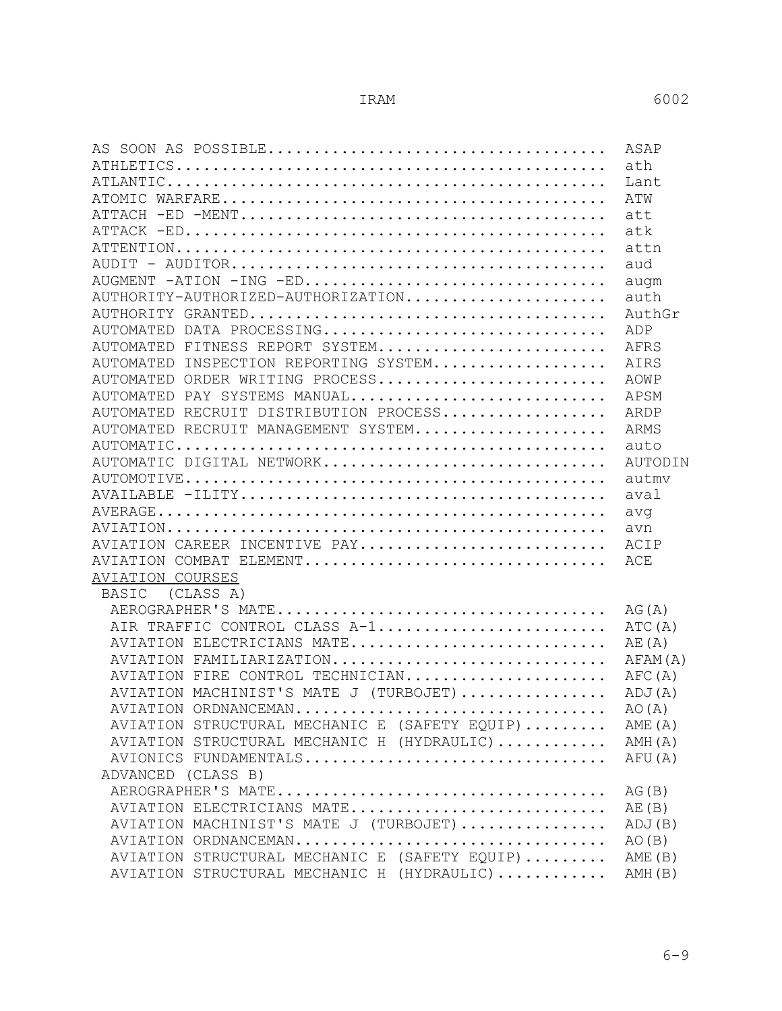|                                                   | ASAP    |
|---------------------------------------------------|---------|
|                                                   | ath     |
|                                                   | Lant    |
|                                                   | ATW     |
|                                                   | att     |
|                                                   | atk     |
|                                                   | attn    |
|                                                   | aud     |
| AUGMENT -ATION -ING -ED                           | augm    |
| AUTHORITY-AUTHORIZED-AUTHORIZATION                | auth    |
|                                                   | AuthGr  |
| AUTOMATED DATA PROCESSING                         | ADP     |
| AUTOMATED FITNESS REPORT SYSTEM                   | AFRS    |
| INSPECTION REPORTING SYSTEM<br>AUTOMATED          | AIRS    |
| AUTOMATED ORDER WRITING PROCESS                   | AOWP    |
| AUTOMATED PAY SYSTEMS MANUAL                      | APSM    |
| AUTOMATED RECRUIT DISTRIBUTION PROCESS            | ARDP    |
| AUTOMATED RECRUIT MANAGEMENT SYSTEM               | ARMS    |
|                                                   | auto    |
| AUTOMATIC DIGITAL NETWORK                         | AUTODIN |
|                                                   | autmv   |
|                                                   | aval    |
|                                                   | avq     |
|                                                   | avn     |
| AVIATION CAREER INCENTIVE PAY                     | ACIP    |
| AVIATION COMBAT ELEMENT                           | ACE     |
| AVIATION COURSES                                  |         |
| (CLASS A)<br>BASIC                                |         |
|                                                   | AG(A)   |
| AIR TRAFFIC CONTROL CLASS A-1                     | ATC (A) |
| AVIATION ELECTRICIANS MATE                        | AE(A)   |
| AVIATION FAMILIARIZATION                          | AFAM(A) |
| AVIATION FIRE CONTROL TECHNICIAN                  | AFC(A)  |
| AVIATION MACHINIST'S MATE J (TURBOJET)            | ADJ(A)  |
| AVIATION ORDNANCEMAN                              | AO(A)   |
| AVIATION STRUCTURAL MECHANIC E (SAFETY EQUIP)     | AME (A) |
| AVIATION STRUCTURAL MECHANIC H (HYDRAULIC) AMH(A) |         |
| AVIONICS FUNDAMENTALS                             | AFU (A) |
| ADVANCED (CLASS B)                                |         |
|                                                   | AG(B)   |
| AVIATION ELECTRICIANS MATE                        | AE(B)   |
| AVIATION MACHINIST'S MATE J (TURBOJET)            | ADJ(B)  |
| AVIATION ORDNANCEMAN                              | AO(B)   |
| AVIATION STRUCTURAL MECHANIC E (SAFETY EQUIP)     | AME(B)  |
| AVIATION STRUCTURAL MECHANIC H (HYDRAULIC)        | AMH(B)  |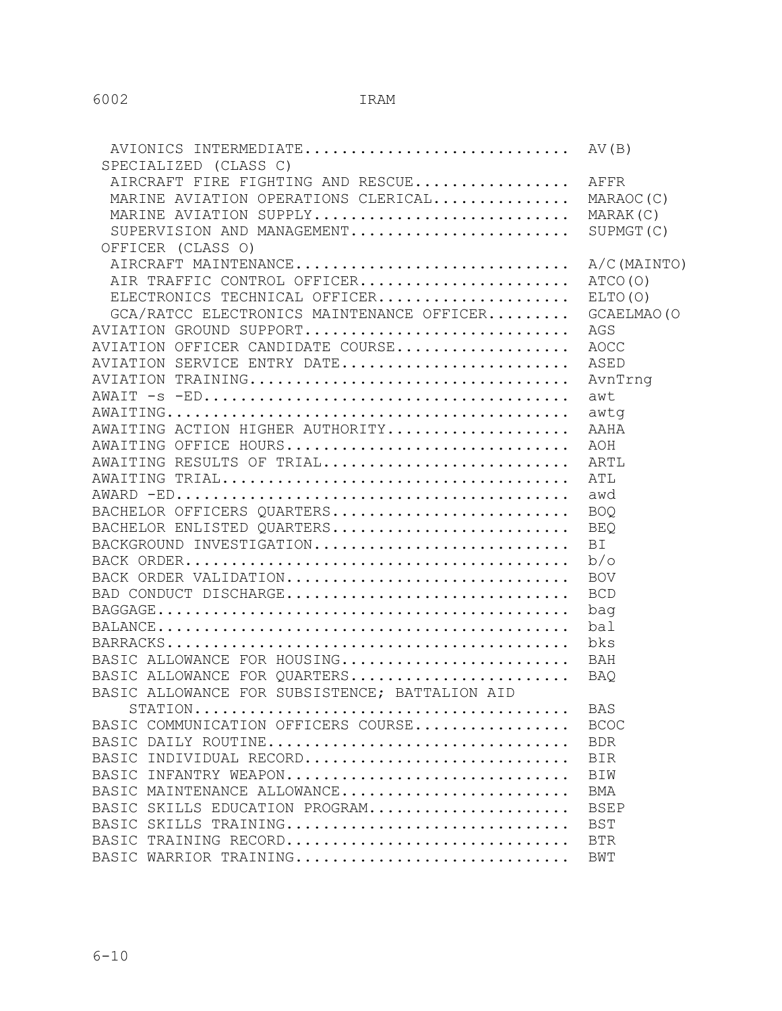| AVIONICS INTERMEDIATE AV(B)<br>SPECIALIZED (CLASS C) |                |
|------------------------------------------------------|----------------|
| AIRCRAFT FIRE FIGHTING AND RESCUE                    | AFFR           |
| MARINE AVIATION OPERATIONS CLERICAL                  | MARAOC (C)     |
| MARINE AVIATION SUPPLY                               | MARAK(C)       |
| SUPERVISION AND MANAGEMENT                           | SUPMGT (C)     |
| OFFICER (CLASS O)                                    |                |
| AIRCRAFT MAINTENANCE                                 | $A/C$ (MAINTO) |
| AIR TRAFFIC CONTROL OFFICER                          | ATCO(O)        |
| ELECTRONICS TECHNICAL OFFICER                        | ELTO(O)        |
| GCA/RATCC ELECTRONICS MAINTENANCE OFFICER            | GCAELMAO (O    |
| AVIATION GROUND SUPPORT                              | AGS            |
| AVIATION OFFICER CANDIDATE COURSE                    | AOCC           |
| AVIATION SERVICE ENTRY DATE                          | ASED           |
|                                                      | AvnTrng        |
|                                                      | awt            |
|                                                      | awtq           |
| AWAITING ACTION HIGHER AUTHORITY                     | AAHA           |
| AWAITING OFFICE HOURS                                | AOH            |
| AWAITING RESULTS OF TRIAL                            | ARTL           |
|                                                      | ATL            |
|                                                      | awd            |
|                                                      |                |
| BACHELOR OFFICERS QUARTERS                           | <b>BOQ</b>     |
| BACHELOR ENLISTED QUARTERS                           | <b>BEQ</b>     |
| BACKGROUND INVESTIGATION                             | <b>BI</b>      |
|                                                      | b/o            |
| BACK ORDER VALIDATION                                | <b>BOV</b>     |
| BAD CONDUCT DISCHARGE                                | <b>BCD</b>     |
|                                                      | bag            |
|                                                      | bal            |
|                                                      | bks            |
| BASIC ALLOWANCE FOR HOUSING                          | BAH            |
| BASIC ALLOWANCE FOR QUARTERS                         | BAO            |
| BASIC ALLOWANCE FOR SUBSISTENCE; BATTALION AID       |                |
| STATION                                              | <b>BAS</b>     |
| BASIC COMMUNICATION OFFICERS COURSE                  | <b>BCOC</b>    |
| BASIC DAILY ROUTINE                                  | <b>BDR</b>     |
| BASIC INDIVIDUAL RECORD                              | BIR            |
| BASIC INFANTRY WEAPON                                | BIW            |
| BASIC MAINTENANCE ALLOWANCE                          | BMA            |
| BASIC SKILLS EDUCATION PROGRAM                       | <b>BSEP</b>    |
| BASIC SKILLS TRAINING                                | BST            |
| BASIC TRAINING RECORD                                | <b>BTR</b>     |
| BASIC WARRIOR TRAINING                               | BWT            |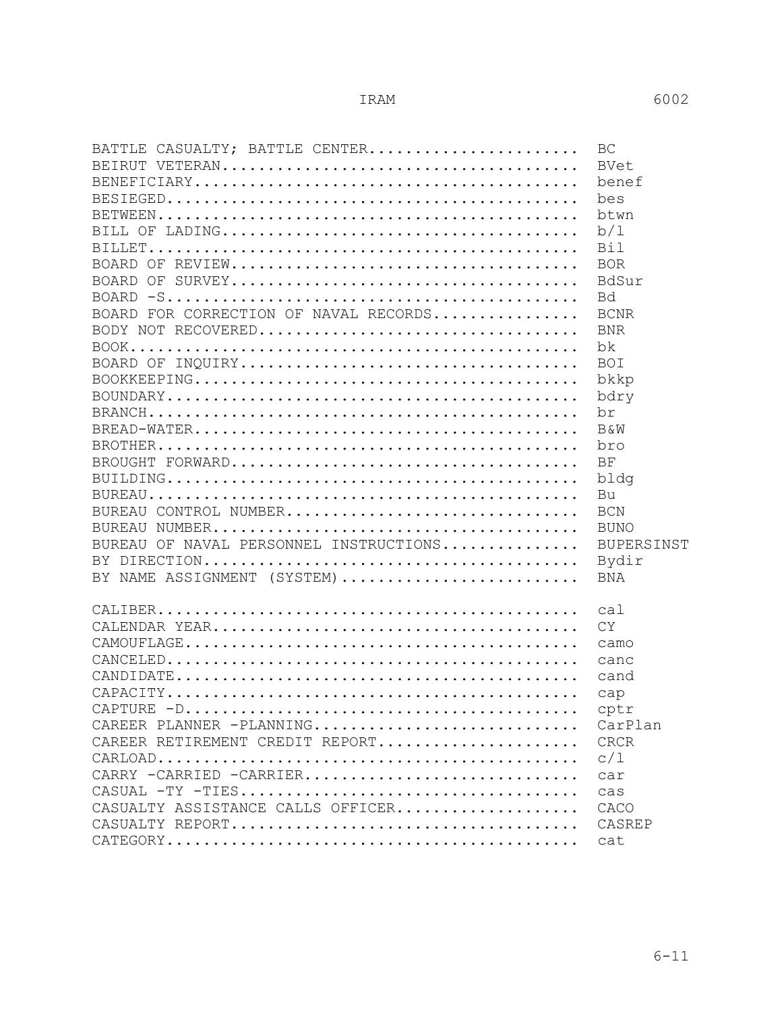| BATTLE CASUALTY; BATTLE CENTER         | BC                |
|----------------------------------------|-------------------|
|                                        | BVet              |
|                                        | benef             |
|                                        | bes               |
|                                        | btwn              |
|                                        |                   |
|                                        | b/1               |
|                                        | Bil               |
|                                        | <b>BOR</b>        |
|                                        | BdSur             |
|                                        | Bd                |
| BOARD FOR CORRECTION OF NAVAL RECORDS  | <b>BCNR</b>       |
|                                        |                   |
|                                        | <b>BNR</b>        |
|                                        | bk                |
|                                        | <b>BOI</b>        |
|                                        | bkkp              |
|                                        | bdry              |
|                                        | br                |
|                                        |                   |
|                                        | B&W               |
|                                        | bro               |
|                                        | BF                |
|                                        | bldg              |
|                                        | Bu                |
| BUREAU CONTROL NUMBER                  | <b>BCN</b>        |
|                                        | BUNO              |
|                                        |                   |
| BUREAU OF NAVAL PERSONNEL INSTRUCTIONS | <b>BUPERSINST</b> |
|                                        | Bydir             |
| BY NAME ASSIGNMENT (SYSTEM)            | BNA               |
|                                        |                   |
|                                        | cal               |
|                                        | <b>CY</b>         |
|                                        | camo              |
|                                        |                   |
|                                        | canc              |
|                                        | cand              |
|                                        | cap               |
|                                        | cptr              |
| CAREER PLANNER -PLANNING               | CarPlan           |
| CAREER RETIREMENT CREDIT REPORT        | <b>CRCR</b>       |
|                                        | c/1               |
|                                        |                   |
| CARRY -CARRIED -CARRIER                | car               |
|                                        | cas               |
| CASUALTY ASSISTANCE CALLS OFFICER      | CACO              |
|                                        | CASREP            |
|                                        |                   |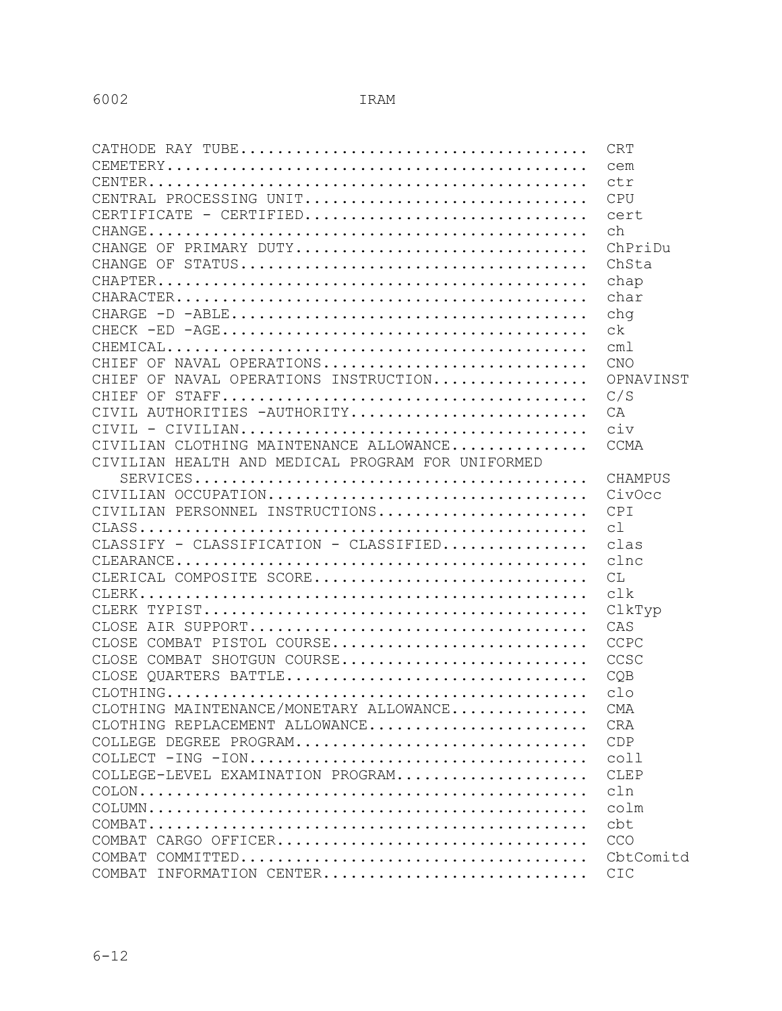|                                                                                                 | <b>CRT</b>     |
|-------------------------------------------------------------------------------------------------|----------------|
|                                                                                                 | cem            |
|                                                                                                 | ctr            |
| CENTRAL PROCESSING UNIT                                                                         | <b>CPU</b>     |
| CERTIFICATE - CERTIFIED                                                                         | cert           |
|                                                                                                 | ch             |
| CHANGE OF PRIMARY DUTY                                                                          | ChPriDu        |
|                                                                                                 | ChSta          |
|                                                                                                 | chap           |
|                                                                                                 | char           |
|                                                                                                 | chq            |
|                                                                                                 | ck             |
|                                                                                                 | cm1            |
| CHIEF OF NAVAL OPERATIONS                                                                       | CNO            |
| CHIEF OF NAVAL OPERATIONS INSTRUCTION                                                           | OPNAVINST      |
|                                                                                                 | C/S            |
| CIVIL AUTHORITIES - AUTHORITY                                                                   | CA             |
| $CIVIL - CIVILIAN \ldots \ldots \ldots \ldots \ldots \ldots \ldots \ldots \ldots \ldots$        | civ            |
| CIVILIAN CLOTHING MAINTENANCE ALLOWANCE                                                         | CCMA           |
| CIVILIAN HEALTH AND MEDICAL PROGRAM FOR UNIFORMED                                               |                |
| $\texttt{SERVICES.}\dots\dots\dots\dots\dots\dots\dots\dots\dots\dots\dots\dots\dots\dots$      | <b>CHAMPUS</b> |
| CIVILIAN OCCUPATION                                                                             | CivOcc         |
| CIVILIAN PERSONNEL INSTRUCTIONS                                                                 | CPI            |
|                                                                                                 | C <sup>1</sup> |
| CLASSIFY - CLASSIFICATION - CLASSIFIED                                                          | clas           |
| $\texttt{CLEARANCE}\dots\dots\dots\dots\dots\dots\dots\dots\dots\dots\dots\dots\dots\dots\dots$ | clnc           |
| CLERICAL COMPOSITE SCORE                                                                        | CL             |
|                                                                                                 | clk            |
|                                                                                                 | ClkTyp         |
|                                                                                                 | CAS            |
| CLOSE COMBAT PISTOL COURSE                                                                      | CCPC           |
| CLOSE COMBAT SHOTGUN COURSE                                                                     | CCSC           |
| CLOSE OUARTERS BATTLE                                                                           | COB            |
|                                                                                                 | c1             |
| CLOTHING MAINTENANCE/MONETARY ALLOWANCE                                                         | CMA            |
| CLOTHING REPLACEMENT ALLOWANCE                                                                  | <b>CRA</b>     |
| COLLEGE DEGREE PROGRAM                                                                          | CDP            |
|                                                                                                 | coll           |
| COLLEGE-LEVEL EXAMINATION PROGRAM                                                               | CLEP           |
|                                                                                                 | c1n            |
|                                                                                                 | colm           |
|                                                                                                 | cbt            |
| COMBAT CARGO OFFICER                                                                            | CCO            |
|                                                                                                 | CbtComitd      |
| COMBAT INFORMATION CENTER                                                                       | CIC            |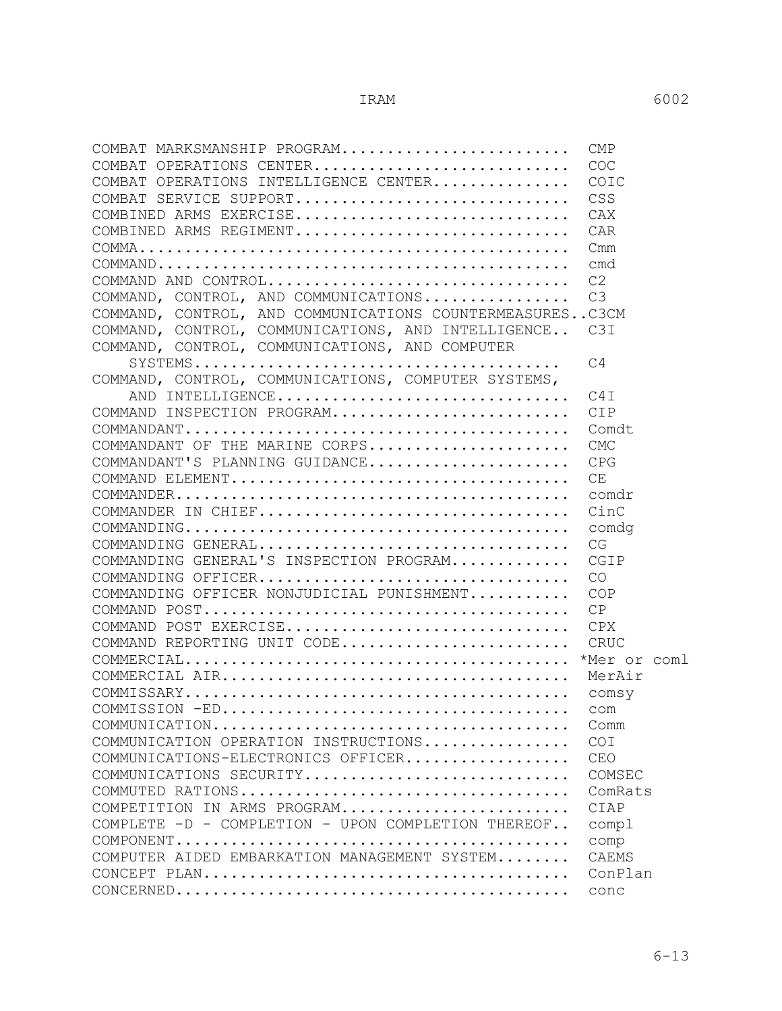| COMBAT MARKSMANSHIP PROGRAM                                                                                          | <b>CMP</b>     |
|----------------------------------------------------------------------------------------------------------------------|----------------|
| COMBAT OPERATIONS CENTER                                                                                             | COC            |
| COMBAT OPERATIONS INTELLIGENCE CENTER                                                                                | COIC           |
| COMBAT SERVICE SUPPORT                                                                                               | CSS            |
| COMBINED ARMS EXERCISE                                                                                               | CAX            |
| COMBINED ARMS REGIMENT                                                                                               | CAR            |
|                                                                                                                      | Cmm            |
|                                                                                                                      | cmd            |
| COMMAND AND CONTROL                                                                                                  | C <sub>2</sub> |
| COMMAND, CONTROL, AND COMMUNICATIONS                                                                                 | C3             |
| COMMAND, CONTROL, AND COMMUNICATIONS COUNTERMEASURESC3CM                                                             |                |
| COMMAND, CONTROL, COMMUNICATIONS, AND INTELLIGENCE C3I                                                               |                |
| COMMAND, CONTROL, COMMUNICATIONS, AND COMPUTER                                                                       |                |
|                                                                                                                      | C4             |
| COMMAND, CONTROL, COMMUNICATIONS, COMPUTER SYSTEMS,                                                                  |                |
| AND INTELLIGENCE                                                                                                     | C4T            |
| COMMAND INSPECTION PROGRAM                                                                                           | CIP            |
| $\texttt{COMMANDANT}\dots\dots\dots\dots\dots\dots\dots\dots\dots\dots\dots\dots\dots\dots$                          | Comdt          |
| COMMANDANT OF THE MARINE CORPS                                                                                       | <b>CMC</b>     |
| COMMANDANT'S PLANNING GUIDANCE                                                                                       | CPG            |
|                                                                                                                      | CE             |
| $\texttt{COMMANDER} \dots \dots \dots \dots \dots \dots \dots \dots \dots \dots \dots \dots \dots \dots \dots \dots$ | comdr          |
| COMMANDER IN CHIEF                                                                                                   | CinC           |
| $\texttt{COMMANDING} \dots \dots \dots \dots \dots \dots \dots \dots \dots \dots \dots \dots \dots \dots \dots$      | comdg          |
| COMMANDING GENERAL                                                                                                   | CG             |
| COMMANDING GENERAL'S INSPECTION PROGRAM                                                                              | CGIP           |
| COMMANDING OFFICER                                                                                                   | CO             |
| COMMANDING OFFICER NONJUDICIAL PUNISHMENT                                                                            | COP            |
|                                                                                                                      | CP             |
| COMMAND POST EXERCISE                                                                                                | CPX            |
| COMMAND REPORTING UNIT CODE                                                                                          | CRUC           |
|                                                                                                                      |                |
|                                                                                                                      | MerAir         |
|                                                                                                                      |                |
|                                                                                                                      |                |
|                                                                                                                      | Comm           |
| COMMUNICATION OPERATION INSTRUCTIONS                                                                                 | COI            |
| COMMUNICATIONS-ELECTRONICS OFFICER                                                                                   | <b>CEO</b>     |
| COMMUNICATIONS SECURITY                                                                                              | COMSEC         |
|                                                                                                                      | ComRats        |
| COMPETITION IN ARMS PROGRAM                                                                                          | CIAP           |
| COMPLETE -D - COMPLETION - UPON COMPLETION THEREOF                                                                   | comp1          |
|                                                                                                                      | comp           |
| COMPUTER AIDED EMBARKATION MANAGEMENT SYSTEM                                                                         | <b>CAEMS</b>   |
|                                                                                                                      | ConPlan        |
| $\texttt{CONCERNED}\dots\dots\dots\dots\dots\dots\dots\dots\dots\dots\dots\dots\dots\dots\dots\dots$                 | conc           |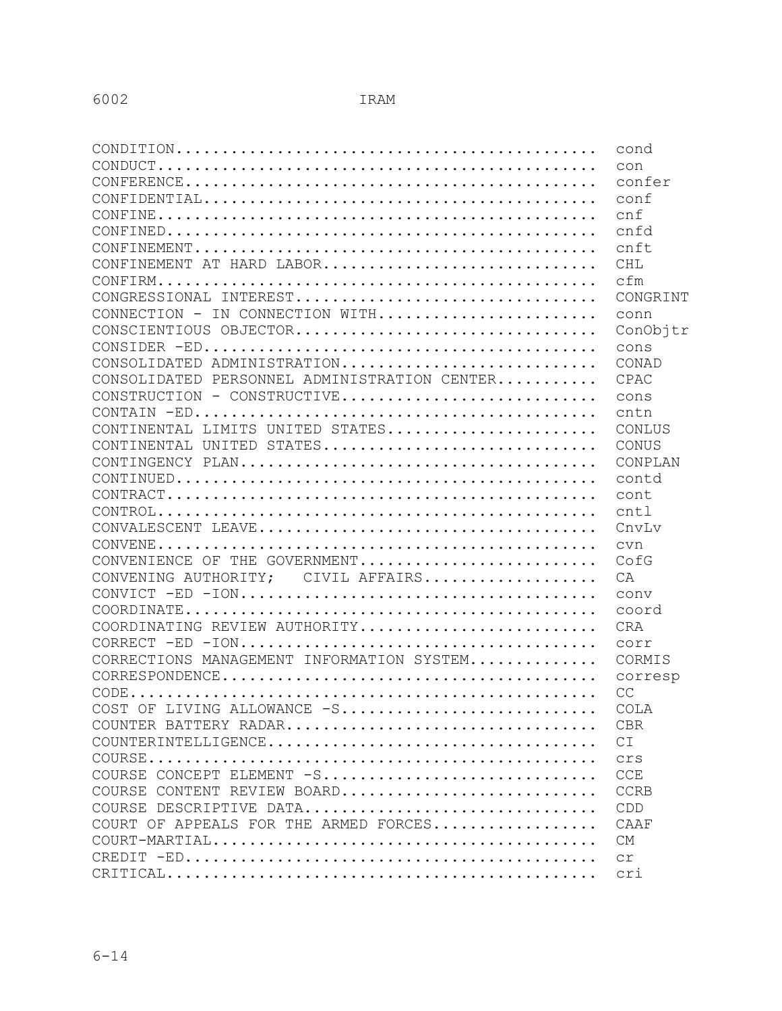| $\texttt{COMDITION} \dots\dots\dots\dots\dots\dots\dots\dots\dots\dots\dots\dots\dots\dots\dots \dots$                       | cond           |
|------------------------------------------------------------------------------------------------------------------------------|----------------|
|                                                                                                                              | con            |
| $\texttt{CONFERENCE} \dots \dots \dots \dots \dots \dots \dots \dots \dots \dots \dots \dots \dots \dots \dots \dots$        | confer         |
|                                                                                                                              | conf           |
|                                                                                                                              | cnf            |
|                                                                                                                              | cnfd           |
| $\texttt{CONFINEMENT} \dots \dots \dots \dots \dots \dots \dots \dots \dots \dots \dots \dots \dots \dots \dots \dots \dots$ | cnft           |
| CONFINEMENT AT HARD LABOR                                                                                                    | <b>CHL</b>     |
|                                                                                                                              | cfm            |
| CONGRESSIONAL INTEREST                                                                                                       | CONGRINT       |
| CONNECTION - IN CONNECTION WITH                                                                                              | conn           |
| CONSCIENTIOUS OBJECTOR                                                                                                       | ConObjtr       |
|                                                                                                                              | cons           |
| CONSOLIDATED ADMINISTRATION                                                                                                  | CONAD          |
| CONSOLIDATED PERSONNEL ADMINISTRATION CENTER                                                                                 | CPAC           |
| CONSTRUCTION - CONSTRUCTIVE                                                                                                  | cons           |
|                                                                                                                              | cntn           |
| CONTINENTAL LIMITS UNITED STATES                                                                                             | CONLUS         |
| CONTINENTAL UNITED STATES                                                                                                    | CONUS          |
|                                                                                                                              | CONPLAN        |
|                                                                                                                              | contd          |
|                                                                                                                              | cont           |
| $\texttt{CONTROL}\dots\dots\dots\dots\dots\dots\dots\dots\dots\dots\dots\dots\dots\dots\dots\dots\dots$                      | cnt1           |
|                                                                                                                              | CnvLv          |
| $\texttt{CONVENE}\dots\dots\dots\dots\dots\dots\dots\dots\dots\dots\dots\dots\dots\dots\dots\dots$                           | cvn            |
| CONVENIENCE OF THE GOVERNMENT                                                                                                | CofG           |
| CONVENING AUTHORITY; CIVIL AFFAIRS                                                                                           | CA             |
|                                                                                                                              | conv           |
| $\texttt{COORDINATE} \dots\dots\dots\dots\dots\dots\dots\dots\dots\dots\dots\dots\dots\dots\dots\dots$                       | coord          |
| COORDINATING REVIEW AUTHORITY                                                                                                | <b>CRA</b>     |
|                                                                                                                              | corr           |
| CORRECTIONS MANAGEMENT INFORMATION SYSTEM                                                                                    | CORMIS         |
|                                                                                                                              | corresp        |
|                                                                                                                              | CC             |
| COST OF LIVING ALLOWANCE -S                                                                                                  | COLA           |
|                                                                                                                              | <b>CBR</b>     |
| $\texttt{COUNTERINTELLIGENCE} \dots \dots \dots \dots \dots \dots \dots \dots \dots \dots \dots \dots$                       | C <sub>T</sub> |
|                                                                                                                              | Crs            |
| COURSE CONCEPT ELEMENT -S                                                                                                    | <b>CCE</b>     |
| COURSE CONTENT REVIEW BOARD                                                                                                  | <b>CCRB</b>    |
| COURSE DESCRIPTIVE DATA                                                                                                      | CDD            |
| COURT OF APPEALS FOR THE ARMED FORCES                                                                                        | CAAF           |
| $\texttt{COUNT-MARTIAL} \dots \dots \dots \dots \dots \dots \dots \dots \dots \dots \dots \dots \dots \dots \dots$           | <b>CM</b>      |
|                                                                                                                              | C <sub>T</sub> |
|                                                                                                                              | cri            |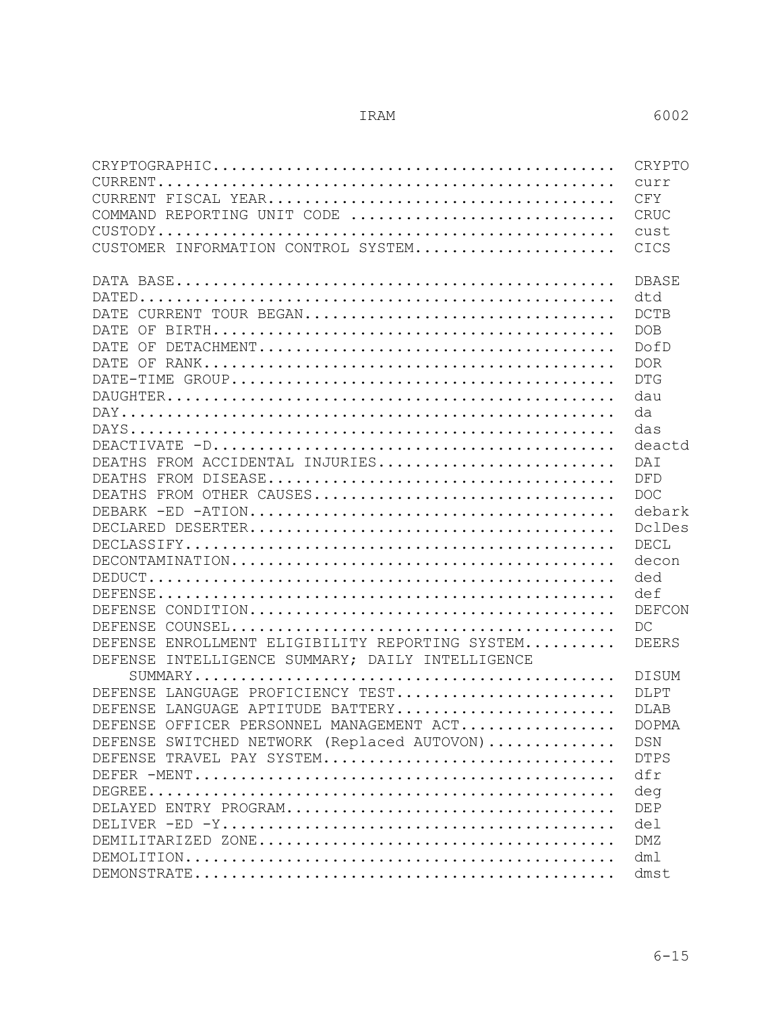| $CRYPTOGRAPHIC.\dots\dots\dots\dots\dots\dots\dots\dots\dots\dots\dots\dots\dots\dots\dots\dots$                        | CRYPTO                      |
|-------------------------------------------------------------------------------------------------------------------------|-----------------------------|
|                                                                                                                         | $C$ 11 $r$ $r$              |
| CURRENT                                                                                                                 | CFY                         |
| COMMAND REPORTING UNIT CODE $\,\ldots\ldots\ldots\ldots\ldots\ldots\ldots\ldots\ldots\ldots\ldots\,$                    | CRUC                        |
|                                                                                                                         | cust                        |
| CUSTOMER INFORMATION CONTROL SYSTEM                                                                                     | CICS                        |
|                                                                                                                         | <b>DBASE</b>                |
|                                                                                                                         | dtd                         |
| DATE CURRENT TOUR BEGAN                                                                                                 | <b>DCTB</b>                 |
| DATE<br>OF                                                                                                              | <b>DOB</b>                  |
| DATE.<br>ΟF                                                                                                             | DofD                        |
| DATE OF                                                                                                                 | <b>DOR</b>                  |
|                                                                                                                         | <b>DTG</b>                  |
|                                                                                                                         | dau                         |
|                                                                                                                         | da                          |
|                                                                                                                         | das                         |
|                                                                                                                         | deactd                      |
| FROM ACCIDENTAL INJURIES<br>DEATHS                                                                                      | <b>DAT</b>                  |
| DEATHS                                                                                                                  | DFD                         |
| FROM OTHER CAUSES<br>DEATHS                                                                                             | <b>DOC</b>                  |
|                                                                                                                         | debark                      |
|                                                                                                                         | DclDes                      |
|                                                                                                                         | DECL                        |
| $\texttt{DECONTAMINATION} \dots\dots\dots\dots\dots\dots\dots\dots\dots\dots\dots\dots\dots$                            | decon                       |
|                                                                                                                         | ded                         |
|                                                                                                                         | def                         |
| DEFENSE                                                                                                                 | DEFCON                      |
| $\texttt{COUNSEL} \dots \dots \dots \dots \dots \dots \dots \dots \dots \dots \dots \dots \dots \dots \dots$<br>DEFENSE | DC                          |
| ENROLLMENT ELIGIBILITY REPORTING SYSTEM<br><b>DEFENSE</b>                                                               | <b>DEERS</b>                |
| INTELLIGENCE SUMMARY; DAILY INTELLIGENCE<br><b>DEFENSE</b>                                                              |                             |
|                                                                                                                         | <b>DISUM</b>                |
| LANGUAGE PROFICIENCY TEST<br>DE FENSE                                                                                   | <b>DLPT</b>                 |
| DEFENSE<br>LANGUAGE APTITUDE BATTERY<br>DEFENSE OFFICER PERSONNEL MANAGEMENT ACT                                        | <b>DLAB</b><br><b>DOPMA</b> |
| DEFENSE SWITCHED NETWORK (Replaced AUTOVON)                                                                             | <b>DSN</b>                  |
| DEFENSE TRAVEL PAY SYSTEM                                                                                               | <b>DTPS</b>                 |
|                                                                                                                         | dfr                         |
|                                                                                                                         | deg                         |
|                                                                                                                         | <b>DEP</b>                  |
|                                                                                                                         | del                         |
|                                                                                                                         | <b>DMZ</b>                  |
|                                                                                                                         | dm1                         |
|                                                                                                                         | dmst                        |
|                                                                                                                         |                             |

6-15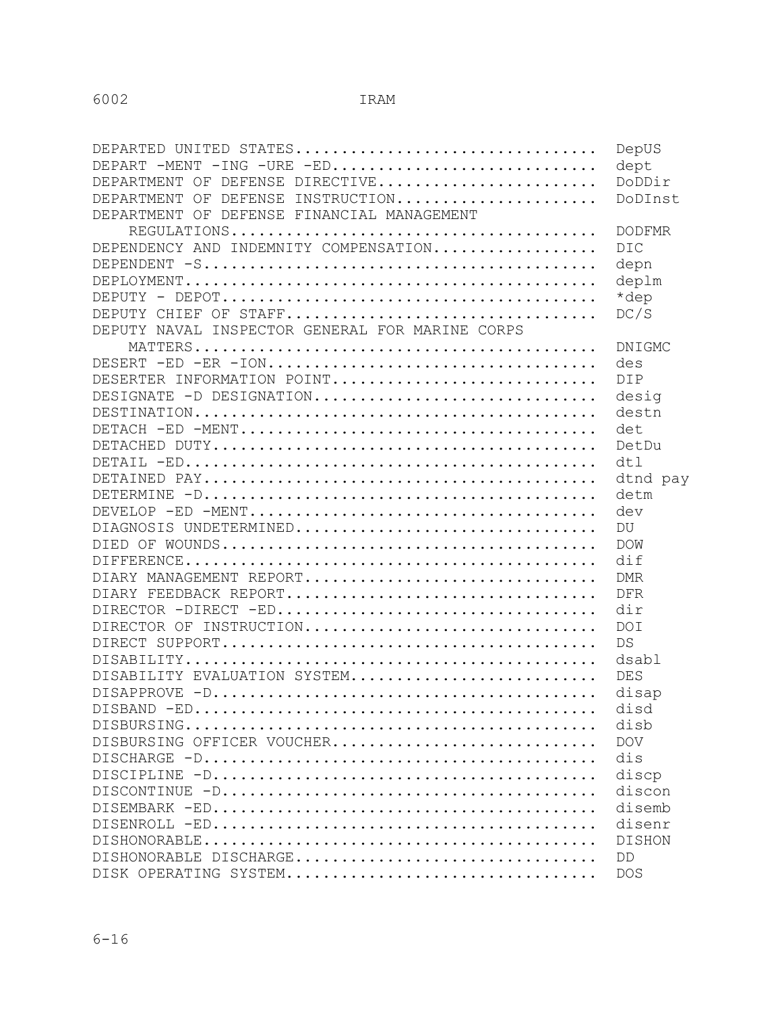| DEPARTED UNITED STATES                                | DepUS         |
|-------------------------------------------------------|---------------|
| DEPART -MENT<br>$-ING$ $-URE$ $-ED$                   | dept          |
| DEPARTMENT OF DEFENSE DIRECTIVE                       | DoDDir        |
| DEFENSE INSTRUCTION<br>DEPARTMENT OF                  | DoDInst       |
| DEPARTMENT OF DEFENSE FINANCIAL MANAGEMENT            |               |
|                                                       | <b>DODFMR</b> |
| DEPENDENCY AND INDEMNITY COMPENSATION                 | <b>DIC</b>    |
|                                                       | depn          |
|                                                       | deplm         |
|                                                       | *dep          |
|                                                       | DC/S          |
| DEPUTY NAVAL INSPECTOR GENERAL FOR MARINE CORPS       |               |
|                                                       | DNIGMC        |
| $DESERT$ -ED -ER -ION                                 | des           |
| DESERTER INFORMATION POINT                            | <b>DIP</b>    |
| DESIGNATE -D DESIGNATION                              | desig         |
|                                                       | destn         |
|                                                       | det           |
|                                                       | DetDu         |
|                                                       | dt1           |
|                                                       | dtnd pay      |
|                                                       | detm          |
|                                                       | dev           |
| DIAGNOSIS UNDETERMINED                                | DU            |
|                                                       | <b>DOW</b>    |
|                                                       | dif           |
| DIARY MANAGEMENT REPORT                               | <b>DMR</b>    |
| DIARY FEEDBACK REPORT                                 | <b>DFR</b>    |
|                                                       | dir           |
| DIRECTOR OF INSTRUCTION                               | <b>DOI</b>    |
|                                                       | DS            |
|                                                       | dsabl         |
| DISABILITY EVALUATION SYSTEM                          | <b>DES</b>    |
|                                                       | disap         |
|                                                       | disd          |
|                                                       | disb          |
| DISBURSING OFFICER VOUCHER                            | <b>DOV</b>    |
|                                                       | dis           |
|                                                       | discp         |
| $DISCONTINUE -D.\ldots\ldots\ldots\ldots\ldots\ldots$ | discon        |
|                                                       | disemb        |
|                                                       | disenr        |
|                                                       | <b>DISHON</b> |
| DISHONORABLE DISCHARGE                                | DD            |
| DISK OPERATING SYSTEM                                 | <b>DOS</b>    |
|                                                       |               |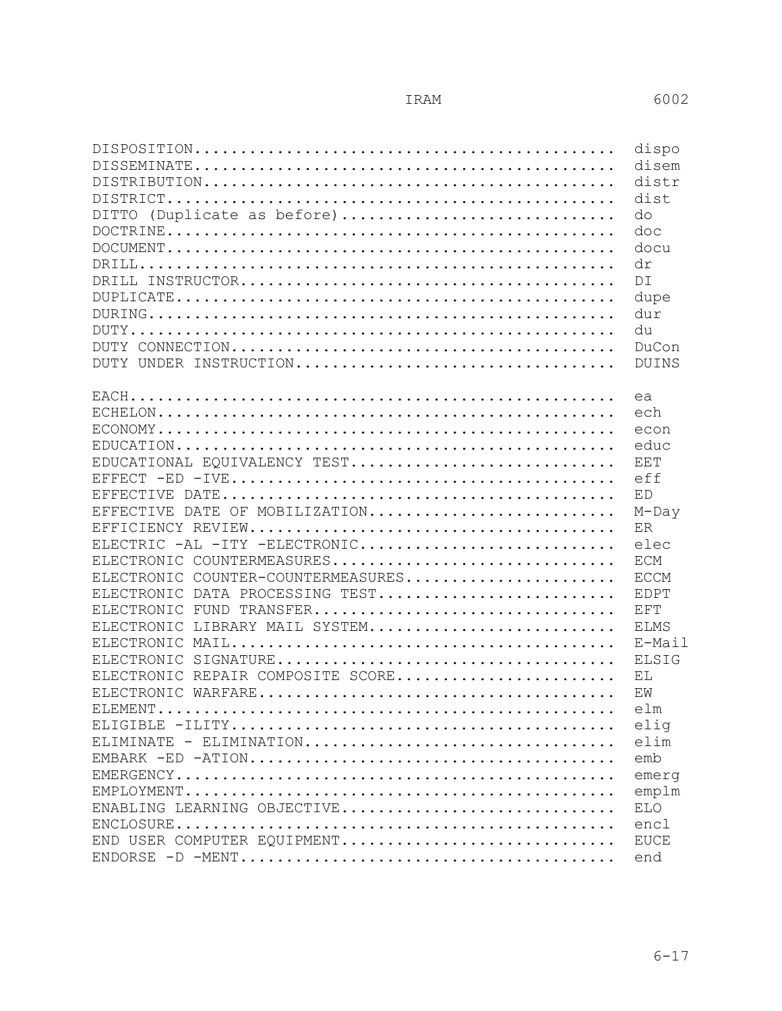|                                                                                                      | dispo        |
|------------------------------------------------------------------------------------------------------|--------------|
|                                                                                                      | disem        |
|                                                                                                      | distr        |
|                                                                                                      | dist         |
| DITTO (Duplicate as before)                                                                          | do           |
| $\texttt{DOCTRINE} \dots\dots\dots\dots\dots\dots\dots\dots\dots\dots\dots\dots\dots\dots\dots\dots$ | doc          |
|                                                                                                      | docu         |
|                                                                                                      | dr           |
|                                                                                                      | DT           |
|                                                                                                      | dupe         |
|                                                                                                      | dur          |
|                                                                                                      | du           |
|                                                                                                      | DuCon        |
| DUTY UNDER INSTRUCTION                                                                               | DUINS        |
|                                                                                                      |              |
|                                                                                                      | ea           |
|                                                                                                      | ech          |
|                                                                                                      | econ         |
|                                                                                                      | educ         |
| EDUCATIONAL EQUIVALENCY TEST                                                                         | EET          |
|                                                                                                      | eff          |
|                                                                                                      | ED           |
| EFFECTIVE DATE OF MOBILIZATION                                                                       | $M$ -Day     |
|                                                                                                      | ER           |
| ELECTRIC -AL -ITY -ELECTRONIC                                                                        | elec         |
| ELECTRONIC COUNTERMEASURES                                                                           | ECM          |
| ELECTRONIC COUNTER-COUNTERMEASURES                                                                   | <b>ECCM</b>  |
| DATA PROCESSING TEST<br>ELECTRONIC                                                                   | <b>EDPT</b>  |
|                                                                                                      | EFT          |
| ELECTRONIC FUND TRANSFER<br><b>ELECTRONIC</b>                                                        |              |
| LIBRARY MAIL SYSTEM                                                                                  | <b>ELMS</b>  |
|                                                                                                      | E-Mail       |
|                                                                                                      | <b>ELSIG</b> |
| ELECTRONIC REPAIR COMPOSITE SCORE                                                                    | EL           |
|                                                                                                      | EW           |
|                                                                                                      | elm          |
|                                                                                                      | elig         |
| ELIMINATE - ELIMINATION                                                                              | elim         |
|                                                                                                      | emb          |
|                                                                                                      | emerg        |
|                                                                                                      | emplm        |
| ENABLING LEARNING OBJECTIVE                                                                          | <b>ELO</b>   |
|                                                                                                      | encl         |
| END USER COMPUTER EQUIPMENT                                                                          | <b>EUCE</b>  |
|                                                                                                      | end          |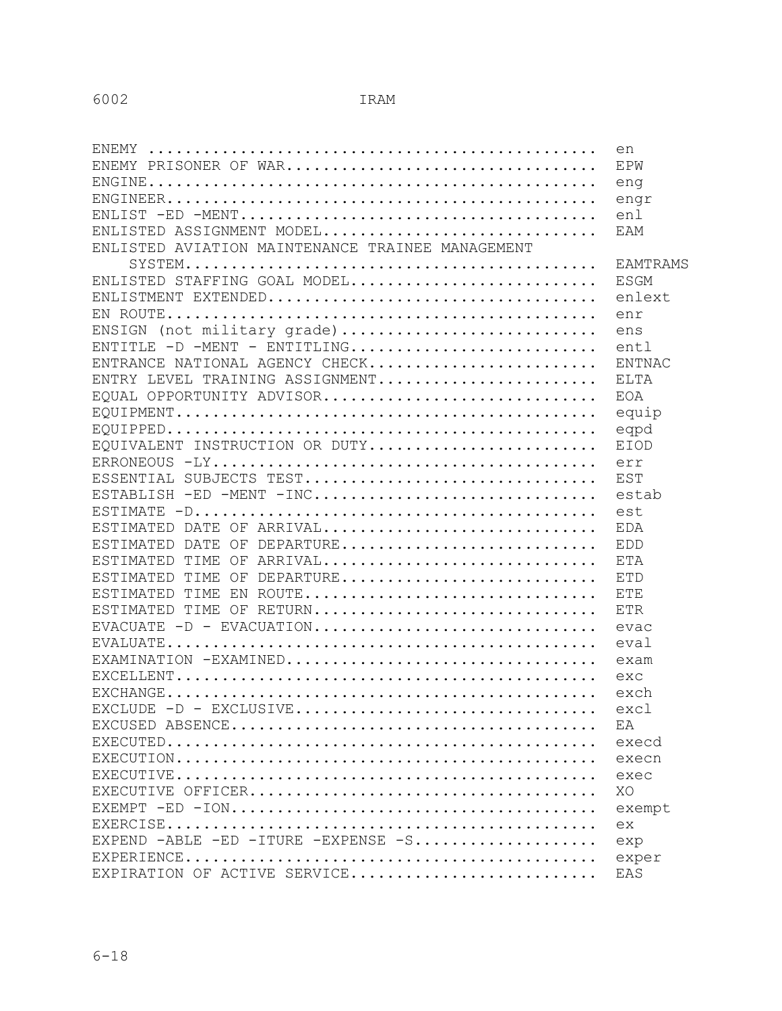|                                                                                               | en              |
|-----------------------------------------------------------------------------------------------|-----------------|
| ENEMY PRISONER OF WAR                                                                         | EPW             |
|                                                                                               | eng             |
|                                                                                               | engr            |
|                                                                                               | enl             |
| ENLISTED ASSIGNMENT MODEL                                                                     | EAM             |
| ENLISTED AVIATION MAINTENANCE TRAINEE MANAGEMENT                                              |                 |
| $\texttt{ SYSTEM}\dots\dots\dots\dots\dots\dots\dots\dots\dots\dots\dots\dots\dots\dots\dots$ | <b>EAMTRAMS</b> |
| ENLISTED STAFFING GOAL MODEL                                                                  | ESGM            |
|                                                                                               | enlext          |
|                                                                                               | enr             |
| ENSIGN (not military grade)                                                                   | ens             |
| ENTITLE $-D$ -MENT - ENTITLING                                                                | entl            |
| ENTRANCE NATIONAL AGENCY CHECK                                                                | <b>ENTNAC</b>   |
| ENTRY LEVEL TRAINING ASSIGNMENT                                                               | <b>ELTA</b>     |
| EQUAL OPPORTUNITY ADVISOR                                                                     | EOA             |
|                                                                                               | equip           |
|                                                                                               | eqpd            |
| EQUIVALENT INSTRUCTION OR DUTY                                                                | <b>EIOD</b>     |
|                                                                                               | err             |
|                                                                                               | EST             |
| ESTABLISH -ED -MENT -INC                                                                      | estab           |
|                                                                                               | est             |
| ESTIMATED DATE OF ARRIVAL                                                                     | EDA             |
| ESTIMATED DATE OF DEPARTURE                                                                   | <b>EDD</b>      |
| ESTIMATED TIME OF ARRIVAL                                                                     | <b>ETA</b>      |
| ESTIMATED TIME OF DEPARTURE                                                                   | <b>ETD</b>      |
| ESTIMATED TIME EN ROUTE                                                                       | <b>ETE</b>      |
| ESTIMATED TIME OF RETURN                                                                      | <b>ETR</b>      |
| EVACUATE -D - EVACUATION                                                                      | evac            |
|                                                                                               | eval            |
| EXAMINATION -EXAMINED                                                                         | exam            |
|                                                                                               | exc             |
|                                                                                               | exch            |
|                                                                                               | excl            |
|                                                                                               | F.A             |
|                                                                                               | execd           |
|                                                                                               | execn           |
|                                                                                               | exec            |
|                                                                                               | XO              |
|                                                                                               | exempt          |
|                                                                                               | ex              |
| EXPEND $-ABLE$ $-ED$ $-ITURE$ $-EXPENSE$ $-S$                                                 | exp             |
|                                                                                               | exper           |
| EXPIRATION OF ACTIVE SERVICE                                                                  | EAS             |
|                                                                                               |                 |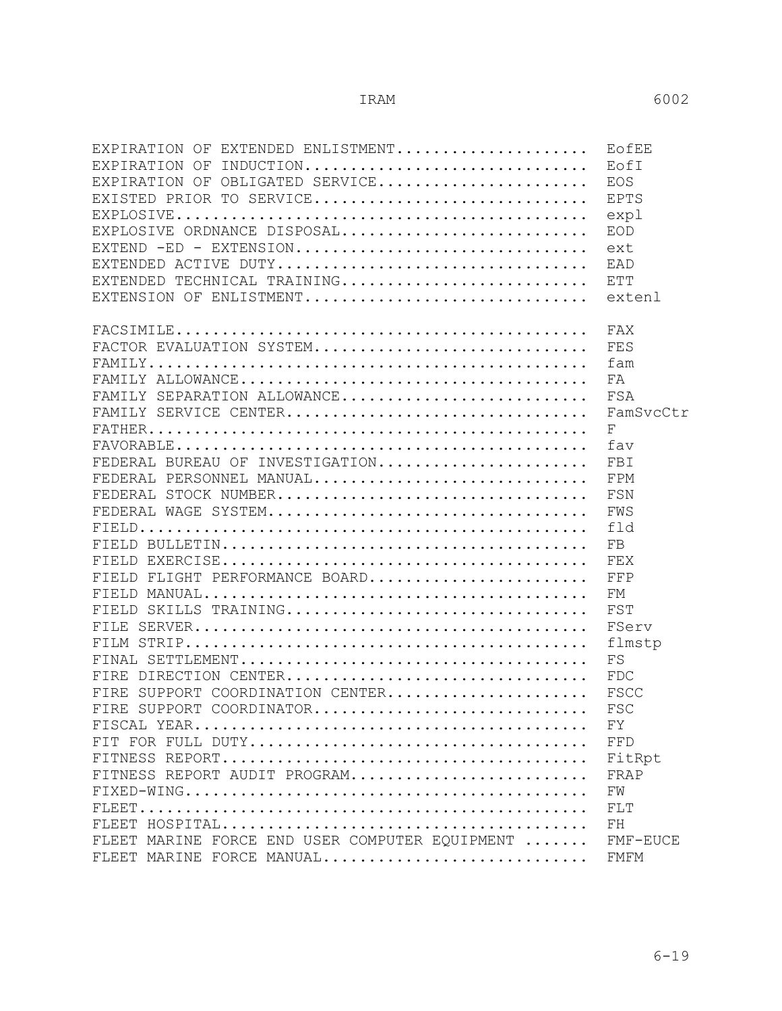| EXPIRATION OF EXTENDED ENLISTMENT              | EOfEE       |
|------------------------------------------------|-------------|
| INDUCTION<br>EXPIRATION OF                     | EofI        |
| EXPIRATION OF OBLIGATED SERVICE                | EOS         |
| EXISTED PRIOR TO SERVICE                       | EPTS        |
|                                                | expl        |
| EXPLOSIVE ORDNANCE DISPOSAL                    | EOD         |
| EXTEND -ED - EXTENSION                         | ext         |
| EXTENDED ACTIVE DUTY                           | <b>FAD</b>  |
| EXTENDED TECHNICAL TRAINING                    | ETT         |
| EXTENSION OF ENLISTMENT                        | extenl      |
|                                                | FAX         |
| FACTOR EVALUATION SYSTEM                       | FES         |
|                                                | fam         |
|                                                | FA          |
| FAMILY SEPARATION ALLOWANCE                    | FSA         |
| FAMILY SERVICE CENTER                          | FamSvcCtr   |
|                                                | F           |
|                                                | fav         |
| FEDERAL BUREAU OF INVESTIGATION                | FBI         |
| FEDERAL PERSONNEL MANUAL                       | FPM         |
| FEDERAL STOCK NUMBER                           | FSN         |
| FEDERAL WAGE SYSTEM                            | FWS         |
|                                                | fld         |
|                                                | FB          |
|                                                | FEX         |
| FIELD FLIGHT PERFORMANCE BOARD                 | FFP         |
|                                                | FМ          |
| FIELD SKILLS TRAINING                          | FST         |
|                                                | FServ       |
|                                                | flmstp      |
|                                                | FS          |
| FIRE DIRECTION CENTER                          | <b>FDC</b>  |
| FIRE SUPPORT COORDINATION CENTER               | FSCC        |
| FIRE SUPPORT COORDINATOR                       | FSC         |
|                                                | FY          |
|                                                | FFD         |
|                                                | FitRpt      |
| FITNESS REPORT AUDIT PROGRAM                   | FRAP        |
|                                                | FW          |
|                                                | FLT         |
|                                                | ${\rm FH}$  |
| FLEET MARINE FORCE END USER COMPUTER EOUIPMENT | FMF-EUCE    |
| FLEET MARINE FORCE MANUAL                      | <b>FMFM</b> |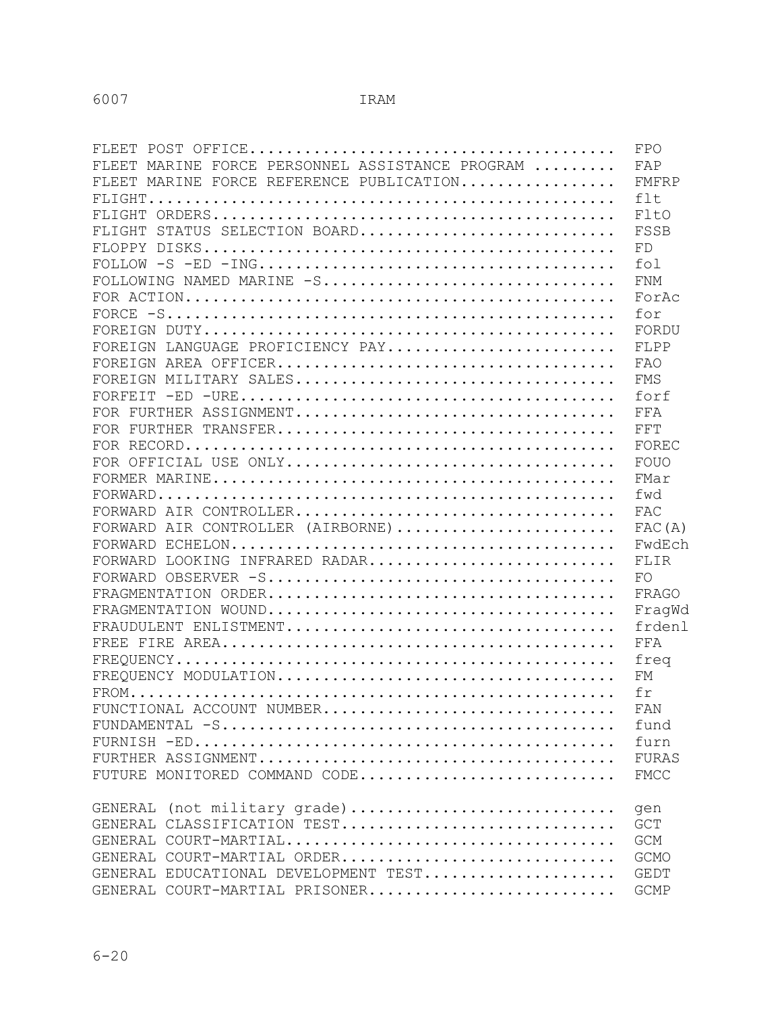|                                                                                                                         | FPO          |
|-------------------------------------------------------------------------------------------------------------------------|--------------|
| FLEET MARINE FORCE PERSONNEL ASSISTANCE PROGRAM                                                                         | FAP          |
| FLEET MARINE FORCE REFERENCE PUBLICATION                                                                                | FMFRP        |
|                                                                                                                         | $f$ 1 t.     |
|                                                                                                                         | FltO         |
| FLIGHT STATUS SELECTION BOARD                                                                                           | FSSB         |
|                                                                                                                         | FD           |
| $\texttt{FOLLOW -S -ED -ING} \texttt{} \texttt{} \texttt{} \texttt{} \texttt{} \texttt{} \texttt{} \texttt{} \texttt{}$ | fol          |
| FOLLOWING NAMED MARINE -S                                                                                               | <b>FNM</b>   |
|                                                                                                                         | ForAc        |
|                                                                                                                         | for          |
|                                                                                                                         | FORDU        |
| FOREIGN LANGUAGE PROFICIENCY PAY                                                                                        | FLPP         |
|                                                                                                                         | FAO          |
|                                                                                                                         | <b>FMS</b>   |
|                                                                                                                         | forf         |
|                                                                                                                         | FFA          |
|                                                                                                                         | FFT          |
|                                                                                                                         | FOREC        |
|                                                                                                                         | FOUO         |
|                                                                                                                         | FMar         |
| $\texttt{FORWARD}\dots\dots\dots\dots\dots\dots\dots\dots\dots\dots\dots\dots\dots\dots\dots\dots\dots\dots$            | fwd          |
|                                                                                                                         | FAC          |
| FORWARD AIR CONTROLLER (AIRBORNE)                                                                                       | FAC(A)       |
|                                                                                                                         | FwdEch       |
| FORWARD LOOKING INFRARED RADAR                                                                                          | FLIR         |
|                                                                                                                         | FO           |
|                                                                                                                         | FRAGO        |
|                                                                                                                         | FraqWd       |
|                                                                                                                         | frdenl       |
|                                                                                                                         | FFA          |
|                                                                                                                         | freq         |
|                                                                                                                         | FM           |
|                                                                                                                         | fr           |
| FUNCTIONAL ACCOUNT NUMBER                                                                                               | FAN          |
|                                                                                                                         | fund         |
|                                                                                                                         | furn         |
|                                                                                                                         | <b>FURAS</b> |
| FUTURE MONITORED COMMAND CODE                                                                                           | <b>FMCC</b>  |
|                                                                                                                         |              |
| GENERAL (not military grade)                                                                                            | gen          |
| GENERAL CLASSIFICATION TEST                                                                                             | <b>GCT</b>   |
|                                                                                                                         | <b>GCM</b>   |
| GENERAL COURT-MARTIAL ORDER                                                                                             | GCMO         |
| GENERAL EDUCATIONAL DEVELOPMENT TEST                                                                                    | <b>GEDT</b>  |
| GENERAL COURT-MARTIAL PRISONER                                                                                          | <b>GCMP</b>  |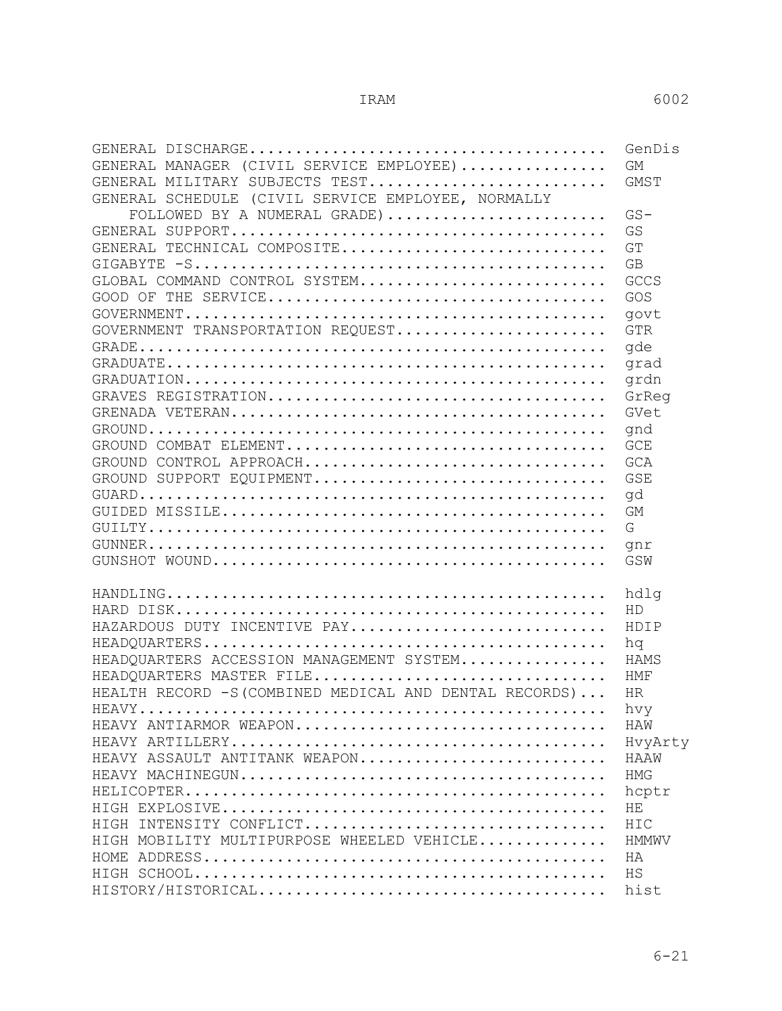|                                                                                                              | GenDis          |
|--------------------------------------------------------------------------------------------------------------|-----------------|
| GENERAL MANAGER (CIVIL SERVICE EMPLOYEE)                                                                     | <b>GM</b>       |
| GENERAL MILITARY SUBJECTS TEST                                                                               | GMST            |
| GENERAL SCHEDULE (CIVIL SERVICE EMPLOYEE, NORMALLY                                                           |                 |
| FOLLOWED BY A NUMERAL GRADE)                                                                                 | $GS-$           |
|                                                                                                              | GS              |
| GENERAL TECHNICAL COMPOSITE                                                                                  | GT              |
|                                                                                                              | GB              |
| GLOBAL COMMAND CONTROL SYSTEM                                                                                | GCCS            |
|                                                                                                              | GOS             |
|                                                                                                              | govt            |
| GOVERNMENT TRANSPORTATION REQUEST                                                                            | <b>GTR</b>      |
|                                                                                                              | qde             |
|                                                                                                              | qrad            |
|                                                                                                              | grdn            |
|                                                                                                              | GrReq           |
|                                                                                                              | GVet            |
|                                                                                                              | qnd             |
|                                                                                                              | <b>GCE</b>      |
| $\texttt{GROUND}\texttt{ CONTROL}\texttt{ APPROACH}.\dots\dots\dots\dots\dots\dots\dots\dots\dots\dots\dots$ | GCA             |
| GROUND SUPPORT EQUIPMENT                                                                                     | <b>GSE</b>      |
|                                                                                                              | qd              |
|                                                                                                              | GM              |
|                                                                                                              | G               |
|                                                                                                              | gnr             |
|                                                                                                              | GSW             |
|                                                                                                              |                 |
|                                                                                                              | hdlg            |
|                                                                                                              | HD              |
| HAZARDOUS DUTY INCENTIVE PAY                                                                                 | HDIP            |
| HEADQUARTERS ACCESSION MANAGEMENT SYSTEM                                                                     | hq<br>HAMS      |
|                                                                                                              |                 |
| HEADQUARTERS MASTER FILE<br>HEALTH RECORD $-S$ (COMBINED MEDICAL AND DENTAL RECORDS)                         | HMF<br>HR.      |
|                                                                                                              | hvv             |
| HEAVY ANTIARMOR WEAPON                                                                                       | HAW             |
|                                                                                                              |                 |
| HEAVY ASSAULT ANTITANK WEAPON                                                                                | HvyArty<br>HAAW |
|                                                                                                              | HMG             |
|                                                                                                              | hoptr           |
|                                                                                                              | HE              |
| HIGH INTENSITY CONFLICT                                                                                      |                 |
| HIGH MOBILITY MULTIPURPOSE WHEELED VEHICLE                                                                   | HIC<br>HMMWV    |
|                                                                                                              | HA              |
|                                                                                                              | HS              |
|                                                                                                              | hist            |
|                                                                                                              |                 |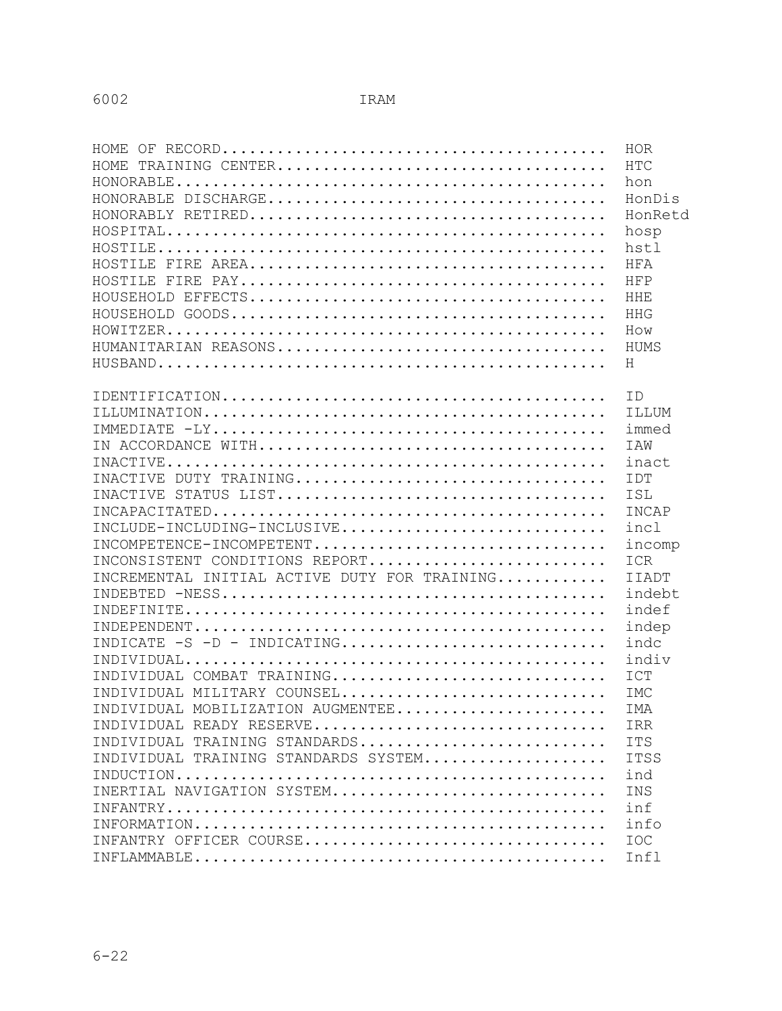| HOMF.                                        | HOR          |
|----------------------------------------------|--------------|
| HOME.                                        | <b>HTC</b>   |
|                                              | hon          |
|                                              | HonDis       |
|                                              | HonRetd      |
|                                              | hosp         |
|                                              | hstl         |
|                                              | HFA          |
|                                              | HFP          |
|                                              | <b>HHE</b>   |
|                                              | HHG          |
|                                              | How          |
|                                              | HUMS         |
|                                              | H            |
|                                              |              |
|                                              | TD           |
|                                              | ILLUM        |
|                                              | immed        |
|                                              | <b>TAW</b>   |
|                                              | inact        |
|                                              | IDT          |
|                                              | ISL          |
|                                              | INCAP        |
| INCLUDE-INCLUDING-INCLUSIVE                  | incl         |
| INCOMPETENCE-INCOMPETENT                     | incomp       |
| INCONSISTENT CONDITIONS REPORT               | <b>ICR</b>   |
| INCREMENTAL INITIAL ACTIVE DUTY FOR TRAINING | <b>IIADT</b> |
|                                              | indebt       |
|                                              | indef        |
|                                              | indep        |
| INDICATE -S -D - INDICATING                  | indc         |
|                                              | indiv        |
| INDIVIDUAL COMBAT TRAINING                   | ICT          |
| INDIVIDUAL MILITARY COUNSEL                  | <b>IMC</b>   |
| INDIVIDUAL MOBILIZATION AUGMENTEE            | IMA          |
| INDIVIDUAL READY RESERVE                     | IRR          |
| INDIVIDUAL TRAINING STANDARDS                | <b>ITS</b>   |
| INDIVIDUAL TRAINING STANDARDS SYSTEM         | <b>ITSS</b>  |
|                                              | ind          |
| INERTIAL NAVIGATION SYSTEM                   | INS          |
|                                              | inf          |
|                                              | info         |
| INFANTRY OFFICER COURSE                      | <b>IOC</b>   |
|                                              | Infl         |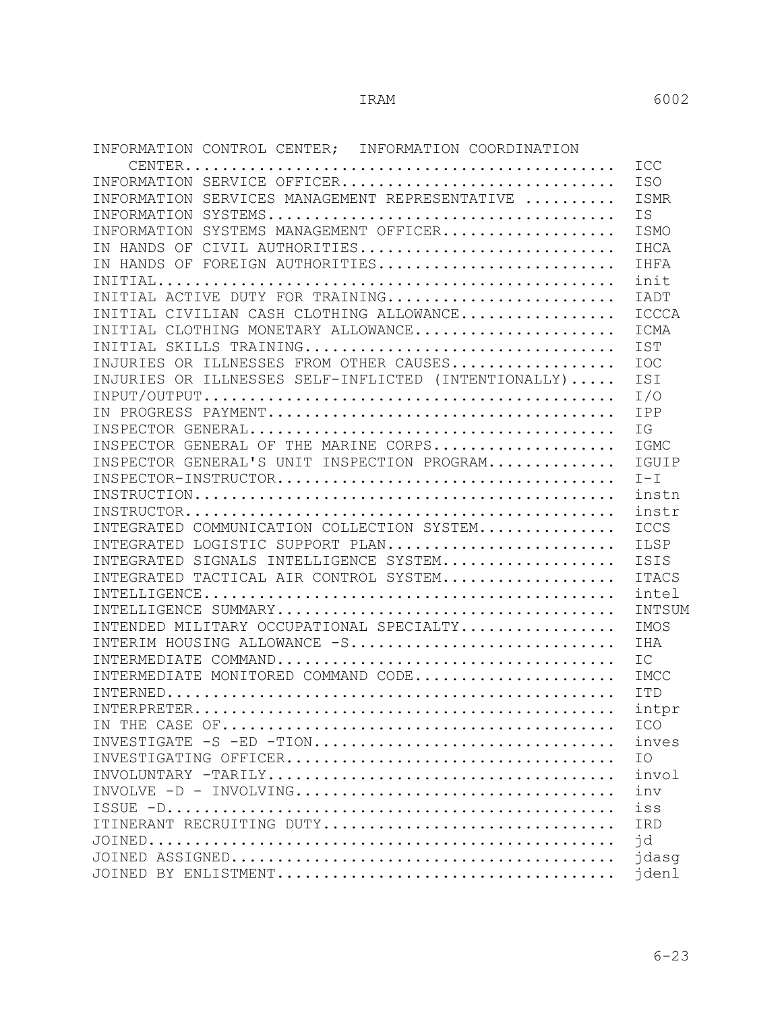INFORMATION CONTROL CENTER; INFORMATION COORDINATION

|                                                      | ICC          |
|------------------------------------------------------|--------------|
| INFORMATION SERVICE OFFICER                          | <b>ISO</b>   |
| INFORMATION SERVICES MANAGEMENT REPRESENTATIVE       | ISMR         |
|                                                      | <b>IS</b>    |
| INFORMATION SYSTEMS MANAGEMENT OFFICER               | ISMO         |
| IN HANDS OF CIVIL AUTHORITIES                        | IHCA         |
| IN HANDS OF FOREIGN AUTHORITIES                      | IHFA         |
|                                                      | init         |
| INITIAL ACTIVE DUTY FOR TRAINING                     | <b>TADT</b>  |
| INITIAL CIVILIAN CASH CLOTHING ALLOWANCE             | ICCCA        |
| INITIAL CLOTHING MONETARY ALLOWANCE                  | ICMA         |
| INITIAL SKILLS TRAINING                              | <b>IST</b>   |
| INJURIES OR ILLNESSES FROM OTHER CAUSES              | <b>IOC</b>   |
| INJURIES OR ILLNESSES SELF-INFLICTED (INTENTIONALLY) | ISI          |
|                                                      | I/O          |
|                                                      | IPP          |
|                                                      | IG           |
| INSPECTOR GENERAL OF THE MARINE CORPS                | IGMC         |
| INSPECTOR GENERAL'S UNIT INSPECTION PROGRAM          | IGUIP        |
|                                                      | $I-T$        |
|                                                      | instn        |
|                                                      | instr        |
| INTEGRATED COMMUNICATION COLLECTION SYSTEM           | ICCS         |
| INTEGRATED LOGISTIC SUPPORT PLAN                     | ILSP         |
| INTEGRATED SIGNALS INTELLIGENCE SYSTEM               | ISIS         |
| INTEGRATED TACTICAL AIR CONTROL SYSTEM               | <b>ITACS</b> |
|                                                      | intel        |
|                                                      | INTSUM       |
| INTENDED MILITARY OCCUPATIONAL SPECIALTY             | IMOS         |
| INTERIM HOUSING ALLOWANCE -S                         | IHA          |
|                                                      | IC           |
| INTERMEDIATE MONITORED COMMAND CODE                  | IMCC         |
|                                                      | TTD          |
|                                                      | intpr        |
|                                                      | ICO          |
| INVESTIGATE -S -ED -TION                             | inves        |
|                                                      | IO           |
|                                                      | invol        |
|                                                      | inv          |
|                                                      | iss          |
| ITINERANT RECRUITING DUTY                            | IRD          |
|                                                      | id           |
|                                                      | jdasg        |
|                                                      | jdenl        |
|                                                      |              |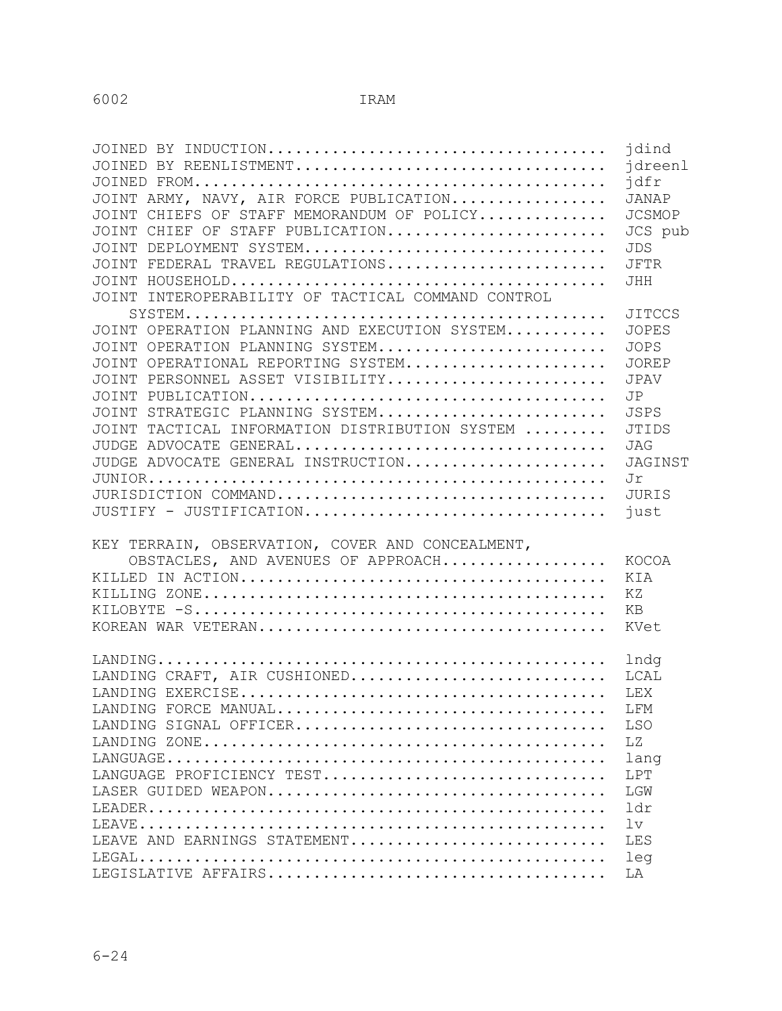|                                                    | jdind         |
|----------------------------------------------------|---------------|
| JOINED BY REENLISTMENT                             | idreenl       |
|                                                    | jdfr          |
| JOINT ARMY, NAVY, AIR FORCE PUBLICATION            | JANAP         |
| JOINT CHIEFS OF STAFF MEMORANDUM OF POLICY         | <b>JCSMOP</b> |
| JOINT CHIEF OF STAFF PUBLICATION                   | JCS pub       |
| JOINT DEPLOYMENT SYSTEM                            | <b>JDS</b>    |
| JOINT FEDERAL TRAVEL REGULATIONS                   | <b>JFTR</b>   |
|                                                    | <b>JHH</b>    |
| JOINT INTEROPERABILITY OF TACTICAL COMMAND CONTROL |               |
|                                                    | <b>JITCCS</b> |
| JOINT OPERATION PLANNING AND EXECUTION SYSTEM      | <b>JOPES</b>  |
| JOINT OPERATION PLANNING SYSTEM                    | <b>JOPS</b>   |
| JOINT OPERATIONAL REPORTING SYSTEM                 | <b>JOREP</b>  |
| JOINT PERSONNEL ASSET VISIBILITY                   | <b>JPAV</b>   |
|                                                    | JP            |
| JOINT STRATEGIC PLANNING SYSTEM                    | <b>JSPS</b>   |
| JOINT TACTICAL INFORMATION DISTRIBUTION SYSTEM     | <b>JTIDS</b>  |
| JUDGE ADVOCATE GENERAL                             | JAG           |
| JUDGE ADVOCATE GENERAL INSTRUCTION                 | JAGINST       |
|                                                    | Jr            |
|                                                    | JURIS         |
| JUSTIFY - JUSTIFICATION                            | just          |
|                                                    |               |
| KEY TERRAIN, OBSERVATION, COVER AND CONCEALMENT,   |               |
| OBSTACLES, AND AVENUES OF APPROACH                 | KOCOA         |
|                                                    | KIA           |
|                                                    | ΚZ            |
|                                                    | KB            |
|                                                    | KVet          |
|                                                    |               |
|                                                    | lndg          |
| LANDING CRAFT, AIR CUSHIONED                       | LCAL          |
|                                                    | <b>LEX</b>    |
|                                                    | LFM           |
| LANDING SIGNAL OFFICER                             | <b>LSO</b>    |
|                                                    | LZ            |
|                                                    | lang          |
| LANGUAGE PROFICIENCY TEST                          | LPT           |
|                                                    | LGW           |
|                                                    | ldr           |
|                                                    | 1v            |
| LEAVE AND EARNINGS STATEMENT                       | LES           |
|                                                    | leg           |
|                                                    | LA            |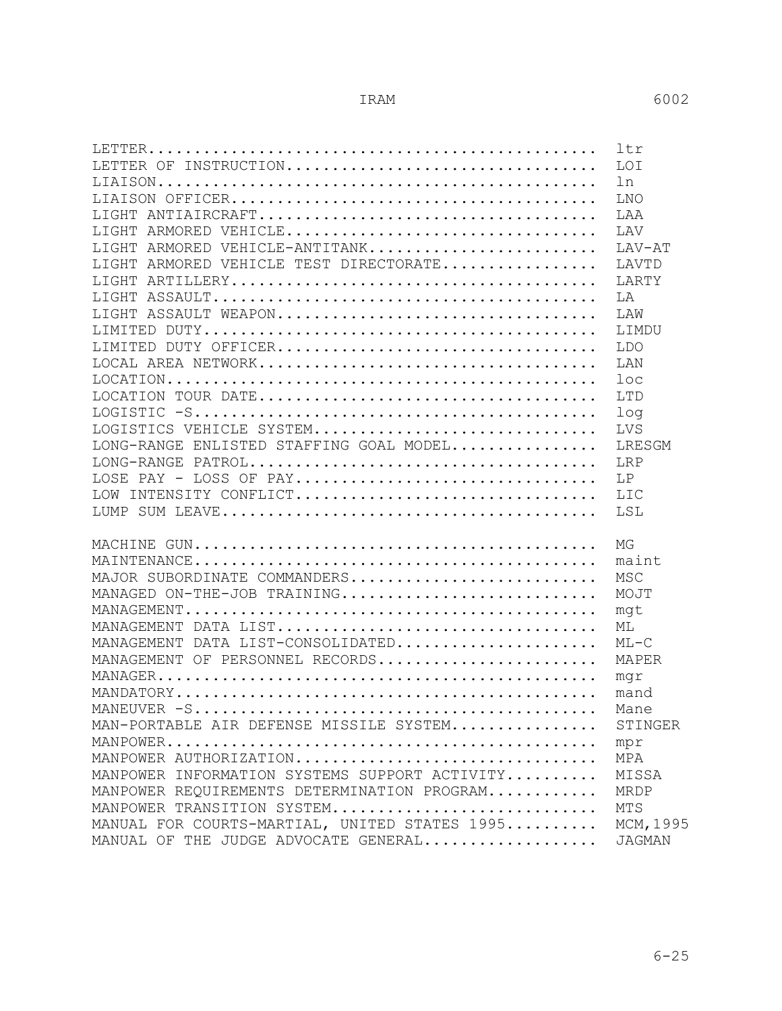|                                                                                                                               | ltr             |
|-------------------------------------------------------------------------------------------------------------------------------|-----------------|
| LETTER OF INSTRUCTION                                                                                                         | <b>LOI</b>      |
|                                                                                                                               | ln              |
|                                                                                                                               | LNO             |
|                                                                                                                               | LAA             |
| LIGHT ARMORED VEHICLE                                                                                                         | <b>T.AV</b>     |
| LIGHT ARMORED VEHICLE-ANTITANK                                                                                                | LAV-AT          |
| LIGHT ARMORED VEHICLE TEST DIRECTORATE                                                                                        | LAVTD           |
|                                                                                                                               | LARTY           |
|                                                                                                                               | LA              |
| LIGHT ASSAULT WEAPON                                                                                                          | T.AW            |
|                                                                                                                               | LIMDU           |
| LIMITED DUTY OFFICER                                                                                                          | <b>LDO</b>      |
|                                                                                                                               | LAN             |
|                                                                                                                               | loc             |
|                                                                                                                               | <b>LTD</b>      |
|                                                                                                                               | 1 <sub>oq</sub> |
| LOGISTICS VEHICLE SYSTEM                                                                                                      | LVS             |
| LONG-RANGE ENLISTED STAFFING GOAL MODEL                                                                                       | LRESGM          |
|                                                                                                                               | LRP             |
| LOSE PAY - LOSS OF PAY                                                                                                        | T.P             |
| LOW INTENSITY CONFLICT                                                                                                        | <b>LIC</b>      |
|                                                                                                                               | LSL             |
|                                                                                                                               | МG              |
|                                                                                                                               | maint           |
| MAJOR SUBORDINATE COMMANDERS                                                                                                  | <b>MSC</b>      |
| MANAGED ON-THE-JOB TRAINING                                                                                                   | MOJT            |
|                                                                                                                               | mqt             |
| MANAGEMENT DATA LIST                                                                                                          | ML              |
| MANAGEMENT DATA LIST-CONSOLIDATED                                                                                             | $MT - C$        |
| MANAGEMENT OF PERSONNEL RECORDS                                                                                               | MAPER           |
|                                                                                                                               | mqr             |
| $\verb MANDATORY  \dots \dots \dots \dots \dots \dots \dots \dots \dots \dots \dots \dots \dots \dots \dots \dots \dots$      | mand            |
|                                                                                                                               | Mane            |
| MAN-PORTABLE AIR DEFENSE MISSILE SYSTEM                                                                                       | STINGER         |
| $\verb MANPOWER  \dots \dots \dots \dots \dots \dots \dots \dots \dots \dots \dots \dots \dots \dots \dots \dots \dots \dots$ | mpr             |
| MANPOWER AUTHORIZATION                                                                                                        | MPA             |
| MANPOWER INFORMATION SYSTEMS SUPPORT ACTIVITY                                                                                 | MISSA           |
| MANPOWER REQUIREMENTS DETERMINATION PROGRAM                                                                                   | MRDP            |
| MANPOWER TRANSITION SYSTEM                                                                                                    | MTS             |
| MANUAL FOR COURTS-MARTIAL, UNITED STATES 1995                                                                                 | MCM, 1995       |
| MANUAL OF THE JUDGE ADVOCATE GENERAL                                                                                          | <b>JAGMAN</b>   |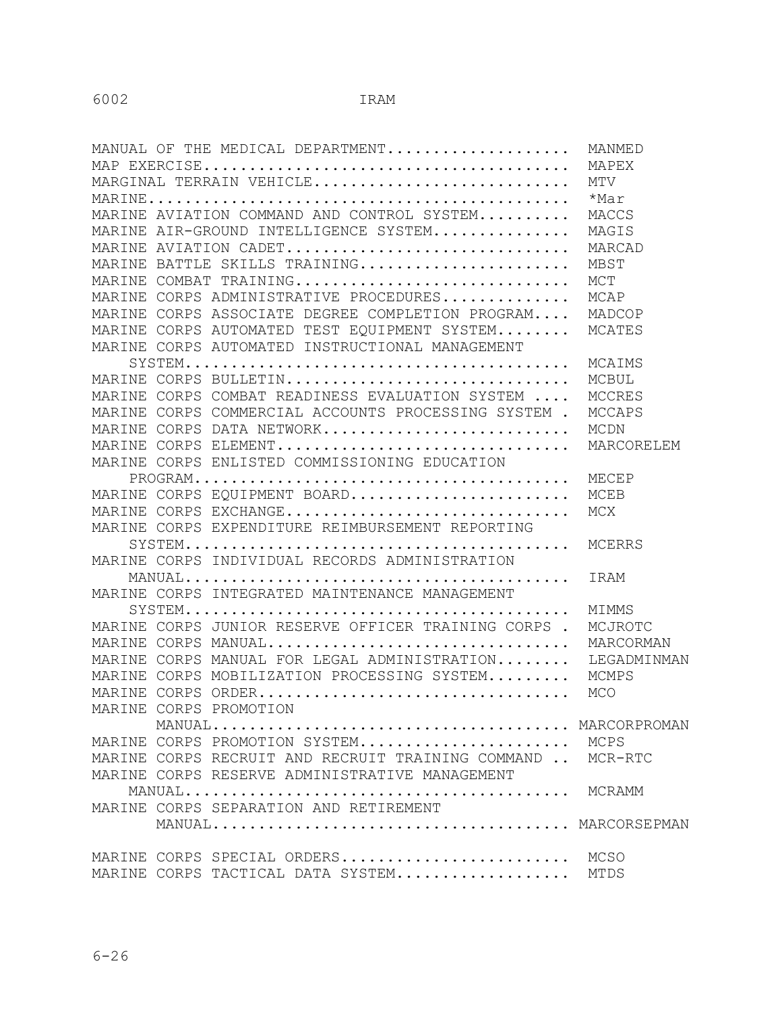| MANUAL OF THE MEDICAL DEPARTMENT                                                         | MANMED      |
|------------------------------------------------------------------------------------------|-------------|
|                                                                                          | MAPEX       |
| MARGINAL TERRAIN VEHICLE                                                                 | MTV         |
|                                                                                          | *Mar        |
| MARINE AVIATION COMMAND AND CONTROL SYSTEM                                               | MACCS       |
| MARINE AIR-GROUND INTELLIGENCE SYSTEM                                                    | MAGIS       |
| MARINE AVIATION CADET                                                                    | MARCAD      |
| MARINE BATTLE SKILLS TRAINING                                                            | MBST        |
| MARINE COMBAT TRAINING                                                                   | MCT         |
| MARINE CORPS ADMINISTRATIVE PROCEDURES                                                   | MCAP        |
| MARINE CORPS ASSOCIATE DEGREE COMPLETION PROGRAM                                         | MADCOP      |
| MARINE CORPS AUTOMATED TEST EOUIPMENT SYSTEM                                             | MCATES      |
| MARINE CORPS AUTOMATED INSTRUCTIONAL MANAGEMENT                                          |             |
|                                                                                          | MCAIMS      |
| MARINE CORPS BULLETIN                                                                    | MCBUL       |
| MARINE CORPS COMBAT READINESS EVALUATION SYSTEM                                          | MCCRES      |
| MARINE CORPS COMMERCIAL ACCOUNTS PROCESSING SYSTEM .                                     | MCCAPS      |
| MARINE CORPS DATA NETWORK                                                                | MCDN        |
| MARINE CORPS ELEMENT                                                                     | MARCORELEM  |
| MARINE CORPS ENLISTED COMMISSIONING EDUCATION                                            |             |
|                                                                                          | MECEP       |
| MARINE CORPS EQUIPMENT BOARD                                                             | MCEB        |
| MARINE CORPS EXCHANGE                                                                    | MCX         |
| MARINE CORPS EXPENDITURE REIMBURSEMENT REPORTING                                         |             |
| $\texttt{ SYSTEM}\dots\dots\dots\dots\dots\dots\dots\dots\dots\dots\dots\dots\dots\dots$ | MCERRS      |
| MARINE CORPS INDIVIDUAL RECORDS ADMINISTRATION                                           |             |
|                                                                                          | IRAM        |
| MARINE CORPS INTEGRATED MAINTENANCE MANAGEMENT                                           |             |
|                                                                                          | MIMMS       |
| MARINE CORPS JUNIOR RESERVE OFFICER TRAINING CORPS.                                      | MCJROTC     |
| MARINE CORPS MANUAL                                                                      | MARCORMAN   |
| MARINE CORPS MANUAL FOR LEGAL ADMINISTRATION                                             | LEGADMINMAN |
| MARINE CORPS MOBILIZATION PROCESSING SYSTEM                                              | MCMPS       |
| MARINE CORPS ORDER                                                                       | MCO         |
| MARINE CORPS PROMOTION                                                                   |             |
|                                                                                          |             |
| MARINE CORPS PROMOTION SYSTEM MCPS                                                       |             |
| MARINE CORPS RECRUIT AND RECRUIT TRAINING COMMAND  MCR-RTC                               |             |
| MARINE CORPS RESERVE ADMINISTRATIVE MANAGEMENT                                           |             |
|                                                                                          |             |
| MARINE CORPS SEPARATION AND RETIREMENT                                                   |             |
|                                                                                          |             |
|                                                                                          |             |
| MARINE CORPS SPECIAL ORDERS                                                              | MCSO        |
| MARINE CORPS TACTICAL DATA SYSTEM                                                        | MTDS        |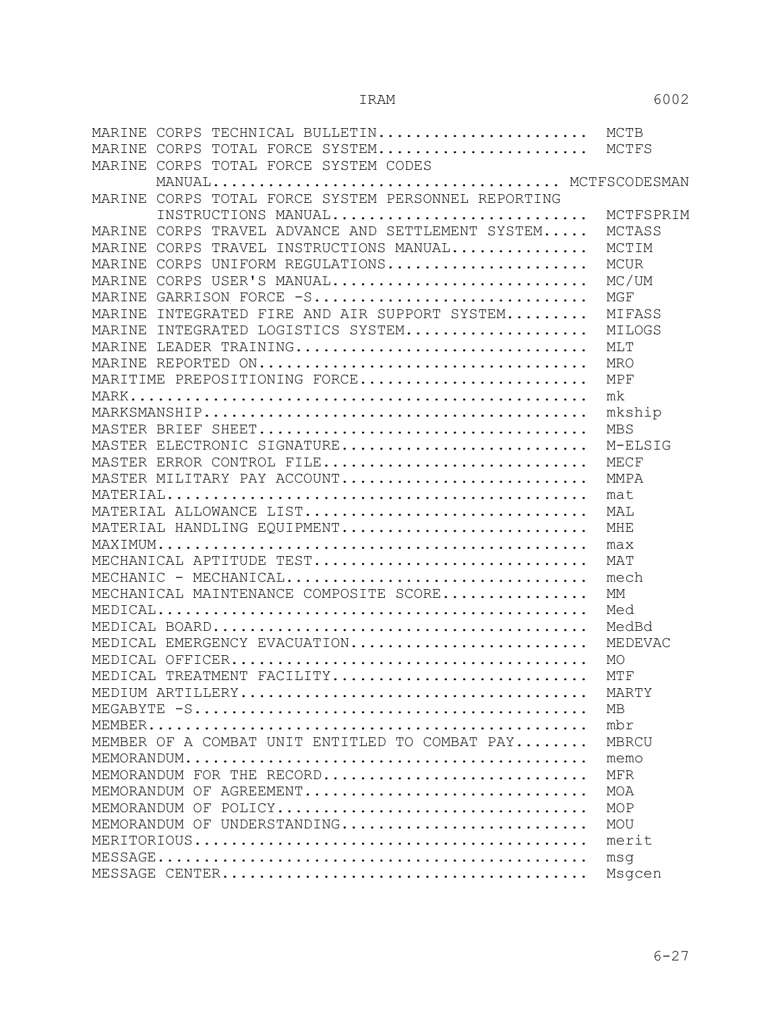| MARINE<br>CORPS TECHNICAL BULLETIN MCTB              |            |
|------------------------------------------------------|------------|
| MARINE CORPS TOTAL FORCE SYSTEM                      | MCTFS      |
| MARINE CORPS TOTAL FORCE SYSTEM CODES                |            |
|                                                      |            |
| MARINE CORPS TOTAL FORCE SYSTEM PERSONNEL REPORTING  |            |
| INSTRUCTIONS MANUAL                                  | MCTFSPRIM  |
| CORPS TRAVEL ADVANCE AND SETTLEMENT SYSTEM<br>MARINE | MCTASS     |
| MARINE CORPS TRAVEL INSTRUCTIONS MANUAL              | MCTIM      |
| MARINE CORPS UNIFORM REGULATIONS                     | MCUR       |
| MARINE CORPS USER'S MANUAL                           | MC/UM      |
| MARINE GARRISON FORCE -S                             | MGF        |
| MARINE INTEGRATED FIRE AND AIR SUPPORT SYSTEM        | MIFASS     |
| MARINE INTEGRATED LOGISTICS SYSTEM                   | MILOGS     |
| MARINE LEADER TRAINING                               | MLT        |
| MARINE REPORTED ON                                   | <b>MRO</b> |
| MARITIME PREPOSITIONING FORCE                        | MPF        |
|                                                      | mk         |
|                                                      | mkship     |
|                                                      | <b>MBS</b> |
| MASTER ELECTRONIC SIGNATURE                          | M-ELSIG    |
| MASTER ERROR CONTROL FILE                            | MECF       |
| MASTER MILITARY PAY ACCOUNT                          | MMPA       |
|                                                      | mat        |
| MATERIAL ALLOWANCE LIST                              | MAL        |
| MATERIAL HANDLING EQUIPMENT                          | MHE        |
|                                                      | max        |
| MECHANICAL APTITUDE TEST                             | MAT        |
|                                                      | mech       |
| MECHANICAL MAINTENANCE COMPOSITE SCORE               | МM         |
|                                                      | Med        |
|                                                      | MedBd      |
| MEDICAL EMERGENCY EVACUATION                         | MEDEVAC    |
|                                                      | MO         |
| MEDICAL TREATMENT FACILITY                           | MTF        |
|                                                      | MARTY      |
|                                                      | МB         |
|                                                      | mbr        |
| MEMBER OF A COMBAT UNIT ENTITLED TO COMBAT PAY       | MBRCU      |
|                                                      | memo       |
| MEMORANDUM FOR THE RECORD                            | <b>MFR</b> |
| MEMORANDUM OF AGREEMENT                              | MOA        |
| MEMORANDUM OF POLICY                                 | MOP        |
| MEMORANDUM OF UNDERSTANDING                          | MOU        |
|                                                      | merit      |
|                                                      | msq        |
|                                                      | Msgcen     |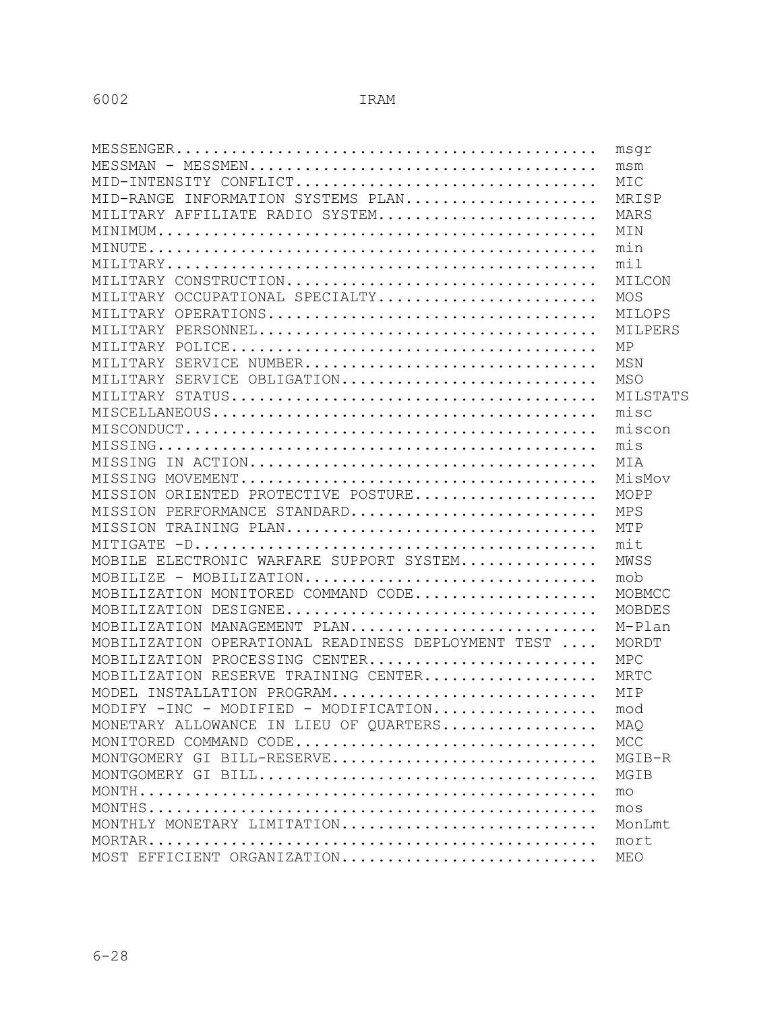|                                                    | msqr        |
|----------------------------------------------------|-------------|
|                                                    | msm         |
| MID-INTENSITY CONFLICT                             | MIC         |
| MID-RANGE INFORMATION SYSTEMS PLAN                 | MRISP       |
| MILITARY AFFILIATE RADIO SYSTEM                    | MARS        |
|                                                    | MIN         |
|                                                    | min         |
|                                                    | mil         |
| MILITARY CONSTRUCTION                              | MILCON      |
| MILITARY OCCUPATIONAL SPECIALTY                    | MOS         |
| MILITARY OPERATIONS                                | MILOPS      |
|                                                    | MILPERS     |
|                                                    | ΜP          |
| MILITARY SERVICE NUMBER                            | MSN         |
| MILITARY SERVICE OBLIGATION                        | <b>MSO</b>  |
|                                                    | MILSTATS    |
|                                                    | $m$ isc     |
|                                                    | miscon      |
|                                                    | m i s       |
|                                                    | MIA         |
|                                                    | MisMov      |
| MISSION ORIENTED PROTECTIVE POSTURE                | MOPP        |
| MISSION PERFORMANCE STANDARD                       | <b>MPS</b>  |
| MISSION TRAINING PLAN                              | MTP         |
|                                                    | mit         |
| MOBILE ELECTRONIC WARFARE SUPPORT SYSTEM           | MWSS        |
| MOBILIZE - MOBILIZATION                            | mob         |
| MOBILIZATION MONITORED COMMAND CODE                | MOBMCC      |
| MOBILIZATION DESIGNEE                              | MOBDES      |
| MOBILIZATION MANAGEMENT PLAN                       | M-Plan      |
| MOBILIZATION OPERATIONAL READINESS DEPLOYMENT TEST | MORDT       |
| MOBILIZATION PROCESSING CENTER                     | MPC         |
| MOBILIZATION RESERVE TRAINING CENTER               | <b>MRTC</b> |
| MODEL INSTALLATION PROGRAM                         | MIP         |
|                                                    | mod         |
| MONETARY ALLOWANCE IN LIEU OF QUARTERS             | MAQ         |
| MONITORED COMMAND CODE                             | <b>MCC</b>  |
| MONTGOMERY GI BILL-RESERVE                         | MGIB-R      |
|                                                    | MGIB        |
|                                                    | mo          |
|                                                    | mos         |
| MONTHLY MONETARY LIMITATION                        | MonLmt      |
|                                                    | mort        |
| MOST EFFICIENT ORGANIZATION                        | MEO         |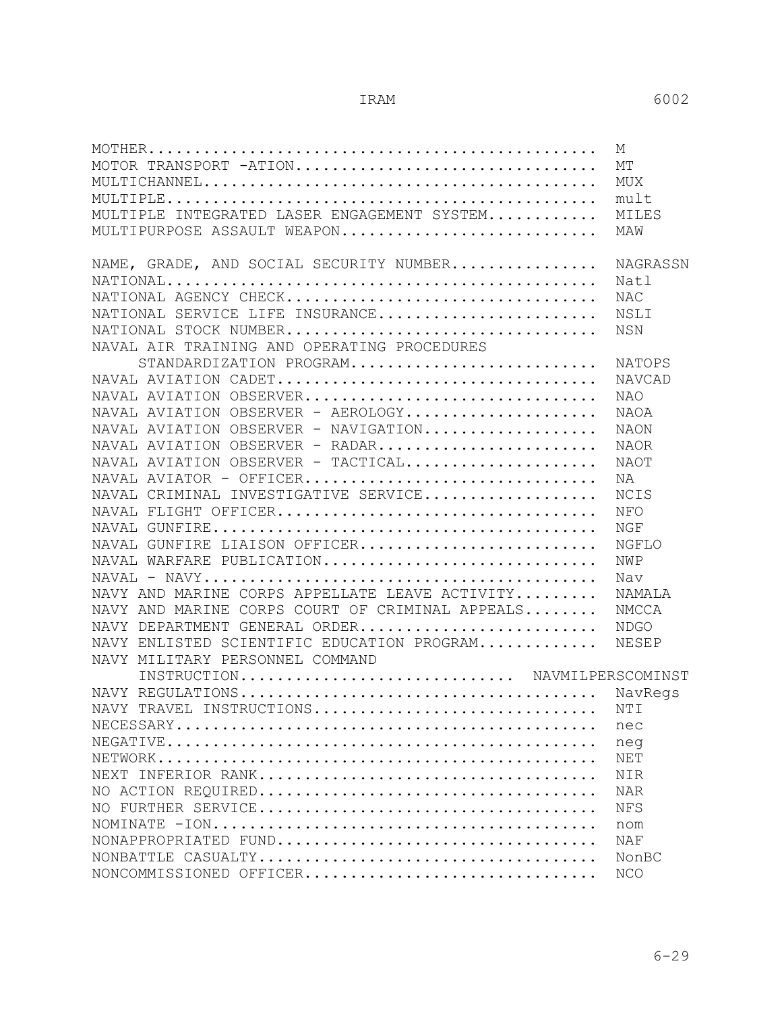|                                                                                                                         | M             |
|-------------------------------------------------------------------------------------------------------------------------|---------------|
| MOTOR TRANSPORT -ATION                                                                                                  | MТ            |
|                                                                                                                         | MUX           |
|                                                                                                                         | mult          |
| MULTIPLE INTEGRATED LASER ENGAGEMENT SYSTEM                                                                             | MILES         |
| MULTIPURPOSE ASSAULT WEAPON                                                                                             | MAW           |
|                                                                                                                         |               |
| NAME, GRADE, AND SOCIAL SECURITY NUMBER                                                                                 | NAGRASSN      |
|                                                                                                                         | Natl          |
| NATIONAL AGENCY CHECK                                                                                                   | NAC           |
| NATIONAL SERVICE LIFE INSURANCE                                                                                         | NSLI          |
| NATIONAL STOCK NUMBER                                                                                                   | <b>NSN</b>    |
| NAVAL AIR TRAINING AND OPERATING PROCEDURES                                                                             |               |
| STANDARDIZATION PROGRAM                                                                                                 | NATOPS        |
| NAVAL AVIATION CADET                                                                                                    | <b>NAVCAD</b> |
| NAVAL AVIATION OBSERVER                                                                                                 | NAO           |
| NAVAL AVIATION OBSERVER - AEROLOGY                                                                                      | NAOA          |
| NAVAL AVIATION OBSERVER - NAVIGATION                                                                                    | NAON          |
| NAVAL AVIATION OBSERVER - RADAR                                                                                         | NAOR          |
| NAVAL AVIATION OBSERVER - TACTICAL                                                                                      | NAOT          |
| NAVAL AVIATOR - OFFICER                                                                                                 | ΝA            |
| NAVAL CRIMINAL INVESTIGATIVE SERVICE                                                                                    | <b>NCIS</b>   |
| NAVAL FLIGHT OFFICER                                                                                                    | NFO           |
|                                                                                                                         | NGF           |
| NAVAL GUNFIRE LIAISON OFFICER                                                                                           | NGFLO         |
| NAVAL WARFARE PUBLICATION                                                                                               | <b>NWP</b>    |
| $\texttt{NAVAL}$ - $\texttt{NAVY}\dots\dots\dots\dots\dots\dots\dots\dots\dots\dots\dots\dots\dots\dots\dots\dots\dots$ | Nav           |
| NAVY AND MARINE CORPS APPELLATE LEAVE ACTIVITY                                                                          | NAMALA        |
| NAVY AND MARINE CORPS COURT OF CRIMINAL APPEALS                                                                         | NMCCA         |
| NAVY DEPARTMENT GENERAL ORDER                                                                                           | <b>NDGO</b>   |
| NAVY ENLISTED SCIENTIFIC EDUCATION PROGRAM                                                                              | NESEP         |
| NAVY MILITARY PERSONNEL COMMAND                                                                                         |               |
| INSTRUCTION NAVMILPERSCOMINST                                                                                           |               |
|                                                                                                                         |               |
| NAVY TRAVEL INSTRUCTIONS                                                                                                | NTI           |
|                                                                                                                         | nec           |
|                                                                                                                         | neg           |
|                                                                                                                         | NET           |
|                                                                                                                         | NIR           |
|                                                                                                                         | <b>NAR</b>    |
|                                                                                                                         | NFS           |
|                                                                                                                         | nom           |
| NONAPPROPRIATED FUND                                                                                                    | NAF           |
|                                                                                                                         | NonBC         |
| NONCOMMISSIONED OFFICER                                                                                                 | <b>NCO</b>    |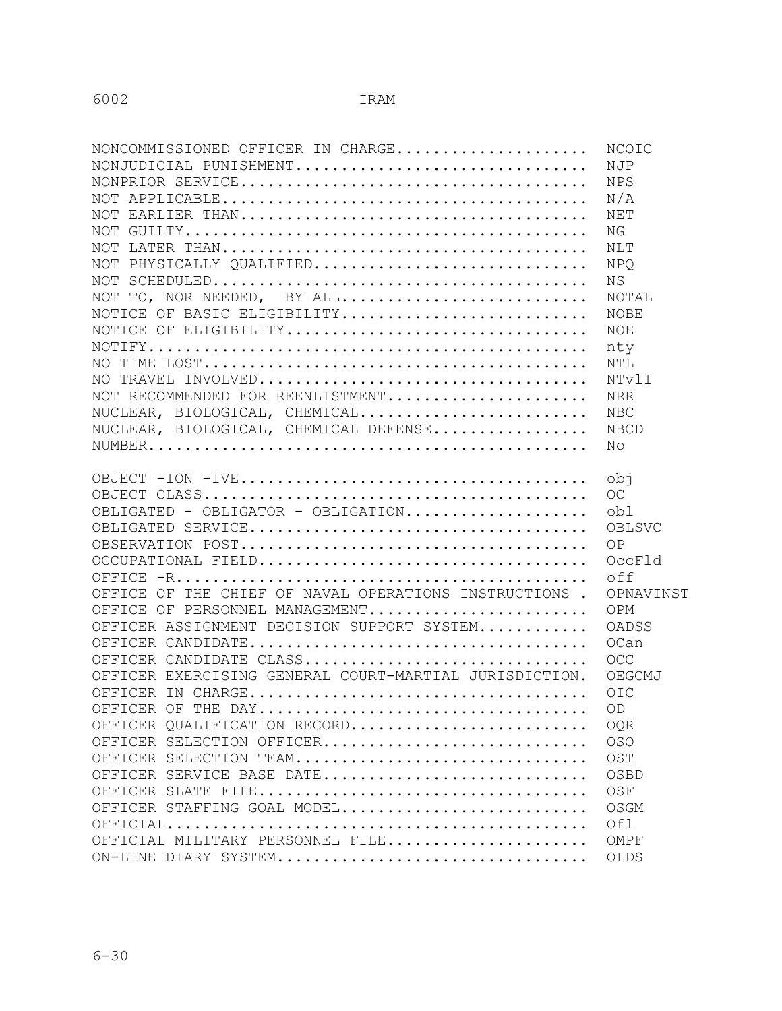| <b>NCOIC</b> |
|--------------|
|              |
|              |
| N/A          |
| NET          |
|              |
|              |
| NPO          |
|              |
| NOTAL        |
| <b>NOBE</b>  |
| NOE          |
| nty          |
| NTL          |
| NTvlI        |
| <b>NRR</b>   |
| <b>NBC</b>   |
| <b>NBCD</b>  |
|              |
|              |
|              |
|              |
|              |
| OBLSVC       |
|              |
| OccFld       |
| off          |
| OPNAVINST    |
| OPM          |
| OADSS        |
| OCan         |
| <b>OCC</b>   |
| OEGCMJ       |
|              |
|              |
| OQR          |
| <b>OSO</b>   |
| OST          |
| OSBD         |
|              |
| OSGM         |
|              |
| OMPF         |
| OLDS         |
|              |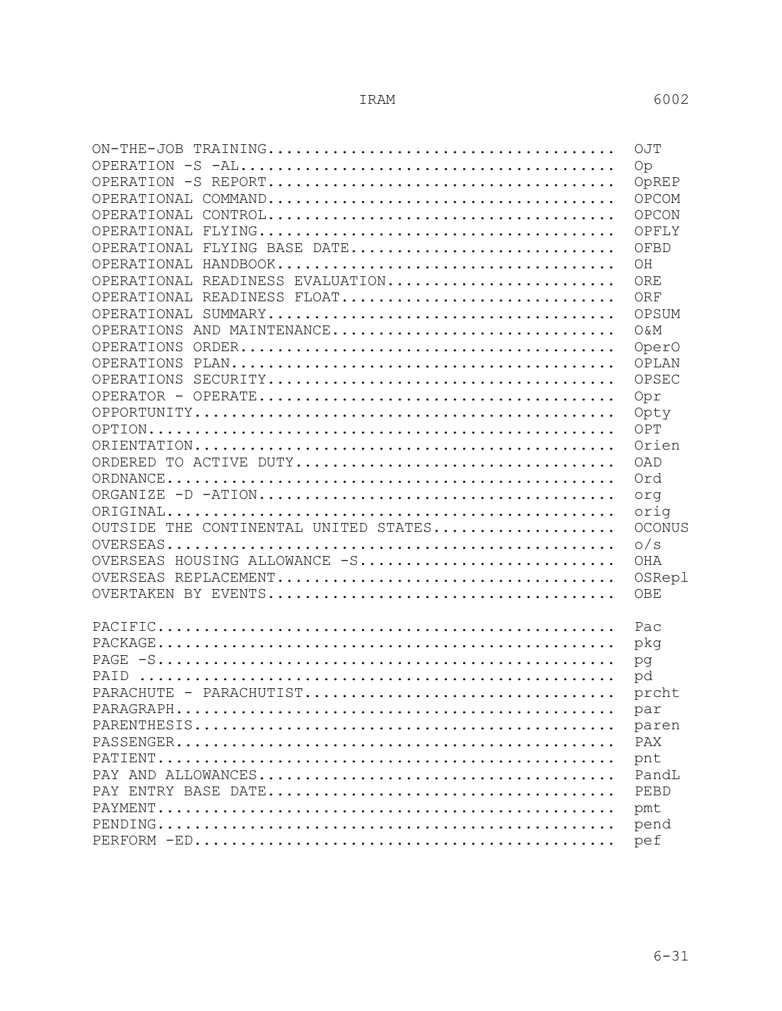|                                       | OJT            |
|---------------------------------------|----------------|
|                                       | Op             |
|                                       | OpREP          |
|                                       | OPCOM          |
|                                       | OPCON          |
|                                       | OPFLY          |
| OPERATIONAL FLYING BASE DATE          | OFBD           |
|                                       | OH             |
| OPERATIONAL READINESS EVALUATION      | ORE            |
| OPERATIONAL READINESS FLOAT           | ORF            |
|                                       | OPSUM          |
| OPERATIONS AND MAINTENANCE            | <b>O&amp;M</b> |
|                                       | OperO          |
|                                       | OPLAN          |
|                                       | OPSEC          |
|                                       | Opr            |
|                                       | Opty           |
|                                       | OPT            |
|                                       | Orien          |
| ORDERED TO ACTIVE DUTY                | OAD            |
|                                       | Ord            |
|                                       | org            |
|                                       | orig           |
| OUTSIDE THE CONTINENTAL UNITED STATES | <b>OCONUS</b>  |
|                                       | $\circ$ /s     |
| OVERSEAS HOUSING ALLOWANCE -S         | OHA            |
|                                       | OSRepl         |
|                                       | OBE            |
|                                       |                |
|                                       | Pac            |
|                                       | pkg            |
|                                       | pg             |
|                                       | pd             |
| PARACHUTE - PARACHUTIST               | prcht          |
|                                       | par            |
|                                       | paren          |
|                                       | PAX            |
|                                       | pnt            |
|                                       | PandL          |
|                                       | PEBD           |
|                                       | pmt            |
|                                       | pend           |
|                                       | pef            |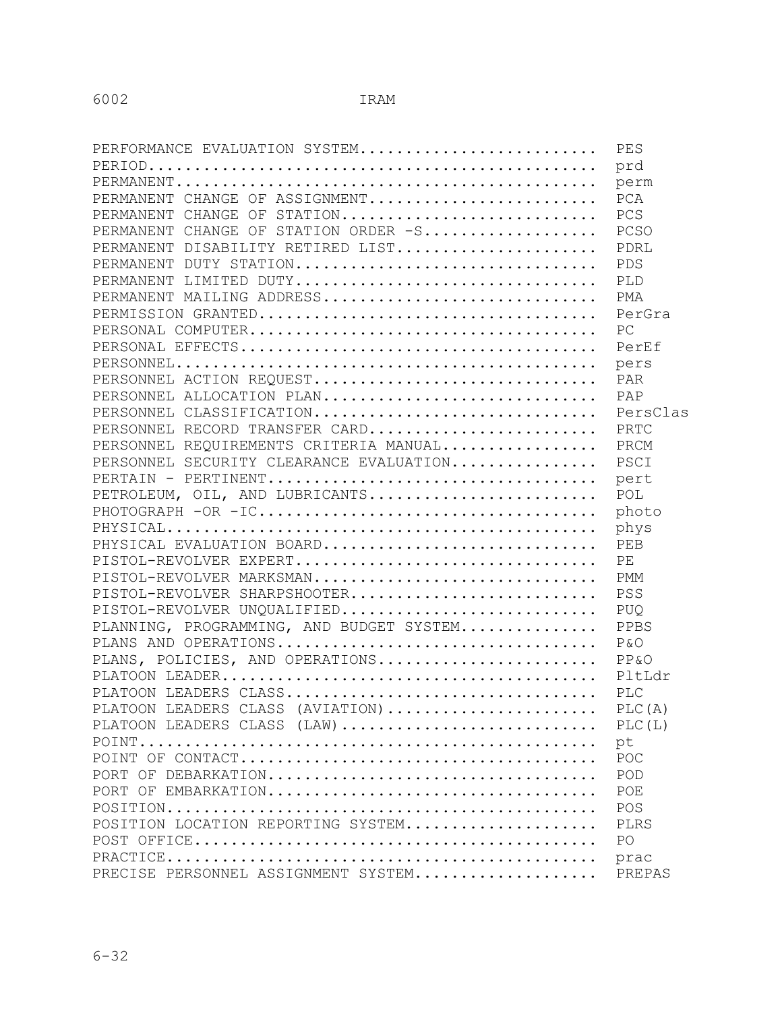| PERFORMANCE EVALUATION SYSTEM            | PES        |
|------------------------------------------|------------|
|                                          | prd        |
|                                          | perm       |
| PERMANENT CHANGE OF ASSIGNMENT           | PCA        |
| PERMANENT CHANGE OF STATION              | PCS        |
| PERMANENT CHANGE OF STATION ORDER -S     | PCSO       |
| PERMANENT DISABILITY RETIRED LIST        | PDRL       |
| PERMANENT DUTY STATION                   | PDS        |
| PERMANENT LIMITED DUTY                   | PLD        |
| PERMANENT MAILING ADDRESS                | PMA        |
|                                          | PerGra     |
|                                          | PC         |
|                                          | PerEf      |
|                                          | pers       |
| PERSONNEL ACTION REQUEST                 | PAR        |
| PERSONNEL ALLOCATION PLAN                | PAP        |
| PERSONNEL CLASSIFICATION                 | PersClas   |
| PERSONNEL RECORD TRANSFER CARD           | PRTC       |
| PERSONNEL REQUIREMENTS CRITERIA MANUAL   | PRCM       |
| PERSONNEL SECURITY CLEARANCE EVALUATION  | PSCI       |
|                                          | pert       |
| PETROLEUM, OIL, AND LUBRICANTS           | POL        |
|                                          | photo      |
|                                          | phys       |
| PHYSICAL EVALUATION BOARD                | PEB        |
| PISTOL-REVOLVER EXPERT                   | PE         |
| PISTOL-REVOLVER MARKSMAN                 | PMM        |
| PISTOL-REVOLVER SHARPSHOOTER             | PSS        |
| PISTOL-REVOLVER UNQUALIFIED              | <b>PUQ</b> |
| PLANNING, PROGRAMMING, AND BUDGET SYSTEM | PPBS       |
| PLANS AND OPERATIONS                     | P & O      |
| PLANS, POLICIES, AND OPERATIONS          | PP & O     |
|                                          | PltLdr     |
|                                          | PLC        |
| PLATOON LEADERS CLASS (AVIATION)         | PLC(A)     |
| PLATOON LEADERS CLASS (LAW)              | PLC(L)     |
|                                          | pt         |
|                                          | POC        |
|                                          | POD        |
| PORT OF EMBARKATION                      | POE        |
|                                          | POS        |
| POSITION LOCATION REPORTING SYSTEM       | PLRS       |
|                                          | PO         |
|                                          | prac       |
| PRECISE PERSONNEL ASSIGNMENT SYSTEM      | PREPAS     |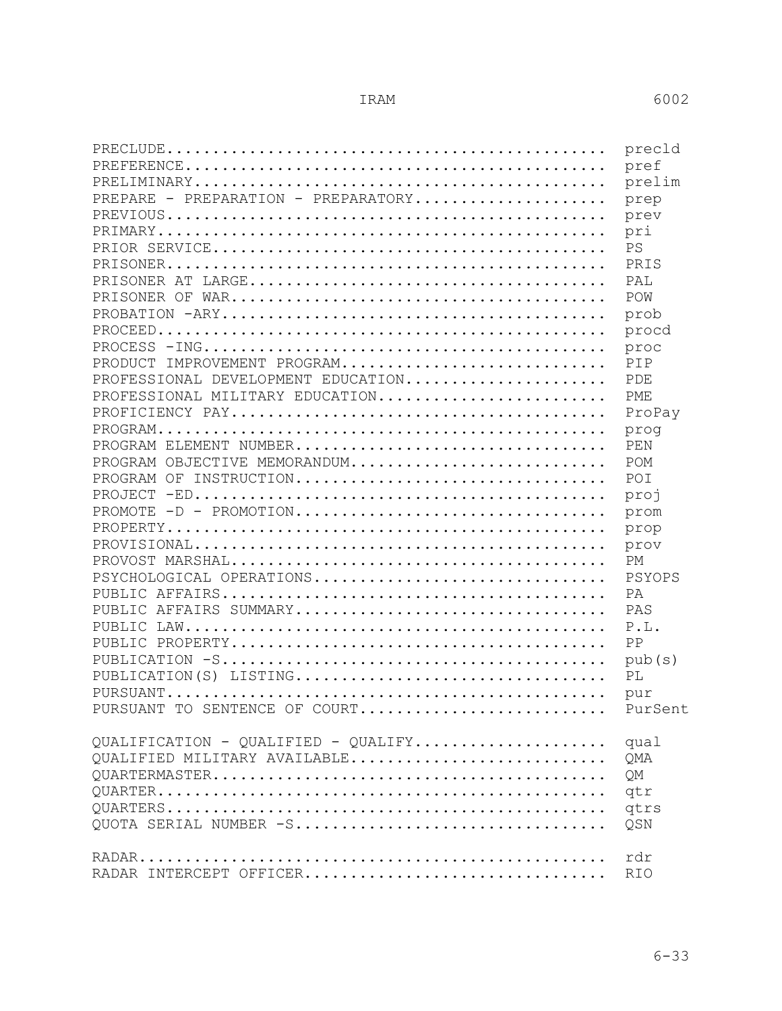|                                                                                                                | pref       |
|----------------------------------------------------------------------------------------------------------------|------------|
|                                                                                                                | prelim     |
| PREPARE - PREPARATION - PREPARATORY                                                                            | prep       |
|                                                                                                                | prev       |
|                                                                                                                | pri        |
|                                                                                                                | <b>PS</b>  |
|                                                                                                                | PRTS       |
|                                                                                                                | PAT.       |
|                                                                                                                | POW        |
|                                                                                                                | prob       |
|                                                                                                                | procd      |
| $PROCESS$ $\neg ING \dots \dots \dots \dots \dots \dots \dots \dots \dots \dots \dots \dots \dots \dots \dots$ | proc       |
| PRODUCT IMPROVEMENT PROGRAM                                                                                    | PTP        |
| PROFESSIONAL DEVELOPMENT EDUCATION                                                                             | PDE.       |
| PROFESSIONAL MILITARY EDUCATION                                                                                | PME        |
|                                                                                                                | ProPay     |
|                                                                                                                | prog       |
| PROGRAM ELEMENT NUMBER                                                                                         | PEN        |
| PROGRAM OBJECTIVE MEMORANDUM                                                                                   | POM        |
| PROGRAM OF INSTRUCTION                                                                                         | POI        |
|                                                                                                                | proj       |
| $PROMOTE$ -D - $PROMOTION$                                                                                     | prom       |
|                                                                                                                | prop       |
|                                                                                                                | prov       |
|                                                                                                                | PM         |
| PSYCHOLOGICAL OPERATIONS                                                                                       | PSYOPS     |
|                                                                                                                | PA         |
| PUBLIC AFFAIRS SUMMARY                                                                                         | PAS        |
|                                                                                                                | P.L.       |
|                                                                                                                | PP         |
|                                                                                                                | pub(s)     |
| PUBLICATION(S) LISTING                                                                                         | PL         |
|                                                                                                                | pur        |
| PURSUANT TO SENTENCE OF COURT PurSent                                                                          |            |
|                                                                                                                | qual       |
| QUALIFIED MILITARY AVAILABLE                                                                                   | QMA        |
|                                                                                                                |            |
|                                                                                                                | QM         |
|                                                                                                                |            |
| QUOTA SERIAL NUMBER -S                                                                                         | qtrs       |
|                                                                                                                | QSN        |
|                                                                                                                | rdr        |
| RADAR INTERCEPT OFFICER                                                                                        | <b>RIO</b> |
|                                                                                                                |            |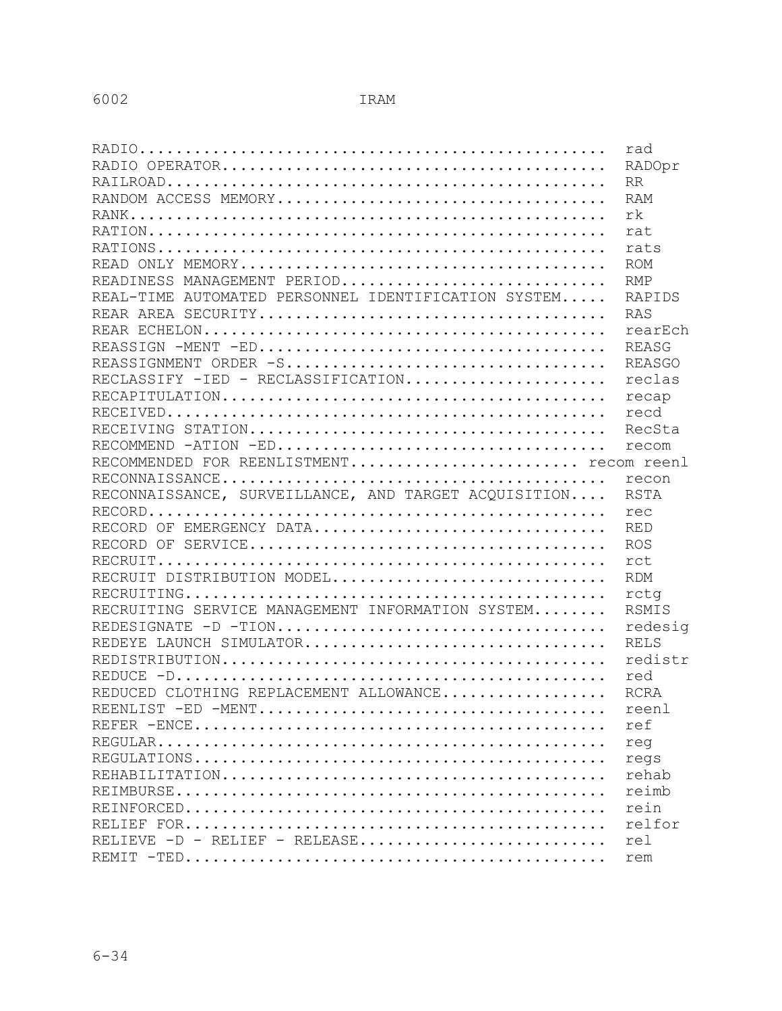|                                                      | rad           |
|------------------------------------------------------|---------------|
|                                                      | RADOpr        |
|                                                      | <b>RR</b>     |
|                                                      | RAM           |
|                                                      | rk            |
|                                                      | rat           |
|                                                      | rats          |
|                                                      | <b>ROM</b>    |
| READINESS MANAGEMENT PERIOD                          | <b>RMP</b>    |
| REAL-TIME AUTOMATED PERSONNEL IDENTIFICATION SYSTEM  | RAPIDS        |
|                                                      | RAS           |
|                                                      | rearEch       |
|                                                      | REASG         |
| REASSIGNMENT ORDER -S                                | <b>REASGO</b> |
| RECLASSIFY - IED - RECLASSIFICATION                  | reclas        |
|                                                      | recap         |
|                                                      | recd          |
|                                                      | RecSta        |
|                                                      | recom         |
| RECOMMENDED FOR REENLISTMENT recom reenl             |               |
|                                                      | recon         |
| RECONNAISSANCE, SURVEILLANCE, AND TARGET ACOUISITION | RSTA          |
|                                                      | rec           |
| RECORD OF EMERGENCY DATA                             | <b>RED</b>    |
|                                                      | <b>ROS</b>    |
|                                                      | rct           |
| RECRUIT DISTRIBUTION MODEL                           | <b>RDM</b>    |
|                                                      | rctq          |
| RECRUITING SERVICE MANAGEMENT INFORMATION SYSTEM     | RSMIS         |
| REDESIGNATE -D -TION                                 | redesig       |
| REDEYE LAUNCH SIMULATOR                              | <b>RELS</b>   |
|                                                      | redistr       |
|                                                      | red           |
| REDUCED CLOTHING REPLACEMENT ALLOWANCE               | <b>RCRA</b>   |
|                                                      | reenl         |
|                                                      | ref           |
|                                                      | req           |
|                                                      | regs          |
|                                                      | rehab         |
|                                                      | reimb         |
|                                                      | rein          |
|                                                      | relfor        |
| RELIEVE $-D$ - RELIEF - RELEASE                      | rel           |
|                                                      | rem           |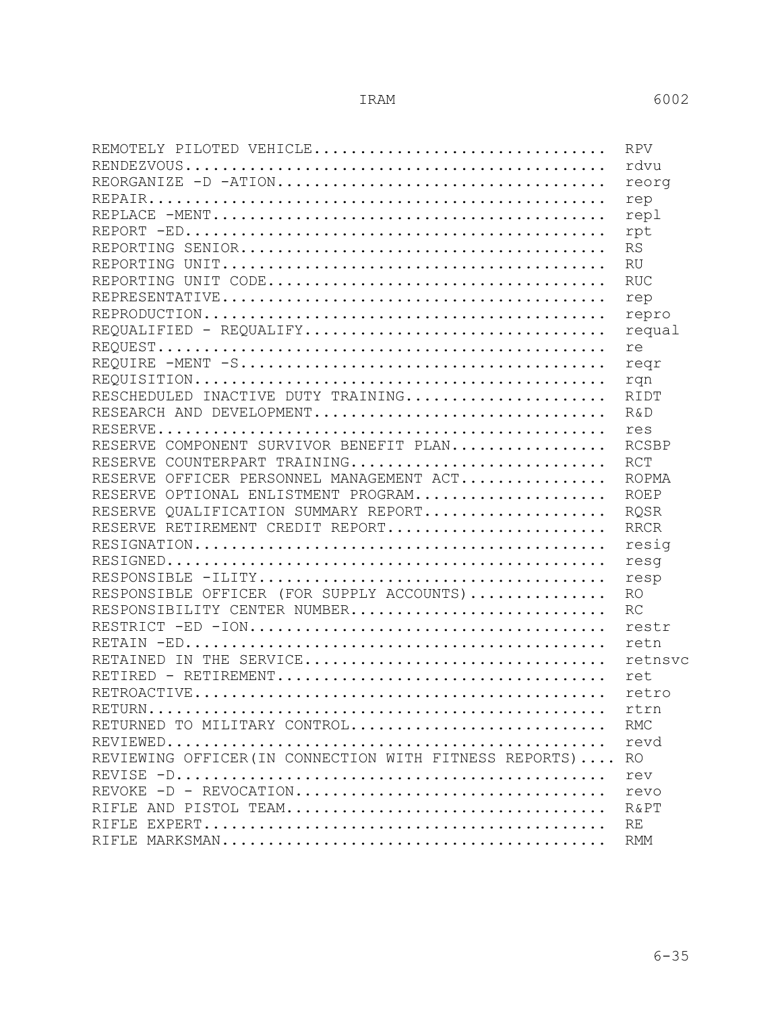| REMOTELY PILOTED VEHICLE                               | <b>RPV</b>  |
|--------------------------------------------------------|-------------|
|                                                        | rdvu        |
| REORGANIZE -D -ATION                                   | reorg       |
|                                                        | rep         |
|                                                        | repl        |
|                                                        | rpt         |
|                                                        | <b>RS</b>   |
|                                                        | RU          |
|                                                        | <b>RUC</b>  |
|                                                        | rep         |
|                                                        | repro       |
| REQUALIFIED - REQUALIFY                                | requal      |
|                                                        | re          |
|                                                        | reqr        |
|                                                        | rqn         |
| RESCHEDULED INACTIVE DUTY TRAINING                     | RIDT        |
| RESEARCH AND DEVELOPMENT                               | $R\&D$      |
|                                                        | res         |
| RESERVE COMPONENT SURVIVOR BENEFIT PLAN                | RCSBP       |
| RESERVE COUNTERPART TRAINING                           | <b>RCT</b>  |
| RESERVE OFFICER PERSONNEL MANAGEMENT ACT               | ROPMA       |
| RESERVE OPTIONAL ENLISTMENT PROGRAM                    | <b>ROEP</b> |
| RESERVE OUALIFICATION SUMMARY REPORT                   | <b>ROSR</b> |
| RESERVE RETIREMENT CREDIT REPORT                       | <b>RRCR</b> |
|                                                        | resig       |
|                                                        | resq        |
|                                                        | resp        |
| RESPONSIBLE OFFICER (FOR SUPPLY ACCOUNTS)              | <b>RO</b>   |
| RESPONSIBILITY CENTER NUMBER                           | RC          |
|                                                        | restr       |
|                                                        | retn        |
| RETAINED IN THE SERVICE                                | retnsvc     |
|                                                        | ret         |
|                                                        | retro       |
|                                                        | rtrn        |
| RETURNED TO MILITARY CONTROL                           | RMC.        |
|                                                        | revd        |
| REVIEWING OFFICER (IN CONNECTION WITH FITNESS REPORTS) | <b>RO</b>   |
|                                                        | rev         |
| REVOKE -D - REVOCATION                                 | revo        |
| RIFLE AND PISTOL TEAM                                  | R&PT        |
|                                                        | RE          |
|                                                        | <b>RMM</b>  |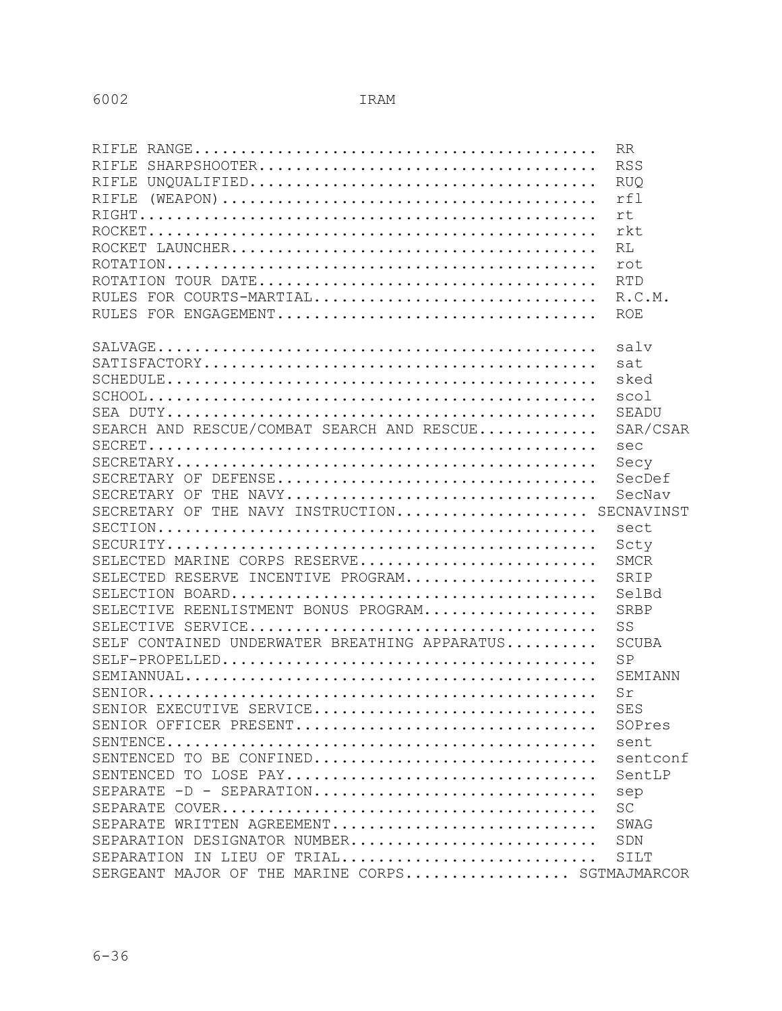|                                                 | <b>RR</b>    |
|-------------------------------------------------|--------------|
|                                                 | <b>RSS</b>   |
|                                                 | <b>RUQ</b>   |
| RIFLE                                           | rf1          |
|                                                 | rt           |
|                                                 | rkt          |
|                                                 | <b>RL</b>    |
|                                                 | rot          |
|                                                 | <b>RTD</b>   |
| RULES FOR COURTS-MARTIAL                        | R.C.M.       |
|                                                 | <b>ROE</b>   |
|                                                 |              |
|                                                 | salv         |
|                                                 | sat          |
|                                                 | sked         |
|                                                 | scol         |
|                                                 | SEADU        |
| SEARCH AND RESCUE/COMBAT SEARCH AND RESCUE      | SAR/CSAR     |
|                                                 | sec          |
|                                                 | Secy         |
|                                                 | SecDef       |
| SECRETARY OF THE NAVY                           | SecNav       |
| SECRETARY OF THE NAVY INSTRUCTION SECNAVINST    |              |
|                                                 | sect         |
|                                                 | Scty         |
| SELECTED MARINE CORPS RESERVE                   | <b>SMCR</b>  |
| SELECTED RESERVE INCENTIVE PROGRAM              | SRIP         |
|                                                 | SelBd        |
| SELECTIVE REENLISTMENT BONUS PROGRAM            | SRBP         |
|                                                 | SS           |
| SELF CONTAINED UNDERWATER BREATHING APPARATUS   | <b>SCUBA</b> |
|                                                 | SP           |
|                                                 | SEMIANN      |
|                                                 | Sr           |
| SENIOR EXECUTIVE SERVICE                        | SES          |
| SENIOR OFFICER PRESENT                          | SOPres       |
|                                                 | sent         |
| SENTENCED TO BE CONFINED                        | sentconf     |
| SENTENCED TO LOSE PAY                           | SentLP       |
| SEPARATE -D - SEPARATION                        | sep          |
|                                                 | <b>SC</b>    |
| SEPARATE WRITTEN AGREEMENT                      | SWAG         |
| SEPARATION DESIGNATOR NUMBER                    | SDN          |
| SEPARATION IN LIEU OF TRIAL                     | SILT         |
| SERGEANT MAJOR OF THE MARINE CORPS SGTMAJMARCOR |              |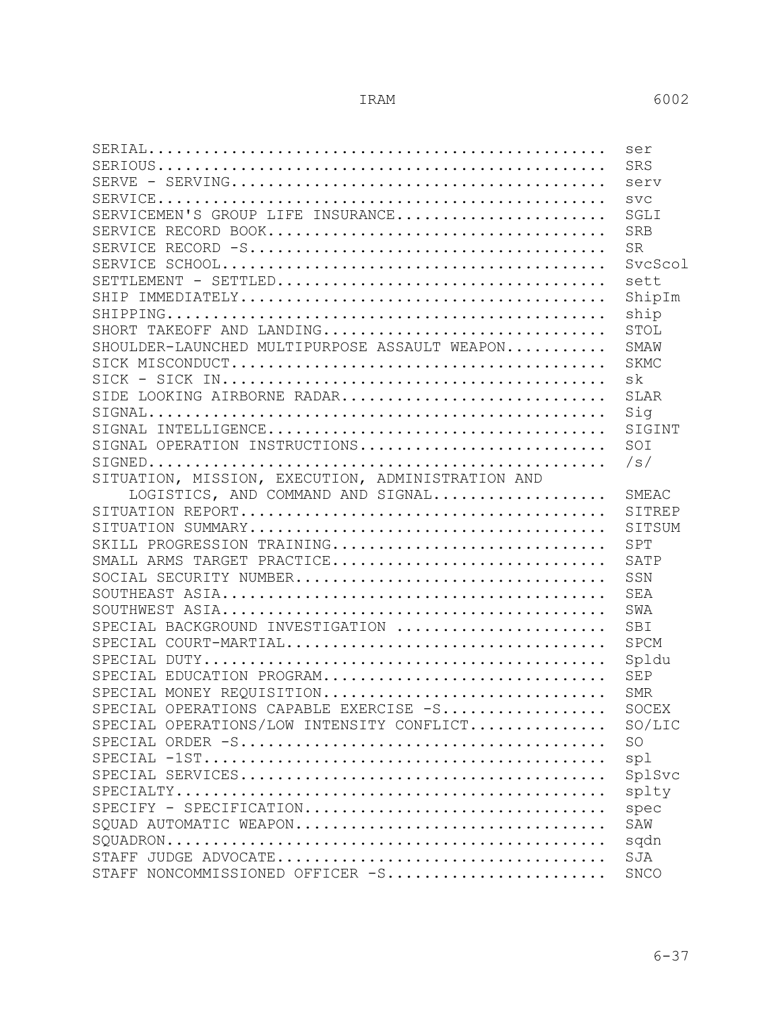|                                                   | ser         |
|---------------------------------------------------|-------------|
|                                                   | SRS         |
|                                                   | serv        |
|                                                   | SVC         |
| SERVICEMEN'S GROUP LIFE INSURANCE                 | SGLT        |
|                                                   | <b>SRB</b>  |
|                                                   | <b>SR</b>   |
|                                                   | SycScol     |
|                                                   | sett        |
|                                                   | ShipIm      |
|                                                   | ship        |
| SHORT TAKEOFF AND LANDING                         | STOL        |
| SHOULDER-LAUNCHED MULTIPURPOSE ASSAULT WEAPON     | SMAW        |
|                                                   | <b>SKMC</b> |
|                                                   | sk          |
| SIDE LOOKING AIRBORNE RADAR                       | <b>SLAR</b> |
|                                                   | Sig         |
|                                                   | SIGINT      |
| SIGNAL OPERATION INSTRUCTIONS                     | SOI         |
|                                                   | /s/         |
| SITUATION, MISSION, EXECUTION, ADMINISTRATION AND |             |
| LOGISTICS, AND COMMAND AND SIGNAL                 | SMEAC       |
|                                                   | SITREP      |
|                                                   | SITSUM      |
| SKILL PROGRESSION TRAINING                        | SPT         |
| SMALL ARMS TARGET PRACTICE                        | SATP        |
| SOCIAL SECURITY NUMBER                            | SSN         |
|                                                   | <b>SEA</b>  |
|                                                   | SWA         |
| SPECIAL BACKGROUND INVESTIGATION                  | SBI         |
| SPECIAL COURT-MARTIAL                             | <b>SPCM</b> |
|                                                   | Spldu       |
| SPECIAL EDUCATION PROGRAM                         | <b>SEP</b>  |
| SPECIAL MONEY REQUISITION                         | <b>SMR</b>  |
| SPECIAL OPERATIONS CAPABLE EXERCISE -S SOCEX      |             |
| SPECIAL OPERATIONS/LOW INTENSITY CONFLICT         | SO/LIC      |
|                                                   | <b>SO</b>   |
|                                                   | spl         |
|                                                   | SplSvc      |
|                                                   | splty       |
| SPECIFY - SPECIFICATION                           | spec        |
| SQUAD AUTOMATIC WEAPON                            | SAW         |
|                                                   | sqdn        |
|                                                   | SJA         |
| STAFF NONCOMMISSIONED OFFICER -S                  | <b>SNCO</b> |
|                                                   |             |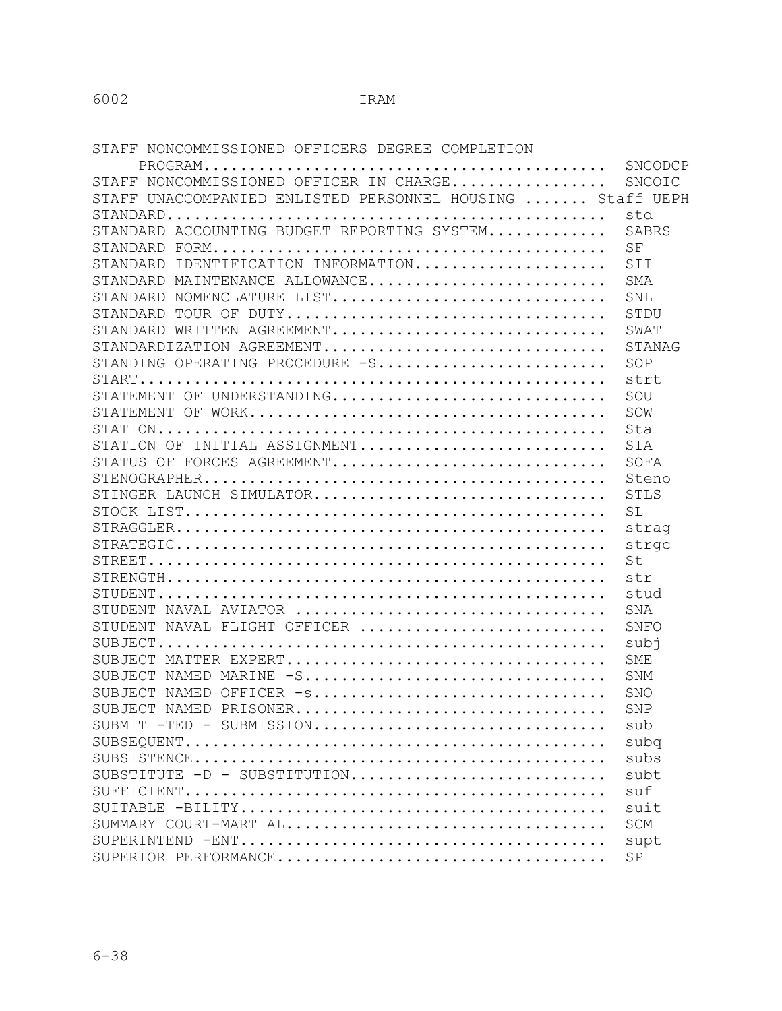STAFF NONCOMMISSIONED OFFICERS DEGREE COMPLETION

|                                                                                                           | SNCODCP    |
|-----------------------------------------------------------------------------------------------------------|------------|
| STAFF NONCOMMISSIONED OFFICER IN CHARGE                                                                   | SNCOIC     |
| STAFF UNACCOMPANIED ENLISTED PERSONNEL HOUSING  Staff UEPH                                                |            |
|                                                                                                           | std        |
| STANDARD ACCOUNTING BUDGET REPORTING SYSTEM                                                               | SABRS      |
|                                                                                                           | SF         |
| STANDARD IDENTIFICATION INFORMATION                                                                       | SII        |
| STANDARD MAINTENANCE ALLOWANCE                                                                            | <b>SMA</b> |
| STANDARD NOMENCLATURE LIST                                                                                | SNL        |
| STANDARD                                                                                                  | STDU       |
| STANDARD WRITTEN AGREEMENT                                                                                | SWAT       |
| STANDARDIZATION AGREEMENT                                                                                 | STANAG     |
| STANDING OPERATING PROCEDURE -S                                                                           | SOP        |
|                                                                                                           | strt       |
| STATEMENT OF UNDERSTANDING                                                                                | SOU        |
|                                                                                                           | SOW        |
|                                                                                                           | Sta        |
| STATION OF INITIAL ASSIGNMENT                                                                             | SIA        |
| STATUS OF FORCES AGREEMENT                                                                                | SOFA       |
|                                                                                                           | Steno      |
| STINGER LAUNCH SIMULATOR                                                                                  | STLS       |
|                                                                                                           | SL         |
| $\texttt{STRAGGLER}\dots\dots\dots\dots\dots\dots\dots\dots\dots\dots\dots\dots\dots\dots\dots\dots\dots$ | strag      |
|                                                                                                           | strgc      |
|                                                                                                           | St         |
|                                                                                                           | str        |
|                                                                                                           | stud       |
| STUDENT NAVAL AVIATOR                                                                                     | <b>SNA</b> |
| STUDENT NAVAL FLIGHT OFFICER                                                                              | SNFO       |
|                                                                                                           | subi       |
| SUBJECT MATTER EXPERT                                                                                     | <b>SME</b> |
| SUBJECT NAMED MARINE -S                                                                                   | <b>SNM</b> |
| SUBJECT NAMED OFFICER -s                                                                                  | <b>SNO</b> |
| SUBJECT NAMED PRISONER                                                                                    | SNP        |
| $SUBMIT$ -TED - SUBMISSION                                                                                | sub        |
|                                                                                                           | subq       |
|                                                                                                           | subs       |
| SUBSTITUTE $-D$ - SUBSTITUTION                                                                            | subt       |
|                                                                                                           | suf        |
|                                                                                                           | suit       |
| SUMMARY COURT-MARTIAL                                                                                     | <b>SCM</b> |
|                                                                                                           | supt       |
|                                                                                                           | SP         |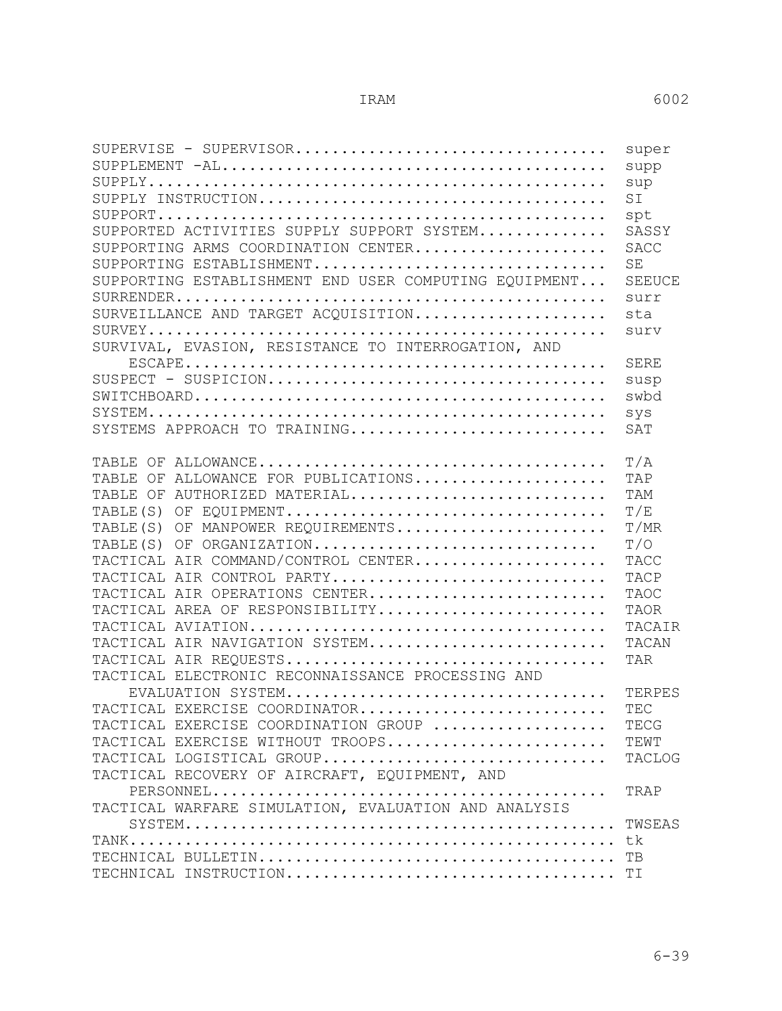6-39

| ${\tt SUPERVISE}$ - ${\tt SUPERVISOR.}\dots\dots\dots\dots\dots\dots\dots\dots\dots\dots\dots\dots$     | super         |
|---------------------------------------------------------------------------------------------------------|---------------|
|                                                                                                         | supp          |
|                                                                                                         | sup           |
|                                                                                                         | SI            |
| $\texttt{SUPPORT} \dots\dots\dots\dots\dots\dots\dots\dots\dots\dots\dots\dots\dots\dots\dots\dots$     | spt           |
| SUPPORTED ACTIVITIES SUPPLY SUPPORT SYSTEM                                                              | SASSY         |
| SUPPORTING ARMS COORDINATION CENTER                                                                     | <b>SACC</b>   |
| SUPPORTING ESTABLISHMENT                                                                                | SE            |
| SUPPORTING ESTABLISHMENT END USER COMPUTING EQUIPMENT                                                   | <b>SEEUCE</b> |
|                                                                                                         | surr          |
| SURVEILLANCE AND TARGET ACQUISITION                                                                     | sta           |
| $\texttt{SURVEY} \dots\dots\dots\dots\dots\dots\dots\dots\dots\dots\dots\dots\dots\dots\dots\dots\dots$ | surv          |
| SURVIVAL, EVASION, RESISTANCE TO INTERROGATION, AND                                                     |               |
|                                                                                                         | SERE          |
|                                                                                                         | susp          |
|                                                                                                         | swbd          |
|                                                                                                         | sys           |
| SYSTEMS APPROACH TO TRAINING                                                                            | SAT           |
|                                                                                                         |               |
|                                                                                                         | T/A           |
| ALLOWANCE FOR PUBLICATIONS<br>TABLE OF                                                                  | TAP           |
| AUTHORIZED MATERIAL<br>TABLE OF                                                                         | <b>TAM</b>    |
| TABLE (S) OF EQUIPMENT                                                                                  | T/E           |
| TABLE (S) OF MANPOWER REQUIREMENTS                                                                      | T/MR          |
| TABLE (S)<br>OF ORGANIZATION                                                                            | T/O           |
| TACTICAL AIR COMMAND/CONTROL CENTER                                                                     | <b>TACC</b>   |
| TACTICAL AIR CONTROL PARTY                                                                              | TACP          |
| TACTICAL AIR OPERATIONS CENTER                                                                          | TAOC          |
| TACTICAL AREA OF RESPONSIBILITY                                                                         | <b>TAOR</b>   |
|                                                                                                         | TACAIR        |
| TACTICAL AIR NAVIGATION SYSTEM                                                                          | TACAN         |
|                                                                                                         | TAR           |
| TACTICAL ELECTRONIC RECONNAISSANCE PROCESSING AND                                                       |               |
| EVALUATION SYSTEM                                                                                       | TERPES        |
| TACTICAL EXERCISE COORDINATOR                                                                           | TEC           |
| TACTICAL EXERCISE COORDINATION GROUP                                                                    | TECG          |
| TACTICAL EXERCISE WITHOUT TROOPS                                                                        | TEWT          |
| TACTICAL LOGISTICAL GROUP                                                                               | TACLOG        |
| TACTICAL RECOVERY OF AIRCRAFT, EQUIPMENT, AND                                                           |               |
|                                                                                                         | TRAP          |
| TACTICAL WARFARE SIMULATION, EVALUATION AND ANALYSIS                                                    |               |
|                                                                                                         |               |
|                                                                                                         | TWSEAS        |
|                                                                                                         |               |
|                                                                                                         | TВ            |
|                                                                                                         |               |
|                                                                                                         |               |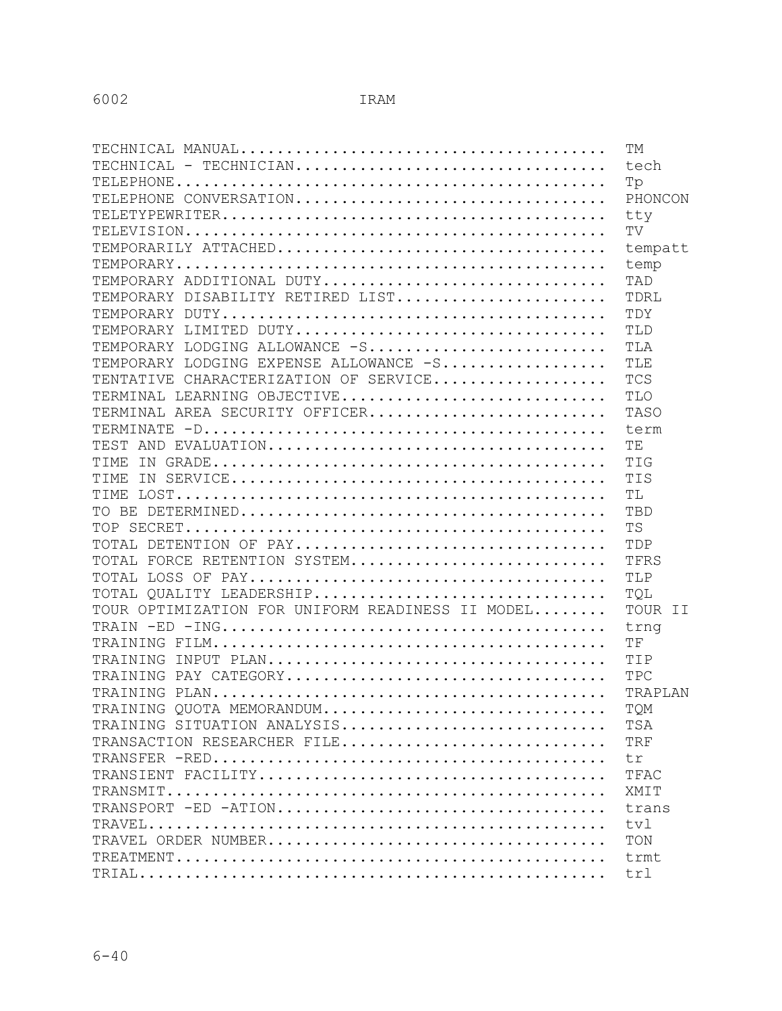|                                                  | <b>TM</b>  |
|--------------------------------------------------|------------|
| TECHNICAL - TECHNICIAN                           | tech       |
|                                                  | Tp         |
| TELEPHONE CONVERSATION                           | PHONCON    |
|                                                  | tty        |
|                                                  | TV         |
|                                                  | tempatt    |
|                                                  | temp       |
| TEMPORARY ADDITIONAL DUTY                        | TAD        |
| TEMPORARY DISABILITY RETIRED LIST                | TDRL       |
|                                                  | TDY        |
| TEMPORARY LIMITED DUTY                           | TLD        |
| TEMPORARY LODGING ALLOWANCE -S                   | TLA        |
| TEMPORARY LODGING EXPENSE ALLOWANCE -S           | TLE        |
| TENTATIVE CHARACTERIZATION OF SERVICE            | <b>TCS</b> |
| TERMINAL LEARNING OBJECTIVE                      | TLO        |
| TERMINAL AREA SECURITY OFFICER                   | TASO       |
|                                                  | term       |
|                                                  | TE         |
|                                                  | TIG        |
| TIME                                             | TIS        |
|                                                  | TL         |
|                                                  | TBD        |
|                                                  | <b>TS</b>  |
| TOTAL DETENTION OF PAY                           | TDP        |
| TOTAL FORCE RETENTION SYSTEM                     | TFRS       |
|                                                  | TLP        |
| TOTAL QUALITY LEADERSHIP                         | TQL        |
| TOUR OPTIMIZATION FOR UNIFORM READINESS II MODEL | TOUR II    |
|                                                  | trng       |
|                                                  | TF         |
|                                                  | TIP        |
| TRAINING PAY CATEGORY                            | TPC        |
|                                                  | TRAPLAN    |
| TRAINING QUOTA MEMORANDUM                        | TQM        |
| TRAINING SITUATION ANALYSIS                      | TSA        |
| TRANSACTION RESEARCHER FILE                      | <b>TRF</b> |
|                                                  | tr         |
|                                                  | TFAC       |
|                                                  | XMIT       |
|                                                  | trans      |
|                                                  | tvl        |
|                                                  | TON        |
|                                                  | trmt       |
|                                                  | trl        |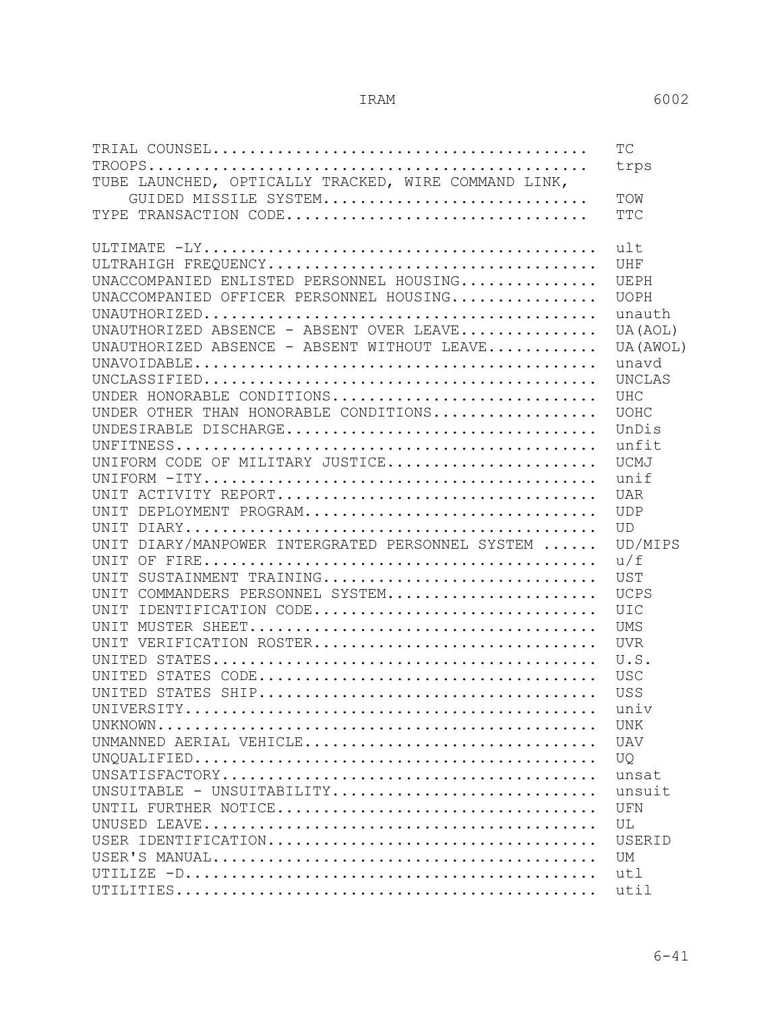|                                                      | TC            |
|------------------------------------------------------|---------------|
|                                                      | trps          |
| TUBE LAUNCHED, OPTICALLY TRACKED, WIRE COMMAND LINK, |               |
| GUIDED MISSILE SYSTEM                                | TOW           |
| TYPE TRANSACTION CODE                                | <b>TTC</b>    |
|                                                      |               |
|                                                      | ult           |
|                                                      | UHF           |
| UNACCOMPANIED ENLISTED PERSONNEL HOUSING             | UEPH          |
| UNACCOMPANIED OFFICER PERSONNEL HOUSING              | <b>UOPH</b>   |
|                                                      | unauth        |
| UNAUTHORIZED ABSENCE - ABSENT OVER LEAVE             | UA (AOL)      |
| UNAUTHORIZED ABSENCE - ABSENT WITHOUT LEAVE          | UA (AWOL)     |
|                                                      | unavd         |
|                                                      | <b>UNCLAS</b> |
| UNDER HONORABLE CONDITIONS                           | <b>UHC</b>    |
| UNDER OTHER THAN HONORABLE CONDITIONS                | <b>UOHC</b>   |
| UNDESIRABLE DISCHARGE                                | UnDis         |
|                                                      | unfit         |
| UNIFORM CODE OF MILITARY JUSTICE                     | <b>UCMJ</b>   |
|                                                      | unif          |
| UNIT ACTIVITY REPORT                                 | <b>UAR</b>    |
| UNIT DEPLOYMENT PROGRAM                              | <b>UDP</b>    |
|                                                      | <b>UD</b>     |
| UNIT DIARY/MANPOWER INTERGRATED PERSONNEL SYSTEM     | UD/MIPS       |
|                                                      | u/f           |
| SUSTAINMENT TRAINING<br>UNIT                         | UST           |
| UNIT COMMANDERS PERSONNEL SYSTEM                     | <b>UCPS</b>   |
| IDENTIFICATION CODE<br>UNIT                          | <b>UIC</b>    |
|                                                      | <b>UMS</b>    |
| UNIT VERIFICATION ROSTER                             | <b>UVR</b>    |
|                                                      | U.S.          |
|                                                      | <b>USC</b>    |
|                                                      | <b>USS</b>    |
| UNIVERSITY.                                          | univ          |
|                                                      | <b>UNK</b>    |
| UNMANNED AERIAL VEHICLE                              | <b>UAV</b>    |
|                                                      | <b>UO</b>     |
|                                                      | unsat         |
| UNSUITABLE - UNSUITABILITY                           | unsuit        |
| UNTIL FURTHER NOTICE                                 | UFN           |
|                                                      | UL            |
|                                                      | USERID        |
|                                                      | UM            |
|                                                      | utl           |
|                                                      | util          |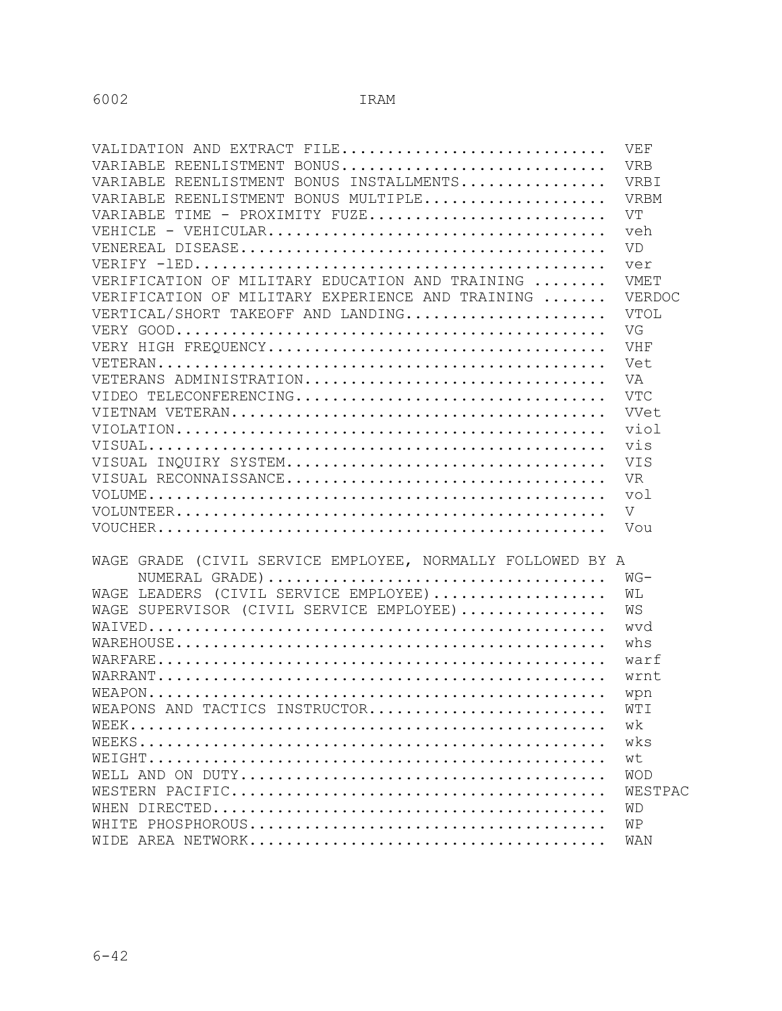| VALIDATION AND EXTRACT FILE                                | VEF            |
|------------------------------------------------------------|----------------|
| VARIABLE REENLISTMENT BONUS                                | <b>VRB</b>     |
| VARIABLE REENLISTMENT BONUS INSTALLMENTS                   | VRBI           |
| VARIABLE REENLISTMENT BONUS MULTIPLE                       | VRBM           |
| VARIABLE TIME - PROXIMITY FUZE                             | VT             |
|                                                            | veh            |
|                                                            | <b>VD</b>      |
|                                                            | ver            |
| VERIFICATION OF MILITARY EDUCATION AND TRAINING            | VMET           |
| VERIFICATION OF MILITARY EXPERIENCE AND TRAINING           | VERDOC         |
| VERTICAL/SHORT TAKEOFF AND LANDING                         | VTOL           |
|                                                            | VG             |
|                                                            | VHF            |
|                                                            | Vet            |
| VETERANS ADMINISTRATION                                    | VA             |
| VIDEO TELECONFERENCING                                     | <b>VTC</b>     |
|                                                            | VVet           |
|                                                            | viol           |
|                                                            | vis            |
|                                                            | VIS            |
| VISUAL RECONNAISSANCE                                      | <b>VR</b>      |
|                                                            | vol            |
|                                                            | $\overline{V}$ |
| $\verb"VOUCHER$                                            | Vou            |
|                                                            |                |
| WAGE GRADE (CIVIL SERVICE EMPLOYEE, NORMALLY FOLLOWED BY A |                |
|                                                            | $WG-$          |
| WAGE LEADERS (CIVIL SERVICE EMPLOYEE)                      | WL             |
| WAGE SUPERVISOR (CIVIL SERVICE EMPLOYEE)                   | ΜS             |
|                                                            | wvd            |
|                                                            | whs            |
|                                                            | warf           |
|                                                            | wrnt           |
|                                                            | wpn            |
| WEAPONS AND TACTICS INSTRUCTOR                             | WTI            |
|                                                            | wk             |
|                                                            | wks            |
|                                                            | wt             |
|                                                            | <b>WOD</b>     |
|                                                            | WESTPAC        |
|                                                            | WD             |
|                                                            | WΡ             |
|                                                            | WAN            |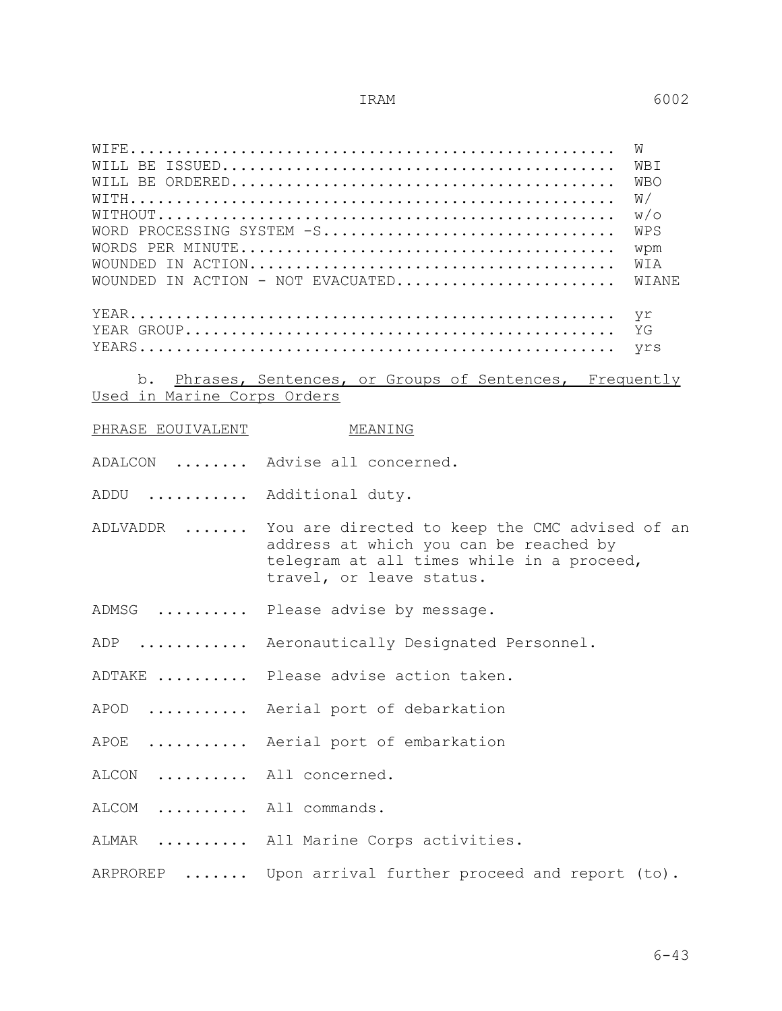WIFE..................................................... W

| WBI<br><b>WBO</b><br>W/<br>W/O<br>WORD PROCESSING SYSTEM -S<br>WPS<br>wpm<br>WIA<br>WOUNDED IN ACTION - NOT EVACUATED<br>WIANE<br>yr<br>ΥG<br>yrs<br>Phrases, Sentences, or Groups of Sentences, Frequently<br>Used in Marine Corps Orders |
|--------------------------------------------------------------------------------------------------------------------------------------------------------------------------------------------------------------------------------------------|
| MEANING                                                                                                                                                                                                                                    |
| ADALCON  Advise all concerned.                                                                                                                                                                                                             |
| ADDU<br>Additional duty.                                                                                                                                                                                                                   |
| You are directed to keep the CMC advised of an<br>address at which you can be reached by<br>telegram at all times while in a proceed,<br>travel, or leave status.                                                                          |
| Please advise by message.                                                                                                                                                                                                                  |
| Aeronautically Designated Personnel.                                                                                                                                                                                                       |
| ADTAKE  Please advise action taken.                                                                                                                                                                                                        |
| Aerial port of debarkation<br>$APOD$                                                                                                                                                                                                       |
| Aerial port of embarkation                                                                                                                                                                                                                 |
| .<br>All concerned.                                                                                                                                                                                                                        |
| All commands.                                                                                                                                                                                                                              |
| All Marine Corps activities.                                                                                                                                                                                                               |
| Upon arrival further proceed and report (to).                                                                                                                                                                                              |
|                                                                                                                                                                                                                                            |

6-43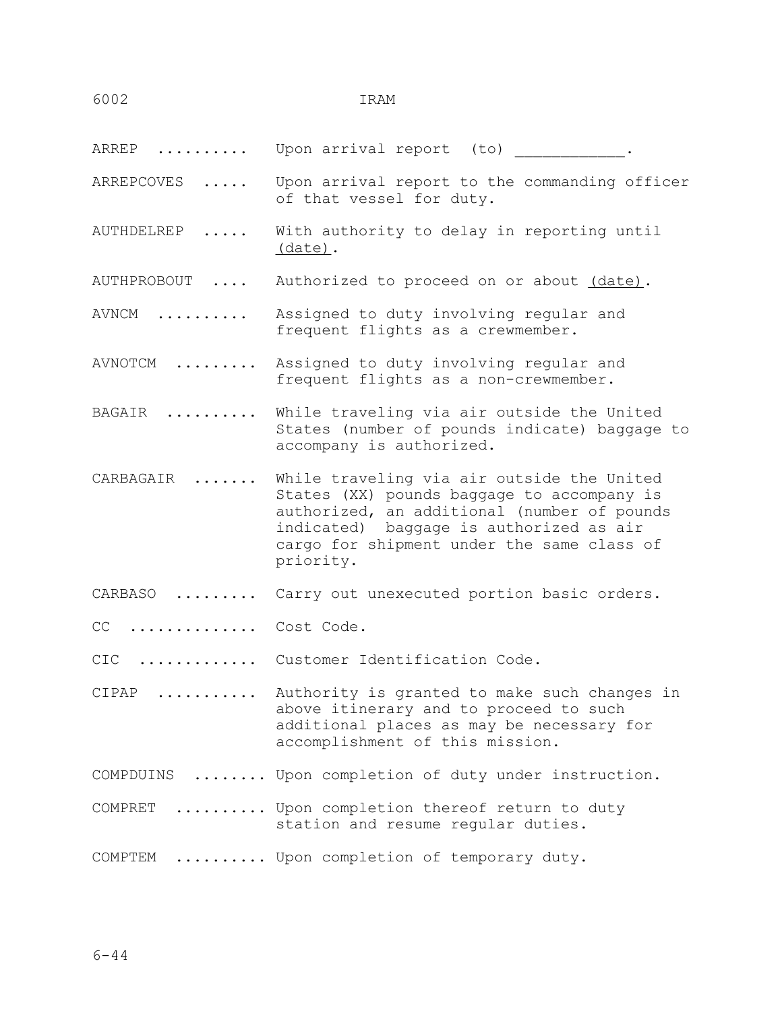ARREP .......... Upon arrival report (to)

ARREPCOVES ..... Upon arrival report to the commanding officer of that vessel for duty.

AUTHDELREP ..... With authority to delay in reporting until (date).

AUTHPROBOUT .... Authorized to proceed on or about (date).

AVNCM .......... Assigned to duty involving regular and frequent flights as a crewmember.

- AVNOTCM ......... Assigned to duty involving regular and frequent flights as a non-crewmember.
- BAGAIR .......... While traveling via air outside the United States (number of pounds indicate) baggage to accompany is authorized.
- CARBAGAIR ....... While traveling via air outside the United States (XX) pounds baggage to accompany is authorized, an additional (number of pounds indicated) baggage is authorized as air cargo for shipment under the same class of priority.
- CARBASO ......... Carry out unexecuted portion basic orders.

CC .............. Cost Code.

CIC ............. Customer Identification Code.

CIPAP ........... Authority is granted to make such changes in above itinerary and to proceed to such additional places as may be necessary for accomplishment of this mission.

- COMPDUINS ........ Upon completion of duty under instruction.
- COMPRET .......... Upon completion thereof return to duty station and resume regular duties.

COMPTEM .......... Upon completion of temporary duty.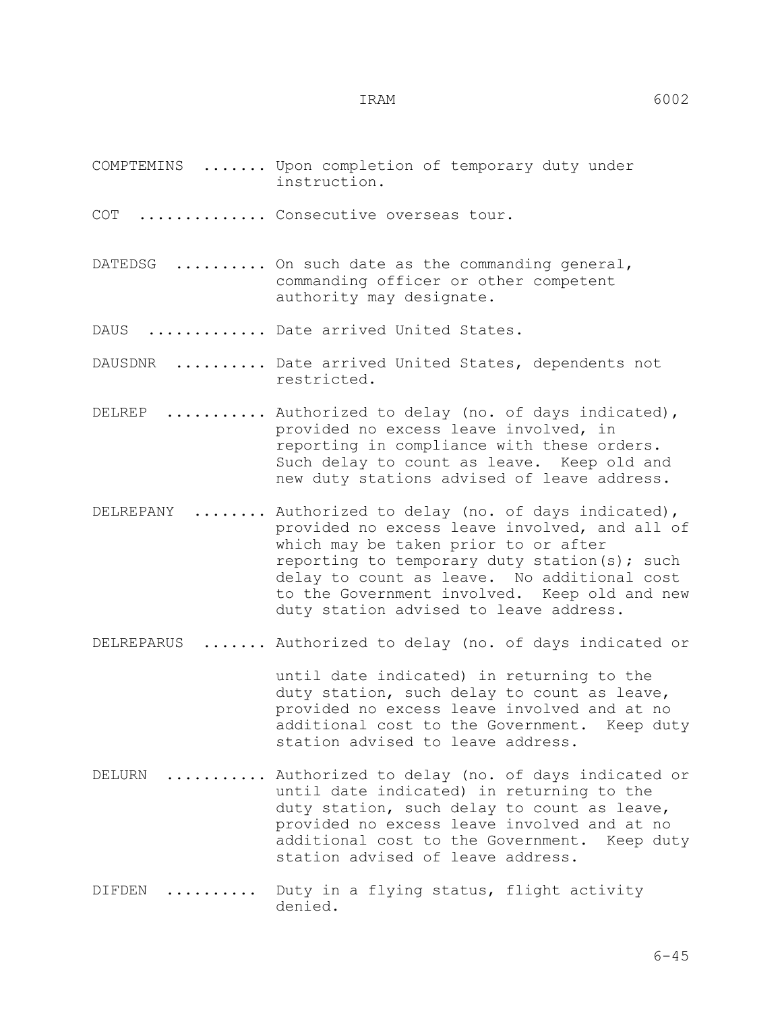- COMPTEMINS ....... Upon completion of temporary duty under instruction.
- COT .............. Consecutive overseas tour.
- DATEDSG .......... On such date as the commanding general, commanding officer or other competent authority may designate.
- DAUS .............. Date arrived United States.
- DAUSDNR .......... Date arrived United States, dependents not restricted.
- DELREP ........... Authorized to delay (no. of days indicated), provided no excess leave involved, in reporting in compliance with these orders. Such delay to count as leave. Keep old and new duty stations advised of leave address.
- DELREPANY ....... Authorized to delay (no. of days indicated), provided no excess leave involved, and all of which may be taken prior to or after reporting to temporary duty station(s); such delay to count as leave. No additional cost to the Government involved. Keep old and new duty station advised to leave address.
- DELREPARUS ....... Authorized to delay (no. of days indicated or

 until date indicated) in returning to the duty station, such delay to count as leave, provided no excess leave involved and at no additional cost to the Government. Keep duty station advised to leave address.

- DELURN .......... Authorized to delay (no. of days indicated or until date indicated) in returning to the duty station, such delay to count as leave, provided no excess leave involved and at no additional cost to the Government. Keep duty station advised of leave address.
- DIFDEN .......... Duty in a flying status, flight activity denied.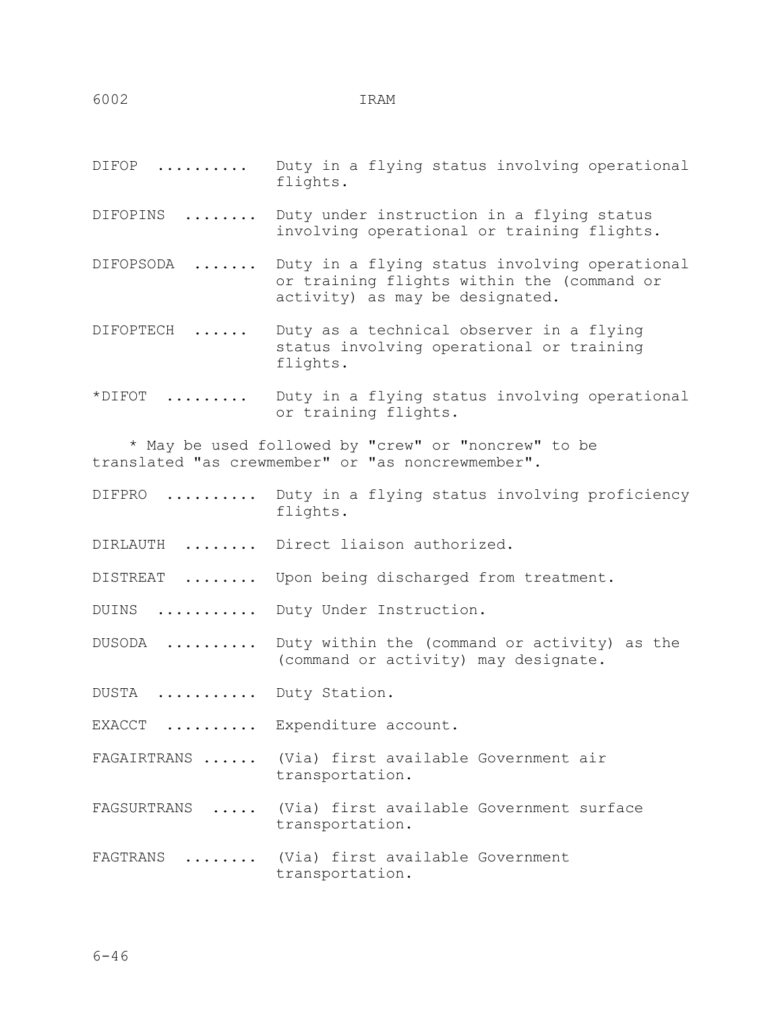| $\text{DIFF}$           | Duty in a flying status involving operational<br>flights.                                                                      |
|-------------------------|--------------------------------------------------------------------------------------------------------------------------------|
| DIFOPINS                | Duty under instruction in a flying status<br>involving operational or training flights.                                        |
| DIFOPSODA               | Duty in a flying status involving operational<br>or training flights within the (command or<br>activity) as may be designated. |
| DIFOPTECH<br>$\ldots$   | Duty as a technical observer in a flying<br>status involving operational or training<br>flights.                               |
| $\star$ DIFOT           | Duty in a flying status involving operational<br>or training flights.                                                          |
|                         | * May be used followed by "crew" or "noncrew" to be<br>translated "as crewmember" or "as noncrewmember".                       |
|                         | DIFPRO  Duty in a flying status involving proficiency<br>flights.                                                              |
|                         | DIRLAUTH  Direct liaison authorized.                                                                                           |
| DISTREAT                | Upon being discharged from treatment.                                                                                          |
|                         | DUINS  Duty Under Instruction.                                                                                                 |
| DUSODA                  | Duty within the (command or activity) as the<br>(command or activity) may designate.                                           |
| DUSTA  Duty Station.    |                                                                                                                                |
| $EXACCT$                | Expenditure account.                                                                                                           |
|                         | FAGAIRTRANS  (Via) first available Government air<br>transportation.                                                           |
| $\cdots$<br>FAGSURTRANS | (Via) first available Government surface<br>transportation.                                                                    |
| FAGTRANS<br>.           | (Via) first available Government<br>transportation.                                                                            |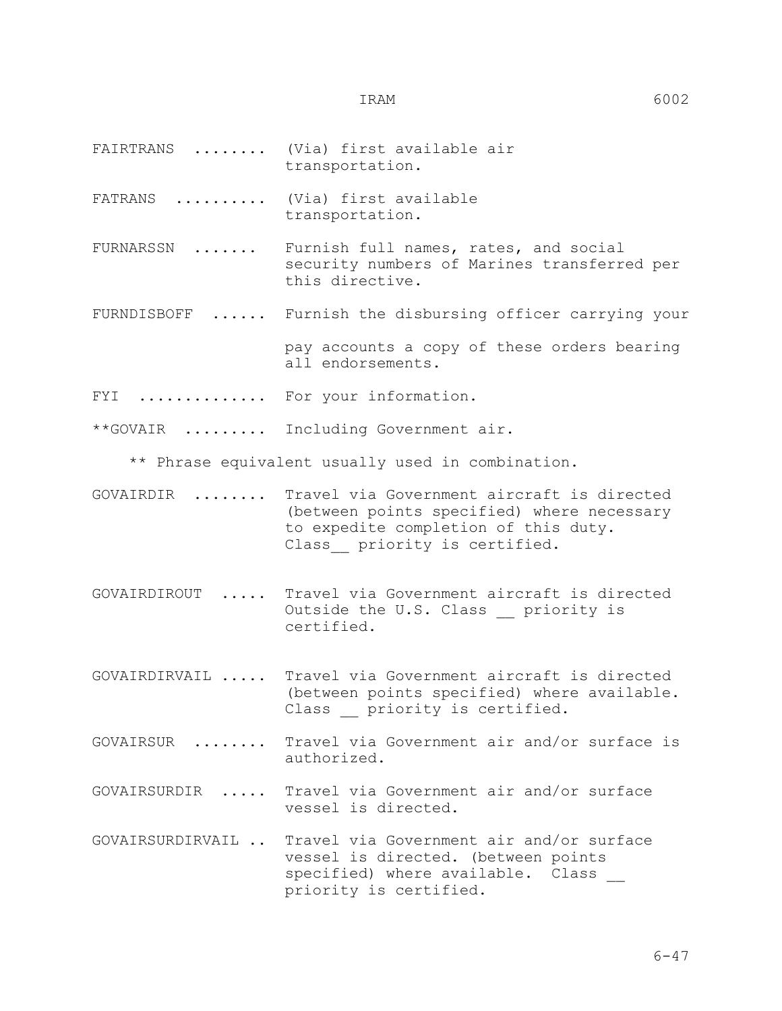- FAIRTRANS ........ (Via) first available air transportation.
- FATRANS .......... (Via) first available transportation.
- FURNARSSN ....... Furnish full names, rates, and social security numbers of Marines transferred per this directive.
- FURNDISBOFF ...... Furnish the disbursing officer carrying your
- pay accounts a copy of these orders bearing all endorsements.
- FYI .............. For your information.
- \*\*GOVAIR ......... Including Government air.

\*\* Phrase equivalent usually used in combination.

- GOVAIRDIR ........ Travel via Government aircraft is directed (between points specified) where necessary to expedite completion of this duty. Class priority is certified.
- GOVAIRDIROUT ..... Travel via Government aircraft is directed Outside the U.S. Class priority is certified.
- GOVAIRDIRVAIL ..... Travel via Government aircraft is directed (between points specified) where available. Class priority is certified.
- GOVAIRSUR ........ Travel via Government air and/or surface is authorized.
- GOVAIRSURDIR ..... Travel via Government air and/or surface vessel is directed.
- GOVAIRSURDIRVAIL .. Travel via Government air and/or surface vessel is directed. (between points specified) where available. Class priority is certified.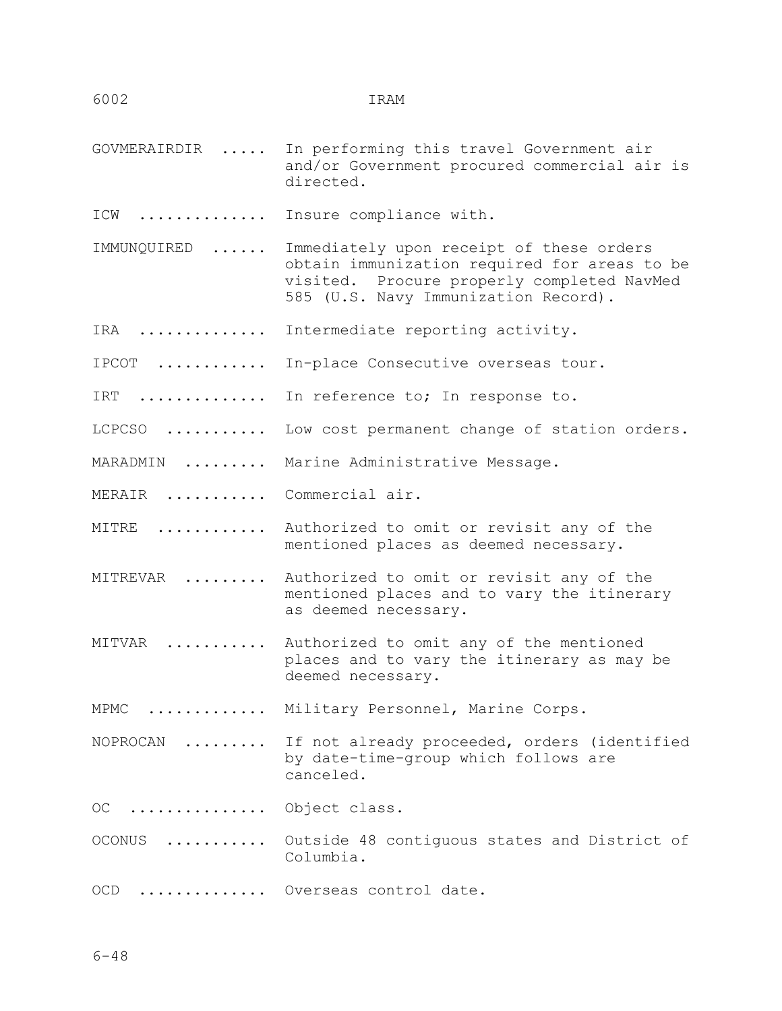- GOVMERAIRDIR ..... In performing this travel Government air and/or Government procured commercial air is directed.
- ICW ............. Insure compliance with.
- IMMUNQUIRED ...... Immediately upon receipt of these orders obtain immunization required for areas to be visited. Procure properly completed NavMed 585 (U.S. Navy Immunization Record).
- IRA .............. Intermediate reporting activity.
- IPCOT ............ In-place Consecutive overseas tour.
- IRT .............. In reference to; In response to.
- LCPCSO ........... Low cost permanent change of station orders.
- MARADMIN ......... Marine Administrative Message.
- MERAIR .......... Commercial air.
- MITRE ............ Authorized to omit or revisit any of the mentioned places as deemed necessary.
- MITREVAR ......... Authorized to omit or revisit any of the mentioned places and to vary the itinerary as deemed necessary.
- MITVAR ........... Authorized to omit any of the mentioned places and to vary the itinerary as may be deemed necessary.
- MPMC ............. Military Personnel, Marine Corps.
- NOPROCAN ......... If not already proceeded, orders (identified by date-time-group which follows are canceled.
- OC ............... Object class.
- OCONUS ........... Outside 48 contiguous states and District of Columbia.
- OCD .............. Overseas control date.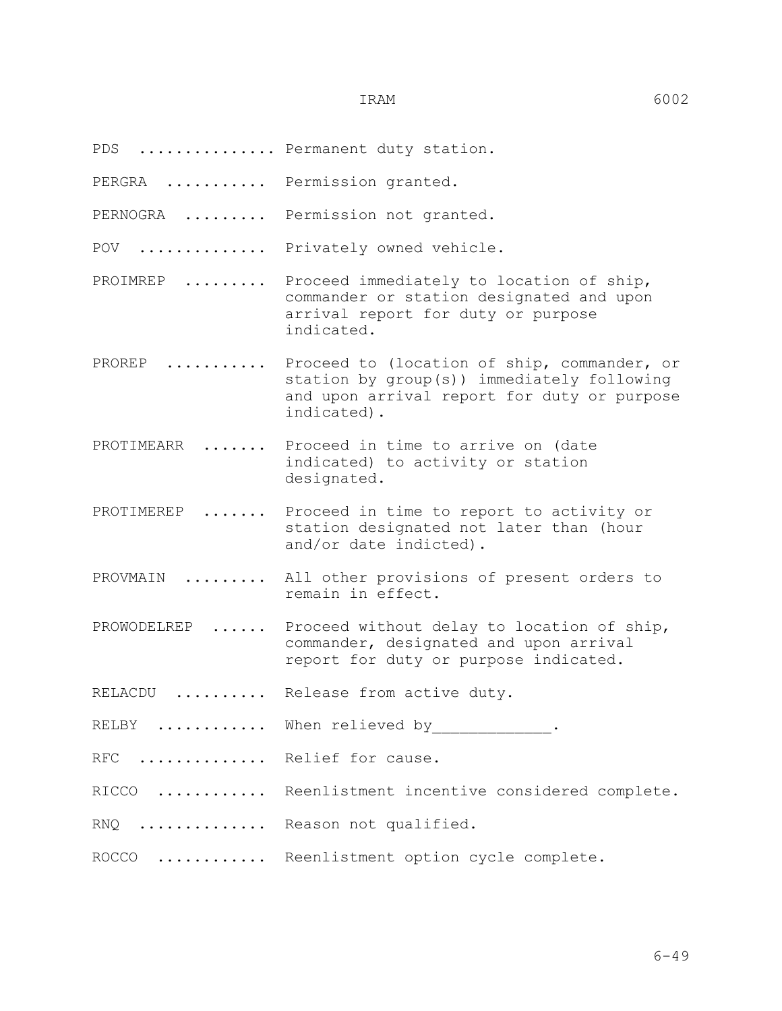- PDS ............... Permanent duty station.
- PERGRA .......... Permission granted.
- PERNOGRA ........ Permission not granted.
- POV .............. Privately owned vehicle.
- PROIMREP ........ Proceed immediately to location of ship, commander or station designated and upon arrival report for duty or purpose indicated.
- PROREP .......... Proceed to (location of ship, commander, or station by group(s)) immediately following and upon arrival report for duty or purpose indicated).
- PROTIMEARR ...... Proceed in time to arrive on (date indicated) to activity or station designated.
- PROTIMEREP ....... Proceed in time to report to activity or station designated not later than (hour and/or date indicted).
- PROVMAIN ......... All other provisions of present orders to remain in effect.
- PROWODELREP ...... Proceed without delay to location of ship, commander, designated and upon arrival report for duty or purpose indicated.
- RELACDU ......... Release from active duty.
- RELBY ............ When relieved by  $\cdot$
- RFC ............. Relief for cause.
- RICCO ........... Reenlistment incentive considered complete.
- RNQ .............. Reason not qualified.
- ROCCO ............ Reenlistment option cycle complete.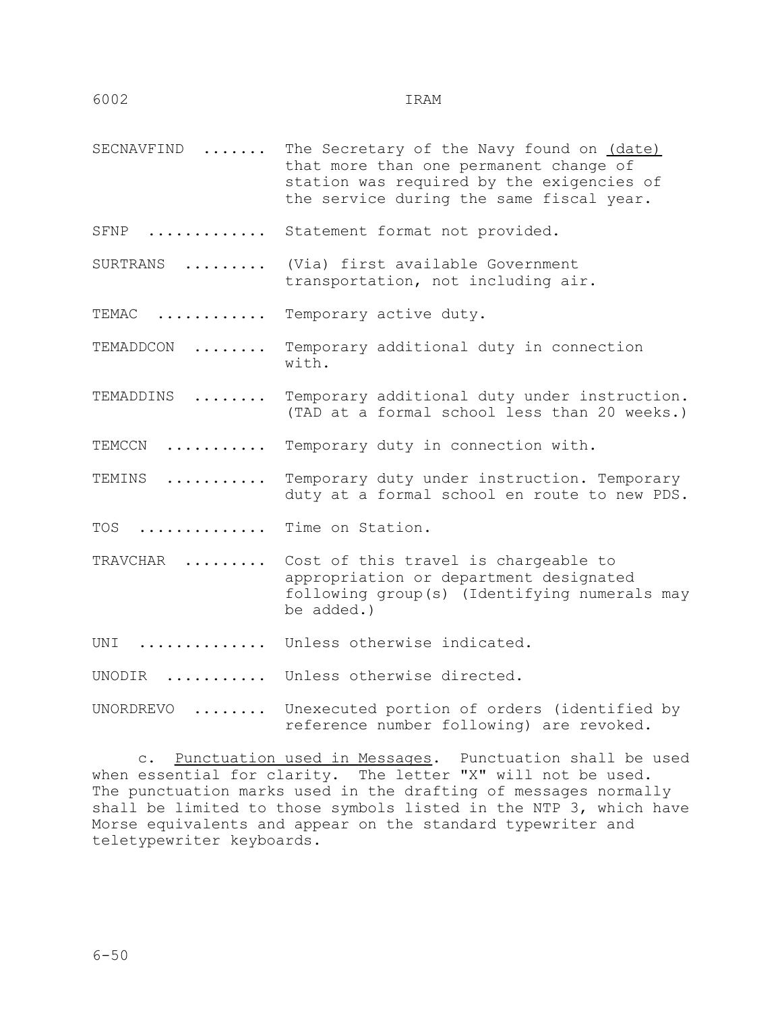- SECNAVFIND ...... The Secretary of the Navy found on (date) that more than one permanent change of station was required by the exigencies of the service during the same fiscal year.
- SFNP ............. Statement format not provided.
- SURTRANS ......... (Via) first available Government transportation, not including air.

TEMAC ........... Temporary active duty.

TEMADDCON ........ Temporary additional duty in connection with.

TEMADDINS ........ Temporary additional duty under instruction. (TAD at a formal school less than 20 weeks.)

TEMCCN ........... Temporary duty in connection with.

TEMINS ........... Temporary duty under instruction. Temporary duty at a formal school en route to new PDS.

TOS ............. Time on Station.

- TRAVCHAR ......... Cost of this travel is chargeable to appropriation or department designated following group(s) (Identifying numerals may be added.)
- UNI .............. Unless otherwise indicated.
- UNODIR ........... Unless otherwise directed.
- UNORDREVO ........ Unexecuted portion of orders (identified by reference number following) are revoked.

 c. Punctuation used in Messages. Punctuation shall be used when essential for clarity. The letter "X" will not be used. The punctuation marks used in the drafting of messages normally shall be limited to those symbols listed in the NTP 3, which have Morse equivalents and appear on the standard typewriter and teletypewriter keyboards.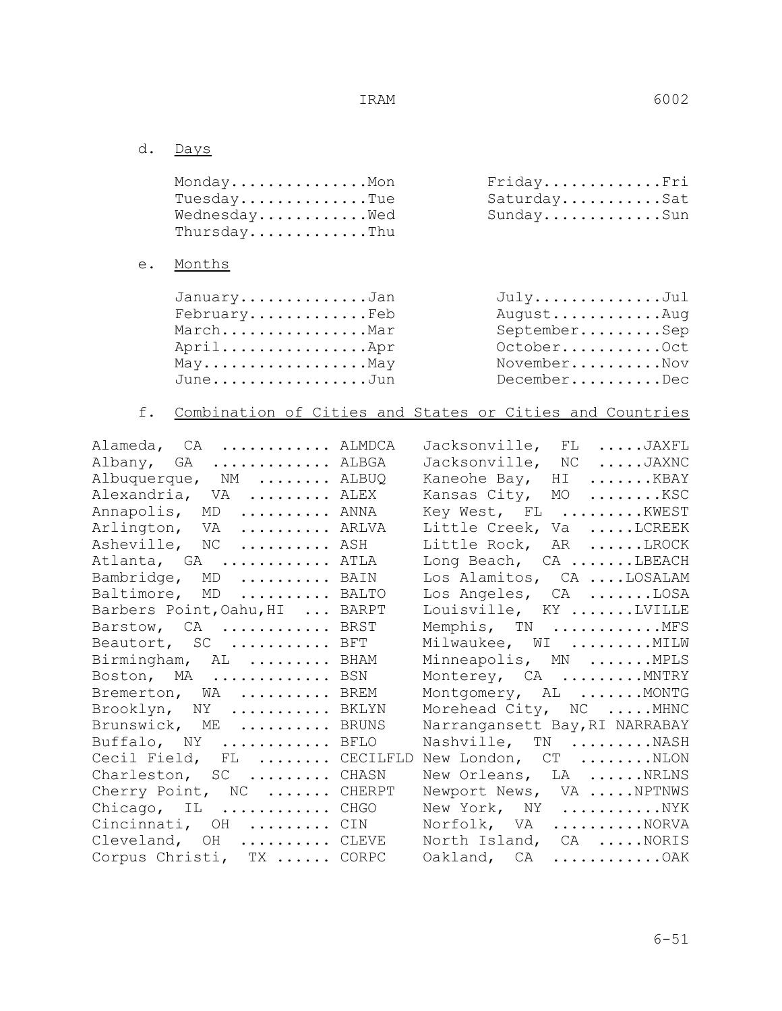d. Days

| MondayMon<br>$Tuesday$ Tue<br>Wednesday Wed<br>ThursdayThu                                                    |                           | FridayFri<br>SaturdaySat<br>SundaySun                                                                                                 |
|---------------------------------------------------------------------------------------------------------------|---------------------------|---------------------------------------------------------------------------------------------------------------------------------------|
| Months<br>$e$ .                                                                                               |                           |                                                                                                                                       |
| JanuaryJan<br>$February$ $Feb$<br>MarchMar<br>AprilApr<br>MayMay<br>JuneJun                                   |                           | JulyJul<br>AugustAug<br>SeptemberSep<br>OctoberOct<br>NovemberNov<br>DecemberDec                                                      |
| f.                                                                                                            |                           | Combination of Cities and States or Cities and Countries                                                                              |
| Alameda, CA  ALMDCA<br>Albany, GA ALBGA<br>Albuquerque, NM  ALBUQ<br>Alexandria, VA  ALEX                     |                           | Jacksonville, FL JAXFL<br>Jacksonville, NC JAXNC<br>Kaneohe Bay, HI KBAY<br>Kansas City, MO  KSC                                      |
| Annapolis, MD  ANNA<br>Arlington, VA  ARLVA<br>Asheville, NC  ASH<br>Atlanta, GA  ATLA                        |                           | Key West, FL KWEST<br>Little Creek, Va LCREEK<br>Little Rock, AR LROCK<br>Long Beach, CA LBEACH                                       |
| Bambridge, MD  BAIN<br>Baltimore, MD  BALTO<br>Barbers Point, Oahu, HI  BARPT<br>Barstow, $CA$                | BRST                      | Los Alamitos, CA LOSALAM<br>Los Angeles, CA LOSA<br>Louisville, KY LVILLE<br>Memphis, TN MFS                                          |
| Beautort, SC  BFT<br>Birmingham, AL  BHAM<br>Boston, MA  BSN<br>Bremerton, WA  BREM<br>Brooklyn, NY  BKLYN    |                           | Milwaukee, WI MILW<br>Minneapolis, MN MPLS<br>Monterey, CA  MNTRY<br>Montgomery, AL  MONTG<br>Morehead City, NC  MHNC                 |
| Brunswick, ME  BRUNS<br>Buffalo, NY<br>Cecil Field, FL  CECILFLD<br>Charleston, SC  CHASN                     | BFLO                      | Narrangansett Bay, RI NARRABAY<br>Nashville, TN NASH<br>New London, CT NLON<br>New Orleans, LA NRLNS                                  |
| Cherry Point, NC  CHERPT<br>Chicago, IL  CHGO<br>Cincinnati, OH<br>Cleveland, OH<br>Corpus Christi, TX  CORPC | New York,<br>CIN<br>CLEVE | Newport News, VA  NPTNWS<br>NY NYK<br>Norfolk, VA<br>$\ldots \ldots \ldots$ . NORVA<br>North Island, CA NORIS<br>Oakland, CA<br>. OAK |

6-51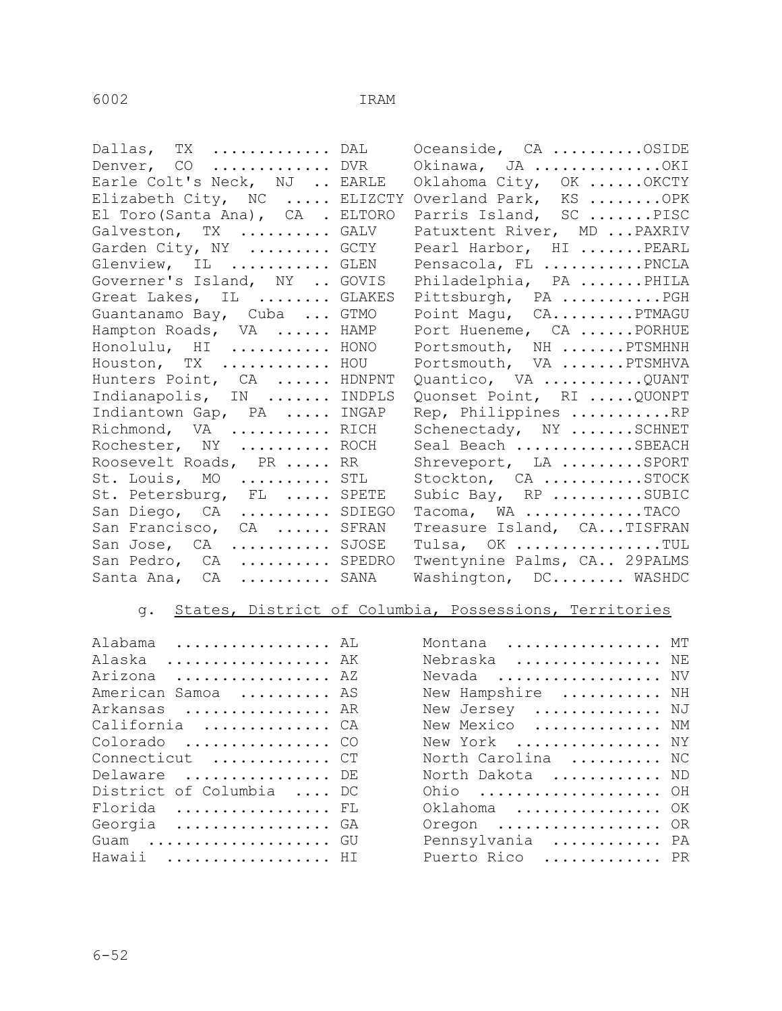| Oceanside, CA OSIDE                                                                                                                                                                                                                                                                                                                                                                                                                                                                                                                                                                                                                                                                                                   |
|-----------------------------------------------------------------------------------------------------------------------------------------------------------------------------------------------------------------------------------------------------------------------------------------------------------------------------------------------------------------------------------------------------------------------------------------------------------------------------------------------------------------------------------------------------------------------------------------------------------------------------------------------------------------------------------------------------------------------|
| Okinawa, JA OKI                                                                                                                                                                                                                                                                                                                                                                                                                                                                                                                                                                                                                                                                                                       |
| Oklahoma City, OK  OKCTY                                                                                                                                                                                                                                                                                                                                                                                                                                                                                                                                                                                                                                                                                              |
| Overland Park, KS OPK                                                                                                                                                                                                                                                                                                                                                                                                                                                                                                                                                                                                                                                                                                 |
| Parris Island, SC PISC                                                                                                                                                                                                                                                                                                                                                                                                                                                                                                                                                                                                                                                                                                |
| Patuxtent River, MD  PAXRIV                                                                                                                                                                                                                                                                                                                                                                                                                                                                                                                                                                                                                                                                                           |
| Pearl Harbor, HI PEARL                                                                                                                                                                                                                                                                                                                                                                                                                                                                                                                                                                                                                                                                                                |
| Pensacola, FL PNCLA                                                                                                                                                                                                                                                                                                                                                                                                                                                                                                                                                                                                                                                                                                   |
| Philadelphia, PA PHILA                                                                                                                                                                                                                                                                                                                                                                                                                                                                                                                                                                                                                                                                                                |
| Pittsburgh, PA PGH                                                                                                                                                                                                                                                                                                                                                                                                                                                                                                                                                                                                                                                                                                    |
| Point Magu, CAPTMAGU                                                                                                                                                                                                                                                                                                                                                                                                                                                                                                                                                                                                                                                                                                  |
| Port Hueneme, CA  PORHUE                                                                                                                                                                                                                                                                                                                                                                                                                                                                                                                                                                                                                                                                                              |
| Portsmouth, NH  PTSMHNH                                                                                                                                                                                                                                                                                                                                                                                                                                                                                                                                                                                                                                                                                               |
| Portsmouth, VA PTSMHVA                                                                                                                                                                                                                                                                                                                                                                                                                                                                                                                                                                                                                                                                                                |
| Quantico, VA QUANT                                                                                                                                                                                                                                                                                                                                                                                                                                                                                                                                                                                                                                                                                                    |
| Quonset Point, RI  QUONPT                                                                                                                                                                                                                                                                                                                                                                                                                                                                                                                                                                                                                                                                                             |
| Rep, Philippines RP                                                                                                                                                                                                                                                                                                                                                                                                                                                                                                                                                                                                                                                                                                   |
| Schenectady, NY SCHNET                                                                                                                                                                                                                                                                                                                                                                                                                                                                                                                                                                                                                                                                                                |
| Seal Beach SBEACH                                                                                                                                                                                                                                                                                                                                                                                                                                                                                                                                                                                                                                                                                                     |
| Shreveport, LA SPORT                                                                                                                                                                                                                                                                                                                                                                                                                                                                                                                                                                                                                                                                                                  |
| Stockton, CA STOCK                                                                                                                                                                                                                                                                                                                                                                                                                                                                                                                                                                                                                                                                                                    |
| Subic Bay, RP SUBIC                                                                                                                                                                                                                                                                                                                                                                                                                                                                                                                                                                                                                                                                                                   |
| Tacoma, WA TACO                                                                                                                                                                                                                                                                                                                                                                                                                                                                                                                                                                                                                                                                                                       |
| Treasure Island, CATISFRAN                                                                                                                                                                                                                                                                                                                                                                                                                                                                                                                                                                                                                                                                                            |
| Tulsa, OK TUL                                                                                                                                                                                                                                                                                                                                                                                                                                                                                                                                                                                                                                                                                                         |
| Twentynine Palms, CA 29PALMS                                                                                                                                                                                                                                                                                                                                                                                                                                                                                                                                                                                                                                                                                          |
| Washington, DC WASHDC                                                                                                                                                                                                                                                                                                                                                                                                                                                                                                                                                                                                                                                                                                 |
| Dallas, TX  DAL<br>Denver, CO  DVR<br>Earle Colt's Neck, NJ  EARLE<br>Elizabeth City, NC  ELIZCTY<br>El Toro (Santa Ana), CA . ELTORO<br>Galveston, TX  GALV<br>Garden City, NY  GCTY<br>Glenview, IL GLEN<br>Governer's Island, NY  GOVIS<br>Great Lakes, IL  GLAKES<br>Guantanamo Bay, Cuba  GTMO<br>Hampton Roads, VA  HAMP<br>Honolulu, HI  HONO<br>Houston, TX  HOU<br>Hunters Point, CA  HDNPNT<br>Indianapolis, IN  INDPLS<br>Indiantown Gap, PA  INGAP<br>Richmond, VA  RICH<br>Rochester, NY  ROCH<br>Roosevelt Roads, PR  RR<br>St. Louis, MO  STL<br>St. Petersburg, FL  SPETE<br>San Diego, CA  SDIEGO<br>San Francisco, CA  SFRAN<br>San Jose, CA  SJOSE<br>San Pedro, CA  SPEDRO<br>Santa Ana, CA  SANA |

# g. States, District of Columbia, Possessions, Territories

| Alabama  AL              | Montana  MT        |  |
|--------------------------|--------------------|--|
| Alaska  AK               | Nebraska  NE       |  |
| Arizona  AZ              | Nevada  NV         |  |
| American Samoa  AS       | New Hampshire  NH  |  |
| Arkansas  AR             | New Jersey  NJ     |  |
| California  CA           | New Mexico  NM     |  |
| Colorado  CO             | New York  NY       |  |
| Connecticut  CT          | North Carolina  NC |  |
| Delaware  DE             | North Dakota  ND   |  |
| District of Columbia  DC | Ohio  OH           |  |
| Florida  FL              | Oklahoma  OK       |  |
| Georgia GA               | Oregon  OR         |  |
| Guam  GU                 | Pennsylvania  PA   |  |
| Hawaii  HI               | Puerto Rico  PR    |  |

| Alabama  AL              | Montana  MT        |  |
|--------------------------|--------------------|--|
| Alaska  AK               | Nebraska  NE       |  |
| Arizona  AZ              | Nevada  NV         |  |
| American Samoa  AS       | New Hampshire  NH  |  |
| Arkansas  AR             | New Jersey  NJ     |  |
| California  CA           | New Mexico  NM     |  |
| Colorado  CO             | New York  NY       |  |
| Connecticut  CT          | North Carolina  NC |  |
| Delaware  DE             | North Dakota  ND   |  |
| District of Columbia  DC | Ohio  OH           |  |
| Florida  FL              | Oklahoma  OK       |  |
| Georgia  GA              | Oregon  OR         |  |
| $G$ uam  GU              | Pennsylvania  PA   |  |
| Hawaii  HI               | Puerto Rico  PR    |  |
|                          |                    |  |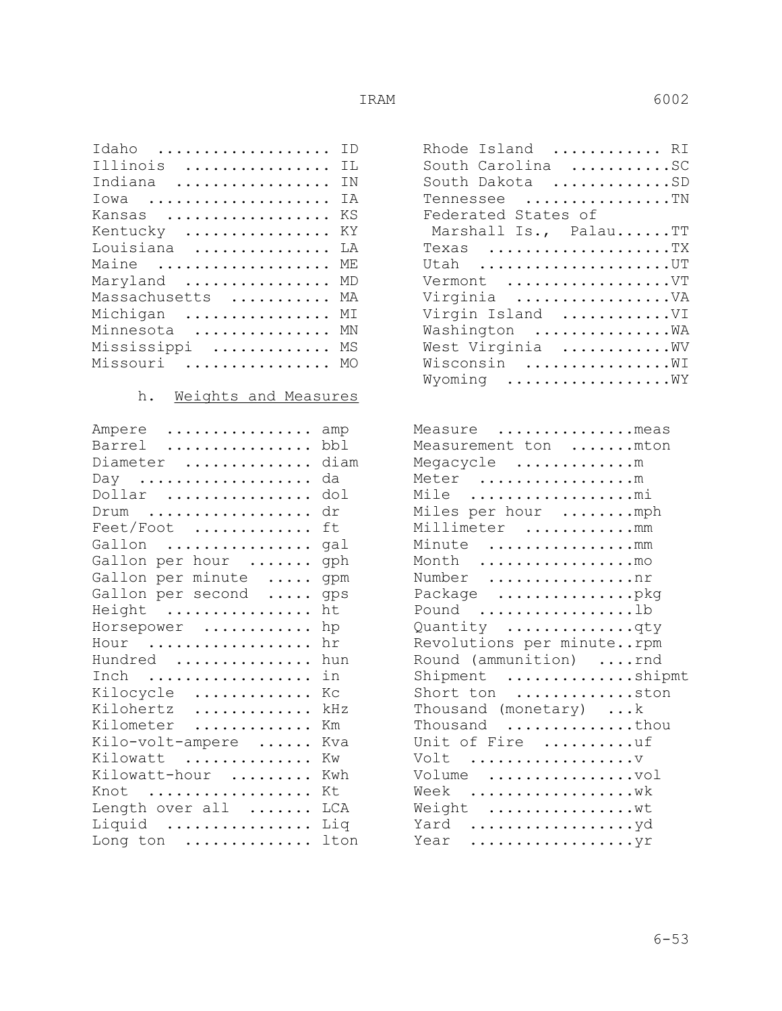| Idaho  ID         | Rhode Island        |
|-------------------|---------------------|
| Illinois  IL      | South Carolina      |
| Indiana  IN       | South Dakota        |
| Iowa  IA          | Tennessee           |
| Kansas  KS        | Federated States of |
| Kentucky  KY      | Marshall Is., Pal   |
| Louisiana  LA     | Texas               |
| Maine  ME         | Utah                |
| Maryland  MD      | Vermont             |
| Massachusetts  MA | Virginia            |
| Michigan  MI      | Virgin Island       |
| Minnesota  MN     | Washington          |
| Mississippi  MS   | West Virginia       |
| Missouri  MO      | Wisconsin           |
|                   |                     |

### h. Weights and Measures

| Ampere  amp            | Measure meas              |  |
|------------------------|---------------------------|--|
| Barrel  bbl            | Measurement ton  mton     |  |
| Diameter  diam         | Megacycle m               |  |
| Day  da                | Meter m                   |  |
| Dollar  dol            | Mile mi                   |  |
| $Drum$ dr              | Miles per hour mph        |  |
| Feet/Foot  ft          | Millimeter mm             |  |
| Gallon  gal            | Minute mm                 |  |
| Gallon per hour  gph   | Month mo                  |  |
| Gallon per minute  gpm | Number nr                 |  |
| Gallon per second  gps | Package pkg               |  |
| Height  ht             | Pound 1b                  |  |
| Horsepower  hp         | Quantity qty              |  |
| Hour  hr               | Revolutions per minuterpm |  |
| Hundred  hun           | Round (ammunition) rnd    |  |
| Inch  in               | Shipment ship             |  |
| Kilocycle  Kc          | Short ton ston            |  |
| Kilohertz  kHz         | Thousand (monetary) k     |  |
| Kilometer  Km          | Thousand thou             |  |
| Kilo-volt-ampere  Kva  | Unit of Fire uf           |  |
| Kilowatt  Kw           | Volt                      |  |
| Kilowatt-hour  Kwh     | Volume vol                |  |
| Knot  Kt               | Week                      |  |
| Length over all  LCA   | Weight wt                 |  |
| Liquid  Liq            | Yard yd                   |  |
| Long ton  lton         |                           |  |

| Idaho  ID                                          | Rhode Island  RI      |
|----------------------------------------------------|-----------------------|
| Illinois  IL                                       | South Carolina SC     |
| Indiana  IN                                        | South Dakota SD       |
| $Iowa$ IA                                          | Tennessee TN          |
| Kansas  KS                                         | Federated States of   |
| Kentucky  KY                                       | Marshall Is., PalauTT |
| Louisiana  LA                                      | Texas TX              |
| Maine $\dots\dots\dots\dots\dots\dots\mathbb{M}$ E | Utah UT               |
| Maryland  MD                                       | Vermont VT            |
| Massachusetts  MA                                  | Virginia VA           |
| Michigan  MI                                       | Virgin Island VI      |
| Minnesota  MN                                      | Washington  WA        |
| Mississippi  MS                                    | West Virginia WV      |
| Missouri  MO                                       | Wisconsin  WI         |
|                                                    | Wyoming WY            |
|                                                    |                       |

| Ampere  amp                              | Measure meas              |
|------------------------------------------|---------------------------|
| Barrel  bbl                              | Measurement ton mton      |
| Diameter  diam                           | Megacycle m               |
| Day  da                                  | Meter m                   |
| Dollar  dol                              | Mile mi                   |
| $Drum$ dr                                | Miles per hour mph        |
| $\text{Feet/Foot}$ ft                    | Millimeter mm             |
| Gallon  gal                              | Minute mm                 |
| Gallon per hour  gph                     | Month mo                  |
| Gallon per minute  gpm                   | Number nr                 |
| Gallon per second  gps                   | Package pkg               |
| Height  ht                               | Pound b                   |
| Horsepower  hp                           | Quantity qty              |
| Hour $\dots\dots\dots\dots\dots\dots$ hr | Revolutions per minuterpm |
| Hundred  hun                             | Round (ammunition) rnd    |
| Inch  in                                 | Shipment shipmt           |
| Kilocycle  Kc                            | Short ton ston            |
| Kilohertz  kHz                           | Thousand (monetary) k     |
| Kilometer  Km                            | Thousand thou             |
| Kilo-volt-ampere  Kva                    | Unit of Fire uf           |
| Kilowatt  Kw                             | Volt                      |
| Kilowatt-hour  Kwh                       | Volume vol                |
| Knot  Kt                                 | Week                      |
| Length over all  LCA                     | Weight wt                 |
| Liquid  Liq                              |                           |
| Long ton $\dots\dots\dots\dots$ lton     | Year                      |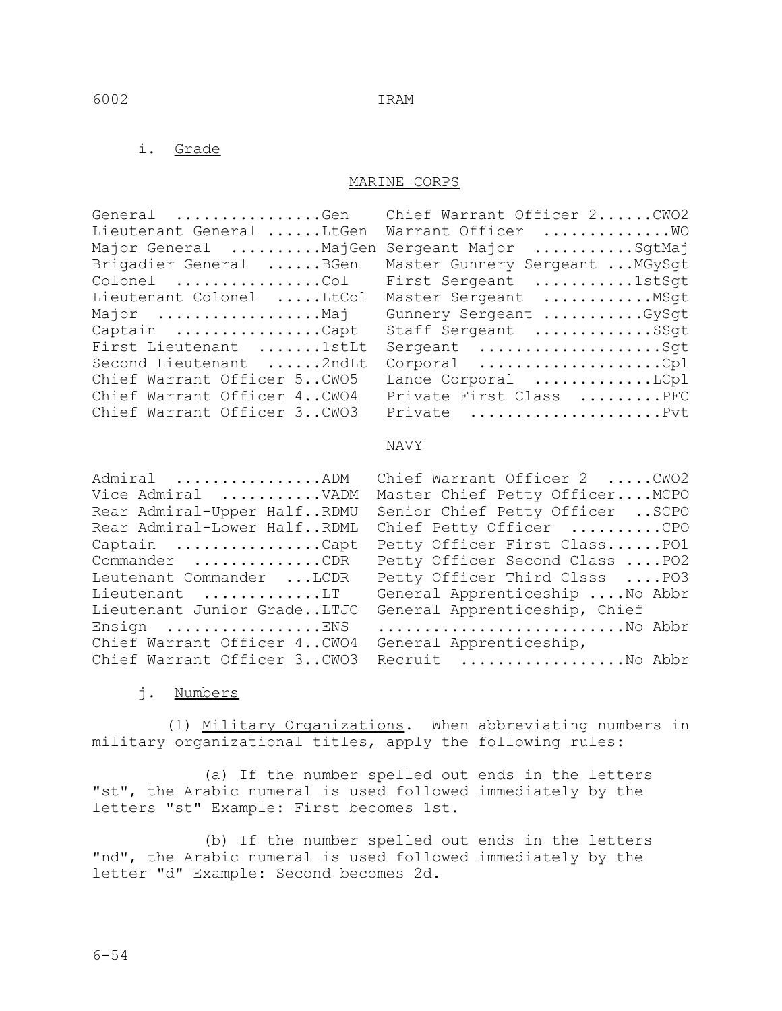### i. Grade

### MARINE CORPS

| General Gen                 | Chief Warrant Officer 2CWO2     |
|-----------------------------|---------------------------------|
| Lieutenant General LtGen    | Warrant Officer  WO             |
| Major General MajGen        | Sergeant Major SqtMaj           |
| Brigadier General BGen      | Master Gunnery Sergeant  MGySqt |
| Colonel Col                 | First Sergeant 1stSqt           |
| Lieutenant Colonel LtCol    | Master Sergeant  MSgt           |
| Major Maj                   | Gunnery Sergeant GySqt          |
| Captain Capt                | Staff Sergeant SSgt             |
| First Lieutenant 1stLt      | Sergeant Sqt                    |
| Second Lieutenant 2ndLt     | Corporal Cpl                    |
| Chief Warrant Officer 5CWO5 | Lance Corporal LCpl             |
| Chief Warrant Officer 4CWO4 | Private First Class PFC         |
| Chief Warrant Officer 3CWO3 | Private Pvt                     |
|                             |                                 |

|                                                                      | General Gen Chief Warrant Officer 2CWO2 |
|----------------------------------------------------------------------|-----------------------------------------|
| Lieutenant General LtGen                                             | Warrant Officer  WO                     |
| Major General MajGen                                                 | Sergeant Major SqtMaj                   |
| Brigadier General BGen                                               | Master Gunnery Sergeant  MGySgt         |
| $\texttt{Colonel}$ $\ldots \ldots \ldots \ldots \ldots \texttt{Col}$ | First Sergeant 1stSgt                   |
| Lieutenant Colonel LtCol                                             | Master Sergeant  MSgt                   |
| Major Maj                                                            | Gunnery Sergeant GySgt                  |
| Captain Capt                                                         | Staff Sergeant SSgt                     |
| First Lieutenant 1stLt                                               | Sergeant Sqt                            |
| Second Lieutenant 2ndLt                                              | Corporal Cpl                            |
| Chief Warrant Officer 5CWO5                                          | Lance Corporal LCpl                     |
| Chief Warrant Officer 4CWO4                                          | Private First Class PFC                 |
| Chief Warrant Officer 3CWO3                                          | Private Pvt                             |

### NAVY

| Admiral ADM<br>Vice Admiral VADM | Chief Warrant Officer 2 CWO2<br>Master Chief Petty Officer MCPO |
|----------------------------------|-----------------------------------------------------------------|
| Rear Admiral-Upper HalfRDMU      | Senior Chief Petty Officer  SCPO                                |
| Rear Admiral-Lower HalfRDML      | Chief Petty Officer CPO                                         |
| Captain Capt                     | Petty Officer First ClassPO1                                    |
| Commander CDR                    | Petty Officer Second Class  PO2                                 |
| Leutenant Commander LCDR         | Petty Officer Third Clsss  PO3                                  |
| Lieutenant LT                    | General Apprenticeship  No Abbr                                 |
| Lieutenant Junior GradeLTJC      | General Apprenticeship, Chief                                   |
| Ensign ENS                       | No Abbr                                                         |
| Chief Warrant Officer 4CWO4      | General Apprenticeship,                                         |
| Chief Warrant Officer 3CWO3      | Recruit No Abbr                                                 |
|                                  |                                                                 |

### j. Numbers

 (1) Military Organizations. When abbreviating numbers in military organizational titles, apply the following rules:

 (a) If the number spelled out ends in the letters "st", the Arabic numeral is used followed immediately by the letters "st" Example: First becomes 1st.

 (b) If the number spelled out ends in the letters "nd", the Arabic numeral is used followed immediately by the letter "d" Example: Second becomes 2d.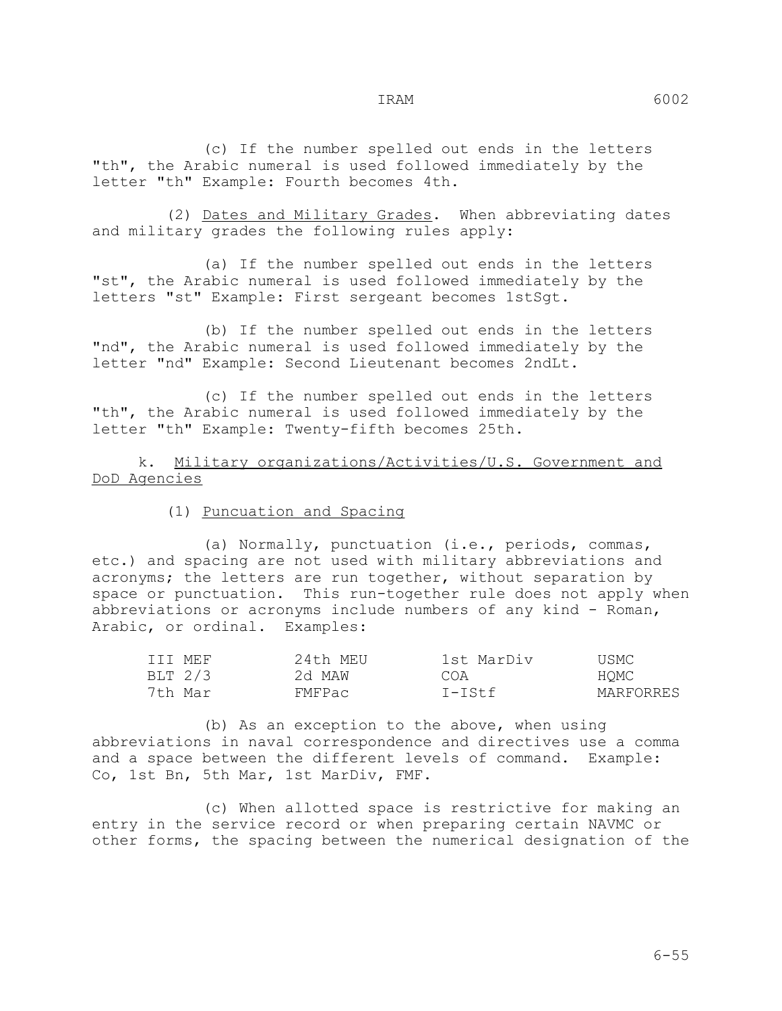(c) If the number spelled out ends in the letters "th", the Arabic numeral is used followed immediately by the letter "th" Example: Fourth becomes 4th.

 (2) Dates and Military Grades. When abbreviating dates and military grades the following rules apply:

 (a) If the number spelled out ends in the letters "st", the Arabic numeral is used followed immediately by the letters "st" Example: First sergeant becomes 1stSgt.

 (b) If the number spelled out ends in the letters "nd", the Arabic numeral is used followed immediately by the letter "nd" Example: Second Lieutenant becomes 2ndLt.

 (c) If the number spelled out ends in the letters "th", the Arabic numeral is used followed immediately by the letter "th" Example: Twenty-fifth becomes 25th.

 k. Military organizations/Activities/U.S. Government and DoD Agencies

(1) Puncuation and Spacing

 (a) Normally, punctuation (i.e., periods, commas, etc.) and spacing are not used with military abbreviations and acronyms; the letters are run together, without separation by space or punctuation. This run-together rule does not apply when abbreviations or acronyms include numbers of any kind - Roman, Arabic, or ordinal. Examples:

| TTT MEF | 24th MEU | 1st MarDiv | USMC      |
|---------|----------|------------|-----------|
| BLT 2/3 | 2d MAW   | COA        | HOMC      |
| 7th Mar | FMFPac   | T-TSt.f    | MARFORRES |

 (b) As an exception to the above, when using abbreviations in naval correspondence and directives use a comma and a space between the different levels of command. Example: Co, 1st Bn, 5th Mar, 1st MarDiv, FMF.

 (c) When allotted space is restrictive for making an entry in the service record or when preparing certain NAVMC or other forms, the spacing between the numerical designation of the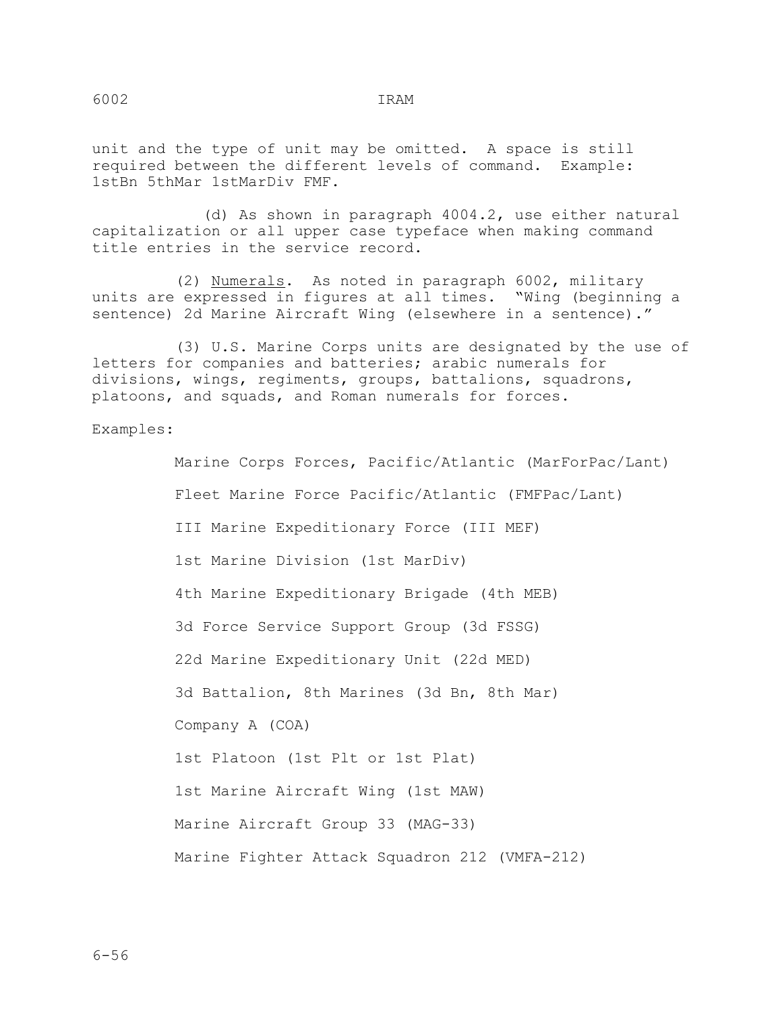unit and the type of unit may be omitted. A space is still required between the different levels of command. Example: 1stBn 5thMar 1stMarDiv FMF.

 (d) As shown in paragraph 4004.2, use either natural capitalization or all upper case typeface when making command title entries in the service record.

 (2) Numerals. As noted in paragraph 6002, military units are expressed in figures at all times. "Wing (beginning a sentence) 2d Marine Aircraft Wing (elsewhere in a sentence)."

 (3) U.S. Marine Corps units are designated by the use of letters for companies and batteries; arabic numerals for divisions, wings, regiments, groups, battalions, squadrons, platoons, and squads, and Roman numerals for forces.

Examples:

 Marine Corps Forces, Pacific/Atlantic (MarForPac/Lant) Fleet Marine Force Pacific/Atlantic (FMFPac/Lant) III Marine Expeditionary Force (III MEF) 1st Marine Division (1st MarDiv) 4th Marine Expeditionary Brigade (4th MEB) 3d Force Service Support Group (3d FSSG) 22d Marine Expeditionary Unit (22d MED) 3d Battalion, 8th Marines (3d Bn, 8th Mar) Company A (COA) 1st Platoon (1st Plt or 1st Plat) 1st Marine Aircraft Wing (1st MAW) Marine Aircraft Group 33 (MAG-33) Marine Fighter Attack Squadron 212 (VMFA-212)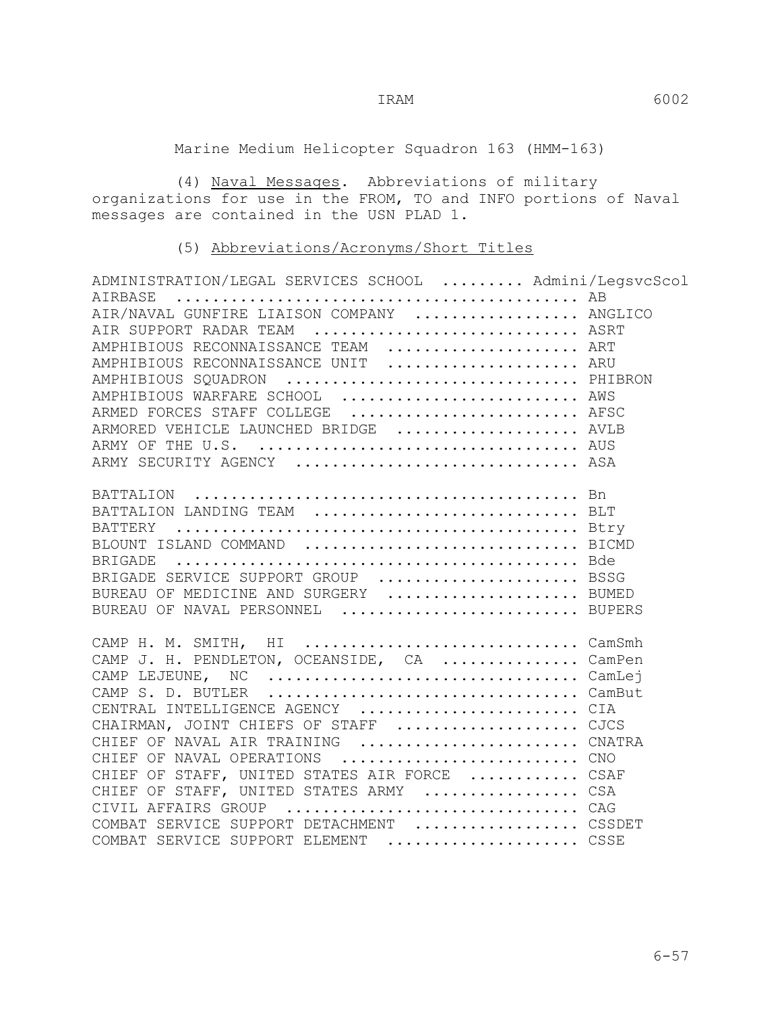Marine Medium Helicopter Squadron 163 (HMM-163)

(4) <u>Naval Messages</u>. Abbreviations of military organizations for use in the FROM, TO and INFO portions of Naval messages are contained in the USN PLAD 1.

### (5) Abbreviations/Acronyms/Short Titles

| ADMINISTRATION/LEGAL SERVICES SCHOOL  Admini/LegsvcScol |  |
|---------------------------------------------------------|--|
|                                                         |  |
| AIR/NAVAL GUNFIRE LIAISON COMPANY  ANGLICO              |  |
| AIR SUPPORT RADAR TEAM  ASRT                            |  |
| AMPHIBIOUS RECONNAISSANCE TEAM  ART                     |  |
| AMPHIBIOUS RECONNAISSANCE UNIT  ARU                     |  |
| AMPHIBIOUS SQUADRON  PHIBRON                            |  |
| AMPHIBIOUS WARFARE SCHOOL  AWS                          |  |
| ARMED FORCES STAFF COLLEGE  AFSC                        |  |
| ARMORED VEHICLE LAUNCHED BRIDGE  AVLB                   |  |
|                                                         |  |
| ARMY SECURITY AGENCY  ASA                               |  |
|                                                         |  |
|                                                         |  |
| BATTALION LANDING TEAM  BLT                             |  |
|                                                         |  |
| BLOUNT ISLAND COMMAND  BICMD                            |  |
|                                                         |  |
| BRIGADE SERVICE SUPPORT GROUP  BSSG                     |  |
| BUREAU OF MEDICINE AND SURGERY  BUMED                   |  |
| BUREAU OF NAVAL PERSONNEL  BUPERS                       |  |
|                                                         |  |
| CAMP H. M. SMITH, HI  CamSmh                            |  |
| CAMP J. H. PENDLETON, OCEANSIDE, CA  CamPen             |  |
| CAMP LEJEUNE, NC CamLej                                 |  |
|                                                         |  |
| CENTRAL INTELLIGENCE AGENCY  CIA                        |  |
| CHAIRMAN, JOINT CHIEFS OF STAFF  CJCS                   |  |
| CHIEF OF NAVAL AIR TRAINING  CNATRA                     |  |
| CHIEF OF NAVAL OPERATIONS  CNO                          |  |
| CHIEF OF STAFF, UNITED STATES AIR FORCE  CSAF           |  |
| CHIEF OF STAFF, UNITED STATES ARMY  CSA                 |  |
| CIVIL AFFAIRS GROUP  CAG                                |  |
| COMBAT SERVICE SUPPORT DETACHMENT  CSSDET               |  |
| COMBAT SERVICE SUPPORT ELEMENT  CSSE                    |  |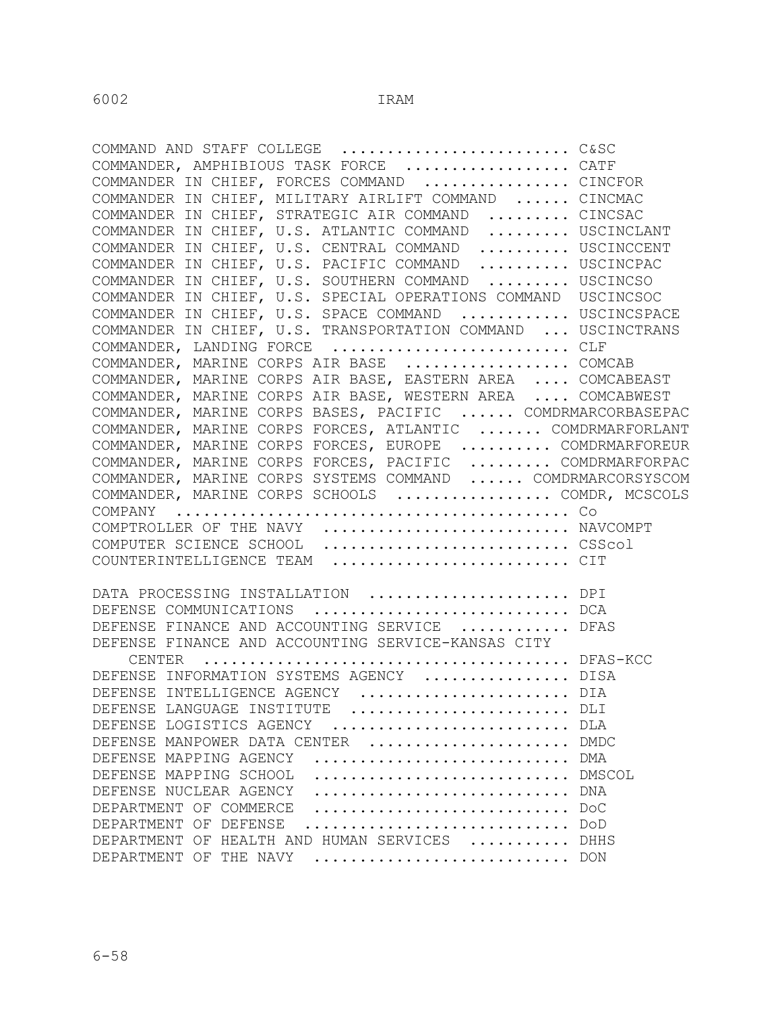COMMAND AND STAFF COLLEGE ........................... C&SC COMMANDER, AMPHIBIOUS TASK FORCE ................... CATF COMMANDER IN CHIEF, FORCES COMMAND ................ CINCFOR COMMANDER IN CHIEF, MILITARY AIRLIFT COMMAND ...... CINCMAC COMMANDER IN CHIEF, STRATEGIC AIR COMMAND ......... CINCSAC COMMANDER IN CHIEF, U.S. ATLANTIC COMMAND ......... USCINCLANT COMMANDER IN CHIEF, U.S. CENTRAL COMMAND .......... USCINCCENT COMMANDER IN CHIEF, U.S. PACIFIC COMMAND .......... USCINCPAC COMMANDER IN CHIEF, U.S. SOUTHERN COMMAND ......... USCINCSO COMMANDER IN CHIEF, U.S. SPECIAL OPERATIONS COMMAND USCINCSOC COMMANDER IN CHIEF, U.S. SPACE COMMAND ............ USCINCSPACE COMMANDER IN CHIEF, U.S. TRANSPORTATION COMMAND ... USCINCTRANS COMMANDER, LANDING FORCE ............................. CLF COMMANDER, MARINE CORPS AIR BASE .................. COMCAB COMMANDER, MARINE CORPS AIR BASE, EASTERN AREA .... COMCABEAST COMMANDER, MARINE CORPS AIR BASE, WESTERN AREA .... COMCABWEST COMMANDER, MARINE CORPS BASES, PACIFIC ...... COMDRMARCORBASEPAC COMMANDER, MARINE CORPS FORCES, ATLANTIC ....... COMDRMARFORLANT COMMANDER, MARINE CORPS FORCES, EUROPE .......... COMDRMARFOREUR COMMANDER, MARINE CORPS FORCES, PACIFIC ......... COMDRMARFORPAC COMMANDER, MARINE CORPS SYSTEMS COMMAND ...... COMDRMARCORSYSCOM COMMANDER, MARINE CORPS SCHOOLS ................. COMDR, MCSCOLS COMPANY ........................................... Co COMPTROLLER OF THE NAVY ................................ NAVCOMPT<br>COMPUTER SCIENCE SCHOOL ..............................CSScol ................................ CSScol COUNTERINTELLIGENCE TEAM ............................ CIT DATA PROCESSING INSTALLATION ..................... DPI DEFENSE COMMUNICATIONS ............................ DCA DEFENSE FINANCE AND ACCOUNTING SERVICE ............ DFAS DEFENSE FINANCE AND ACCOUNTING SERVICE-KANSAS CITY CENTER ........................................ DFAS-KCC DEFENSE INFORMATION SYSTEMS AGENCY ................ DISA DEFENSE INTELLIGENCE AGENCY ....................... DIA DEFENSE LANGUAGE INSTITUTE ......................... DLI DEFENSE LOGISTICS AGENCY ............................ DLA DEFENSE MANPOWER DATA CENTER ...................... DMDC DEFENSE MAPPING AGENCY ............................ DMA DEFENSE MAPPING SCHOOL ............................. DMSCOL DEFENSE NUCLEAR AGENCY ............................. DNA DEPARTMENT OF COMMERCE ............................ DoC DEPARTMENT OF DEFENSE ............................. DoD DEPARTMENT OF HEALTH AND HUMAN SERVICES ........... DHHS DEPARTMENT OF THE NAVY ............................ DON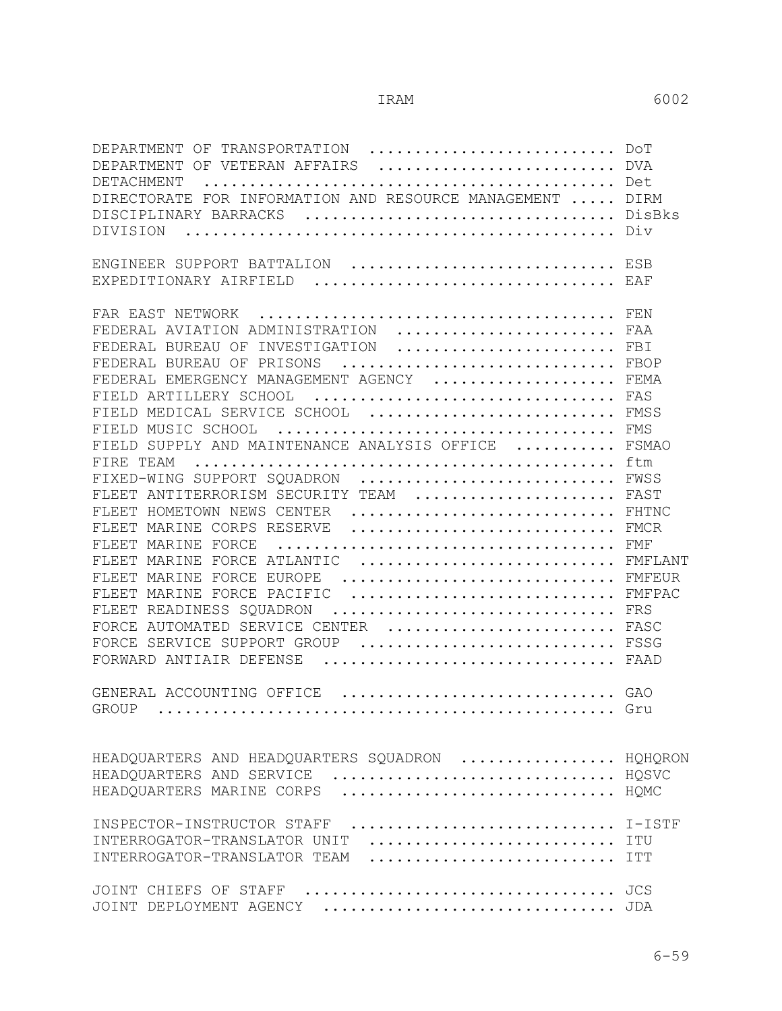| DEPARTMENT OF TRANSPORTATION  DOT                                   |            |
|---------------------------------------------------------------------|------------|
| DEPARTMENT OF VETERAN AFFAIRS  DVA                                  |            |
| DETACHMENT                                                          |            |
| FOR INFORMATION AND RESOURCE MANAGEMENT  DIRM<br><b>DIRECTORATE</b> |            |
| DISCIPLINARY BARRACKS                                               | DisBks     |
| DIVISION                                                            | Div        |
|                                                                     |            |
| ENGINEER SUPPORT BATTALION  ESB                                     |            |
| EXPEDITIONARY AIRFIELD  EAF                                         |            |
|                                                                     |            |
| FAR EAST NETWORK                                                    |            |
| FEDERAL AVIATION ADMINISTRATION                                     | FAA        |
| INVESTIGATION<br>FEDERAL BUREAU OF                                  | FBI        |
| FEDERAL BUREAU OF PRISONS                                           | FBOP       |
| FEDERAL EMERGENCY MANAGEMENT AGENCY  FEMA                           |            |
| FIELD ARTILLERY SCHOOL  FAS                                         |            |
| FIELD MEDICAL SERVICE SCHOOL  FMSS                                  |            |
| FIELD MUSIC SCHOOL                                                  | FMS        |
| FIELD SUPPLY AND MAINTENANCE ANALYSIS OFFICE                        | FSMAO      |
| FIRE TEAM                                                           | ftm        |
| FIXED-WING SUPPORT SQUADRON  FWSS                                   |            |
| FLEET ANTITERRORISM SECURITY TEAM  FAST                             |            |
| FLEET HOMETOWN NEWS CENTER  FHTNC                                   |            |
|                                                                     |            |
| FLEET MARINE CORPS RESERVE  FMCR                                    |            |
| FLEET MARINE FORCE                                                  | FMF        |
| MARINE FORCE ATLANTIC<br>FLEET                                      | FMFLANT    |
| FORCE EUROPE<br>FLEET MARINE                                        | FMFEUR     |
| FLEET MARINE FORCE PACIFIC  FMFPAC                                  |            |
| FLEET READINESS SQUADRON<br>FRS                                     |            |
| FORCE AUTOMATED SERVICE CENTER  FASC                                |            |
| FORCE SERVICE SUPPORT GROUP  FSSG                                   |            |
| FORWARD ANTIAIR DEFENSE                                             | FAAD       |
|                                                                     |            |
| GENERAL ACCOUNTING OFFICE  GAO                                      |            |
| <b>GROUP</b>                                                        |            |
|                                                                     |            |
|                                                                     |            |
| HEADQUARTERS AND HEADQUARTERS SQUADRON  HQHQRON                     |            |
| HQSVC<br>HEADQUARTERS AND SERVICE                                   |            |
| HQMC<br>HEADQUARTERS MARINE CORPS                                   |            |
|                                                                     |            |
| INSPECTOR-INSTRUCTOR STAFF                                          |            |
| INTERROGATOR-TRANSLATOR UNIT                                        | ITU        |
| INTERROGATOR-TRANSLATOR TEAM                                        | <b>TTT</b> |
|                                                                     |            |
| JOINT CHIEFS OF STAFF                                               | JCS        |
| JOINT DEPLOYMENT AGENCY                                             |            |
|                                                                     |            |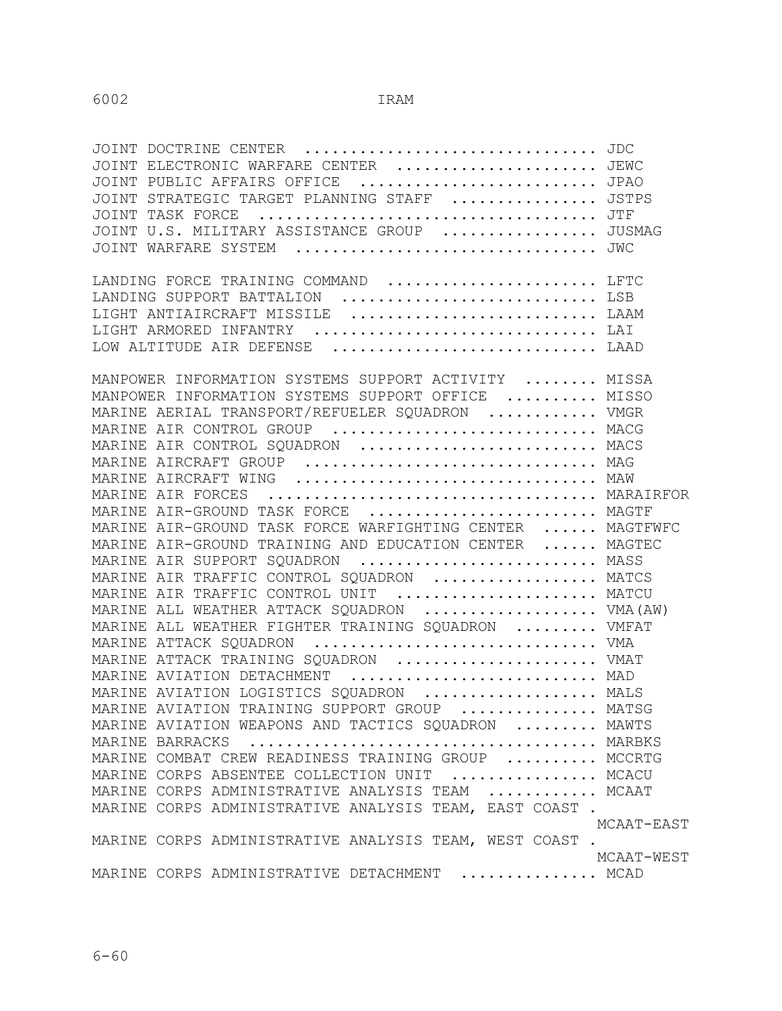| JOINT ELECTRONIC WARFARE CENTER  JEWC                               |            |
|---------------------------------------------------------------------|------------|
| JOINT PUBLIC AFFAIRS OFFICE  JPAO                                   |            |
| JOINT STRATEGIC TARGET PLANNING STAFF  JSTPS                        |            |
|                                                                     |            |
| JOINT U.S. MILITARY ASSISTANCE GROUP  JUSMAG                        |            |
| JOINT WARFARE SYSTEM  JWC                                           |            |
| LANDING FORCE TRAINING COMMAND  LFTC                                |            |
| LANDING SUPPORT BATTALION  LSB                                      |            |
| LIGHT ANTIAIRCRAFT MISSILE  LAAM                                    |            |
| LIGHT ARMORED INFANTRY  LAI                                         |            |
| LOW ALTITUDE AIR DEFENSE  LAAD                                      |            |
| MANPOWER INFORMATION SYSTEMS SUPPORT ACTIVITY  MISSA                |            |
|                                                                     |            |
| MANPOWER INFORMATION SYSTEMS SUPPORT OFFICE  MISSO                  |            |
| MARINE AERIAL TRANSPORT/REFUELER SQUADRON  VMGR                     |            |
| MARINE AIR CONTROL GROUP  MACG<br>MARINE AIR CONTROL SQUADRON  MACS |            |
|                                                                     |            |
| MARINE AIRCRAFT GROUP  MAG<br>MARINE AIRCRAFT WING  MAW             |            |
|                                                                     |            |
| MARINE AIR-GROUND TASK FORCE  MAGTF                                 |            |
| MARINE AIR-GROUND TASK FORCE WARFIGHTING CENTER  MAGTFWFC           |            |
| MARINE AIR-GROUND TRAINING AND EDUCATION CENTER  MAGTEC             |            |
| MARINE AIR SUPPORT SQUADRON  MASS                                   |            |
| MARINE AIR TRAFFIC CONTROL SQUADRON  MATCS                          |            |
| MARINE AIR TRAFFIC CONTROL UNIT  MATCU                              |            |
| MARINE ALL WEATHER ATTACK SQUADRON  VMA (AW)                        |            |
| MARINE ALL WEATHER FIGHTER TRAINING SQUADRON  VMFAT                 |            |
| MARINE ATTACK SQUADRON  VMA                                         |            |
| MARINE ATTACK TRAINING SQUADRON  VMAT                               |            |
| MARINE AVIATION DETACHMENT  MAD                                     |            |
| MARINE AVIATION LOGISTICS SQUADRON  MALS                            |            |
| MARINE AVIATION TRAINING SUPPORT GROUP  MATSG                       |            |
| MARINE AVIATION WEAPONS AND TACTICS SQUADRON  MAWTS                 |            |
|                                                                     |            |
| MARINE COMBAT CREW READINESS TRAINING GROUP  MCCRTG                 |            |
| MARINE CORPS ABSENTEE COLLECTION UNIT  MCACU                        |            |
| MARINE CORPS ADMINISTRATIVE ANALYSIS TEAM  MCAAT                    |            |
| MARINE CORPS ADMINISTRATIVE ANALYSIS TEAM, EAST COAST.              |            |
|                                                                     | MCAAT-EAST |
| MARINE CORPS ADMINISTRATIVE ANALYSIS TEAM, WEST COAST.              |            |
| MOAAT<br>MARINE CORPS ADMINISTRATIVE DETACHMENT  MCAD               | MCAAT-WEST |
|                                                                     |            |
|                                                                     |            |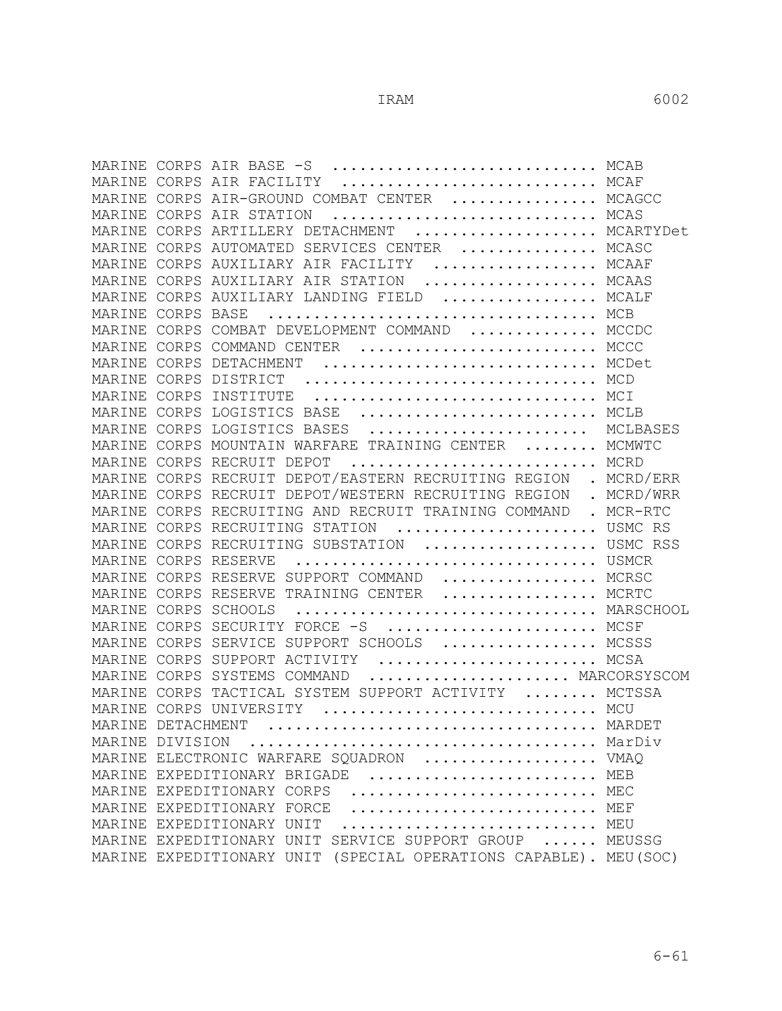|                   |       | MARINE CORPS AIR BASE -S  MCAB                                      |        |
|-------------------|-------|---------------------------------------------------------------------|--------|
|                   |       | MARINE CORPS AIR FACILITY  MCAF                                     |        |
| MARINE            |       | CORPS AIR-GROUND COMBAT CENTER  MCAGCC                              |        |
|                   |       | MCAS<br>MARINE CORPS AIR STATION                                    |        |
|                   |       | MARINE CORPS ARTILLERY DETACHMENT  MCARTYDet                        |        |
|                   |       | MARINE CORPS AUTOMATED SERVICES CENTER  MCASC                       |        |
|                   |       | MARINE CORPS AUXILIARY AIR FACILITY  MCAAF                          |        |
|                   |       | MARINE CORPS AUXILIARY AIR STATION  MCAAS                           |        |
|                   |       | MARINE CORPS AUXILIARY LANDING FIELD  MCALF                         |        |
|                   |       |                                                                     |        |
| MARINE            |       | CORPS COMBAT DEVELOPMENT COMMAND  MCCDC                             |        |
|                   |       | MARINE CORPS COMMAND CENTER  MCCC                                   |        |
|                   |       | MARINE CORPS DETACHMENT  MCDet                                      |        |
|                   |       | MARINE CORPS DISTRICT  MCD                                          |        |
| MARINE CORPS      |       | INSTITUTE  MCI                                                      |        |
|                   |       | MARINE CORPS LOGISTICS BASE  MCLB                                   |        |
| MARINE CORPS      |       | LOGISTICS BASES  MCLBASES                                           |        |
|                   |       | MARINE CORPS MOUNTAIN WARFARE TRAINING CENTER  MCMWTC               |        |
|                   |       | MARINE CORPS RECRUIT DEPOT  MCRD                                    |        |
|                   |       | MARINE CORPS RECRUIT DEPOT/EASTERN RECRUITING REGION . MCRD/ERR     |        |
|                   |       | MARINE CORPS RECRUIT DEPOT/WESTERN RECRUITING REGION . MCRD/WRR     |        |
|                   |       | MARINE CORPS RECRUITING AND RECRUIT TRAINING COMMAND . MCR-RTC      |        |
|                   |       | MARINE CORPS RECRUITING STATION  USMC RS                            |        |
| MARINE CORPS      |       | RECRUITING SUBSTATION  USMC RSS                                     |        |
| MARINE            | CORPS | USMCR<br>RESERVE                                                    |        |
| MARINE CORPS      |       | RESERVE SUPPORT COMMAND  MCRSC                                      |        |
| MARINE CORPS      |       | RESERVE TRAINING CENTER  MCRTC                                      |        |
|                   |       | MARSCHOOL<br>MARINE CORPS SCHOOLS                                   |        |
|                   |       | MARINE CORPS SECURITY FORCE -S  MCSF                                |        |
|                   |       | MARINE CORPS SERVICE SUPPORT SCHOOLS  MCSSS                         |        |
|                   |       | MARINE CORPS SUPPORT ACTIVITY  MCSA                                 |        |
|                   |       | MARINE CORPS SYSTEMS COMMAND  MARCORSYSCOM                          |        |
|                   |       | MARINE CORPS TACTICAL SYSTEM SUPPORT ACTIVITY  MCTSSA               |        |
|                   |       | MARINE CORPS UNIVERSITY  MCU                                        |        |
| MARINE DETACHMENT |       | MARDET                                                              |        |
| MARINE DIVISION   |       |                                                                     | MarDiv |
|                   |       | MARINE ELECTRONIC WARFARE SQUADRON  VMAQ                            |        |
|                   |       | MARINE EXPEDITIONARY BRIGADE  MEB                                   |        |
|                   |       | MARINE EXPEDITIONARY CORPS                                          |        |
|                   |       | MARINE EXPEDITIONARY FORCE                                          |        |
|                   |       | MARINE EXPEDITIONARY UNIT                                           |        |
|                   |       | MARINE EXPEDITIONARY UNIT SERVICE SUPPORT GROUP  MEUSSG             |        |
|                   |       | (SPECIAL OPERATIONS CAPABLE). MEU(SOC)<br>MARINE EXPEDITIONARY UNIT |        |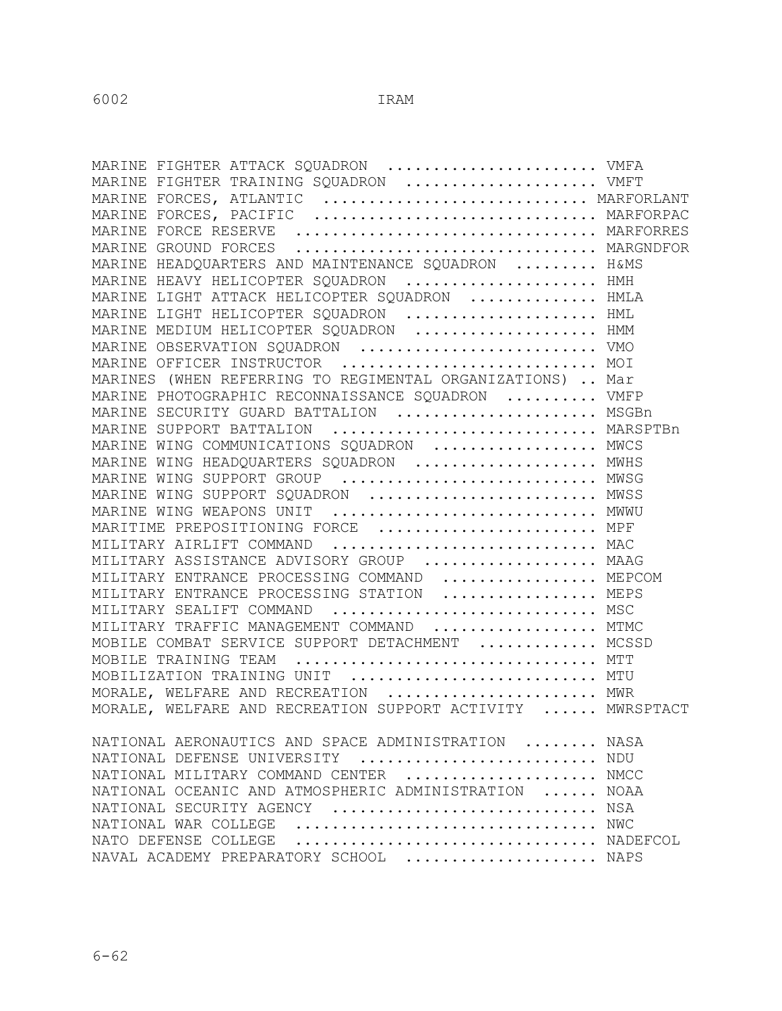| MARINE FIGHTER ATTACK SQUADRON  VMFA<br>MARINE FIGHTER TRAINING SQUADRON  VMFT<br>MARINE FORCES, ATLANTIC  MARFORLANT |      |
|-----------------------------------------------------------------------------------------------------------------------|------|
|                                                                                                                       |      |
|                                                                                                                       |      |
| MARINE FORCES, PACIFIC  MARFORPAC                                                                                     |      |
| MARINE FORCE RESERVE  MARFORRES                                                                                       |      |
| MARINE GROUND FORCES  MARGNDFOR                                                                                       |      |
| MARINE HEADQUARTERS AND MAINTENANCE SQUADRON  H&MS                                                                    |      |
| MARINE HEAVY HELICOPTER SQUADRON  HMH                                                                                 |      |
| MARINE LIGHT ATTACK HELICOPTER SQUADRON  HMLA                                                                         |      |
| MARINE LIGHT HELICOPTER SQUADRON  HML                                                                                 |      |
| MARINE MEDIUM HELICOPTER SQUADRON  HMM                                                                                |      |
| MARINE OBSERVATION SQUADRON  VMO                                                                                      |      |
| MARINE OFFICER INSTRUCTOR  MOI                                                                                        |      |
| MARINES (WHEN REFERRING TO REGIMENTAL ORGANIZATIONS)  Mar                                                             |      |
| MARINE PHOTOGRAPHIC RECONNAISSANCE SQUADRON  VMFP                                                                     |      |
| MARINE SECURITY GUARD BATTALION  MSGBn                                                                                |      |
| MARINE SUPPORT BATTALION  MARSPTBn                                                                                    |      |
| MARINE WING COMMUNICATIONS SQUADRON  MWCS                                                                             |      |
| MARINE WING HEADQUARTERS SQUADRON  MWHS                                                                               |      |
| MARINE WING SUPPORT GROUP  MWSG                                                                                       |      |
| MARINE WING SUPPORT SQUADRON  MWSS                                                                                    |      |
| MARINE WING WEAPONS UNIT  MWWU                                                                                        |      |
| MARITIME PREPOSITIONING FORCE  MPF                                                                                    |      |
| MILITARY AIRLIFT COMMAND  MAC                                                                                         |      |
| MILITARY ASSISTANCE ADVISORY GROUP  MAAG                                                                              |      |
| MILITARY ENTRANCE PROCESSING COMMAND  MEPCOM                                                                          |      |
| MILITARY ENTRANCE PROCESSING STATION  MEPS                                                                            |      |
| MILITARY SEALIFT COMMAND  MSC                                                                                         |      |
| MILITARY TRAFFIC MANAGEMENT COMMAND  MTMC                                                                             |      |
| MOBILE COMBAT SERVICE SUPPORT DETACHMENT  MCSSD                                                                       |      |
| MOBILE TRAINING TEAM  MTT                                                                                             |      |
| MOBILIZATION TRAINING UNIT  MTU                                                                                       |      |
| MORALE, WELFARE AND RECREATION  MWR                                                                                   |      |
| MORALE, WELFARE AND RECREATION SUPPORT ACTIVITY  MWRSPTACT                                                            |      |
| NATIONAL AERONAUTICS AND SPACE ADMINISTRATION                                                                         | NASA |
| NATIONAL DEFENSE UNIVERSITY  NDU                                                                                      |      |
| NATIONAL MILITARY COMMAND CENTER  NMCC                                                                                |      |
| NATIONAL OCEANIC AND ATMOSPHERIC ADMINISTRATION  NOAA                                                                 |      |
| NATIONAL SECURITY AGENCY  NSA                                                                                         |      |
|                                                                                                                       |      |
| NADEFCOL<br>NATO DEFENSE COLLEGE                                                                                      |      |
| NAVAL ACADEMY PREPARATORY SCHOOL  NAPS                                                                                |      |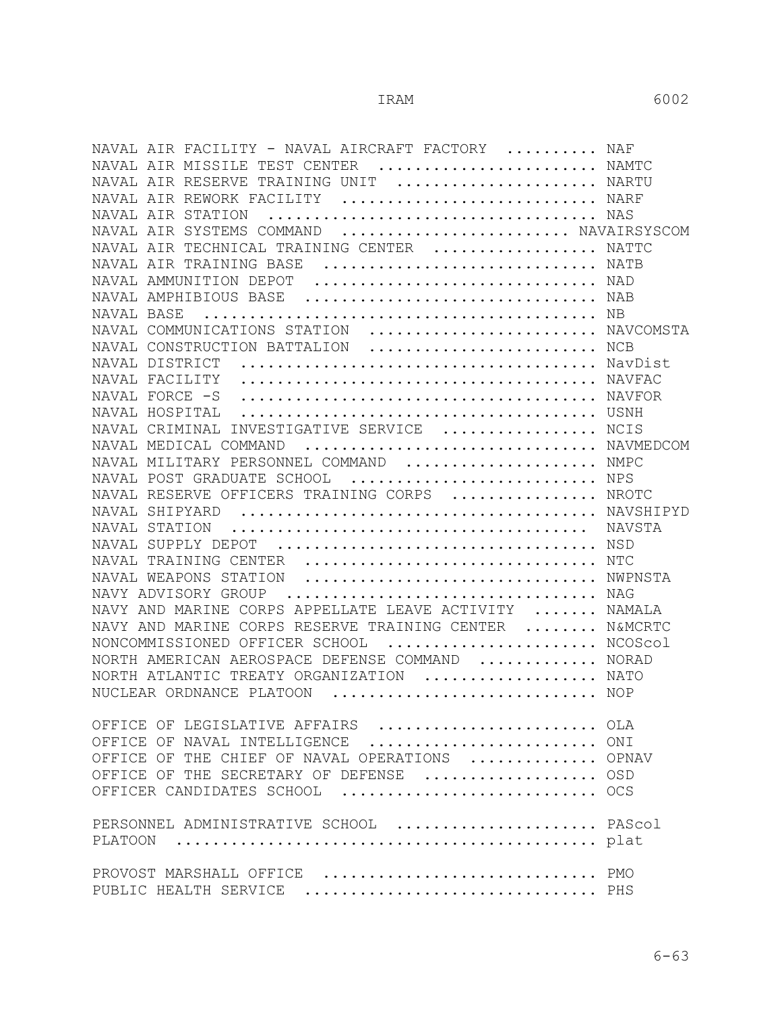| NAVAL AIR FACILITY - NAVAL AIRCRAFT FACTORY  NAF                                           |        |
|--------------------------------------------------------------------------------------------|--------|
| NAVAL AIR MISSILE TEST CENTER<br>$\ldots \ldots \ldots \ldots \ldots \ldots \ldots \ldots$ |        |
| NAVAL AIR RESERVE TRAINING UNIT  NARTU                                                     |        |
| NAVAL AIR REWORK FACILITY  NARF                                                            |        |
| NAVAL AIR STATION                                                                          |        |
| NAVAL AIR SYSTEMS COMMAND  NAVAIRSYSCOM                                                    |        |
| NAVAL AIR TECHNICAL TRAINING CENTER  NATTC                                                 |        |
| NAVAL AIR TRAINING BASE                                                                    |        |
| NAVAL AMMUNITION DEPOT                                                                     |        |
| NAVAL AMPHIBIOUS BASE  NAB                                                                 |        |
| NAVAL BASE                                                                                 |        |
| NAVAL COMMUNICATIONS STATION  NAVCOMSTA                                                    |        |
| NAVAL CONSTRUCTION BATTALION  NCB                                                          |        |
| DISTRICT<br>NAVAL                                                                          |        |
| NAVAL FACILITY                                                                             |        |
| NAVAL FORCE -S                                                                             |        |
| NAVAL HOSPITAL                                                                             |        |
| NAVAL CRIMINAL INVESTIGATIVE SERVICE  NCIS                                                 |        |
| NAVAL MEDICAL COMMAND<br>NAVMEDCOM                                                         |        |
| NAVAL MILITARY PERSONNEL COMMAND  NMPC                                                     |        |
| POST GRADUATE SCHOOL  NPS<br>NAVAL                                                         |        |
| RESERVE OFFICERS TRAINING CORPS  NROTC<br>NAVAL                                            |        |
| NAVAL SHIPYARD                                                                             |        |
| NAVAL STATION                                                                              | NAVSTA |
| NAVAL SUPPLY DEPOT                                                                         |        |
| NAVAL TRAINING CENTER  NTC                                                                 |        |
| NAVAL WEAPONS STATION<br>NWPNSTA                                                           |        |
| NAVY ADVISORY GROUP                                                                        |        |
| NAVY AND MARINE CORPS APPELLATE LEAVE ACTIVITY  NAMALA                                     |        |
| NAVY AND MARINE CORPS RESERVE TRAINING CENTER  N&MCRTC                                     |        |
| NONCOMMISSIONED OFFICER SCHOOL<br>NCOScol                                                  |        |
| NORTH AMERICAN AEROSPACE DEFENSE COMMAND  NORAD                                            |        |
| NORTH ATLANTIC TREATY ORGANIZATION  NATO                                                   |        |
| NUCLEAR ORDNANCE PLATOON<br>NOP                                                            |        |
|                                                                                            |        |
| OFFICE OF LEGISLATIVE AFFAIRS  OLA                                                         |        |
| ONI<br>OFFICE OF NAVAL INTELLIGENCE                                                        |        |
| OFFICE OF THE CHIEF OF NAVAL OPERATIONS  OPNAV                                             |        |
| OFFICE OF THE SECRETARY OF DEFENSE  OSD                                                    |        |
| OFFICER CANDIDATES SCHOOL  OCS                                                             |        |
|                                                                                            |        |
| PERSONNEL ADMINISTRATIVE SCHOOL  PAScol                                                    |        |
| PLATOON                                                                                    |        |
|                                                                                            |        |
| PROVOST MARSHALL OFFICE  PMO                                                               |        |
| PUBLIC HEALTH SERVICE  PHS                                                                 |        |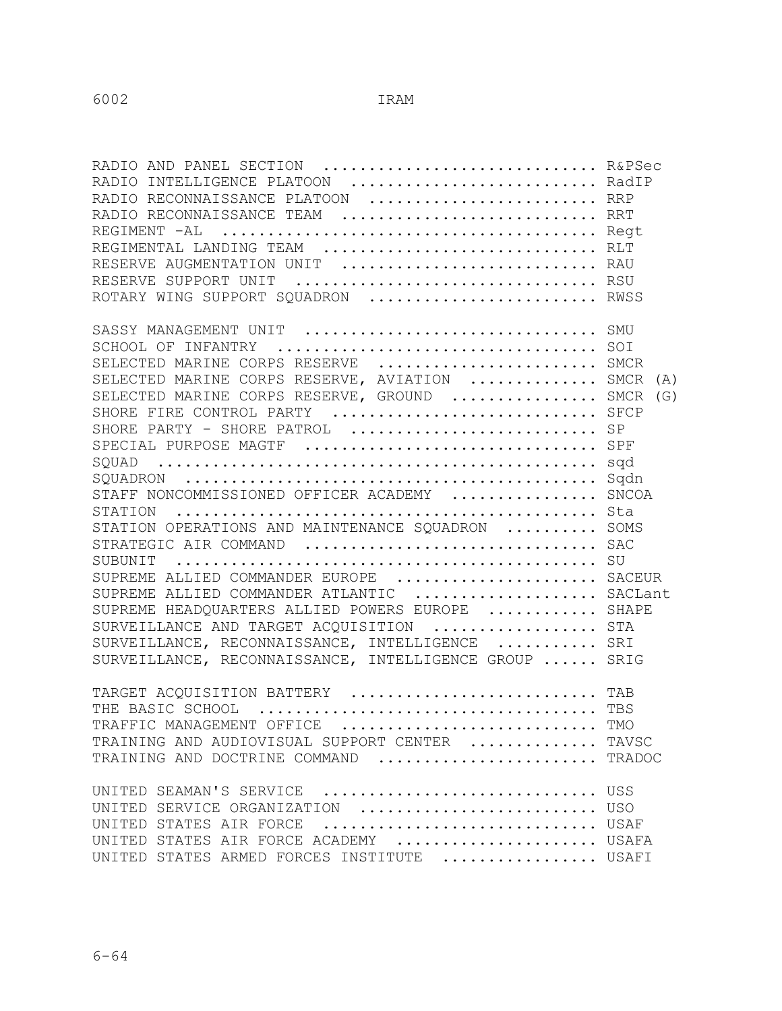| RADIO AND PANEL SECTION  R&PSec<br>RADIO INTELLIGENCE PLATOON  RadIP<br>RADIO RECONNAISSANCE PLATOON  RRP<br>RADIO RECONNAISSANCE TEAM  RRT<br>REGIMENTAL LANDING TEAM  RLT<br>RESERVE AUGMENTATION UNIT  RAU<br>RESERVE SUPPORT UNIT  RSU<br>ROTARY WING SUPPORT SQUADRON  RWSS                                                                                                                                                                                                                                                                                                                                                                                                              |                                                                                     |
|-----------------------------------------------------------------------------------------------------------------------------------------------------------------------------------------------------------------------------------------------------------------------------------------------------------------------------------------------------------------------------------------------------------------------------------------------------------------------------------------------------------------------------------------------------------------------------------------------------------------------------------------------------------------------------------------------|-------------------------------------------------------------------------------------|
| SCHOOL OF INFANTRY<br>SELECTED MARINE CORPS RESERVE  SMCR<br>SELECTED MARINE CORPS RESERVE, AVIATION  SMCR<br>SELECTED MARINE CORPS RESERVE, GROUND  SMCR<br>SHORE FIRE CONTROL PARTY  SFCP<br>SHORE PARTY - SHORE PATROL  SP<br>SPECIAL PURPOSE MAGTF  SPF<br>STAFF NONCOMMISSIONED OFFICER ACADEMY<br>STATION<br>STATION OPERATIONS AND MAINTENANCE SQUADRON<br>STRATEGIC AIR COMMAND<br>SUPREME ALLIED COMMANDER EUROPE  SACEUR<br>SUPREME ALLIED COMMANDER ATLANTIC  SACLant<br>SUPREME HEADQUARTERS ALLIED POWERS EUROPE  SHAPE<br>SURVEILLANCE AND TARGET ACQUISITION  STA<br>SURVEILLANCE, RECONNAISSANCE, INTELLIGENCE  SRI<br>SURVEILLANCE, RECONNAISSANCE, INTELLIGENCE GROUP  SRIG | SOI<br>(A)<br>(G)<br>sqd<br>Sqdn<br><b>SNCOA</b><br>Sta<br>SOMS<br><b>SAC</b><br>SU |
| TARGET ACQUISITION BATTERY  TAB<br>TRAFFIC MANAGEMENT OFFICE  TMO<br>TRAINING AND AUDIOVISUAL SUPPORT CENTER  TAVSC<br>TRAINING AND DOCTRINE COMMAND  TRADOC<br>UNITED SEAMAN'S SERVICE  USS<br>UNITED SERVICE ORGANIZATION  USO                                                                                                                                                                                                                                                                                                                                                                                                                                                              | TBS                                                                                 |
| UNITED STATES AIR FORCE  USAF<br>UNITED STATES AIR FORCE ACADEMY  USAFA<br>UNITED STATES ARMED FORCES INSTITUTE  USAFI                                                                                                                                                                                                                                                                                                                                                                                                                                                                                                                                                                        |                                                                                     |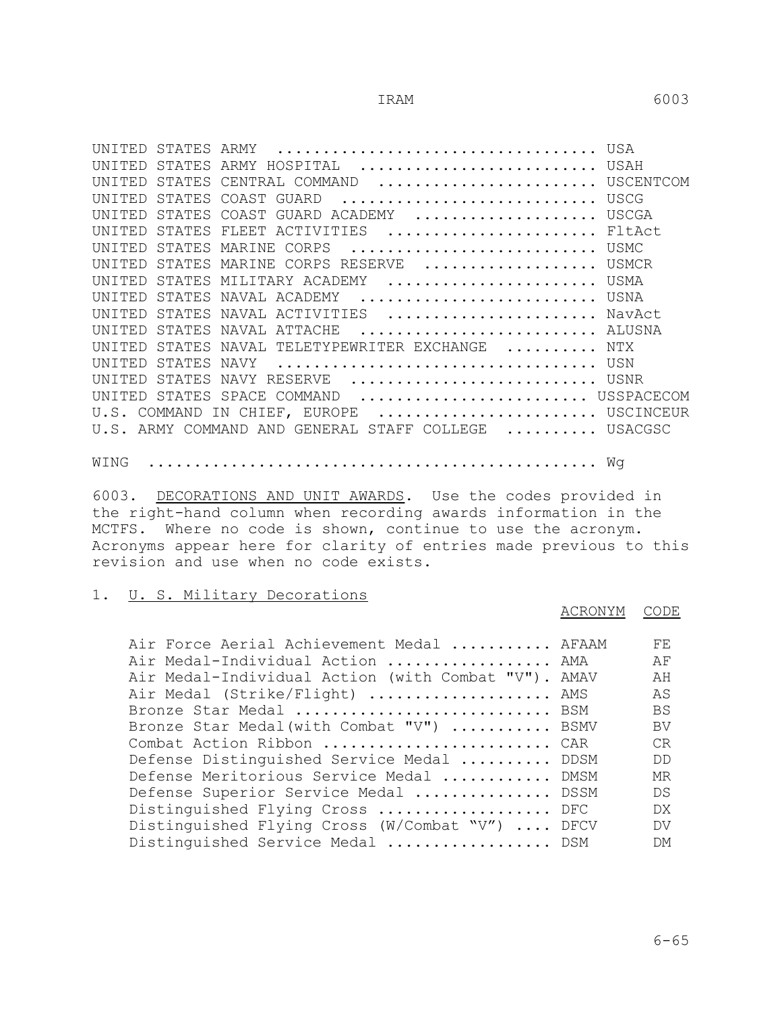| UNTTED         | STATES ARMY HOSPITAL  USAH                           |  |
|----------------|------------------------------------------------------|--|
| <b>IINTTED</b> | STATES CENTRAL COMMAND  USCENTCOM                    |  |
| UNTTED         | STATES COAST GUARD  USCG                             |  |
|                | UNITED STATES COAST GUARD ACADEMY  USCGA             |  |
|                | UNITED STATES FLEET ACTIVITIES  FltAct               |  |
|                | UNITED STATES MARINE CORPS  USMC                     |  |
|                | UNITED STATES MARINE CORPS RESERVE  USMCR            |  |
|                | UNITED STATES MILITARY ACADEMY  USMA                 |  |
|                | UNITED STATES NAVAL ACADEMY  USNA                    |  |
|                | UNITED STATES NAVAL ACTIVITIES  NavAct               |  |
|                | UNITED STATES NAVAL ATTACHE  ALUSNA                  |  |
|                | UNITED STATES NAVAL TELETYPEWRITER EXCHANGE  NTX     |  |
|                |                                                      |  |
|                | UNITED STATES NAVY RESERVE  USNR                     |  |
|                | UNITED STATES SPACE COMMAND  USSPACECOM              |  |
|                | U.S. COMMAND IN CHIEF, EUROPE  USCINCEUR             |  |
|                | U.S. ARMY COMMAND AND GENERAL STAFF COLLEGE  USACGSC |  |
|                |                                                      |  |

WING ................................................. Wg

6003. DECORATIONS AND UNIT AWARDS. Use the codes provided in the right-hand column when recording awards information in the MCTFS. Where no code is shown, continue to use the acronym. Acronyms appear here for clarity of entries made previous to this revision and use when no code exists.

### 1. U. S. Military Decorations

ACRONYM CODE

| Air Force Aerial Achievement Medal  AFAAM           | FF.       |
|-----------------------------------------------------|-----------|
| Air Medal-Individual Action  AMA                    | ΑF        |
| Air Medal-Individual Action (with Combat "V"). AMAV | ΆH        |
| Air Medal (Strike/Flight)  AMS                      | AS        |
| Bronze Star Medal  BSM                              | BS        |
| Bronze Star Medal (with Combat "V")  BSMV           | BV        |
| Combat Action Ribbon  CAR                           | CR        |
| Defense Distinguished Service Medal  DDSM           | DD.       |
| Defense Meritorious Service Medal  DMSM             | МR        |
| Defense Superior Service Medal  DSSM                | DS        |
| Distinguished Flying Cross  DFC                     | DX.       |
| Distinguished Flying Cross (W/Combat "V")  DFCV     | DV.       |
| Distinguished Service Medal  DSM                    | <b>DM</b> |
|                                                     |           |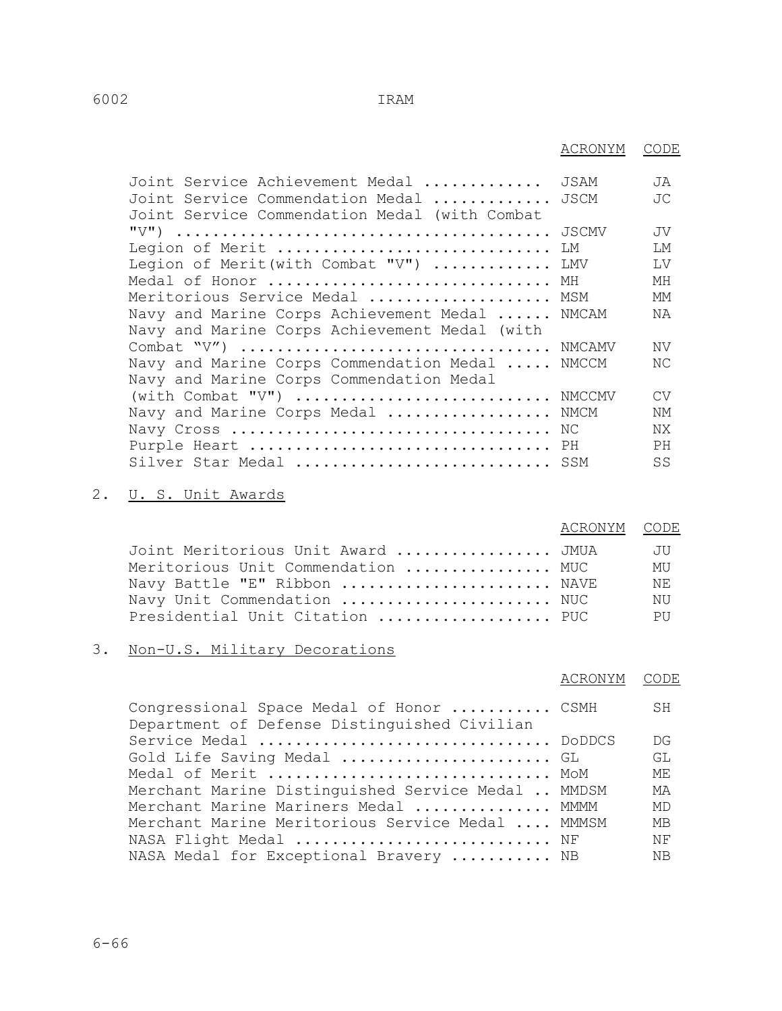| 6002 | IRAM |
|------|------|
|      |      |

|                                                                                                 | ACRONYM | CODE      |
|-------------------------------------------------------------------------------------------------|---------|-----------|
| Joint Service Achievement Medal                                                                 | JSAM    | JA        |
| Joint Service Commendation Medal  JSCM<br>Joint Service Commendation Medal (with Combat         |         | JC        |
|                                                                                                 |         | JV        |
| Legion of Merit  LM                                                                             |         | T.M       |
| Legion of Merit (with Combat "V")  LMV                                                          |         | T.V       |
| Medal of Honor                                                                                  | МH      | МH        |
| Meritorious Service Medal                                                                       | MSM     | MМ        |
| Navy and Marine Corps Achievement Medal  NMCAM<br>Navy and Marine Corps Achievement Medal (with |         | ΝA        |
|                                                                                                 |         | ΝV        |
| Navy and Marine Corps Commendation Medal  NMCCM<br>Navy and Marine Corps Commendation Medal     |         | NC        |
| (with Combat "V")  NMCCMV                                                                       |         | <b>CV</b> |
| Navy and Marine Corps Medal  NMCM                                                               |         | NΜ        |
|                                                                                                 |         | NX.       |
| Purple Heart  PH                                                                                |         | <b>PH</b> |
| Silver Star Medal  SSM                                                                          |         | SS        |

# 2. <u>U. S. Unit Awards</u>

|                                    | ACRONYM CODE |           |
|------------------------------------|--------------|-----------|
| Joint Meritorious Unit Award  JMUA |              | JU        |
| Meritorious Unit Commendation  MUC |              | MU        |
| Navy Battle "E" Ribbon  NAVE       |              | NF.       |
| Navy Unit Commendation  NUC        |              | NU        |
| Presidential Unit Citation  PUC    |              | <b>PH</b> |
|                                    |              |           |

# 3. Non-U.S. Military Decorations

|                                                                                          | ACRONYM | CODE      |
|------------------------------------------------------------------------------------------|---------|-----------|
| Congressional Space Medal of Honor  CSMH<br>Department of Defense Distinguished Civilian |         | SH.       |
| Service Medal  DoDDCS                                                                    |         | DG        |
| Gold Life Saving Medal  GL                                                               |         | GL        |
| Medal of Merit  MoM                                                                      |         | MF.       |
| Merchant Marine Distinguished Service Medal  MMDSM                                       |         | МA        |
| Merchant Marine Mariners Medal  MMMM                                                     |         | MD        |
| Merchant Marine Meritorious Service Medal  MMMSM                                         |         | <b>MB</b> |
| NASA Flight Medal  NF                                                                    |         | ΝF        |
| NASA Medal for Exceptional Bravery  NB                                                   |         | ΝB        |
|                                                                                          |         |           |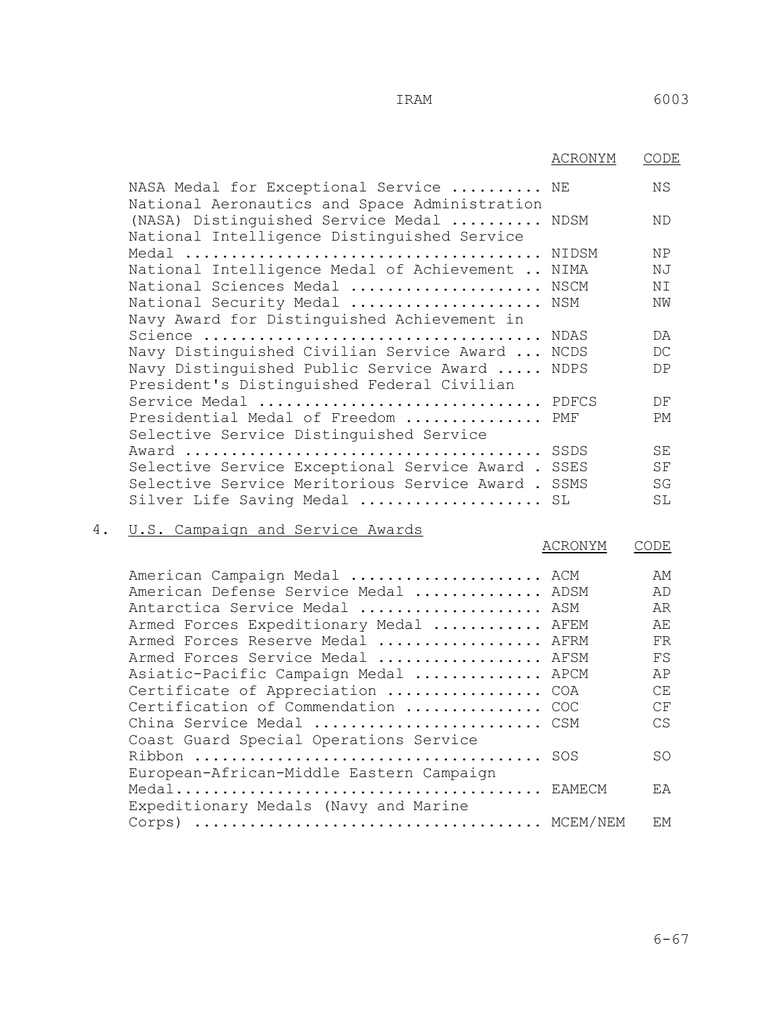|    |                                                                                         | ACRONYM     | CODE                         |
|----|-----------------------------------------------------------------------------------------|-------------|------------------------------|
|    | NASA Medal for Exceptional Service  NE<br>National Aeronautics and Space Administration |             | ΝS                           |
|    | (NASA) Distinguished Service Medal  NDSM<br>National Intelligence Distinguished Service |             | ND                           |
|    |                                                                                         |             | <b>NP</b>                    |
|    | National Intelligence Medal of Achievement  NIMA                                        |             | ΝJ                           |
|    | National Sciences Medal                                                                 | NSCM        | ΝI                           |
|    | National Security Medal                                                                 | NSM         | ΝW                           |
|    | Navy Award for Distinguished Achievement in                                             |             |                              |
|    |                                                                                         | NDAS        | DA                           |
|    | Navy Distinguished Civilian Service Award                                               | NCDS        | DC                           |
|    | Navy Distinguished Public Service Award<br>President's Distinguished Federal Civilian   | <b>NDPS</b> | DP                           |
|    | Service Medal  PDFCS                                                                    |             | DF                           |
|    | Presidential Medal of Freedom<br>Selective Service Distinguished Service                | PMF         | PМ                           |
|    |                                                                                         | SSDS        | SE                           |
|    | Selective Service Exceptional Service Award.                                            | SSES        | SF                           |
|    | Selective Service Meritorious Service Award.                                            | SSMS        | $\operatorname{\mathsf{SG}}$ |
|    | Silver Life Saving Medal                                                                | SL          | SL                           |
| 4. | U.S. Campaign and Service Awards                                                        |             |                              |
|    |                                                                                         | ACRONYM     | CODE                         |

| American Campaign Medal  ACM             | AМ  |
|------------------------------------------|-----|
| American Defense Service Medal  ADSM     | AD  |
| Antarctica Service Medal  ASM            | AR  |
| Armed Forces Expeditionary Medal  AFEM   | AF. |
| Armed Forces Reserve Medal  AFRM         | FR  |
| Armed Forces Service Medal  AFSM         | FS  |
| Asiatic-Pacific Campaign Medal  APCM     | AP  |
| Certificate of Appreciation  COA         | CE. |
| Certification of Commendation  COC       | CF  |
| China Service Medal  CSM                 | CS  |
| Coast Guard Special Operations Service   |     |
|                                          | SO. |
| European-African-Middle Eastern Campaign |     |
|                                          | ΕA  |
| Expeditionary Medals (Navy and Marine    |     |
| Corps)                                   | FМ  |
|                                          |     |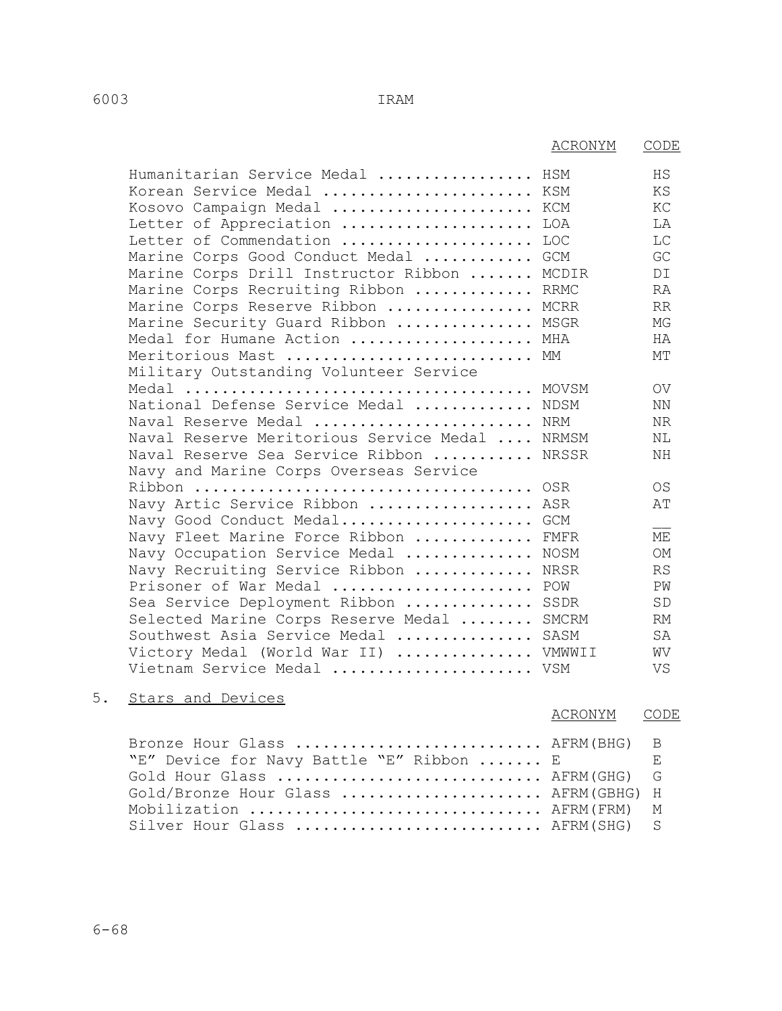|                                         | ACRONYM     | CODE            |
|-----------------------------------------|-------------|-----------------|
| Humanitarian Service Medal              | HSM         | HS              |
| Korean Service Medal                    | KSM         | ΚS              |
| Kosovo Campaign Medal                   | KCM         | KC              |
| Letter of Appreciation                  | LOA         | LA              |
| Letter of Commendation                  | LOC         | LC              |
| Marine Corps Good Conduct Medal         | <b>GCM</b>  | GC              |
| Marine Corps Drill Instructor Ribbon    | MCDIR       | DI              |
| Marine Corps Recruiting Ribbon          | <b>RRMC</b> | <b>RA</b>       |
| Marine Corps Reserve Ribbon             | MCRR        | <b>RR</b>       |
| Marine Security Guard Ribbon            | MSGR        | MG              |
| Medal for Humane Action                 | MHA         | HA              |
| Meritorious Mast                        | МM          | MТ              |
| Military Outstanding Volunteer Service  |             |                 |
|                                         | MOVSM       | $\overline{O}V$ |
| National Defense Service Medal          | NDSM        | NN              |
| Naval Reserve Medal                     | NRM         | NR              |
| Naval Reserve Meritorious Service Medal | NRMSM       | NL              |
| Naval Reserve Sea Service Ribbon        | NRSSR       | ΝH              |
| Navy and Marine Corps Overseas Service  |             |                 |
|                                         |             | <b>OS</b>       |
| Navy Artic Service Ribbon  ASR          |             | AΤ              |
| Navy Good Conduct Medal                 | <b>GCM</b>  |                 |
| Navy Fleet Marine Force Ribbon          | FMFR        | МE              |
| Navy Occupation Service Medal           | NOSM        | <b>OM</b>       |
| Navy Recruiting Service Ribbon          | NRSR        | <b>RS</b>       |
| Prisoner of War Medal                   | POW         | PW              |
| Sea Service Deployment Ribbon           | SSDR        | SD              |
| Selected Marine Corps Reserve Medal     | SMCRM       | <b>RM</b>       |
| Southwest Asia Service Medal            | SASM        | SA              |
| Victory Medal (World War II)            | VMWWII      | WV              |
| Vietnam Service Medal  VSM              |             | VS              |
|                                         |             |                 |

5. Stars and Devices

| ACRONYM | CODE |
|---------|------|
|         |      |

| Bronze Hour Glass  AFRM(BHG) B           |  |
|------------------------------------------|--|
| "E" Device for Navy Battle "E" Ribbon  E |  |
| Gold Hour Glass  AFRM(GHG) G             |  |
| Gold/Bronze Hour Glass  AFRM (GBHG) H    |  |
| Mobilization  AFRM (FRM) M               |  |
| Silver Hour Glass  AFRM(SHG) S           |  |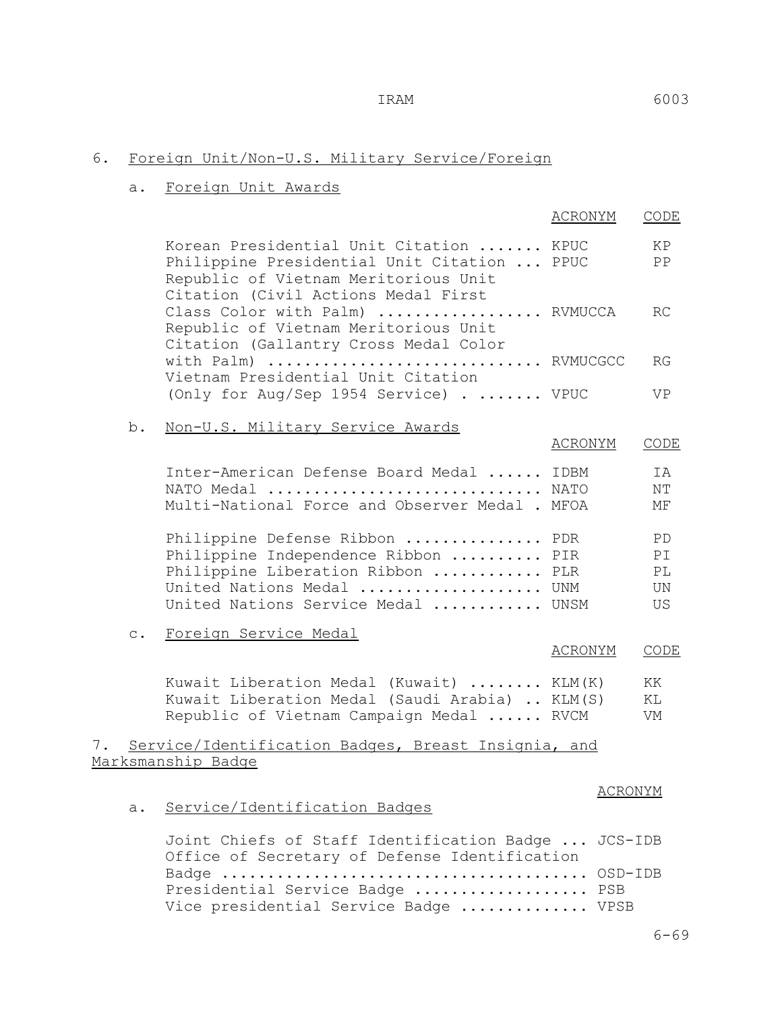# 6. Foreign Unit/Non-U.S. Military Service/Foreign

### a. Foreign Unit Awards

|    |           |                                                                                                                                                                               | ACRONYM        | CODE                        |
|----|-----------|-------------------------------------------------------------------------------------------------------------------------------------------------------------------------------|----------------|-----------------------------|
|    |           | Korean Presidential Unit Citation  KPUC<br>Philippine Presidential Unit Citation  PPUC<br>Republic of Vietnam Meritorious Unit                                                |                | ΚP<br>PP                    |
|    |           | Citation (Civil Actions Medal First<br>Class Color with Palm)  RVMUCCA<br>Republic of Vietnam Meritorious Unit<br>Citation (Gallantry Cross Medal Color                       |                | RC.                         |
|    |           | with Palm)  RVMUCGCC<br>Vietnam Presidential Unit Citation                                                                                                                    |                | RG                          |
|    |           | (Only for Aug/Sep 1954 Service) VPUC                                                                                                                                          |                | VP.                         |
|    | b.        | Non-U.S. Military Service Awards                                                                                                                                              | <u>ACRONYM</u> | <b>CODE</b>                 |
|    |           | Inter-American Defense Board Medal  IDBM<br>NATO Medal  NATO<br>Multi-National Force and Observer Medal . MFOA                                                                |                | IA<br>ΝT<br>MF              |
|    |           | Philippine Defense Ribbon  PDR<br>Philippine Independence Ribbon  PIR<br>Philippine Liberation Ribbon  PLR<br>United Nations Medal  UNM<br>United Nations Service Medal  UNSM |                | PD.<br>ΡI<br>PL<br>UN<br>US |
|    | $\circ$ . | Foreign Service Medal                                                                                                                                                         | ACRONYM        | CODE                        |
|    |           | Kuwait Liberation Medal (Kuwait)  KLM(K)<br>Kuwait Liberation Medal (Saudi Arabia)  KLM(S)<br>Republic of Vietnam Campaign Medal  RVCM                                        |                | KK<br>ΚL<br>VM              |
| 7. |           | Service/Identification Badges, Breast Insignia, and<br>Marksmanship Badge                                                                                                     |                |                             |
|    | a.        | Service/Identification Badges                                                                                                                                                 | ACRONYM        |                             |
|    |           | Joint Chiefs of Staff Identification Badge  JCS-IDB<br>Office of Secretary of Defense Identification                                                                          | OSD-IDB        |                             |
|    |           |                                                                                                                                                                               |                |                             |

Presidential Service Badge ................... PSB Vice presidential Service Badge ............. VPSB

6-69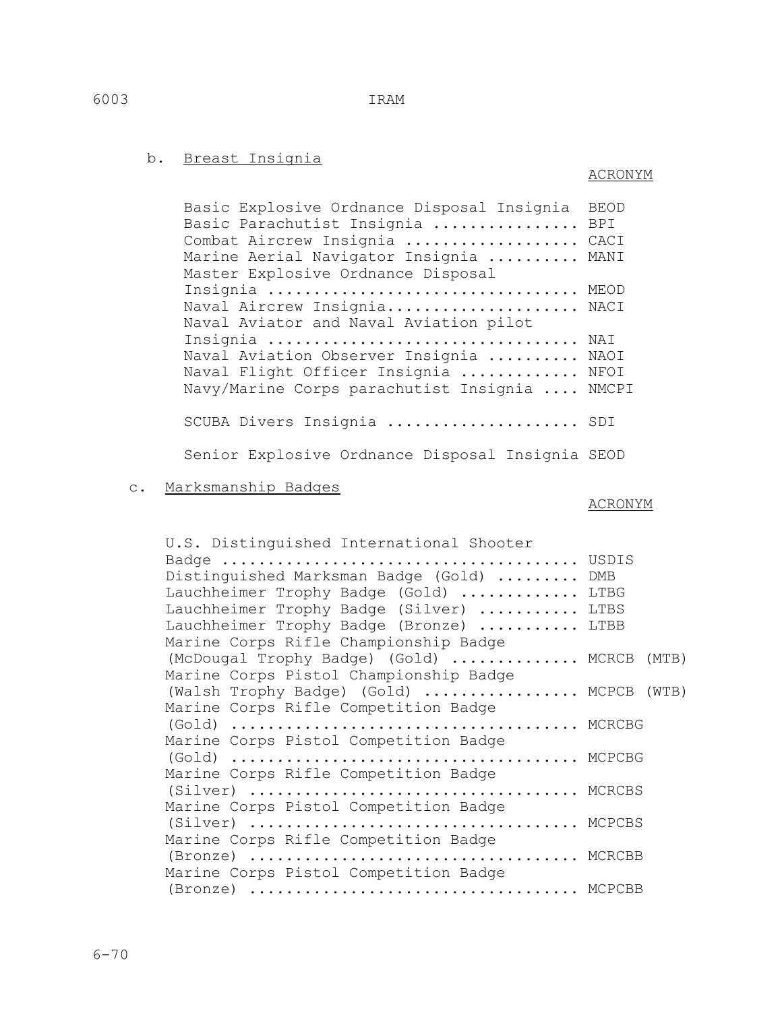6-70

### b. Breast Insignia

# ACRONYM

 Basic Explosive Ordnance Disposal Insignia BEOD Basic Parachutist Insignia ................ BPI Combat Aircrew Insignia ................... CACI Marine Aerial Navigator Insignia .......... MANI Master Explosive Ordnance Disposal Insignia ................................... MEOD Naval Aircrew Insignia...................... NACI Naval Aviator and Naval Aviation pilot Insignia .................................. NAI Naval Aviation Observer Insignia .......... NAOI Naval Flight Officer Insignia ............. NFOI Navy/Marine Corps parachutist Insignia .... NMCPI SCUBA Divers Insignia ....................... SDI

Senior Explosive Ordnance Disposal Insignia SEOD

c. Marksmanship Badges

### ACRONYM

| U.S. Distinguished International Shooter    |  |
|---------------------------------------------|--|
|                                             |  |
| Distinguished Marksman Badge (Gold)  DMB    |  |
| Lauchheimer Trophy Badge (Gold)  LTBG       |  |
| Lauchheimer Trophy Badge (Silver)  LTBS     |  |
| Lauchheimer Trophy Badge (Bronze)  LTBB     |  |
| Marine Corps Rifle Championship Badge       |  |
| (McDougal Trophy Badge) (Gold)  MCRCB (MTB) |  |
| Marine Corps Pistol Championship Badge      |  |
| (Walsh Trophy Badge) (Gold)  MCPCB (WTB)    |  |
| Marine Corps Rifle Competition Badge        |  |
|                                             |  |
| Marine Corps Pistol Competition Badge       |  |
|                                             |  |
| Marine Corps Rifle Competition Badge        |  |
| (Silver)  MCRCBS                            |  |
| Marine Corps Pistol Competition Badge       |  |
|                                             |  |
| Marine Corps Rifle Competition Badge        |  |
| (Bronze)  MCRCBB                            |  |
| Marine Corps Pistol Competition Badge       |  |
| (Bronze)  MCPCBB                            |  |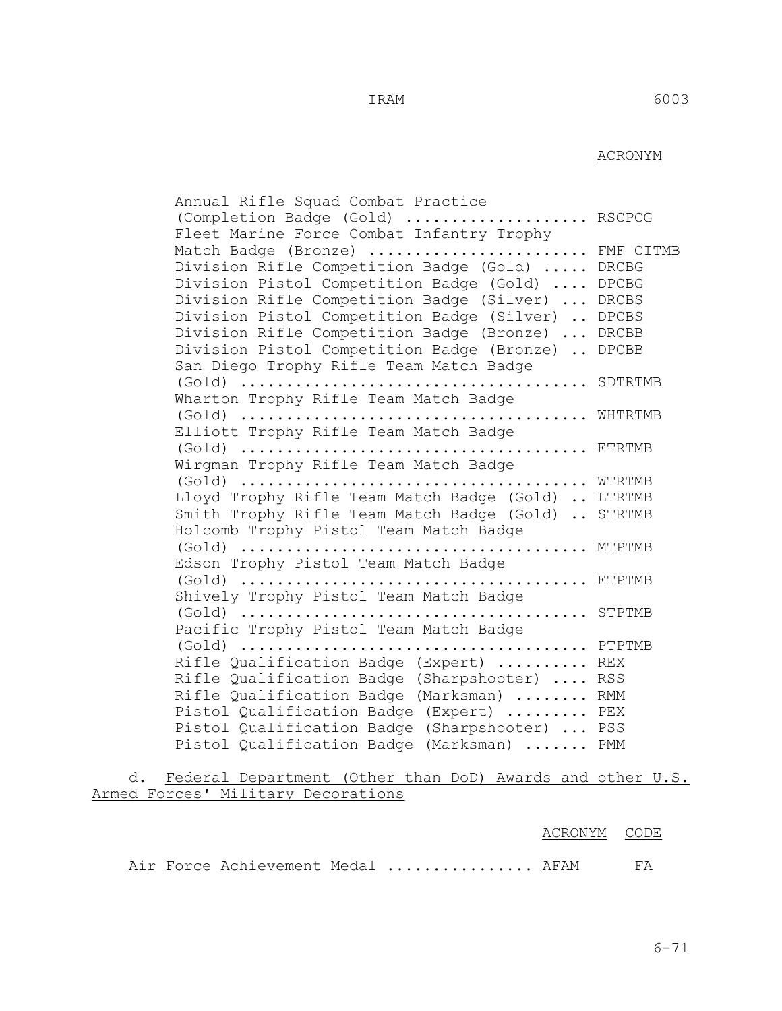### ACRONYM

 Annual Rifle Squad Combat Practice (Completion Badge (Gold) .................... RSCPCG Fleet Marine Force Combat Infantry Trophy Match Badge (Bronze) ......................... FMF CITMB Division Rifle Competition Badge (Gold) ..... DRCBG Division Pistol Competition Badge (Gold) .... DPCBG Division Rifle Competition Badge (Silver) ... DRCBS Division Pistol Competition Badge (Silver) .. DPCBS Division Rifle Competition Badge (Bronze) ... DRCBB Division Pistol Competition Badge (Bronze) .. DPCBB San Diego Trophy Rifle Team Match Badge (Gold) ...................................... SDTRTMB Wharton Trophy Rifle Team Match Badge (Gold) ...................................... WHTRTMB Elliott Trophy Rifle Team Match Badge (Gold) ...................................... ETRTMB Wirgman Trophy Rifle Team Match Badge (Gold) ...................................... WTRTMB Lloyd Trophy Rifle Team Match Badge (Gold) .. LTRTMB Smith Trophy Rifle Team Match Badge (Gold) .. STRTMB Holcomb Trophy Pistol Team Match Badge (Gold) ...................................... MTPTMB Edson Trophy Pistol Team Match Badge (Gold) ...................................... ETPTMB Shively Trophy Pistol Team Match Badge (Gold) ...................................... STPTMB Pacific Trophy Pistol Team Match Badge (Gold) ...................................... PTPTMB Rifle Qualification Badge (Expert) .......... REX Rifle Qualification Badge (Sharpshooter) .... RSS Rifle Qualification Badge (Marksman) ........ RMM Pistol Qualification Badge (Expert) ......... PEX Pistol Qualification Badge (Sharpshooter) ... PSS Pistol Qualification Badge (Marksman) ....... PMM

 d. Federal Department (Other than DoD) Awards and other U.S. Armed Forces' Military Decorations

|  |                                      | ACRONYM CODE |  |
|--|--------------------------------------|--------------|--|
|  | Air Force Achievement Medal  AFAM FA |              |  |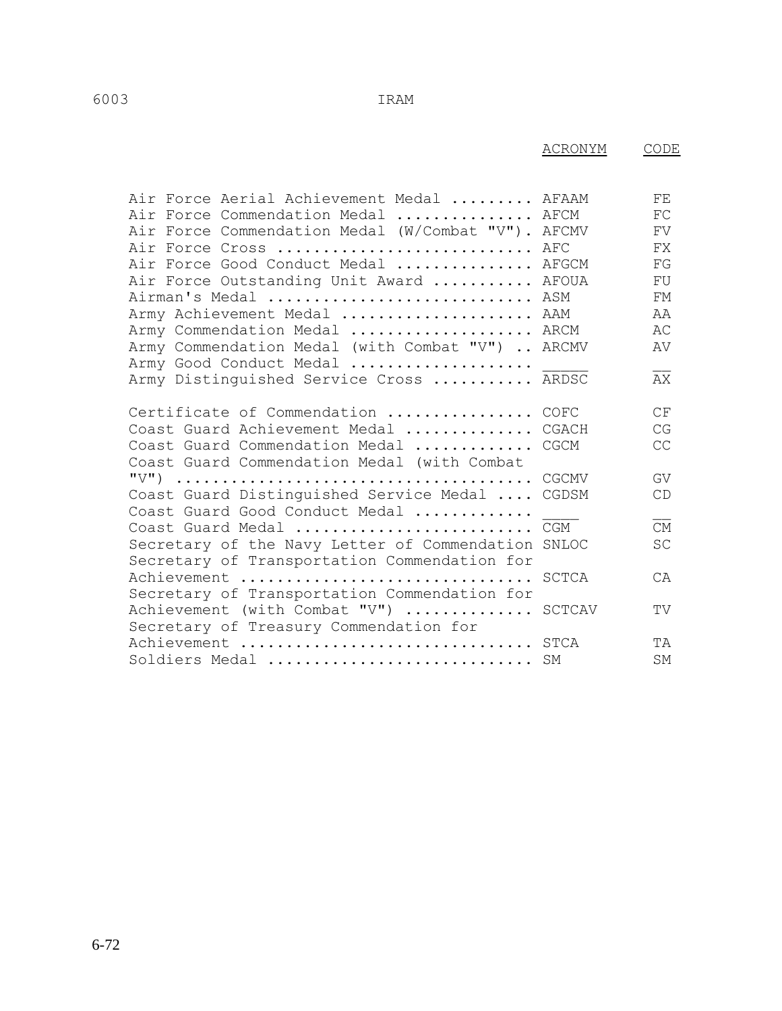ACRONYM CODE

| Air Force Aerial Achievement Medal  AFAAM          | FE        |
|----------------------------------------------------|-----------|
| Air Force Commendation Medal  AFCM                 | FC        |
| Air Force Commendation Medal (W/Combat "V"). AFCMV | FV        |
| Air Force Cross  AFC                               | FX        |
| Air Force Good Conduct Medal  AFGCM                | FG        |
| Air Force Outstanding Unit Award  AFOUA            | FU        |
| Airman's Medal  ASM                                | FМ        |
| Army Achievement Medal  AAM                        | AA        |
| Army Commendation Medal  ARCM                      | AC        |
| Army Commendation Medal (with Combat "V")  ARCMV   | AV        |
| Army Good Conduct Medal                            |           |
| Army Distinguished Service Cross  ARDSC            | AX        |
|                                                    |           |
| Certificate of Commendation  COFC                  | СF        |
| Coast Guard Achievement Medal  CGACH               | CG        |
| Coast Guard Commendation Medal  CGCM               | CC        |
| Coast Guard Commendation Medal (with Combat        |           |
|                                                    | GV        |
| Coast Guard Distinguished Service Medal  CGDSM     | CD        |
| Coast Guard Good Conduct Medal                     |           |
| Coast Guard Medal  CGM                             | <b>CM</b> |
| Secretary of the Navy Letter of Commendation SNLOC | SC        |
| Secretary of Transportation Commendation for       |           |
| Achievement  SCTCA                                 | CA        |
| Secretary of Transportation Commendation for       |           |
| Achievement (with Combat "V")  SCTCAV              | TV        |
| Secretary of Treasury Commendation for             |           |
| Achievement  STCA                                  | TA        |
| Soldiers Medal  SM                                 | SΜ        |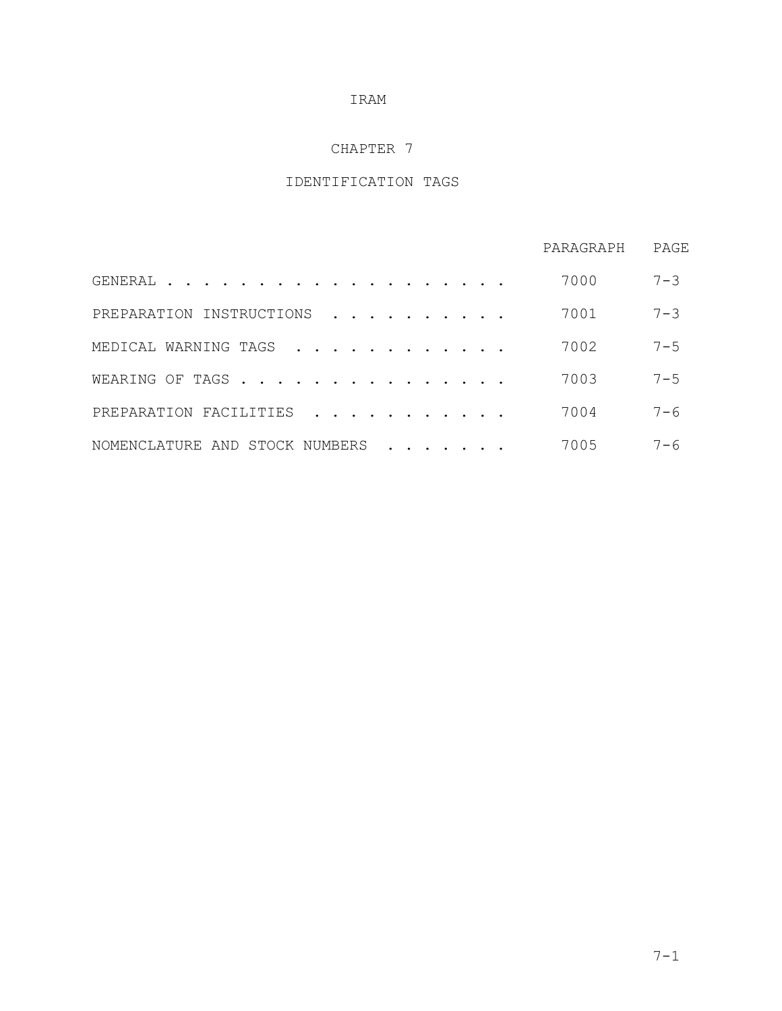### CHAPTER 7

# IDENTIFICATION TAGS

|                                   | PARAGRAPH | PAGE    |
|-----------------------------------|-----------|---------|
| GENERAL<br>$\cdot$                | 7000      | $7 - 3$ |
| INSTRUCTIONS<br>PREPARATION       | 7001      | $7 - 3$ |
| MEDICAL WARNING TAGS              | 7002      | $7 - 5$ |
| WEARING OF TAGS                   | 7003      | $7 - 5$ |
| PREPARATION FACILITIES            | 7004      | $7 - 6$ |
| NOMENCLATURE AND<br>STOCK NUMBERS | 7005      | $7 - 6$ |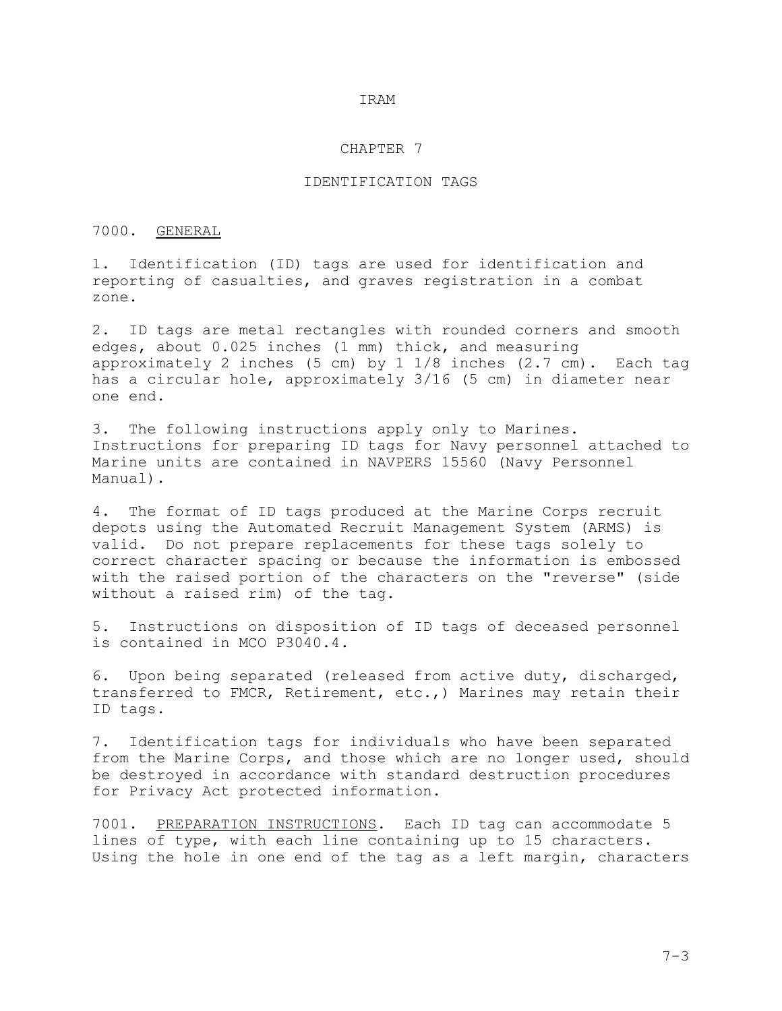### CHAPTER 7

### IDENTIFICATION TAGS

### 7000. GENERAL

1. Identification (ID) tags are used for identification and reporting of casualties, and graves registration in a combat zone.

2. ID tags are metal rectangles with rounded corners and smooth edges, about 0.025 inches (1 mm) thick, and measuring approximately 2 inches (5 cm) by 1 1/8 inches (2.7 cm). Each tag has a circular hole, approximately 3/16 (5 cm) in diameter near one end.

3. The following instructions apply only to Marines. Instructions for preparing ID tags for Navy personnel attached to Marine units are contained in NAVPERS 15560 (Navy Personnel Manual).

4. The format of ID tags produced at the Marine Corps recruit depots using the Automated Recruit Management System (ARMS) is valid. Do not prepare replacements for these tags solely to correct character spacing or because the information is embossed with the raised portion of the characters on the "reverse" (side without a raised rim) of the tag.

5. Instructions on disposition of ID tags of deceased personnel is contained in MCO P3040.4.

6. Upon being separated (released from active duty, discharged, transferred to FMCR, Retirement, etc.,) Marines may retain their ID tags.

7. Identification tags for individuals who have been separated from the Marine Corps, and those which are no longer used, should be destroyed in accordance with standard destruction procedures for Privacy Act protected information.

7001. PREPARATION INSTRUCTIONS. Each ID tag can accommodate 5 lines of type, with each line containing up to 15 characters. Using the hole in one end of the tag as a left margin, characters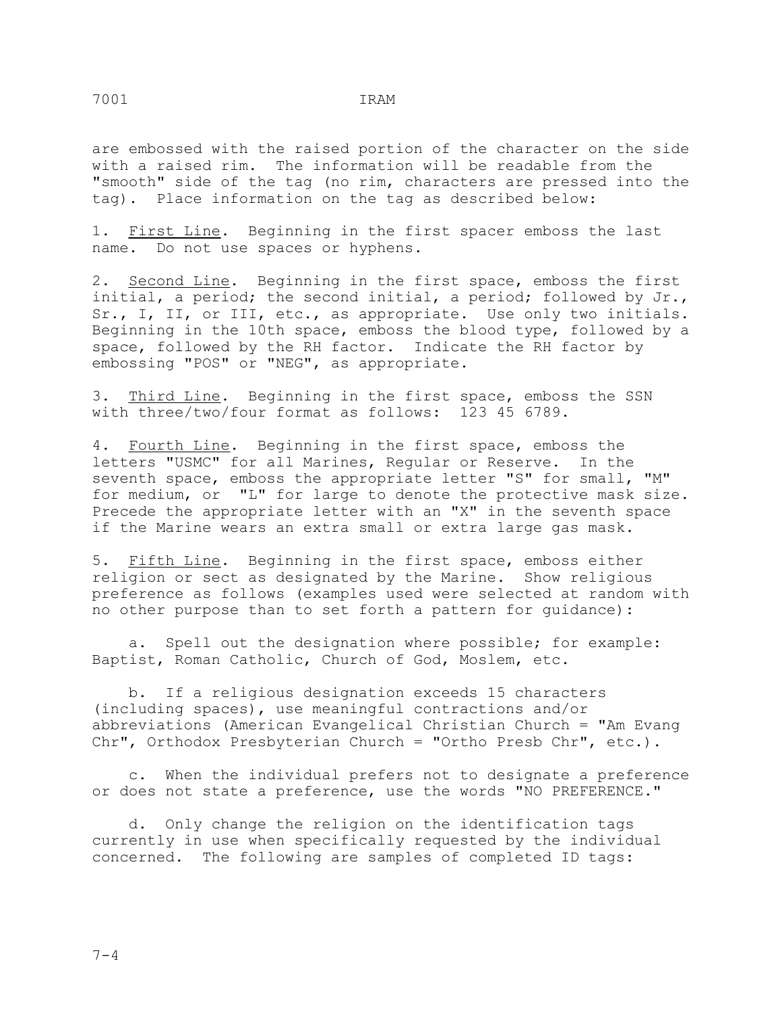are embossed with the raised portion of the character on the side with a raised rim. The information will be readable from the "smooth" side of the tag (no rim, characters are pressed into the tag). Place information on the tag as described below:

1. First Line. Beginning in the first spacer emboss the last name. Do not use spaces or hyphens.

2. Second Line. Beginning in the first space, emboss the first initial, a period; the second initial, a period; followed by Jr., Sr., I, II, or III, etc., as appropriate. Use only two initials. Beginning in the 10th space, emboss the blood type, followed by a space, followed by the RH factor. Indicate the RH factor by embossing "POS" or "NEG", as appropriate.

3. Third Line. Beginning in the first space, emboss the SSN with three/two/four format as follows: 123 45 6789.

4. Fourth Line. Beginning in the first space, emboss the letters "USMC" for all Marines, Regular or Reserve. In the seventh space, emboss the appropriate letter "S" for small, "M" for medium, or "L" for large to denote the protective mask size. Precede the appropriate letter with an "X" in the seventh space if the Marine wears an extra small or extra large gas mask.

5. Fifth Line. Beginning in the first space, emboss either religion or sect as designated by the Marine. Show religious preference as follows (examples used were selected at random with no other purpose than to set forth a pattern for guidance):

 a. Spell out the designation where possible; for example: Baptist, Roman Catholic, Church of God, Moslem, etc.

 b. If a religious designation exceeds 15 characters (including spaces), use meaningful contractions and/or abbreviations (American Evangelical Christian Church = "Am Evang Chr", Orthodox Presbyterian Church = "Ortho Presb Chr", etc.).

 c. When the individual prefers not to designate a preference or does not state a preference, use the words "NO PREFERENCE."

 d. Only change the religion on the identification tags currently in use when specifically requested by the individual concerned. The following are samples of completed ID tags: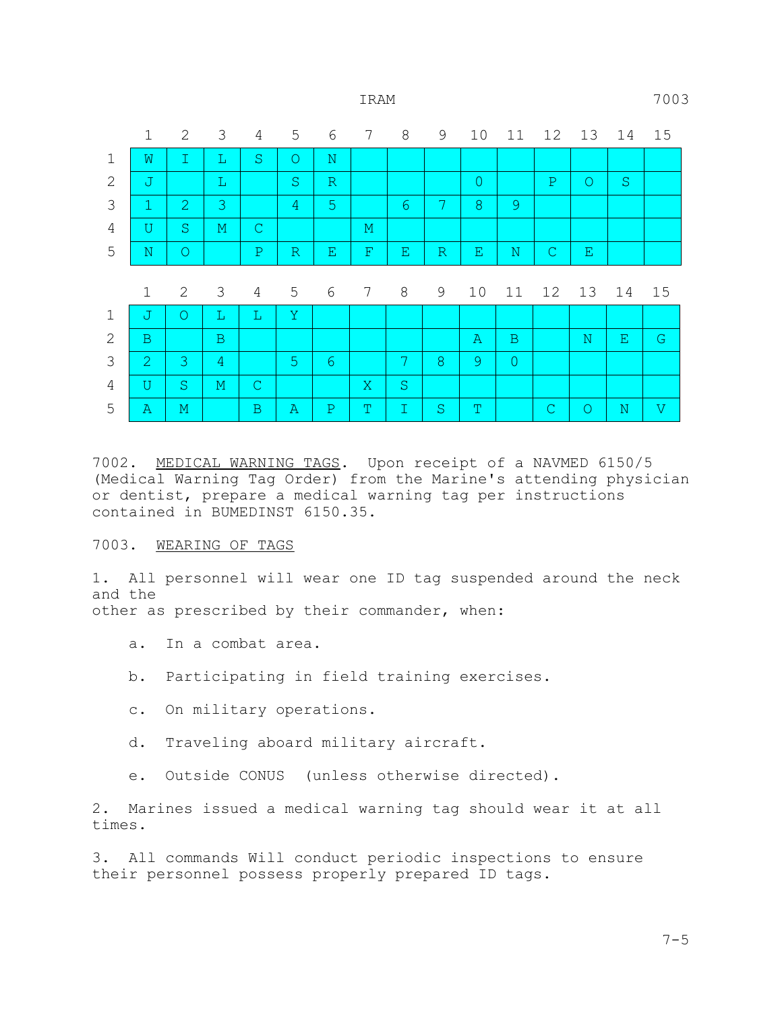|                | $\mathbf 1$  | 2              | 3              | 4              | 5              | 6                  | 7               | 8                  | 9            | 10             | 11          | 12           | 13          | 14      | 15           |
|----------------|--------------|----------------|----------------|----------------|----------------|--------------------|-----------------|--------------------|--------------|----------------|-------------|--------------|-------------|---------|--------------|
| $\mathbf 1$    | $\mathbf W$  | $\mathbbm{I}$  | $\mathbb L$    | $\mathbf S$    | $\circ$        | $\mathbf N$        |                 |                    |              |                |             |              |             |         |              |
| 2              | $\mathbb J$  |                | L              |                | S              | $\mathbb R$        |                 |                    |              | $\overline{0}$ |             | $\mathbf{P}$ | $\circ$     | $\rm S$ |              |
| 3              | $\mathbf{1}$ | $\overline{2}$ | 3              |                | $\overline{4}$ | 5                  |                 | $6\phantom{1}6$    | 7            | 8              | 9           |              |             |         |              |
| 4              | U            | S.             | $\mathbb M$    | $\mathsf{C}$   |                |                    | М               |                    |              |                |             |              |             |         |              |
| 5              | ${\bf N}$    | $\circ$        |                | $\mathbf{P}$   | $\mathbb R$    | $\mathbf{E}% _{0}$ | $\mathbf F$     | $\mathbf{E}% _{0}$ | $\mathbb R$  | Е              | $\mathbf N$ | $\mathsf{C}$ | Е           |         |              |
|                | $\mathbf 1$  | 2              | 3              | $\overline{4}$ | 5              | 6                  | $7\phantom{.0}$ | 8                  | 9            | 10             | 11          | 12           | 13          | 14      | 15           |
| $\mathbf{1}$   | $\mathbb J$  | $\circ$        | L              | L              | Y              |                    |                 |                    |              |                |             |              |             |         |              |
| $\mathbf{2}$   | $\mathbf B$  |                | $\mathbf B$    |                |                |                    |                 |                    |              | $\mathbb{A}$   | B           |              | $\mathbf N$ | Ε       | $\mathsf{G}$ |
| 3              | $\mathbf{2}$ | 3              | $\overline{4}$ |                | 5 <sup>1</sup> | $6\phantom{.}6$    |                 | 7                  | $\mathbf{8}$ | 9              | $\circ$     |              |             |         |              |
|                |              |                |                |                |                |                    |                 |                    |              |                |             |              |             |         |              |
| $\overline{4}$ | U            | S              | $\mathbf{M}$   | $\mathsf{C}$   |                |                    | X               | S                  |              |                |             |              |             |         |              |

7002. MEDICAL WARNING TAGS. Upon receipt of a NAVMED 6150/5 (Medical Warning Tag Order) from the Marine's attending physician or dentist, prepare a medical warning tag per instructions contained in BUMEDINST 6150.35.

### 7003. WEARING OF TAGS

1. All personnel will wear one ID tag suspended around the neck and the other as prescribed by their commander, when:

- a. In a combat area.
- b. Participating in field training exercises.
- c. On military operations.
- d. Traveling aboard military aircraft.

e. Outside CONUS (unless otherwise directed).

2. Marines issued a medical warning tag should wear it at all times.

3. All commands Will conduct periodic inspections to ensure their personnel possess properly prepared ID tags.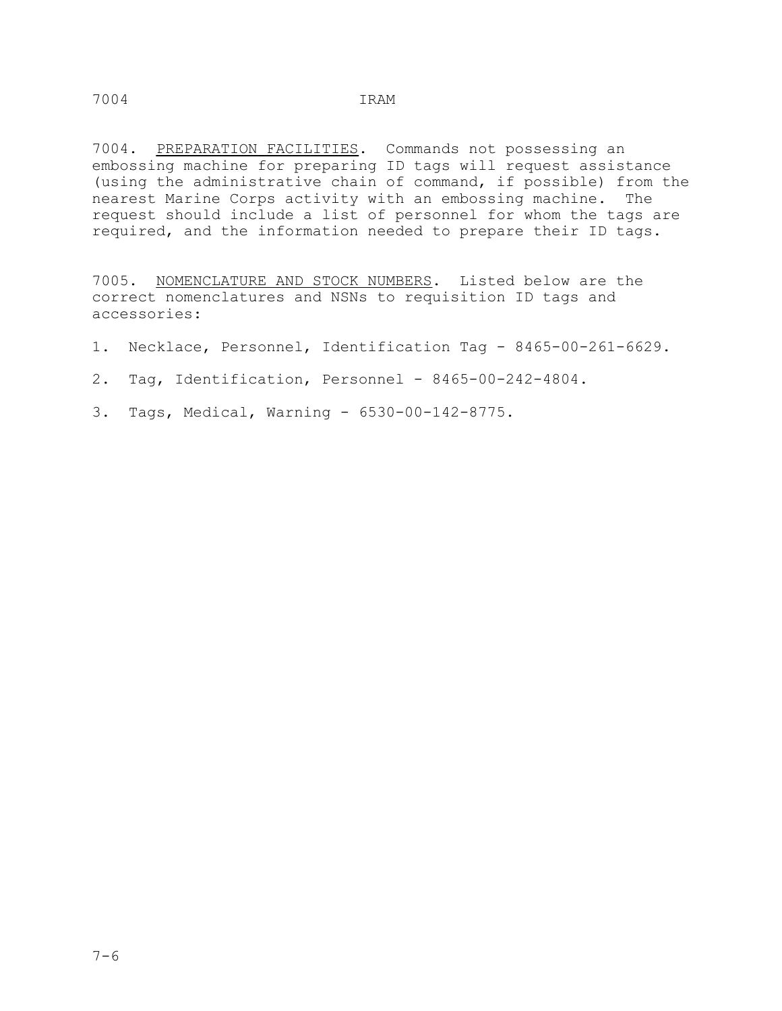7004. PREPARATION FACILITIES. Commands not possessing an embossing machine for preparing ID tags will request assistance (using the administrative chain of command, if possible) from the nearest Marine Corps activity with an embossing machine. The request should include a list of personnel for whom the tags are required, and the information needed to prepare their ID tags.

7005. NOMENCLATURE AND STOCK NUMBERS. Listed below are the correct nomenclatures and NSNs to requisition ID tags and accessories:

- 1. Necklace, Personnel, Identification Tag 8465-00-261-6629.
- 2. Tag, Identification, Personnel 8465-00-242-4804.
- 3. Tags, Medical, Warning 6530-00-142-8775.

7004 IRAM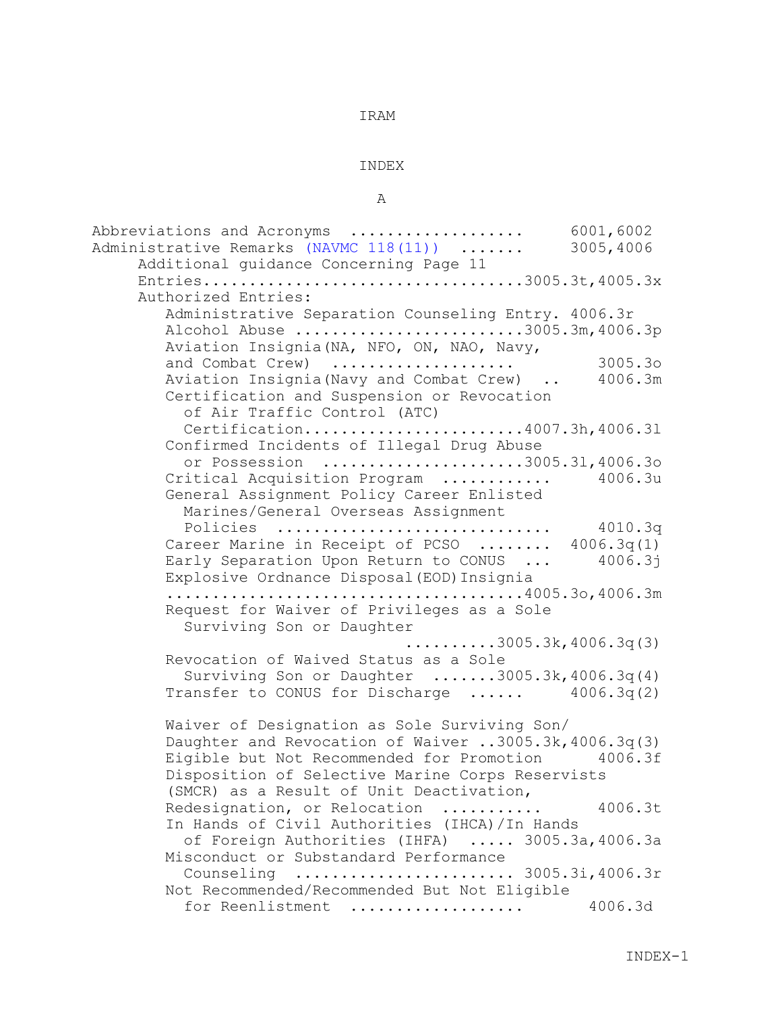#### INDEX

### A

Abbreviations and Acronyms ................... 6001,6002 Administrative Remarks (NAVMC 118(11)) ....... 3005,4006 Additional guidance Concerning Page 11 Entries...................................3005.3t,4005.3x Authorized Entries: Administrative Separation Counseling Entry. 4006.3r Alcohol Abuse .........................3005.3m,4006.3p Aviation Insignia(NA, NFO, ON, NAO, Navy, and Combat Crew) .................... 3005.3o Aviation Insignia(Navy and Combat Crew) .. Certification and Suspension or Revocation of Air Traffic Control (ATC) Certification........................4007.3h,4006.3l Confirmed Incidents of Illegal Drug Abuse or Possession ......................3005.3l,4006.3o Critical Acquisition Program ............ 4006.3u General Assignment Policy Career Enlisted Marines/General Overseas Assignment Policies .............................. 4010.3q Career Marine in Receipt of PCSO ........ 4006.3q(1)<br>Early Separation Upon Return to CONUS ... 4006.3j Early Separation Upon Return to CONUS ... Explosive Ordnance Disposal(EOD)Insignia .......................................4005.3o,4006.3m Request for Waiver of Privileges as a Sole Surviving Son or Daughter  $\ldots \ldots \ldots$ . 3005.3k, 4006.3q(3) Revocation of Waived Status as a Sole Surviving Son or Daughter .......3005.3k,4006.3q(4) Transfer to CONUS for Discharge ...... 4006.3q(2) Waiver of Designation as Sole Surviving Son/ Daughter and Revocation of Waiver ..3005.3k,4006.3q(3) Eigible but Not Recommended for Promotion 4006.3f Disposition of Selective Marine Corps Reservists (SMCR) as a Result of Unit Deactivation, Redesignation, or Relocation ........... 4006.3t In Hands of Civil Authorities (IHCA)/In Hands of Foreign Authorities (IHFA) ..... 3005.3a,4006.3a Misconduct or Substandard Performance Counseling ........................ 3005.3i,4006.3r Not Recommended/Recommended But Not Eligible for Reenlistment ................... 4006.3d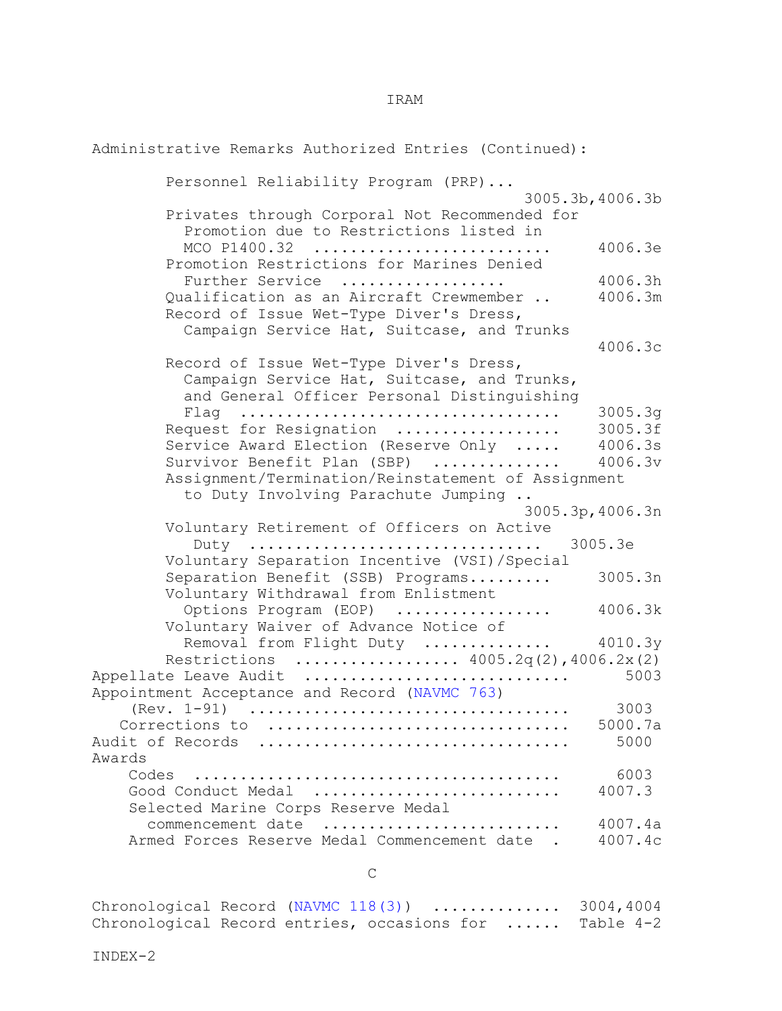Administrative Remarks Authorized Entries (Continued): Personnel Reliability Program (PRP)... 3005.3b,4006.3b Privates through Corporal Not Recommended for Promotion due to Restrictions listed in MCO P1400.32 .......................... 4006.3e Promotion Restrictions for Marines Denied Further Service .................. 4006.3h Oualification as an Aircraft Crewmember .. Record of Issue Wet-Type Diver's Dress, Campaign Service Hat, Suitcase, and Trunks 4006.3c Record of Issue Wet-Type Diver's Dress, Campaign Service Hat, Suitcase, and Trunks, and General Officer Personal Distinguishing Flag ................................... 3005.3g Request for Resignation .................. 3005.3f Service Award Election (Reserve Only ..... 4006.3s<br>Survivor Benefit Plan (SBP) ............. 4006.3v Survivor Benefit Plan (SBP) .............. Assignment/Termination/Reinstatement of Assignment to Duty Involving Parachute Jumping .. 3005.3p,4006.3n Voluntary Retirement of Officers on Active Duty ................................ 3005.3e Voluntary Separation Incentive (VSI)/Special Separation Benefit (SSB) Programs......... 3005.3n Voluntary Withdrawal from Enlistment Options Program (EOP) .................... 4006.3k Voluntary Waiver of Advance Notice of Removal from Flight Duty .............. 4010.3y Restrictions .................... 4005.2q(2),4006.2x(2)<br>e Leave Audit ................................ 5003 Appellate Leave Audit .............................. Appointment Acceptance and Record (NAVMC 763) (Rev. 1-91) ................................... 3003 Corrections to ................................. 5000.7a Audit of Records .................................. 5000 Awards Codes ........................................ 6003 Good Conduct Medal ............................ Selected Marine Corps Reserve Medal commencement date .......................... 4007.4a Armed Forces Reserve Medal Commencement date .

**C** 

| Chronological Record (NAVMC $118(3)$ )  3004,4004      |  |  |  |
|--------------------------------------------------------|--|--|--|
| Chronological Record entries, occasions for  Table 4-2 |  |  |  |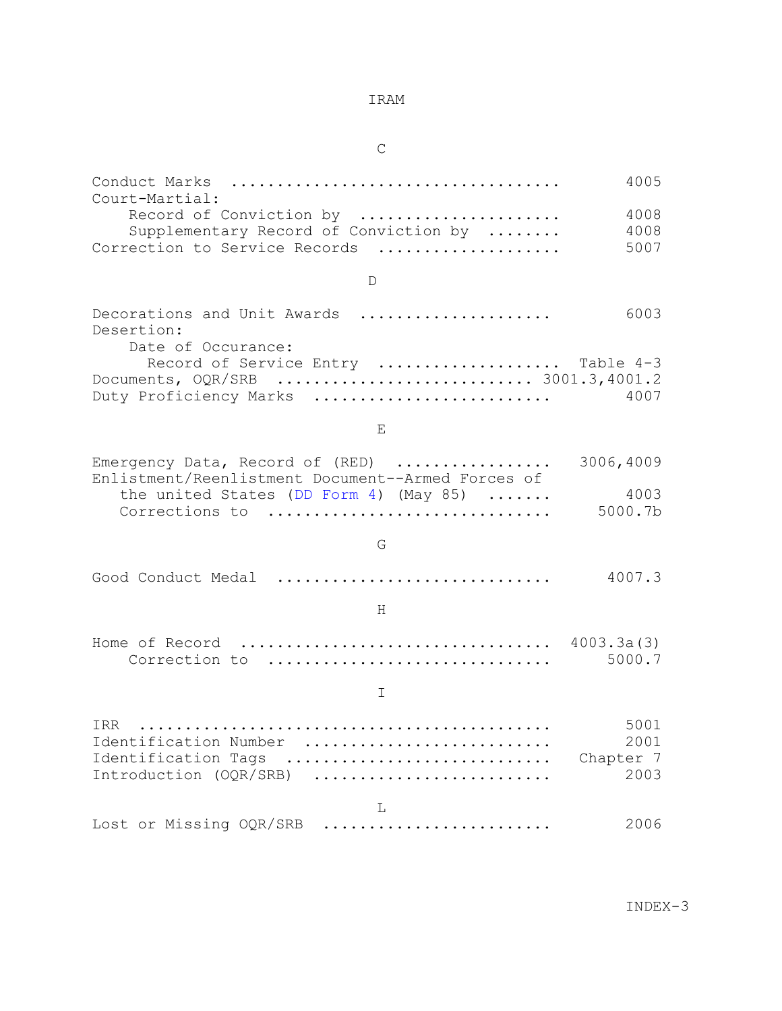**C** 

| Court-Martial:                                                                                                          | 4005                              |
|-------------------------------------------------------------------------------------------------------------------------|-----------------------------------|
| Record of Conviction by<br>Supplementary Record of Conviction by                                                        | 4008<br>4008                      |
| Correction to Service Records                                                                                           | 5007                              |
| D                                                                                                                       |                                   |
| Decorations and Unit Awards<br>Desertion:                                                                               | 6003                              |
| Date of Occurance:<br>Record of Service Entry  Table 4-3<br>Documents, OQR/SRB  3001.3,4001.2<br>Duty Proficiency Marks | 4007                              |
| E.                                                                                                                      |                                   |
| Emergency Data, Record of (RED)<br>Enlistment/Reenlistment Document--Armed Forces of                                    | 3006,4009                         |
| the united States (DD Form 4) (May 85)<br>Corrections to                                                                | 4003<br>5000.7b                   |
| G                                                                                                                       |                                   |
| Good Conduct Medal                                                                                                      | 4007.3                            |
| H                                                                                                                       |                                   |
| Home of Record  4003.3a(3)<br>Correction to                                                                             | 5000.7                            |
| I                                                                                                                       |                                   |
| TRR<br>Identification Number<br>Identification Tags<br>Introduction (OQR/SRB)                                           | 5001<br>2001<br>Chapter 7<br>2003 |
| L                                                                                                                       |                                   |
| Lost or Missing OQR/SRB                                                                                                 | 2006                              |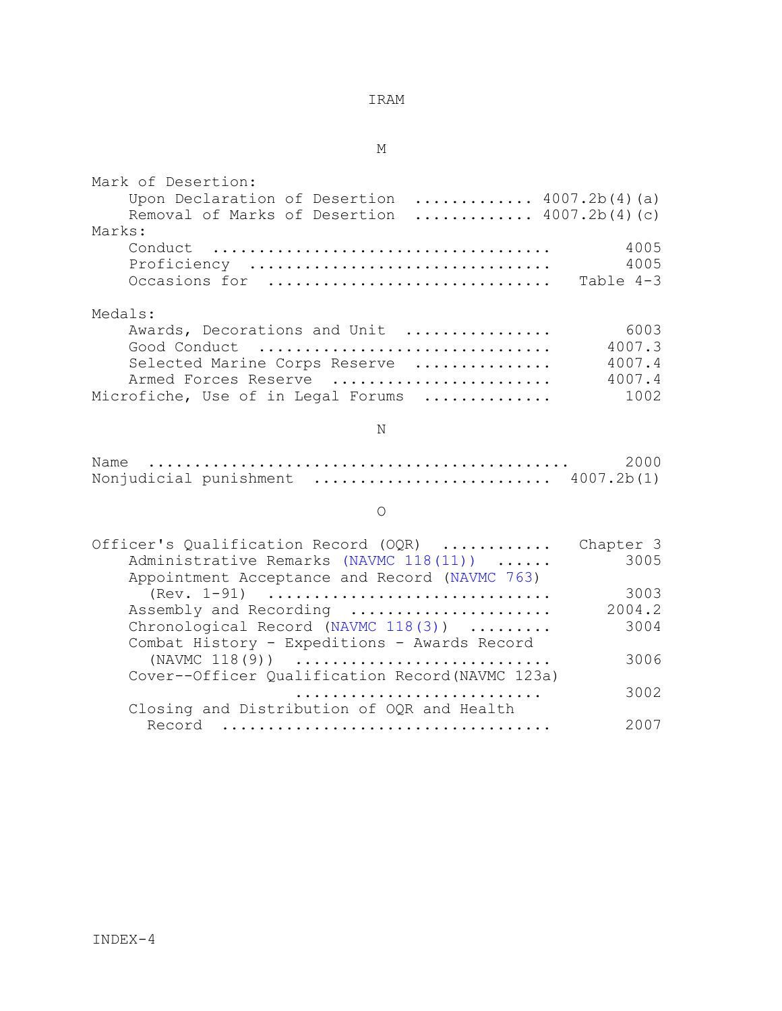M

| Mark of Desertion:                                                                            |           |
|-----------------------------------------------------------------------------------------------|-----------|
| Upon Declaration of Desertion  4007.2b(4)(a)<br>Removal of Marks of Desertion $4007.2b(4)(c)$ |           |
| Marks:                                                                                        |           |
| Conduct                                                                                       | 4005      |
| Proficiency                                                                                   | 4005      |
| Occasions for                                                                                 | Table 4-3 |
| Medals:                                                                                       |           |
| Awards, Decorations and Unit                                                                  | 6003      |
| Good Conduct                                                                                  | 4007.3    |
| Selected Marine Corps Reserve                                                                 | 4007.4    |
| Armed Forces Reserve                                                                          | 4007.4    |
| Microfiche, Use of in Legal Forums                                                            | 1002      |
| $\mathbb N$                                                                                   |           |
| Name                                                                                          | 2000      |
| Nonjudicial punishment $\ldots \ldots \ldots \ldots \ldots \ldots \ldots$ 4007.2b(1)          |           |
| $\circ$                                                                                       |           |
| Officer's Qualification Record (OQR)                                                          | Chapter 3 |
| Administrative Remarks (NAVMC 118(11))<br>Appointment Acceptance and Record (NAVMC 763)       | 3005      |
| (Rev. 1-91)                                                                                   | 3003      |
| Assembly and Recording                                                                        | 2004.2    |
| Chronological Record (NAVMC 118(3))                                                           | 3004      |
| Combat History - Expeditions - Awards Record                                                  |           |
| $(NAVMC 118(9))$                                                                              | 3006      |
| Cover--Officer Qualification Record (NAVMC 123a)                                              |           |
|                                                                                               | 3002      |
| Closing and Distribution of OQR and Health                                                    |           |
| Record                                                                                        | 2007      |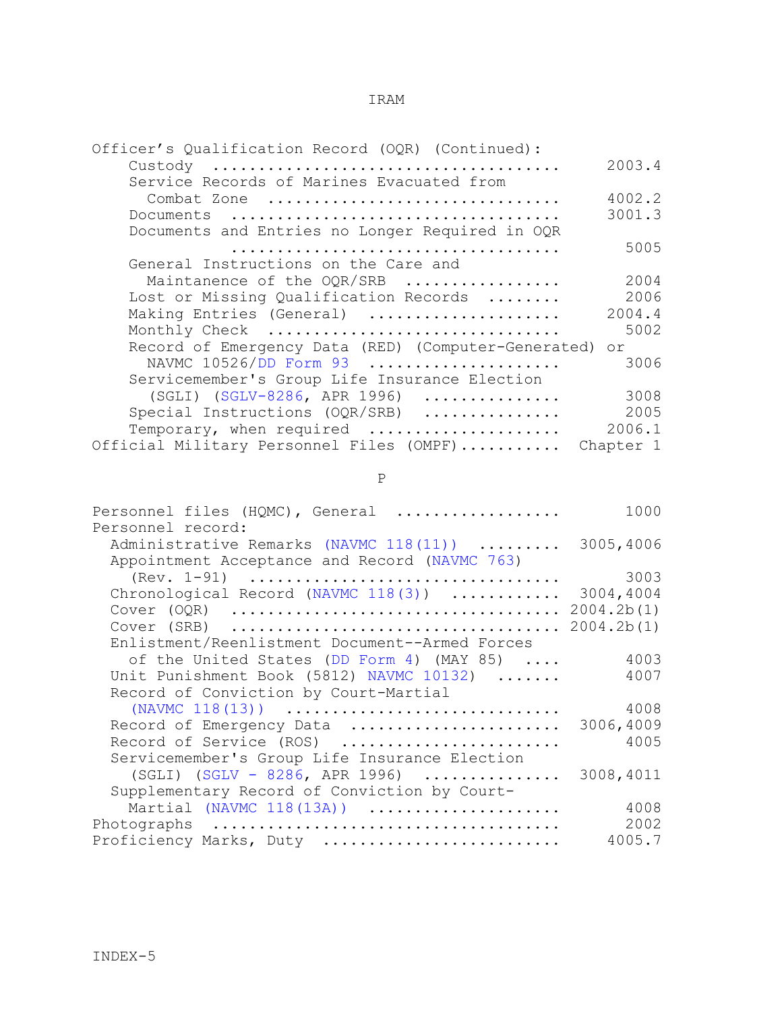| Officer's Qualification Record (OQR) (Continued):      |           |
|--------------------------------------------------------|-----------|
|                                                        | 2003.4    |
| Service Records of Marines Evacuated from              |           |
| Combat Zone                                            | 4002.2    |
|                                                        | 3001.3    |
| Documents and Entries no Longer Required in OQR        |           |
|                                                        | 5005      |
| General Instructions on the Care and                   |           |
| Maintanence of the OQR/SRB                             | 2004      |
| Lost or Missing Qualification Records                  | 2006      |
| Making Entries (General)                               | 2004.4    |
| Monthly Check                                          | 5002      |
| Record of Emergency Data (RED) (Computer-Generated) or |           |
| NAVMC 10526/DD Form 93                                 | 3006      |
|                                                        |           |
| Servicemember's Group Life Insurance Election          |           |
| (SGLI) (SGLV-8286, APR 1996)                           | 3008      |
| Special Instructions (OQR/SRB)                         | 2005      |
| Temporary, when required                               | 2006.1    |
| Official Military Personnel Files (OMPF)               | Chapter 1 |

P

| Personnel files (HQMC), General<br>.               | 1000       |
|----------------------------------------------------|------------|
| Personnel record:                                  |            |
| Administrative Remarks (NAVMC 118(11))             | 3005,4006  |
| Appointment Acceptance and Record (NAVMC 763)      |            |
|                                                    | 3003       |
| Chronological Record (NAVMC 118(3))                | 3004,4004  |
|                                                    | 2004.2b(1) |
|                                                    | 2004.2b(1) |
| Enlistment/Reenlistment Document--Armed Forces     |            |
| of the United States (DD Form 4) (MAY 85) $\ldots$ | 4003       |
| Unit Punishment Book (5812) NAVMC 10132)           | 4007       |
| Record of Conviction by Court-Martial              |            |
| (NAVMC $118(13)$ )                                 | 4008       |
| Record of Emergency Data                           | 3006,4009  |
| Record of Service (ROS)                            | 4005       |
| Servicemember's Group Life Insurance Election      |            |
| $(SGLI)$ (SGLV - 8286, APR 1996)                   | 3008,4011  |
| Supplementary Record of Conviction by Court-       |            |
| Martial (NAVMC 118(13A))                           | 4008       |
|                                                    | 2002       |
| Proficiency Marks, Duty                            | 4005.7     |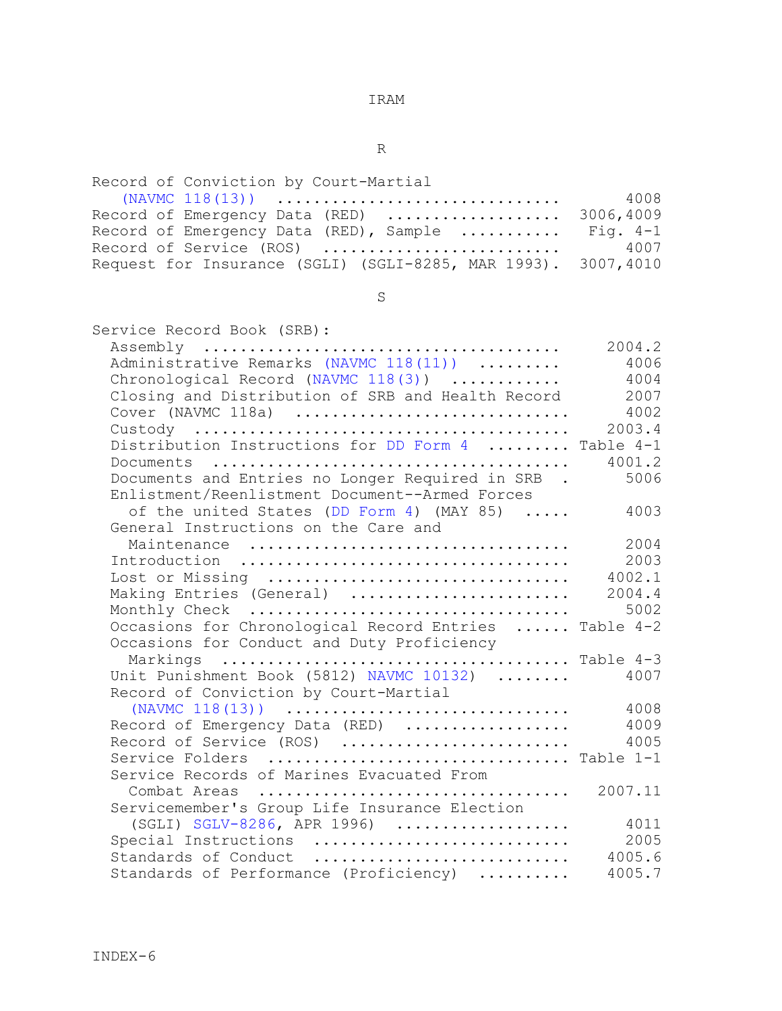R

| Record of Conviction by Court-Martial                                  |      |
|------------------------------------------------------------------------|------|
|                                                                        | 4008 |
| Record of Emergency Data (RED)  3006,4009                              |      |
| Record of Emergency Data (RED), Sample $\ldots \ldots \ldots$ Fig. 4-1 |      |
| Record of Service (ROS)                                                | 4007 |
| Request for Insurance (SGLI) (SGLI-8285, MAR 1993). 3007,4010          |      |

S<sub>S</sub>

| Service Record Book (SRB):                            |                |
|-------------------------------------------------------|----------------|
|                                                       | 2004.2         |
| Administrative Remarks (NAVMC 118(11))                | 4006           |
| Chronological Record (NAVMC 118(3))                   | 4004           |
| Closing and Distribution of SRB and Health Record     | 2007           |
| Cover (NAVMC 118a)                                    | 4002           |
|                                                       | 2003.4         |
| Distribution Instructions for DD Form 4  Table 4-1    |                |
|                                                       | 4001.2         |
| Documents and Entries no Longer Required in SRB .     | 5006           |
| Enlistment/Reenlistment Document--Armed Forces        |                |
| of the united States (DD Form 4) (MAY 85)             | 4003           |
| General Instructions on the Care and                  |                |
|                                                       | 2004           |
|                                                       | 2003<br>4002.1 |
| Lost or Missing                                       | 2004.4         |
| Making Entries (General)                              | 5002           |
| Occasions for Chronological Record Entries  Table 4-2 |                |
| Occasions for Conduct and Duty Proficiency            |                |
|                                                       |                |
| Unit Punishment Book (5812) NAVMC 10132)              | 4007           |
| Record of Conviction by Court-Martial                 |                |
| (NAVMC $118(13)$ )                                    | 4008           |
| Record of Emergency Data (RED)                        | 4009           |
| Record of Service (ROS)                               | 4005           |
| Service Folders  Table 1-1                            |                |
| Service Records of Marines Evacuated From             |                |
|                                                       | 2007.11        |
| Servicemember's Group Life Insurance Election         |                |
| $(SGLI)$ SGLV-8286, APR 1996)                         | 4011           |
| Special Instructions                                  | 2005           |
| Standards of Conduct                                  | 4005.6         |
| Standards of Performance (Proficiency)                | 4005.7         |
|                                                       |                |